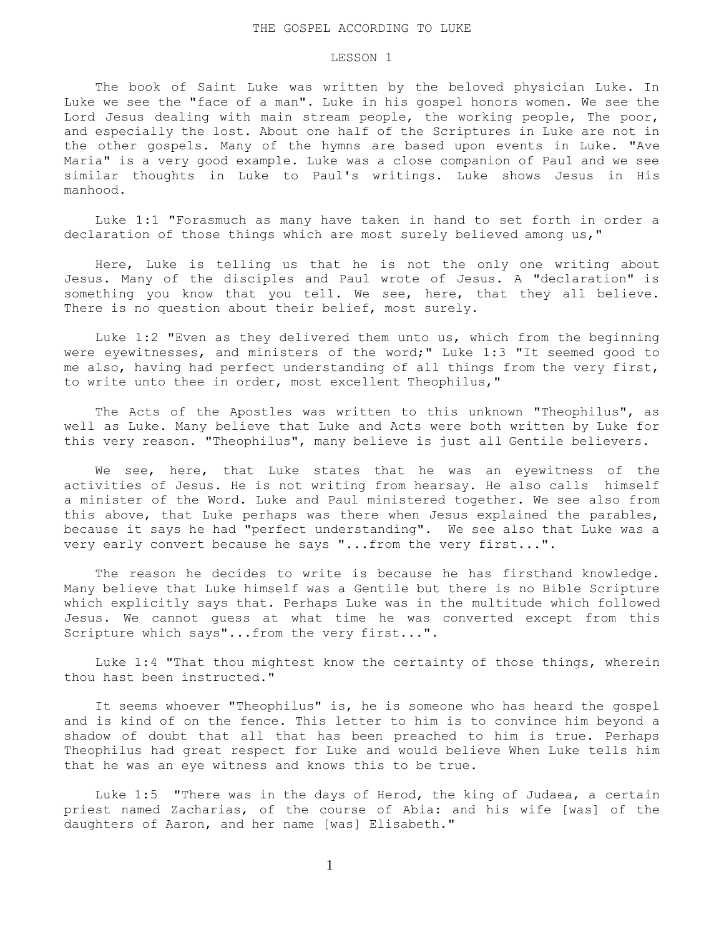## LESSON 1

 The book of Saint Luke was written by the beloved physician Luke. In Luke we see the "face of a man". Luke in his gospel honors women. We see the Lord Jesus dealing with main stream people, the working people, The poor, and especially the lost. About one half of the Scriptures in Luke are not in the other gospels. Many of the hymns are based upon events in Luke. "Ave Maria" is a very good example. Luke was a close companion of Paul and we see similar thoughts in Luke to Paul's writings. Luke shows Jesus in His manhood.

 Luke 1:1 "Forasmuch as many have taken in hand to set forth in order a declaration of those things which are most surely believed among us,"

 Here, Luke is telling us that he is not the only one writing about Jesus. Many of the disciples and Paul wrote of Jesus. A "declaration" is something you know that you tell. We see, here, that they all believe. There is no question about their belief, most surely.

 Luke 1:2 "Even as they delivered them unto us, which from the beginning were eyewitnesses, and ministers of the word;" Luke 1:3 "It seemed good to me also, having had perfect understanding of all things from the very first, to write unto thee in order, most excellent Theophilus,"

 The Acts of the Apostles was written to this unknown "Theophilus", as well as Luke. Many believe that Luke and Acts were both written by Luke for this very reason. "Theophilus", many believe is just all Gentile believers.

 We see, here, that Luke states that he was an eyewitness of the activities of Jesus. He is not writing from hearsay. He also calls himself a minister of the Word. Luke and Paul ministered together. We see also from this above, that Luke perhaps was there when Jesus explained the parables, because it says he had "perfect understanding". We see also that Luke was a very early convert because he says "...from the very first...".

 The reason he decides to write is because he has firsthand knowledge. Many believe that Luke himself was a Gentile but there is no Bible Scripture which explicitly says that. Perhaps Luke was in the multitude which followed Jesus. We cannot guess at what time he was converted except from this Scripture which says"...from the very first...".

 Luke 1:4 "That thou mightest know the certainty of those things, wherein thou hast been instructed."

 It seems whoever "Theophilus" is, he is someone who has heard the gospel and is kind of on the fence. This letter to him is to convince him beyond a shadow of doubt that all that has been preached to him is true. Perhaps Theophilus had great respect for Luke and would believe When Luke tells him that he was an eye witness and knows this to be true.

 Luke 1:5 "There was in the days of Herod, the king of Judaea, a certain priest named Zacharias, of the course of Abia: and his wife [was] of the daughters of Aaron, and her name [was] Elisabeth."

1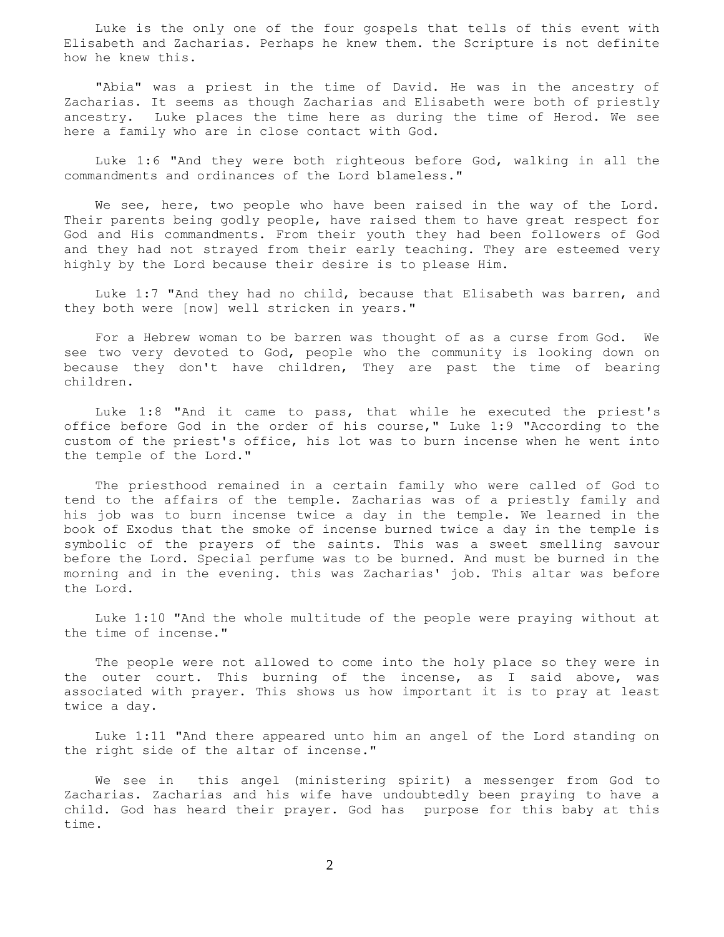Luke is the only one of the four gospels that tells of this event with Elisabeth and Zacharias. Perhaps he knew them. the Scripture is not definite how he knew this.

 "Abia" was a priest in the time of David. He was in the ancestry of Zacharias. It seems as though Zacharias and Elisabeth were both of priestly ancestry. Luke places the time here as during the time of Herod. We see here a family who are in close contact with God.

 Luke 1:6 "And they were both righteous before God, walking in all the commandments and ordinances of the Lord blameless."

 We see, here, two people who have been raised in the way of the Lord. Their parents being godly people, have raised them to have great respect for God and His commandments. From their youth they had been followers of God and they had not strayed from their early teaching. They are esteemed very highly by the Lord because their desire is to please Him.

 Luke 1:7 "And they had no child, because that Elisabeth was barren, and they both were [now] well stricken in years."

 For a Hebrew woman to be barren was thought of as a curse from God. We see two very devoted to God, people who the community is looking down on because they don't have children, They are past the time of bearing children.

 Luke 1:8 "And it came to pass, that while he executed the priest's office before God in the order of his course," Luke 1:9 "According to the custom of the priest's office, his lot was to burn incense when he went into the temple of the Lord."

 The priesthood remained in a certain family who were called of God to tend to the affairs of the temple. Zacharias was of a priestly family and his job was to burn incense twice a day in the temple. We learned in the book of Exodus that the smoke of incense burned twice a day in the temple is symbolic of the prayers of the saints. This was a sweet smelling savour before the Lord. Special perfume was to be burned. And must be burned in the morning and in the evening. this was Zacharias' job. This altar was before the Lord.

 Luke 1:10 "And the whole multitude of the people were praying without at the time of incense."

 The people were not allowed to come into the holy place so they were in the outer court. This burning of the incense, as I said above, was associated with prayer. This shows us how important it is to pray at least twice a day.

 Luke 1:11 "And there appeared unto him an angel of the Lord standing on the right side of the altar of incense."

 We see in this angel (ministering spirit) a messenger from God to Zacharias. Zacharias and his wife have undoubtedly been praying to have a child. God has heard their prayer. God has purpose for this baby at this time.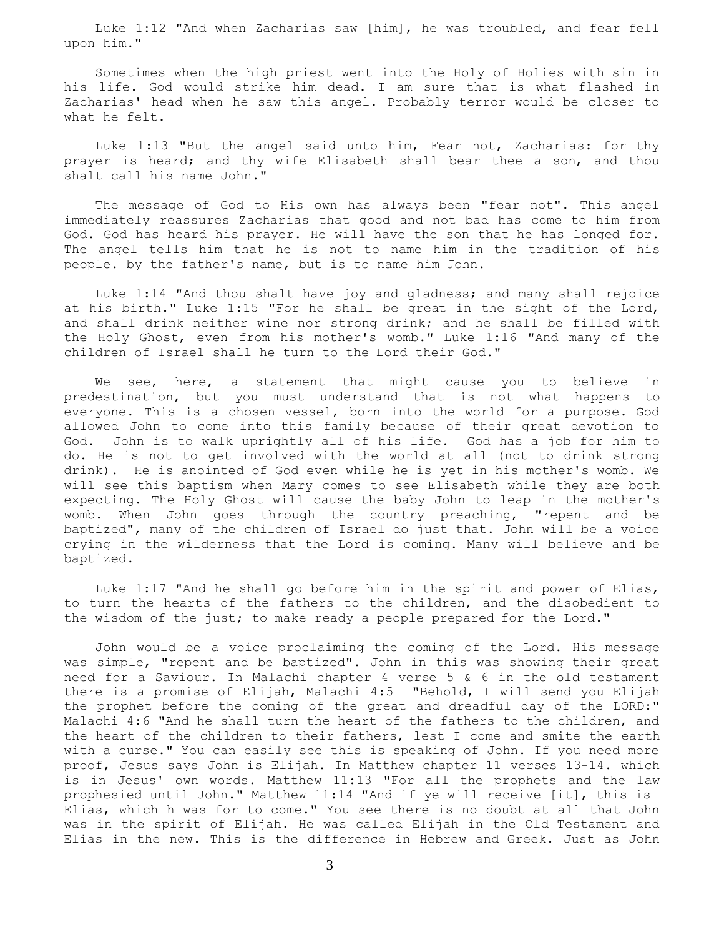Luke 1:12 "And when Zacharias saw [him], he was troubled, and fear fell upon him."

 Sometimes when the high priest went into the Holy of Holies with sin in his life. God would strike him dead. I am sure that is what flashed in Zacharias' head when he saw this angel. Probably terror would be closer to what he felt.

 Luke 1:13 "But the angel said unto him, Fear not, Zacharias: for thy prayer is heard; and thy wife Elisabeth shall bear thee a son, and thou shalt call his name John."

 The message of God to His own has always been "fear not". This angel immediately reassures Zacharias that good and not bad has come to him from God. God has heard his prayer. He will have the son that he has longed for. The angel tells him that he is not to name him in the tradition of his people. by the father's name, but is to name him John.

 Luke 1:14 "And thou shalt have joy and gladness; and many shall rejoice at his birth." Luke 1:15 "For he shall be great in the sight of the Lord, and shall drink neither wine nor strong drink; and he shall be filled with the Holy Ghost, even from his mother's womb." Luke 1:16 "And many of the children of Israel shall he turn to the Lord their God."

We see, here, a statement that might cause you to believe in predestination, but you must understand that is not what happens to everyone. This is a chosen vessel, born into the world for a purpose. God allowed John to come into this family because of their great devotion to God. John is to walk uprightly all of his life. God has a job for him to do. He is not to get involved with the world at all (not to drink strong drink). He is anointed of God even while he is yet in his mother's womb. We will see this baptism when Mary comes to see Elisabeth while they are both expecting. The Holy Ghost will cause the baby John to leap in the mother's womb. When John goes through the country preaching, "repent and be baptized", many of the children of Israel do just that. John will be a voice crying in the wilderness that the Lord is coming. Many will believe and be baptized.

 Luke 1:17 "And he shall go before him in the spirit and power of Elias, to turn the hearts of the fathers to the children, and the disobedient to the wisdom of the just; to make ready a people prepared for the Lord."

 John would be a voice proclaiming the coming of the Lord. His message was simple, "repent and be baptized". John in this was showing their great need for a Saviour. In Malachi chapter 4 verse 5 & 6 in the old testament there is a promise of Elijah, Malachi 4:5 "Behold, I will send you Elijah the prophet before the coming of the great and dreadful day of the LORD:" Malachi 4:6 "And he shall turn the heart of the fathers to the children, and the heart of the children to their fathers, lest I come and smite the earth with a curse." You can easily see this is speaking of John. If you need more proof, Jesus says John is Elijah. In Matthew chapter 11 verses 13-14. which is in Jesus' own words. Matthew 11:13 "For all the prophets and the law prophesied until John." Matthew 11:14 "And if ye will receive [it], this is Elias, which h was for to come." You see there is no doubt at all that John was in the spirit of Elijah. He was called Elijah in the Old Testament and Elias in the new. This is the difference in Hebrew and Greek. Just as John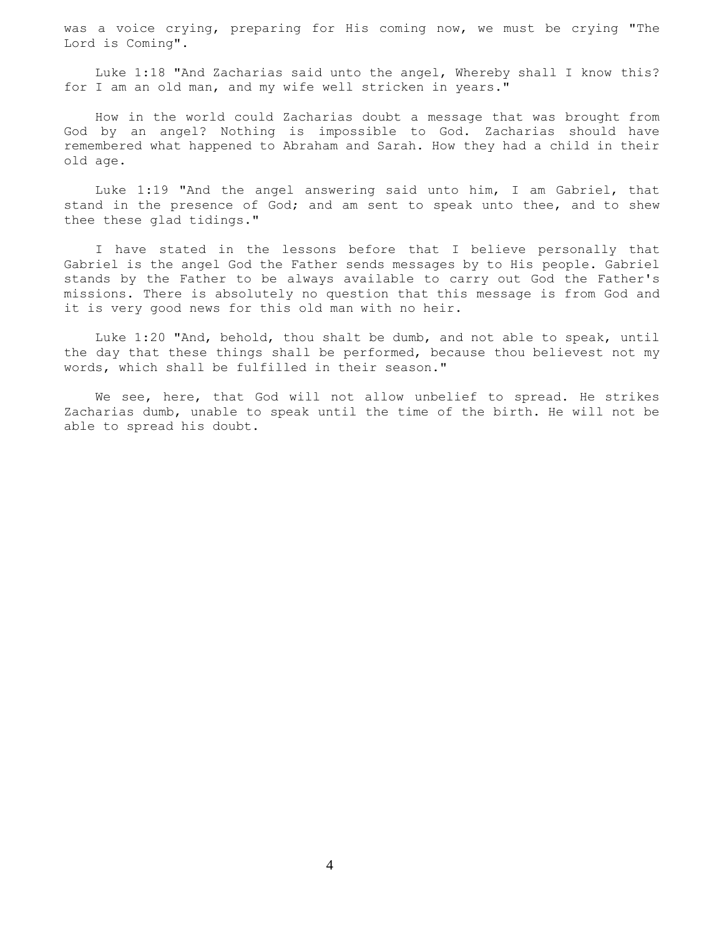was a voice crying, preparing for His coming now, we must be crying "The Lord is Coming".

 Luke 1:18 "And Zacharias said unto the angel, Whereby shall I know this? for I am an old man, and my wife well stricken in years."

 How in the world could Zacharias doubt a message that was brought from God by an angel? Nothing is impossible to God. Zacharias should have remembered what happened to Abraham and Sarah. How they had a child in their old age.

 Luke 1:19 "And the angel answering said unto him, I am Gabriel, that stand in the presence of God; and am sent to speak unto thee, and to shew thee these glad tidings."

 I have stated in the lessons before that I believe personally that Gabriel is the angel God the Father sends messages by to His people. Gabriel stands by the Father to be always available to carry out God the Father's missions. There is absolutely no question that this message is from God and it is very good news for this old man with no heir.

 Luke 1:20 "And, behold, thou shalt be dumb, and not able to speak, until the day that these things shall be performed, because thou believest not my words, which shall be fulfilled in their season."

We see, here, that God will not allow unbelief to spread. He strikes Zacharias dumb, unable to speak until the time of the birth. He will not be able to spread his doubt.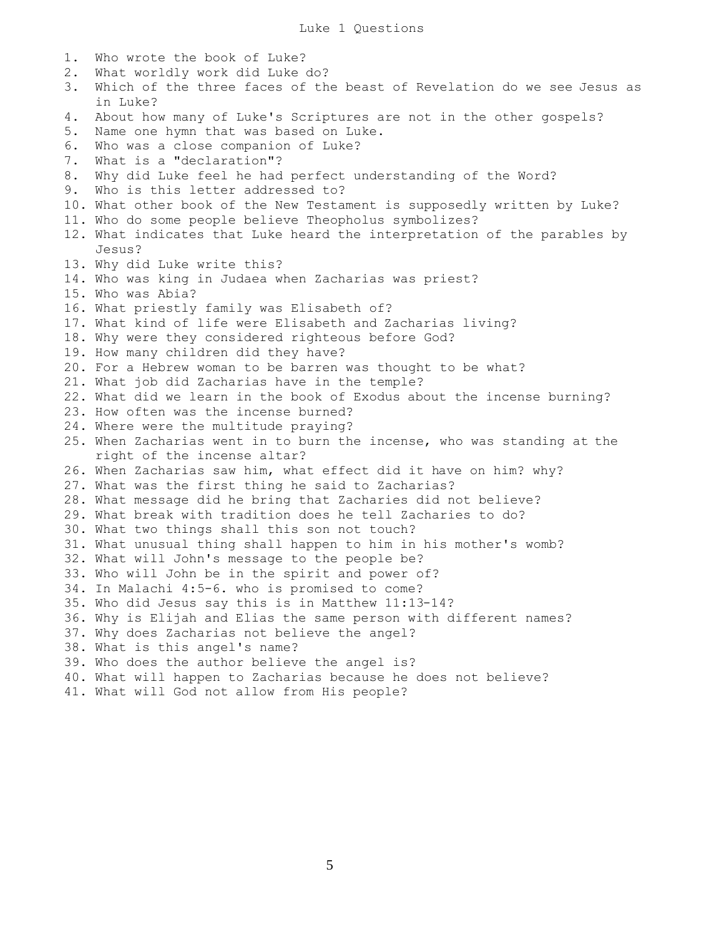1. Who wrote the book of Luke? 2. What worldly work did Luke do? 3. Which of the three faces of the beast of Revelation do we see Jesus as in Luke? 4. About how many of Luke's Scriptures are not in the other gospels? 5. Name one hymn that was based on Luke. 6. Who was a close companion of Luke? 7. What is a "declaration"? 8. Why did Luke feel he had perfect understanding of the Word? 9. Who is this letter addressed to? 10. What other book of the New Testament is supposedly written by Luke? 11. Who do some people believe Theopholus symbolizes? 12. What indicates that Luke heard the interpretation of the parables by Jesus? 13. Why did Luke write this? 14. Who was king in Judaea when Zacharias was priest? 15. Who was Abia? 16. What priestly family was Elisabeth of? 17. What kind of life were Elisabeth and Zacharias living? 18. Why were they considered righteous before God? 19. How many children did they have? 20. For a Hebrew woman to be barren was thought to be what? 21. What job did Zacharias have in the temple? 22. What did we learn in the book of Exodus about the incense burning? 23. How often was the incense burned? 24. Where were the multitude praying? 25. When Zacharias went in to burn the incense, who was standing at the right of the incense altar? 26. When Zacharias saw him, what effect did it have on him? why? 27. What was the first thing he said to Zacharias? 28. What message did he bring that Zacharies did not believe? 29. What break with tradition does he tell Zacharies to do? 30. What two things shall this son not touch? 31. What unusual thing shall happen to him in his mother's womb? 32. What will John's message to the people be? 33. Who will John be in the spirit and power of? 34. In Malachi 4:5-6. who is promised to come? 35. Who did Jesus say this is in Matthew 11:13-14? 36. Why is Elijah and Elias the same person with different names? 37. Why does Zacharias not believe the angel? 38. What is this angel's name? 39. Who does the author believe the angel is? 40. What will happen to Zacharias because he does not believe? 41. What will God not allow from His people?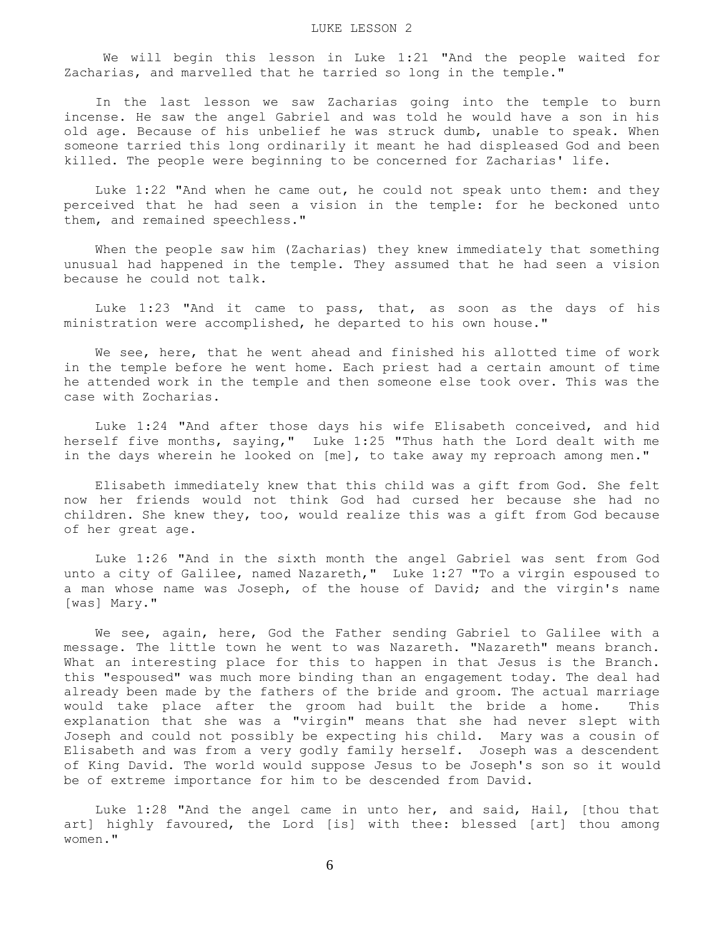We will begin this lesson in Luke 1:21 "And the people waited for Zacharias, and marvelled that he tarried so long in the temple."

 In the last lesson we saw Zacharias going into the temple to burn incense. He saw the angel Gabriel and was told he would have a son in his old age. Because of his unbelief he was struck dumb, unable to speak. When someone tarried this long ordinarily it meant he had displeased God and been killed. The people were beginning to be concerned for Zacharias' life.

Luke  $1:22$  "And when he came out, he could not speak unto them: and they perceived that he had seen a vision in the temple: for he beckoned unto them, and remained speechless."

 When the people saw him (Zacharias) they knew immediately that something unusual had happened in the temple. They assumed that he had seen a vision because he could not talk.

 Luke 1:23 "And it came to pass, that, as soon as the days of his ministration were accomplished, he departed to his own house."

 We see, here, that he went ahead and finished his allotted time of work in the temple before he went home. Each priest had a certain amount of time he attended work in the temple and then someone else took over. This was the case with Zocharias.

 Luke 1:24 "And after those days his wife Elisabeth conceived, and hid herself five months, saying," Luke 1:25 "Thus hath the Lord dealt with me in the days wherein he looked on [me], to take away my reproach among men."

 Elisabeth immediately knew that this child was a gift from God. She felt now her friends would not think God had cursed her because she had no children. She knew they, too, would realize this was a gift from God because of her great age.

 Luke 1:26 "And in the sixth month the angel Gabriel was sent from God unto a city of Galilee, named Nazareth," Luke 1:27 "To a virgin espoused to a man whose name was Joseph, of the house of David; and the virgin's name [was] Mary."

 We see, again, here, God the Father sending Gabriel to Galilee with a message. The little town he went to was Nazareth. "Nazareth" means branch. What an interesting place for this to happen in that Jesus is the Branch. this "espoused" was much more binding than an engagement today. The deal had already been made by the fathers of the bride and groom. The actual marriage would take place after the groom had built the bride a home. This explanation that she was a "virgin" means that she had never slept with Joseph and could not possibly be expecting his child. Mary was a cousin of Elisabeth and was from a very godly family herself. Joseph was a descendent of King David. The world would suppose Jesus to be Joseph's son so it would be of extreme importance for him to be descended from David.

 Luke 1:28 "And the angel came in unto her, and said, Hail, [thou that art] highly favoured, the Lord [is] with thee: blessed [art] thou among women."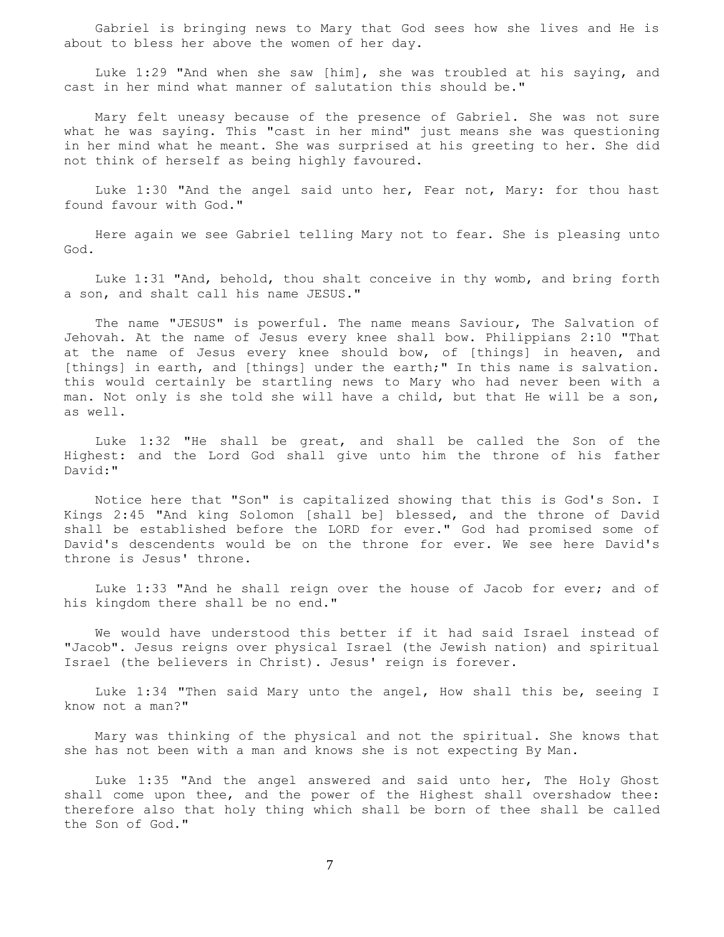Gabriel is bringing news to Mary that God sees how she lives and He is about to bless her above the women of her day.

 Luke 1:29 "And when she saw [him], she was troubled at his saying, and cast in her mind what manner of salutation this should be."

 Mary felt uneasy because of the presence of Gabriel. She was not sure what he was saying. This "cast in her mind" just means she was questioning in her mind what he meant. She was surprised at his greeting to her. She did not think of herself as being highly favoured.

 Luke 1:30 "And the angel said unto her, Fear not, Mary: for thou hast found favour with God."

 Here again we see Gabriel telling Mary not to fear. She is pleasing unto God.

 Luke 1:31 "And, behold, thou shalt conceive in thy womb, and bring forth a son, and shalt call his name JESUS."

 The name "JESUS" is powerful. The name means Saviour, The Salvation of Jehovah. At the name of Jesus every knee shall bow. Philippians 2:10 "That at the name of Jesus every knee should bow, of [things] in heaven, and [things] in earth, and [things] under the earth;" In this name is salvation. this would certainly be startling news to Mary who had never been with a man. Not only is she told she will have a child, but that He will be a son, as well.

 Luke 1:32 "He shall be great, and shall be called the Son of the Highest: and the Lord God shall give unto him the throne of his father David:"

 Notice here that "Son" is capitalized showing that this is God's Son. I Kings 2:45 "And king Solomon [shall be] blessed, and the throne of David shall be established before the LORD for ever." God had promised some of David's descendents would be on the throne for ever. We see here David's throne is Jesus' throne.

 Luke 1:33 "And he shall reign over the house of Jacob for ever; and of his kingdom there shall be no end."

 We would have understood this better if it had said Israel instead of "Jacob". Jesus reigns over physical Israel (the Jewish nation) and spiritual Israel (the believers in Christ). Jesus' reign is forever.

 Luke 1:34 "Then said Mary unto the angel, How shall this be, seeing I know not a man?"

 Mary was thinking of the physical and not the spiritual. She knows that she has not been with a man and knows she is not expecting By Man.

 Luke 1:35 "And the angel answered and said unto her, The Holy Ghost shall come upon thee, and the power of the Highest shall overshadow thee: therefore also that holy thing which shall be born of thee shall be called the Son of God."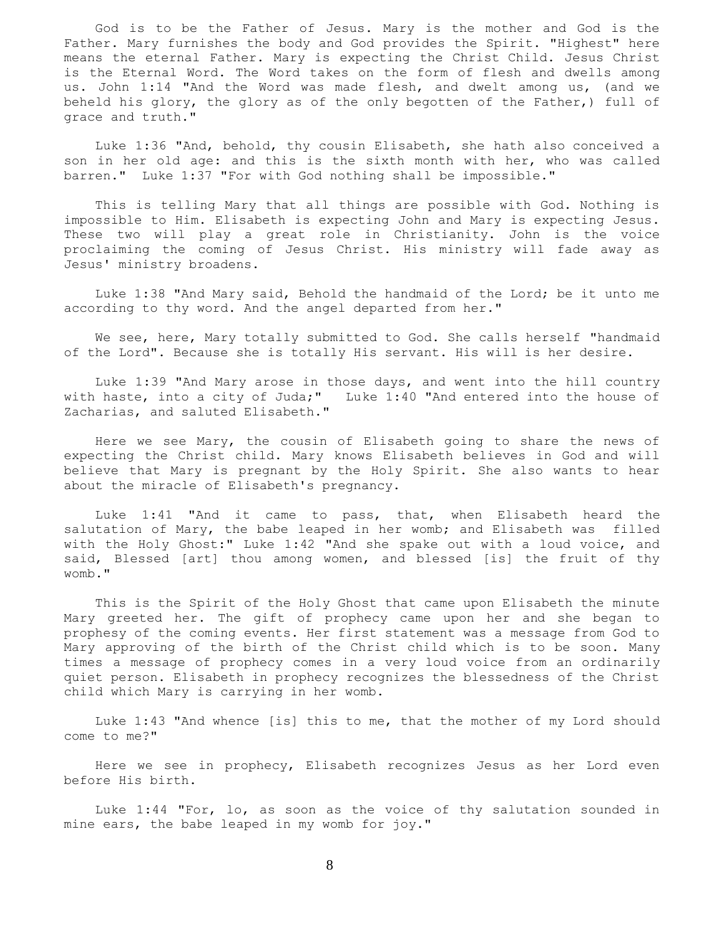God is to be the Father of Jesus. Mary is the mother and God is the Father. Mary furnishes the body and God provides the Spirit. "Highest" here means the eternal Father. Mary is expecting the Christ Child. Jesus Christ is the Eternal Word. The Word takes on the form of flesh and dwells among us. John 1:14 "And the Word was made flesh, and dwelt among us, (and we beheld his glory, the glory as of the only begotten of the Father,) full of grace and truth."

 Luke 1:36 "And, behold, thy cousin Elisabeth, she hath also conceived a son in her old age: and this is the sixth month with her, who was called barren." Luke 1:37 "For with God nothing shall be impossible."

 This is telling Mary that all things are possible with God. Nothing is impossible to Him. Elisabeth is expecting John and Mary is expecting Jesus. These two will play a great role in Christianity. John is the voice proclaiming the coming of Jesus Christ. His ministry will fade away as Jesus' ministry broadens.

 Luke 1:38 "And Mary said, Behold the handmaid of the Lord; be it unto me according to thy word. And the angel departed from her."

 We see, here, Mary totally submitted to God. She calls herself "handmaid of the Lord". Because she is totally His servant. His will is her desire.

 Luke 1:39 "And Mary arose in those days, and went into the hill country with haste, into a city of Juda;" Luke 1:40 "And entered into the house of Zacharias, and saluted Elisabeth."

 Here we see Mary, the cousin of Elisabeth going to share the news of expecting the Christ child. Mary knows Elisabeth believes in God and will believe that Mary is pregnant by the Holy Spirit. She also wants to hear about the miracle of Elisabeth's pregnancy.

 Luke 1:41 "And it came to pass, that, when Elisabeth heard the salutation of Mary, the babe leaped in her womb; and Elisabeth was filled with the Holy Ghost:" Luke 1:42 "And she spake out with a loud voice, and said, Blessed [art] thou among women, and blessed [is] the fruit of thy womb."

 This is the Spirit of the Holy Ghost that came upon Elisabeth the minute Mary greeted her. The gift of prophecy came upon her and she began to prophesy of the coming events. Her first statement was a message from God to Mary approving of the birth of the Christ child which is to be soon. Many times a message of prophecy comes in a very loud voice from an ordinarily quiet person. Elisabeth in prophecy recognizes the blessedness of the Christ child which Mary is carrying in her womb.

 Luke 1:43 "And whence [is] this to me, that the mother of my Lord should come to me?"

 Here we see in prophecy, Elisabeth recognizes Jesus as her Lord even before His birth.

 Luke 1:44 "For, lo, as soon as the voice of thy salutation sounded in mine ears, the babe leaped in my womb for joy."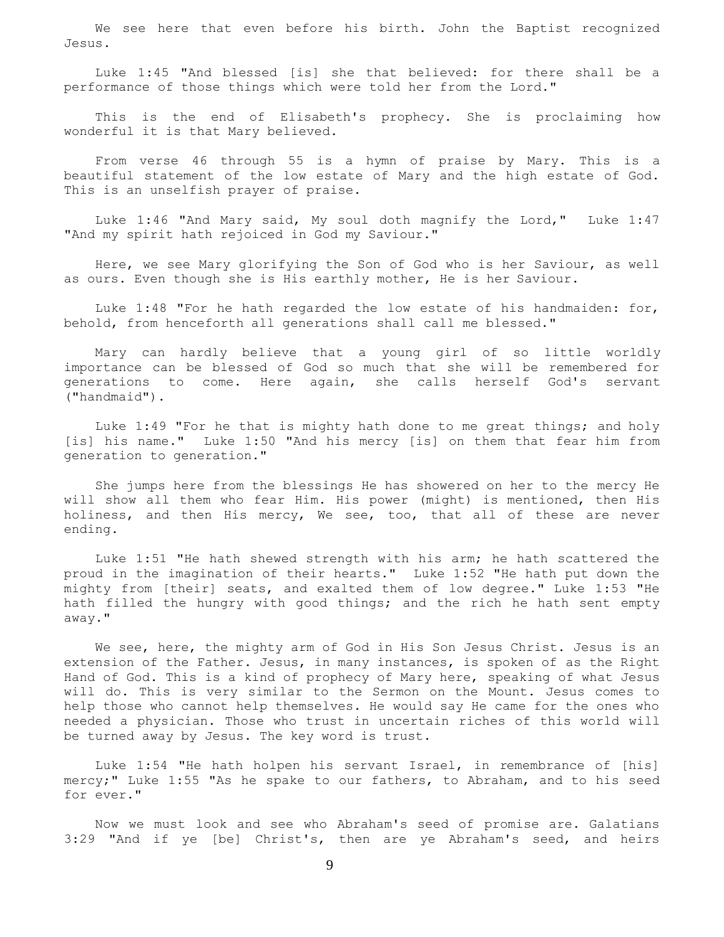We see here that even before his birth. John the Baptist recognized Jesus.

 Luke 1:45 "And blessed [is] she that believed: for there shall be a performance of those things which were told her from the Lord."

 This is the end of Elisabeth's prophecy. She is proclaiming how wonderful it is that Mary believed.

 From verse 46 through 55 is a hymn of praise by Mary. This is a beautiful statement of the low estate of Mary and the high estate of God. This is an unselfish prayer of praise.

 Luke 1:46 "And Mary said, My soul doth magnify the Lord," Luke 1:47 "And my spirit hath rejoiced in God my Saviour."

 Here, we see Mary glorifying the Son of God who is her Saviour, as well as ours. Even though she is His earthly mother, He is her Saviour.

Luke 1:48 "For he hath regarded the low estate of his handmaiden: for, behold, from henceforth all generations shall call me blessed."

 Mary can hardly believe that a young girl of so little worldly importance can be blessed of God so much that she will be remembered for generations to come. Here again, she calls herself God's servant ("handmaid").

 Luke 1:49 "For he that is mighty hath done to me great things; and holy [is] his name." Luke 1:50 "And his mercy [is] on them that fear him from generation to generation."

 She jumps here from the blessings He has showered on her to the mercy He will show all them who fear Him. His power (might) is mentioned, then His holiness, and then His mercy, We see, too, that all of these are never ending.

 Luke 1:51 "He hath shewed strength with his arm; he hath scattered the proud in the imagination of their hearts." Luke 1:52 "He hath put down the mighty from [their] seats, and exalted them of low degree." Luke 1:53 "He hath filled the hungry with good things; and the rich he hath sent empty away."

 We see, here, the mighty arm of God in His Son Jesus Christ. Jesus is an extension of the Father. Jesus, in many instances, is spoken of as the Right Hand of God. This is a kind of prophecy of Mary here, speaking of what Jesus will do. This is very similar to the Sermon on the Mount. Jesus comes to help those who cannot help themselves. He would say He came for the ones who needed a physician. Those who trust in uncertain riches of this world will be turned away by Jesus. The key word is trust.

 Luke 1:54 "He hath holpen his servant Israel, in remembrance of [his] mercy;" Luke 1:55 "As he spake to our fathers, to Abraham, and to his seed for ever."

 Now we must look and see who Abraham's seed of promise are. Galatians 3:29 "And if ye [be] Christ's, then are ye Abraham's seed, and heirs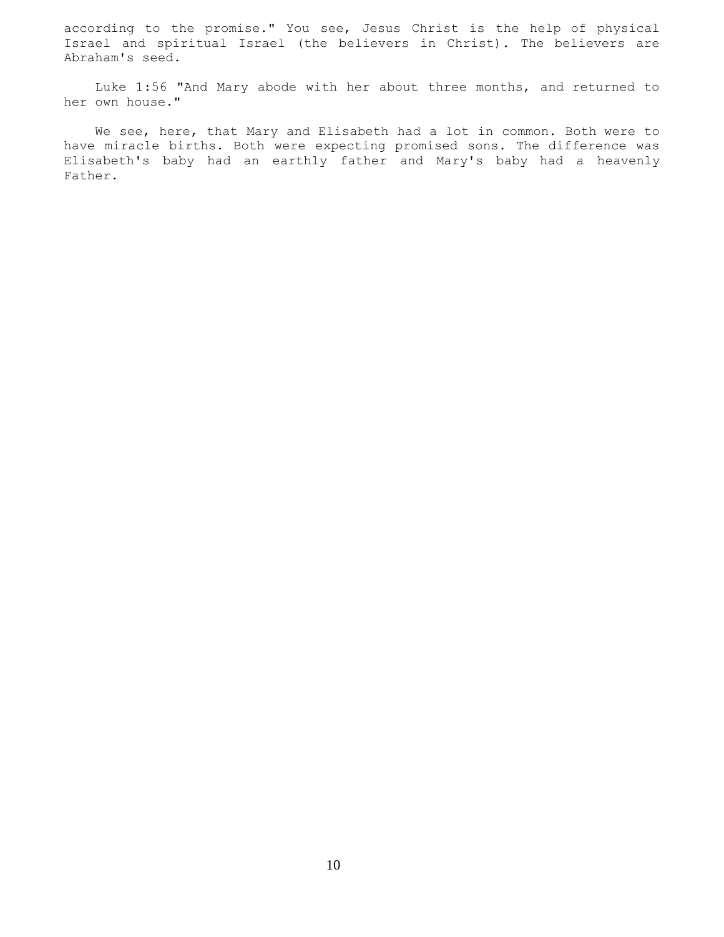according to the promise." You see, Jesus Christ is the help of physical Israel and spiritual Israel (the believers in Christ). The believers are Abraham's seed.

 Luke 1:56 "And Mary abode with her about three months, and returned to her own house."

 We see, here, that Mary and Elisabeth had a lot in common. Both were to have miracle births. Both were expecting promised sons. The difference was Elisabeth's baby had an earthly father and Mary's baby had a heavenly Father.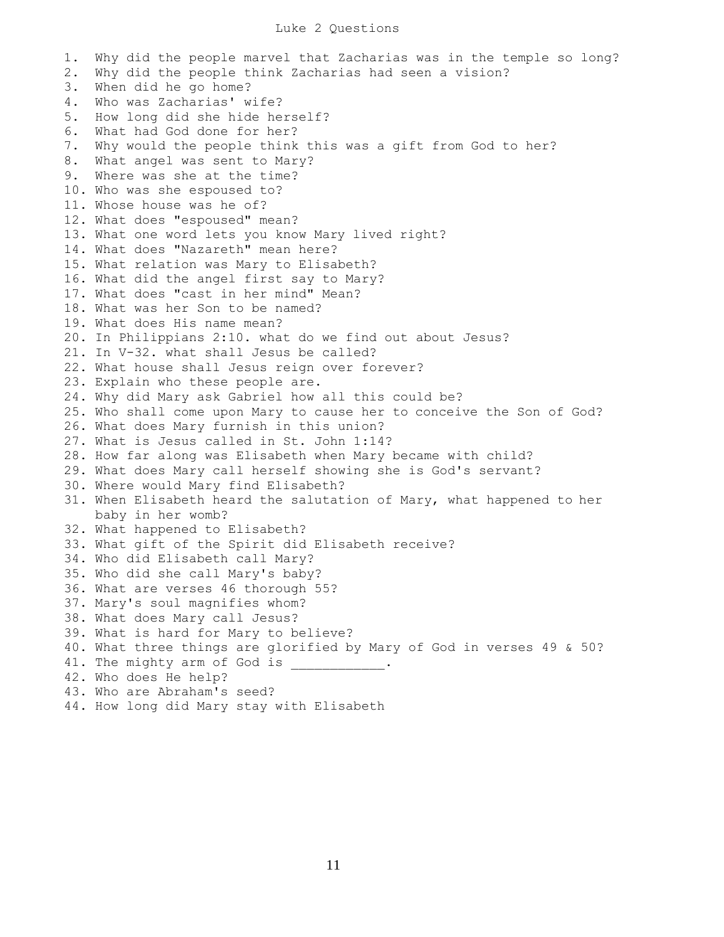1. Why did the people marvel that Zacharias was in the temple so long? 2. Why did the people think Zacharias had seen a vision? 3. When did he go home? 4. Who was Zacharias' wife? 5. How long did she hide herself? 6. What had God done for her? 7. Why would the people think this was a gift from God to her? 8. What angel was sent to Mary? 9. Where was she at the time? 10. Who was she espoused to? 11. Whose house was he of? 12. What does "espoused" mean? 13. What one word lets you know Mary lived right? 14. What does "Nazareth" mean here? 15. What relation was Mary to Elisabeth? 16. What did the angel first say to Mary? 17. What does "cast in her mind" Mean? 18. What was her Son to be named? 19. What does His name mean? 20. In Philippians 2:10. what do we find out about Jesus? 21. In V-32. what shall Jesus be called? 22. What house shall Jesus reign over forever? 23. Explain who these people are. 24. Why did Mary ask Gabriel how all this could be? 25. Who shall come upon Mary to cause her to conceive the Son of God? 26. What does Mary furnish in this union? 27. What is Jesus called in St. John 1:14? 28. How far along was Elisabeth when Mary became with child? 29. What does Mary call herself showing she is God's servant? 30. Where would Mary find Elisabeth? 31. When Elisabeth heard the salutation of Mary, what happened to her baby in her womb? 32. What happened to Elisabeth? 33. What gift of the Spirit did Elisabeth receive? 34. Who did Elisabeth call Mary? 35. Who did she call Mary's baby? 36. What are verses 46 thorough 55? 37. Mary's soul magnifies whom? 38. What does Mary call Jesus? 39. What is hard for Mary to believe? 40. What three things are glorified by Mary of God in verses 49 & 50? 41. The mighty arm of God is 42. Who does He help? 43. Who are Abraham's seed? 44. How long did Mary stay with Elisabeth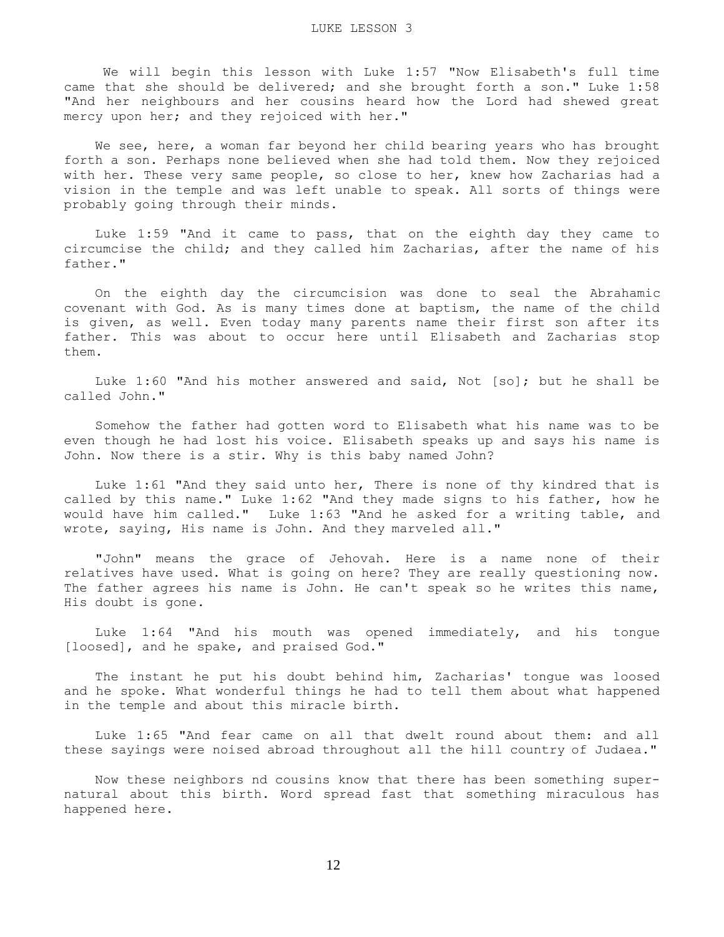We will begin this lesson with Luke 1:57 "Now Elisabeth's full time came that she should be delivered; and she brought forth a son." Luke 1:58 "And her neighbours and her cousins heard how the Lord had shewed great mercy upon her; and they rejoiced with her."

 We see, here, a woman far beyond her child bearing years who has brought forth a son. Perhaps none believed when she had told them. Now they rejoiced with her. These very same people, so close to her, knew how Zacharias had a vision in the temple and was left unable to speak. All sorts of things were probably going through their minds.

 Luke 1:59 "And it came to pass, that on the eighth day they came to circumcise the child; and they called him Zacharias, after the name of his father."

 On the eighth day the circumcision was done to seal the Abrahamic covenant with God. As is many times done at baptism, the name of the child is given, as well. Even today many parents name their first son after its father. This was about to occur here until Elisabeth and Zacharias stop them.

 Luke 1:60 "And his mother answered and said, Not [so]; but he shall be called John."

 Somehow the father had gotten word to Elisabeth what his name was to be even though he had lost his voice. Elisabeth speaks up and says his name is John. Now there is a stir. Why is this baby named John?

 Luke 1:61 "And they said unto her, There is none of thy kindred that is called by this name." Luke 1:62 "And they made signs to his father, how he would have him called." Luke 1:63 "And he asked for a writing table, and wrote, saying, His name is John. And they marveled all."

 "John" means the grace of Jehovah. Here is a name none of their relatives have used. What is going on here? They are really questioning now. The father agrees his name is John. He can't speak so he writes this name, His doubt is gone.

 Luke 1:64 "And his mouth was opened immediately, and his tongue [loosed], and he spake, and praised God."

 The instant he put his doubt behind him, Zacharias' tongue was loosed and he spoke. What wonderful things he had to tell them about what happened in the temple and about this miracle birth.

 Luke 1:65 "And fear came on all that dwelt round about them: and all these sayings were noised abroad throughout all the hill country of Judaea."

 Now these neighbors nd cousins know that there has been something supernatural about this birth. Word spread fast that something miraculous has happened here.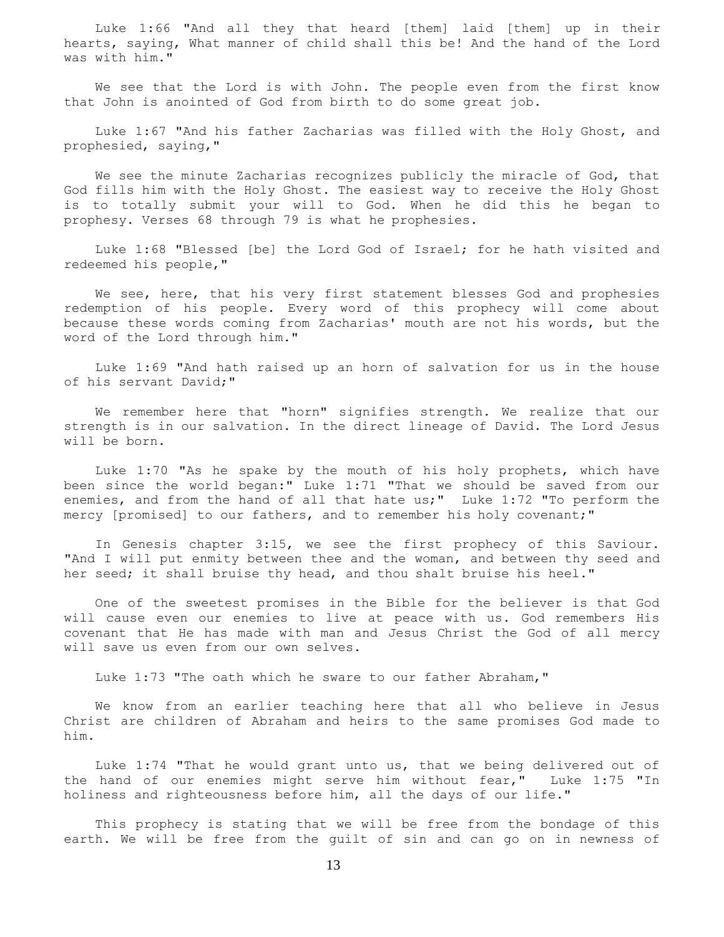Luke 1:66 "And all they that heard [them] laid [them] up in their hearts, saying, What manner of child shall this be! And the hand of the Lord was with him."

 We see that the Lord is with John. The people even from the first know that John is anointed of God from birth to do some great job.

 Luke 1:67 "And his father Zacharias was filled with the Holy Ghost, and prophesied, saying,"

 We see the minute Zacharias recognizes publicly the miracle of God, that God fills him with the Holy Ghost. The easiest way to receive the Holy Ghost is to totally submit your will to God. When he did this he began to prophesy. Verses 68 through 79 is what he prophesies.

 Luke 1:68 "Blessed [be] the Lord God of Israel; for he hath visited and redeemed his people,"

We see, here, that his very first statement blesses God and prophesies redemption of his people. Every word of this prophecy will come about because these words coming from Zacharias' mouth are not his words, but the word of the Lord through him."

 Luke 1:69 "And hath raised up an horn of salvation for us in the house of his servant David;"

 We remember here that "horn" signifies strength. We realize that our strength is in our salvation. In the direct lineage of David. The Lord Jesus will be born.

 Luke 1:70 "As he spake by the mouth of his holy prophets, which have been since the world began:" Luke 1:71 "That we should be saved from our enemies, and from the hand of all that hate us;" Luke 1:72 "To perform the mercy [promised] to our fathers, and to remember his holy covenant;"

 In Genesis chapter 3:15, we see the first prophecy of this Saviour. "And I will put enmity between thee and the woman, and between thy seed and her seed; it shall bruise thy head, and thou shalt bruise his heel."

 One of the sweetest promises in the Bible for the believer is that God will cause even our enemies to live at peace with us. God remembers His covenant that He has made with man and Jesus Christ the God of all mercy will save us even from our own selves.

Luke 1:73 "The oath which he sware to our father Abraham,"

 We know from an earlier teaching here that all who believe in Jesus Christ are children of Abraham and heirs to the same promises God made to him.

 Luke 1:74 "That he would grant unto us, that we being delivered out of the hand of our enemies might serve him without fear," Luke 1:75 "In holiness and righteousness before him, all the days of our life."

 This prophecy is stating that we will be free from the bondage of this earth. We will be free from the guilt of sin and can go on in newness of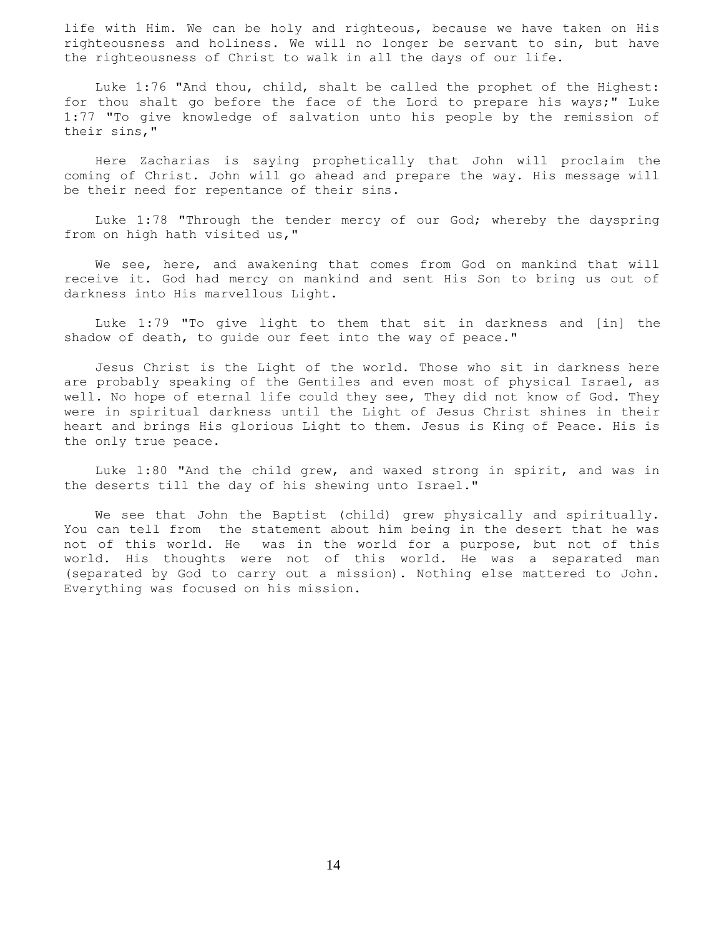life with Him. We can be holy and righteous, because we have taken on His righteousness and holiness. We will no longer be servant to sin, but have the righteousness of Christ to walk in all the days of our life.

 Luke 1:76 "And thou, child, shalt be called the prophet of the Highest: for thou shalt go before the face of the Lord to prepare his ways;" Luke 1:77 "To give knowledge of salvation unto his people by the remission of their sins,"

 Here Zacharias is saying prophetically that John will proclaim the coming of Christ. John will go ahead and prepare the way. His message will be their need for repentance of their sins.

 Luke 1:78 "Through the tender mercy of our God; whereby the dayspring from on high hath visited us,"

 We see, here, and awakening that comes from God on mankind that will receive it. God had mercy on mankind and sent His Son to bring us out of darkness into His marvellous Light.

 Luke 1:79 "To give light to them that sit in darkness and [in] the shadow of death, to guide our feet into the way of peace."

 Jesus Christ is the Light of the world. Those who sit in darkness here are probably speaking of the Gentiles and even most of physical Israel, as well. No hope of eternal life could they see, They did not know of God. They were in spiritual darkness until the Light of Jesus Christ shines in their heart and brings His glorious Light to them. Jesus is King of Peace. His is the only true peace.

 Luke 1:80 "And the child grew, and waxed strong in spirit, and was in the deserts till the day of his shewing unto Israel."

 We see that John the Baptist (child) grew physically and spiritually. You can tell from the statement about him being in the desert that he was not of this world. He was in the world for a purpose, but not of this world. His thoughts were not of this world. He was a separated man (separated by God to carry out a mission). Nothing else mattered to John. Everything was focused on his mission.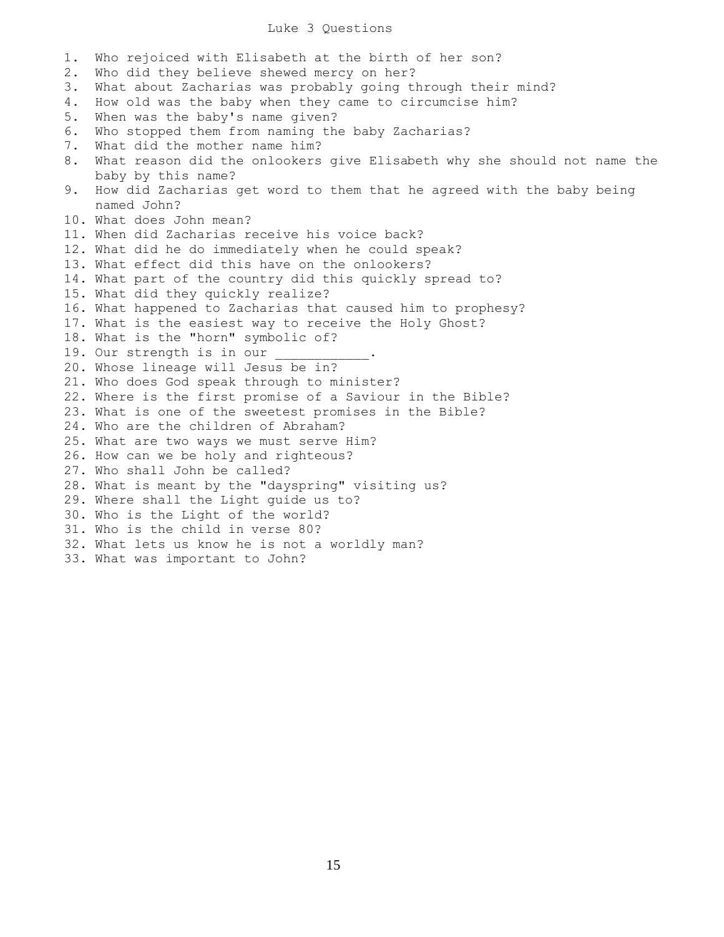## Luke 3 Questions

1. Who rejoiced with Elisabeth at the birth of her son? 2. Who did they believe shewed mercy on her? 3. What about Zacharias was probably going through their mind? 4. How old was the baby when they came to circumcise him? 5. When was the baby's name given? 6. Who stopped them from naming the baby Zacharias? 7. What did the mother name him? 8. What reason did the onlookers give Elisabeth why she should not name the baby by this name? 9. How did Zacharias get word to them that he agreed with the baby being named John? 10. What does John mean? 11. When did Zacharias receive his voice back? 12. What did he do immediately when he could speak? 13. What effect did this have on the onlookers? 14. What part of the country did this quickly spread to? 15. What did they quickly realize? 16. What happened to Zacharias that caused him to prophesy? 17. What is the easiest way to receive the Holy Ghost? 18. What is the "horn" symbolic of? 19. Our strength is in our 20. Whose lineage will Jesus be in? 21. Who does God speak through to minister? 22. Where is the first promise of a Saviour in the Bible? 23. What is one of the sweetest promises in the Bible? 24. Who are the children of Abraham? 25. What are two ways we must serve Him? 26. How can we be holy and righteous? 27. Who shall John be called? 28. What is meant by the "dayspring" visiting us? 29. Where shall the Light guide us to? 30. Who is the Light of the world? 31. Who is the child in verse 80? 32. What lets us know he is not a worldly man? 33. What was important to John?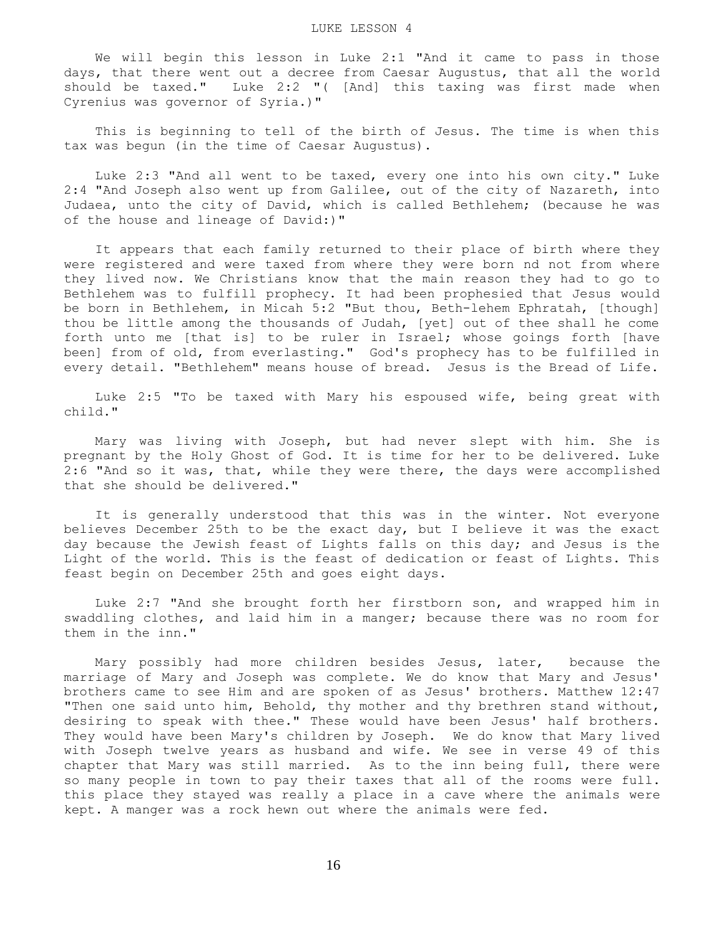We will begin this lesson in Luke 2:1 "And it came to pass in those days, that there went out a decree from Caesar Augustus, that all the world should be taxed." Luke 2:2 "( [And] this taxing was first made when Cyrenius was governor of Syria.)"

 This is beginning to tell of the birth of Jesus. The time is when this tax was begun (in the time of Caesar Augustus).

 Luke 2:3 "And all went to be taxed, every one into his own city." Luke 2:4 "And Joseph also went up from Galilee, out of the city of Nazareth, into Judaea, unto the city of David, which is called Bethlehem; (because he was of the house and lineage of David:)"

 It appears that each family returned to their place of birth where they were registered and were taxed from where they were born nd not from where they lived now. We Christians know that the main reason they had to go to Bethlehem was to fulfill prophecy. It had been prophesied that Jesus would be born in Bethlehem, in Micah 5:2 "But thou, Beth-lehem Ephratah, [though] thou be little among the thousands of Judah, [yet] out of thee shall he come forth unto me [that is] to be ruler in Israel; whose goings forth [have been] from of old, from everlasting." God's prophecy has to be fulfilled in every detail. "Bethlehem" means house of bread. Jesus is the Bread of Life.

 Luke 2:5 "To be taxed with Mary his espoused wife, being great with child."

 Mary was living with Joseph, but had never slept with him. She is pregnant by the Holy Ghost of God. It is time for her to be delivered. Luke 2:6 "And so it was, that, while they were there, the days were accomplished that she should be delivered."

 It is generally understood that this was in the winter. Not everyone believes December 25th to be the exact day, but I believe it was the exact day because the Jewish feast of Lights falls on this day; and Jesus is the Light of the world. This is the feast of dedication or feast of Lights. This feast begin on December 25th and goes eight days.

 Luke 2:7 "And she brought forth her firstborn son, and wrapped him in swaddling clothes, and laid him in a manger; because there was no room for them in the inn."

 Mary possibly had more children besides Jesus, later, because the marriage of Mary and Joseph was complete. We do know that Mary and Jesus' brothers came to see Him and are spoken of as Jesus' brothers. Matthew 12:47 "Then one said unto him, Behold, thy mother and thy brethren stand without, desiring to speak with thee." These would have been Jesus' half brothers. They would have been Mary's children by Joseph. We do know that Mary lived with Joseph twelve years as husband and wife. We see in verse 49 of this chapter that Mary was still married. As to the inn being full, there were so many people in town to pay their taxes that all of the rooms were full. this place they stayed was really a place in a cave where the animals were kept. A manger was a rock hewn out where the animals were fed.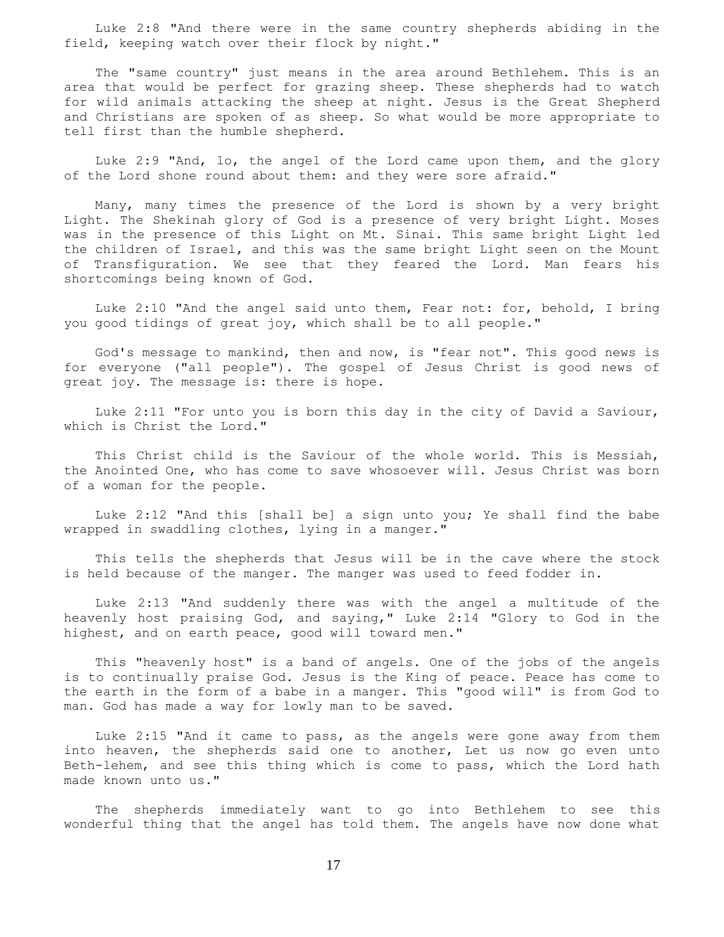Luke 2:8 "And there were in the same country shepherds abiding in the field, keeping watch over their flock by night."

 The "same country" just means in the area around Bethlehem. This is an area that would be perfect for grazing sheep. These shepherds had to watch for wild animals attacking the sheep at night. Jesus is the Great Shepherd and Christians are spoken of as sheep. So what would be more appropriate to tell first than the humble shepherd.

 Luke 2:9 "And, lo, the angel of the Lord came upon them, and the glory of the Lord shone round about them: and they were sore afraid."

 Many, many times the presence of the Lord is shown by a very bright Light. The Shekinah glory of God is a presence of very bright Light. Moses was in the presence of this Light on Mt. Sinai. This same bright Light led the children of Israel, and this was the same bright Light seen on the Mount of Transfiguration. We see that they feared the Lord. Man fears his shortcomings being known of God.

 Luke 2:10 "And the angel said unto them, Fear not: for, behold, I bring you good tidings of great joy, which shall be to all people."

 God's message to mankind, then and now, is "fear not". This good news is for everyone ("all people"). The gospel of Jesus Christ is good news of great joy. The message is: there is hope.

 Luke 2:11 "For unto you is born this day in the city of David a Saviour, which is Christ the Lord."

 This Christ child is the Saviour of the whole world. This is Messiah, the Anointed One, who has come to save whosoever will. Jesus Christ was born of a woman for the people.

 Luke 2:12 "And this [shall be] a sign unto you; Ye shall find the babe wrapped in swaddling clothes, lying in a manger."

 This tells the shepherds that Jesus will be in the cave where the stock is held because of the manger. The manger was used to feed fodder in.

 Luke 2:13 "And suddenly there was with the angel a multitude of the heavenly host praising God, and saying," Luke 2:14 "Glory to God in the highest, and on earth peace, good will toward men."

 This "heavenly host" is a band of angels. One of the jobs of the angels is to continually praise God. Jesus is the King of peace. Peace has come to the earth in the form of a babe in a manger. This "good will" is from God to man. God has made a way for lowly man to be saved.

 Luke 2:15 "And it came to pass, as the angels were gone away from them into heaven, the shepherds said one to another, Let us now go even unto Beth-lehem, and see this thing which is come to pass, which the Lord hath made known unto us."

 The shepherds immediately want to go into Bethlehem to see this wonderful thing that the angel has told them. The angels have now done what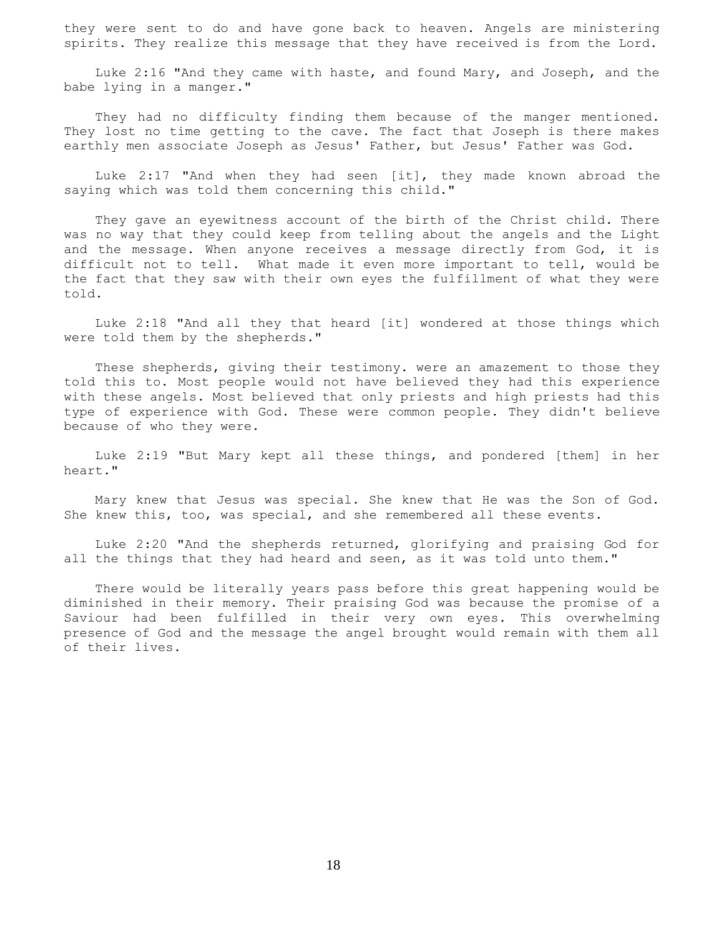they were sent to do and have gone back to heaven. Angels are ministering spirits. They realize this message that they have received is from the Lord.

 Luke 2:16 "And they came with haste, and found Mary, and Joseph, and the babe lying in a manger."

They had no difficulty finding them because of the manger mentioned. They lost no time getting to the cave. The fact that Joseph is there makes earthly men associate Joseph as Jesus' Father, but Jesus' Father was God.

 Luke 2:17 "And when they had seen [it], they made known abroad the saying which was told them concerning this child."

 They gave an eyewitness account of the birth of the Christ child. There was no way that they could keep from telling about the angels and the Light and the message. When anyone receives a message directly from God, it is difficult not to tell. What made it even more important to tell, would be the fact that they saw with their own eyes the fulfillment of what they were told.

 Luke 2:18 "And all they that heard [it] wondered at those things which were told them by the shepherds."

 These shepherds, giving their testimony. were an amazement to those they told this to. Most people would not have believed they had this experience with these angels. Most believed that only priests and high priests had this type of experience with God. These were common people. They didn't believe because of who they were.

 Luke 2:19 "But Mary kept all these things, and pondered [them] in her heart."

 Mary knew that Jesus was special. She knew that He was the Son of God. She knew this, too, was special, and she remembered all these events.

 Luke 2:20 "And the shepherds returned, glorifying and praising God for all the things that they had heard and seen, as it was told unto them."

 There would be literally years pass before this great happening would be diminished in their memory. Their praising God was because the promise of a Saviour had been fulfilled in their very own eyes. This overwhelming presence of God and the message the angel brought would remain with them all of their lives.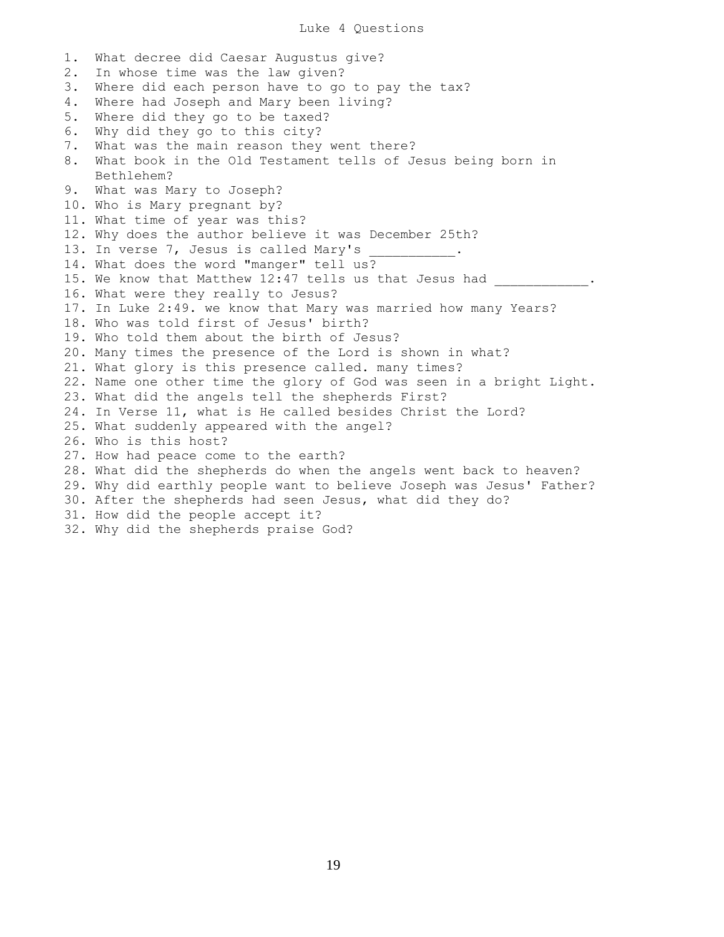1. What decree did Caesar Augustus give? 2. In whose time was the law given? 3. Where did each person have to go to pay the tax? 4. Where had Joseph and Mary been living? 5. Where did they go to be taxed? 6. Why did they go to this city? 7. What was the main reason they went there? 8. What book in the Old Testament tells of Jesus being born in Bethlehem? 9. What was Mary to Joseph? 10. Who is Mary pregnant by? 11. What time of year was this? 12. Why does the author believe it was December 25th? 13. In verse 7, Jesus is called Mary's 14. What does the word "manger" tell us? 15. We know that Matthew 12:47 tells us that Jesus had \_\_\_\_\_\_\_\_\_\_. 16. What were they really to Jesus? 17. In Luke 2:49. we know that Mary was married how many Years? 18. Who was told first of Jesus' birth? 19. Who told them about the birth of Jesus? 20. Many times the presence of the Lord is shown in what? 21. What glory is this presence called. many times? 22. Name one other time the glory of God was seen in a bright Light. 23. What did the angels tell the shepherds First? 24. In Verse 11, what is He called besides Christ the Lord? 25. What suddenly appeared with the angel? 26. Who is this host? 27. How had peace come to the earth? 28. What did the shepherds do when the angels went back to heaven? 29. Why did earthly people want to believe Joseph was Jesus' Father? 30. After the shepherds had seen Jesus, what did they do? 31. How did the people accept it? 32. Why did the shepherds praise God?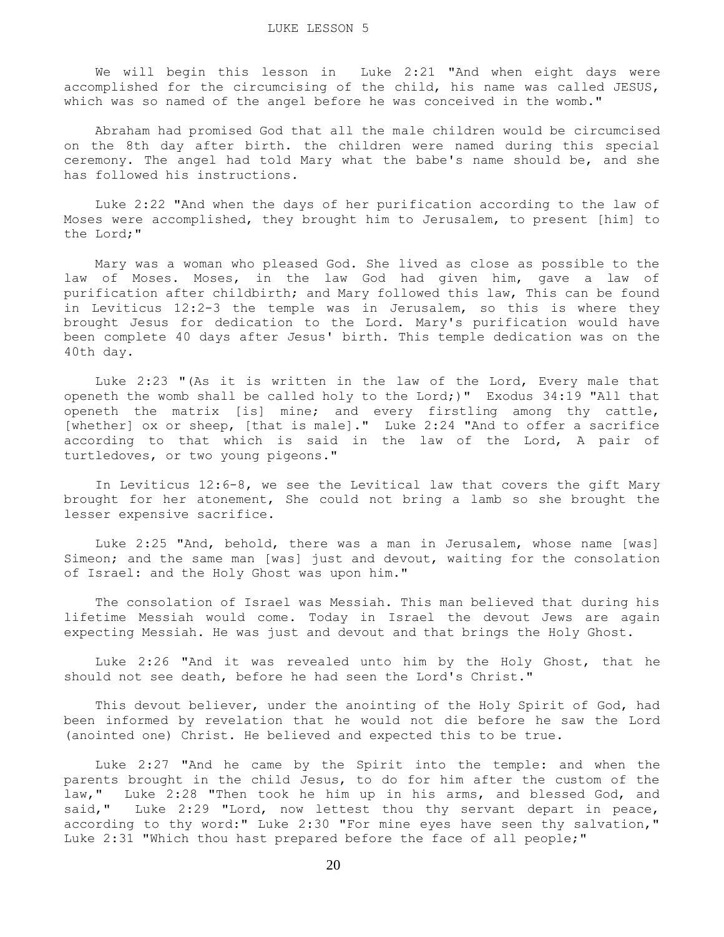We will begin this lesson in Luke 2:21 "And when eight days were accomplished for the circumcising of the child, his name was called JESUS, which was so named of the angel before he was conceived in the womb."

 Abraham had promised God that all the male children would be circumcised on the 8th day after birth. the children were named during this special ceremony. The angel had told Mary what the babe's name should be, and she has followed his instructions.

 Luke 2:22 "And when the days of her purification according to the law of Moses were accomplished, they brought him to Jerusalem, to present [him] to the Lord;"

 Mary was a woman who pleased God. She lived as close as possible to the law of Moses. Moses, in the law God had given him, gave a law of purification after childbirth; and Mary followed this law, This can be found in Leviticus 12:2-3 the temple was in Jerusalem, so this is where they brought Jesus for dedication to the Lord. Mary's purification would have been complete 40 days after Jesus' birth. This temple dedication was on the 40th day.

 Luke 2:23 "(As it is written in the law of the Lord, Every male that openeth the womb shall be called holy to the Lord;)" Exodus 34:19 "All that openeth the matrix [is] mine; and every firstling among thy cattle, [whether] ox or sheep, [that is male]." Luke 2:24 "And to offer a sacrifice according to that which is said in the law of the Lord, A pair of turtledoves, or two young pigeons."

 In Leviticus 12:6-8, we see the Levitical law that covers the gift Mary brought for her atonement, She could not bring a lamb so she brought the lesser expensive sacrifice.

 Luke 2:25 "And, behold, there was a man in Jerusalem, whose name [was] Simeon; and the same man [was] just and devout, waiting for the consolation of Israel: and the Holy Ghost was upon him."

 The consolation of Israel was Messiah. This man believed that during his lifetime Messiah would come. Today in Israel the devout Jews are again expecting Messiah. He was just and devout and that brings the Holy Ghost.

 Luke 2:26 "And it was revealed unto him by the Holy Ghost, that he should not see death, before he had seen the Lord's Christ."

 This devout believer, under the anointing of the Holy Spirit of God, had been informed by revelation that he would not die before he saw the Lord (anointed one) Christ. He believed and expected this to be true.

 Luke 2:27 "And he came by the Spirit into the temple: and when the parents brought in the child Jesus, to do for him after the custom of the law," Luke 2:28 "Then took he him up in his arms, and blessed God, and said," Luke 2:29 "Lord, now lettest thou thy servant depart in peace, according to thy word:" Luke 2:30 "For mine eyes have seen thy salvation," Luke 2:31 "Which thou hast prepared before the face of all people;"

20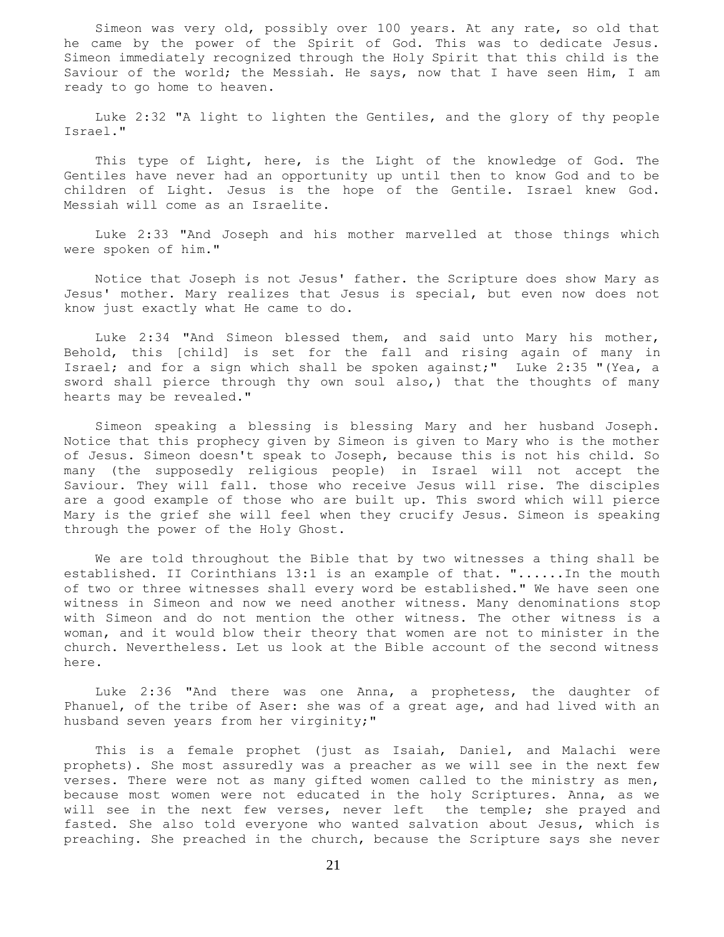Simeon was very old, possibly over 100 years. At any rate, so old that he came by the power of the Spirit of God. This was to dedicate Jesus. Simeon immediately recognized through the Holy Spirit that this child is the Saviour of the world; the Messiah. He says, now that I have seen Him, I am ready to go home to heaven.

 Luke 2:32 "A light to lighten the Gentiles, and the glory of thy people Israel."

 This type of Light, here, is the Light of the knowledge of God. The Gentiles have never had an opportunity up until then to know God and to be children of Light. Jesus is the hope of the Gentile. Israel knew God. Messiah will come as an Israelite.

 Luke 2:33 "And Joseph and his mother marvelled at those things which were spoken of him."

 Notice that Joseph is not Jesus' father. the Scripture does show Mary as Jesus' mother. Mary realizes that Jesus is special, but even now does not know just exactly what He came to do.

 Luke 2:34 "And Simeon blessed them, and said unto Mary his mother, Behold, this [child] is set for the fall and rising again of many in Israel; and for a sign which shall be spoken against;" Luke 2:35 "(Yea, a sword shall pierce through thy own soul also,) that the thoughts of many hearts may be revealed."

 Simeon speaking a blessing is blessing Mary and her husband Joseph. Notice that this prophecy given by Simeon is given to Mary who is the mother of Jesus. Simeon doesn't speak to Joseph, because this is not his child. So many (the supposedly religious people) in Israel will not accept the Saviour. They will fall. those who receive Jesus will rise. The disciples are a good example of those who are built up. This sword which will pierce Mary is the grief she will feel when they crucify Jesus. Simeon is speaking through the power of the Holy Ghost.

 We are told throughout the Bible that by two witnesses a thing shall be established. II Corinthians 13:1 is an example of that. "......In the mouth of two or three witnesses shall every word be established." We have seen one witness in Simeon and now we need another witness. Many denominations stop with Simeon and do not mention the other witness. The other witness is a woman, and it would blow their theory that women are not to minister in the church. Nevertheless. Let us look at the Bible account of the second witness here.

 Luke 2:36 "And there was one Anna, a prophetess, the daughter of Phanuel, of the tribe of Aser: she was of a great age, and had lived with an husband seven years from her virginity;"

 This is a female prophet (just as Isaiah, Daniel, and Malachi were prophets). She most assuredly was a preacher as we will see in the next few verses. There were not as many gifted women called to the ministry as men, because most women were not educated in the holy Scriptures. Anna, as we will see in the next few verses, never left the temple; she prayed and fasted. She also told everyone who wanted salvation about Jesus, which is preaching. She preached in the church, because the Scripture says she never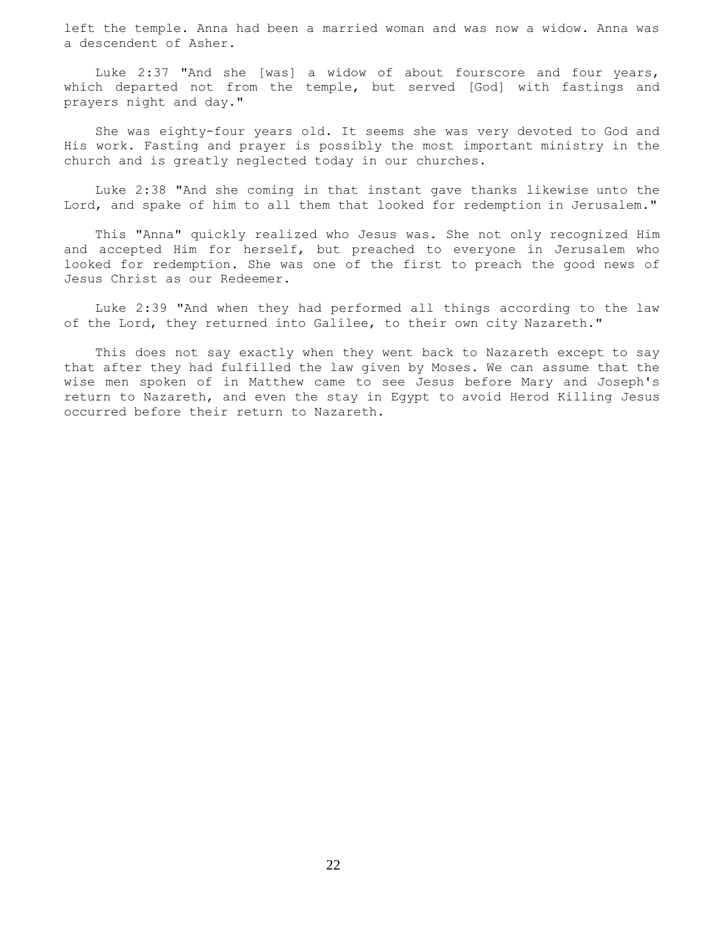left the temple. Anna had been a married woman and was now a widow. Anna was a descendent of Asher.

 Luke 2:37 "And she [was] a widow of about fourscore and four years, which departed not from the temple, but served [God] with fastings and prayers night and day."

 She was eighty-four years old. It seems she was very devoted to God and His work. Fasting and prayer is possibly the most important ministry in the church and is greatly neglected today in our churches.

 Luke 2:38 "And she coming in that instant gave thanks likewise unto the Lord, and spake of him to all them that looked for redemption in Jerusalem."

 This "Anna" quickly realized who Jesus was. She not only recognized Him and accepted Him for herself, but preached to everyone in Jerusalem who looked for redemption. She was one of the first to preach the good news of Jesus Christ as our Redeemer.

 Luke 2:39 "And when they had performed all things according to the law of the Lord, they returned into Galilee, to their own city Nazareth."

 This does not say exactly when they went back to Nazareth except to say that after they had fulfilled the law given by Moses. We can assume that the wise men spoken of in Matthew came to see Jesus before Mary and Joseph's return to Nazareth, and even the stay in Egypt to avoid Herod Killing Jesus occurred before their return to Nazareth.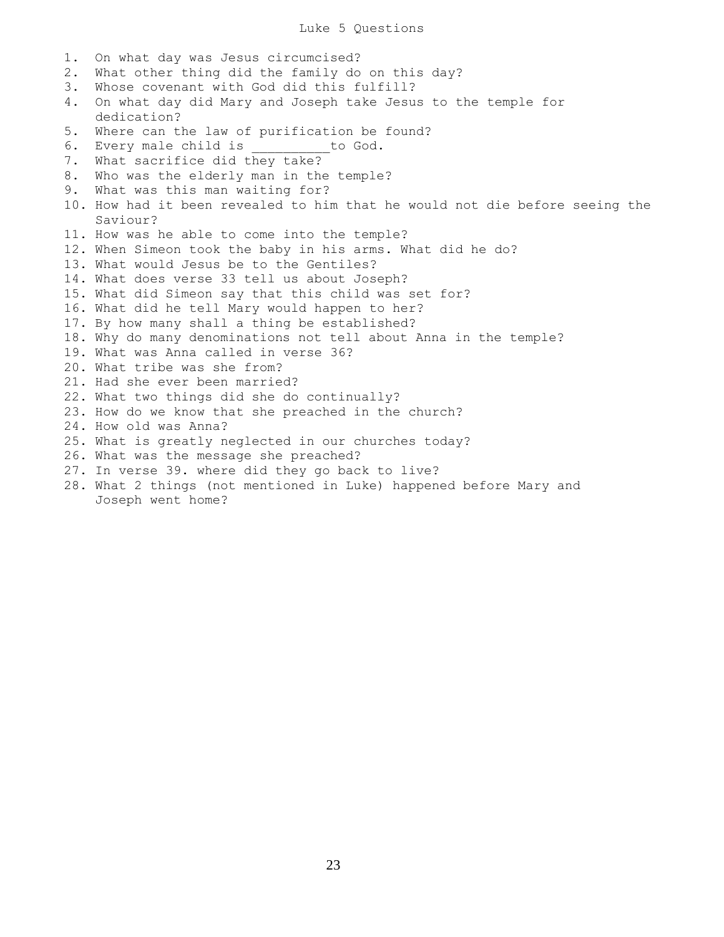- 1. On what day was Jesus circumcised?
- 2. What other thing did the family do on this day?
- 3. Whose covenant with God did this fulfill?
- 4. On what day did Mary and Joseph take Jesus to the temple for dedication?
- 5. Where can the law of purification be found?
- 6. Every male child is \_\_\_\_\_\_\_\_\_to God.
- 7. What sacrifice did they take?
- 8. Who was the elderly man in the temple?
- 9. What was this man waiting for?
- 10. How had it been revealed to him that he would not die before seeing the Saviour?
- 11. How was he able to come into the temple?
- 12. When Simeon took the baby in his arms. What did he do?
- 13. What would Jesus be to the Gentiles?
- 14. What does verse 33 tell us about Joseph?
- 15. What did Simeon say that this child was set for?
- 16. What did he tell Mary would happen to her?
- 17. By how many shall a thing be established?
- 18. Why do many denominations not tell about Anna in the temple?
- 19. What was Anna called in verse 36?
- 20. What tribe was she from?
- 21. Had she ever been married?
- 22. What two things did she do continually?
- 23. How do we know that she preached in the church?
- 24. How old was Anna?
- 25. What is greatly neglected in our churches today?
- 26. What was the message she preached?
- 27. In verse 39. where did they go back to live?
- 28. What 2 things (not mentioned in Luke) happened before Mary and Joseph went home?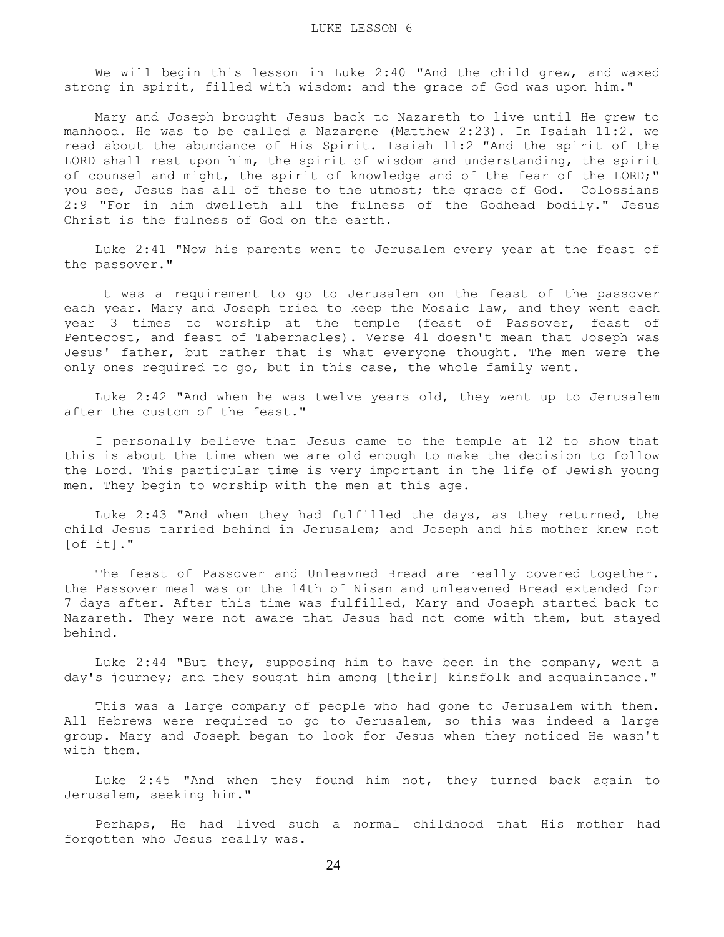We will begin this lesson in Luke 2:40 "And the child grew, and waxed strong in spirit, filled with wisdom: and the grace of God was upon him."

 Mary and Joseph brought Jesus back to Nazareth to live until He grew to manhood. He was to be called a Nazarene (Matthew 2:23). In Isaiah 11:2. we read about the abundance of His Spirit. Isaiah 11:2 "And the spirit of the LORD shall rest upon him, the spirit of wisdom and understanding, the spirit of counsel and might, the spirit of knowledge and of the fear of the LORD;" you see, Jesus has all of these to the utmost; the grace of God. Colossians 2:9 "For in him dwelleth all the fulness of the Godhead bodily." Jesus Christ is the fulness of God on the earth.

 Luke 2:41 "Now his parents went to Jerusalem every year at the feast of the passover."

 It was a requirement to go to Jerusalem on the feast of the passover each year. Mary and Joseph tried to keep the Mosaic law, and they went each year 3 times to worship at the temple (feast of Passover, feast of Pentecost, and feast of Tabernacles). Verse 41 doesn't mean that Joseph was Jesus' father, but rather that is what everyone thought. The men were the only ones required to go, but in this case, the whole family went.

 Luke 2:42 "And when he was twelve years old, they went up to Jerusalem after the custom of the feast."

 I personally believe that Jesus came to the temple at 12 to show that this is about the time when we are old enough to make the decision to follow the Lord. This particular time is very important in the life of Jewish young men. They begin to worship with the men at this age.

 Luke 2:43 "And when they had fulfilled the days, as they returned, the child Jesus tarried behind in Jerusalem; and Joseph and his mother knew not [of it]."

 The feast of Passover and Unleavned Bread are really covered together. the Passover meal was on the 14th of Nisan and unleavened Bread extended for 7 days after. After this time was fulfilled, Mary and Joseph started back to Nazareth. They were not aware that Jesus had not come with them, but stayed behind.

 Luke 2:44 "But they, supposing him to have been in the company, went a day's journey; and they sought him among [their] kinsfolk and acquaintance."

 This was a large company of people who had gone to Jerusalem with them. All Hebrews were required to go to Jerusalem, so this was indeed a large group. Mary and Joseph began to look for Jesus when they noticed He wasn't with them.

 Luke 2:45 "And when they found him not, they turned back again to Jerusalem, seeking him."

 Perhaps, He had lived such a normal childhood that His mother had forgotten who Jesus really was.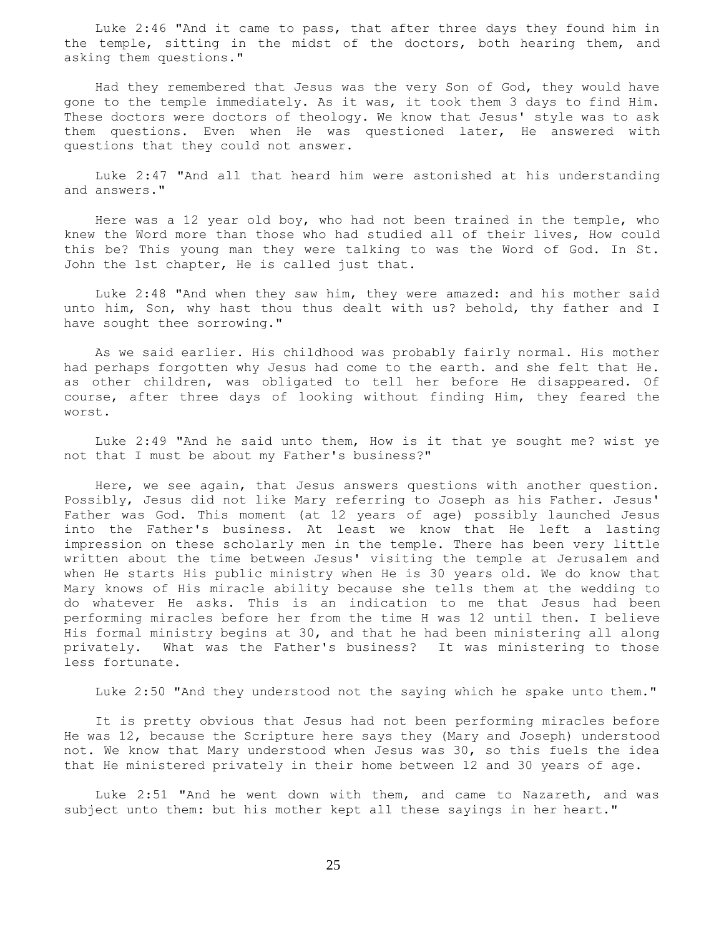Luke 2:46 "And it came to pass, that after three days they found him in the temple, sitting in the midst of the doctors, both hearing them, and asking them questions."

 Had they remembered that Jesus was the very Son of God, they would have gone to the temple immediately. As it was, it took them 3 days to find Him. These doctors were doctors of theology. We know that Jesus' style was to ask them questions. Even when He was questioned later, He answered with questions that they could not answer.

 Luke 2:47 "And all that heard him were astonished at his understanding and answers."

 Here was a 12 year old boy, who had not been trained in the temple, who knew the Word more than those who had studied all of their lives, How could this be? This young man they were talking to was the Word of God. In St. John the 1st chapter, He is called just that.

 Luke 2:48 "And when they saw him, they were amazed: and his mother said unto him, Son, why hast thou thus dealt with us? behold, thy father and I have sought thee sorrowing."

 As we said earlier. His childhood was probably fairly normal. His mother had perhaps forgotten why Jesus had come to the earth. and she felt that He. as other children, was obligated to tell her before He disappeared. Of course, after three days of looking without finding Him, they feared the worst.

 Luke 2:49 "And he said unto them, How is it that ye sought me? wist ye not that I must be about my Father's business?"

 Here, we see again, that Jesus answers questions with another question. Possibly, Jesus did not like Mary referring to Joseph as his Father. Jesus' Father was God. This moment (at 12 years of age) possibly launched Jesus into the Father's business. At least we know that He left a lasting impression on these scholarly men in the temple. There has been very little written about the time between Jesus' visiting the temple at Jerusalem and when He starts His public ministry when He is 30 years old. We do know that Mary knows of His miracle ability because she tells them at the wedding to do whatever He asks. This is an indication to me that Jesus had been performing miracles before her from the time H was 12 until then. I believe His formal ministry begins at 30, and that he had been ministering all along privately. What was the Father's business? It was ministering to those less fortunate.

Luke 2:50 "And they understood not the saying which he spake unto them."

 It is pretty obvious that Jesus had not been performing miracles before He was 12, because the Scripture here says they (Mary and Joseph) understood not. We know that Mary understood when Jesus was 30, so this fuels the idea that He ministered privately in their home between 12 and 30 years of age.

 Luke 2:51 "And he went down with them, and came to Nazareth, and was subject unto them: but his mother kept all these sayings in her heart."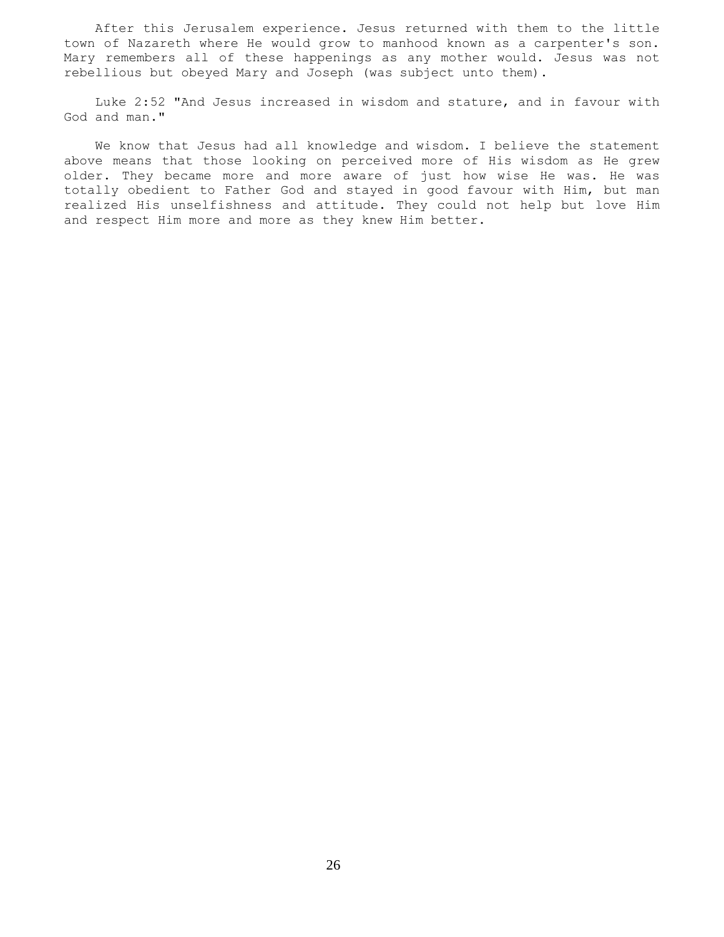After this Jerusalem experience. Jesus returned with them to the little town of Nazareth where He would grow to manhood known as a carpenter's son. Mary remembers all of these happenings as any mother would. Jesus was not rebellious but obeyed Mary and Joseph (was subject unto them).

 Luke 2:52 "And Jesus increased in wisdom and stature, and in favour with God and man."

 We know that Jesus had all knowledge and wisdom. I believe the statement above means that those looking on perceived more of His wisdom as He grew older. They became more and more aware of just how wise He was. He was totally obedient to Father God and stayed in good favour with Him, but man realized His unselfishness and attitude. They could not help but love Him and respect Him more and more as they knew Him better.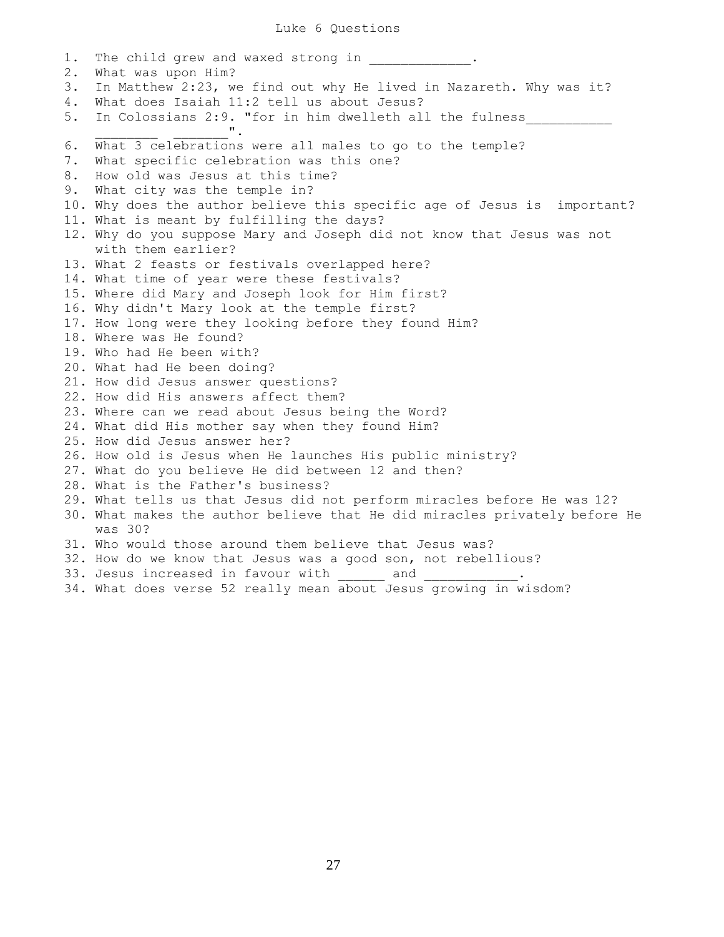1. The child grew and waxed strong in  $\qquad \qquad$ 2. What was upon Him? 3. In Matthew 2:23, we find out why He lived in Nazareth. Why was it? 4. What does Isaiah 11:2 tell us about Jesus? 5. In Colossians 2:9. "for in him dwelleth all the fulness  $\mathbf{u}$ , 6. What 3 celebrations were all males to go to the temple? 7. What specific celebration was this one? 8. How old was Jesus at this time? 9. What city was the temple in? 10. Why does the author believe this specific age of Jesus is important? 11. What is meant by fulfilling the days? 12. Why do you suppose Mary and Joseph did not know that Jesus was not with them earlier? 13. What 2 feasts or festivals overlapped here? 14. What time of year were these festivals? 15. Where did Mary and Joseph look for Him first? 16. Why didn't Mary look at the temple first? 17. How long were they looking before they found Him? 18. Where was He found? 19. Who had He been with? 20. What had He been doing? 21. How did Jesus answer questions? 22. How did His answers affect them? 23. Where can we read about Jesus being the Word? 24. What did His mother say when they found Him? 25. How did Jesus answer her? 26. How old is Jesus when He launches His public ministry? 27. What do you believe He did between 12 and then? 28. What is the Father's business? 29. What tells us that Jesus did not perform miracles before He was 12? 30. What makes the author believe that He did miracles privately before He was 30? 31. Who would those around them believe that Jesus was? 32. How do we know that Jesus was a good son, not rebellious? 33. Jesus increased in favour with \_\_\_\_\_\_\_\_\_ and \_ 34. What does verse 52 really mean about Jesus growing in wisdom?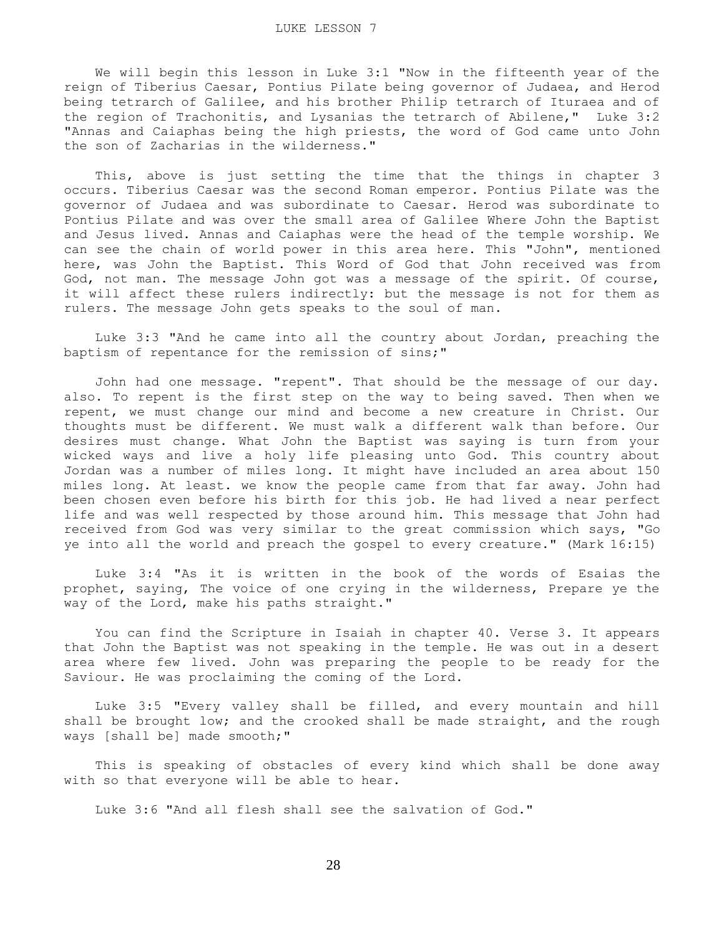We will begin this lesson in Luke 3:1 "Now in the fifteenth year of the reign of Tiberius Caesar, Pontius Pilate being governor of Judaea, and Herod being tetrarch of Galilee, and his brother Philip tetrarch of Ituraea and of the region of Trachonitis, and Lysanias the tetrarch of Abilene," Luke 3:2 "Annas and Caiaphas being the high priests, the word of God came unto John the son of Zacharias in the wilderness."

 This, above is just setting the time that the things in chapter 3 occurs. Tiberius Caesar was the second Roman emperor. Pontius Pilate was the governor of Judaea and was subordinate to Caesar. Herod was subordinate to Pontius Pilate and was over the small area of Galilee Where John the Baptist and Jesus lived. Annas and Caiaphas were the head of the temple worship. We can see the chain of world power in this area here. This "John", mentioned here, was John the Baptist. This Word of God that John received was from God, not man. The message John got was a message of the spirit. Of course, it will affect these rulers indirectly: but the message is not for them as rulers. The message John gets speaks to the soul of man.

 Luke 3:3 "And he came into all the country about Jordan, preaching the baptism of repentance for the remission of sins;"

 John had one message. "repent". That should be the message of our day. also. To repent is the first step on the way to being saved. Then when we repent, we must change our mind and become a new creature in Christ. Our thoughts must be different. We must walk a different walk than before. Our desires must change. What John the Baptist was saying is turn from your wicked ways and live a holy life pleasing unto God. This country about Jordan was a number of miles long. It might have included an area about 150 miles long. At least. we know the people came from that far away. John had been chosen even before his birth for this job. He had lived a near perfect life and was well respected by those around him. This message that John had received from God was very similar to the great commission which says, "Go ye into all the world and preach the gospel to every creature." (Mark 16:15)

 Luke 3:4 "As it is written in the book of the words of Esaias the prophet, saying, The voice of one crying in the wilderness, Prepare ye the way of the Lord, make his paths straight."

 You can find the Scripture in Isaiah in chapter 40. Verse 3. It appears that John the Baptist was not speaking in the temple. He was out in a desert area where few lived. John was preparing the people to be ready for the Saviour. He was proclaiming the coming of the Lord.

 Luke 3:5 "Every valley shall be filled, and every mountain and hill shall be brought low; and the crooked shall be made straight, and the rough ways [shall be] made smooth;"

 This is speaking of obstacles of every kind which shall be done away with so that everyone will be able to hear.

Luke 3:6 "And all flesh shall see the salvation of God."

28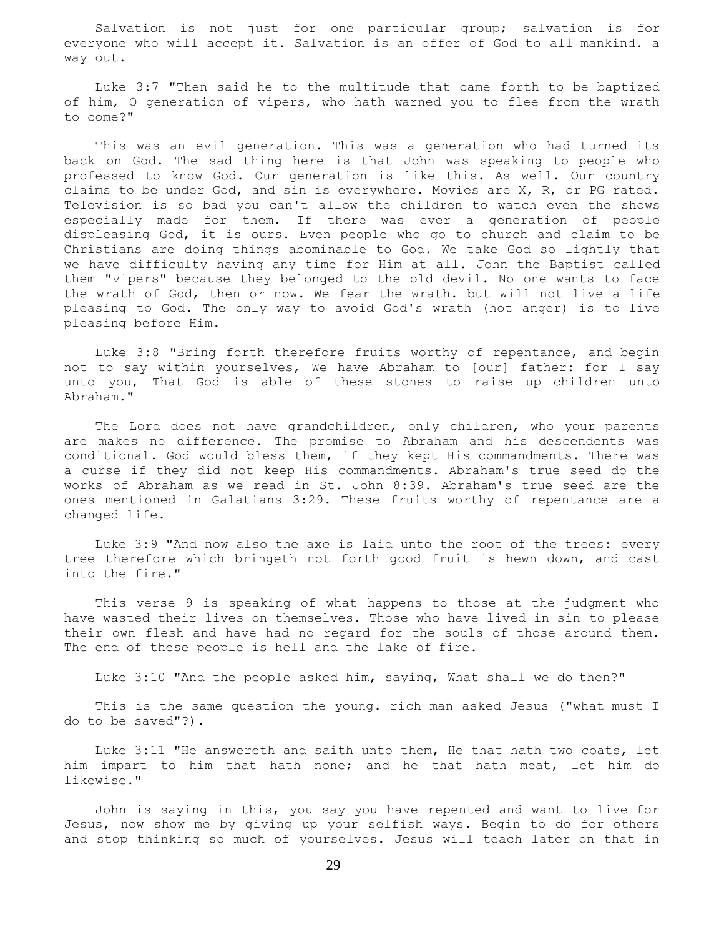Salvation is not just for one particular group; salvation is for everyone who will accept it. Salvation is an offer of God to all mankind. a way out.

 Luke 3:7 "Then said he to the multitude that came forth to be baptized of him, O generation of vipers, who hath warned you to flee from the wrath to come?"

 This was an evil generation. This was a generation who had turned its back on God. The sad thing here is that John was speaking to people who professed to know God. Our generation is like this. As well. Our country claims to be under God, and sin is everywhere. Movies are X, R, or PG rated. Television is so bad you can't allow the children to watch even the shows especially made for them. If there was ever a generation of people displeasing God, it is ours. Even people who go to church and claim to be Christians are doing things abominable to God. We take God so lightly that we have difficulty having any time for Him at all. John the Baptist called them "vipers" because they belonged to the old devil. No one wants to face the wrath of God, then or now. We fear the wrath. but will not live a life pleasing to God. The only way to avoid God's wrath (hot anger) is to live pleasing before Him.

 Luke 3:8 "Bring forth therefore fruits worthy of repentance, and begin not to say within yourselves, We have Abraham to [our] father: for I say unto you, That God is able of these stones to raise up children unto Abraham."

 The Lord does not have grandchildren, only children, who your parents are makes no difference. The promise to Abraham and his descendents was conditional. God would bless them, if they kept His commandments. There was a curse if they did not keep His commandments. Abraham's true seed do the works of Abraham as we read in St. John 8:39. Abraham's true seed are the ones mentioned in Galatians 3:29. These fruits worthy of repentance are a changed life.

 Luke 3:9 "And now also the axe is laid unto the root of the trees: every tree therefore which bringeth not forth good fruit is hewn down, and cast into the fire."

 This verse 9 is speaking of what happens to those at the judgment who have wasted their lives on themselves. Those who have lived in sin to please their own flesh and have had no regard for the souls of those around them. The end of these people is hell and the lake of fire.

Luke 3:10 "And the people asked him, saying, What shall we do then?"

 This is the same question the young. rich man asked Jesus ("what must I do to be saved"?).

 Luke 3:11 "He answereth and saith unto them, He that hath two coats, let him impart to him that hath none; and he that hath meat, let him do likewise."

 John is saying in this, you say you have repented and want to live for Jesus, now show me by giving up your selfish ways. Begin to do for others and stop thinking so much of yourselves. Jesus will teach later on that in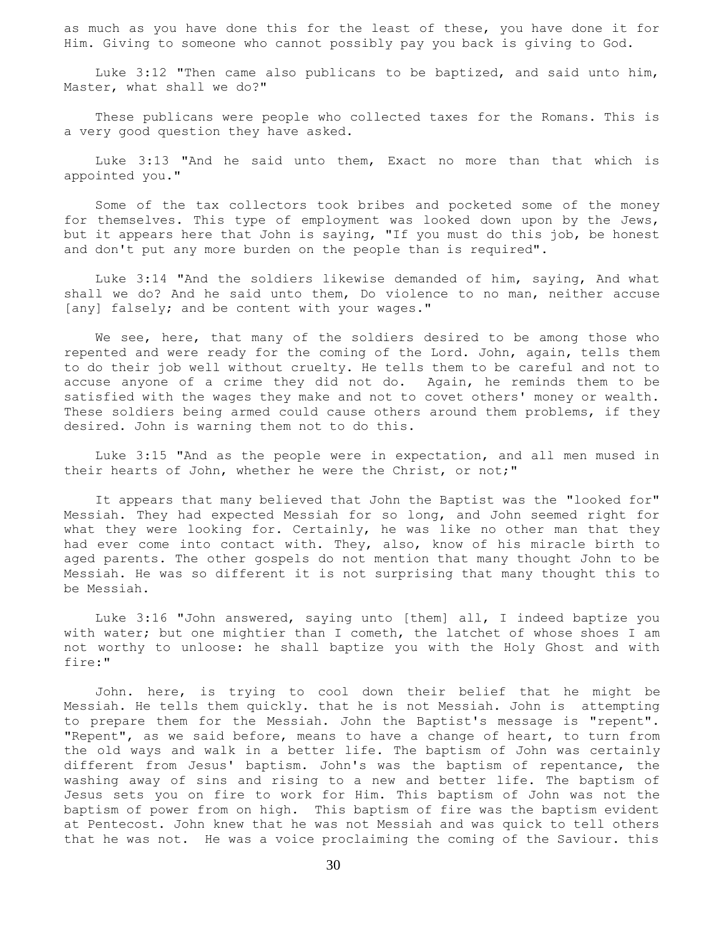as much as you have done this for the least of these, you have done it for Him. Giving to someone who cannot possibly pay you back is giving to God.

 Luke 3:12 "Then came also publicans to be baptized, and said unto him, Master, what shall we do?"

 These publicans were people who collected taxes for the Romans. This is a very good question they have asked.

 Luke 3:13 "And he said unto them, Exact no more than that which is appointed you."

 Some of the tax collectors took bribes and pocketed some of the money for themselves. This type of employment was looked down upon by the Jews, but it appears here that John is saying, "If you must do this job, be honest and don't put any more burden on the people than is required".

 Luke 3:14 "And the soldiers likewise demanded of him, saying, And what shall we do? And he said unto them, Do violence to no man, neither accuse [any] falsely; and be content with your wages."

We see, here, that many of the soldiers desired to be among those who repented and were ready for the coming of the Lord. John, again, tells them to do their job well without cruelty. He tells them to be careful and not to accuse anyone of a crime they did not do. Again, he reminds them to be satisfied with the wages they make and not to covet others' money or wealth. These soldiers being armed could cause others around them problems, if they desired. John is warning them not to do this.

 Luke 3:15 "And as the people were in expectation, and all men mused in their hearts of John, whether he were the Christ, or not;"

 It appears that many believed that John the Baptist was the "looked for" Messiah. They had expected Messiah for so long, and John seemed right for what they were looking for. Certainly, he was like no other man that they had ever come into contact with. They, also, know of his miracle birth to aged parents. The other gospels do not mention that many thought John to be Messiah. He was so different it is not surprising that many thought this to be Messiah.

 Luke 3:16 "John answered, saying unto [them] all, I indeed baptize you with water; but one mightier than I cometh, the latchet of whose shoes I am not worthy to unloose: he shall baptize you with the Holy Ghost and with fire:"

 John. here, is trying to cool down their belief that he might be Messiah. He tells them quickly. that he is not Messiah. John is attempting to prepare them for the Messiah. John the Baptist's message is "repent". "Repent", as we said before, means to have a change of heart, to turn from the old ways and walk in a better life. The baptism of John was certainly different from Jesus' baptism. John's was the baptism of repentance, the washing away of sins and rising to a new and better life. The baptism of Jesus sets you on fire to work for Him. This baptism of John was not the baptism of power from on high. This baptism of fire was the baptism evident at Pentecost. John knew that he was not Messiah and was quick to tell others that he was not. He was a voice proclaiming the coming of the Saviour. this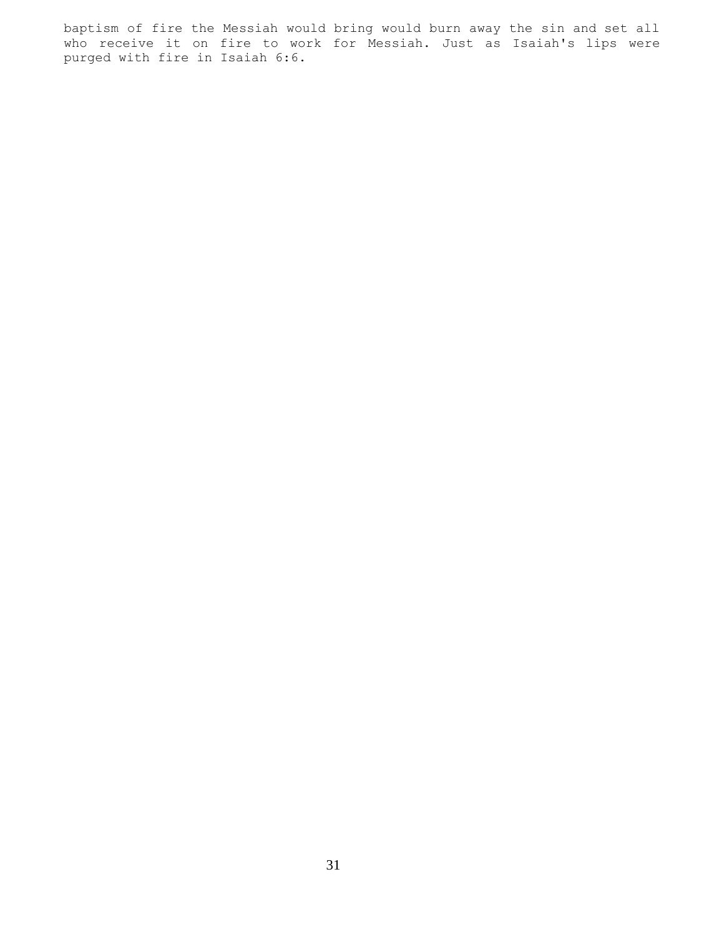baptism of fire the Messiah would bring would burn away the sin and set all who receive it on fire to work for Messiah. Just as Isaiah's lips were purged with fire in Isaiah 6:6.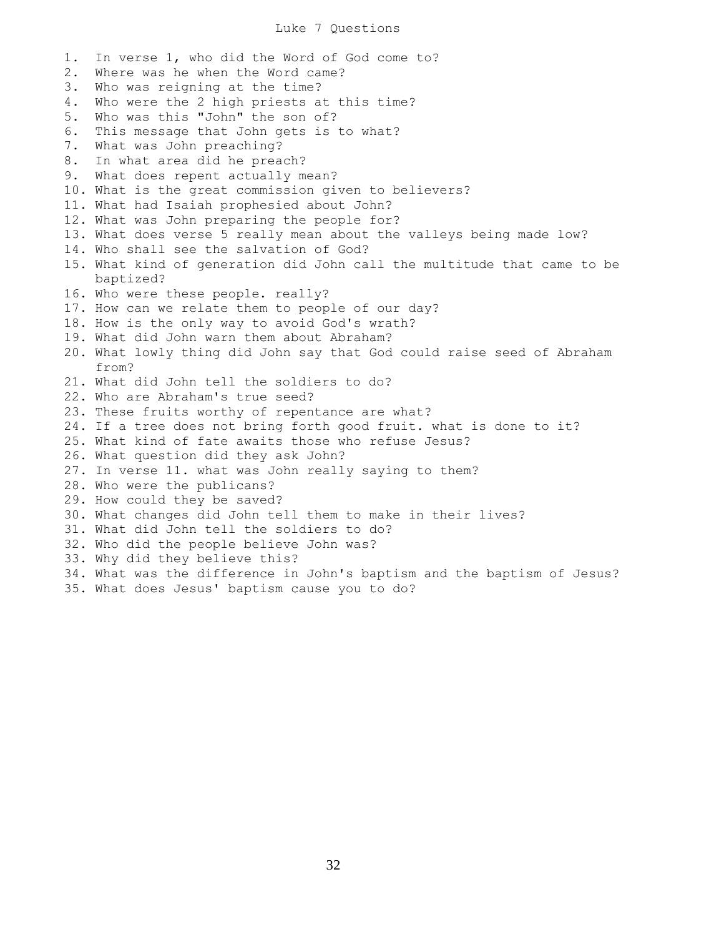## Luke 7 Questions

1. In verse 1, who did the Word of God come to? 2. Where was he when the Word came? 3. Who was reigning at the time? 4. Who were the 2 high priests at this time? 5. Who was this "John" the son of? 6. This message that John gets is to what? 7. What was John preaching? 8. In what area did he preach? 9. What does repent actually mean? 10. What is the great commission given to believers? 11. What had Isaiah prophesied about John? 12. What was John preparing the people for? 13. What does verse 5 really mean about the valleys being made low? 14. Who shall see the salvation of God? 15. What kind of generation did John call the multitude that came to be baptized? 16. Who were these people. really? 17. How can we relate them to people of our day? 18. How is the only way to avoid God's wrath? 19. What did John warn them about Abraham? 20. What lowly thing did John say that God could raise seed of Abraham from? 21. What did John tell the soldiers to do? 22. Who are Abraham's true seed? 23. These fruits worthy of repentance are what? 24. If a tree does not bring forth good fruit. what is done to it? 25. What kind of fate awaits those who refuse Jesus? 26. What question did they ask John? 27. In verse 11. what was John really saying to them? 28. Who were the publicans? 29. How could they be saved? 30. What changes did John tell them to make in their lives? 31. What did John tell the soldiers to do? 32. Who did the people believe John was? 33. Why did they believe this? 34. What was the difference in John's baptism and the baptism of Jesus? 35. What does Jesus' baptism cause you to do?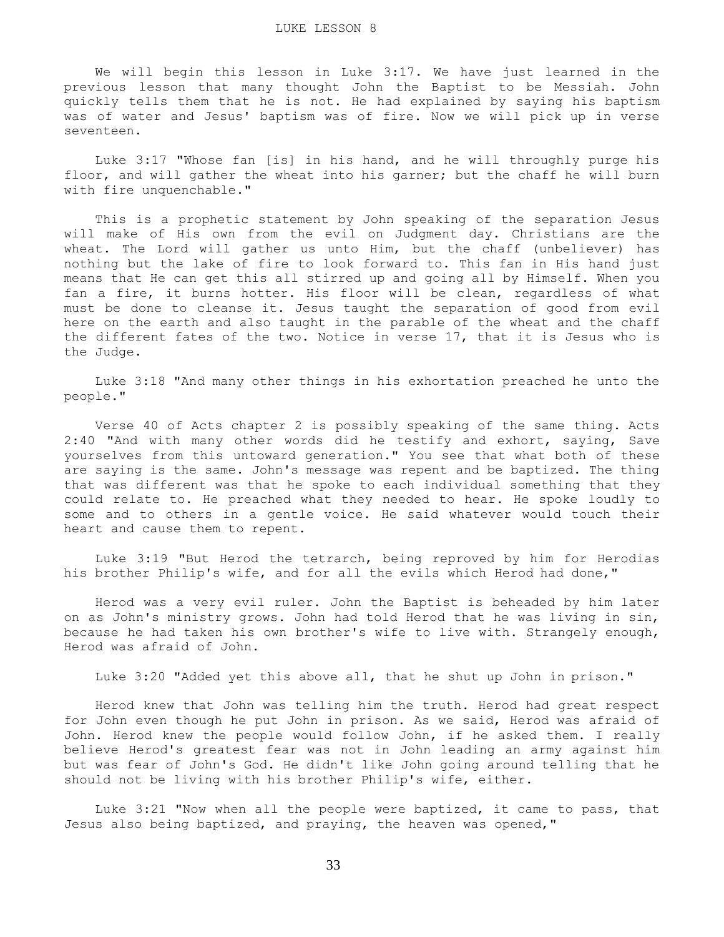We will begin this lesson in Luke 3:17. We have just learned in the previous lesson that many thought John the Baptist to be Messiah. John quickly tells them that he is not. He had explained by saying his baptism was of water and Jesus' baptism was of fire. Now we will pick up in verse seventeen.

 Luke 3:17 "Whose fan [is] in his hand, and he will throughly purge his floor, and will gather the wheat into his garner; but the chaff he will burn with fire unquenchable."

 This is a prophetic statement by John speaking of the separation Jesus will make of His own from the evil on Judgment day. Christians are the wheat. The Lord will gather us unto Him, but the chaff (unbeliever) has nothing but the lake of fire to look forward to. This fan in His hand just means that He can get this all stirred up and going all by Himself. When you fan a fire, it burns hotter. His floor will be clean, regardless of what must be done to cleanse it. Jesus taught the separation of good from evil here on the earth and also taught in the parable of the wheat and the chaff the different fates of the two. Notice in verse 17, that it is Jesus who is the Judge.

 Luke 3:18 "And many other things in his exhortation preached he unto the people."

 Verse 40 of Acts chapter 2 is possibly speaking of the same thing. Acts 2:40 "And with many other words did he testify and exhort, saying, Save yourselves from this untoward generation." You see that what both of these are saying is the same. John's message was repent and be baptized. The thing that was different was that he spoke to each individual something that they could relate to. He preached what they needed to hear. He spoke loudly to some and to others in a gentle voice. He said whatever would touch their heart and cause them to repent.

 Luke 3:19 "But Herod the tetrarch, being reproved by him for Herodias his brother Philip's wife, and for all the evils which Herod had done,"

 Herod was a very evil ruler. John the Baptist is beheaded by him later on as John's ministry grows. John had told Herod that he was living in sin, because he had taken his own brother's wife to live with. Strangely enough, Herod was afraid of John.

Luke 3:20 "Added yet this above all, that he shut up John in prison."

 Herod knew that John was telling him the truth. Herod had great respect for John even though he put John in prison. As we said, Herod was afraid of John. Herod knew the people would follow John, if he asked them. I really believe Herod's greatest fear was not in John leading an army against him but was fear of John's God. He didn't like John going around telling that he should not be living with his brother Philip's wife, either.

 Luke 3:21 "Now when all the people were baptized, it came to pass, that Jesus also being baptized, and praying, the heaven was opened,"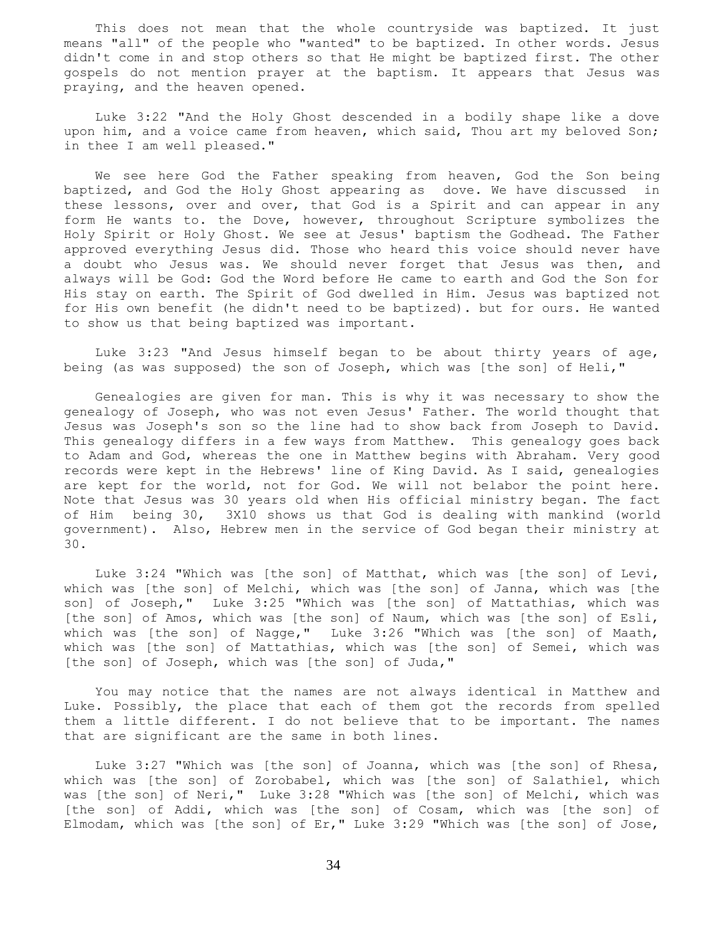This does not mean that the whole countryside was baptized. It just means "all" of the people who "wanted" to be baptized. In other words. Jesus didn't come in and stop others so that He might be baptized first. The other gospels do not mention prayer at the baptism. It appears that Jesus was praying, and the heaven opened.

 Luke 3:22 "And the Holy Ghost descended in a bodily shape like a dove upon him, and a voice came from heaven, which said, Thou art my beloved Son; in thee I am well pleased."

 We see here God the Father speaking from heaven, God the Son being baptized, and God the Holy Ghost appearing as dove. We have discussed in these lessons, over and over, that God is a Spirit and can appear in any form He wants to. the Dove, however, throughout Scripture symbolizes the Holy Spirit or Holy Ghost. We see at Jesus' baptism the Godhead. The Father approved everything Jesus did. Those who heard this voice should never have a doubt who Jesus was. We should never forget that Jesus was then, and always will be God: God the Word before He came to earth and God the Son for His stay on earth. The Spirit of God dwelled in Him. Jesus was baptized not for His own benefit (he didn't need to be baptized). but for ours. He wanted to show us that being baptized was important.

 Luke 3:23 "And Jesus himself began to be about thirty years of age, being (as was supposed) the son of Joseph, which was [the son] of Heli,"

 Genealogies are given for man. This is why it was necessary to show the genealogy of Joseph, who was not even Jesus' Father. The world thought that Jesus was Joseph's son so the line had to show back from Joseph to David. This genealogy differs in a few ways from Matthew. This genealogy goes back to Adam and God, whereas the one in Matthew begins with Abraham. Very good records were kept in the Hebrews' line of King David. As I said, genealogies are kept for the world, not for God. We will not belabor the point here. Note that Jesus was 30 years old when His official ministry began. The fact of Him being 30, 3X10 shows us that God is dealing with mankind (world government). Also, Hebrew men in the service of God began their ministry at 30.

 Luke 3:24 "Which was [the son] of Matthat, which was [the son] of Levi, which was [the son] of Melchi, which was [the son] of Janna, which was [the son] of Joseph," Luke 3:25 "Which was [the son] of Mattathias, which was [the son] of Amos, which was [the son] of Naum, which was [the son] of Esli, which was [the son] of Nagge," Luke 3:26 "Which was [the son] of Maath, which was [the son] of Mattathias, which was [the son] of Semei, which was [the son] of Joseph, which was [the son] of Juda,"

 You may notice that the names are not always identical in Matthew and Luke. Possibly, the place that each of them got the records from spelled them a little different. I do not believe that to be important. The names that are significant are the same in both lines.

 Luke 3:27 "Which was [the son] of Joanna, which was [the son] of Rhesa, which was [the son] of Zorobabel, which was [the son] of Salathiel, which was [the son] of Neri," Luke 3:28 "Which was [the son] of Melchi, which was [the son] of Addi, which was [the son] of Cosam, which was [the son] of Elmodam, which was [the son] of Er," Luke 3:29 "Which was [the son] of Jose,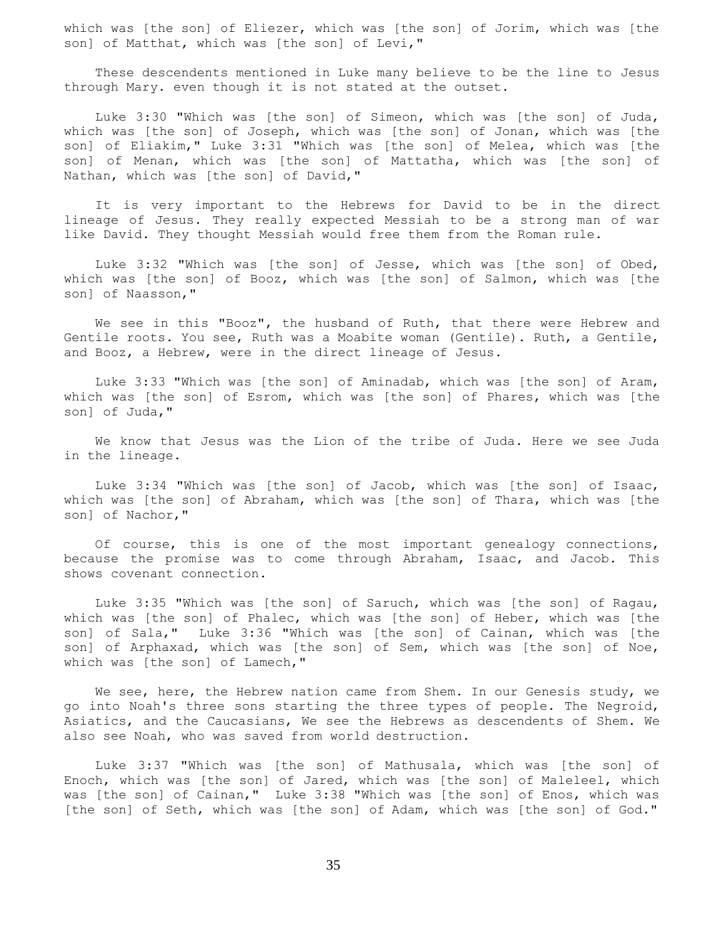which was [the son] of Eliezer, which was [the son] of Jorim, which was [the son] of Matthat, which was [the son] of Levi,"

 These descendents mentioned in Luke many believe to be the line to Jesus through Mary. even though it is not stated at the outset.

 Luke 3:30 "Which was [the son] of Simeon, which was [the son] of Juda, which was [the son] of Joseph, which was [the son] of Jonan, which was [the son] of Eliakim," Luke 3:31 "Which was [the son] of Melea, which was [the son] of Menan, which was [the son] of Mattatha, which was [the son] of Nathan, which was [the son] of David,"

 It is very important to the Hebrews for David to be in the direct lineage of Jesus. They really expected Messiah to be a strong man of war like David. They thought Messiah would free them from the Roman rule.

 Luke 3:32 "Which was [the son] of Jesse, which was [the son] of Obed, which was [the son] of Booz, which was [the son] of Salmon, which was [the son] of Naasson,"

 We see in this "Booz", the husband of Ruth, that there were Hebrew and Gentile roots. You see, Ruth was a Moabite woman (Gentile). Ruth, a Gentile, and Booz, a Hebrew, were in the direct lineage of Jesus.

 Luke 3:33 "Which was [the son] of Aminadab, which was [the son] of Aram, which was [the son] of Esrom, which was [the son] of Phares, which was [the son] of Juda,"

 We know that Jesus was the Lion of the tribe of Juda. Here we see Juda in the lineage.

 Luke 3:34 "Which was [the son] of Jacob, which was [the son] of Isaac, which was [the son] of Abraham, which was [the son] of Thara, which was [the son] of Nachor,"

 Of course, this is one of the most important genealogy connections, because the promise was to come through Abraham, Isaac, and Jacob. This shows covenant connection.

 Luke 3:35 "Which was [the son] of Saruch, which was [the son] of Ragau, which was [the son] of Phalec, which was [the son] of Heber, which was [the son] of Sala," Luke 3:36 "Which was [the son] of Cainan, which was [the son] of Arphaxad, which was [the son] of Sem, which was [the son] of Noe, which was [the son] of Lamech,"

 We see, here, the Hebrew nation came from Shem. In our Genesis study, we go into Noah's three sons starting the three types of people. The Negroid, Asiatics, and the Caucasians, We see the Hebrews as descendents of Shem. We also see Noah, who was saved from world destruction.

 Luke 3:37 "Which was [the son] of Mathusala, which was [the son] of Enoch, which was [the son] of Jared, which was [the son] of Maleleel, which was [the son] of Cainan," Luke 3:38 "Which was [the son] of Enos, which was [the son] of Seth, which was [the son] of Adam, which was [the son] of God."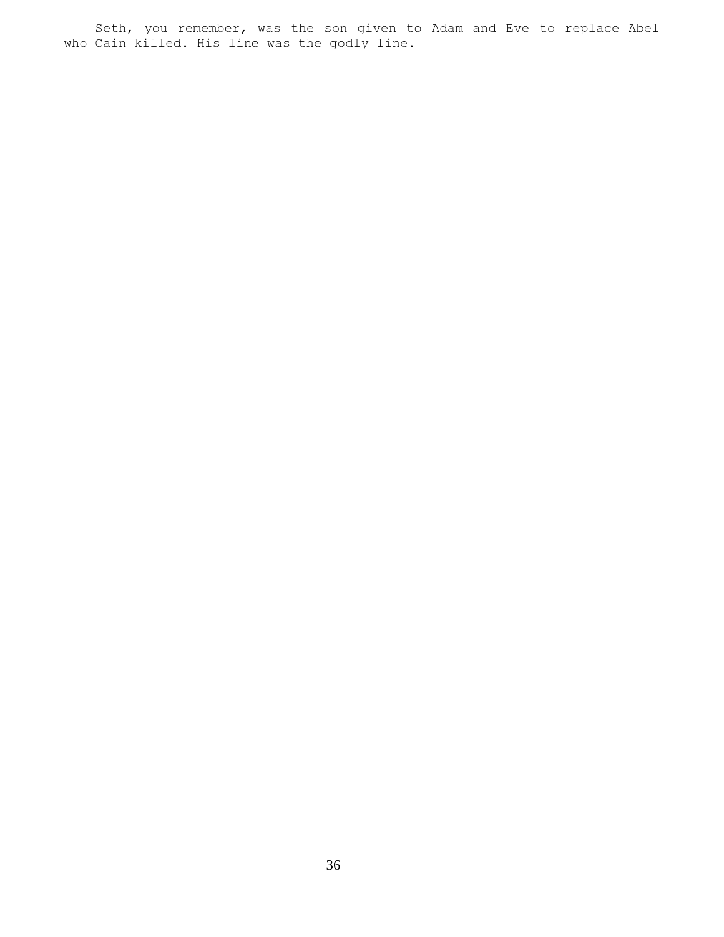Seth, you remember, was the son given to Adam and Eve to replace Abel who Cain killed. His line was the godly line.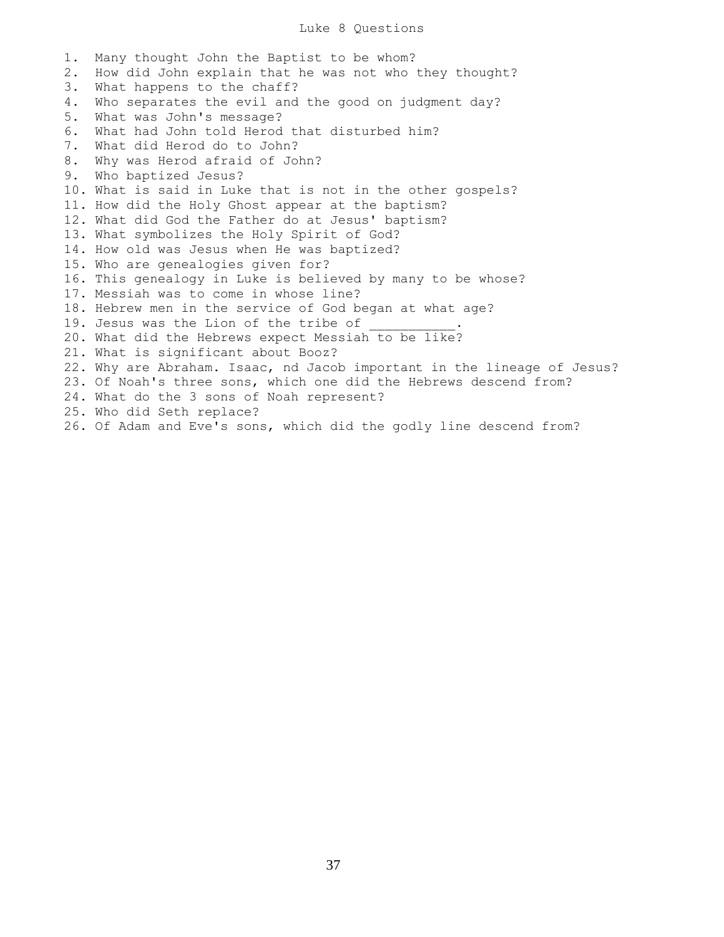## Luke 8 Questions

1. Many thought John the Baptist to be whom? 2. How did John explain that he was not who they thought? 3. What happens to the chaff? 4. Who separates the evil and the good on judgment day? 5. What was John's message? 6. What had John told Herod that disturbed him? 7. What did Herod do to John? 8. Why was Herod afraid of John? 9. Who baptized Jesus? 10. What is said in Luke that is not in the other gospels? 11. How did the Holy Ghost appear at the baptism? 12. What did God the Father do at Jesus' baptism? 13. What symbolizes the Holy Spirit of God? 14. How old was Jesus when He was baptized? 15. Who are genealogies given for? 16. This genealogy in Luke is believed by many to be whose? 17. Messiah was to come in whose line? 18. Hebrew men in the service of God began at what age? 19. Jesus was the Lion of the tribe of 20. What did the Hebrews expect Messiah to be like? 21. What is significant about Booz? 22. Why are Abraham. Isaac, nd Jacob important in the lineage of Jesus? 23. Of Noah's three sons, which one did the Hebrews descend from? 24. What do the 3 sons of Noah represent? 25. Who did Seth replace? 26. Of Adam and Eve's sons, which did the godly line descend from?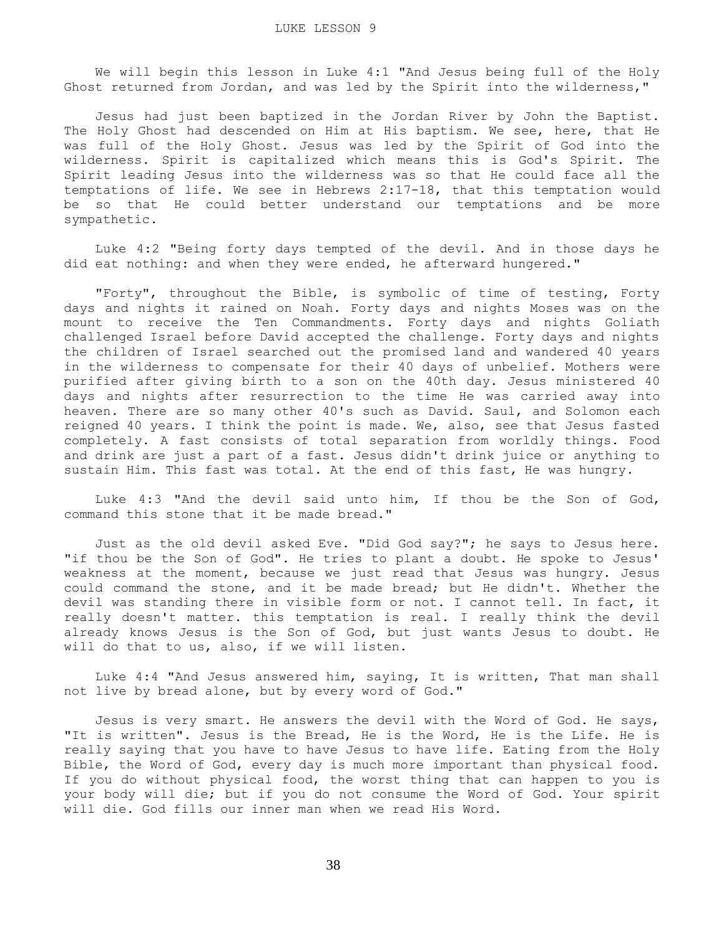We will begin this lesson in Luke 4:1 "And Jesus being full of the Holy Ghost returned from Jordan, and was led by the Spirit into the wilderness,"

 Jesus had just been baptized in the Jordan River by John the Baptist. The Holy Ghost had descended on Him at His baptism. We see, here, that He was full of the Holy Ghost. Jesus was led by the Spirit of God into the wilderness. Spirit is capitalized which means this is God's Spirit. The Spirit leading Jesus into the wilderness was so that He could face all the temptations of life. We see in Hebrews 2:17-18, that this temptation would be so that He could better understand our temptations and be more sympathetic.

 Luke 4:2 "Being forty days tempted of the devil. And in those days he did eat nothing: and when they were ended, he afterward hungered."

 "Forty", throughout the Bible, is symbolic of time of testing, Forty days and nights it rained on Noah. Forty days and nights Moses was on the mount to receive the Ten Commandments. Forty days and nights Goliath challenged Israel before David accepted the challenge. Forty days and nights the children of Israel searched out the promised land and wandered 40 years in the wilderness to compensate for their 40 days of unbelief. Mothers were purified after giving birth to a son on the 40th day. Jesus ministered 40 days and nights after resurrection to the time He was carried away into heaven. There are so many other 40's such as David. Saul, and Solomon each reigned 40 years. I think the point is made. We, also, see that Jesus fasted completely. A fast consists of total separation from worldly things. Food and drink are just a part of a fast. Jesus didn't drink juice or anything to sustain Him. This fast was total. At the end of this fast, He was hungry.

 Luke 4:3 "And the devil said unto him, If thou be the Son of God, command this stone that it be made bread."

 Just as the old devil asked Eve. "Did God say?"; he says to Jesus here. "if thou be the Son of God". He tries to plant a doubt. He spoke to Jesus' weakness at the moment, because we just read that Jesus was hungry. Jesus could command the stone, and it be made bread; but He didn't. Whether the devil was standing there in visible form or not. I cannot tell. In fact, it really doesn't matter. this temptation is real. I really think the devil already knows Jesus is the Son of God, but just wants Jesus to doubt. He will do that to us, also, if we will listen.

 Luke 4:4 "And Jesus answered him, saying, It is written, That man shall not live by bread alone, but by every word of God."

 Jesus is very smart. He answers the devil with the Word of God. He says, "It is written". Jesus is the Bread, He is the Word, He is the Life. He is really saying that you have to have Jesus to have life. Eating from the Holy Bible, the Word of God, every day is much more important than physical food. If you do without physical food, the worst thing that can happen to you is your body will die; but if you do not consume the Word of God. Your spirit will die. God fills our inner man when we read His Word.

38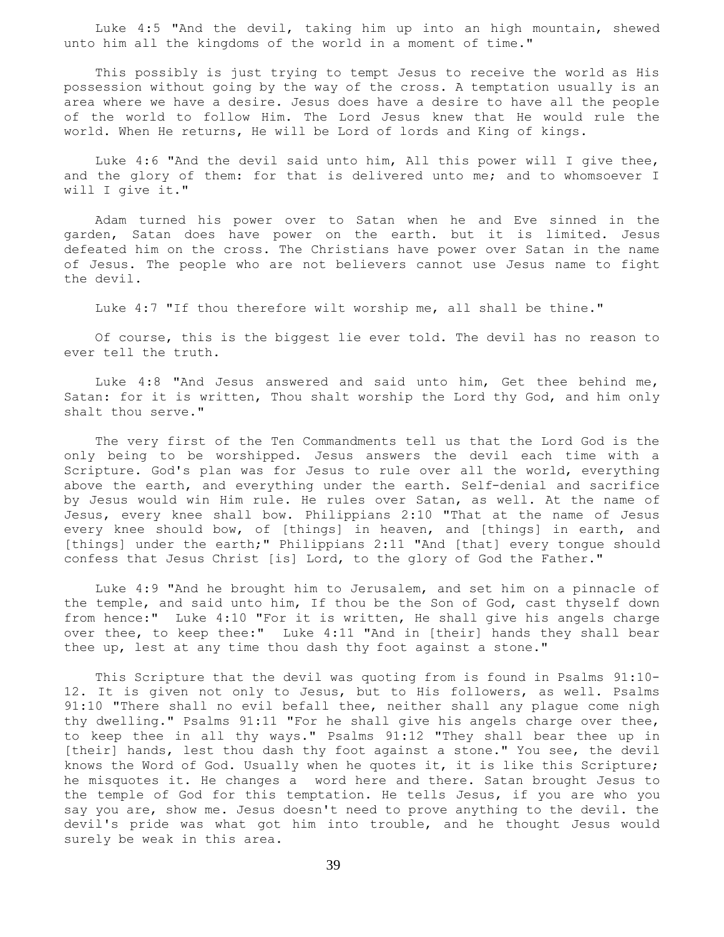Luke 4:5 "And the devil, taking him up into an high mountain, shewed unto him all the kingdoms of the world in a moment of time."

 This possibly is just trying to tempt Jesus to receive the world as His possession without going by the way of the cross. A temptation usually is an area where we have a desire. Jesus does have a desire to have all the people of the world to follow Him. The Lord Jesus knew that He would rule the world. When He returns, He will be Lord of lords and King of kings.

 Luke 4:6 "And the devil said unto him, All this power will I give thee, and the glory of them: for that is delivered unto me; and to whomsoever I will I give it."

 Adam turned his power over to Satan when he and Eve sinned in the garden, Satan does have power on the earth. but it is limited. Jesus defeated him on the cross. The Christians have power over Satan in the name of Jesus. The people who are not believers cannot use Jesus name to fight the devil.

Luke 4:7 "If thou therefore wilt worship me, all shall be thine."

 Of course, this is the biggest lie ever told. The devil has no reason to ever tell the truth.

 Luke 4:8 "And Jesus answered and said unto him, Get thee behind me, Satan: for it is written, Thou shalt worship the Lord thy God, and him only shalt thou serve."

 The very first of the Ten Commandments tell us that the Lord God is the only being to be worshipped. Jesus answers the devil each time with a Scripture. God's plan was for Jesus to rule over all the world, everything above the earth, and everything under the earth. Self-denial and sacrifice by Jesus would win Him rule. He rules over Satan, as well. At the name of Jesus, every knee shall bow. Philippians 2:10 "That at the name of Jesus every knee should bow, of [things] in heaven, and [things] in earth, and [things] under the earth;" Philippians 2:11 "And [that] every tongue should confess that Jesus Christ [is] Lord, to the glory of God the Father."

 Luke 4:9 "And he brought him to Jerusalem, and set him on a pinnacle of the temple, and said unto him, If thou be the Son of God, cast thyself down from hence:" Luke 4:10 "For it is written, He shall give his angels charge over thee, to keep thee:" Luke 4:11 "And in [their] hands they shall bear thee up, lest at any time thou dash thy foot against a stone."

 This Scripture that the devil was quoting from is found in Psalms 91:10- 12. It is given not only to Jesus, but to His followers, as well. Psalms 91:10 "There shall no evil befall thee, neither shall any plague come nigh thy dwelling." Psalms 91:11 "For he shall give his angels charge over thee, to keep thee in all thy ways." Psalms 91:12 "They shall bear thee up in [their] hands, lest thou dash thy foot against a stone." You see, the devil knows the Word of God. Usually when he quotes it, it is like this Scripture; he misquotes it. He changes a word here and there. Satan brought Jesus to the temple of God for this temptation. He tells Jesus, if you are who you say you are, show me. Jesus doesn't need to prove anything to the devil. the devil's pride was what got him into trouble, and he thought Jesus would surely be weak in this area.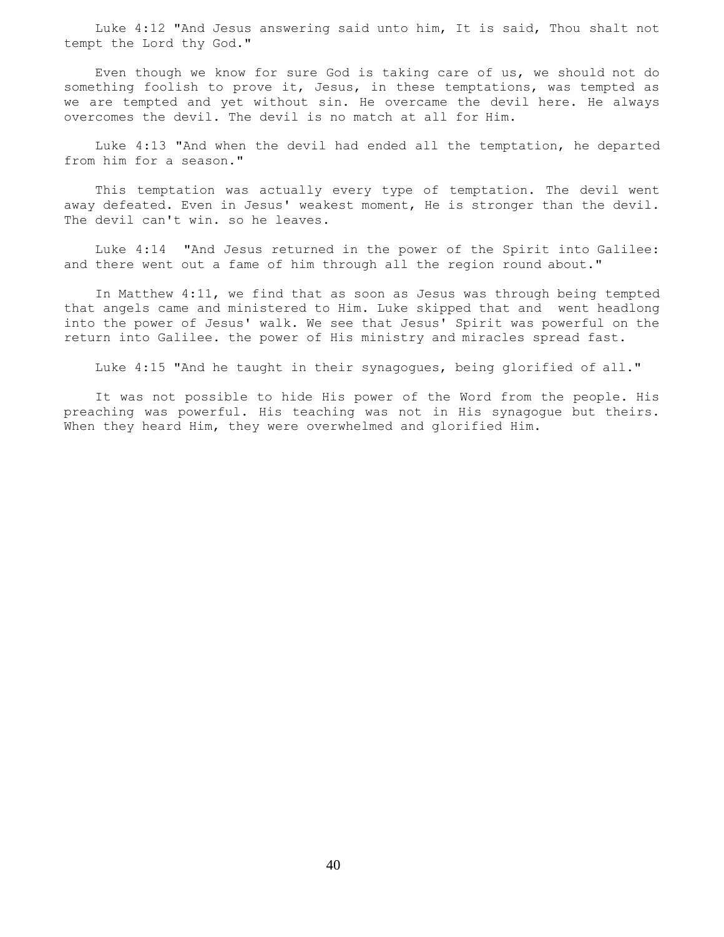Luke 4:12 "And Jesus answering said unto him, It is said, Thou shalt not tempt the Lord thy God."

 Even though we know for sure God is taking care of us, we should not do something foolish to prove it, Jesus, in these temptations, was tempted as we are tempted and yet without sin. He overcame the devil here. He always overcomes the devil. The devil is no match at all for Him.

 Luke 4:13 "And when the devil had ended all the temptation, he departed from him for a season."

 This temptation was actually every type of temptation. The devil went away defeated. Even in Jesus' weakest moment, He is stronger than the devil. The devil can't win. so he leaves.

 Luke 4:14 "And Jesus returned in the power of the Spirit into Galilee: and there went out a fame of him through all the region round about."

 In Matthew 4:11, we find that as soon as Jesus was through being tempted that angels came and ministered to Him. Luke skipped that and went headlong into the power of Jesus' walk. We see that Jesus' Spirit was powerful on the return into Galilee. the power of His ministry and miracles spread fast.

Luke 4:15 "And he taught in their synagogues, being glorified of all."

 It was not possible to hide His power of the Word from the people. His preaching was powerful. His teaching was not in His synagogue but theirs. When they heard Him, they were overwhelmed and glorified Him.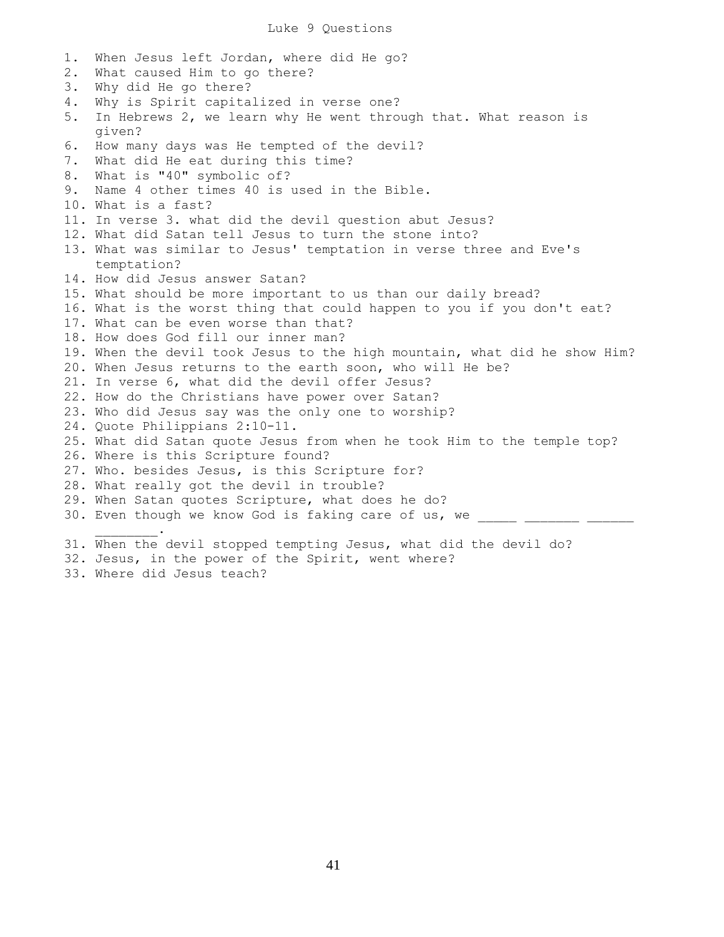1. When Jesus left Jordan, where did He go? 2. What caused Him to go there? 3. Why did He go there? 4. Why is Spirit capitalized in verse one? 5. In Hebrews 2, we learn why He went through that. What reason is given? 6. How many days was He tempted of the devil? 7. What did He eat during this time? 8. What is "40" symbolic of? 9. Name 4 other times 40 is used in the Bible. 10. What is a fast? 11. In verse 3. what did the devil question abut Jesus? 12. What did Satan tell Jesus to turn the stone into? 13. What was similar to Jesus' temptation in verse three and Eve's temptation? 14. How did Jesus answer Satan? 15. What should be more important to us than our daily bread? 16. What is the worst thing that could happen to you if you don't eat? 17. What can be even worse than that? 18. How does God fill our inner man? 19. When the devil took Jesus to the high mountain, what did he show Him? 20. When Jesus returns to the earth soon, who will He be? 21. In verse 6, what did the devil offer Jesus? 22. How do the Christians have power over Satan? 23. Who did Jesus say was the only one to worship? 24. Quote Philippians 2:10-11. 25. What did Satan quote Jesus from when he took Him to the temple top? 26. Where is this Scripture found? 27. Who. besides Jesus, is this Scripture for? 28. What really got the devil in trouble? 29. When Satan quotes Scripture, what does he do? 30. Even though we know God is faking care of us, we  $\mathcal{L}=\mathcal{L}^{\mathcal{L}}$ 31. When the devil stopped tempting Jesus, what did the devil do? 32. Jesus, in the power of the Spirit, went where?

33. Where did Jesus teach?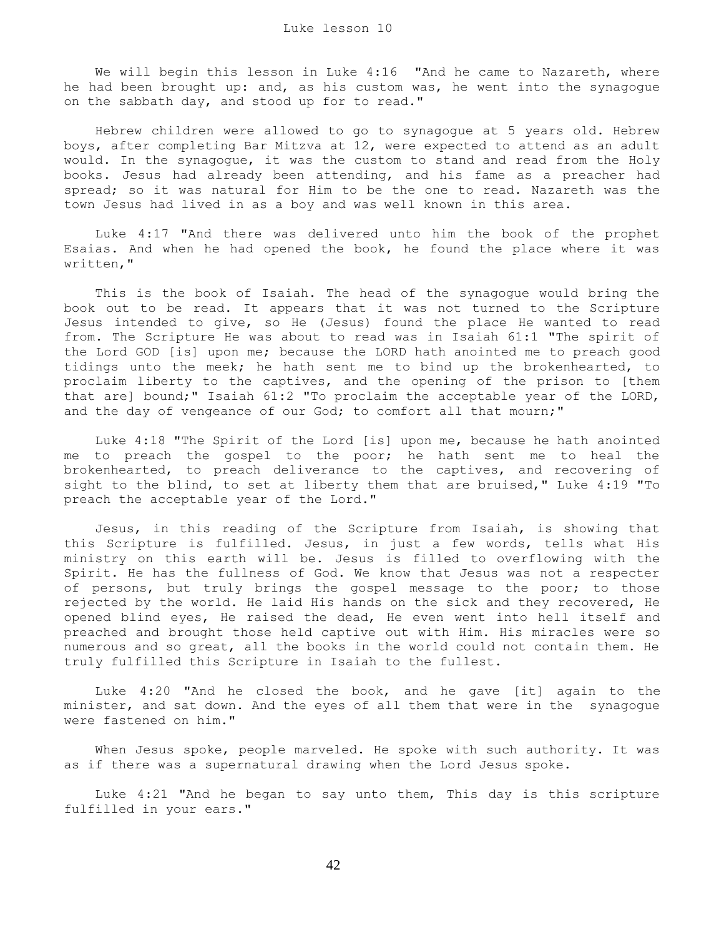We will begin this lesson in Luke 4:16 "And he came to Nazareth, where he had been brought up: and, as his custom was, he went into the synagoque on the sabbath day, and stood up for to read."

 Hebrew children were allowed to go to synagogue at 5 years old. Hebrew boys, after completing Bar Mitzva at 12, were expected to attend as an adult would. In the synagogue, it was the custom to stand and read from the Holy books. Jesus had already been attending, and his fame as a preacher had spread; so it was natural for Him to be the one to read. Nazareth was the town Jesus had lived in as a boy and was well known in this area.

 Luke 4:17 "And there was delivered unto him the book of the prophet Esaias. And when he had opened the book, he found the place where it was written,"

 This is the book of Isaiah. The head of the synagogue would bring the book out to be read. It appears that it was not turned to the Scripture Jesus intended to give, so He (Jesus) found the place He wanted to read from. The Scripture He was about to read was in Isaiah 61:1 "The spirit of the Lord GOD [is] upon me; because the LORD hath anointed me to preach good tidings unto the meek; he hath sent me to bind up the brokenhearted, to proclaim liberty to the captives, and the opening of the prison to [them that are] bound;" Isaiah 61:2 "To proclaim the acceptable year of the LORD, and the day of vengeance of our God; to comfort all that mourn;"

 Luke 4:18 "The Spirit of the Lord [is] upon me, because he hath anointed me to preach the gospel to the poor; he hath sent me to heal the brokenhearted, to preach deliverance to the captives, and recovering of sight to the blind, to set at liberty them that are bruised," Luke 4:19 "To preach the acceptable year of the Lord."

 Jesus, in this reading of the Scripture from Isaiah, is showing that this Scripture is fulfilled. Jesus, in just a few words, tells what His ministry on this earth will be. Jesus is filled to overflowing with the Spirit. He has the fullness of God. We know that Jesus was not a respecter of persons, but truly brings the gospel message to the poor; to those rejected by the world. He laid His hands on the sick and they recovered, He opened blind eyes, He raised the dead, He even went into hell itself and preached and brought those held captive out with Him. His miracles were so numerous and so great, all the books in the world could not contain them. He truly fulfilled this Scripture in Isaiah to the fullest.

 Luke 4:20 "And he closed the book, and he gave [it] again to the minister, and sat down. And the eyes of all them that were in the synagogue were fastened on him."

 When Jesus spoke, people marveled. He spoke with such authority. It was as if there was a supernatural drawing when the Lord Jesus spoke.

 Luke 4:21 "And he began to say unto them, This day is this scripture fulfilled in your ears."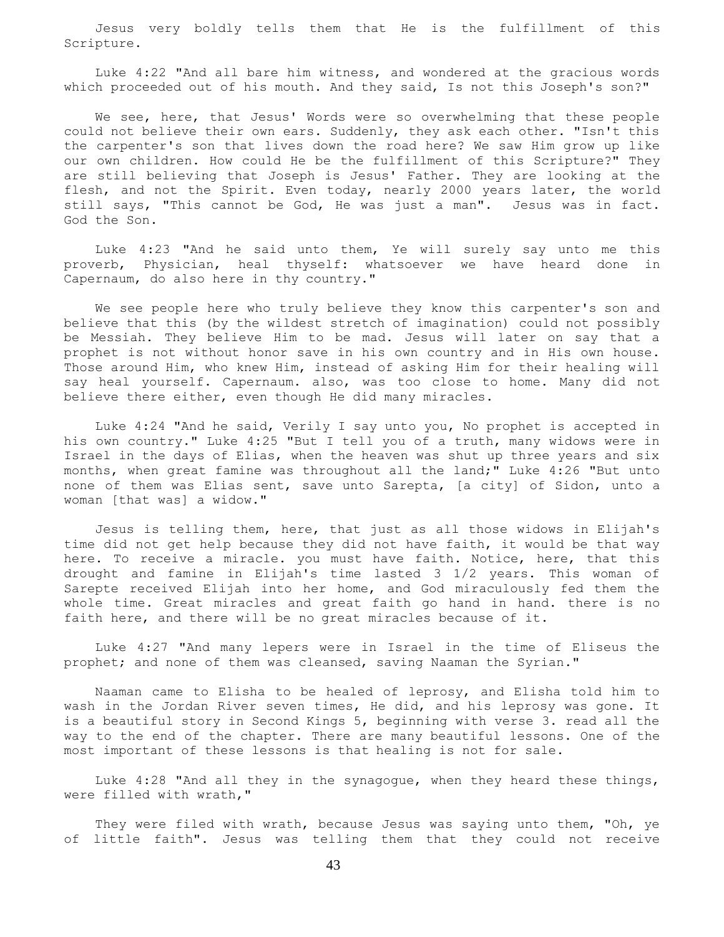Jesus very boldly tells them that He is the fulfillment of this Scripture.

 Luke 4:22 "And all bare him witness, and wondered at the gracious words which proceeded out of his mouth. And they said, Is not this Joseph's son?"

 We see, here, that Jesus' Words were so overwhelming that these people could not believe their own ears. Suddenly, they ask each other. "Isn't this the carpenter's son that lives down the road here? We saw Him grow up like our own children. How could He be the fulfillment of this Scripture?" They are still believing that Joseph is Jesus' Father. They are looking at the flesh, and not the Spirit. Even today, nearly 2000 years later, the world still says, "This cannot be God, He was just a man". Jesus was in fact. God the Son.

 Luke 4:23 "And he said unto them, Ye will surely say unto me this proverb, Physician, heal thyself: whatsoever we have heard done in Capernaum, do also here in thy country."

 We see people here who truly believe they know this carpenter's son and believe that this (by the wildest stretch of imagination) could not possibly be Messiah. They believe Him to be mad. Jesus will later on say that a prophet is not without honor save in his own country and in His own house. Those around Him, who knew Him, instead of asking Him for their healing will say heal yourself. Capernaum. also, was too close to home. Many did not believe there either, even though He did many miracles.

 Luke 4:24 "And he said, Verily I say unto you, No prophet is accepted in his own country." Luke 4:25 "But I tell you of a truth, many widows were in Israel in the days of Elias, when the heaven was shut up three years and six months, when great famine was throughout all the land;" Luke 4:26 "But unto none of them was Elias sent, save unto Sarepta, [a city] of Sidon, unto a woman [that was] a widow."

 Jesus is telling them, here, that just as all those widows in Elijah's time did not get help because they did not have faith, it would be that way here. To receive a miracle. you must have faith. Notice, here, that this drought and famine in Elijah's time lasted 3 1/2 years. This woman of Sarepte received Elijah into her home, and God miraculously fed them the whole time. Great miracles and great faith go hand in hand. there is no faith here, and there will be no great miracles because of it.

 Luke 4:27 "And many lepers were in Israel in the time of Eliseus the prophet; and none of them was cleansed, saving Naaman the Syrian."

 Naaman came to Elisha to be healed of leprosy, and Elisha told him to wash in the Jordan River seven times, He did, and his leprosy was gone. It is a beautiful story in Second Kings 5, beginning with verse 3. read all the way to the end of the chapter. There are many beautiful lessons. One of the most important of these lessons is that healing is not for sale.

 Luke 4:28 "And all they in the synagogue, when they heard these things, were filled with wrath,"

 They were filed with wrath, because Jesus was saying unto them, "Oh, ye of little faith". Jesus was telling them that they could not receive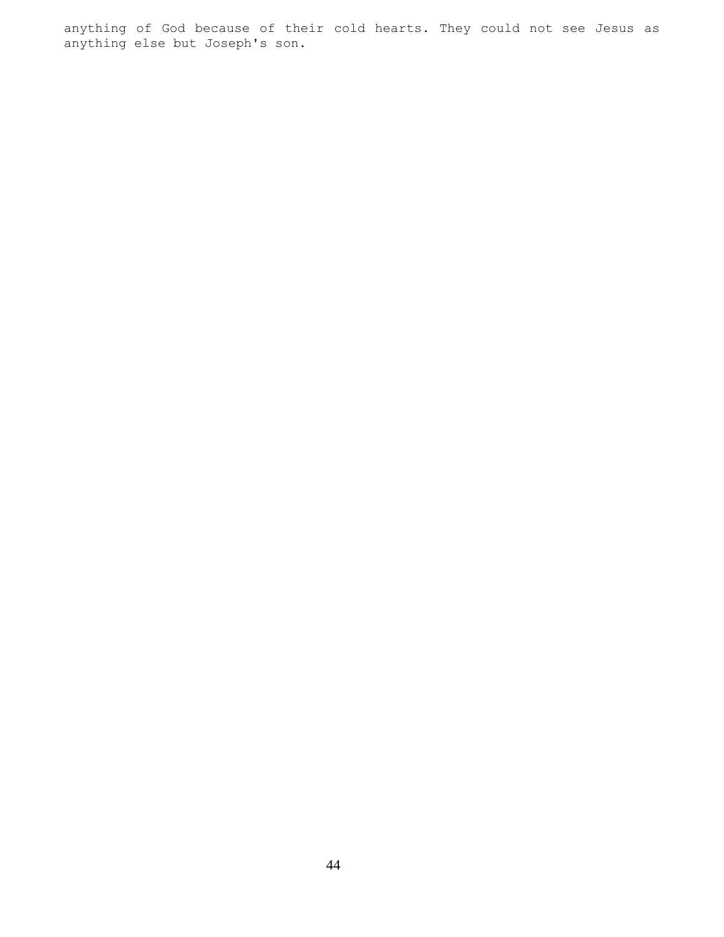anything of God because of their cold hearts. They could not see Jesus as anything else but Joseph's son.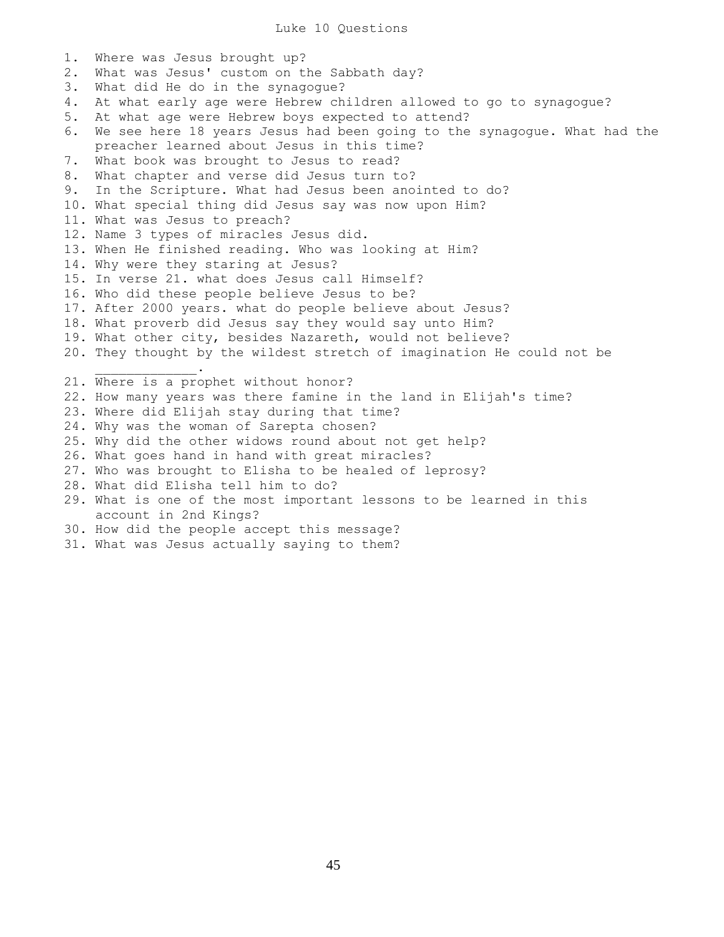1. Where was Jesus brought up? 2. What was Jesus' custom on the Sabbath day? 3. What did He do in the synagogue? 4. At what early age were Hebrew children allowed to go to synagogue? 5. At what age were Hebrew boys expected to attend? 6. We see here 18 years Jesus had been going to the synagogue. What had the preacher learned about Jesus in this time? 7. What book was brought to Jesus to read? 8. What chapter and verse did Jesus turn to? 9. In the Scripture. What had Jesus been anointed to do? 10. What special thing did Jesus say was now upon Him? 11. What was Jesus to preach? 12. Name 3 types of miracles Jesus did. 13. When He finished reading. Who was looking at Him? 14. Why were they staring at Jesus? 15. In verse 21. what does Jesus call Himself? 16. Who did these people believe Jesus to be? 17. After 2000 years. what do people believe about Jesus? 18. What proverb did Jesus say they would say unto Him? 19. What other city, besides Nazareth, would not believe? 20. They thought by the wildest stretch of imagination He could not be  $\overline{\phantom{a}}$  ,  $\overline{\phantom{a}}$  ,  $\overline{\phantom{a}}$  ,  $\overline{\phantom{a}}$  ,  $\overline{\phantom{a}}$  ,  $\overline{\phantom{a}}$  ,  $\overline{\phantom{a}}$  ,  $\overline{\phantom{a}}$  ,  $\overline{\phantom{a}}$  ,  $\overline{\phantom{a}}$  ,  $\overline{\phantom{a}}$  ,  $\overline{\phantom{a}}$  ,  $\overline{\phantom{a}}$  ,  $\overline{\phantom{a}}$  ,  $\overline{\phantom{a}}$  ,  $\overline{\phantom{a}}$ 21. Where is a prophet without honor? 22. How many years was there famine in the land in Elijah's time? 23. Where did Elijah stay during that time? 24. Why was the woman of Sarepta chosen? 25. Why did the other widows round about not get help? 26. What goes hand in hand with great miracles? 27. Who was brought to Elisha to be healed of leprosy? 28. What did Elisha tell him to do? 29. What is one of the most important lessons to be learned in this account in 2nd Kings? 30. How did the people accept this message?

31. What was Jesus actually saying to them?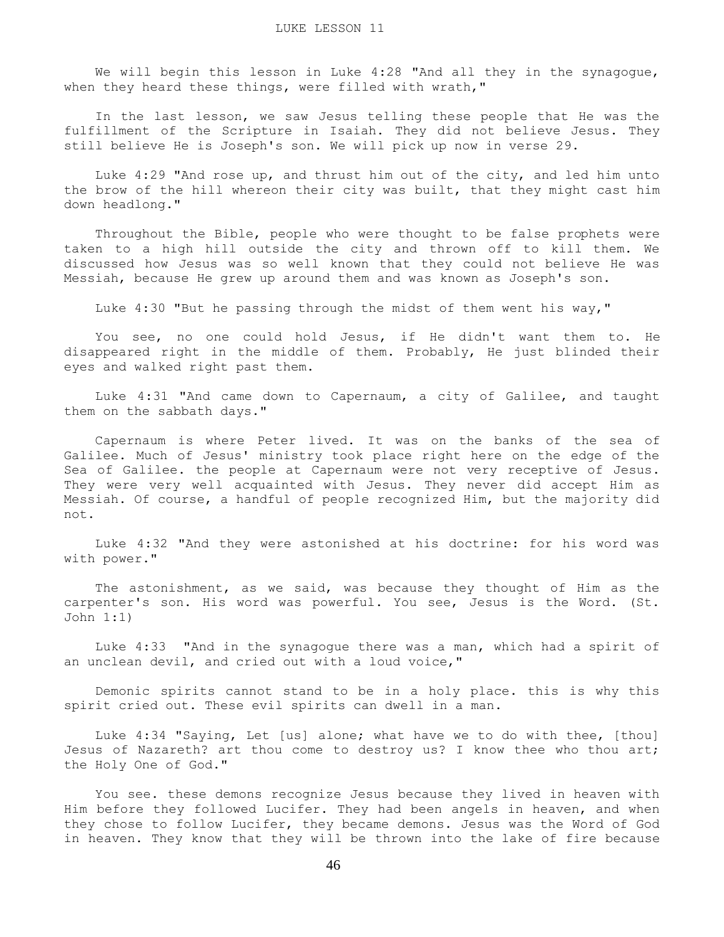We will begin this lesson in Luke 4:28 "And all they in the synagogue, when they heard these things, were filled with wrath,"

 In the last lesson, we saw Jesus telling these people that He was the fulfillment of the Scripture in Isaiah. They did not believe Jesus. They still believe He is Joseph's son. We will pick up now in verse 29.

 Luke 4:29 "And rose up, and thrust him out of the city, and led him unto the brow of the hill whereon their city was built, that they might cast him down headlong."

 Throughout the Bible, people who were thought to be false prophets were taken to a high hill outside the city and thrown off to kill them. We discussed how Jesus was so well known that they could not believe He was Messiah, because He grew up around them and was known as Joseph's son.

Luke 4:30 "But he passing through the midst of them went his way,"

 You see, no one could hold Jesus, if He didn't want them to. He disappeared right in the middle of them. Probably, He just blinded their eyes and walked right past them.

 Luke 4:31 "And came down to Capernaum, a city of Galilee, and taught them on the sabbath days."

 Capernaum is where Peter lived. It was on the banks of the sea of Galilee. Much of Jesus' ministry took place right here on the edge of the Sea of Galilee. the people at Capernaum were not very receptive of Jesus. They were very well acquainted with Jesus. They never did accept Him as Messiah. Of course, a handful of people recognized Him, but the majority did not.

 Luke 4:32 "And they were astonished at his doctrine: for his word was with power."

 The astonishment, as we said, was because they thought of Him as the carpenter's son. His word was powerful. You see, Jesus is the Word. (St. John 1:1)

 Luke 4:33 "And in the synagogue there was a man, which had a spirit of an unclean devil, and cried out with a loud voice,"

 Demonic spirits cannot stand to be in a holy place. this is why this spirit cried out. These evil spirits can dwell in a man.

 Luke 4:34 "Saying, Let [us] alone; what have we to do with thee, [thou] Jesus of Nazareth? art thou come to destroy us? I know thee who thou art; the Holy One of God."

 You see. these demons recognize Jesus because they lived in heaven with Him before they followed Lucifer. They had been angels in heaven, and when they chose to follow Lucifer, they became demons. Jesus was the Word of God in heaven. They know that they will be thrown into the lake of fire because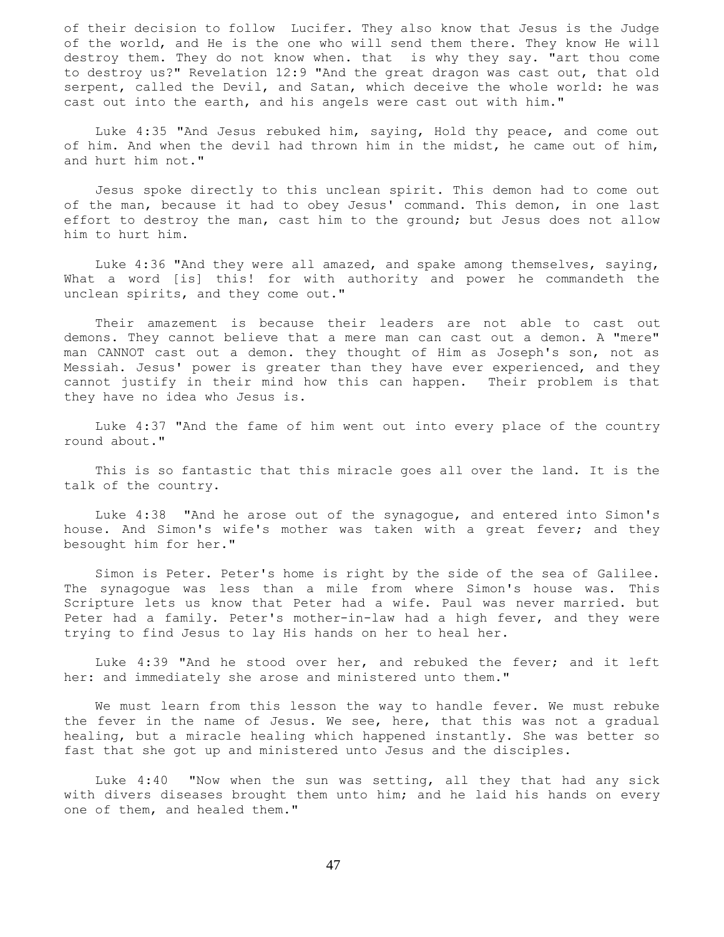of their decision to follow Lucifer. They also know that Jesus is the Judge of the world, and He is the one who will send them there. They know He will destroy them. They do not know when. that is why they say. "art thou come to destroy us?" Revelation 12:9 "And the great dragon was cast out, that old serpent, called the Devil, and Satan, which deceive the whole world: he was cast out into the earth, and his angels were cast out with him."

 Luke 4:35 "And Jesus rebuked him, saying, Hold thy peace, and come out of him. And when the devil had thrown him in the midst, he came out of him, and hurt him not."

 Jesus spoke directly to this unclean spirit. This demon had to come out of the man, because it had to obey Jesus' command. This demon, in one last effort to destroy the man, cast him to the ground; but Jesus does not allow him to hurt him.

 Luke 4:36 "And they were all amazed, and spake among themselves, saying, What a word [is] this! for with authority and power he commandeth the unclean spirits, and they come out."

 Their amazement is because their leaders are not able to cast out demons. They cannot believe that a mere man can cast out a demon. A "mere" man CANNOT cast out a demon. they thought of Him as Joseph's son, not as Messiah. Jesus' power is greater than they have ever experienced, and they cannot justify in their mind how this can happen. Their problem is that they have no idea who Jesus is.

 Luke 4:37 "And the fame of him went out into every place of the country round about."

 This is so fantastic that this miracle goes all over the land. It is the talk of the country.

 Luke 4:38 "And he arose out of the synagogue, and entered into Simon's house. And Simon's wife's mother was taken with a great fever; and they besought him for her."

 Simon is Peter. Peter's home is right by the side of the sea of Galilee. The synagogue was less than a mile from where Simon's house was. This Scripture lets us know that Peter had a wife. Paul was never married. but Peter had a family. Peter's mother-in-law had a high fever, and they were trying to find Jesus to lay His hands on her to heal her.

 Luke 4:39 "And he stood over her, and rebuked the fever; and it left her: and immediately she arose and ministered unto them."

 We must learn from this lesson the way to handle fever. We must rebuke the fever in the name of Jesus. We see, here, that this was not a gradual healing, but a miracle healing which happened instantly. She was better so fast that she got up and ministered unto Jesus and the disciples.

 Luke 4:40 "Now when the sun was setting, all they that had any sick with divers diseases brought them unto him; and he laid his hands on every one of them, and healed them."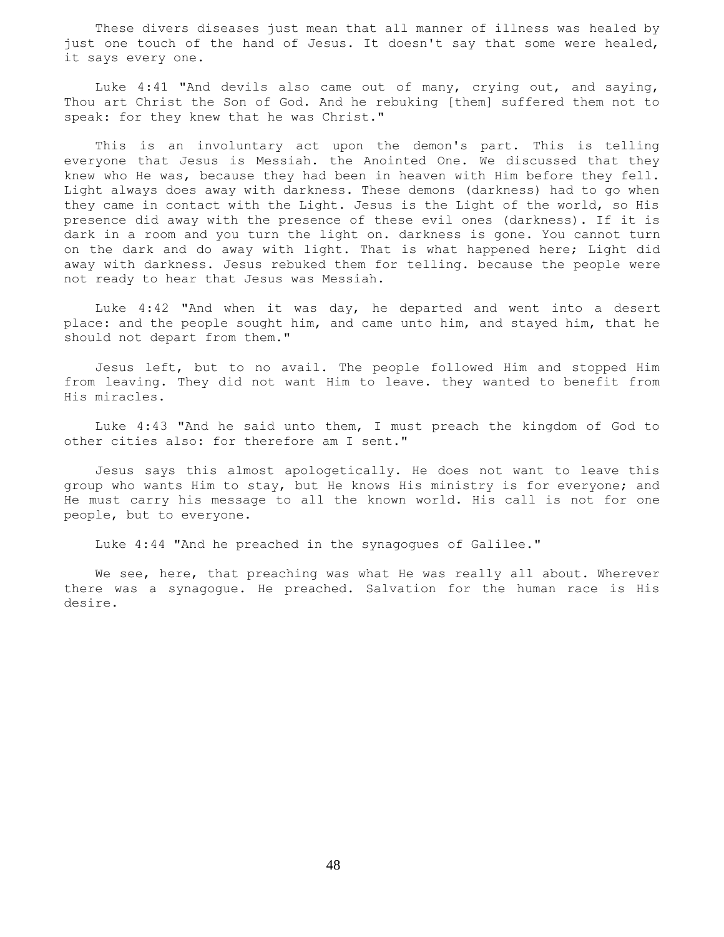These divers diseases just mean that all manner of illness was healed by just one touch of the hand of Jesus. It doesn't say that some were healed, it says every one.

 Luke 4:41 "And devils also came out of many, crying out, and saying, Thou art Christ the Son of God. And he rebuking [them] suffered them not to speak: for they knew that he was Christ."

 This is an involuntary act upon the demon's part. This is telling everyone that Jesus is Messiah. the Anointed One. We discussed that they knew who He was, because they had been in heaven with Him before they fell. Light always does away with darkness. These demons (darkness) had to go when they came in contact with the Light. Jesus is the Light of the world, so His presence did away with the presence of these evil ones (darkness). If it is dark in a room and you turn the light on. darkness is gone. You cannot turn on the dark and do away with light. That is what happened here; Light did away with darkness. Jesus rebuked them for telling. because the people were not ready to hear that Jesus was Messiah.

 Luke 4:42 "And when it was day, he departed and went into a desert place: and the people sought him, and came unto him, and stayed him, that he should not depart from them."

 Jesus left, but to no avail. The people followed Him and stopped Him from leaving. They did not want Him to leave. they wanted to benefit from His miracles.

 Luke 4:43 "And he said unto them, I must preach the kingdom of God to other cities also: for therefore am I sent."

 Jesus says this almost apologetically. He does not want to leave this group who wants Him to stay, but He knows His ministry is for everyone; and He must carry his message to all the known world. His call is not for one people, but to everyone.

Luke 4:44 "And he preached in the synagogues of Galilee."

 We see, here, that preaching was what He was really all about. Wherever there was a synagogue. He preached. Salvation for the human race is His desire.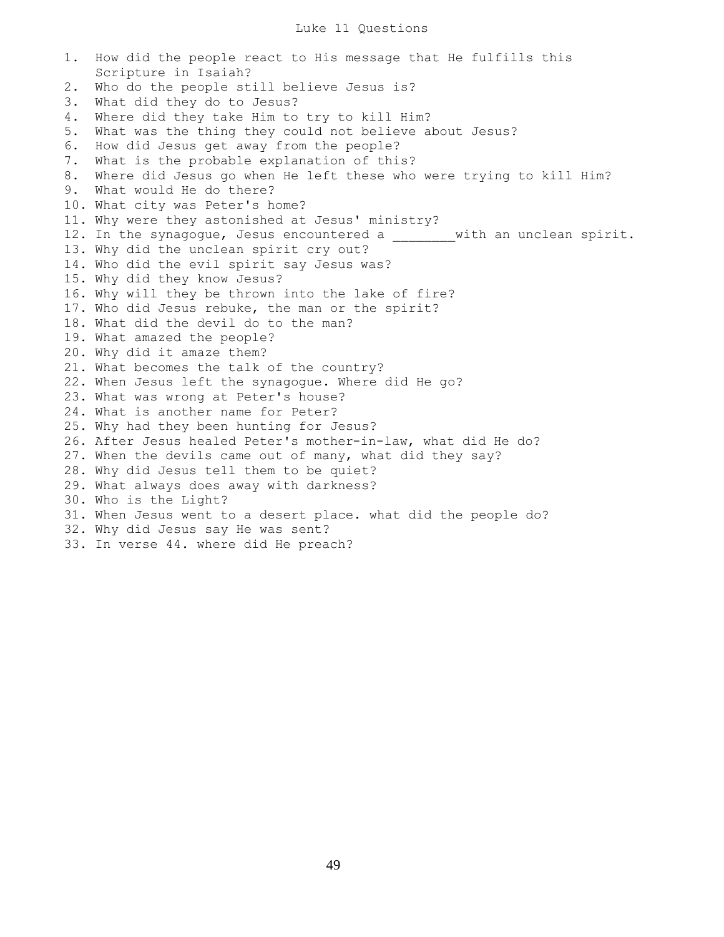1. How did the people react to His message that He fulfills this Scripture in Isaiah? 2. Who do the people still believe Jesus is? 3. What did they do to Jesus? 4. Where did they take Him to try to kill Him? 5. What was the thing they could not believe about Jesus? 6. How did Jesus get away from the people? 7. What is the probable explanation of this? 8. Where did Jesus go when He left these who were trying to kill Him? 9. What would He do there? 10. What city was Peter's home? 11. Why were they astonished at Jesus' ministry? 12. In the synagogue, Jesus encountered a \_\_\_\_\_\_ with an unclean spirit. 13. Why did the unclean spirit cry out? 14. Who did the evil spirit say Jesus was? 15. Why did they know Jesus? 16. Why will they be thrown into the lake of fire? 17. Who did Jesus rebuke, the man or the spirit? 18. What did the devil do to the man? 19. What amazed the people? 20. Why did it amaze them? 21. What becomes the talk of the country? 22. When Jesus left the synagogue. Where did He go? 23. What was wrong at Peter's house? 24. What is another name for Peter? 25. Why had they been hunting for Jesus? 26. After Jesus healed Peter's mother-in-law, what did He do? 27. When the devils came out of many, what did they say? 28. Why did Jesus tell them to be quiet? 29. What always does away with darkness? 30. Who is the Light? 31. When Jesus went to a desert place. what did the people do? 32. Why did Jesus say He was sent? 33. In verse 44. where did He preach?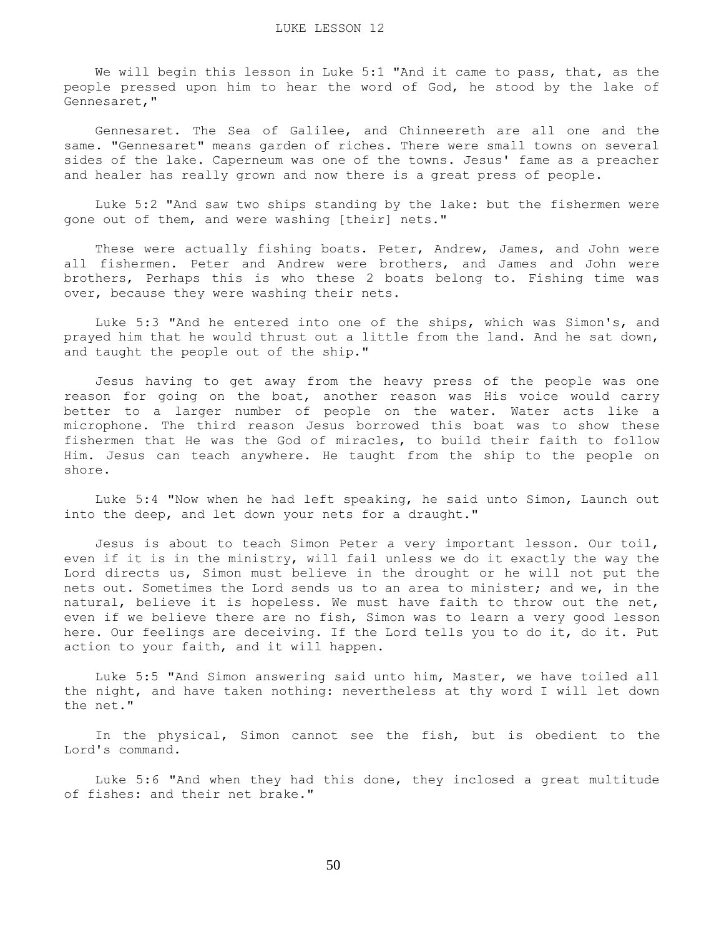We will begin this lesson in Luke 5:1 "And it came to pass, that, as the people pressed upon him to hear the word of God, he stood by the lake of Gennesaret,"

 Gennesaret. The Sea of Galilee, and Chinneereth are all one and the same. "Gennesaret" means garden of riches. There were small towns on several sides of the lake. Caperneum was one of the towns. Jesus' fame as a preacher and healer has really grown and now there is a great press of people.

 Luke 5:2 "And saw two ships standing by the lake: but the fishermen were gone out of them, and were washing [their] nets."

 These were actually fishing boats. Peter, Andrew, James, and John were all fishermen. Peter and Andrew were brothers, and James and John were brothers, Perhaps this is who these 2 boats belong to. Fishing time was over, because they were washing their nets.

 Luke 5:3 "And he entered into one of the ships, which was Simon's, and prayed him that he would thrust out a little from the land. And he sat down, and taught the people out of the ship."

 Jesus having to get away from the heavy press of the people was one reason for going on the boat, another reason was His voice would carry better to a larger number of people on the water. Water acts like a microphone. The third reason Jesus borrowed this boat was to show these fishermen that He was the God of miracles, to build their faith to follow Him. Jesus can teach anywhere. He taught from the ship to the people on shore.

 Luke 5:4 "Now when he had left speaking, he said unto Simon, Launch out into the deep, and let down your nets for a draught."

 Jesus is about to teach Simon Peter a very important lesson. Our toil, even if it is in the ministry, will fail unless we do it exactly the way the Lord directs us, Simon must believe in the drought or he will not put the nets out. Sometimes the Lord sends us to an area to minister; and we, in the natural, believe it is hopeless. We must have faith to throw out the net, even if we believe there are no fish, Simon was to learn a very good lesson here. Our feelings are deceiving. If the Lord tells you to do it, do it. Put action to your faith, and it will happen.

 Luke 5:5 "And Simon answering said unto him, Master, we have toiled all the night, and have taken nothing: nevertheless at thy word I will let down the net."

 In the physical, Simon cannot see the fish, but is obedient to the Lord's command.

 Luke 5:6 "And when they had this done, they inclosed a great multitude of fishes: and their net brake."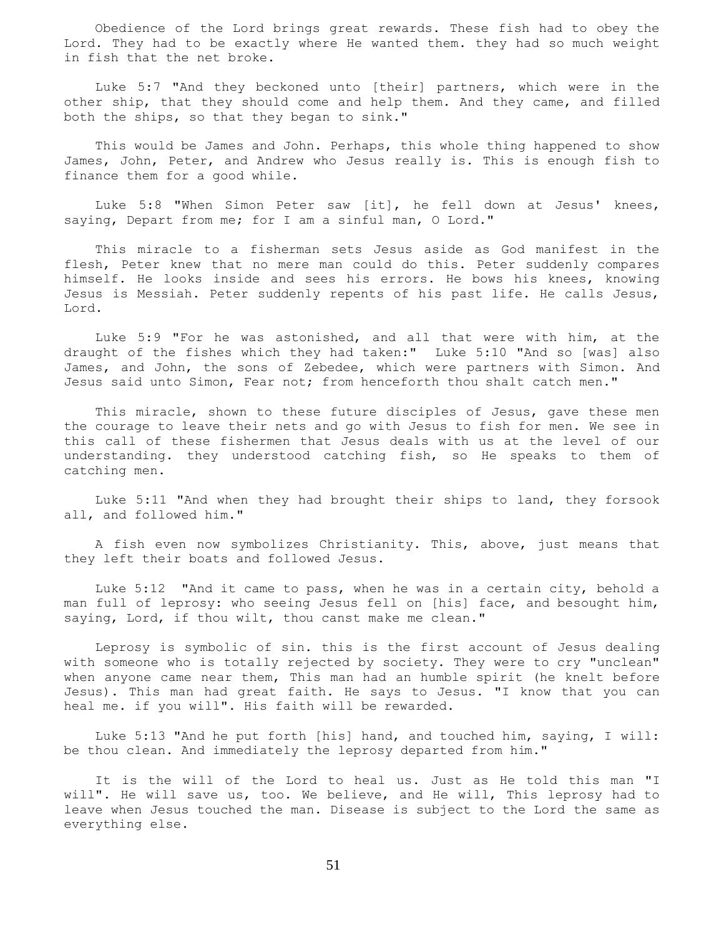Obedience of the Lord brings great rewards. These fish had to obey the Lord. They had to be exactly where He wanted them. they had so much weight in fish that the net broke.

 Luke 5:7 "And they beckoned unto [their] partners, which were in the other ship, that they should come and help them. And they came, and filled both the ships, so that they began to sink."

 This would be James and John. Perhaps, this whole thing happened to show James, John, Peter, and Andrew who Jesus really is. This is enough fish to finance them for a good while.

 Luke 5:8 "When Simon Peter saw [it], he fell down at Jesus' knees, saying, Depart from me; for I am a sinful man, O Lord."

 This miracle to a fisherman sets Jesus aside as God manifest in the flesh, Peter knew that no mere man could do this. Peter suddenly compares himself. He looks inside and sees his errors. He bows his knees, knowing Jesus is Messiah. Peter suddenly repents of his past life. He calls Jesus, Lord.

 Luke 5:9 "For he was astonished, and all that were with him, at the draught of the fishes which they had taken:" Luke 5:10 "And so [was] also James, and John, the sons of Zebedee, which were partners with Simon. And Jesus said unto Simon, Fear not; from henceforth thou shalt catch men."

This miracle, shown to these future disciples of Jesus, gave these men the courage to leave their nets and go with Jesus to fish for men. We see in this call of these fishermen that Jesus deals with us at the level of our understanding. they understood catching fish, so He speaks to them of catching men.

 Luke 5:11 "And when they had brought their ships to land, they forsook all, and followed him."

 A fish even now symbolizes Christianity. This, above, just means that they left their boats and followed Jesus.

 Luke 5:12 "And it came to pass, when he was in a certain city, behold a man full of leprosy: who seeing Jesus fell on [his] face, and besought him, saying, Lord, if thou wilt, thou canst make me clean."

 Leprosy is symbolic of sin. this is the first account of Jesus dealing with someone who is totally rejected by society. They were to cry "unclean" when anyone came near them, This man had an humble spirit (he knelt before Jesus). This man had great faith. He says to Jesus. "I know that you can heal me. if you will". His faith will be rewarded.

 Luke 5:13 "And he put forth [his] hand, and touched him, saying, I will: be thou clean. And immediately the leprosy departed from him."

 It is the will of the Lord to heal us. Just as He told this man "I will". He will save us, too. We believe, and He will, This leprosy had to leave when Jesus touched the man. Disease is subject to the Lord the same as everything else.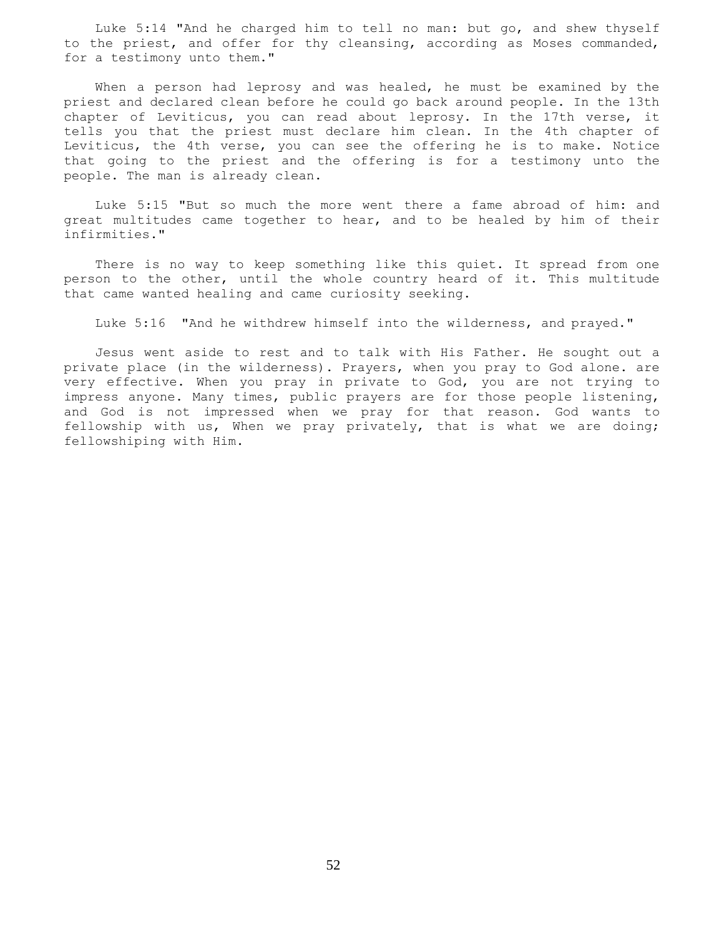Luke 5:14 "And he charged him to tell no man: but go, and shew thyself to the priest, and offer for thy cleansing, according as Moses commanded, for a testimony unto them."

 When a person had leprosy and was healed, he must be examined by the priest and declared clean before he could go back around people. In the 13th chapter of Leviticus, you can read about leprosy. In the 17th verse, it tells you that the priest must declare him clean. In the 4th chapter of Leviticus, the 4th verse, you can see the offering he is to make. Notice that going to the priest and the offering is for a testimony unto the people. The man is already clean.

 Luke 5:15 "But so much the more went there a fame abroad of him: and great multitudes came together to hear, and to be healed by him of their infirmities."

 There is no way to keep something like this quiet. It spread from one person to the other, until the whole country heard of it. This multitude that came wanted healing and came curiosity seeking.

Luke 5:16 "And he withdrew himself into the wilderness, and prayed."

 Jesus went aside to rest and to talk with His Father. He sought out a private place (in the wilderness). Prayers, when you pray to God alone. are very effective. When you pray in private to God, you are not trying to impress anyone. Many times, public prayers are for those people listening, and God is not impressed when we pray for that reason. God wants to fellowship with us, When we pray privately, that is what we are doing; fellowshiping with Him.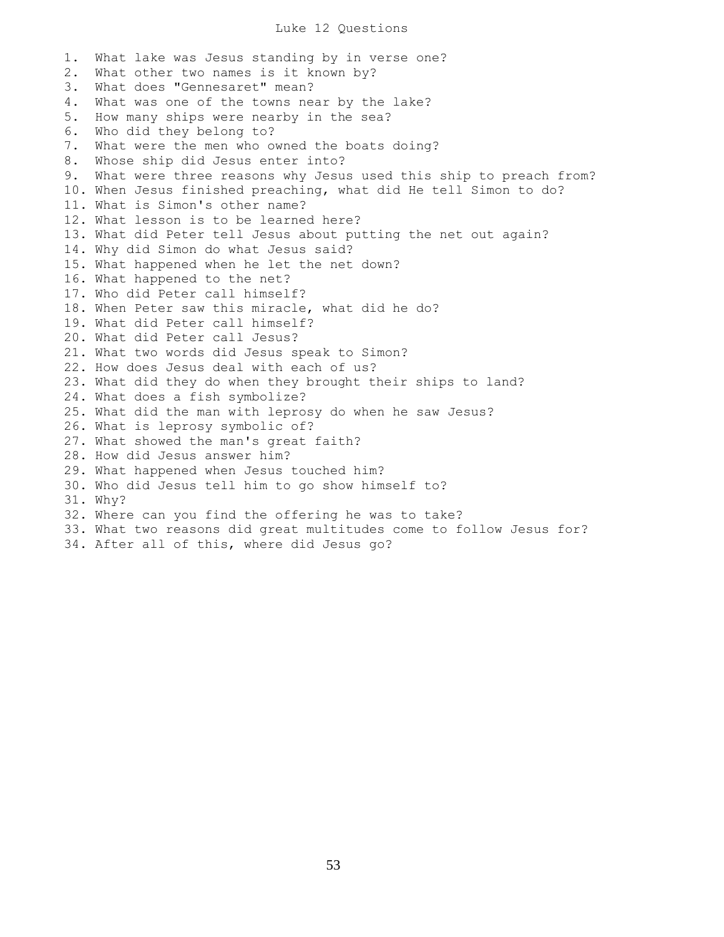## Luke 12 Questions

1. What lake was Jesus standing by in verse one? 2. What other two names is it known by? 3. What does "Gennesaret" mean? 4. What was one of the towns near by the lake? 5. How many ships were nearby in the sea? 6. Who did they belong to? 7. What were the men who owned the boats doing? 8. Whose ship did Jesus enter into? 9. What were three reasons why Jesus used this ship to preach from? 10. When Jesus finished preaching, what did He tell Simon to do? 11. What is Simon's other name? 12. What lesson is to be learned here? 13. What did Peter tell Jesus about putting the net out again? 14. Why did Simon do what Jesus said? 15. What happened when he let the net down? 16. What happened to the net? 17. Who did Peter call himself? 18. When Peter saw this miracle, what did he do? 19. What did Peter call himself? 20. What did Peter call Jesus? 21. What two words did Jesus speak to Simon? 22. How does Jesus deal with each of us? 23. What did they do when they brought their ships to land? 24. What does a fish symbolize? 25. What did the man with leprosy do when he saw Jesus? 26. What is leprosy symbolic of? 27. What showed the man's great faith? 28. How did Jesus answer him? 29. What happened when Jesus touched him? 30. Who did Jesus tell him to go show himself to? 31. Why? 32. Where can you find the offering he was to take? 33. What two reasons did great multitudes come to follow Jesus for? 34. After all of this, where did Jesus go?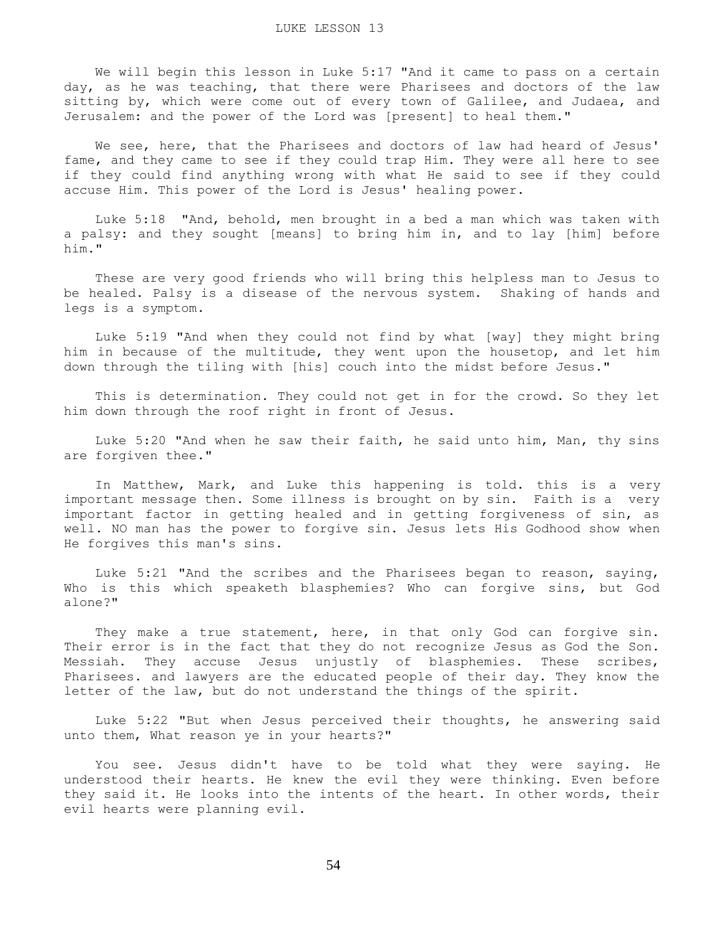We will begin this lesson in Luke 5:17 "And it came to pass on a certain day, as he was teaching, that there were Pharisees and doctors of the law sitting by, which were come out of every town of Galilee, and Judaea, and Jerusalem: and the power of the Lord was [present] to heal them."

We see, here, that the Pharisees and doctors of law had heard of Jesus' fame, and they came to see if they could trap Him. They were all here to see if they could find anything wrong with what He said to see if they could accuse Him. This power of the Lord is Jesus' healing power.

 Luke 5:18 "And, behold, men brought in a bed a man which was taken with a palsy: and they sought [means] to bring him in, and to lay [him] before him."

 These are very good friends who will bring this helpless man to Jesus to be healed. Palsy is a disease of the nervous system. Shaking of hands and legs is a symptom.

 Luke 5:19 "And when they could not find by what [way] they might bring him in because of the multitude, they went upon the housetop, and let him down through the tiling with [his] couch into the midst before Jesus."

 This is determination. They could not get in for the crowd. So they let him down through the roof right in front of Jesus.

 Luke 5:20 "And when he saw their faith, he said unto him, Man, thy sins are forgiven thee."

 In Matthew, Mark, and Luke this happening is told. this is a very important message then. Some illness is brought on by sin. Faith is a very important factor in getting healed and in getting forgiveness of sin, as well. NO man has the power to forgive sin. Jesus lets His Godhood show when He forgives this man's sins.

 Luke 5:21 "And the scribes and the Pharisees began to reason, saying, Who is this which speaketh blasphemies? Who can forgive sins, but God alone?"

They make a true statement, here, in that only God can forgive sin. Their error is in the fact that they do not recognize Jesus as God the Son. Messiah. They accuse Jesus unjustly of blasphemies. These scribes, Pharisees. and lawyers are the educated people of their day. They know the letter of the law, but do not understand the things of the spirit.

 Luke 5:22 "But when Jesus perceived their thoughts, he answering said unto them, What reason ye in your hearts?"

 You see. Jesus didn't have to be told what they were saying. He understood their hearts. He knew the evil they were thinking. Even before they said it. He looks into the intents of the heart. In other words, their evil hearts were planning evil.

54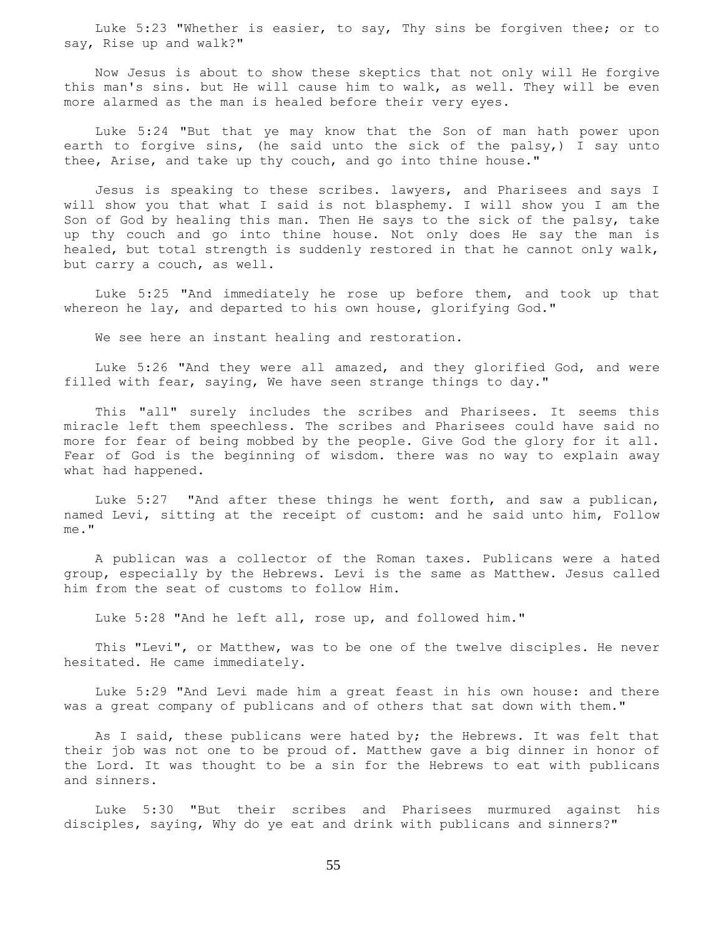Luke 5:23 "Whether is easier, to say, Thy sins be forgiven thee; or to say, Rise up and walk?"

 Now Jesus is about to show these skeptics that not only will He forgive this man's sins. but He will cause him to walk, as well. They will be even more alarmed as the man is healed before their very eyes.

 Luke 5:24 "But that ye may know that the Son of man hath power upon earth to forgive sins, (he said unto the sick of the palsy,) I say unto thee, Arise, and take up thy couch, and go into thine house."

 Jesus is speaking to these scribes. lawyers, and Pharisees and says I will show you that what I said is not blasphemy. I will show you I am the Son of God by healing this man. Then He says to the sick of the palsy, take up thy couch and go into thine house. Not only does He say the man is healed, but total strength is suddenly restored in that he cannot only walk, but carry a couch, as well.

 Luke 5:25 "And immediately he rose up before them, and took up that whereon he lay, and departed to his own house, glorifying God."

We see here an instant healing and restoration.

 Luke 5:26 "And they were all amazed, and they glorified God, and were filled with fear, saying, We have seen strange things to day."

 This "all" surely includes the scribes and Pharisees. It seems this miracle left them speechless. The scribes and Pharisees could have said no more for fear of being mobbed by the people. Give God the glory for it all. Fear of God is the beginning of wisdom. there was no way to explain away what had happened.

 Luke 5:27 "And after these things he went forth, and saw a publican, named Levi, sitting at the receipt of custom: and he said unto him, Follow me."

 A publican was a collector of the Roman taxes. Publicans were a hated group, especially by the Hebrews. Levi is the same as Matthew. Jesus called him from the seat of customs to follow Him.

Luke 5:28 "And he left all, rose up, and followed him."

 This "Levi", or Matthew, was to be one of the twelve disciples. He never hesitated. He came immediately.

 Luke 5:29 "And Levi made him a great feast in his own house: and there was a great company of publicans and of others that sat down with them."

As I said, these publicans were hated by; the Hebrews. It was felt that their job was not one to be proud of. Matthew gave a big dinner in honor of the Lord. It was thought to be a sin for the Hebrews to eat with publicans and sinners.

 Luke 5:30 "But their scribes and Pharisees murmured against his disciples, saying, Why do ye eat and drink with publicans and sinners?"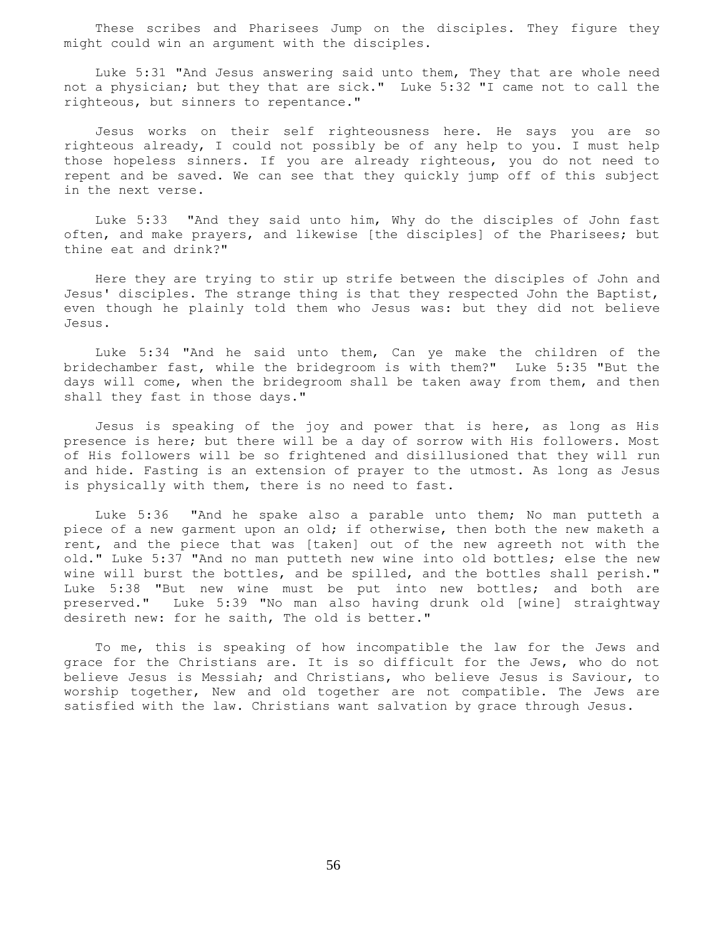These scribes and Pharisees Jump on the disciples. They figure they might could win an argument with the disciples.

 Luke 5:31 "And Jesus answering said unto them, They that are whole need not a physician; but they that are sick." Luke 5:32 "I came not to call the righteous, but sinners to repentance."

 Jesus works on their self righteousness here. He says you are so righteous already, I could not possibly be of any help to you. I must help those hopeless sinners. If you are already righteous, you do not need to repent and be saved. We can see that they quickly jump off of this subject in the next verse.

 Luke 5:33 "And they said unto him, Why do the disciples of John fast often, and make prayers, and likewise [the disciples] of the Pharisees; but thine eat and drink?"

 Here they are trying to stir up strife between the disciples of John and Jesus' disciples. The strange thing is that they respected John the Baptist, even though he plainly told them who Jesus was: but they did not believe Jesus.

 Luke 5:34 "And he said unto them, Can ye make the children of the bridechamber fast, while the bridegroom is with them?" Luke 5:35 "But the days will come, when the bridegroom shall be taken away from them, and then shall they fast in those days."

 Jesus is speaking of the joy and power that is here, as long as His presence is here; but there will be a day of sorrow with His followers. Most of His followers will be so frightened and disillusioned that they will run and hide. Fasting is an extension of prayer to the utmost. As long as Jesus is physically with them, there is no need to fast.

 Luke 5:36 "And he spake also a parable unto them; No man putteth a piece of a new garment upon an old; if otherwise, then both the new maketh a rent, and the piece that was [taken] out of the new agreeth not with the old." Luke 5:37 "And no man putteth new wine into old bottles; else the new wine will burst the bottles, and be spilled, and the bottles shall perish." Luke 5:38 "But new wine must be put into new bottles; and both are preserved." Luke 5:39 "No man also having drunk old [wine] straightway desireth new: for he saith, The old is better."

 To me, this is speaking of how incompatible the law for the Jews and grace for the Christians are. It is so difficult for the Jews, who do not believe Jesus is Messiah; and Christians, who believe Jesus is Saviour, to worship together, New and old together are not compatible. The Jews are satisfied with the law. Christians want salvation by grace through Jesus.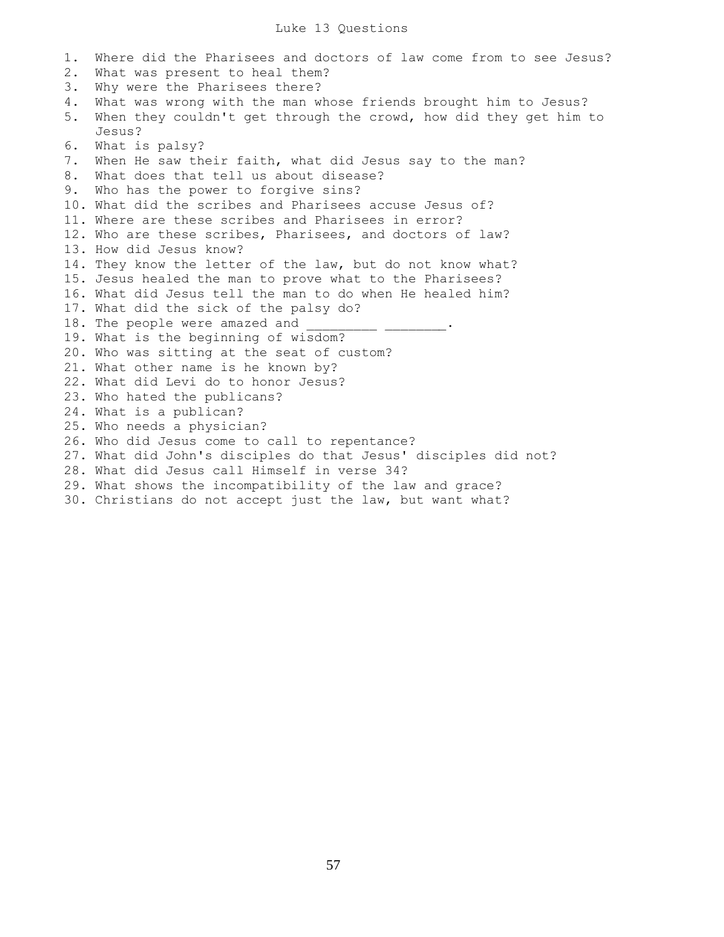1. Where did the Pharisees and doctors of law come from to see Jesus? 2. What was present to heal them? 3. Why were the Pharisees there? 4. What was wrong with the man whose friends brought him to Jesus? 5. When they couldn't get through the crowd, how did they get him to Jesus? 6. What is palsy? 7. When He saw their faith, what did Jesus say to the man? 8. What does that tell us about disease? 9. Who has the power to forgive sins? 10. What did the scribes and Pharisees accuse Jesus of? 11. Where are these scribes and Pharisees in error? 12. Who are these scribes, Pharisees, and doctors of law? 13. How did Jesus know? 14. They know the letter of the law, but do not know what? 15. Jesus healed the man to prove what to the Pharisees? 16. What did Jesus tell the man to do when He healed him? 17. What did the sick of the palsy do? 18. The people were amazed and 19. What is the beginning of wisdom? 20. Who was sitting at the seat of custom? 21. What other name is he known by? 22. What did Levi do to honor Jesus? 23. Who hated the publicans? 24. What is a publican? 25. Who needs a physician? 26. Who did Jesus come to call to repentance? 27. What did John's disciples do that Jesus' disciples did not? 28. What did Jesus call Himself in verse 34? 29. What shows the incompatibility of the law and grace? 30. Christians do not accept just the law, but want what?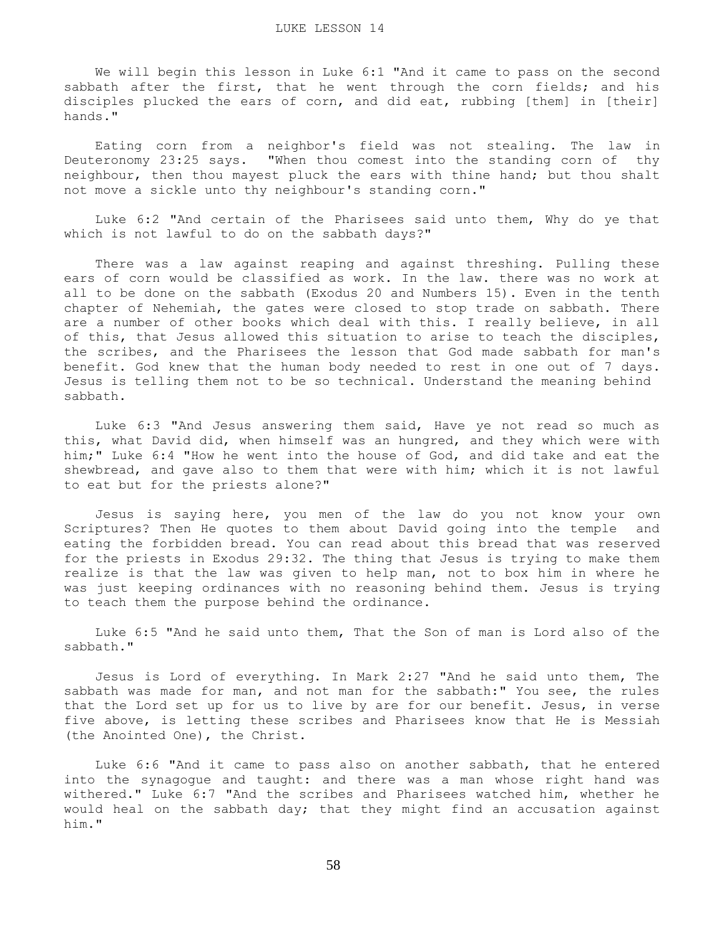We will begin this lesson in Luke 6:1 "And it came to pass on the second sabbath after the first, that he went through the corn fields; and his disciples plucked the ears of corn, and did eat, rubbing [them] in [their] hands."

 Eating corn from a neighbor's field was not stealing. The law in Deuteronomy 23:25 says. "When thou comest into the standing corn of thy neighbour, then thou mayest pluck the ears with thine hand; but thou shalt not move a sickle unto thy neighbour's standing corn."

 Luke 6:2 "And certain of the Pharisees said unto them, Why do ye that which is not lawful to do on the sabbath days?"

 There was a law against reaping and against threshing. Pulling these ears of corn would be classified as work. In the law. there was no work at all to be done on the sabbath (Exodus 20 and Numbers 15). Even in the tenth chapter of Nehemiah, the gates were closed to stop trade on sabbath. There are a number of other books which deal with this. I really believe, in all of this, that Jesus allowed this situation to arise to teach the disciples, the scribes, and the Pharisees the lesson that God made sabbath for man's benefit. God knew that the human body needed to rest in one out of 7 days. Jesus is telling them not to be so technical. Understand the meaning behind sabbath.

 Luke 6:3 "And Jesus answering them said, Have ye not read so much as this, what David did, when himself was an hungred, and they which were with him;" Luke 6:4 "How he went into the house of God, and did take and eat the shewbread, and gave also to them that were with him; which it is not lawful to eat but for the priests alone?"

 Jesus is saying here, you men of the law do you not know your own Scriptures? Then He quotes to them about David going into the temple and eating the forbidden bread. You can read about this bread that was reserved for the priests in Exodus 29:32. The thing that Jesus is trying to make them realize is that the law was given to help man, not to box him in where he was just keeping ordinances with no reasoning behind them. Jesus is trying to teach them the purpose behind the ordinance.

 Luke 6:5 "And he said unto them, That the Son of man is Lord also of the sabbath."

 Jesus is Lord of everything. In Mark 2:27 "And he said unto them, The sabbath was made for man, and not man for the sabbath:" You see, the rules that the Lord set up for us to live by are for our benefit. Jesus, in verse five above, is letting these scribes and Pharisees know that He is Messiah (the Anointed One), the Christ.

 Luke 6:6 "And it came to pass also on another sabbath, that he entered into the synagogue and taught: and there was a man whose right hand was withered." Luke 6:7 "And the scribes and Pharisees watched him, whether he would heal on the sabbath day; that they might find an accusation against him."

58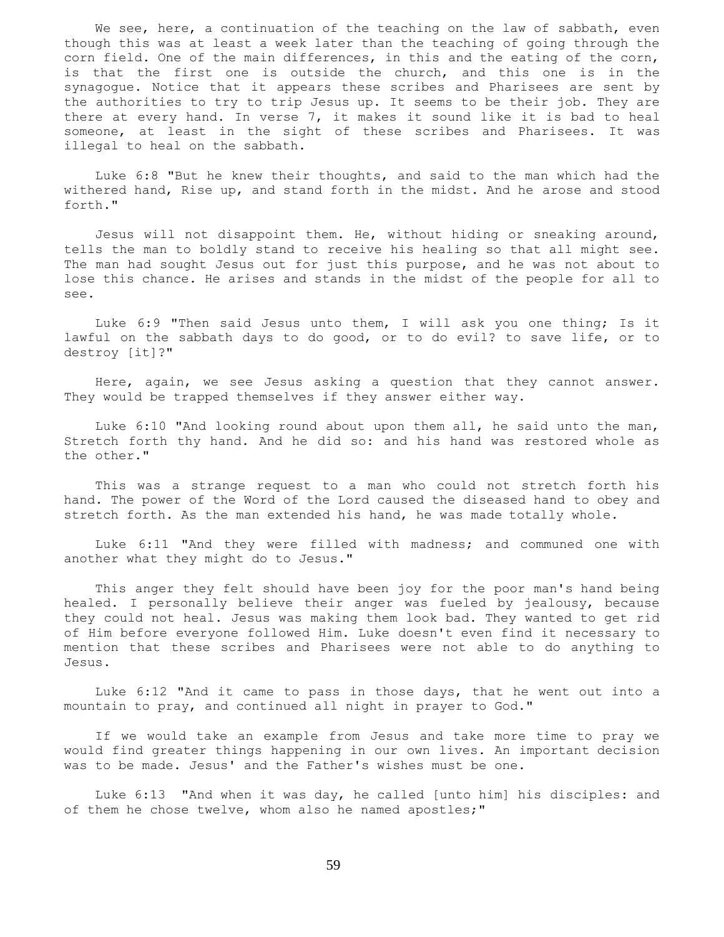We see, here, a continuation of the teaching on the law of sabbath, even though this was at least a week later than the teaching of going through the corn field. One of the main differences, in this and the eating of the corn, is that the first one is outside the church, and this one is in the synagogue. Notice that it appears these scribes and Pharisees are sent by the authorities to try to trip Jesus up. It seems to be their job. They are there at every hand. In verse 7, it makes it sound like it is bad to heal someone, at least in the sight of these scribes and Pharisees. It was illegal to heal on the sabbath.

 Luke 6:8 "But he knew their thoughts, and said to the man which had the withered hand, Rise up, and stand forth in the midst. And he arose and stood forth."

 Jesus will not disappoint them. He, without hiding or sneaking around, tells the man to boldly stand to receive his healing so that all might see. The man had sought Jesus out for just this purpose, and he was not about to lose this chance. He arises and stands in the midst of the people for all to see.

 Luke 6:9 "Then said Jesus unto them, I will ask you one thing; Is it lawful on the sabbath days to do good, or to do evil? to save life, or to destroy [it]?"

 Here, again, we see Jesus asking a question that they cannot answer. They would be trapped themselves if they answer either way.

 Luke 6:10 "And looking round about upon them all, he said unto the man, Stretch forth thy hand. And he did so: and his hand was restored whole as the other."

 This was a strange request to a man who could not stretch forth his hand. The power of the Word of the Lord caused the diseased hand to obey and stretch forth. As the man extended his hand, he was made totally whole.

 Luke 6:11 "And they were filled with madness; and communed one with another what they might do to Jesus."

 This anger they felt should have been joy for the poor man's hand being healed. I personally believe their anger was fueled by jealousy, because they could not heal. Jesus was making them look bad. They wanted to get rid of Him before everyone followed Him. Luke doesn't even find it necessary to mention that these scribes and Pharisees were not able to do anything to Jesus.

 Luke 6:12 "And it came to pass in those days, that he went out into a mountain to pray, and continued all night in prayer to God."

 If we would take an example from Jesus and take more time to pray we would find greater things happening in our own lives. An important decision was to be made. Jesus' and the Father's wishes must be one.

 Luke 6:13 "And when it was day, he called [unto him] his disciples: and of them he chose twelve, whom also he named apostles;"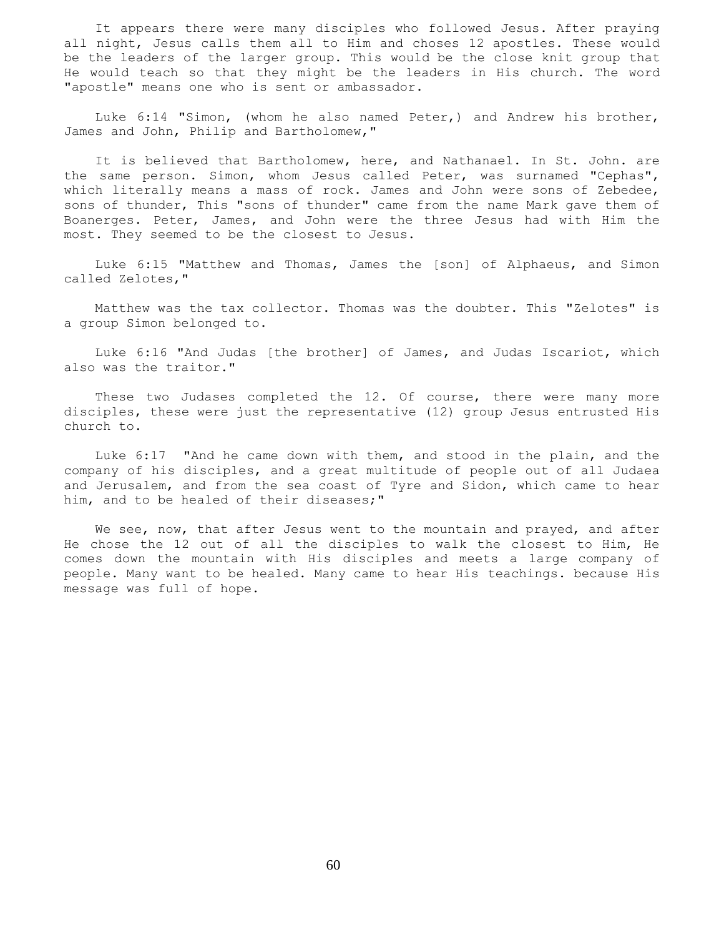It appears there were many disciples who followed Jesus. After praying all night, Jesus calls them all to Him and choses 12 apostles. These would be the leaders of the larger group. This would be the close knit group that He would teach so that they might be the leaders in His church. The word "apostle" means one who is sent or ambassador.

 Luke 6:14 "Simon, (whom he also named Peter,) and Andrew his brother, James and John, Philip and Bartholomew,"

 It is believed that Bartholomew, here, and Nathanael. In St. John. are the same person. Simon, whom Jesus called Peter, was surnamed "Cephas", which literally means a mass of rock. James and John were sons of Zebedee, sons of thunder, This "sons of thunder" came from the name Mark gave them of Boanerges. Peter, James, and John were the three Jesus had with Him the most. They seemed to be the closest to Jesus.

 Luke 6:15 "Matthew and Thomas, James the [son] of Alphaeus, and Simon called Zelotes,"

 Matthew was the tax collector. Thomas was the doubter. This "Zelotes" is a group Simon belonged to.

 Luke 6:16 "And Judas [the brother] of James, and Judas Iscariot, which also was the traitor."

 These two Judases completed the 12. Of course, there were many more disciples, these were just the representative (12) group Jesus entrusted His church to.

 Luke 6:17 "And he came down with them, and stood in the plain, and the company of his disciples, and a great multitude of people out of all Judaea and Jerusalem, and from the sea coast of Tyre and Sidon, which came to hear him, and to be healed of their diseases;"

We see, now, that after Jesus went to the mountain and prayed, and after He chose the 12 out of all the disciples to walk the closest to Him, He comes down the mountain with His disciples and meets a large company of people. Many want to be healed. Many came to hear His teachings. because His message was full of hope.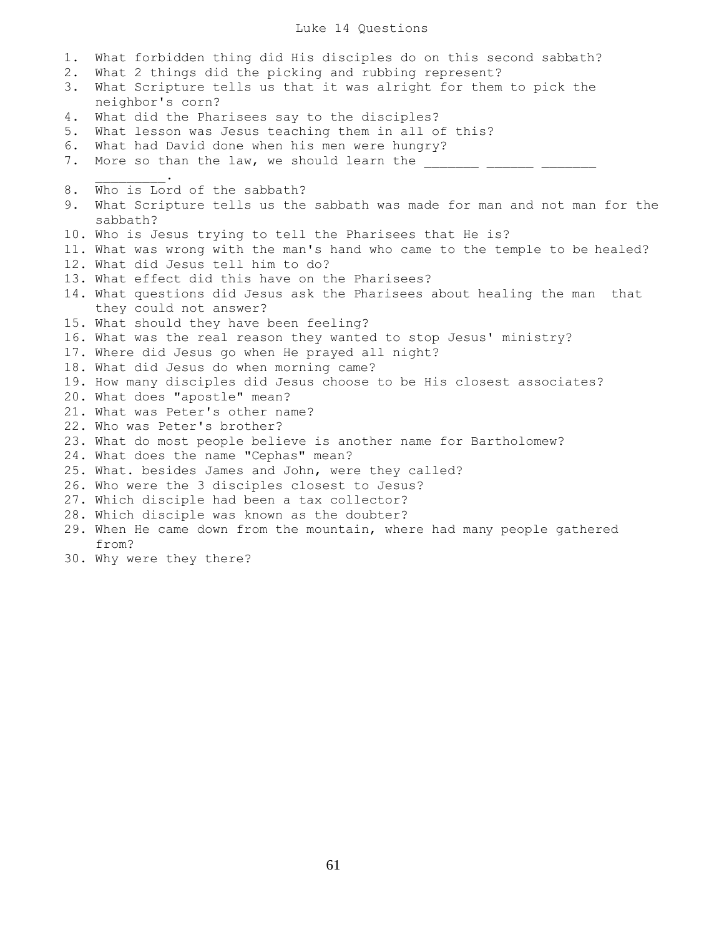## Luke 14 Questions

1. What forbidden thing did His disciples do on this second sabbath? 2. What 2 things did the picking and rubbing represent? 3. What Scripture tells us that it was alright for them to pick the neighbor's corn? 4. What did the Pharisees say to the disciples? 5. What lesson was Jesus teaching them in all of this? 6. What had David done when his men were hungry? 7. More so than the law, we should learn the  $\frac{1}{2}$  ,  $\frac{1}{2}$  ,  $\frac{1}{2}$  ,  $\frac{1}{2}$  ,  $\frac{1}{2}$ 8. Who is Lord of the sabbath? 9. What Scripture tells us the sabbath was made for man and not man for the sabbath? 10. Who is Jesus trying to tell the Pharisees that He is? 11. What was wrong with the man's hand who came to the temple to be healed? 12. What did Jesus tell him to do? 13. What effect did this have on the Pharisees? 14. What questions did Jesus ask the Pharisees about healing the man that they could not answer? 15. What should they have been feeling? 16. What was the real reason they wanted to stop Jesus' ministry? 17. Where did Jesus go when He prayed all night? 18. What did Jesus do when morning came? 19. How many disciples did Jesus choose to be His closest associates? 20. What does "apostle" mean? 21. What was Peter's other name? 22. Who was Peter's brother? 23. What do most people believe is another name for Bartholomew? 24. What does the name "Cephas" mean? 25. What. besides James and John, were they called? 26. Who were the 3 disciples closest to Jesus? 27. Which disciple had been a tax collector? 28. Which disciple was known as the doubter? 29. When He came down from the mountain, where had many people gathered from?

30. Why were they there?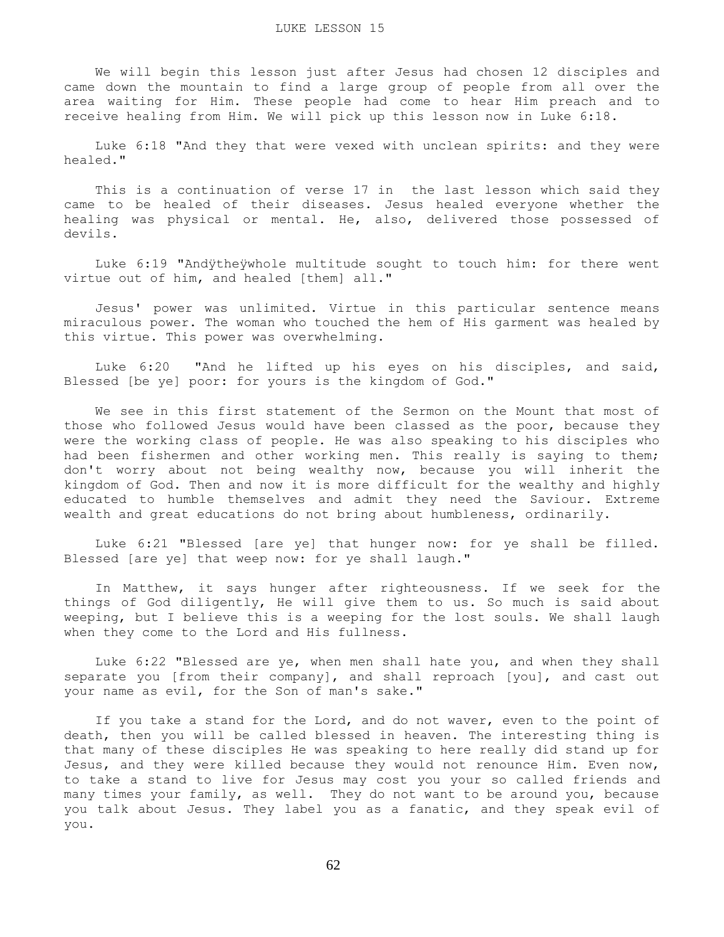We will begin this lesson just after Jesus had chosen 12 disciples and came down the mountain to find a large group of people from all over the area waiting for Him. These people had come to hear Him preach and to receive healing from Him. We will pick up this lesson now in Luke 6:18.

 Luke 6:18 "And they that were vexed with unclean spirits: and they were healed."

 This is a continuation of verse 17 in the last lesson which said they came to be healed of their diseases. Jesus healed everyone whether the healing was physical or mental. He, also, delivered those possessed of devils.

 Luke 6:19 "Andÿtheÿwhole multitude sought to touch him: for there went virtue out of him, and healed [them] all."

 Jesus' power was unlimited. Virtue in this particular sentence means miraculous power. The woman who touched the hem of His garment was healed by this virtue. This power was overwhelming.

 Luke 6:20 "And he lifted up his eyes on his disciples, and said, Blessed [be ye] poor: for yours is the kingdom of God."

 We see in this first statement of the Sermon on the Mount that most of those who followed Jesus would have been classed as the poor, because they were the working class of people. He was also speaking to his disciples who had been fishermen and other working men. This really is saying to them; don't worry about not being wealthy now, because you will inherit the kingdom of God. Then and now it is more difficult for the wealthy and highly educated to humble themselves and admit they need the Saviour. Extreme wealth and great educations do not bring about humbleness, ordinarily.

 Luke 6:21 "Blessed [are ye] that hunger now: for ye shall be filled. Blessed [are ye] that weep now: for ye shall laugh."

 In Matthew, it says hunger after righteousness. If we seek for the things of God diligently, He will give them to us. So much is said about weeping, but I believe this is a weeping for the lost souls. We shall laugh when they come to the Lord and His fullness.

 Luke 6:22 "Blessed are ye, when men shall hate you, and when they shall separate you [from their company], and shall reproach [you], and cast out your name as evil, for the Son of man's sake."

 If you take a stand for the Lord, and do not waver, even to the point of death, then you will be called blessed in heaven. The interesting thing is that many of these disciples He was speaking to here really did stand up for Jesus, and they were killed because they would not renounce Him. Even now, to take a stand to live for Jesus may cost you your so called friends and many times your family, as well. They do not want to be around you, because you talk about Jesus. They label you as a fanatic, and they speak evil of you.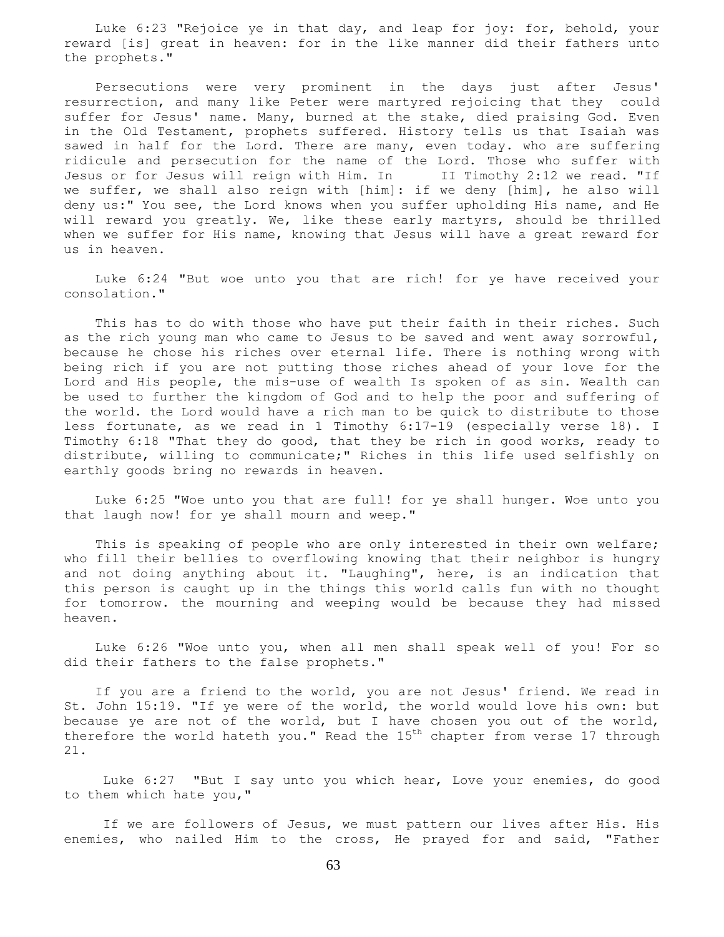Luke 6:23 "Rejoice ye in that day, and leap for joy: for, behold, your reward [is] great in heaven: for in the like manner did their fathers unto the prophets."

 Persecutions were very prominent in the days just after Jesus' resurrection, and many like Peter were martyred rejoicing that they could suffer for Jesus' name. Many, burned at the stake, died praising God. Even in the Old Testament, prophets suffered. History tells us that Isaiah was sawed in half for the Lord. There are many, even today. who are suffering ridicule and persecution for the name of the Lord. Those who suffer with Jesus or for Jesus will reign with Him. In II Timothy 2:12 we read. "If we suffer, we shall also reign with [him]: if we deny [him], he also will deny us:" You see, the Lord knows when you suffer upholding His name, and He will reward you greatly. We, like these early martyrs, should be thrilled when we suffer for His name, knowing that Jesus will have a great reward for us in heaven.

 Luke 6:24 "But woe unto you that are rich! for ye have received your consolation."

 This has to do with those who have put their faith in their riches. Such as the rich young man who came to Jesus to be saved and went away sorrowful, because he chose his riches over eternal life. There is nothing wrong with being rich if you are not putting those riches ahead of your love for the Lord and His people, the mis-use of wealth Is spoken of as sin. Wealth can be used to further the kingdom of God and to help the poor and suffering of the world. the Lord would have a rich man to be quick to distribute to those less fortunate, as we read in 1 Timothy 6:17-19 (especially verse 18). I Timothy 6:18 "That they do good, that they be rich in good works, ready to distribute, willing to communicate;" Riches in this life used selfishly on earthly goods bring no rewards in heaven.

 Luke 6:25 "Woe unto you that are full! for ye shall hunger. Woe unto you that laugh now! for ye shall mourn and weep."

 This is speaking of people who are only interested in their own welfare; who fill their bellies to overflowing knowing that their neighbor is hungry and not doing anything about it. "Laughing", here, is an indication that this person is caught up in the things this world calls fun with no thought for tomorrow. the mourning and weeping would be because they had missed heaven.

 Luke 6:26 "Woe unto you, when all men shall speak well of you! For so did their fathers to the false prophets."

 If you are a friend to the world, you are not Jesus' friend. We read in St. John 15:19. "If ye were of the world, the world would love his own: but because ye are not of the world, but I have chosen you out of the world, therefore the world hateth you." Read the 15<sup>th</sup> chapter from verse 17 through 21.

 Luke 6:27 "But I say unto you which hear, Love your enemies, do good to them which hate you,"

 If we are followers of Jesus, we must pattern our lives after His. His enemies, who nailed Him to the cross, He prayed for and said, "Father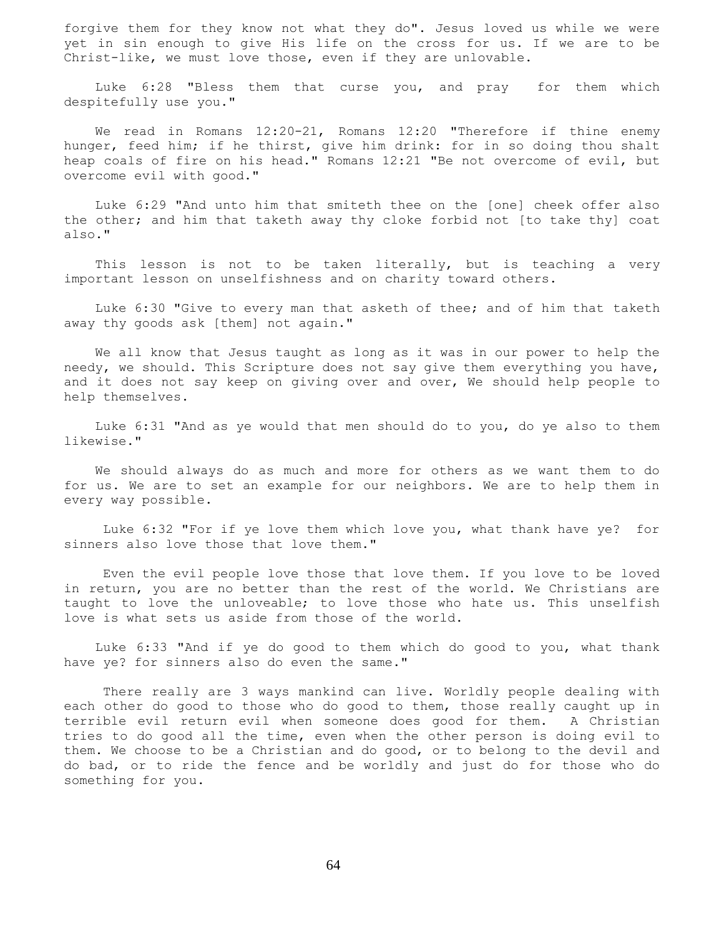forgive them for they know not what they do". Jesus loved us while we were yet in sin enough to give His life on the cross for us. If we are to be Christ-like, we must love those, even if they are unlovable.

 Luke 6:28 "Bless them that curse you, and pray for them which despitefully use you."

We read in Romans 12:20-21, Romans 12:20 "Therefore if thine enemy hunger, feed him; if he thirst, give him drink: for in so doing thou shalt heap coals of fire on his head." Romans 12:21 "Be not overcome of evil, but overcome evil with good."

 Luke 6:29 "And unto him that smiteth thee on the [one] cheek offer also the other; and him that taketh away thy cloke forbid not [to take thy] coat also."

 This lesson is not to be taken literally, but is teaching a very important lesson on unselfishness and on charity toward others.

 Luke 6:30 "Give to every man that asketh of thee; and of him that taketh away thy goods ask [them] not again."

 We all know that Jesus taught as long as it was in our power to help the needy, we should. This Scripture does not say give them everything you have, and it does not say keep on giving over and over, We should help people to help themselves.

 Luke 6:31 "And as ye would that men should do to you, do ye also to them likewise."

 We should always do as much and more for others as we want them to do for us. We are to set an example for our neighbors. We are to help them in every way possible.

 Luke 6:32 "For if ye love them which love you, what thank have ye? for sinners also love those that love them."

 Even the evil people love those that love them. If you love to be loved in return, you are no better than the rest of the world. We Christians are taught to love the unloveable; to love those who hate us. This unselfish love is what sets us aside from those of the world.

 Luke 6:33 "And if ye do good to them which do good to you, what thank have ye? for sinners also do even the same."

 There really are 3 ways mankind can live. Worldly people dealing with each other do good to those who do good to them, those really caught up in terrible evil return evil when someone does good for them. A Christian tries to do good all the time, even when the other person is doing evil to them. We choose to be a Christian and do good, or to belong to the devil and do bad, or to ride the fence and be worldly and just do for those who do something for you.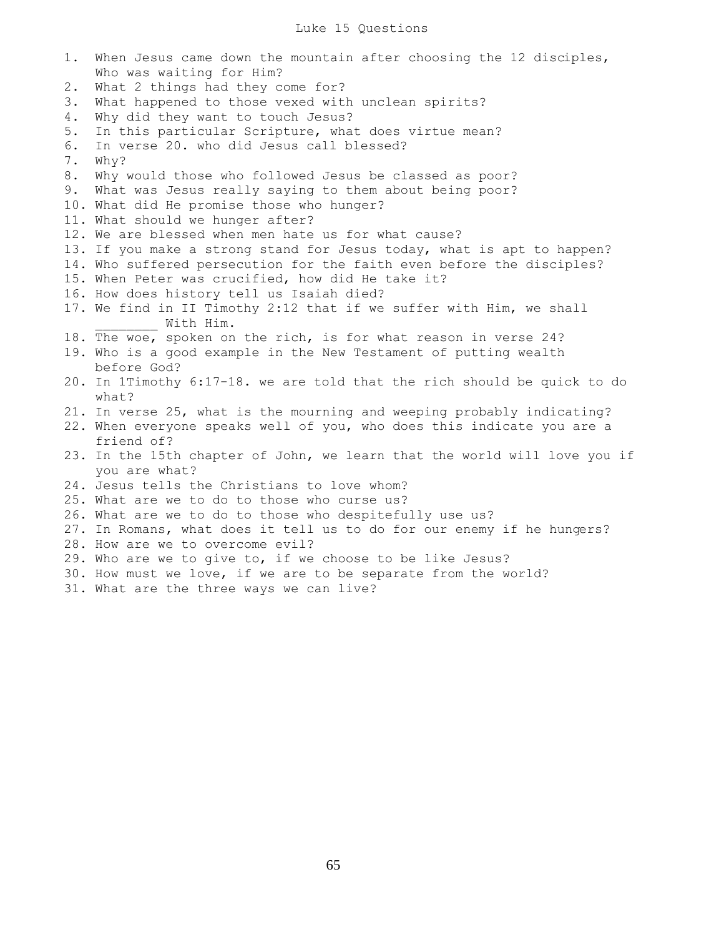1. When Jesus came down the mountain after choosing the 12 disciples, Who was waiting for Him? 2. What 2 things had they come for? 3. What happened to those vexed with unclean spirits? 4. Why did they want to touch Jesus? 5. In this particular Scripture, what does virtue mean? 6. In verse 20. who did Jesus call blessed? 7. Why? 8. Why would those who followed Jesus be classed as poor? 9. What was Jesus really saying to them about being poor? 10. What did He promise those who hunger? 11. What should we hunger after? 12. We are blessed when men hate us for what cause? 13. If you make a strong stand for Jesus today, what is apt to happen? 14. Who suffered persecution for the faith even before the disciples? 15. When Peter was crucified, how did He take it? 16. How does history tell us Isaiah died? 17. We find in II Timothy 2:12 that if we suffer with Him, we shall With Him. 18. The woe, spoken on the rich, is for what reason in verse 24? 19. Who is a good example in the New Testament of putting wealth before God? 20. In 1Timothy 6:17-18. we are told that the rich should be quick to do what? 21. In verse 25, what is the mourning and weeping probably indicating? 22. When everyone speaks well of you, who does this indicate you are a friend of? 23. In the 15th chapter of John, we learn that the world will love you if you are what? 24. Jesus tells the Christians to love whom? 25. What are we to do to those who curse us? 26. What are we to do to those who despitefully use us? 27. In Romans, what does it tell us to do for our enemy if he hungers? 28. How are we to overcome evil? 29. Who are we to give to, if we choose to be like Jesus? 30. How must we love, if we are to be separate from the world? 31. What are the three ways we can live?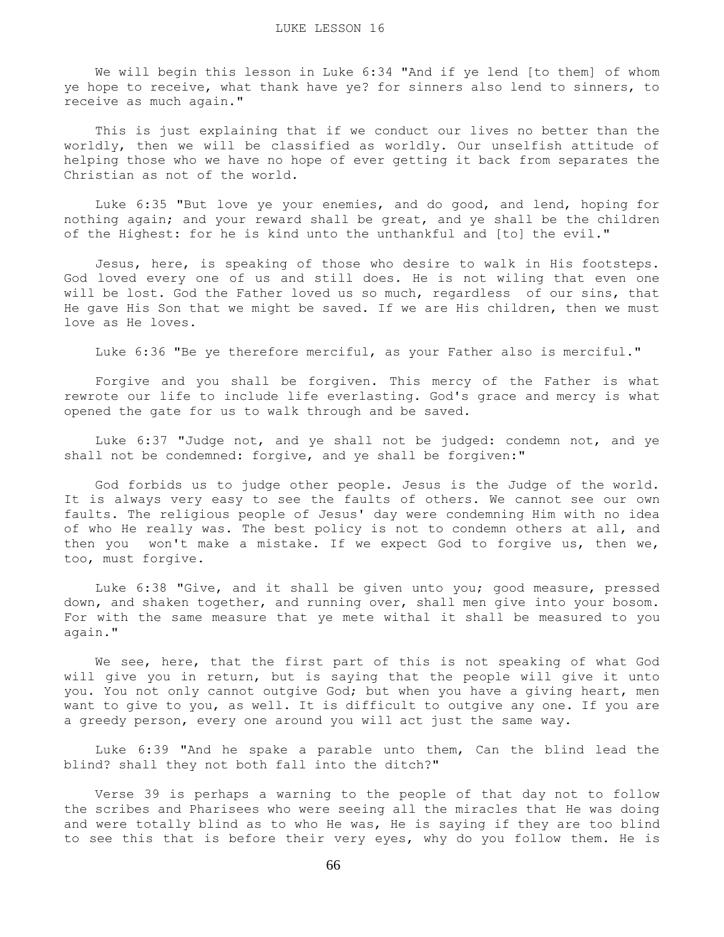We will begin this lesson in Luke 6:34 "And if ye lend [to them] of whom ye hope to receive, what thank have ye? for sinners also lend to sinners, to receive as much again."

 This is just explaining that if we conduct our lives no better than the worldly, then we will be classified as worldly. Our unselfish attitude of helping those who we have no hope of ever getting it back from separates the Christian as not of the world.

 Luke 6:35 "But love ye your enemies, and do good, and lend, hoping for nothing again; and your reward shall be great, and ye shall be the children of the Highest: for he is kind unto the unthankful and [to] the evil."

 Jesus, here, is speaking of those who desire to walk in His footsteps. God loved every one of us and still does. He is not wiling that even one will be lost. God the Father loved us so much, regardless of our sins, that He gave His Son that we might be saved. If we are His children, then we must love as He loves.

Luke 6:36 "Be ye therefore merciful, as your Father also is merciful."

 Forgive and you shall be forgiven. This mercy of the Father is what rewrote our life to include life everlasting. God's grace and mercy is what opened the gate for us to walk through and be saved.

 Luke 6:37 "Judge not, and ye shall not be judged: condemn not, and ye shall not be condemned: forgive, and ye shall be forgiven:"

 God forbids us to judge other people. Jesus is the Judge of the world. It is always very easy to see the faults of others. We cannot see our own faults. The religious people of Jesus' day were condemning Him with no idea of who He really was. The best policy is not to condemn others at all, and then you won't make a mistake. If we expect God to forgive us, then we, too, must forgive.

 Luke 6:38 "Give, and it shall be given unto you; good measure, pressed down, and shaken together, and running over, shall men give into your bosom. For with the same measure that ye mete withal it shall be measured to you again."

We see, here, that the first part of this is not speaking of what God will give you in return, but is saying that the people will give it unto you. You not only cannot outgive God; but when you have a giving heart, men want to give to you, as well. It is difficult to outgive any one. If you are a greedy person, every one around you will act just the same way.

 Luke 6:39 "And he spake a parable unto them, Can the blind lead the blind? shall they not both fall into the ditch?"

 Verse 39 is perhaps a warning to the people of that day not to follow the scribes and Pharisees who were seeing all the miracles that He was doing and were totally blind as to who He was, He is saying if they are too blind to see this that is before their very eyes, why do you follow them. He is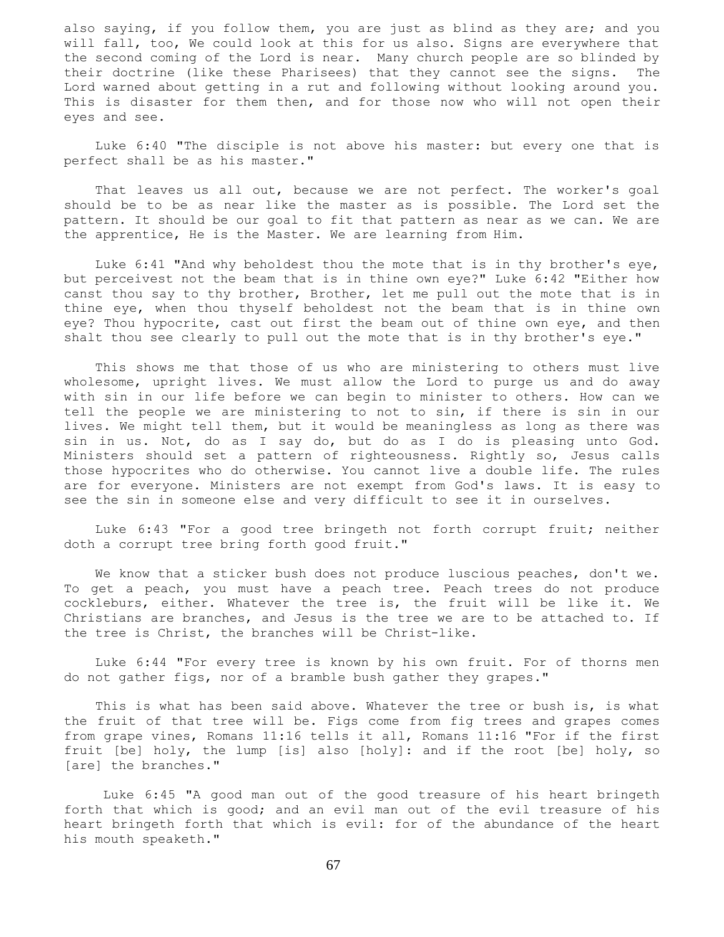also saying, if you follow them, you are just as blind as they are; and you will fall, too, We could look at this for us also. Signs are everywhere that the second coming of the Lord is near. Many church people are so blinded by their doctrine (like these Pharisees) that they cannot see the signs. The Lord warned about getting in a rut and following without looking around you. This is disaster for them then, and for those now who will not open their eyes and see.

 Luke 6:40 "The disciple is not above his master: but every one that is perfect shall be as his master."

 That leaves us all out, because we are not perfect. The worker's goal should be to be as near like the master as is possible. The Lord set the pattern. It should be our goal to fit that pattern as near as we can. We are the apprentice, He is the Master. We are learning from Him.

 Luke 6:41 "And why beholdest thou the mote that is in thy brother's eye, but perceivest not the beam that is in thine own eye?" Luke 6:42 "Either how canst thou say to thy brother, Brother, let me pull out the mote that is in thine eye, when thou thyself beholdest not the beam that is in thine own eye? Thou hypocrite, cast out first the beam out of thine own eye, and then shalt thou see clearly to pull out the mote that is in thy brother's eye."

 This shows me that those of us who are ministering to others must live wholesome, upright lives. We must allow the Lord to purge us and do away with sin in our life before we can begin to minister to others. How can we tell the people we are ministering to not to sin, if there is sin in our lives. We might tell them, but it would be meaningless as long as there was sin in us. Not, do as I say do, but do as I do is pleasing unto God. Ministers should set a pattern of righteousness. Rightly so, Jesus calls those hypocrites who do otherwise. You cannot live a double life. The rules are for everyone. Ministers are not exempt from God's laws. It is easy to see the sin in someone else and very difficult to see it in ourselves.

 Luke 6:43 "For a good tree bringeth not forth corrupt fruit; neither doth a corrupt tree bring forth good fruit."

 We know that a sticker bush does not produce luscious peaches, don't we. To get a peach, you must have a peach tree. Peach trees do not produce cockleburs, either. Whatever the tree is, the fruit will be like it. We Christians are branches, and Jesus is the tree we are to be attached to. If the tree is Christ, the branches will be Christ-like.

 Luke 6:44 "For every tree is known by his own fruit. For of thorns men do not gather figs, nor of a bramble bush gather they grapes."

This is what has been said above. Whatever the tree or bush is, is what the fruit of that tree will be. Figs come from fig trees and grapes comes from grape vines, Romans 11:16 tells it all, Romans 11:16 "For if the first fruit [be] holy, the lump [is] also [holy]: and if the root [be] holy, so [are] the branches."

 Luke 6:45 "A good man out of the good treasure of his heart bringeth forth that which is good; and an evil man out of the evil treasure of his heart bringeth forth that which is evil: for of the abundance of the heart his mouth speaketh."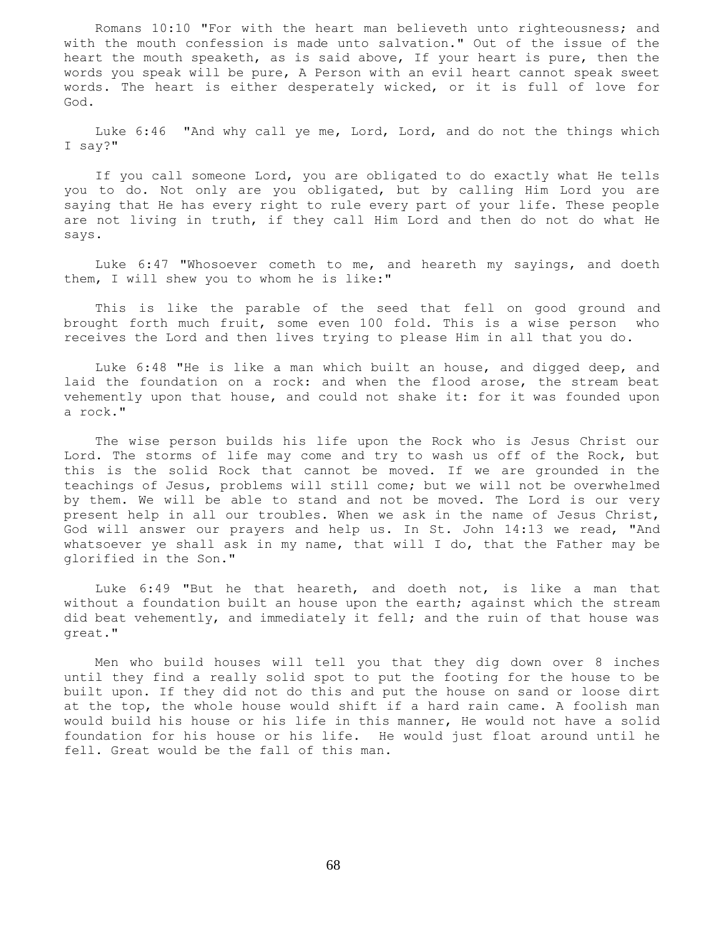Romans 10:10 "For with the heart man believeth unto righteousness; and with the mouth confession is made unto salvation." Out of the issue of the heart the mouth speaketh, as is said above, If your heart is pure, then the words you speak will be pure, A Person with an evil heart cannot speak sweet words. The heart is either desperately wicked, or it is full of love for God.

 Luke 6:46 "And why call ye me, Lord, Lord, and do not the things which I say?"

 If you call someone Lord, you are obligated to do exactly what He tells you to do. Not only are you obligated, but by calling Him Lord you are saying that He has every right to rule every part of your life. These people are not living in truth, if they call Him Lord and then do not do what He says.

 Luke 6:47 "Whosoever cometh to me, and heareth my sayings, and doeth them, I will shew you to whom he is like:"

 This is like the parable of the seed that fell on good ground and brought forth much fruit, some even 100 fold. This is a wise person who receives the Lord and then lives trying to please Him in all that you do.

 Luke 6:48 "He is like a man which built an house, and digged deep, and laid the foundation on a rock: and when the flood arose, the stream beat vehemently upon that house, and could not shake it: for it was founded upon a rock."

 The wise person builds his life upon the Rock who is Jesus Christ our Lord. The storms of life may come and try to wash us off of the Rock, but this is the solid Rock that cannot be moved. If we are grounded in the teachings of Jesus, problems will still come; but we will not be overwhelmed by them. We will be able to stand and not be moved. The Lord is our very present help in all our troubles. When we ask in the name of Jesus Christ, God will answer our prayers and help us. In St. John 14:13 we read, "And whatsoever ye shall ask in my name, that will I do, that the Father may be glorified in the Son."

 Luke 6:49 "But he that heareth, and doeth not, is like a man that without a foundation built an house upon the earth; against which the stream did beat vehemently, and immediately it fell; and the ruin of that house was great."

 Men who build houses will tell you that they dig down over 8 inches until they find a really solid spot to put the footing for the house to be built upon. If they did not do this and put the house on sand or loose dirt at the top, the whole house would shift if a hard rain came. A foolish man would build his house or his life in this manner, He would not have a solid foundation for his house or his life. He would just float around until he fell. Great would be the fall of this man.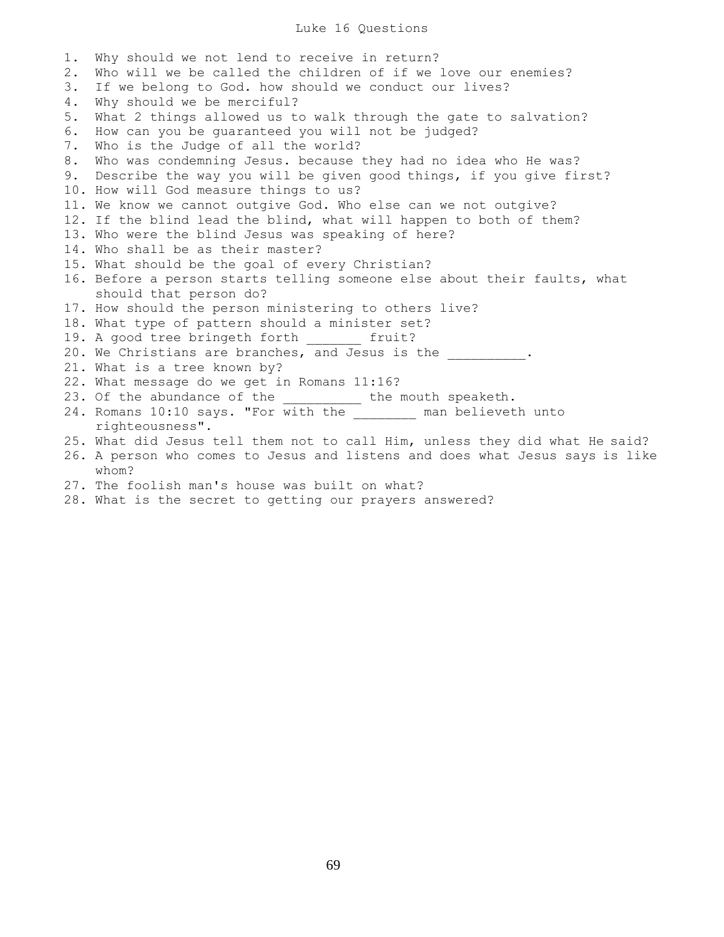## Luke 16 Questions

| 1. | Why should we not lend to receive in return?                                 |
|----|------------------------------------------------------------------------------|
| 2. | Who will we be called the children of if we love our enemies?                |
| 3. | If we belong to God. how should we conduct our lives?                        |
| 4. | Why should we be merciful?                                                   |
| 5. | What 2 things allowed us to walk through the gate to salvation?              |
| 6. | How can you be quaranteed you will not be judged?                            |
| 7. | Who is the Judge of all the world?                                           |
| 8. | Who was condemning Jesus. because they had no idea who He was?               |
| 9. | Describe the way you will be given good things, if you give first?           |
|    | 10. How will God measure things to us?                                       |
|    | 11. We know we cannot outgive God. Who else can we not outgive?              |
|    | 12. If the blind lead the blind, what will happen to both of them?           |
|    | 13. Who were the blind Jesus was speaking of here?                           |
|    | 14. Who shall be as their master?                                            |
|    | 15. What should be the goal of every Christian?                              |
|    | 16. Before a person starts telling someone else about their faults, what     |
|    | should that person do?                                                       |
|    | 17. How should the person ministering to others live?                        |
|    | 18. What type of pattern should a minister set?                              |
|    | 19. A good tree bringeth forth _______ fruit?                                |
|    | 20. We Christians are branches, and Jesus is the 1996.                       |
|    | 21. What is a tree known by?                                                 |
|    | 22. What message do we get in Romans 11:16?                                  |
|    | 23. Of the abundance of the __________ the mouth speaketh.                   |
|    | 24. Romans 10:10 says. "For with the _______ man believeth unto              |
|    | righteousness".                                                              |
|    | 25. What did Jesus tell them not to call Him, unless they did what He said?  |
|    | 26. A person who comes to Jesus and listens and does what Jesus says is like |
|    | whom?                                                                        |
|    | 27. The foolish man's house was built on what?                               |
|    | 28. What is the secret to getting our prayers answered?                      |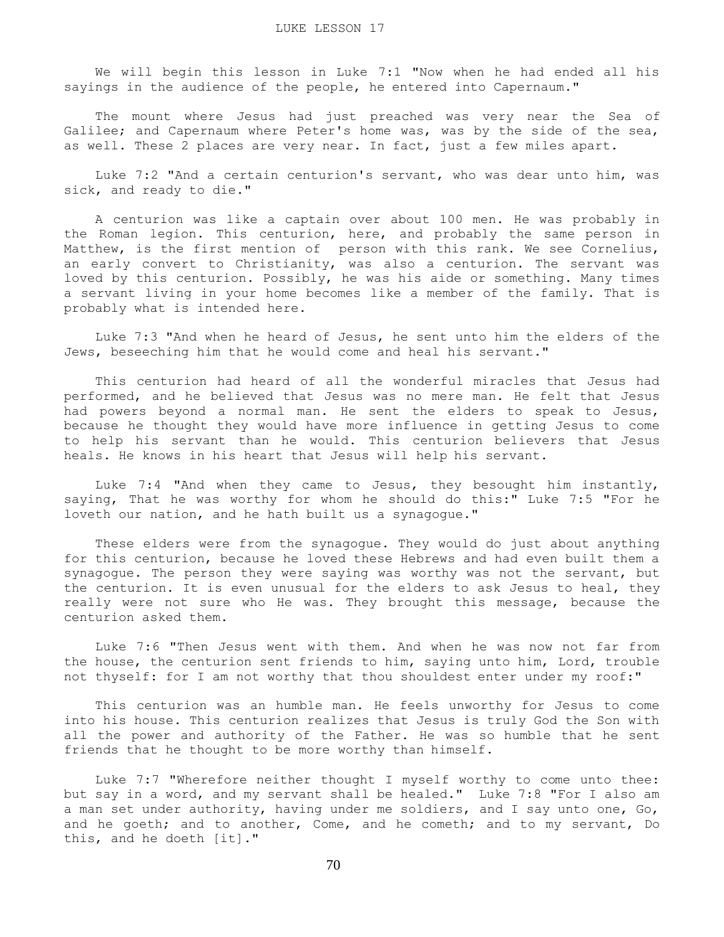We will begin this lesson in Luke 7:1 "Now when he had ended all his sayings in the audience of the people, he entered into Capernaum."

 The mount where Jesus had just preached was very near the Sea of Galilee; and Capernaum where Peter's home was, was by the side of the sea, as well. These 2 places are very near. In fact, just a few miles apart.

 Luke 7:2 "And a certain centurion's servant, who was dear unto him, was sick, and ready to die."

 A centurion was like a captain over about 100 men. He was probably in the Roman legion. This centurion, here, and probably the same person in Matthew, is the first mention of person with this rank. We see Cornelius, an early convert to Christianity, was also a centurion. The servant was loved by this centurion. Possibly, he was his aide or something. Many times a servant living in your home becomes like a member of the family. That is probably what is intended here.

 Luke 7:3 "And when he heard of Jesus, he sent unto him the elders of the Jews, beseeching him that he would come and heal his servant."

 This centurion had heard of all the wonderful miracles that Jesus had performed, and he believed that Jesus was no mere man. He felt that Jesus had powers beyond a normal man. He sent the elders to speak to Jesus, because he thought they would have more influence in getting Jesus to come to help his servant than he would. This centurion believers that Jesus heals. He knows in his heart that Jesus will help his servant.

 Luke 7:4 "And when they came to Jesus, they besought him instantly, saying, That he was worthy for whom he should do this:" Luke 7:5 "For he loveth our nation, and he hath built us a synagogue."

 These elders were from the synagogue. They would do just about anything for this centurion, because he loved these Hebrews and had even built them a synagogue. The person they were saying was worthy was not the servant, but the centurion. It is even unusual for the elders to ask Jesus to heal, they really were not sure who He was. They brought this message, because the centurion asked them.

 Luke 7:6 "Then Jesus went with them. And when he was now not far from the house, the centurion sent friends to him, saying unto him, Lord, trouble not thyself: for I am not worthy that thou shouldest enter under my roof:"

 This centurion was an humble man. He feels unworthy for Jesus to come into his house. This centurion realizes that Jesus is truly God the Son with all the power and authority of the Father. He was so humble that he sent friends that he thought to be more worthy than himself.

 Luke 7:7 "Wherefore neither thought I myself worthy to come unto thee: but say in a word, and my servant shall be healed." Luke 7:8 "For I also am a man set under authority, having under me soldiers, and I say unto one, Go, and he goeth; and to another, Come, and he cometh; and to my servant, Do this, and he doeth [it]."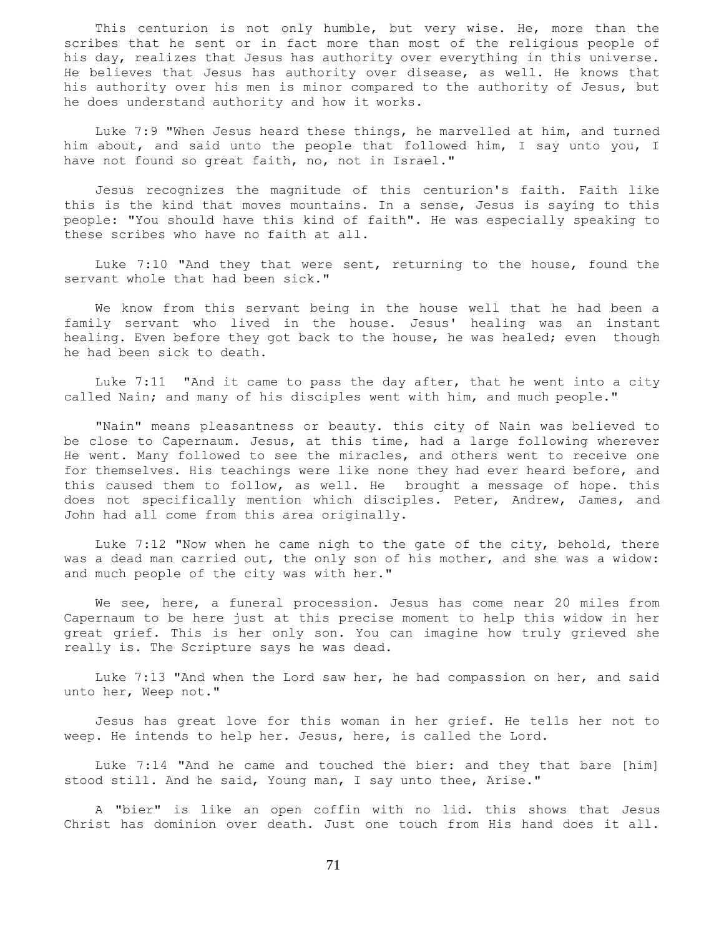This centurion is not only humble, but very wise. He, more than the scribes that he sent or in fact more than most of the religious people of his day, realizes that Jesus has authority over everything in this universe. He believes that Jesus has authority over disease, as well. He knows that his authority over his men is minor compared to the authority of Jesus, but he does understand authority and how it works.

 Luke 7:9 "When Jesus heard these things, he marvelled at him, and turned him about, and said unto the people that followed him, I say unto you, I have not found so great faith, no, not in Israel."

 Jesus recognizes the magnitude of this centurion's faith. Faith like this is the kind that moves mountains. In a sense, Jesus is saying to this people: "You should have this kind of faith". He was especially speaking to these scribes who have no faith at all.

 Luke 7:10 "And they that were sent, returning to the house, found the servant whole that had been sick."

 We know from this servant being in the house well that he had been a family servant who lived in the house. Jesus' healing was an instant healing. Even before they got back to the house, he was healed; even though he had been sick to death.

 Luke 7:11 "And it came to pass the day after, that he went into a city called Nain; and many of his disciples went with him, and much people."

 "Nain" means pleasantness or beauty. this city of Nain was believed to be close to Capernaum. Jesus, at this time, had a large following wherever He went. Many followed to see the miracles, and others went to receive one for themselves. His teachings were like none they had ever heard before, and this caused them to follow, as well. He brought a message of hope. this does not specifically mention which disciples. Peter, Andrew, James, and John had all come from this area originally.

 Luke 7:12 "Now when he came nigh to the gate of the city, behold, there was a dead man carried out, the only son of his mother, and she was a widow: and much people of the city was with her."

 We see, here, a funeral procession. Jesus has come near 20 miles from Capernaum to be here just at this precise moment to help this widow in her great grief. This is her only son. You can imagine how truly grieved she really is. The Scripture says he was dead.

 Luke 7:13 "And when the Lord saw her, he had compassion on her, and said unto her, Weep not."

 Jesus has great love for this woman in her grief. He tells her not to weep. He intends to help her. Jesus, here, is called the Lord.

 Luke 7:14 "And he came and touched the bier: and they that bare [him] stood still. And he said, Young man, I say unto thee, Arise."

 A "bier" is like an open coffin with no lid. this shows that Jesus Christ has dominion over death. Just one touch from His hand does it all.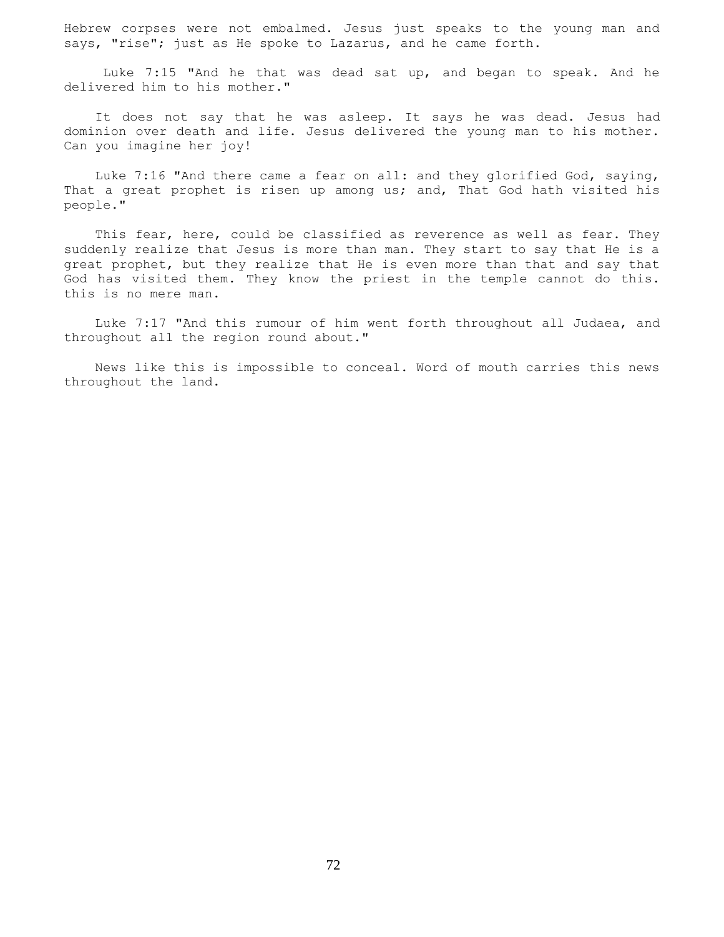Hebrew corpses were not embalmed. Jesus just speaks to the young man and says, "rise"; just as He spoke to Lazarus, and he came forth.

 Luke 7:15 "And he that was dead sat up, and began to speak. And he delivered him to his mother."

 It does not say that he was asleep. It says he was dead. Jesus had dominion over death and life. Jesus delivered the young man to his mother. Can you imagine her joy!

 Luke 7:16 "And there came a fear on all: and they glorified God, saying, That a great prophet is risen up among us; and, That God hath visited his people."

This fear, here, could be classified as reverence as well as fear. They suddenly realize that Jesus is more than man. They start to say that He is a great prophet, but they realize that He is even more than that and say that God has visited them. They know the priest in the temple cannot do this. this is no mere man.

 Luke 7:17 "And this rumour of him went forth throughout all Judaea, and throughout all the region round about."

 News like this is impossible to conceal. Word of mouth carries this news throughout the land.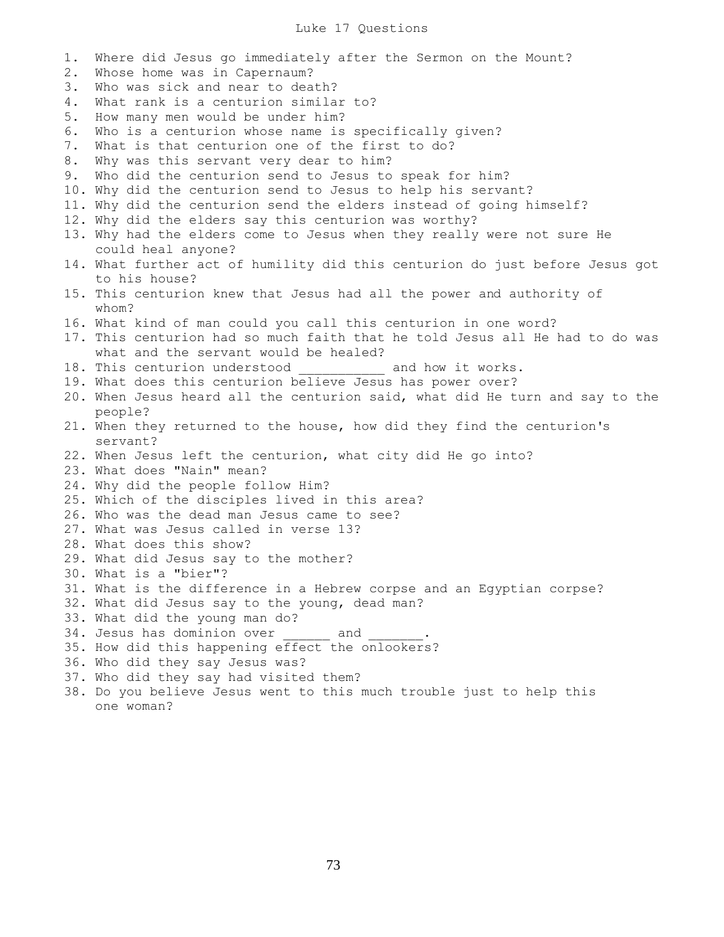## Luke 17 Questions

1. Where did Jesus go immediately after the Sermon on the Mount? 2. Whose home was in Capernaum? 3. Who was sick and near to death? 4. What rank is a centurion similar to? 5. How many men would be under him? 6. Who is a centurion whose name is specifically given? 7. What is that centurion one of the first to do? 8. Why was this servant very dear to him? 9. Who did the centurion send to Jesus to speak for him? 10. Why did the centurion send to Jesus to help his servant? 11. Why did the centurion send the elders instead of going himself? 12. Why did the elders say this centurion was worthy? 13. Why had the elders come to Jesus when they really were not sure He could heal anyone? 14. What further act of humility did this centurion do just before Jesus got to his house? 15. This centurion knew that Jesus had all the power and authority of whom? 16. What kind of man could you call this centurion in one word? 17. This centurion had so much faith that he told Jesus all He had to do was what and the servant would be healed? 18. This centurion understood \_\_\_\_\_\_\_\_\_\_\_ and how it works. 19. What does this centurion believe Jesus has power over? 20. When Jesus heard all the centurion said, what did He turn and say to the people? 21. When they returned to the house, how did they find the centurion's servant? 22. When Jesus left the centurion, what city did He go into? 23. What does "Nain" mean? 24. Why did the people follow Him? 25. Which of the disciples lived in this area? 26. Who was the dead man Jesus came to see? 27. What was Jesus called in verse 13? 28. What does this show? 29. What did Jesus say to the mother? 30. What is a "bier"? 31. What is the difference in a Hebrew corpse and an Egyptian corpse? 32. What did Jesus say to the young, dead man? 33. What did the young man do? 34. Jesus has dominion over and 35. How did this happening effect the onlookers? 36. Who did they say Jesus was? 37. Who did they say had visited them? 38. Do you believe Jesus went to this much trouble just to help this

one woman?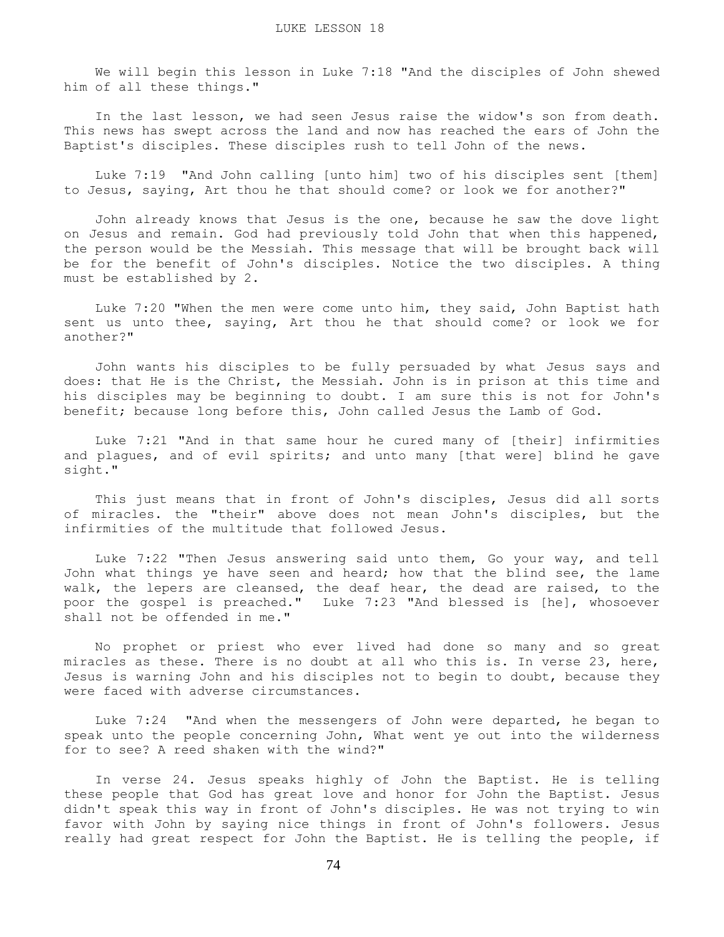We will begin this lesson in Luke 7:18 "And the disciples of John shewed him of all these things."

 In the last lesson, we had seen Jesus raise the widow's son from death. This news has swept across the land and now has reached the ears of John the Baptist's disciples. These disciples rush to tell John of the news.

 Luke 7:19 "And John calling [unto him] two of his disciples sent [them] to Jesus, saying, Art thou he that should come? or look we for another?"

 John already knows that Jesus is the one, because he saw the dove light on Jesus and remain. God had previously told John that when this happened, the person would be the Messiah. This message that will be brought back will be for the benefit of John's disciples. Notice the two disciples. A thing must be established by 2.

 Luke 7:20 "When the men were come unto him, they said, John Baptist hath sent us unto thee, saying, Art thou he that should come? or look we for another?"

 John wants his disciples to be fully persuaded by what Jesus says and does: that He is the Christ, the Messiah. John is in prison at this time and his disciples may be beginning to doubt. I am sure this is not for John's benefit; because long before this, John called Jesus the Lamb of God.

 Luke 7:21 "And in that same hour he cured many of [their] infirmities and plagues, and of evil spirits; and unto many [that were] blind he gave sight."

 This just means that in front of John's disciples, Jesus did all sorts of miracles. the "their" above does not mean John's disciples, but the infirmities of the multitude that followed Jesus.

 Luke 7:22 "Then Jesus answering said unto them, Go your way, and tell John what things ye have seen and heard; how that the blind see, the lame walk, the lepers are cleansed, the deaf hear, the dead are raised, to the poor the gospel is preached." Luke 7:23 "And blessed is [he], whosoever shall not be offended in me."

 No prophet or priest who ever lived had done so many and so great miracles as these. There is no doubt at all who this is. In verse 23, here, Jesus is warning John and his disciples not to begin to doubt, because they were faced with adverse circumstances.

 Luke 7:24 "And when the messengers of John were departed, he began to speak unto the people concerning John, What went ye out into the wilderness for to see? A reed shaken with the wind?"

 In verse 24. Jesus speaks highly of John the Baptist. He is telling these people that God has great love and honor for John the Baptist. Jesus didn't speak this way in front of John's disciples. He was not trying to win favor with John by saying nice things in front of John's followers. Jesus really had great respect for John the Baptist. He is telling the people, if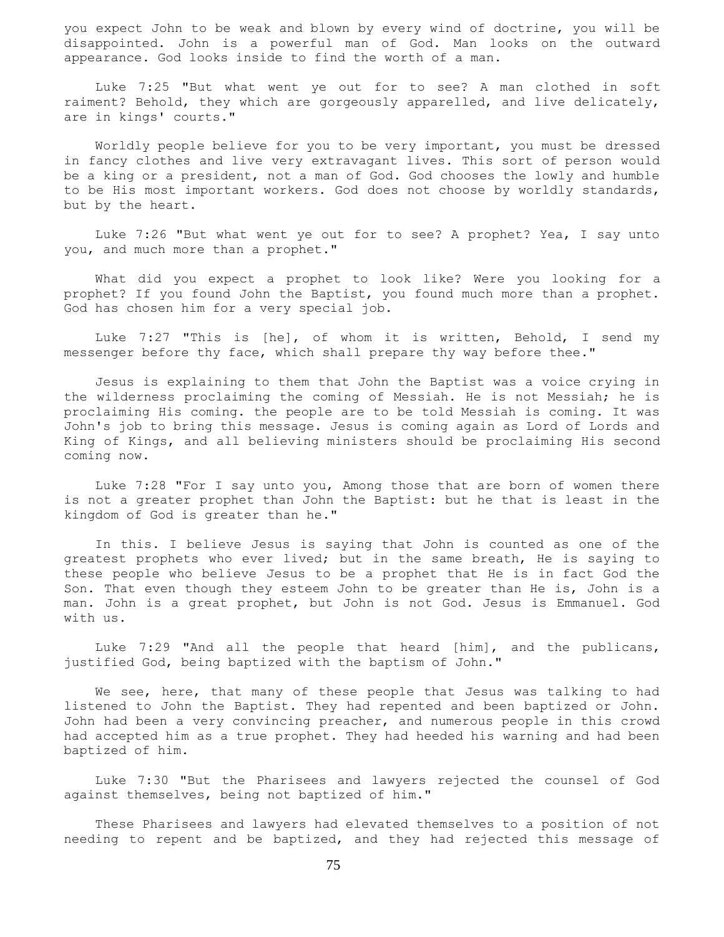you expect John to be weak and blown by every wind of doctrine, you will be disappointed. John is a powerful man of God. Man looks on the outward appearance. God looks inside to find the worth of a man.

 Luke 7:25 "But what went ye out for to see? A man clothed in soft raiment? Behold, they which are gorgeously apparelled, and live delicately, are in kings' courts."

 Worldly people believe for you to be very important, you must be dressed in fancy clothes and live very extravagant lives. This sort of person would be a king or a president, not a man of God. God chooses the lowly and humble to be His most important workers. God does not choose by worldly standards, but by the heart.

 Luke 7:26 "But what went ye out for to see? A prophet? Yea, I say unto you, and much more than a prophet."

 What did you expect a prophet to look like? Were you looking for a prophet? If you found John the Baptist, you found much more than a prophet. God has chosen him for a very special job.

 Luke 7:27 "This is [he], of whom it is written, Behold, I send my messenger before thy face, which shall prepare thy way before thee."

 Jesus is explaining to them that John the Baptist was a voice crying in the wilderness proclaiming the coming of Messiah. He is not Messiah; he is proclaiming His coming. the people are to be told Messiah is coming. It was John's job to bring this message. Jesus is coming again as Lord of Lords and King of Kings, and all believing ministers should be proclaiming His second coming now.

 Luke 7:28 "For I say unto you, Among those that are born of women there is not a greater prophet than John the Baptist: but he that is least in the kingdom of God is greater than he."

 In this. I believe Jesus is saying that John is counted as one of the greatest prophets who ever lived; but in the same breath, He is saying to these people who believe Jesus to be a prophet that He is in fact God the Son. That even though they esteem John to be greater than He is, John is a man. John is a great prophet, but John is not God. Jesus is Emmanuel. God with us.

 Luke 7:29 "And all the people that heard [him], and the publicans, justified God, being baptized with the baptism of John."

 We see, here, that many of these people that Jesus was talking to had listened to John the Baptist. They had repented and been baptized or John. John had been a very convincing preacher, and numerous people in this crowd had accepted him as a true prophet. They had heeded his warning and had been baptized of him.

 Luke 7:30 "But the Pharisees and lawyers rejected the counsel of God against themselves, being not baptized of him."

 These Pharisees and lawyers had elevated themselves to a position of not needing to repent and be baptized, and they had rejected this message of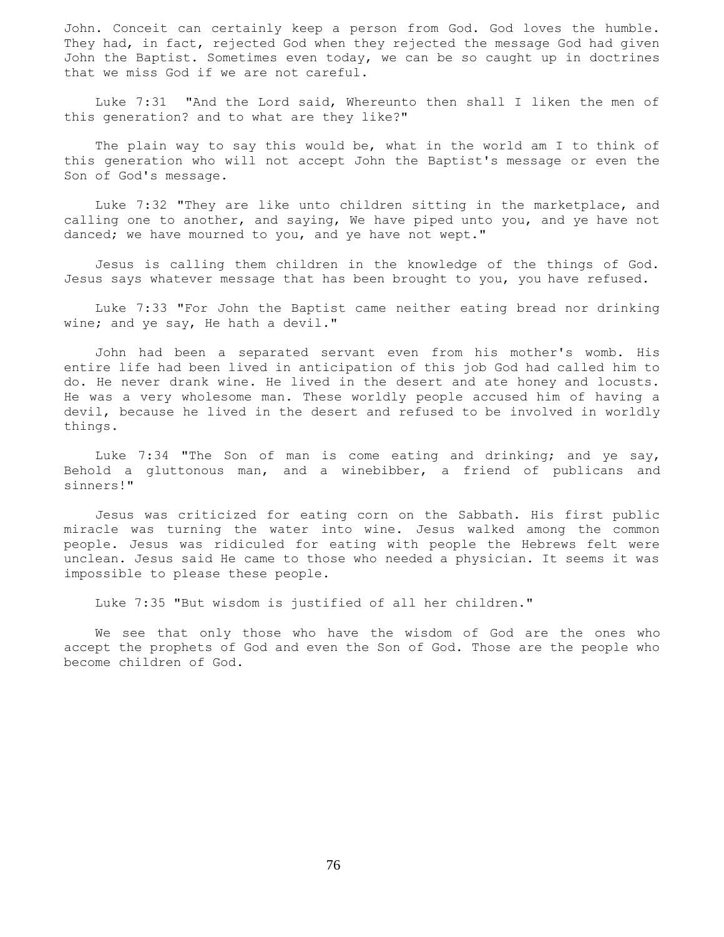John. Conceit can certainly keep a person from God. God loves the humble. They had, in fact, rejected God when they rejected the message God had given John the Baptist. Sometimes even today, we can be so caught up in doctrines that we miss God if we are not careful.

 Luke 7:31 "And the Lord said, Whereunto then shall I liken the men of this generation? and to what are they like?"

 The plain way to say this would be, what in the world am I to think of this generation who will not accept John the Baptist's message or even the Son of God's message.

 Luke 7:32 "They are like unto children sitting in the marketplace, and calling one to another, and saying, We have piped unto you, and ye have not danced; we have mourned to you, and ye have not wept."

 Jesus is calling them children in the knowledge of the things of God. Jesus says whatever message that has been brought to you, you have refused.

 Luke 7:33 "For John the Baptist came neither eating bread nor drinking wine; and ye say, He hath a devil."

 John had been a separated servant even from his mother's womb. His entire life had been lived in anticipation of this job God had called him to do. He never drank wine. He lived in the desert and ate honey and locusts. He was a very wholesome man. These worldly people accused him of having a devil, because he lived in the desert and refused to be involved in worldly things.

 Luke 7:34 "The Son of man is come eating and drinking; and ye say, Behold a gluttonous man, and a winebibber, a friend of publicans and sinners!"

 Jesus was criticized for eating corn on the Sabbath. His first public miracle was turning the water into wine. Jesus walked among the common people. Jesus was ridiculed for eating with people the Hebrews felt were unclean. Jesus said He came to those who needed a physician. It seems it was impossible to please these people.

Luke 7:35 "But wisdom is justified of all her children."

 We see that only those who have the wisdom of God are the ones who accept the prophets of God and even the Son of God. Those are the people who become children of God.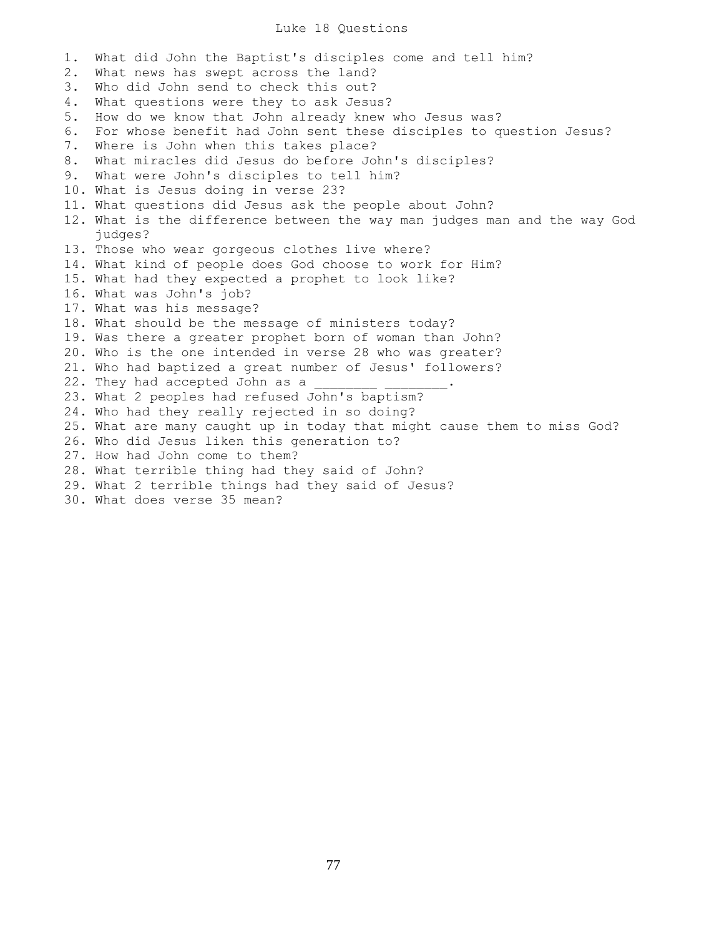## Luke 18 Questions

1. What did John the Baptist's disciples come and tell him? 2. What news has swept across the land? 3. Who did John send to check this out? 4. What questions were they to ask Jesus? 5. How do we know that John already knew who Jesus was? 6. For whose benefit had John sent these disciples to question Jesus? 7. Where is John when this takes place? 8. What miracles did Jesus do before John's disciples? 9. What were John's disciples to tell him? 10. What is Jesus doing in verse 23? 11. What questions did Jesus ask the people about John? 12. What is the difference between the way man judges man and the way God judges? 13. Those who wear gorgeous clothes live where? 14. What kind of people does God choose to work for Him? 15. What had they expected a prophet to look like? 16. What was John's job? 17. What was his message? 18. What should be the message of ministers today? 19. Was there a greater prophet born of woman than John? 20. Who is the one intended in verse 28 who was greater? 21. Who had baptized a great number of Jesus' followers? 22. They had accepted John as a 23. What 2 peoples had refused John's baptism? 24. Who had they really rejected in so doing? 25. What are many caught up in today that might cause them to miss God? 26. Who did Jesus liken this generation to? 27. How had John come to them? 28. What terrible thing had they said of John? 29. What 2 terrible things had they said of Jesus? 30. What does verse 35 mean?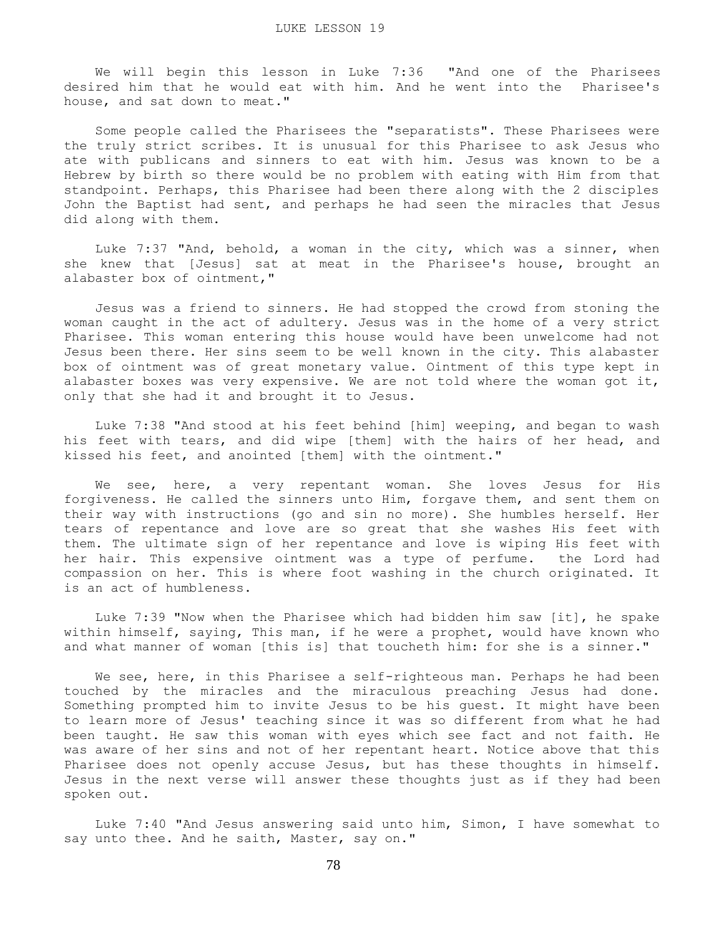We will begin this lesson in Luke 7:36 "And one of the Pharisees desired him that he would eat with him. And he went into the Pharisee's house, and sat down to meat."

 Some people called the Pharisees the "separatists". These Pharisees were the truly strict scribes. It is unusual for this Pharisee to ask Jesus who ate with publicans and sinners to eat with him. Jesus was known to be a Hebrew by birth so there would be no problem with eating with Him from that standpoint. Perhaps, this Pharisee had been there along with the 2 disciples John the Baptist had sent, and perhaps he had seen the miracles that Jesus did along with them.

 Luke 7:37 "And, behold, a woman in the city, which was a sinner, when she knew that [Jesus] sat at meat in the Pharisee's house, brought an alabaster box of ointment,"

 Jesus was a friend to sinners. He had stopped the crowd from stoning the woman caught in the act of adultery. Jesus was in the home of a very strict Pharisee. This woman entering this house would have been unwelcome had not Jesus been there. Her sins seem to be well known in the city. This alabaster box of ointment was of great monetary value. Ointment of this type kept in alabaster boxes was very expensive. We are not told where the woman got it, only that she had it and brought it to Jesus.

 Luke 7:38 "And stood at his feet behind [him] weeping, and began to wash his feet with tears, and did wipe [them] with the hairs of her head, and kissed his feet, and anointed [them] with the ointment."

 We see, here, a very repentant woman. She loves Jesus for His forgiveness. He called the sinners unto Him, forgave them, and sent them on their way with instructions (go and sin no more). She humbles herself. Her tears of repentance and love are so great that she washes His feet with them. The ultimate sign of her repentance and love is wiping His feet with her hair. This expensive ointment was a type of perfume. the Lord had compassion on her. This is where foot washing in the church originated. It is an act of humbleness.

 Luke 7:39 "Now when the Pharisee which had bidden him saw [it], he spake within himself, saying, This man, if he were a prophet, would have known who and what manner of woman [this is] that toucheth him: for she is a sinner."

We see, here, in this Pharisee a self-righteous man. Perhaps he had been touched by the miracles and the miraculous preaching Jesus had done. Something prompted him to invite Jesus to be his guest. It might have been to learn more of Jesus' teaching since it was so different from what he had been taught. He saw this woman with eyes which see fact and not faith. He was aware of her sins and not of her repentant heart. Notice above that this Pharisee does not openly accuse Jesus, but has these thoughts in himself. Jesus in the next verse will answer these thoughts just as if they had been spoken out.

 Luke 7:40 "And Jesus answering said unto him, Simon, I have somewhat to say unto thee. And he saith, Master, say on."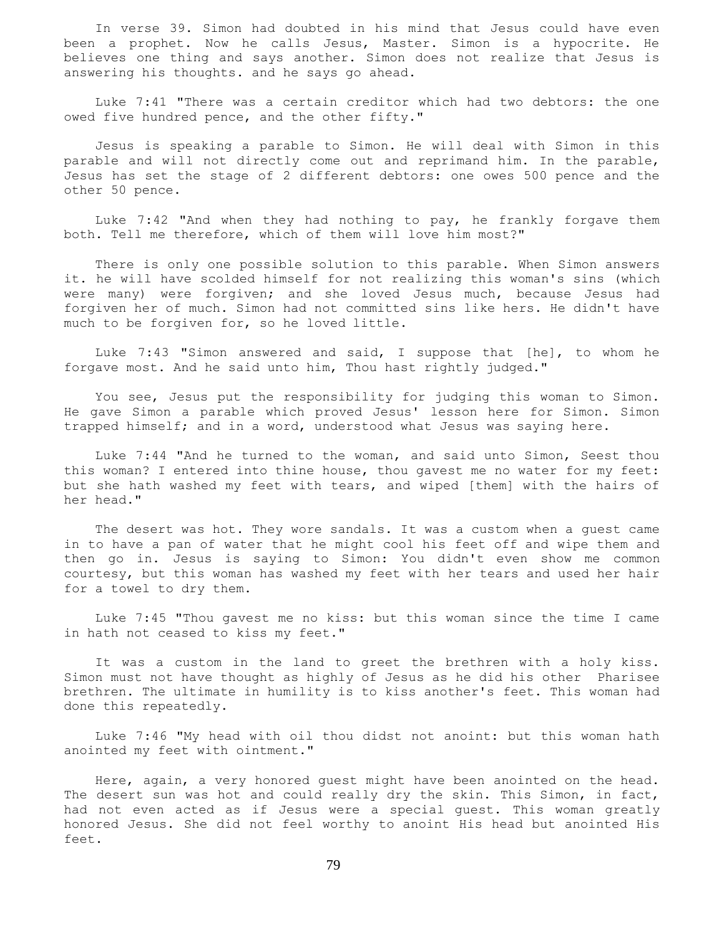In verse 39. Simon had doubted in his mind that Jesus could have even been a prophet. Now he calls Jesus, Master. Simon is a hypocrite. He believes one thing and says another. Simon does not realize that Jesus is answering his thoughts. and he says go ahead.

 Luke 7:41 "There was a certain creditor which had two debtors: the one owed five hundred pence, and the other fifty."

 Jesus is speaking a parable to Simon. He will deal with Simon in this parable and will not directly come out and reprimand him. In the parable, Jesus has set the stage of 2 different debtors: one owes 500 pence and the other 50 pence.

 Luke 7:42 "And when they had nothing to pay, he frankly forgave them both. Tell me therefore, which of them will love him most?"

 There is only one possible solution to this parable. When Simon answers it. he will have scolded himself for not realizing this woman's sins (which were many) were forgiven; and she loved Jesus much, because Jesus had forgiven her of much. Simon had not committed sins like hers. He didn't have much to be forgiven for, so he loved little.

 Luke 7:43 "Simon answered and said, I suppose that [he], to whom he forgave most. And he said unto him, Thou hast rightly judged."

 You see, Jesus put the responsibility for judging this woman to Simon. He gave Simon a parable which proved Jesus' lesson here for Simon. Simon trapped himself; and in a word, understood what Jesus was saying here.

 Luke 7:44 "And he turned to the woman, and said unto Simon, Seest thou this woman? I entered into thine house, thou gavest me no water for my feet: but she hath washed my feet with tears, and wiped [them] with the hairs of her head."

 The desert was hot. They wore sandals. It was a custom when a guest came in to have a pan of water that he might cool his feet off and wipe them and then go in. Jesus is saying to Simon: You didn't even show me common courtesy, but this woman has washed my feet with her tears and used her hair for a towel to dry them.

 Luke 7:45 "Thou gavest me no kiss: but this woman since the time I came in hath not ceased to kiss my feet."

 It was a custom in the land to greet the brethren with a holy kiss. Simon must not have thought as highly of Jesus as he did his other Pharisee brethren. The ultimate in humility is to kiss another's feet. This woman had done this repeatedly.

 Luke 7:46 "My head with oil thou didst not anoint: but this woman hath anointed my feet with ointment."

 Here, again, a very honored guest might have been anointed on the head. The desert sun was hot and could really dry the skin. This Simon, in fact, had not even acted as if Jesus were a special guest. This woman greatly honored Jesus. She did not feel worthy to anoint His head but anointed His feet.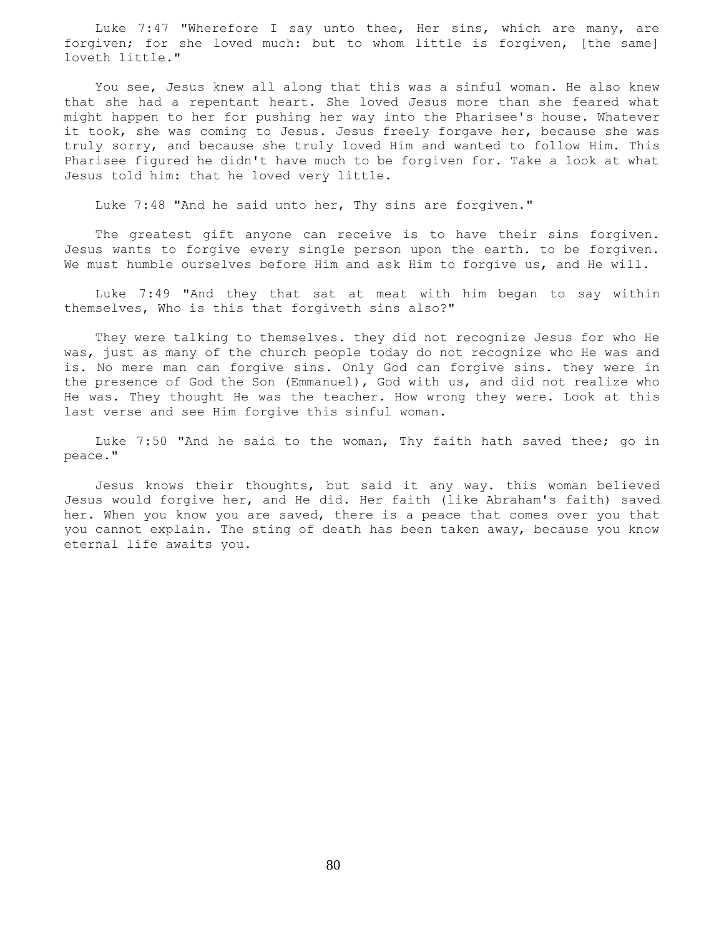Luke 7:47 "Wherefore I say unto thee, Her sins, which are many, are forgiven; for she loved much: but to whom little is forgiven, [the same] loveth little."

 You see, Jesus knew all along that this was a sinful woman. He also knew that she had a repentant heart. She loved Jesus more than she feared what might happen to her for pushing her way into the Pharisee's house. Whatever it took, she was coming to Jesus. Jesus freely forgave her, because she was truly sorry, and because she truly loved Him and wanted to follow Him. This Pharisee figured he didn't have much to be forgiven for. Take a look at what Jesus told him: that he loved very little.

Luke 7:48 "And he said unto her, Thy sins are forgiven."

 The greatest gift anyone can receive is to have their sins forgiven. Jesus wants to forgive every single person upon the earth. to be forgiven. We must humble ourselves before Him and ask Him to forgive us, and He will.

 Luke 7:49 "And they that sat at meat with him began to say within themselves, Who is this that forgiveth sins also?"

 They were talking to themselves. they did not recognize Jesus for who He was, just as many of the church people today do not recognize who He was and is. No mere man can forgive sins. Only God can forgive sins. they were in the presence of God the Son (Emmanuel), God with us, and did not realize who He was. They thought He was the teacher. How wrong they were. Look at this last verse and see Him forgive this sinful woman.

 Luke 7:50 "And he said to the woman, Thy faith hath saved thee; go in peace."

 Jesus knows their thoughts, but said it any way. this woman believed Jesus would forgive her, and He did. Her faith (like Abraham's faith) saved her. When you know you are saved, there is a peace that comes over you that you cannot explain. The sting of death has been taken away, because you know eternal life awaits you.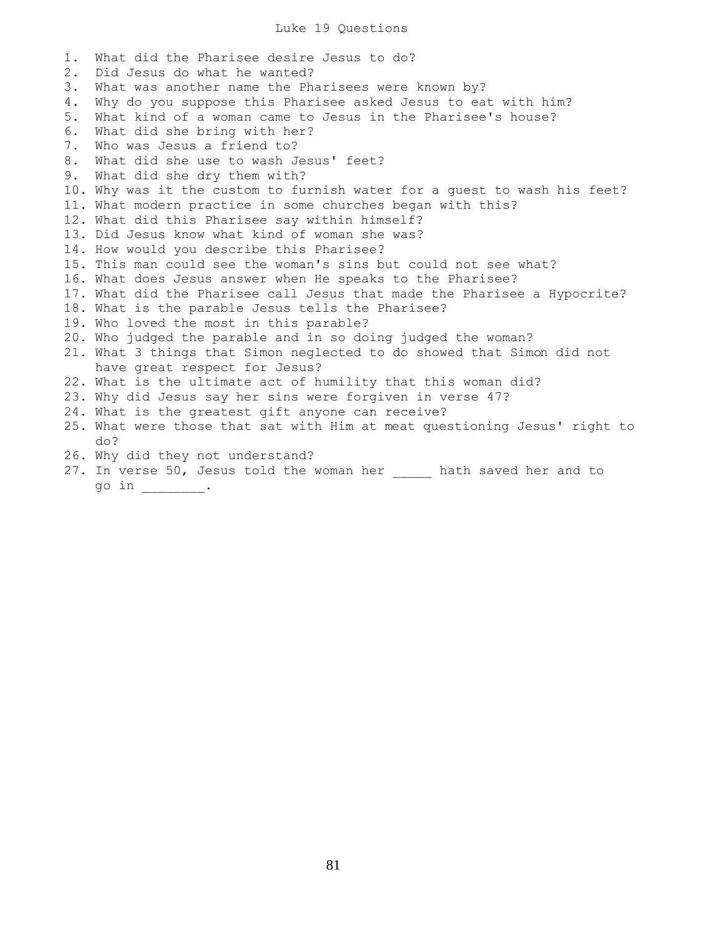## Luke 19 Questions

1. What did the Pharisee desire Jesus to do? 2. Did Jesus do what he wanted? 3. What was another name the Pharisees were known by? 4. Why do you suppose this Pharisee asked Jesus to eat with him? 5. What kind of a woman came to Jesus in the Pharisee's house? 6. What did she bring with her? 7. Who was Jesus a friend to? 8. What did she use to wash Jesus' feet? 9. What did she dry them with? 10. Why was it the custom to furnish water for a guest to wash his feet? 11. What modern practice in some churches began with this? 12. What did this Pharisee say within himself? 13. Did Jesus know what kind of woman she was? 14. How would you describe this Pharisee? 15. This man could see the woman's sins but could not see what? 16. What does Jesus answer when He speaks to the Pharisee? 17. What did the Pharisee call Jesus that made the Pharisee a Hypocrite? 18. What is the parable Jesus tells the Pharisee? 19. Who loved the most in this parable? 20. Who judged the parable and in so doing judged the woman? 21. What 3 things that Simon neglected to do showed that Simon did not have great respect for Jesus? 22. What is the ultimate act of humility that this woman did? 23. Why did Jesus say her sins were forgiven in verse 47? 24. What is the greatest gift anyone can receive? 25. What were those that sat with Him at meat questioning Jesus' right to do? 26. Why did they not understand? 27. In verse 50, Jesus told the woman her hath saved her and to

go in \_\_\_\_\_\_\_\_.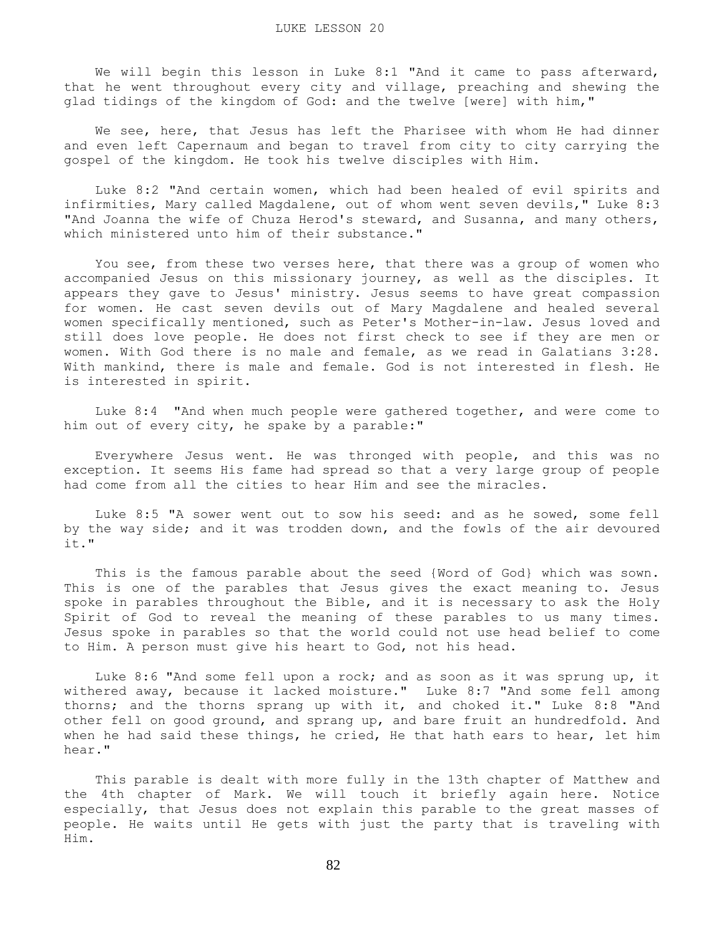We will begin this lesson in Luke 8:1 "And it came to pass afterward, that he went throughout every city and village, preaching and shewing the glad tidings of the kingdom of God: and the twelve [were] with him,"

We see, here, that Jesus has left the Pharisee with whom He had dinner and even left Capernaum and began to travel from city to city carrying the gospel of the kingdom. He took his twelve disciples with Him.

 Luke 8:2 "And certain women, which had been healed of evil spirits and infirmities, Mary called Magdalene, out of whom went seven devils," Luke 8:3 "And Joanna the wife of Chuza Herod's steward, and Susanna, and many others, which ministered unto him of their substance."

 You see, from these two verses here, that there was a group of women who accompanied Jesus on this missionary journey, as well as the disciples. It appears they gave to Jesus' ministry. Jesus seems to have great compassion for women. He cast seven devils out of Mary Magdalene and healed several women specifically mentioned, such as Peter's Mother-in-law. Jesus loved and still does love people. He does not first check to see if they are men or women. With God there is no male and female, as we read in Galatians 3:28. With mankind, there is male and female. God is not interested in flesh. He is interested in spirit.

 Luke 8:4 "And when much people were gathered together, and were come to him out of every city, he spake by a parable:"

 Everywhere Jesus went. He was thronged with people, and this was no exception. It seems His fame had spread so that a very large group of people had come from all the cities to hear Him and see the miracles.

 Luke 8:5 "A sower went out to sow his seed: and as he sowed, some fell by the way side; and it was trodden down, and the fowls of the air devoured it."

 This is the famous parable about the seed {Word of God} which was sown. This is one of the parables that Jesus gives the exact meaning to. Jesus spoke in parables throughout the Bible, and it is necessary to ask the Holy Spirit of God to reveal the meaning of these parables to us many times. Jesus spoke in parables so that the world could not use head belief to come to Him. A person must give his heart to God, not his head.

 Luke 8:6 "And some fell upon a rock; and as soon as it was sprung up, it withered away, because it lacked moisture." Luke 8:7 "And some fell among thorns; and the thorns sprang up with it, and choked it." Luke 8:8 "And other fell on good ground, and sprang up, and bare fruit an hundredfold. And when he had said these things, he cried, He that hath ears to hear, let him hear."

 This parable is dealt with more fully in the 13th chapter of Matthew and the 4th chapter of Mark. We will touch it briefly again here. Notice especially, that Jesus does not explain this parable to the great masses of people. He waits until He gets with just the party that is traveling with Him.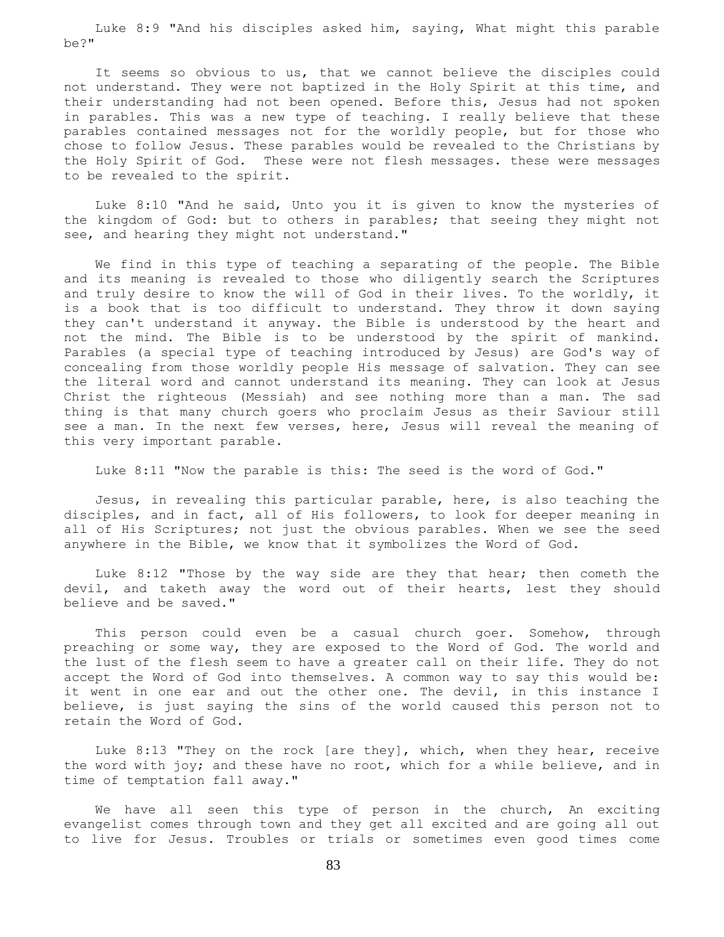Luke 8:9 "And his disciples asked him, saying, What might this parable be?"

 It seems so obvious to us, that we cannot believe the disciples could not understand. They were not baptized in the Holy Spirit at this time, and their understanding had not been opened. Before this, Jesus had not spoken in parables. This was a new type of teaching. I really believe that these parables contained messages not for the worldly people, but for those who chose to follow Jesus. These parables would be revealed to the Christians by the Holy Spirit of God. These were not flesh messages. these were messages to be revealed to the spirit.

 Luke 8:10 "And he said, Unto you it is given to know the mysteries of the kingdom of God: but to others in parables; that seeing they might not see, and hearing they might not understand."

 We find in this type of teaching a separating of the people. The Bible and its meaning is revealed to those who diligently search the Scriptures and truly desire to know the will of God in their lives. To the worldly, it is a book that is too difficult to understand. They throw it down saying they can't understand it anyway. the Bible is understood by the heart and not the mind. The Bible is to be understood by the spirit of mankind. Parables (a special type of teaching introduced by Jesus) are God's way of concealing from those worldly people His message of salvation. They can see the literal word and cannot understand its meaning. They can look at Jesus Christ the righteous (Messiah) and see nothing more than a man. The sad thing is that many church goers who proclaim Jesus as their Saviour still see a man. In the next few verses, here, Jesus will reveal the meaning of this very important parable.

Luke 8:11 "Now the parable is this: The seed is the word of God."

 Jesus, in revealing this particular parable, here, is also teaching the disciples, and in fact, all of His followers, to look for deeper meaning in all of His Scriptures; not just the obvious parables. When we see the seed anywhere in the Bible, we know that it symbolizes the Word of God.

 Luke 8:12 "Those by the way side are they that hear; then cometh the devil, and taketh away the word out of their hearts, lest they should believe and be saved."

 This person could even be a casual church goer. Somehow, through preaching or some way, they are exposed to the Word of God. The world and the lust of the flesh seem to have a greater call on their life. They do not accept the Word of God into themselves. A common way to say this would be: it went in one ear and out the other one. The devil, in this instance I believe, is just saying the sins of the world caused this person not to retain the Word of God.

 Luke 8:13 "They on the rock [are they], which, when they hear, receive the word with joy; and these have no root, which for a while believe, and in time of temptation fall away."

 We have all seen this type of person in the church, An exciting evangelist comes through town and they get all excited and are going all out to live for Jesus. Troubles or trials or sometimes even good times come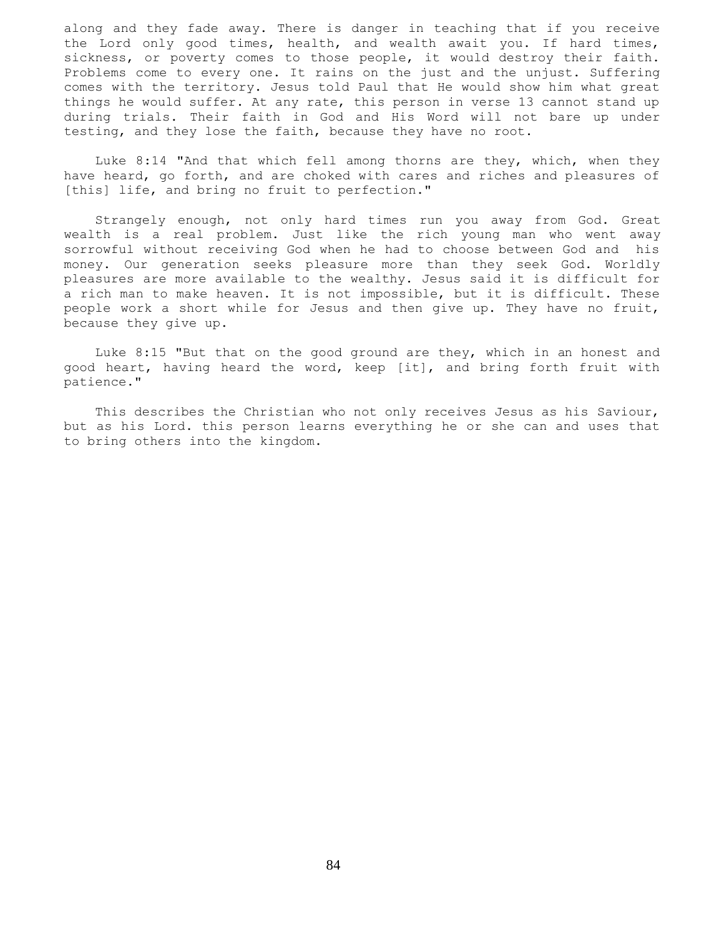along and they fade away. There is danger in teaching that if you receive the Lord only good times, health, and wealth await you. If hard times, sickness, or poverty comes to those people, it would destroy their faith. Problems come to every one. It rains on the just and the unjust. Suffering comes with the territory. Jesus told Paul that He would show him what great things he would suffer. At any rate, this person in verse 13 cannot stand up during trials. Their faith in God and His Word will not bare up under testing, and they lose the faith, because they have no root.

 Luke 8:14 "And that which fell among thorns are they, which, when they have heard, go forth, and are choked with cares and riches and pleasures of [this] life, and bring no fruit to perfection."

 Strangely enough, not only hard times run you away from God. Great wealth is a real problem. Just like the rich young man who went away sorrowful without receiving God when he had to choose between God and his money. Our generation seeks pleasure more than they seek God. Worldly pleasures are more available to the wealthy. Jesus said it is difficult for a rich man to make heaven. It is not impossible, but it is difficult. These people work a short while for Jesus and then give up. They have no fruit, because they give up.

 Luke 8:15 "But that on the good ground are they, which in an honest and good heart, having heard the word, keep [it], and bring forth fruit with patience."

 This describes the Christian who not only receives Jesus as his Saviour, but as his Lord. this person learns everything he or she can and uses that to bring others into the kingdom.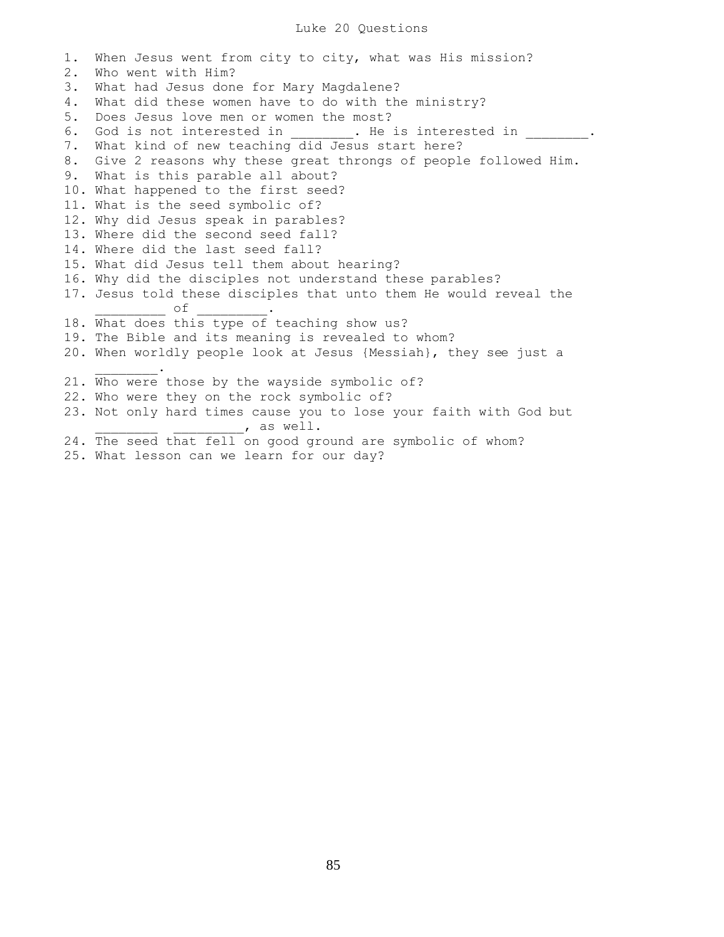## Luke 20 Questions

1. When Jesus went from city to city, what was His mission? 2. Who went with Him? 3. What had Jesus done for Mary Magdalene? 4. What did these women have to do with the ministry? 5. Does Jesus love men or women the most? 6. God is not interested in The is interested in Theorem is interested in 7. What kind of new teaching did Jesus start here? 8. Give 2 reasons why these great throngs of people followed Him. 9. What is this parable all about? 10. What happened to the first seed? 11. What is the seed symbolic of? 12. Why did Jesus speak in parables? 13. Where did the second seed fall? 14. Where did the last seed fall? 15. What did Jesus tell them about hearing? 16. Why did the disciples not understand these parables? 17. Jesus told these disciples that unto them He would reveal the  $\circ$  f 18. What does this type of teaching show us? 19. The Bible and its meaning is revealed to whom? 20. When worldly people look at Jesus {Messiah}, they see just a  $\frac{1}{2}$  ,  $\frac{1}{2}$  ,  $\frac{1}{2}$  ,  $\frac{1}{2}$  ,  $\frac{1}{2}$ 21. Who were those by the wayside symbolic of? 22. Who were they on the rock symbolic of? 23. Not only hard times cause you to lose your faith with God but  $\overline{\phantom{a}}$ , as well. 24. The seed that fell on good ground are symbolic of whom? 25. What lesson can we learn for our day?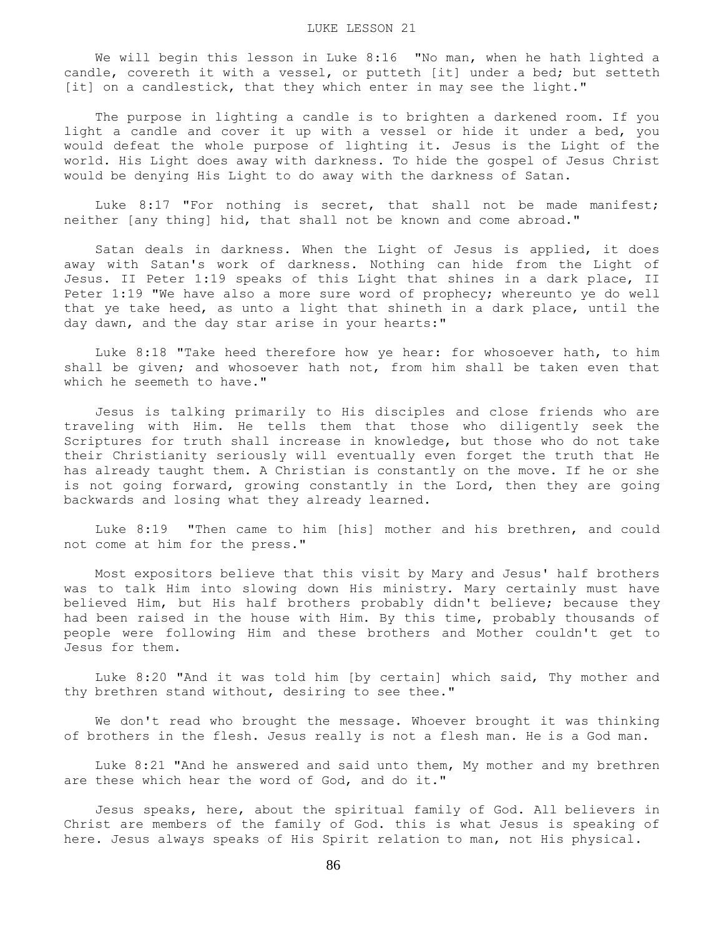We will begin this lesson in Luke 8:16 "No man, when he hath lighted a candle, covereth it with a vessel, or putteth [it] under a bed; but setteth [it] on a candlestick, that they which enter in may see the light."

 The purpose in lighting a candle is to brighten a darkened room. If you light a candle and cover it up with a vessel or hide it under a bed, you would defeat the whole purpose of lighting it. Jesus is the Light of the world. His Light does away with darkness. To hide the gospel of Jesus Christ would be denying His Light to do away with the darkness of Satan.

 Luke 8:17 "For nothing is secret, that shall not be made manifest; neither [any thing] hid, that shall not be known and come abroad."

 Satan deals in darkness. When the Light of Jesus is applied, it does away with Satan's work of darkness. Nothing can hide from the Light of Jesus. II Peter 1:19 speaks of this Light that shines in a dark place, II Peter 1:19 "We have also a more sure word of prophecy; whereunto ye do well that ye take heed, as unto a light that shineth in a dark place, until the day dawn, and the day star arise in your hearts:"

 Luke 8:18 "Take heed therefore how ye hear: for whosoever hath, to him shall be given; and whosoever hath not, from him shall be taken even that which he seemeth to have."

 Jesus is talking primarily to His disciples and close friends who are traveling with Him. He tells them that those who diligently seek the Scriptures for truth shall increase in knowledge, but those who do not take their Christianity seriously will eventually even forget the truth that He has already taught them. A Christian is constantly on the move. If he or she is not going forward, growing constantly in the Lord, then they are going backwards and losing what they already learned.

 Luke 8:19 "Then came to him [his] mother and his brethren, and could not come at him for the press."

 Most expositors believe that this visit by Mary and Jesus' half brothers was to talk Him into slowing down His ministry. Mary certainly must have believed Him, but His half brothers probably didn't believe; because they had been raised in the house with Him. By this time, probably thousands of people were following Him and these brothers and Mother couldn't get to Jesus for them.

 Luke 8:20 "And it was told him [by certain] which said, Thy mother and thy brethren stand without, desiring to see thee."

 We don't read who brought the message. Whoever brought it was thinking of brothers in the flesh. Jesus really is not a flesh man. He is a God man.

 Luke 8:21 "And he answered and said unto them, My mother and my brethren are these which hear the word of God, and do it."

 Jesus speaks, here, about the spiritual family of God. All believers in Christ are members of the family of God. this is what Jesus is speaking of here. Jesus always speaks of His Spirit relation to man, not His physical.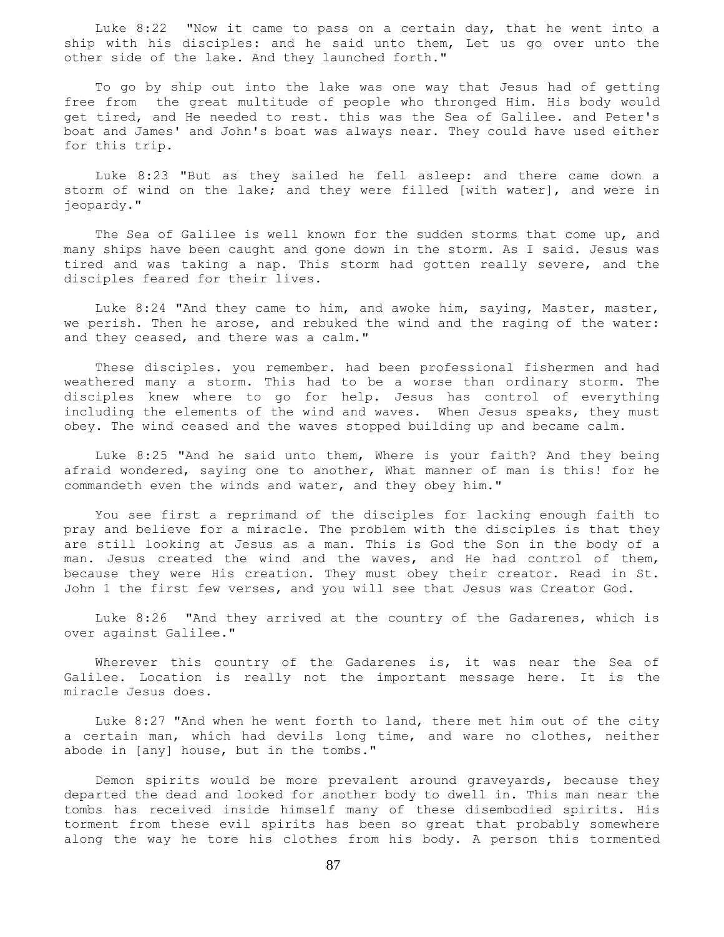Luke 8:22 "Now it came to pass on a certain day, that he went into a ship with his disciples: and he said unto them, Let us go over unto the other side of the lake. And they launched forth."

 To go by ship out into the lake was one way that Jesus had of getting free from the great multitude of people who thronged Him. His body would get tired, and He needed to rest. this was the Sea of Galilee. and Peter's boat and James' and John's boat was always near. They could have used either for this trip.

 Luke 8:23 "But as they sailed he fell asleep: and there came down a storm of wind on the lake; and they were filled [with water], and were in jeopardy."

 The Sea of Galilee is well known for the sudden storms that come up, and many ships have been caught and gone down in the storm. As I said. Jesus was tired and was taking a nap. This storm had gotten really severe, and the disciples feared for their lives.

 Luke 8:24 "And they came to him, and awoke him, saying, Master, master, we perish. Then he arose, and rebuked the wind and the raging of the water: and they ceased, and there was a calm."

 These disciples. you remember. had been professional fishermen and had weathered many a storm. This had to be a worse than ordinary storm. The disciples knew where to go for help. Jesus has control of everything including the elements of the wind and waves. When Jesus speaks, they must obey. The wind ceased and the waves stopped building up and became calm.

 Luke 8:25 "And he said unto them, Where is your faith? And they being afraid wondered, saying one to another, What manner of man is this! for he commandeth even the winds and water, and they obey him."

 You see first a reprimand of the disciples for lacking enough faith to pray and believe for a miracle. The problem with the disciples is that they are still looking at Jesus as a man. This is God the Son in the body of a man. Jesus created the wind and the waves, and He had control of them, because they were His creation. They must obey their creator. Read in St. John 1 the first few verses, and you will see that Jesus was Creator God.

 Luke 8:26 "And they arrived at the country of the Gadarenes, which is over against Galilee."

 Wherever this country of the Gadarenes is, it was near the Sea of Galilee. Location is really not the important message here. It is the miracle Jesus does.

 Luke 8:27 "And when he went forth to land, there met him out of the city a certain man, which had devils long time, and ware no clothes, neither abode in [any] house, but in the tombs."

 Demon spirits would be more prevalent around graveyards, because they departed the dead and looked for another body to dwell in. This man near the tombs has received inside himself many of these disembodied spirits. His torment from these evil spirits has been so great that probably somewhere along the way he tore his clothes from his body. A person this tormented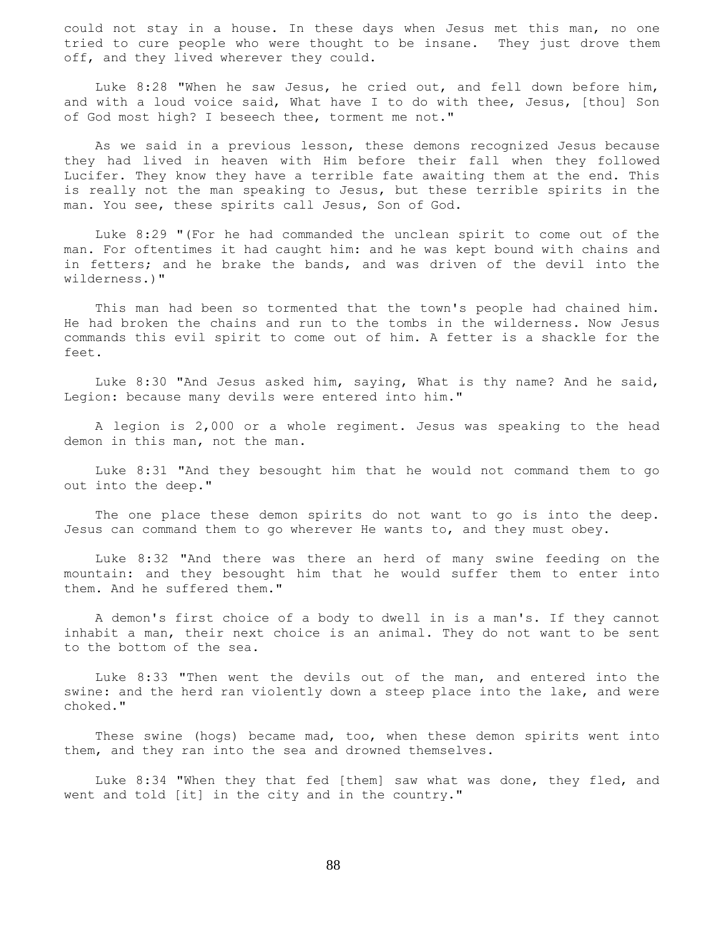could not stay in a house. In these days when Jesus met this man, no one tried to cure people who were thought to be insane. They just drove them off, and they lived wherever they could.

 Luke 8:28 "When he saw Jesus, he cried out, and fell down before him, and with a loud voice said, What have I to do with thee, Jesus, [thou] Son of God most high? I beseech thee, torment me not."

 As we said in a previous lesson, these demons recognized Jesus because they had lived in heaven with Him before their fall when they followed Lucifer. They know they have a terrible fate awaiting them at the end. This is really not the man speaking to Jesus, but these terrible spirits in the man. You see, these spirits call Jesus, Son of God.

 Luke 8:29 "(For he had commanded the unclean spirit to come out of the man. For oftentimes it had caught him: and he was kept bound with chains and in fetters; and he brake the bands, and was driven of the devil into the wilderness.)"

 This man had been so tormented that the town's people had chained him. He had broken the chains and run to the tombs in the wilderness. Now Jesus commands this evil spirit to come out of him. A fetter is a shackle for the feet.

 Luke 8:30 "And Jesus asked him, saying, What is thy name? And he said, Legion: because many devils were entered into him."

 A legion is 2,000 or a whole regiment. Jesus was speaking to the head demon in this man, not the man.

 Luke 8:31 "And they besought him that he would not command them to go out into the deep."

 The one place these demon spirits do not want to go is into the deep. Jesus can command them to go wherever He wants to, and they must obey.

 Luke 8:32 "And there was there an herd of many swine feeding on the mountain: and they besought him that he would suffer them to enter into them. And he suffered them."

 A demon's first choice of a body to dwell in is a man's. If they cannot inhabit a man, their next choice is an animal. They do not want to be sent to the bottom of the sea.

 Luke 8:33 "Then went the devils out of the man, and entered into the swine: and the herd ran violently down a steep place into the lake, and were choked."

 These swine (hogs) became mad, too, when these demon spirits went into them, and they ran into the sea and drowned themselves.

 Luke 8:34 "When they that fed [them] saw what was done, they fled, and went and told [it] in the city and in the country."

88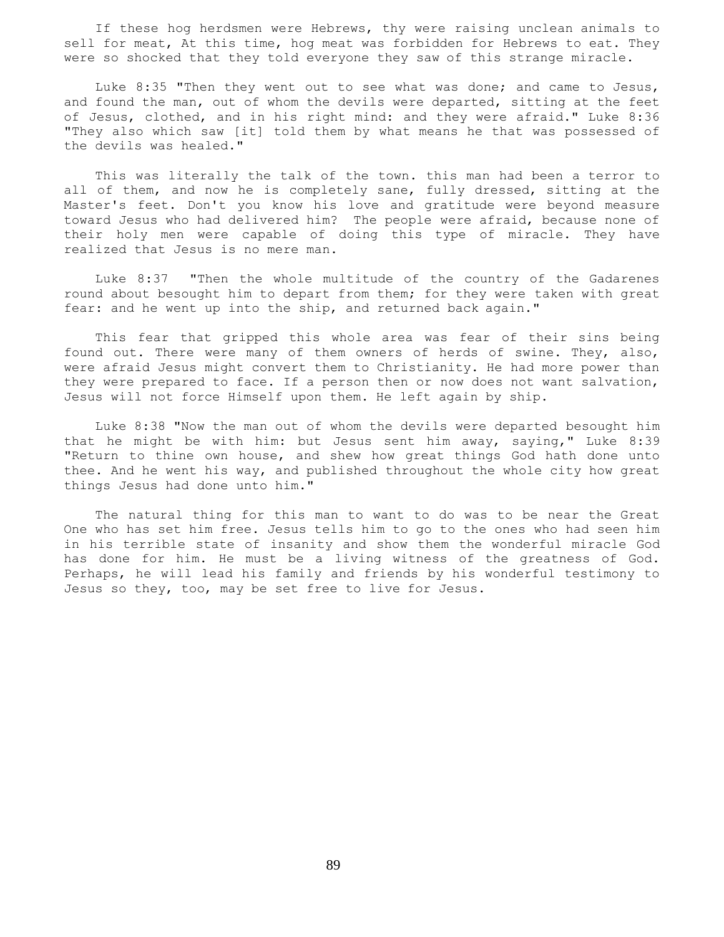If these hog herdsmen were Hebrews, thy were raising unclean animals to sell for meat, At this time, hog meat was forbidden for Hebrews to eat. They were so shocked that they told everyone they saw of this strange miracle.

 Luke 8:35 "Then they went out to see what was done; and came to Jesus, and found the man, out of whom the devils were departed, sitting at the feet of Jesus, clothed, and in his right mind: and they were afraid." Luke 8:36 "They also which saw [it] told them by what means he that was possessed of the devils was healed."

 This was literally the talk of the town. this man had been a terror to all of them, and now he is completely sane, fully dressed, sitting at the Master's feet. Don't you know his love and gratitude were beyond measure toward Jesus who had delivered him? The people were afraid, because none of their holy men were capable of doing this type of miracle. They have realized that Jesus is no mere man.

 Luke 8:37 "Then the whole multitude of the country of the Gadarenes round about besought him to depart from them; for they were taken with great fear: and he went up into the ship, and returned back again."

 This fear that gripped this whole area was fear of their sins being found out. There were many of them owners of herds of swine. They, also, were afraid Jesus might convert them to Christianity. He had more power than they were prepared to face. If a person then or now does not want salvation, Jesus will not force Himself upon them. He left again by ship.

 Luke 8:38 "Now the man out of whom the devils were departed besought him that he might be with him: but Jesus sent him away, saying," Luke 8:39 "Return to thine own house, and shew how great things God hath done unto thee. And he went his way, and published throughout the whole city how great things Jesus had done unto him."

 The natural thing for this man to want to do was to be near the Great One who has set him free. Jesus tells him to go to the ones who had seen him in his terrible state of insanity and show them the wonderful miracle God has done for him. He must be a living witness of the greatness of God. Perhaps, he will lead his family and friends by his wonderful testimony to Jesus so they, too, may be set free to live for Jesus.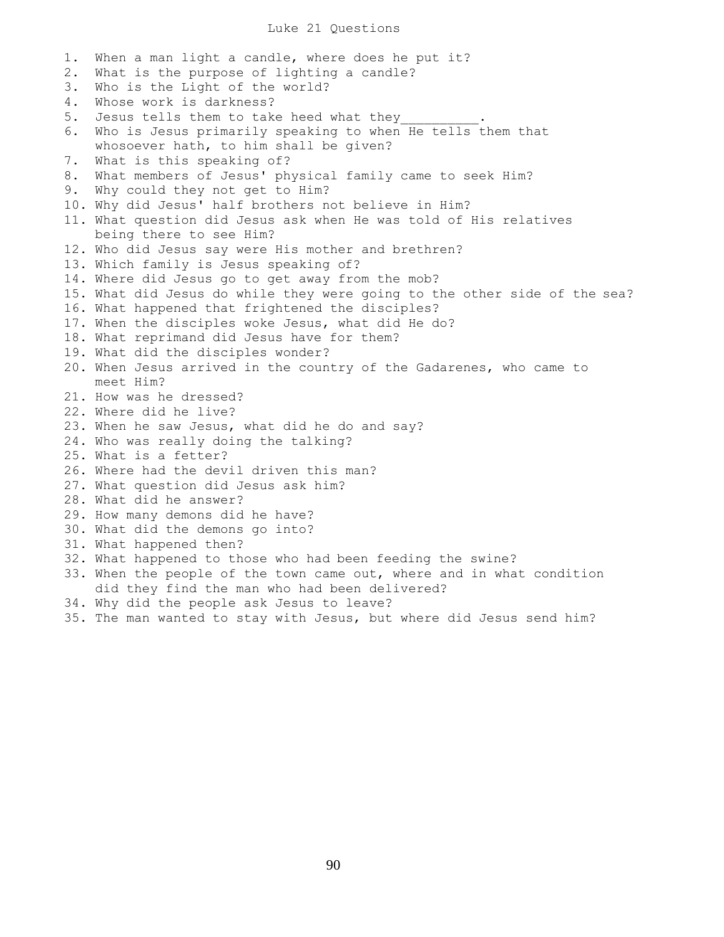#### Luke 21 Questions

1. When a man light a candle, where does he put it? 2. What is the purpose of lighting a candle? 3. Who is the Light of the world? 4. Whose work is darkness? 5. Jesus tells them to take heed what they 6. Who is Jesus primarily speaking to when He tells them that whosoever hath, to him shall be given? 7. What is this speaking of? 8. What members of Jesus' physical family came to seek Him? 9. Why could they not get to Him? 10. Why did Jesus' half brothers not believe in Him? 11. What question did Jesus ask when He was told of His relatives being there to see Him? 12. Who did Jesus say were His mother and brethren? 13. Which family is Jesus speaking of? 14. Where did Jesus go to get away from the mob? 15. What did Jesus do while they were going to the other side of the sea? 16. What happened that frightened the disciples? 17. When the disciples woke Jesus, what did He do? 18. What reprimand did Jesus have for them? 19. What did the disciples wonder? 20. When Jesus arrived in the country of the Gadarenes, who came to meet Him? 21. How was he dressed? 22. Where did he live? 23. When he saw Jesus, what did he do and say? 24. Who was really doing the talking? 25. What is a fetter? 26. Where had the devil driven this man? 27. What question did Jesus ask him? 28. What did he answer? 29. How many demons did he have? 30. What did the demons go into? 31. What happened then? 32. What happened to those who had been feeding the swine? 33. When the people of the town came out, where and in what condition did they find the man who had been delivered? 34. Why did the people ask Jesus to leave? 35. The man wanted to stay with Jesus, but where did Jesus send him?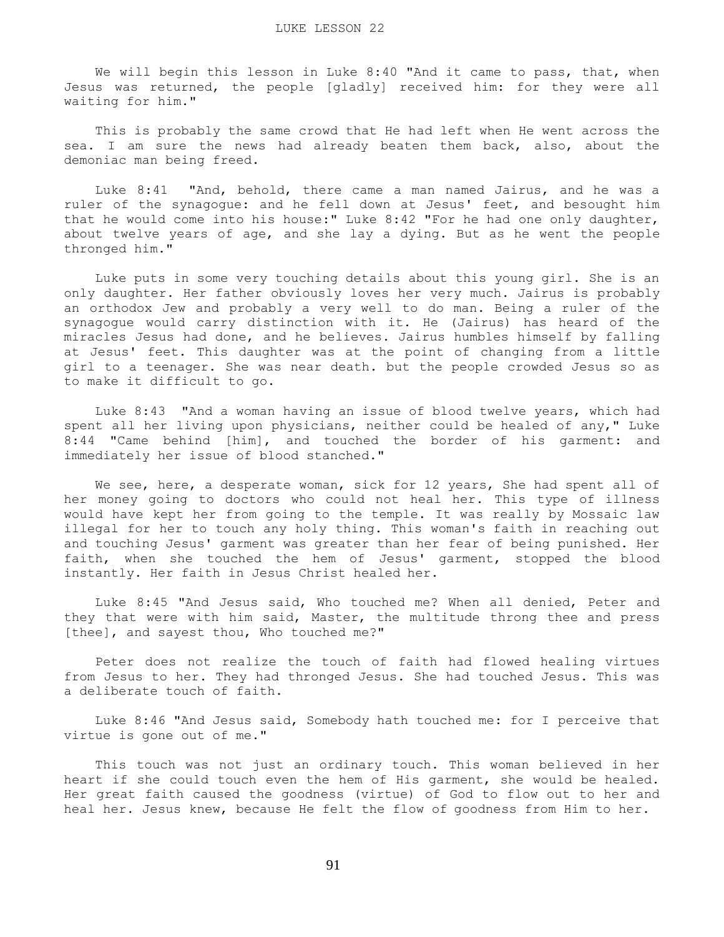We will begin this lesson in Luke 8:40 "And it came to pass, that, when Jesus was returned, the people [gladly] received him: for they were all waiting for him."

 This is probably the same crowd that He had left when He went across the sea. I am sure the news had already beaten them back, also, about the demoniac man being freed.

 Luke 8:41 "And, behold, there came a man named Jairus, and he was a ruler of the synagogue: and he fell down at Jesus' feet, and besought him that he would come into his house:" Luke 8:42 "For he had one only daughter, about twelve years of age, and she lay a dying. But as he went the people thronged him."

 Luke puts in some very touching details about this young girl. She is an only daughter. Her father obviously loves her very much. Jairus is probably an orthodox Jew and probably a very well to do man. Being a ruler of the synagogue would carry distinction with it. He (Jairus) has heard of the miracles Jesus had done, and he believes. Jairus humbles himself by falling at Jesus' feet. This daughter was at the point of changing from a little girl to a teenager. She was near death. but the people crowded Jesus so as to make it difficult to go.

 Luke 8:43 "And a woman having an issue of blood twelve years, which had spent all her living upon physicians, neither could be healed of any," Luke 8:44 "Came behind [him], and touched the border of his garment: and immediately her issue of blood stanched."

We see, here, a desperate woman, sick for 12 years, She had spent all of her money going to doctors who could not heal her. This type of illness would have kept her from going to the temple. It was really by Mossaic law illegal for her to touch any holy thing. This woman's faith in reaching out and touching Jesus' garment was greater than her fear of being punished. Her faith, when she touched the hem of Jesus' garment, stopped the blood instantly. Her faith in Jesus Christ healed her.

 Luke 8:45 "And Jesus said, Who touched me? When all denied, Peter and they that were with him said, Master, the multitude throng thee and press [thee], and sayest thou, Who touched me?"

 Peter does not realize the touch of faith had flowed healing virtues from Jesus to her. They had thronged Jesus. She had touched Jesus. This was a deliberate touch of faith.

 Luke 8:46 "And Jesus said, Somebody hath touched me: for I perceive that virtue is gone out of me."

 This touch was not just an ordinary touch. This woman believed in her heart if she could touch even the hem of His garment, she would be healed. Her great faith caused the goodness (virtue) of God to flow out to her and heal her. Jesus knew, because He felt the flow of goodness from Him to her.

91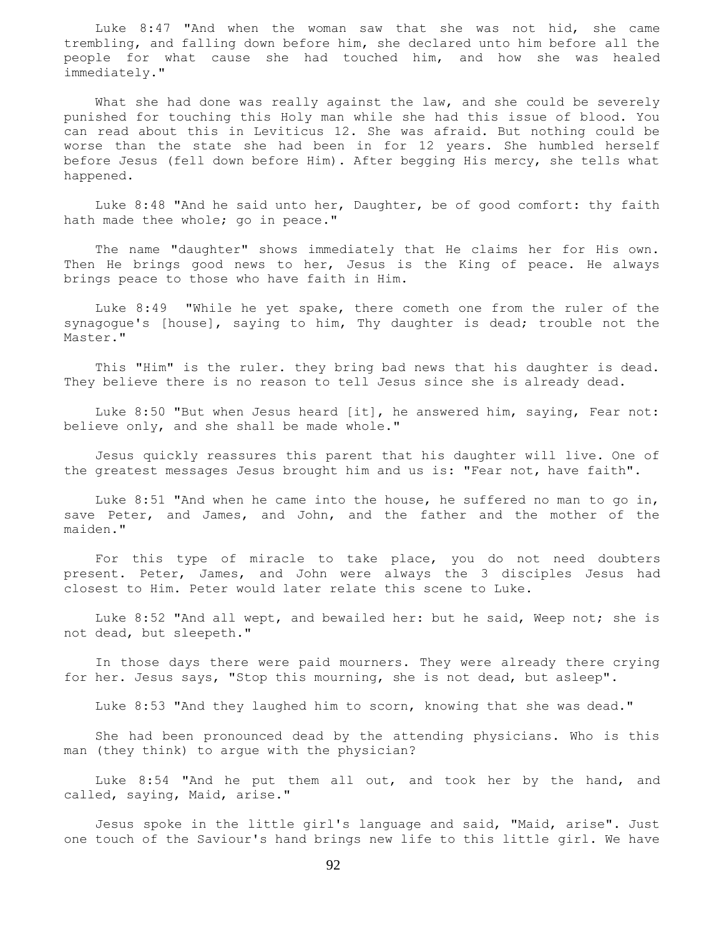Luke 8:47 "And when the woman saw that she was not hid, she came trembling, and falling down before him, she declared unto him before all the people for what cause she had touched him, and how she was healed immediately."

What she had done was really against the law, and she could be severely punished for touching this Holy man while she had this issue of blood. You can read about this in Leviticus 12. She was afraid. But nothing could be worse than the state she had been in for 12 years. She humbled herself before Jesus (fell down before Him). After begging His mercy, she tells what happened.

 Luke 8:48 "And he said unto her, Daughter, be of good comfort: thy faith hath made thee whole; go in peace."

 The name "daughter" shows immediately that He claims her for His own. Then He brings good news to her, Jesus is the King of peace. He always brings peace to those who have faith in Him.

 Luke 8:49 "While he yet spake, there cometh one from the ruler of the synagogue's [house], saying to him, Thy daughter is dead; trouble not the Master."

 This "Him" is the ruler. they bring bad news that his daughter is dead. They believe there is no reason to tell Jesus since she is already dead.

 Luke 8:50 "But when Jesus heard [it], he answered him, saying, Fear not: believe only, and she shall be made whole."

 Jesus quickly reassures this parent that his daughter will live. One of the greatest messages Jesus brought him and us is: "Fear not, have faith".

 Luke 8:51 "And when he came into the house, he suffered no man to go in, save Peter, and James, and John, and the father and the mother of the maiden."

 For this type of miracle to take place, you do not need doubters present. Peter, James, and John were always the 3 disciples Jesus had closest to Him. Peter would later relate this scene to Luke.

 Luke 8:52 "And all wept, and bewailed her: but he said, Weep not; she is not dead, but sleepeth."

 In those days there were paid mourners. They were already there crying for her. Jesus says, "Stop this mourning, she is not dead, but asleep".

Luke 8:53 "And they laughed him to scorn, knowing that she was dead."

 She had been pronounced dead by the attending physicians. Who is this man (they think) to argue with the physician?

 Luke 8:54 "And he put them all out, and took her by the hand, and called, saying, Maid, arise."

 Jesus spoke in the little girl's language and said, "Maid, arise". Just one touch of the Saviour's hand brings new life to this little girl. We have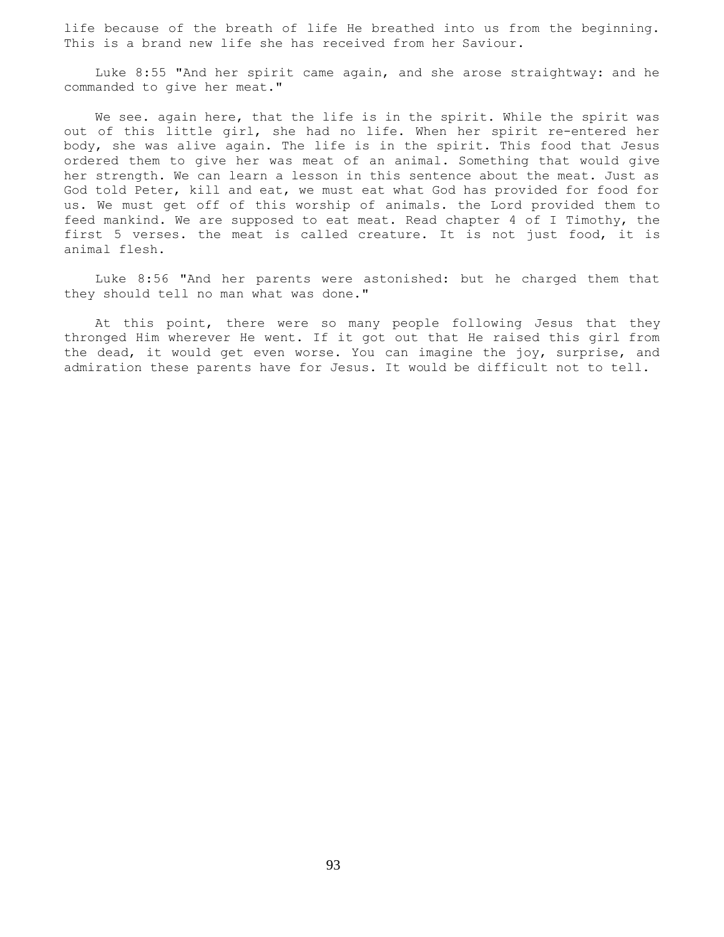life because of the breath of life He breathed into us from the beginning. This is a brand new life she has received from her Saviour.

 Luke 8:55 "And her spirit came again, and she arose straightway: and he commanded to give her meat."

 We see. again here, that the life is in the spirit. While the spirit was out of this little girl, she had no life. When her spirit re-entered her body, she was alive again. The life is in the spirit. This food that Jesus ordered them to give her was meat of an animal. Something that would give her strength. We can learn a lesson in this sentence about the meat. Just as God told Peter, kill and eat, we must eat what God has provided for food for us. We must get off of this worship of animals. the Lord provided them to feed mankind. We are supposed to eat meat. Read chapter 4 of I Timothy, the first 5 verses. the meat is called creature. It is not just food, it is animal flesh.

 Luke 8:56 "And her parents were astonished: but he charged them that they should tell no man what was done."

 At this point, there were so many people following Jesus that they thronged Him wherever He went. If it got out that He raised this girl from the dead, it would get even worse. You can imagine the joy, surprise, and admiration these parents have for Jesus. It would be difficult not to tell.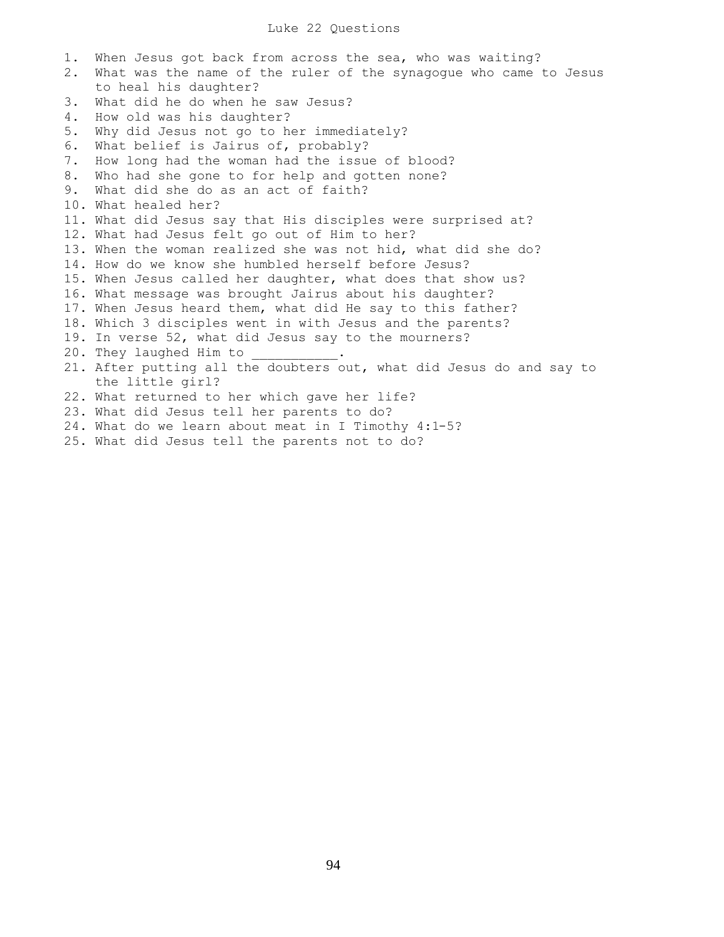1. When Jesus got back from across the sea, who was waiting? 2. What was the name of the ruler of the synagogue who came to Jesus to heal his daughter? 3. What did he do when he saw Jesus? 4. How old was his daughter? 5. Why did Jesus not go to her immediately? 6. What belief is Jairus of, probably? 7. How long had the woman had the issue of blood? 8. Who had she gone to for help and gotten none? 9. What did she do as an act of faith? 10. What healed her? 11. What did Jesus say that His disciples were surprised at? 12. What had Jesus felt go out of Him to her? 13. When the woman realized she was not hid, what did she do? 14. How do we know she humbled herself before Jesus? 15. When Jesus called her daughter, what does that show us? 16. What message was brought Jairus about his daughter? 17. When Jesus heard them, what did He say to this father? 18. Which 3 disciples went in with Jesus and the parents? 19. In verse 52, what did Jesus say to the mourners? 20. They laughed Him to 21. After putting all the doubters out, what did Jesus do and say to the little girl? 22. What returned to her which gave her life? 23. What did Jesus tell her parents to do? 24. What do we learn about meat in I Timothy 4:1-5? 25. What did Jesus tell the parents not to do?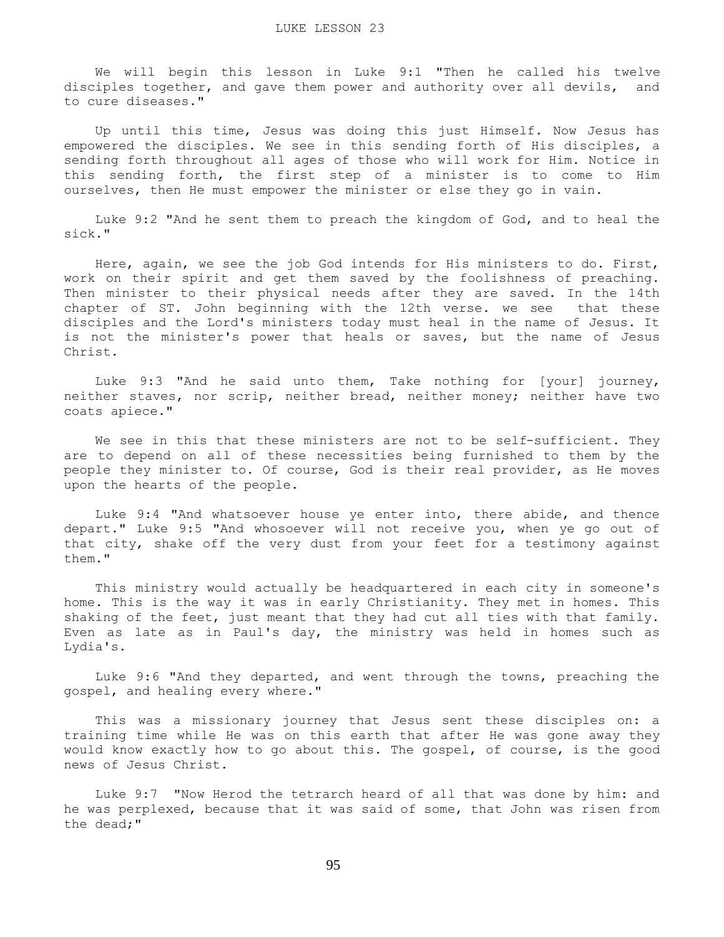We will begin this lesson in Luke 9:1 "Then he called his twelve disciples together, and gave them power and authority over all devils, and to cure diseases."

 Up until this time, Jesus was doing this just Himself. Now Jesus has empowered the disciples. We see in this sending forth of His disciples, a sending forth throughout all ages of those who will work for Him. Notice in this sending forth, the first step of a minister is to come to Him ourselves, then He must empower the minister or else they go in vain.

 Luke 9:2 "And he sent them to preach the kingdom of God, and to heal the sick."

 Here, again, we see the job God intends for His ministers to do. First, work on their spirit and get them saved by the foolishness of preaching. Then minister to their physical needs after they are saved. In the 14th chapter of ST. John beginning with the 12th verse. we see that these disciples and the Lord's ministers today must heal in the name of Jesus. It is not the minister's power that heals or saves, but the name of Jesus Christ.

 Luke 9:3 "And he said unto them, Take nothing for [your] journey, neither staves, nor scrip, neither bread, neither money; neither have two coats apiece."

We see in this that these ministers are not to be self-sufficient. They are to depend on all of these necessities being furnished to them by the people they minister to. Of course, God is their real provider, as He moves upon the hearts of the people.

 Luke 9:4 "And whatsoever house ye enter into, there abide, and thence depart." Luke 9:5 "And whosoever will not receive you, when ye go out of that city, shake off the very dust from your feet for a testimony against them."

 This ministry would actually be headquartered in each city in someone's home. This is the way it was in early Christianity. They met in homes. This shaking of the feet, just meant that they had cut all ties with that family. Even as late as in Paul's day, the ministry was held in homes such as Lydia's.

 Luke 9:6 "And they departed, and went through the towns, preaching the gospel, and healing every where."

 This was a missionary journey that Jesus sent these disciples on: a training time while He was on this earth that after He was gone away they would know exactly how to go about this. The gospel, of course, is the good news of Jesus Christ.

 Luke 9:7 "Now Herod the tetrarch heard of all that was done by him: and he was perplexed, because that it was said of some, that John was risen from the dead;"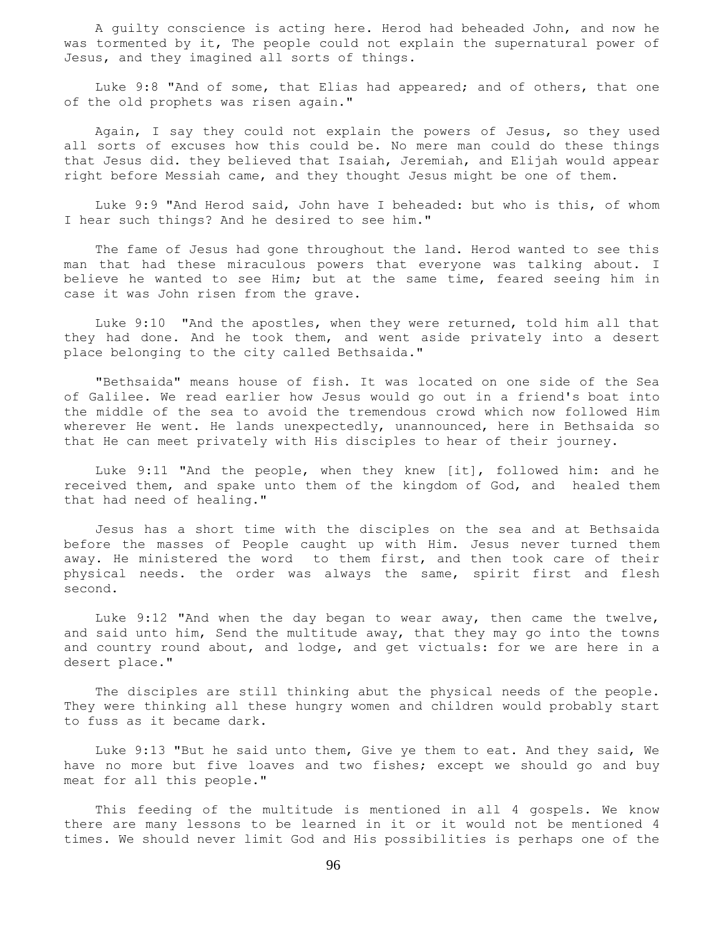A guilty conscience is acting here. Herod had beheaded John, and now he was tormented by it, The people could not explain the supernatural power of Jesus, and they imagined all sorts of things.

 Luke 9:8 "And of some, that Elias had appeared; and of others, that one of the old prophets was risen again."

 Again, I say they could not explain the powers of Jesus, so they used all sorts of excuses how this could be. No mere man could do these things that Jesus did. they believed that Isaiah, Jeremiah, and Elijah would appear right before Messiah came, and they thought Jesus might be one of them.

 Luke 9:9 "And Herod said, John have I beheaded: but who is this, of whom I hear such things? And he desired to see him."

 The fame of Jesus had gone throughout the land. Herod wanted to see this man that had these miraculous powers that everyone was talking about. I believe he wanted to see Him; but at the same time, feared seeing him in case it was John risen from the grave.

 Luke 9:10 "And the apostles, when they were returned, told him all that they had done. And he took them, and went aside privately into a desert place belonging to the city called Bethsaida."

 "Bethsaida" means house of fish. It was located on one side of the Sea of Galilee. We read earlier how Jesus would go out in a friend's boat into the middle of the sea to avoid the tremendous crowd which now followed Him wherever He went. He lands unexpectedly, unannounced, here in Bethsaida so that He can meet privately with His disciples to hear of their journey.

 Luke 9:11 "And the people, when they knew [it], followed him: and he received them, and spake unto them of the kingdom of God, and healed them that had need of healing."

 Jesus has a short time with the disciples on the sea and at Bethsaida before the masses of People caught up with Him. Jesus never turned them away. He ministered the word to them first, and then took care of their physical needs. the order was always the same, spirit first and flesh second.

 Luke 9:12 "And when the day began to wear away, then came the twelve, and said unto him, Send the multitude away, that they may go into the towns and country round about, and lodge, and get victuals: for we are here in a desert place."

 The disciples are still thinking abut the physical needs of the people. They were thinking all these hungry women and children would probably start to fuss as it became dark.

 Luke 9:13 "But he said unto them, Give ye them to eat. And they said, We have no more but five loaves and two fishes; except we should go and buy meat for all this people."

 This feeding of the multitude is mentioned in all 4 gospels. We know there are many lessons to be learned in it or it would not be mentioned 4 times. We should never limit God and His possibilities is perhaps one of the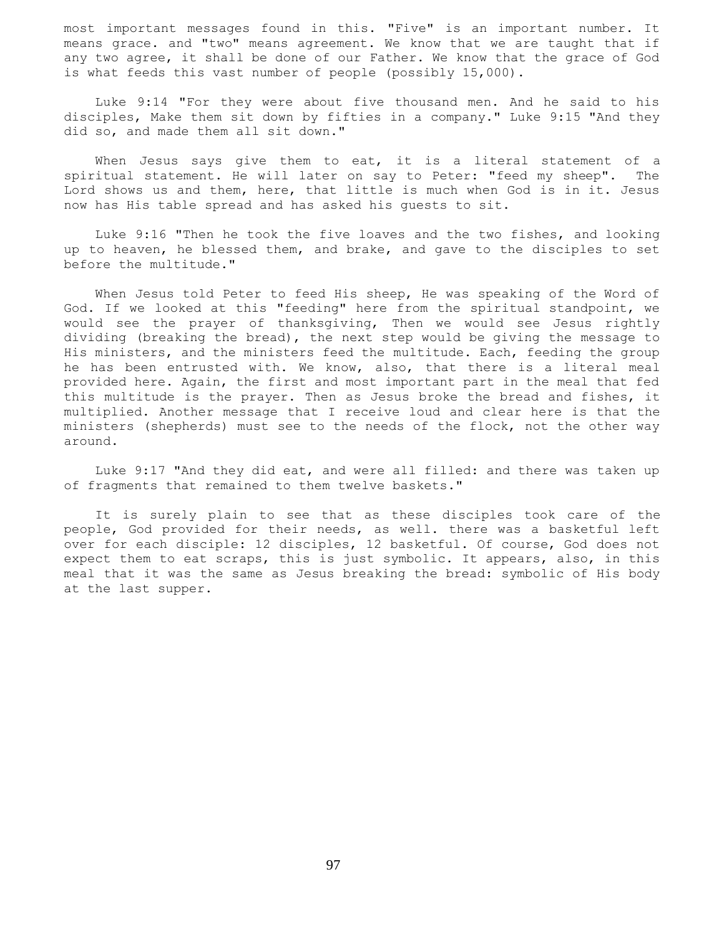most important messages found in this. "Five" is an important number. It means grace. and "two" means agreement. We know that we are taught that if any two agree, it shall be done of our Father. We know that the grace of God is what feeds this vast number of people (possibly 15,000).

 Luke 9:14 "For they were about five thousand men. And he said to his disciples, Make them sit down by fifties in a company." Luke 9:15 "And they did so, and made them all sit down."

 When Jesus says give them to eat, it is a literal statement of a spiritual statement. He will later on say to Peter: "feed my sheep". The Lord shows us and them, here, that little is much when God is in it. Jesus now has His table spread and has asked his guests to sit.

 Luke 9:16 "Then he took the five loaves and the two fishes, and looking up to heaven, he blessed them, and brake, and gave to the disciples to set before the multitude."

 When Jesus told Peter to feed His sheep, He was speaking of the Word of God. If we looked at this "feeding" here from the spiritual standpoint, we would see the prayer of thanksgiving, Then we would see Jesus rightly dividing (breaking the bread), the next step would be giving the message to His ministers, and the ministers feed the multitude. Each, feeding the group he has been entrusted with. We know, also, that there is a literal meal provided here. Again, the first and most important part in the meal that fed this multitude is the prayer. Then as Jesus broke the bread and fishes, it multiplied. Another message that I receive loud and clear here is that the ministers (shepherds) must see to the needs of the flock, not the other way around.

 Luke 9:17 "And they did eat, and were all filled: and there was taken up of fragments that remained to them twelve baskets."

 It is surely plain to see that as these disciples took care of the people, God provided for their needs, as well. there was a basketful left over for each disciple: 12 disciples, 12 basketful. Of course, God does not expect them to eat scraps, this is just symbolic. It appears, also, in this meal that it was the same as Jesus breaking the bread: symbolic of His body at the last supper.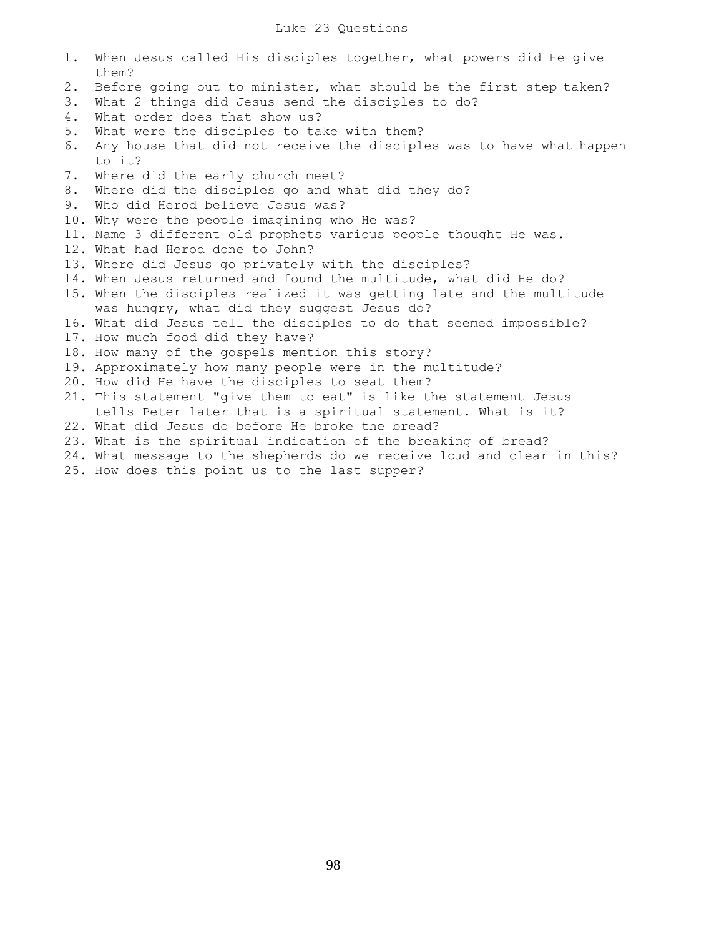## Luke 23 Questions

- 1. When Jesus called His disciples together, what powers did He give them?
- 2. Before going out to minister, what should be the first step taken?
- 3. What 2 things did Jesus send the disciples to do?
- 4. What order does that show us?
- 5. What were the disciples to take with them?
- 6. Any house that did not receive the disciples was to have what happen to it?
- 7. Where did the early church meet?
- 8. Where did the disciples go and what did they do?
- 9. Who did Herod believe Jesus was?
- 10. Why were the people imagining who He was?
- 11. Name 3 different old prophets various people thought He was.
- 12. What had Herod done to John?
- 13. Where did Jesus go privately with the disciples?
- 14. When Jesus returned and found the multitude, what did He do?
- 15. When the disciples realized it was getting late and the multitude was hungry, what did they suggest Jesus do?
- 16. What did Jesus tell the disciples to do that seemed impossible?
- 17. How much food did they have?
- 18. How many of the gospels mention this story?
- 19. Approximately how many people were in the multitude?
- 20. How did He have the disciples to seat them?
- 21. This statement "give them to eat" is like the statement Jesus tells Peter later that is a spiritual statement. What is it?
- 22. What did Jesus do before He broke the bread?
- 23. What is the spiritual indication of the breaking of bread?
- 24. What message to the shepherds do we receive loud and clear in this? 25. How does this point us to the last supper?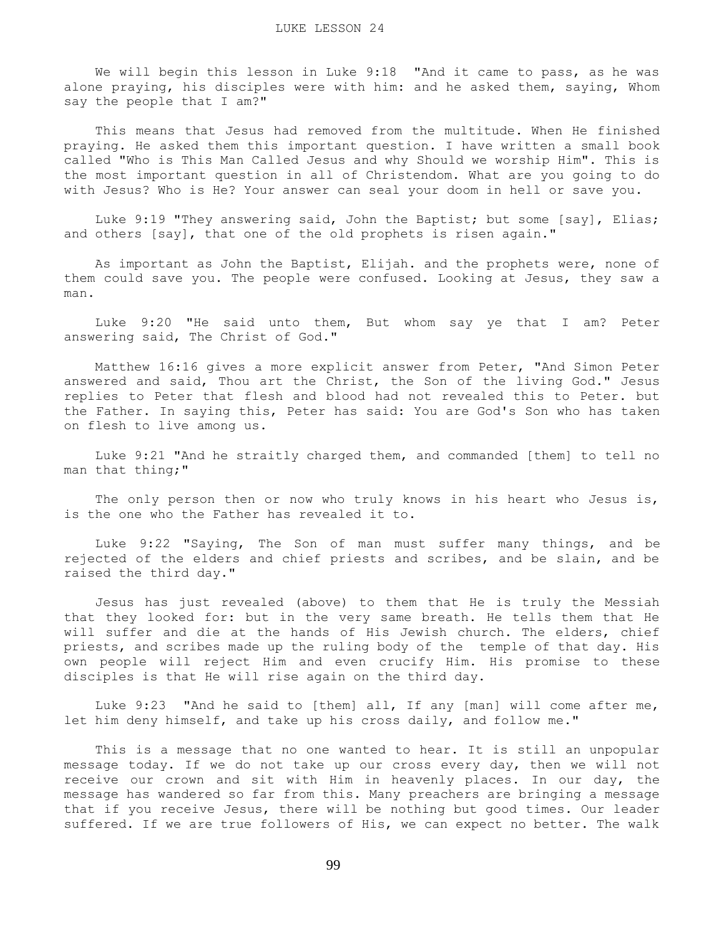We will begin this lesson in Luke 9:18 "And it came to pass, as he was alone praying, his disciples were with him: and he asked them, saying, Whom say the people that I am?"

 This means that Jesus had removed from the multitude. When He finished praying. He asked them this important question. I have written a small book called "Who is This Man Called Jesus and why Should we worship Him". This is the most important question in all of Christendom. What are you going to do with Jesus? Who is He? Your answer can seal your doom in hell or save you.

 Luke 9:19 "They answering said, John the Baptist; but some [say], Elias; and others [say], that one of the old prophets is risen again."

 As important as John the Baptist, Elijah. and the prophets were, none of them could save you. The people were confused. Looking at Jesus, they saw a man.

 Luke 9:20 "He said unto them, But whom say ye that I am? Peter answering said, The Christ of God."

 Matthew 16:16 gives a more explicit answer from Peter, "And Simon Peter answered and said, Thou art the Christ, the Son of the living God." Jesus replies to Peter that flesh and blood had not revealed this to Peter. but the Father. In saying this, Peter has said: You are God's Son who has taken on flesh to live among us.

 Luke 9:21 "And he straitly charged them, and commanded [them] to tell no man that thing;"

The only person then or now who truly knows in his heart who Jesus is, is the one who the Father has revealed it to.

 Luke 9:22 "Saying, The Son of man must suffer many things, and be rejected of the elders and chief priests and scribes, and be slain, and be raised the third day."

 Jesus has just revealed (above) to them that He is truly the Messiah that they looked for: but in the very same breath. He tells them that He will suffer and die at the hands of His Jewish church. The elders, chief priests, and scribes made up the ruling body of the temple of that day. His own people will reject Him and even crucify Him. His promise to these disciples is that He will rise again on the third day.

 Luke 9:23 "And he said to [them] all, If any [man] will come after me, let him deny himself, and take up his cross daily, and follow me."

 This is a message that no one wanted to hear. It is still an unpopular message today. If we do not take up our cross every day, then we will not receive our crown and sit with Him in heavenly places. In our day, the message has wandered so far from this. Many preachers are bringing a message that if you receive Jesus, there will be nothing but good times. Our leader suffered. If we are true followers of His, we can expect no better. The walk

99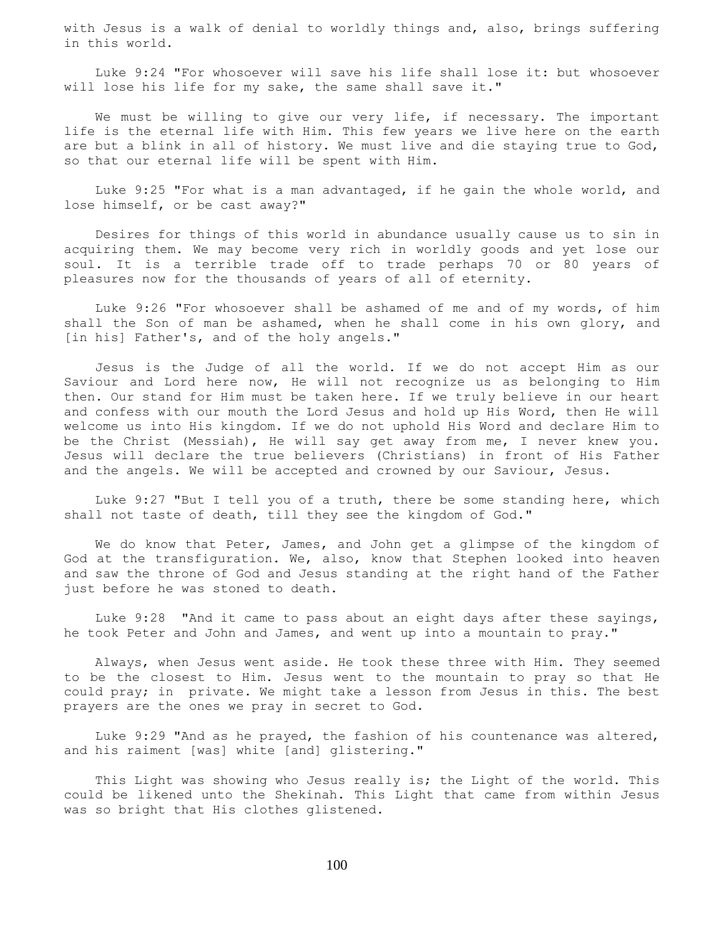with Jesus is a walk of denial to worldly things and, also, brings suffering in this world.

 Luke 9:24 "For whosoever will save his life shall lose it: but whosoever will lose his life for my sake, the same shall save it."

We must be willing to give our very life, if necessary. The important life is the eternal life with Him. This few years we live here on the earth are but a blink in all of history. We must live and die staying true to God, so that our eternal life will be spent with Him.

 Luke 9:25 "For what is a man advantaged, if he gain the whole world, and lose himself, or be cast away?"

 Desires for things of this world in abundance usually cause us to sin in acquiring them. We may become very rich in worldly goods and yet lose our soul. It is a terrible trade off to trade perhaps 70 or 80 years of pleasures now for the thousands of years of all of eternity.

 Luke 9:26 "For whosoever shall be ashamed of me and of my words, of him shall the Son of man be ashamed, when he shall come in his own glory, and [in his] Father's, and of the holy angels."

 Jesus is the Judge of all the world. If we do not accept Him as our Saviour and Lord here now, He will not recognize us as belonging to Him then. Our stand for Him must be taken here. If we truly believe in our heart and confess with our mouth the Lord Jesus and hold up His Word, then He will welcome us into His kingdom. If we do not uphold His Word and declare Him to be the Christ (Messiah), He will say get away from me, I never knew you. Jesus will declare the true believers (Christians) in front of His Father and the angels. We will be accepted and crowned by our Saviour, Jesus.

 Luke 9:27 "But I tell you of a truth, there be some standing here, which shall not taste of death, till they see the kingdom of God."

 We do know that Peter, James, and John get a glimpse of the kingdom of God at the transfiguration. We, also, know that Stephen looked into heaven and saw the throne of God and Jesus standing at the right hand of the Father just before he was stoned to death.

 Luke 9:28 "And it came to pass about an eight days after these sayings, he took Peter and John and James, and went up into a mountain to pray."

 Always, when Jesus went aside. He took these three with Him. They seemed to be the closest to Him. Jesus went to the mountain to pray so that He could pray; in private. We might take a lesson from Jesus in this. The best prayers are the ones we pray in secret to God.

 Luke 9:29 "And as he prayed, the fashion of his countenance was altered, and his raiment [was] white [and] glistering."

This Light was showing who Jesus really is; the Light of the world. This could be likened unto the Shekinah. This Light that came from within Jesus was so bright that His clothes glistened.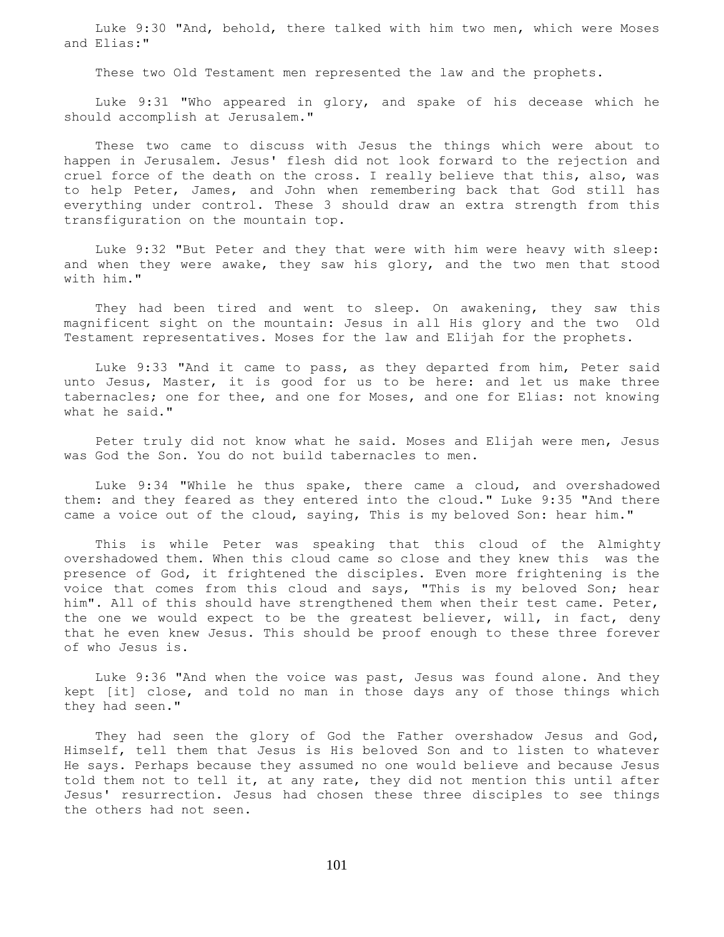Luke 9:30 "And, behold, there talked with him two men, which were Moses and Elias:"

These two Old Testament men represented the law and the prophets.

 Luke 9:31 "Who appeared in glory, and spake of his decease which he should accomplish at Jerusalem."

 These two came to discuss with Jesus the things which were about to happen in Jerusalem. Jesus' flesh did not look forward to the rejection and cruel force of the death on the cross. I really believe that this, also, was to help Peter, James, and John when remembering back that God still has everything under control. These 3 should draw an extra strength from this transfiguration on the mountain top.

 Luke 9:32 "But Peter and they that were with him were heavy with sleep: and when they were awake, they saw his glory, and the two men that stood with him."

 They had been tired and went to sleep. On awakening, they saw this magnificent sight on the mountain: Jesus in all His glory and the two Old Testament representatives. Moses for the law and Elijah for the prophets.

 Luke 9:33 "And it came to pass, as they departed from him, Peter said unto Jesus, Master, it is good for us to be here: and let us make three tabernacles; one for thee, and one for Moses, and one for Elias: not knowing what he said."

 Peter truly did not know what he said. Moses and Elijah were men, Jesus was God the Son. You do not build tabernacles to men.

 Luke 9:34 "While he thus spake, there came a cloud, and overshadowed them: and they feared as they entered into the cloud." Luke 9:35 "And there came a voice out of the cloud, saying, This is my beloved Son: hear him."

 This is while Peter was speaking that this cloud of the Almighty overshadowed them. When this cloud came so close and they knew this was the presence of God, it frightened the disciples. Even more frightening is the voice that comes from this cloud and says, "This is my beloved Son; hear him". All of this should have strengthened them when their test came. Peter, the one we would expect to be the greatest believer, will, in fact, deny that he even knew Jesus. This should be proof enough to these three forever of who Jesus is.

 Luke 9:36 "And when the voice was past, Jesus was found alone. And they kept [it] close, and told no man in those days any of those things which they had seen."

They had seen the glory of God the Father overshadow Jesus and God, Himself, tell them that Jesus is His beloved Son and to listen to whatever He says. Perhaps because they assumed no one would believe and because Jesus told them not to tell it, at any rate, they did not mention this until after Jesus' resurrection. Jesus had chosen these three disciples to see things the others had not seen.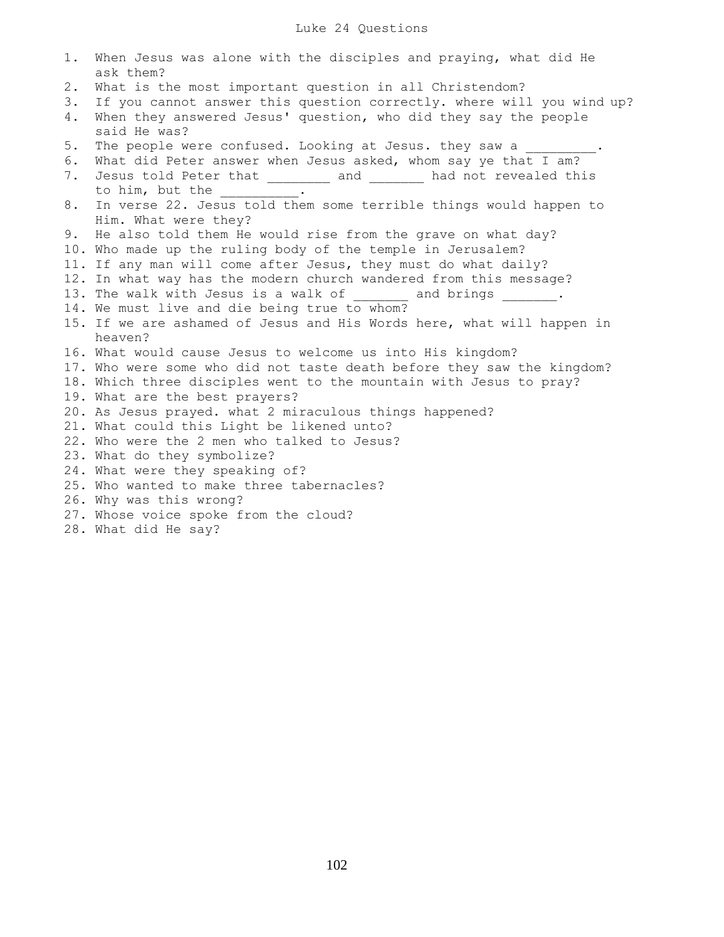# Luke 24 Questions

| $1$ . | When Jesus was alone with the disciples and praying, what did He<br>ask them?             |
|-------|-------------------------------------------------------------------------------------------|
| 2.    | What is the most important question in all Christendom?                                   |
| 3.    | If you cannot answer this question correctly. where will you wind up?                     |
| 4.    | When they answered Jesus' question, who did they say the people                           |
|       | said He was?                                                                              |
| 5.    | The people were confused. Looking at Jesus. they saw a                                    |
| 6.    | What did Peter answer when Jesus asked, whom say ye that I am?                            |
| 7.    | Jesus told Peter that _________ and ________ had not revealed this                        |
|       | to him, but the $\frac{1}{2}$ .                                                           |
| 8.    | In verse 22. Jesus told them some terrible things would happen to<br>Him. What were they? |
| 9.    | He also told them He would rise from the grave on what day?                               |
|       | 10. Who made up the ruling body of the temple in Jerusalem?                               |
|       | 11. If any man will come after Jesus, they must do what daily?                            |
|       | 12. In what way has the modern church wandered from this message?                         |
|       | 13. The walk with Jesus is a walk of and brings .                                         |
|       | 14. We must live and die being true to whom?                                              |
|       | 15. If we are ashamed of Jesus and His Words here, what will happen in                    |
|       | heaven?                                                                                   |
|       | 16. What would cause Jesus to welcome us into His kingdom?                                |
|       | 17. Who were some who did not taste death before they saw the kingdom?                    |
|       | 18. Which three disciples went to the mountain with Jesus to pray?                        |
|       | 19. What are the best prayers?                                                            |
|       | 20. As Jesus prayed. what 2 miraculous things happened?                                   |
|       | 21. What could this Light be likened unto?                                                |
|       | 22. Who were the 2 men who talked to Jesus?                                               |
|       | 23. What do they symbolize?                                                               |
|       | 24. What were they speaking of?                                                           |
|       | 25. Who wanted to make three tabernacles?                                                 |
|       | 26. Why was this wrong?                                                                   |
|       | 27. Whose voice spoke from the cloud?                                                     |
|       | 28. What did He say?                                                                      |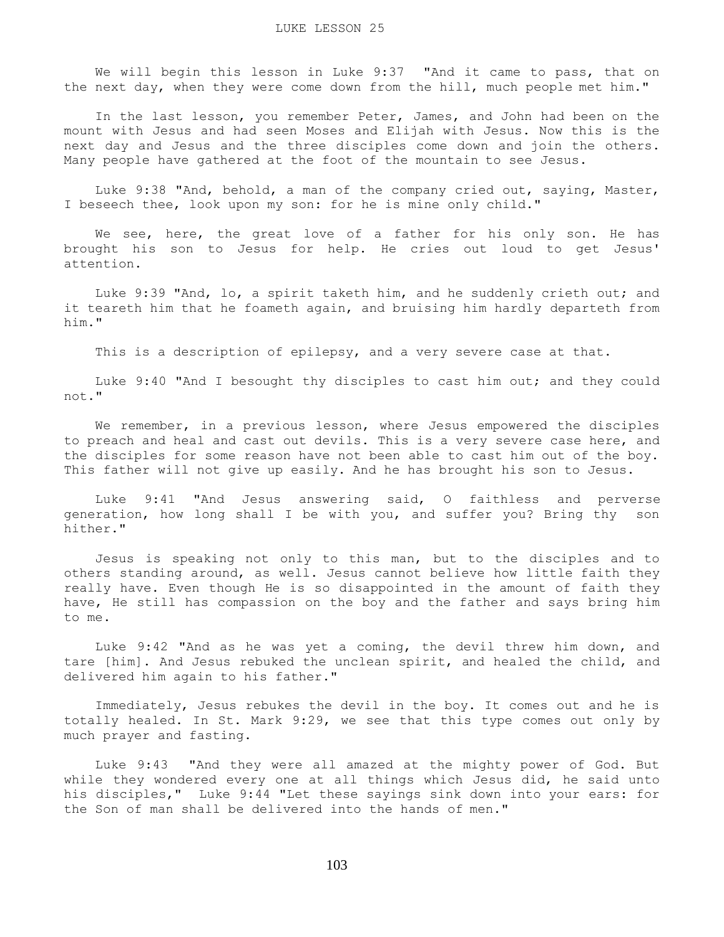We will begin this lesson in Luke 9:37 "And it came to pass, that on the next day, when they were come down from the hill, much people met him."

 In the last lesson, you remember Peter, James, and John had been on the mount with Jesus and had seen Moses and Elijah with Jesus. Now this is the next day and Jesus and the three disciples come down and join the others. Many people have gathered at the foot of the mountain to see Jesus.

 Luke 9:38 "And, behold, a man of the company cried out, saying, Master, I beseech thee, look upon my son: for he is mine only child."

We see, here, the great love of a father for his only son. He has brought his son to Jesus for help. He cries out loud to get Jesus' attention.

 Luke 9:39 "And, lo, a spirit taketh him, and he suddenly crieth out; and it teareth him that he foameth again, and bruising him hardly departeth from him."

This is a description of epilepsy, and a very severe case at that.

 Luke 9:40 "And I besought thy disciples to cast him out; and they could not."

 We remember, in a previous lesson, where Jesus empowered the disciples to preach and heal and cast out devils. This is a very severe case here, and the disciples for some reason have not been able to cast him out of the boy. This father will not give up easily. And he has brought his son to Jesus.

 Luke 9:41 "And Jesus answering said, O faithless and perverse generation, how long shall I be with you, and suffer you? Bring thy son hither."

 Jesus is speaking not only to this man, but to the disciples and to others standing around, as well. Jesus cannot believe how little faith they really have. Even though He is so disappointed in the amount of faith they have, He still has compassion on the boy and the father and says bring him to me.

 Luke 9:42 "And as he was yet a coming, the devil threw him down, and tare [him]. And Jesus rebuked the unclean spirit, and healed the child, and delivered him again to his father."

 Immediately, Jesus rebukes the devil in the boy. It comes out and he is totally healed. In St. Mark 9:29, we see that this type comes out only by much prayer and fasting.

 Luke 9:43 "And they were all amazed at the mighty power of God. But while they wondered every one at all things which Jesus did, he said unto his disciples," Luke 9:44 "Let these sayings sink down into your ears: for the Son of man shall be delivered into the hands of men."

103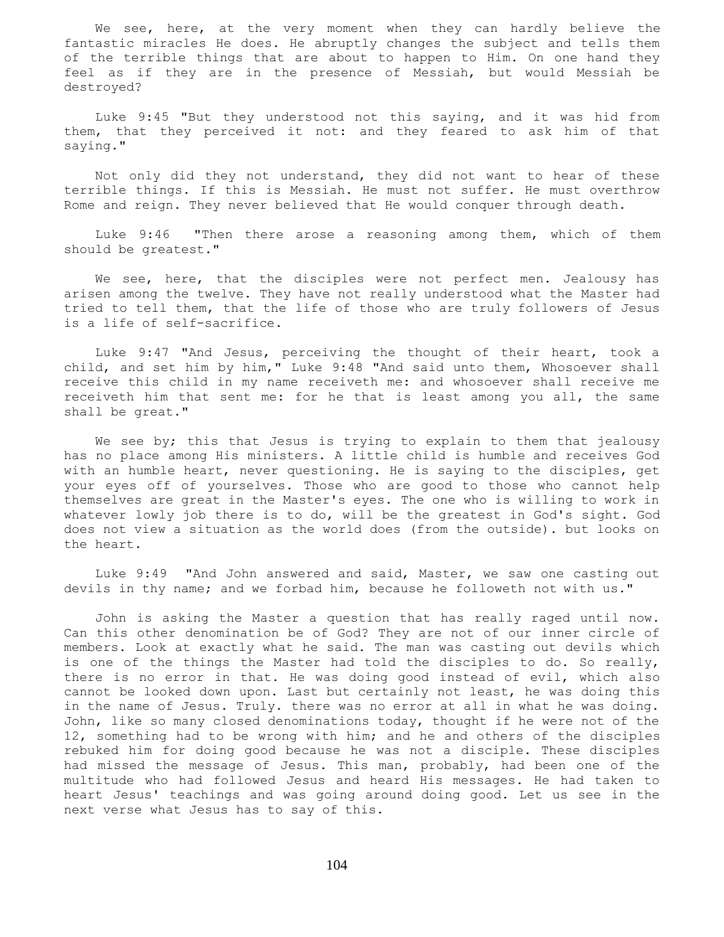We see, here, at the very moment when they can hardly believe the fantastic miracles He does. He abruptly changes the subject and tells them of the terrible things that are about to happen to Him. On one hand they feel as if they are in the presence of Messiah, but would Messiah be destroyed?

 Luke 9:45 "But they understood not this saying, and it was hid from them, that they perceived it not: and they feared to ask him of that saying."

 Not only did they not understand, they did not want to hear of these terrible things. If this is Messiah. He must not suffer. He must overthrow Rome and reign. They never believed that He would conquer through death.

 Luke 9:46 "Then there arose a reasoning among them, which of them should be greatest."

We see, here, that the disciples were not perfect men. Jealousy has arisen among the twelve. They have not really understood what the Master had tried to tell them, that the life of those who are truly followers of Jesus is a life of self-sacrifice.

 Luke 9:47 "And Jesus, perceiving the thought of their heart, took a child, and set him by him," Luke 9:48 "And said unto them, Whosoever shall receive this child in my name receiveth me: and whosoever shall receive me receiveth him that sent me: for he that is least among you all, the same shall be great."

We see by; this that Jesus is trying to explain to them that jealousy has no place among His ministers. A little child is humble and receives God with an humble heart, never questioning. He is saying to the disciples, get your eyes off of yourselves. Those who are good to those who cannot help themselves are great in the Master's eyes. The one who is willing to work in whatever lowly job there is to do, will be the greatest in God's sight. God does not view a situation as the world does (from the outside). but looks on the heart.

 Luke 9:49 "And John answered and said, Master, we saw one casting out devils in thy name; and we forbad him, because he followeth not with us."

 John is asking the Master a question that has really raged until now. Can this other denomination be of God? They are not of our inner circle of members. Look at exactly what he said. The man was casting out devils which is one of the things the Master had told the disciples to do. So really, there is no error in that. He was doing good instead of evil, which also cannot be looked down upon. Last but certainly not least, he was doing this in the name of Jesus. Truly. there was no error at all in what he was doing. John, like so many closed denominations today, thought if he were not of the 12, something had to be wrong with him; and he and others of the disciples rebuked him for doing good because he was not a disciple. These disciples had missed the message of Jesus. This man, probably, had been one of the multitude who had followed Jesus and heard His messages. He had taken to heart Jesus' teachings and was going around doing good. Let us see in the next verse what Jesus has to say of this.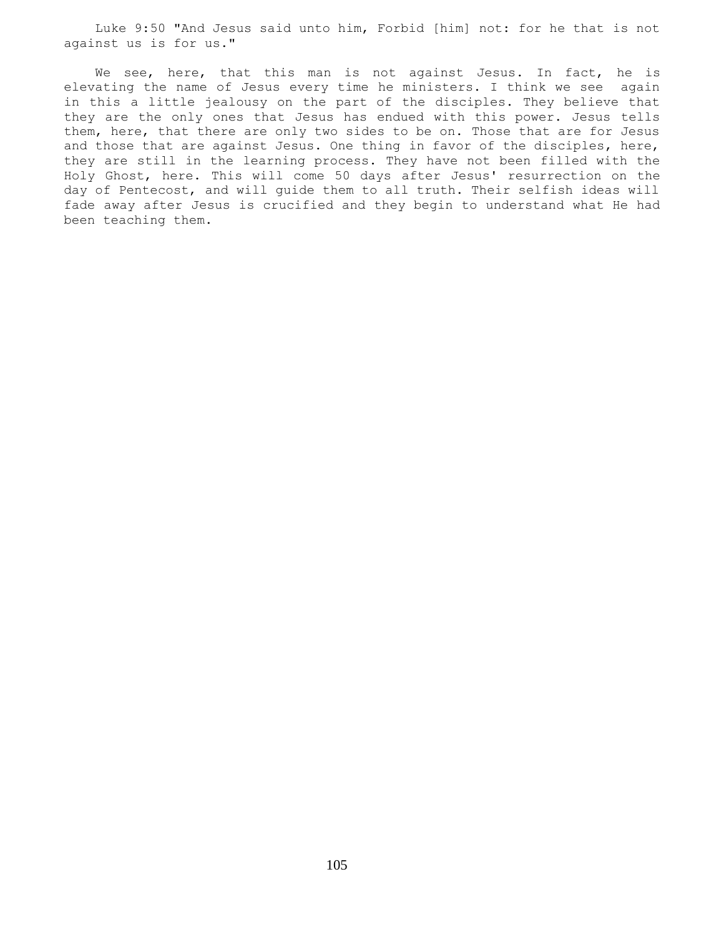Luke 9:50 "And Jesus said unto him, Forbid [him] not: for he that is not against us is for us."

We see, here, that this man is not against Jesus. In fact, he is elevating the name of Jesus every time he ministers. I think we see again in this a little jealousy on the part of the disciples. They believe that they are the only ones that Jesus has endued with this power. Jesus tells them, here, that there are only two sides to be on. Those that are for Jesus and those that are against Jesus. One thing in favor of the disciples, here, they are still in the learning process. They have not been filled with the Holy Ghost, here. This will come 50 days after Jesus' resurrection on the day of Pentecost, and will guide them to all truth. Their selfish ideas will fade away after Jesus is crucified and they begin to understand what He had been teaching them.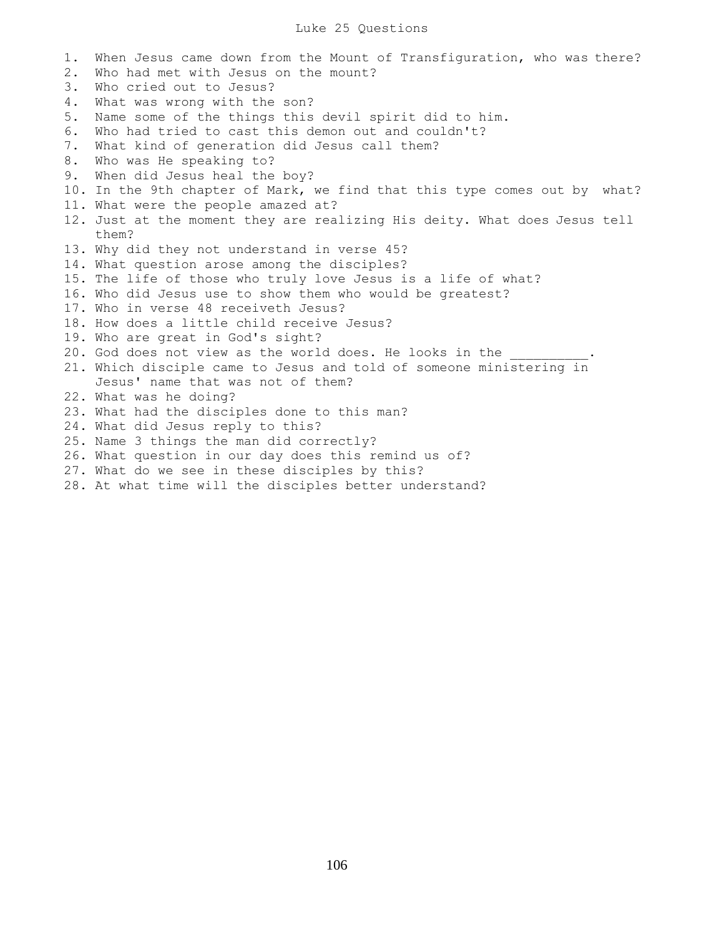## Luke 25 Questions

1. When Jesus came down from the Mount of Transfiguration, who was there? 2. Who had met with Jesus on the mount? 3. Who cried out to Jesus? 4. What was wrong with the son? 5. Name some of the things this devil spirit did to him. 6. Who had tried to cast this demon out and couldn't? 7. What kind of generation did Jesus call them? 8. Who was He speaking to? 9. When did Jesus heal the boy? 10. In the 9th chapter of Mark, we find that this type comes out by what? 11. What were the people amazed at? 12. Just at the moment they are realizing His deity. What does Jesus tell them? 13. Why did they not understand in verse 45? 14. What question arose among the disciples? 15. The life of those who truly love Jesus is a life of what? 16. Who did Jesus use to show them who would be greatest? 17. Who in verse 48 receiveth Jesus? 18. How does a little child receive Jesus? 19. Who are great in God's sight? 20. God does not view as the world does. He looks in the 21. Which disciple came to Jesus and told of someone ministering in Jesus' name that was not of them? 22. What was he doing? 23. What had the disciples done to this man? 24. What did Jesus reply to this? 25. Name 3 things the man did correctly? 26. What question in our day does this remind us of?

- 27. What do we see in these disciples by this?
- 28. At what time will the disciples better understand?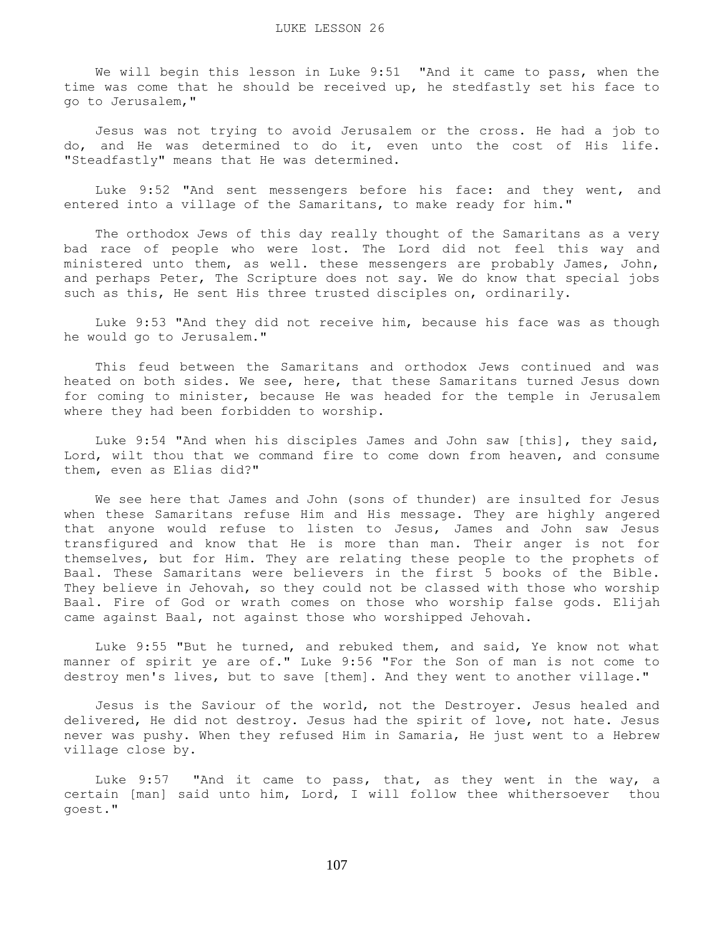We will begin this lesson in Luke 9:51 "And it came to pass, when the time was come that he should be received up, he stedfastly set his face to go to Jerusalem,"

 Jesus was not trying to avoid Jerusalem or the cross. He had a job to do, and He was determined to do it, even unto the cost of His life. "Steadfastly" means that He was determined.

 Luke 9:52 "And sent messengers before his face: and they went, and entered into a village of the Samaritans, to make ready for him."

 The orthodox Jews of this day really thought of the Samaritans as a very bad race of people who were lost. The Lord did not feel this way and ministered unto them, as well. these messengers are probably James, John, and perhaps Peter, The Scripture does not say. We do know that special jobs such as this, He sent His three trusted disciples on, ordinarily.

 Luke 9:53 "And they did not receive him, because his face was as though he would go to Jerusalem."

 This feud between the Samaritans and orthodox Jews continued and was heated on both sides. We see, here, that these Samaritans turned Jesus down for coming to minister, because He was headed for the temple in Jerusalem where they had been forbidden to worship.

 Luke 9:54 "And when his disciples James and John saw [this], they said, Lord, wilt thou that we command fire to come down from heaven, and consume them, even as Elias did?"

 We see here that James and John (sons of thunder) are insulted for Jesus when these Samaritans refuse Him and His message. They are highly angered that anyone would refuse to listen to Jesus, James and John saw Jesus transfigured and know that He is more than man. Their anger is not for themselves, but for Him. They are relating these people to the prophets of Baal. These Samaritans were believers in the first 5 books of the Bible. They believe in Jehovah, so they could not be classed with those who worship Baal. Fire of God or wrath comes on those who worship false gods. Elijah came against Baal, not against those who worshipped Jehovah.

 Luke 9:55 "But he turned, and rebuked them, and said, Ye know not what manner of spirit ye are of." Luke 9:56 "For the Son of man is not come to destroy men's lives, but to save [them]. And they went to another village."

 Jesus is the Saviour of the world, not the Destroyer. Jesus healed and delivered, He did not destroy. Jesus had the spirit of love, not hate. Jesus never was pushy. When they refused Him in Samaria, He just went to a Hebrew village close by.

 Luke 9:57 "And it came to pass, that, as they went in the way, a certain [man] said unto him, Lord, I will follow thee whithersoever thou goest."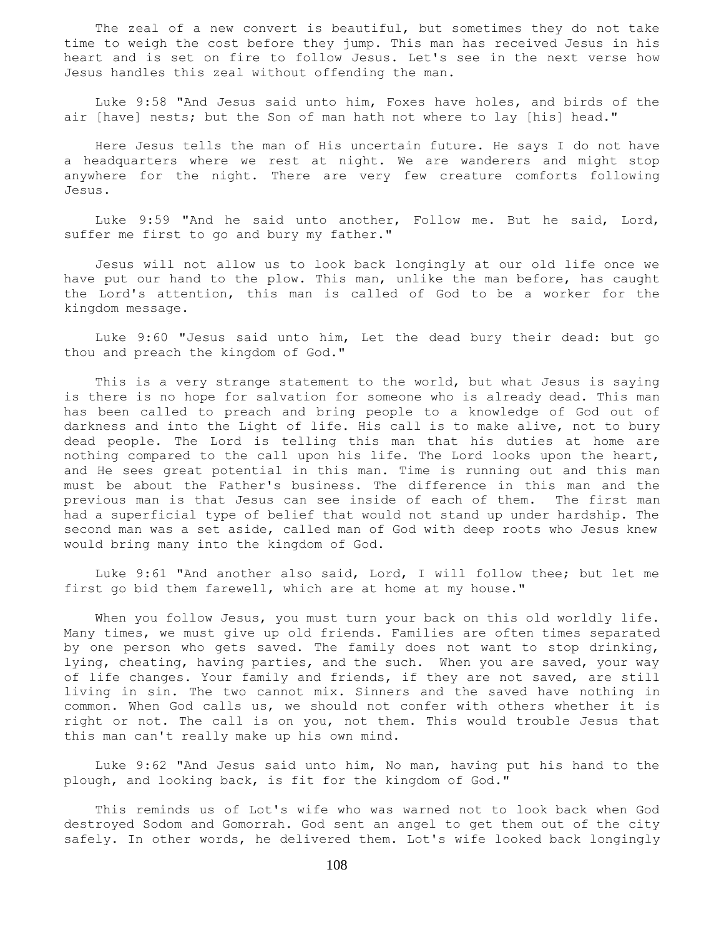The zeal of a new convert is beautiful, but sometimes they do not take time to weigh the cost before they jump. This man has received Jesus in his heart and is set on fire to follow Jesus. Let's see in the next verse how Jesus handles this zeal without offending the man.

 Luke 9:58 "And Jesus said unto him, Foxes have holes, and birds of the air [have] nests; but the Son of man hath not where to lay [his] head."

 Here Jesus tells the man of His uncertain future. He says I do not have a headquarters where we rest at night. We are wanderers and might stop anywhere for the night. There are very few creature comforts following Jesus.

 Luke 9:59 "And he said unto another, Follow me. But he said, Lord, suffer me first to go and bury my father."

 Jesus will not allow us to look back longingly at our old life once we have put our hand to the plow. This man, unlike the man before, has caught the Lord's attention, this man is called of God to be a worker for the kingdom message.

 Luke 9:60 "Jesus said unto him, Let the dead bury their dead: but go thou and preach the kingdom of God."

 This is a very strange statement to the world, but what Jesus is saying is there is no hope for salvation for someone who is already dead. This man has been called to preach and bring people to a knowledge of God out of darkness and into the Light of life. His call is to make alive, not to bury dead people. The Lord is telling this man that his duties at home are nothing compared to the call upon his life. The Lord looks upon the heart, and He sees great potential in this man. Time is running out and this man must be about the Father's business. The difference in this man and the previous man is that Jesus can see inside of each of them. The first man had a superficial type of belief that would not stand up under hardship. The second man was a set aside, called man of God with deep roots who Jesus knew would bring many into the kingdom of God.

 Luke 9:61 "And another also said, Lord, I will follow thee; but let me first go bid them farewell, which are at home at my house."

When you follow Jesus, you must turn your back on this old worldly life. Many times, we must give up old friends. Families are often times separated by one person who gets saved. The family does not want to stop drinking, lying, cheating, having parties, and the such. When you are saved, your way of life changes. Your family and friends, if they are not saved, are still living in sin. The two cannot mix. Sinners and the saved have nothing in common. When God calls us, we should not confer with others whether it is right or not. The call is on you, not them. This would trouble Jesus that this man can't really make up his own mind.

 Luke 9:62 "And Jesus said unto him, No man, having put his hand to the plough, and looking back, is fit for the kingdom of God."

 This reminds us of Lot's wife who was warned not to look back when God destroyed Sodom and Gomorrah. God sent an angel to get them out of the city safely. In other words, he delivered them. Lot's wife looked back longingly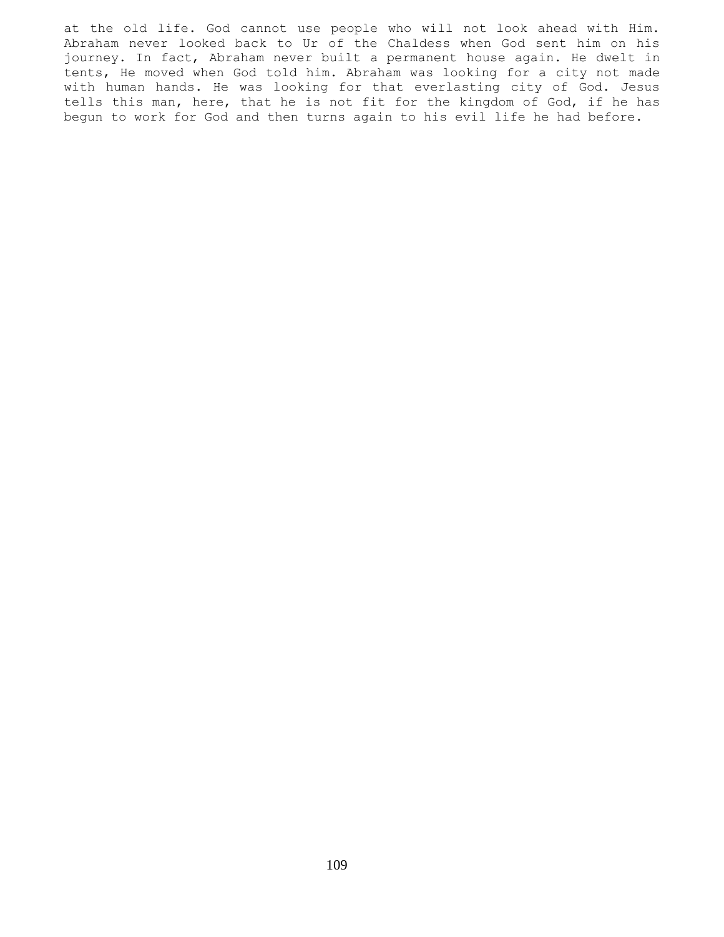at the old life. God cannot use people who will not look ahead with Him. Abraham never looked back to Ur of the Chaldess when God sent him on his journey. In fact, Abraham never built a permanent house again. He dwelt in tents, He moved when God told him. Abraham was looking for a city not made with human hands. He was looking for that everlasting city of God. Jesus tells this man, here, that he is not fit for the kingdom of God, if he has begun to work for God and then turns again to his evil life he had before.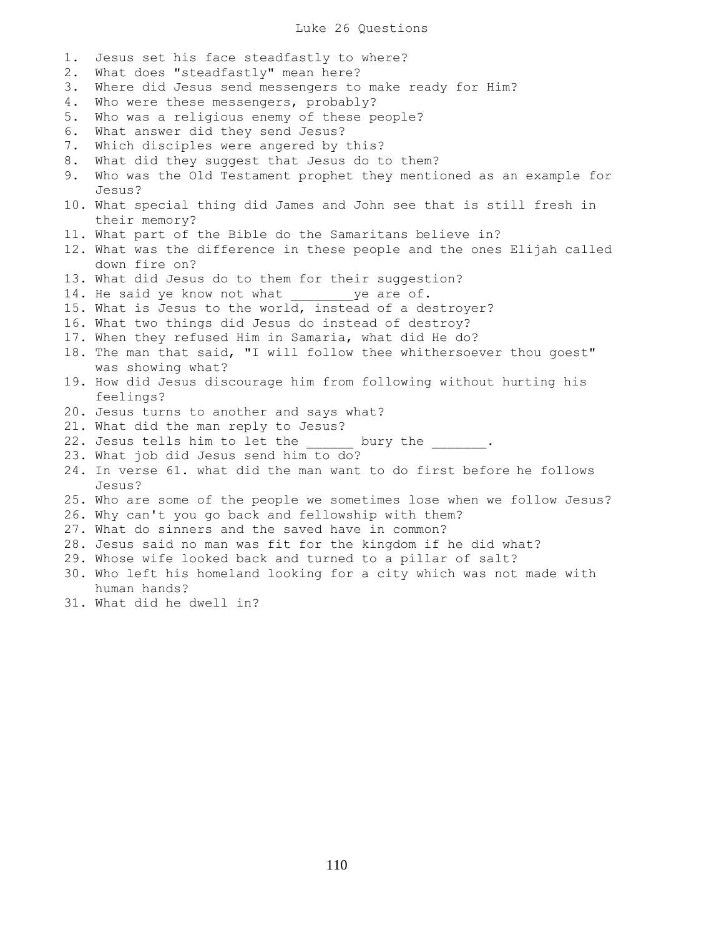## Luke 26 Questions

1. Jesus set his face steadfastly to where? 2. What does "steadfastly" mean here? 3. Where did Jesus send messengers to make ready for Him? 4. Who were these messengers, probably? 5. Who was a religious enemy of these people? 6. What answer did they send Jesus? 7. Which disciples were angered by this? 8. What did they suggest that Jesus do to them? 9. Who was the Old Testament prophet they mentioned as an example for Jesus? 10. What special thing did James and John see that is still fresh in their memory? 11. What part of the Bible do the Samaritans believe in? 12. What was the difference in these people and the ones Elijah called down fire on? 13. What did Jesus do to them for their suggestion? 14. He said ye know not what \_\_\_\_\_\_\_\_ ye are of. 15. What is Jesus to the world, instead of a destroyer? 16. What two things did Jesus do instead of destroy? 17. When they refused Him in Samaria, what did He do? 18. The man that said, "I will follow thee whithersoever thou goest" was showing what? 19. How did Jesus discourage him from following without hurting his feelings? 20. Jesus turns to another and says what? 21. What did the man reply to Jesus? 22. Jesus tells him to let the bury the . 23. What job did Jesus send him to do? 24. In verse 61. what did the man want to do first before he follows Jesus? 25. Who are some of the people we sometimes lose when we follow Jesus? 26. Why can't you go back and fellowship with them? 27. What do sinners and the saved have in common? 28. Jesus said no man was fit for the kingdom if he did what? 29. Whose wife looked back and turned to a pillar of salt? 30. Who left his homeland looking for a city which was not made with human hands?

31. What did he dwell in?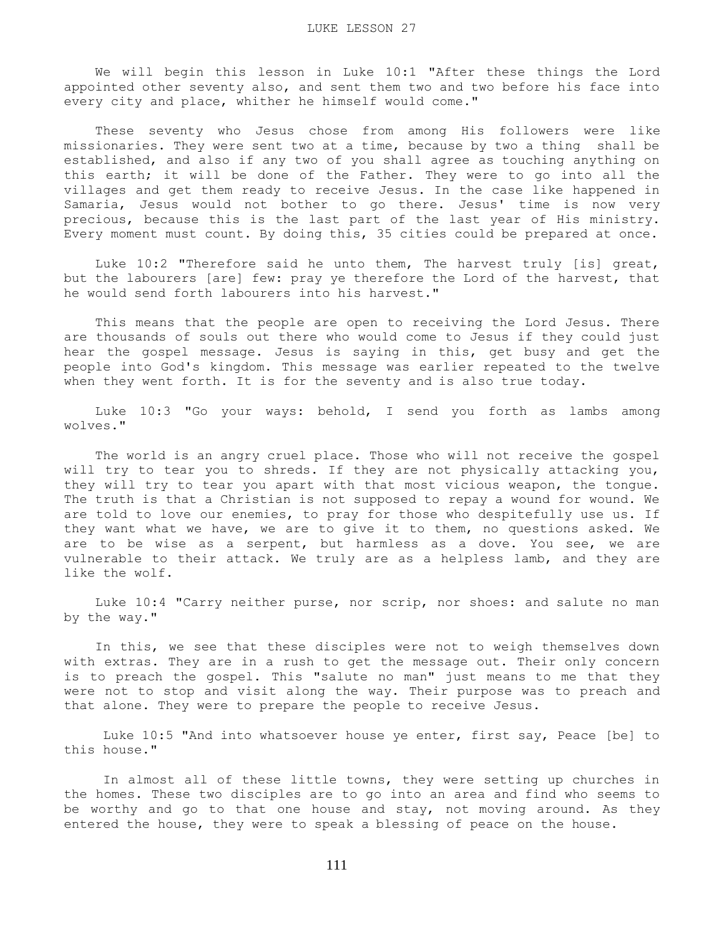We will begin this lesson in Luke 10:1 "After these things the Lord appointed other seventy also, and sent them two and two before his face into every city and place, whither he himself would come."

 These seventy who Jesus chose from among His followers were like missionaries. They were sent two at a time, because by two a thing shall be established, and also if any two of you shall agree as touching anything on this earth; it will be done of the Father. They were to go into all the villages and get them ready to receive Jesus. In the case like happened in Samaria, Jesus would not bother to go there. Jesus' time is now very precious, because this is the last part of the last year of His ministry. Every moment must count. By doing this, 35 cities could be prepared at once.

Luke 10:2 "Therefore said he unto them, The harvest truly [is] great, but the labourers [are] few: pray ye therefore the Lord of the harvest, that he would send forth labourers into his harvest."

 This means that the people are open to receiving the Lord Jesus. There are thousands of souls out there who would come to Jesus if they could just hear the gospel message. Jesus is saying in this, get busy and get the people into God's kingdom. This message was earlier repeated to the twelve when they went forth. It is for the seventy and is also true today.

 Luke 10:3 "Go your ways: behold, I send you forth as lambs among wolves."

 The world is an angry cruel place. Those who will not receive the gospel will try to tear you to shreds. If they are not physically attacking you, they will try to tear you apart with that most vicious weapon, the tongue. The truth is that a Christian is not supposed to repay a wound for wound. We are told to love our enemies, to pray for those who despitefully use us. If they want what we have, we are to give it to them, no questions asked. We are to be wise as a serpent, but harmless as a dove. You see, we are vulnerable to their attack. We truly are as a helpless lamb, and they are like the wolf.

 Luke 10:4 "Carry neither purse, nor scrip, nor shoes: and salute no man by the way."

 In this, we see that these disciples were not to weigh themselves down with extras. They are in a rush to get the message out. Their only concern is to preach the gospel. This "salute no man" just means to me that they were not to stop and visit along the way. Their purpose was to preach and that alone. They were to prepare the people to receive Jesus.

 Luke 10:5 "And into whatsoever house ye enter, first say, Peace [be] to this house."

 In almost all of these little towns, they were setting up churches in the homes. These two disciples are to go into an area and find who seems to be worthy and go to that one house and stay, not moving around. As they entered the house, they were to speak a blessing of peace on the house.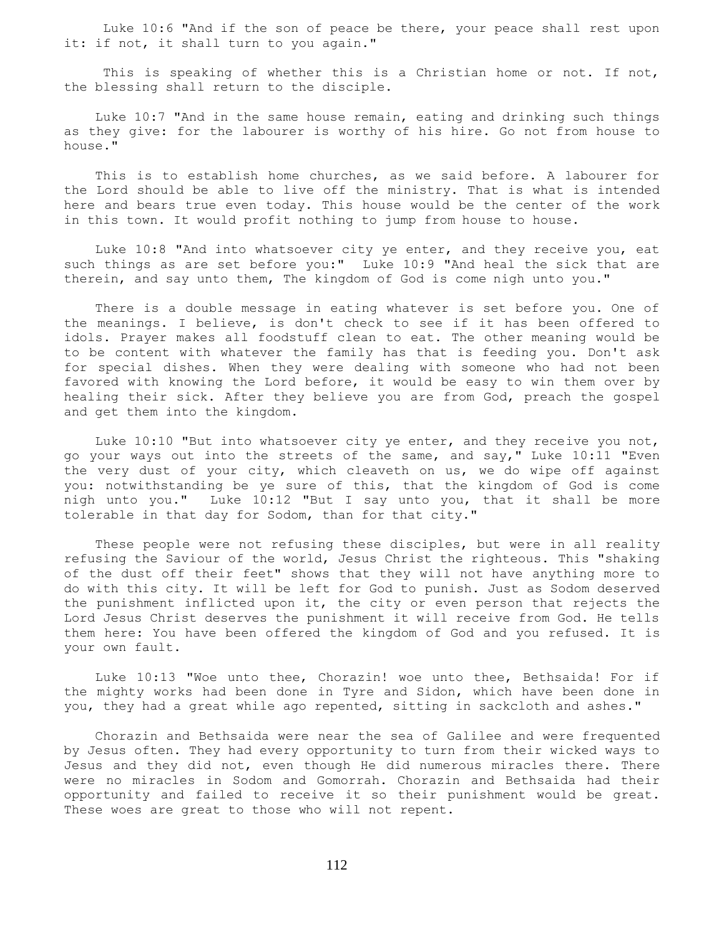Luke 10:6 "And if the son of peace be there, your peace shall rest upon it: if not, it shall turn to you again."

This is speaking of whether this is a Christian home or not. If not, the blessing shall return to the disciple.

 Luke 10:7 "And in the same house remain, eating and drinking such things as they give: for the labourer is worthy of his hire. Go not from house to house."

 This is to establish home churches, as we said before. A labourer for the Lord should be able to live off the ministry. That is what is intended here and bears true even today. This house would be the center of the work in this town. It would profit nothing to jump from house to house.

 Luke 10:8 "And into whatsoever city ye enter, and they receive you, eat such things as are set before you:" Luke 10:9 "And heal the sick that are therein, and say unto them, The kingdom of God is come nigh unto you."

 There is a double message in eating whatever is set before you. One of the meanings. I believe, is don't check to see if it has been offered to idols. Prayer makes all foodstuff clean to eat. The other meaning would be to be content with whatever the family has that is feeding you. Don't ask for special dishes. When they were dealing with someone who had not been favored with knowing the Lord before, it would be easy to win them over by healing their sick. After they believe you are from God, preach the gospel and get them into the kingdom.

 Luke 10:10 "But into whatsoever city ye enter, and they receive you not, go your ways out into the streets of the same, and say," Luke 10:11 "Even the very dust of your city, which cleaveth on us, we do wipe off against you: notwithstanding be ye sure of this, that the kingdom of God is come nigh unto you." Luke 10:12 "But I say unto you, that it shall be more tolerable in that day for Sodom, than for that city."

 These people were not refusing these disciples, but were in all reality refusing the Saviour of the world, Jesus Christ the righteous. This "shaking of the dust off their feet" shows that they will not have anything more to do with this city. It will be left for God to punish. Just as Sodom deserved the punishment inflicted upon it, the city or even person that rejects the Lord Jesus Christ deserves the punishment it will receive from God. He tells them here: You have been offered the kingdom of God and you refused. It is your own fault.

 Luke 10:13 "Woe unto thee, Chorazin! woe unto thee, Bethsaida! For if the mighty works had been done in Tyre and Sidon, which have been done in you, they had a great while ago repented, sitting in sackcloth and ashes."

 Chorazin and Bethsaida were near the sea of Galilee and were frequented by Jesus often. They had every opportunity to turn from their wicked ways to Jesus and they did not, even though He did numerous miracles there. There were no miracles in Sodom and Gomorrah. Chorazin and Bethsaida had their opportunity and failed to receive it so their punishment would be great. These woes are great to those who will not repent.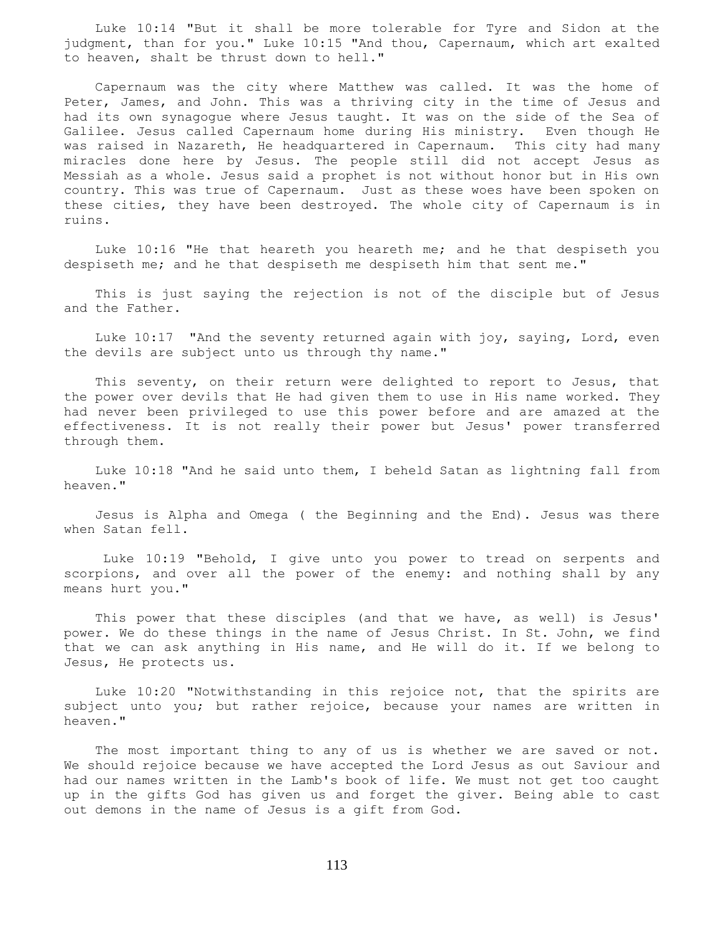Luke 10:14 "But it shall be more tolerable for Tyre and Sidon at the judgment, than for you." Luke 10:15 "And thou, Capernaum, which art exalted to heaven, shalt be thrust down to hell."

 Capernaum was the city where Matthew was called. It was the home of Peter, James, and John. This was a thriving city in the time of Jesus and had its own synagogue where Jesus taught. It was on the side of the Sea of Galilee. Jesus called Capernaum home during His ministry. Even though He was raised in Nazareth, He headquartered in Capernaum. This city had many miracles done here by Jesus. The people still did not accept Jesus as Messiah as a whole. Jesus said a prophet is not without honor but in His own country. This was true of Capernaum. Just as these woes have been spoken on these cities, they have been destroyed. The whole city of Capernaum is in ruins.

 Luke 10:16 "He that heareth you heareth me; and he that despiseth you despiseth me; and he that despiseth me despiseth him that sent me."

 This is just saying the rejection is not of the disciple but of Jesus and the Father.

 Luke 10:17 "And the seventy returned again with joy, saying, Lord, even the devils are subject unto us through thy name."

 This seventy, on their return were delighted to report to Jesus, that the power over devils that He had given them to use in His name worked. They had never been privileged to use this power before and are amazed at the effectiveness. It is not really their power but Jesus' power transferred through them.

 Luke 10:18 "And he said unto them, I beheld Satan as lightning fall from heaven."

 Jesus is Alpha and Omega ( the Beginning and the End). Jesus was there when Satan fell.

 Luke 10:19 "Behold, I give unto you power to tread on serpents and scorpions, and over all the power of the enemy: and nothing shall by any means hurt you."

 This power that these disciples (and that we have, as well) is Jesus' power. We do these things in the name of Jesus Christ. In St. John, we find that we can ask anything in His name, and He will do it. If we belong to Jesus, He protects us.

 Luke 10:20 "Notwithstanding in this rejoice not, that the spirits are subject unto you; but rather rejoice, because your names are written in heaven."

 The most important thing to any of us is whether we are saved or not. We should rejoice because we have accepted the Lord Jesus as out Saviour and had our names written in the Lamb's book of life. We must not get too caught up in the gifts God has given us and forget the giver. Being able to cast out demons in the name of Jesus is a gift from God.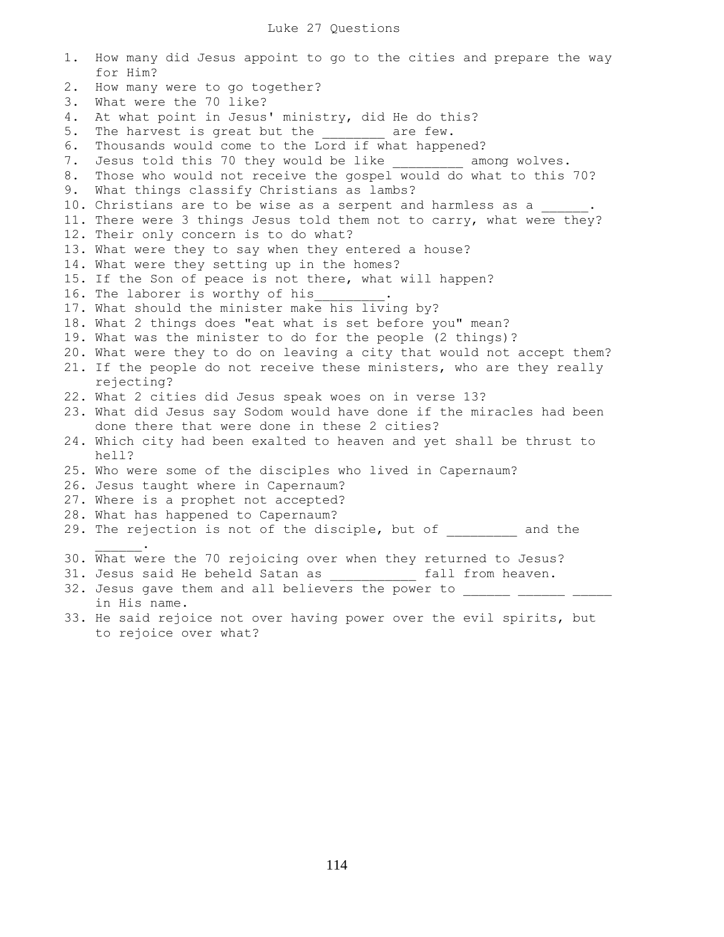1. How many did Jesus appoint to go to the cities and prepare the way for Him? 2. How many were to go together? 3. What were the 70 like? 4. At what point in Jesus' ministry, did He do this? 5. The harvest is great but the are few. 6. Thousands would come to the Lord if what happened? 7. Jesus told this 70 they would be like among wolves. 8. Those who would not receive the gospel would do what to this 70? 9. What things classify Christians as lambs? 10. Christians are to be wise as a serpent and harmless as a 11. There were 3 things Jesus told them not to carry, what were they? 12. Their only concern is to do what? 13. What were they to say when they entered a house? 14. What were they setting up in the homes? 15. If the Son of peace is not there, what will happen? 16. The laborer is worthy of his 17. What should the minister make his living by? 18. What 2 things does "eat what is set before you" mean? 19. What was the minister to do for the people (2 things)? 20. What were they to do on leaving a city that would not accept them? 21. If the people do not receive these ministers, who are they really rejecting? 22. What 2 cities did Jesus speak woes on in verse 13? 23. What did Jesus say Sodom would have done if the miracles had been done there that were done in these 2 cities? 24. Which city had been exalted to heaven and yet shall be thrust to hell? 25. Who were some of the disciples who lived in Capernaum? 26. Jesus taught where in Capernaum? 27. Where is a prophet not accepted? 28. What has happened to Capernaum? 29. The rejection is not of the disciple, but of and the  $\frac{1}{2}$  and  $\frac{1}{2}$  and  $\frac{1}{2}$  . 30. What were the 70 rejoicing over when they returned to Jesus? 31. Jesus said He beheld Satan as  $\qquad \qquad$  fall from heaven. 32. Jesus gave them and all believers the power to in His name. 33. He said rejoice not over having power over the evil spirits, but to rejoice over what?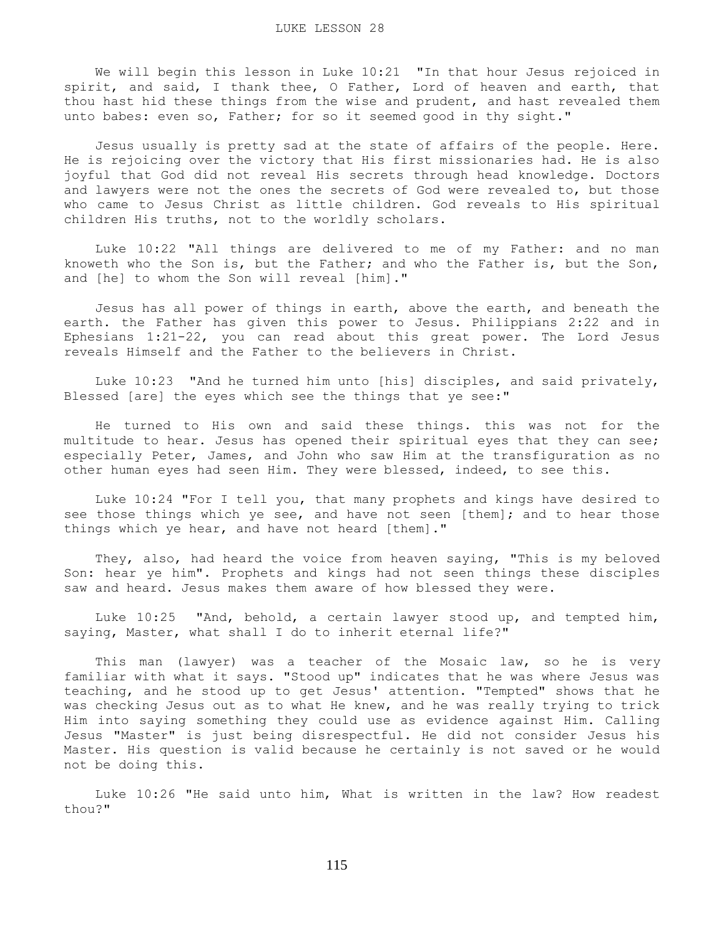We will begin this lesson in Luke 10:21 "In that hour Jesus rejoiced in spirit, and said, I thank thee, O Father, Lord of heaven and earth, that thou hast hid these things from the wise and prudent, and hast revealed them unto babes: even so, Father; for so it seemed good in thy sight."

 Jesus usually is pretty sad at the state of affairs of the people. Here. He is rejoicing over the victory that His first missionaries had. He is also joyful that God did not reveal His secrets through head knowledge. Doctors and lawyers were not the ones the secrets of God were revealed to, but those who came to Jesus Christ as little children. God reveals to His spiritual children His truths, not to the worldly scholars.

 Luke 10:22 "All things are delivered to me of my Father: and no man knoweth who the Son is, but the Father; and who the Father is, but the Son, and [he] to whom the Son will reveal [him]."

 Jesus has all power of things in earth, above the earth, and beneath the earth. the Father has given this power to Jesus. Philippians 2:22 and in Ephesians 1:21-22, you can read about this great power. The Lord Jesus reveals Himself and the Father to the believers in Christ.

 Luke 10:23 "And he turned him unto [his] disciples, and said privately, Blessed [are] the eyes which see the things that ye see:"

 He turned to His own and said these things. this was not for the multitude to hear. Jesus has opened their spiritual eyes that they can see; especially Peter, James, and John who saw Him at the transfiguration as no other human eyes had seen Him. They were blessed, indeed, to see this.

 Luke 10:24 "For I tell you, that many prophets and kings have desired to see those things which ye see, and have not seen [them]; and to hear those things which ye hear, and have not heard [them]."

 They, also, had heard the voice from heaven saying, "This is my beloved Son: hear ye him". Prophets and kings had not seen things these disciples saw and heard. Jesus makes them aware of how blessed they were.

 Luke 10:25 "And, behold, a certain lawyer stood up, and tempted him, saying, Master, what shall I do to inherit eternal life?"

 This man (lawyer) was a teacher of the Mosaic law, so he is very familiar with what it says. "Stood up" indicates that he was where Jesus was teaching, and he stood up to get Jesus' attention. "Tempted" shows that he was checking Jesus out as to what He knew, and he was really trying to trick Him into saying something they could use as evidence against Him. Calling Jesus "Master" is just being disrespectful. He did not consider Jesus his Master. His question is valid because he certainly is not saved or he would not be doing this.

 Luke 10:26 "He said unto him, What is written in the law? How readest thou?"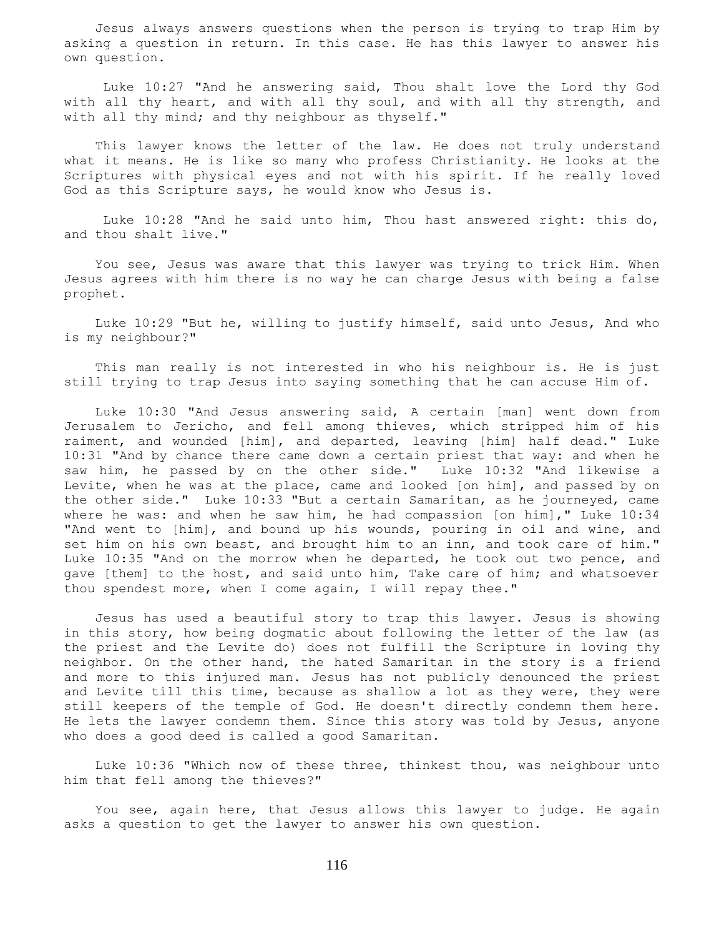Jesus always answers questions when the person is trying to trap Him by asking a question in return. In this case. He has this lawyer to answer his own question.

 Luke 10:27 "And he answering said, Thou shalt love the Lord thy God with all thy heart, and with all thy soul, and with all thy strength, and with all thy mind; and thy neighbour as thyself."

 This lawyer knows the letter of the law. He does not truly understand what it means. He is like so many who profess Christianity. He looks at the Scriptures with physical eyes and not with his spirit. If he really loved God as this Scripture says, he would know who Jesus is.

 Luke 10:28 "And he said unto him, Thou hast answered right: this do, and thou shalt live."

 You see, Jesus was aware that this lawyer was trying to trick Him. When Jesus agrees with him there is no way he can charge Jesus with being a false prophet.

 Luke 10:29 "But he, willing to justify himself, said unto Jesus, And who is my neighbour?"

 This man really is not interested in who his neighbour is. He is just still trying to trap Jesus into saying something that he can accuse Him of.

 Luke 10:30 "And Jesus answering said, A certain [man] went down from Jerusalem to Jericho, and fell among thieves, which stripped him of his raiment, and wounded [him], and departed, leaving [him] half dead." Luke 10:31 "And by chance there came down a certain priest that way: and when he saw him, he passed by on the other side." Luke 10:32 "And likewise a Levite, when he was at the place, came and looked [on him], and passed by on the other side." Luke 10:33 "But a certain Samaritan, as he journeyed, came where he was: and when he saw him, he had compassion [on him]," Luke 10:34 "And went to [him], and bound up his wounds, pouring in oil and wine, and set him on his own beast, and brought him to an inn, and took care of him." Luke 10:35 "And on the morrow when he departed, he took out two pence, and gave [them] to the host, and said unto him, Take care of him; and whatsoever thou spendest more, when I come again, I will repay thee."

 Jesus has used a beautiful story to trap this lawyer. Jesus is showing in this story, how being dogmatic about following the letter of the law (as the priest and the Levite do) does not fulfill the Scripture in loving thy neighbor. On the other hand, the hated Samaritan in the story is a friend and more to this injured man. Jesus has not publicly denounced the priest and Levite till this time, because as shallow a lot as they were, they were still keepers of the temple of God. He doesn't directly condemn them here. He lets the lawyer condemn them. Since this story was told by Jesus, anyone who does a good deed is called a good Samaritan.

 Luke 10:36 "Which now of these three, thinkest thou, was neighbour unto him that fell among the thieves?"

 You see, again here, that Jesus allows this lawyer to judge. He again asks a question to get the lawyer to answer his own question.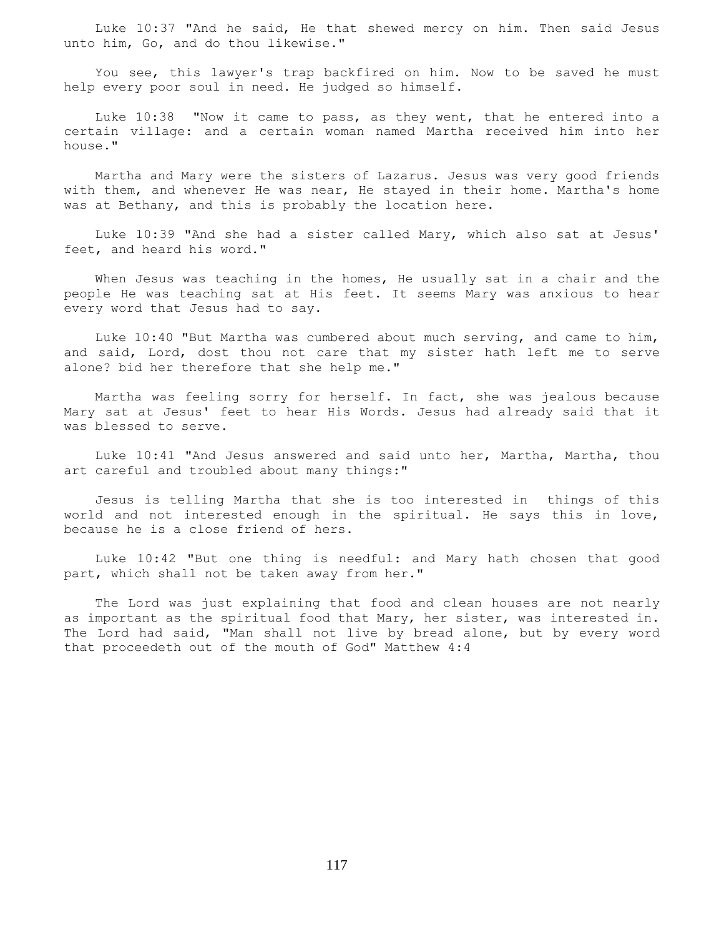Luke 10:37 "And he said, He that shewed mercy on him. Then said Jesus unto him, Go, and do thou likewise."

 You see, this lawyer's trap backfired on him. Now to be saved he must help every poor soul in need. He judged so himself.

 Luke 10:38 "Now it came to pass, as they went, that he entered into a certain village: and a certain woman named Martha received him into her house."

 Martha and Mary were the sisters of Lazarus. Jesus was very good friends with them, and whenever He was near, He stayed in their home. Martha's home was at Bethany, and this is probably the location here.

 Luke 10:39 "And she had a sister called Mary, which also sat at Jesus' feet, and heard his word."

 When Jesus was teaching in the homes, He usually sat in a chair and the people He was teaching sat at His feet. It seems Mary was anxious to hear every word that Jesus had to say.

 Luke 10:40 "But Martha was cumbered about much serving, and came to him, and said, Lord, dost thou not care that my sister hath left me to serve alone? bid her therefore that she help me."

 Martha was feeling sorry for herself. In fact, she was jealous because Mary sat at Jesus' feet to hear His Words. Jesus had already said that it was blessed to serve.

 Luke 10:41 "And Jesus answered and said unto her, Martha, Martha, thou art careful and troubled about many things:"

 Jesus is telling Martha that she is too interested in things of this world and not interested enough in the spiritual. He says this in love, because he is a close friend of hers.

 Luke 10:42 "But one thing is needful: and Mary hath chosen that good part, which shall not be taken away from her."

 The Lord was just explaining that food and clean houses are not nearly as important as the spiritual food that Mary, her sister, was interested in. The Lord had said, "Man shall not live by bread alone, but by every word that proceedeth out of the mouth of God" Matthew 4:4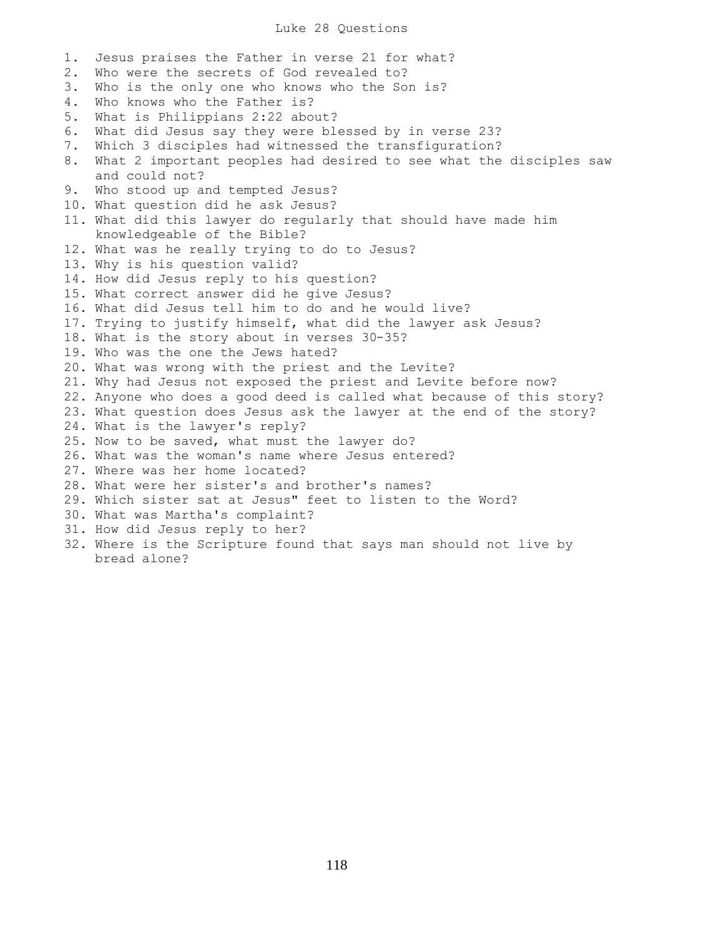#### Luke 28 Questions

1. Jesus praises the Father in verse 21 for what? 2. Who were the secrets of God revealed to? 3. Who is the only one who knows who the Son is? 4. Who knows who the Father is? 5. What is Philippians 2:22 about? 6. What did Jesus say they were blessed by in verse 23? 7. Which 3 disciples had witnessed the transfiguration? 8. What 2 important peoples had desired to see what the disciples saw and could not? 9. Who stood up and tempted Jesus? 10. What question did he ask Jesus? 11. What did this lawyer do regularly that should have made him knowledgeable of the Bible? 12. What was he really trying to do to Jesus? 13. Why is his question valid? 14. How did Jesus reply to his question? 15. What correct answer did he give Jesus? 16. What did Jesus tell him to do and he would live? 17. Trying to justify himself, what did the lawyer ask Jesus? 18. What is the story about in verses 30-35? 19. Who was the one the Jews hated? 20. What was wrong with the priest and the Levite? 21. Why had Jesus not exposed the priest and Levite before now? 22. Anyone who does a good deed is called what because of this story? 23. What question does Jesus ask the lawyer at the end of the story? 24. What is the lawyer's reply? 25. Now to be saved, what must the lawyer do? 26. What was the woman's name where Jesus entered? 27. Where was her home located? 28. What were her sister's and brother's names? 29. Which sister sat at Jesus" feet to listen to the Word? 30. What was Martha's complaint? 31. How did Jesus reply to her? 32. Where is the Scripture found that says man should not live by bread alone?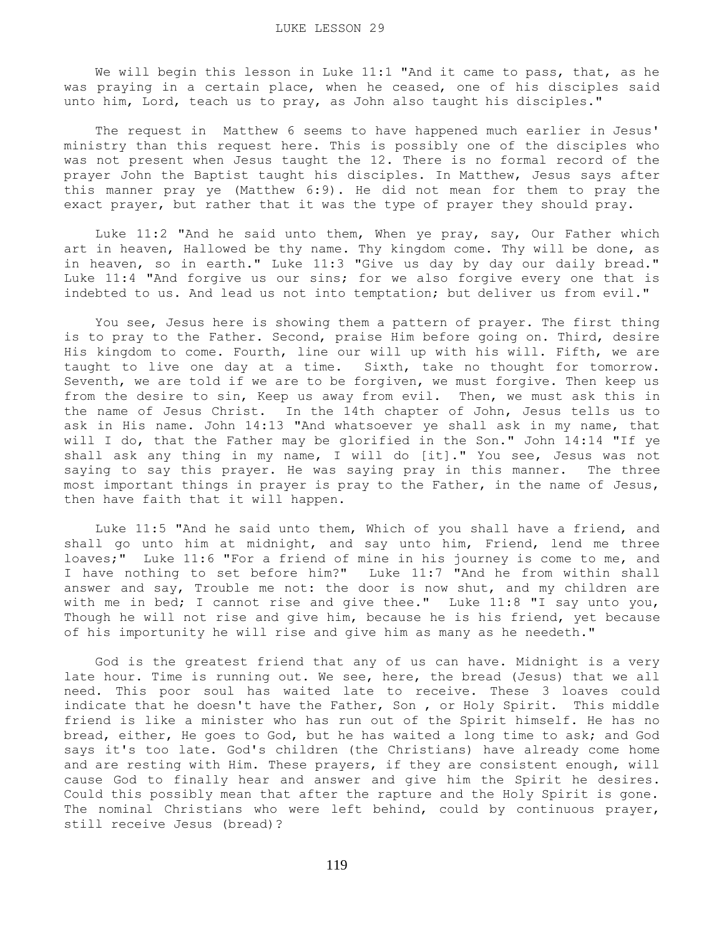We will begin this lesson in Luke 11:1 "And it came to pass, that, as he was praying in a certain place, when he ceased, one of his disciples said unto him, Lord, teach us to pray, as John also taught his disciples."

 The request in Matthew 6 seems to have happened much earlier in Jesus' ministry than this request here. This is possibly one of the disciples who was not present when Jesus taught the 12. There is no formal record of the prayer John the Baptist taught his disciples. In Matthew, Jesus says after this manner pray ye (Matthew 6:9). He did not mean for them to pray the exact prayer, but rather that it was the type of prayer they should pray.

 Luke 11:2 "And he said unto them, When ye pray, say, Our Father which art in heaven, Hallowed be thy name. Thy kingdom come. Thy will be done, as in heaven, so in earth." Luke 11:3 "Give us day by day our daily bread." Luke 11:4 "And forgive us our sins; for we also forgive every one that is indebted to us. And lead us not into temptation; but deliver us from evil."

 You see, Jesus here is showing them a pattern of prayer. The first thing is to pray to the Father. Second, praise Him before going on. Third, desire His kingdom to come. Fourth, line our will up with his will. Fifth, we are taught to live one day at a time. Sixth, take no thought for tomorrow. Seventh, we are told if we are to be forgiven, we must forgive. Then keep us from the desire to sin, Keep us away from evil. Then, we must ask this in the name of Jesus Christ. In the 14th chapter of John, Jesus tells us to ask in His name. John 14:13 "And whatsoever ye shall ask in my name, that will I do, that the Father may be glorified in the Son." John 14:14 "If ye shall ask any thing in my name, I will do [it]." You see, Jesus was not saying to say this prayer. He was saying pray in this manner. The three most important things in prayer is pray to the Father, in the name of Jesus, then have faith that it will happen.

 Luke 11:5 "And he said unto them, Which of you shall have a friend, and shall go unto him at midnight, and say unto him, Friend, lend me three loaves;" Luke 11:6 "For a friend of mine in his journey is come to me, and I have nothing to set before him?" Luke 11:7 "And he from within shall answer and say, Trouble me not: the door is now shut, and my children are with me in bed; I cannot rise and give thee." Luke 11:8 "I say unto you, Though he will not rise and give him, because he is his friend, yet because of his importunity he will rise and give him as many as he needeth."

 God is the greatest friend that any of us can have. Midnight is a very late hour. Time is running out. We see, here, the bread (Jesus) that we all need. This poor soul has waited late to receive. These 3 loaves could indicate that he doesn't have the Father, Son, or Holy Spirit. This middle friend is like a minister who has run out of the Spirit himself. He has no bread, either, He goes to God, but he has waited a long time to ask; and God says it's too late. God's children (the Christians) have already come home and are resting with Him. These prayers, if they are consistent enough, will cause God to finally hear and answer and give him the Spirit he desires. Could this possibly mean that after the rapture and the Holy Spirit is gone. The nominal Christians who were left behind, could by continuous prayer, still receive Jesus (bread)?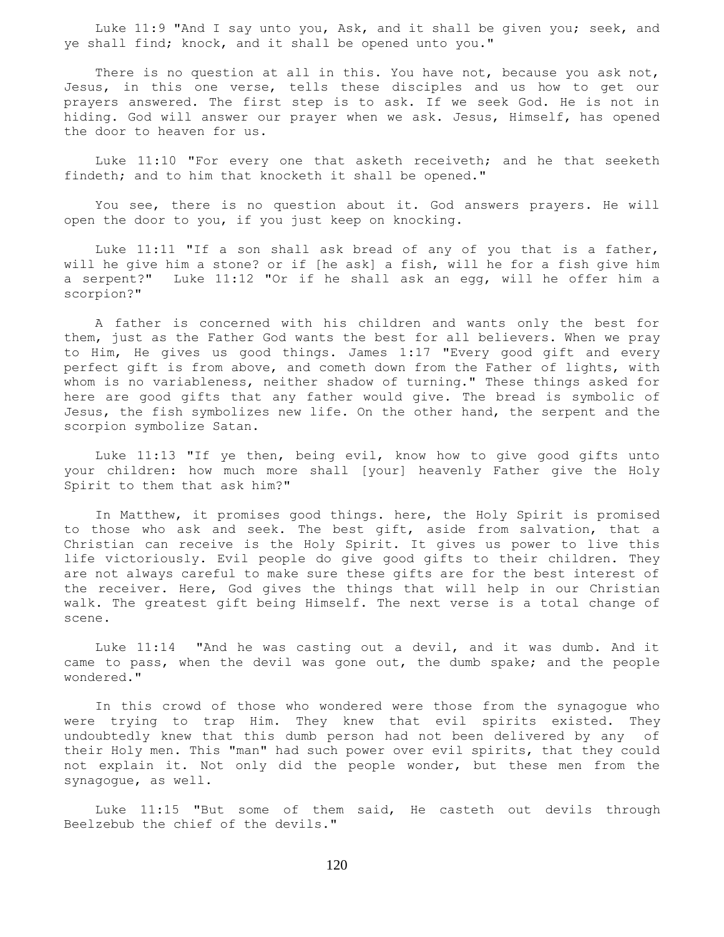Luke 11:9 "And I say unto you, Ask, and it shall be given you; seek, and ye shall find; knock, and it shall be opened unto you."

There is no question at all in this. You have not, because you ask not, Jesus, in this one verse, tells these disciples and us how to get our prayers answered. The first step is to ask. If we seek God. He is not in hiding. God will answer our prayer when we ask. Jesus, Himself, has opened the door to heaven for us.

 Luke 11:10 "For every one that asketh receiveth; and he that seeketh findeth; and to him that knocketh it shall be opened."

 You see, there is no question about it. God answers prayers. He will open the door to you, if you just keep on knocking.

 Luke 11:11 "If a son shall ask bread of any of you that is a father, will he give him a stone? or if [he ask] a fish, will he for a fish give him a serpent?" Luke 11:12 "Or if he shall ask an egg, will he offer him a scorpion?"

 A father is concerned with his children and wants only the best for them, just as the Father God wants the best for all believers. When we pray to Him, He gives us good things. James 1:17 "Every good gift and every perfect gift is from above, and cometh down from the Father of lights, with whom is no variableness, neither shadow of turning." These things asked for here are good gifts that any father would give. The bread is symbolic of Jesus, the fish symbolizes new life. On the other hand, the serpent and the scorpion symbolize Satan.

 Luke 11:13 "If ye then, being evil, know how to give good gifts unto your children: how much more shall [your] heavenly Father give the Holy Spirit to them that ask him?"

 In Matthew, it promises good things. here, the Holy Spirit is promised to those who ask and seek. The best gift, aside from salvation, that a Christian can receive is the Holy Spirit. It gives us power to live this life victoriously. Evil people do give good gifts to their children. They are not always careful to make sure these gifts are for the best interest of the receiver. Here, God gives the things that will help in our Christian walk. The greatest gift being Himself. The next verse is a total change of scene.

 Luke 11:14 "And he was casting out a devil, and it was dumb. And it came to pass, when the devil was gone out, the dumb spake; and the people wondered."

 In this crowd of those who wondered were those from the synagogue who were trying to trap Him. They knew that evil spirits existed. They undoubtedly knew that this dumb person had not been delivered by any of their Holy men. This "man" had such power over evil spirits, that they could not explain it. Not only did the people wonder, but these men from the synagogue, as well.

 Luke 11:15 "But some of them said, He casteth out devils through Beelzebub the chief of the devils."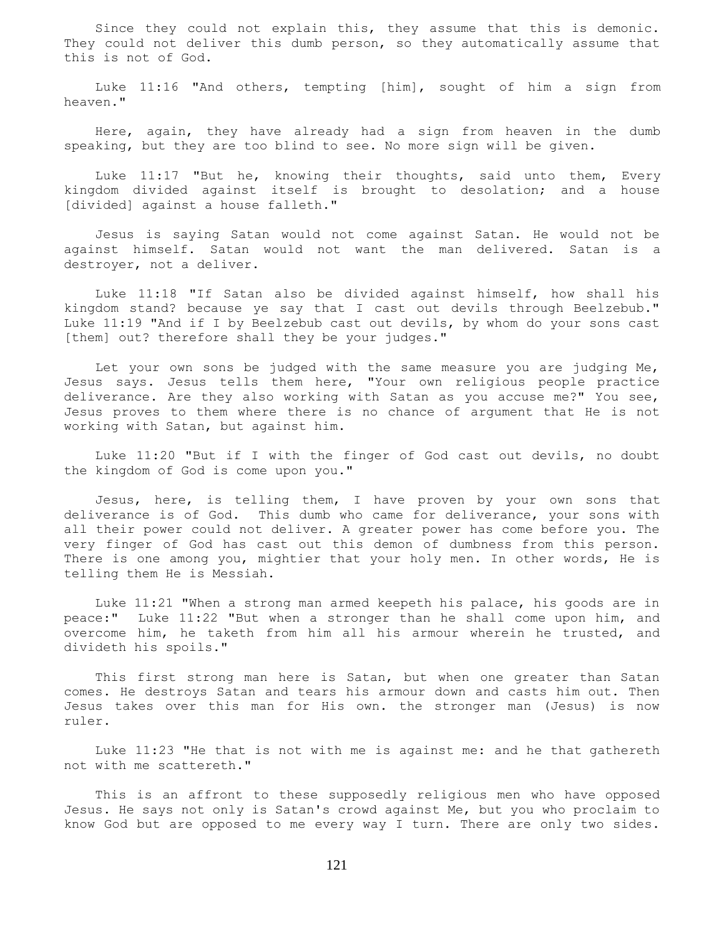Since they could not explain this, they assume that this is demonic. They could not deliver this dumb person, so they automatically assume that this is not of God.

 Luke 11:16 "And others, tempting [him], sought of him a sign from heaven."

 Here, again, they have already had a sign from heaven in the dumb speaking, but they are too blind to see. No more sign will be given.

 Luke 11:17 "But he, knowing their thoughts, said unto them, Every kingdom divided against itself is brought to desolation; and a house [divided] against a house falleth."

 Jesus is saying Satan would not come against Satan. He would not be against himself. Satan would not want the man delivered. Satan is a destroyer, not a deliver.

 Luke 11:18 "If Satan also be divided against himself, how shall his kingdom stand? because ye say that I cast out devils through Beelzebub." Luke 11:19 "And if I by Beelzebub cast out devils, by whom do your sons cast [them] out? therefore shall they be your judges."

 Let your own sons be judged with the same measure you are judging Me, Jesus says. Jesus tells them here, "Your own religious people practice deliverance. Are they also working with Satan as you accuse me?" You see, Jesus proves to them where there is no chance of argument that He is not working with Satan, but against him.

 Luke 11:20 "But if I with the finger of God cast out devils, no doubt the kingdom of God is come upon you."

 Jesus, here, is telling them, I have proven by your own sons that deliverance is of God. This dumb who came for deliverance, your sons with all their power could not deliver. A greater power has come before you. The very finger of God has cast out this demon of dumbness from this person. There is one among you, mightier that your holy men. In other words, He is telling them He is Messiah.

 Luke 11:21 "When a strong man armed keepeth his palace, his goods are in peace:" Luke 11:22 "But when a stronger than he shall come upon him, and overcome him, he taketh from him all his armour wherein he trusted, and divideth his spoils."

 This first strong man here is Satan, but when one greater than Satan comes. He destroys Satan and tears his armour down and casts him out. Then Jesus takes over this man for His own. the stronger man (Jesus) is now ruler.

 Luke 11:23 "He that is not with me is against me: and he that gathereth not with me scattereth."

 This is an affront to these supposedly religious men who have opposed Jesus. He says not only is Satan's crowd against Me, but you who proclaim to know God but are opposed to me every way I turn. There are only two sides.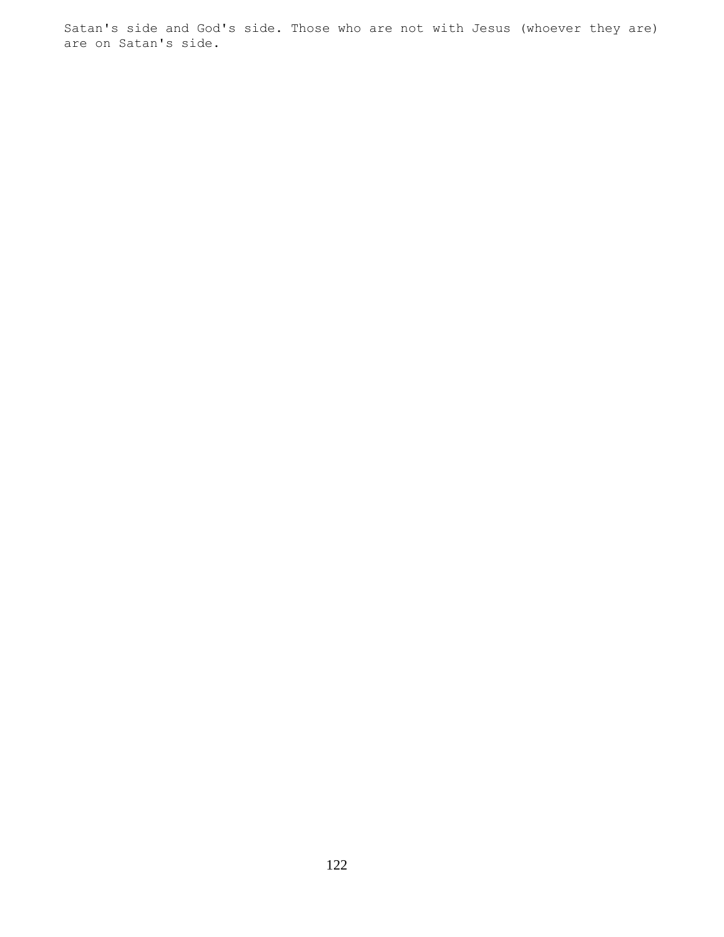Satan's side and God's side. Those who are not with Jesus (whoever they are) are on Satan's side.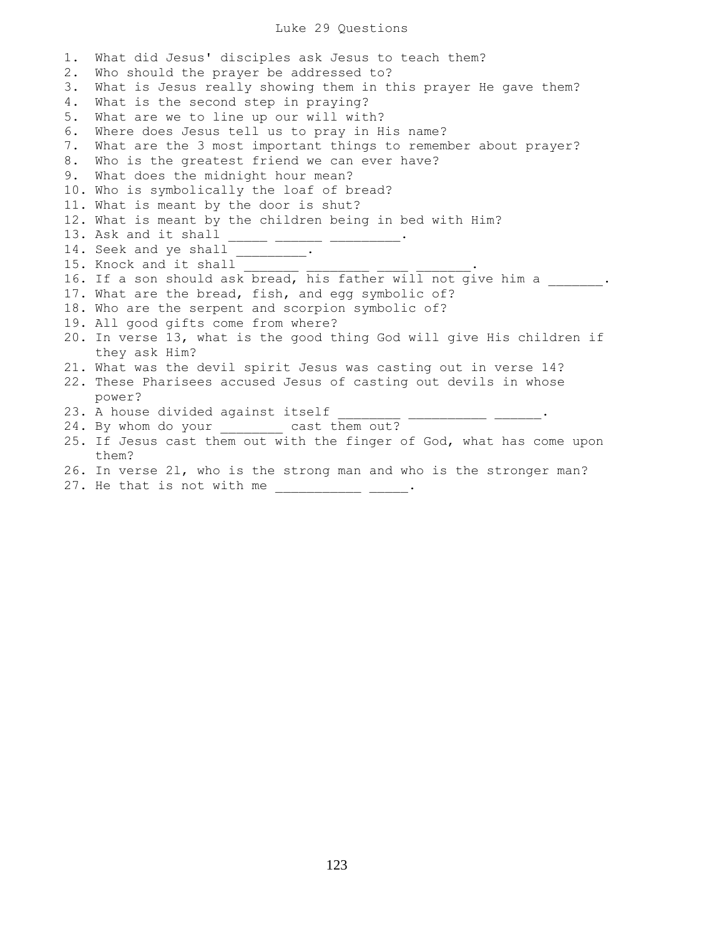# Luke 29 Questions

| $1$ . | What did Jesus' disciples ask Jesus to teach them?                                     |
|-------|----------------------------------------------------------------------------------------|
| 2.    | Who should the prayer be addressed to?                                                 |
| 3.    | What is Jesus really showing them in this prayer He gave them?                         |
| 4.    | What is the second step in praying?                                                    |
| 5.    | What are we to line up our will with?                                                  |
| 6.    | Where does Jesus tell us to pray in His name?                                          |
| 7.    | What are the 3 most important things to remember about prayer?                         |
| 8.    | Who is the greatest friend we can ever have?                                           |
| 9.    | What does the midnight hour mean?                                                      |
|       | 10. Who is symbolically the loaf of bread?                                             |
|       | 11. What is meant by the door is shut?                                                 |
|       | 12. What is meant by the children being in bed with Him?                               |
|       | 13. Ask and it shall                                                                   |
|       | 14. Seek and ye shall _________.                                                       |
|       | 15. Knock and it shall                                                                 |
|       | 16. If a son should ask bread, his father will not give him a                          |
|       | 17. What are the bread, fish, and egg symbolic of?                                     |
|       | 18. Who are the serpent and scorpion symbolic of?                                      |
|       | 19. All good gifts come from where?                                                    |
|       | 20. In verse 13, what is the good thing God will give His children if<br>they ask Him? |
|       | 21. What was the devil spirit Jesus was casting out in verse 14?                       |
|       | 22. These Pharisees accused Jesus of casting out devils in whose                       |
|       | power?                                                                                 |
|       | 23. A house divided against itself                                                     |
|       | 24. By whom do your ________ cast them out?                                            |
|       | 25. If Jesus cast them out with the finger of God, what has come upon                  |
|       | them?                                                                                  |
|       | 26. In verse 21, who is the strong man and who is the stronger man?                    |
|       | 27. He that is not with me                                                             |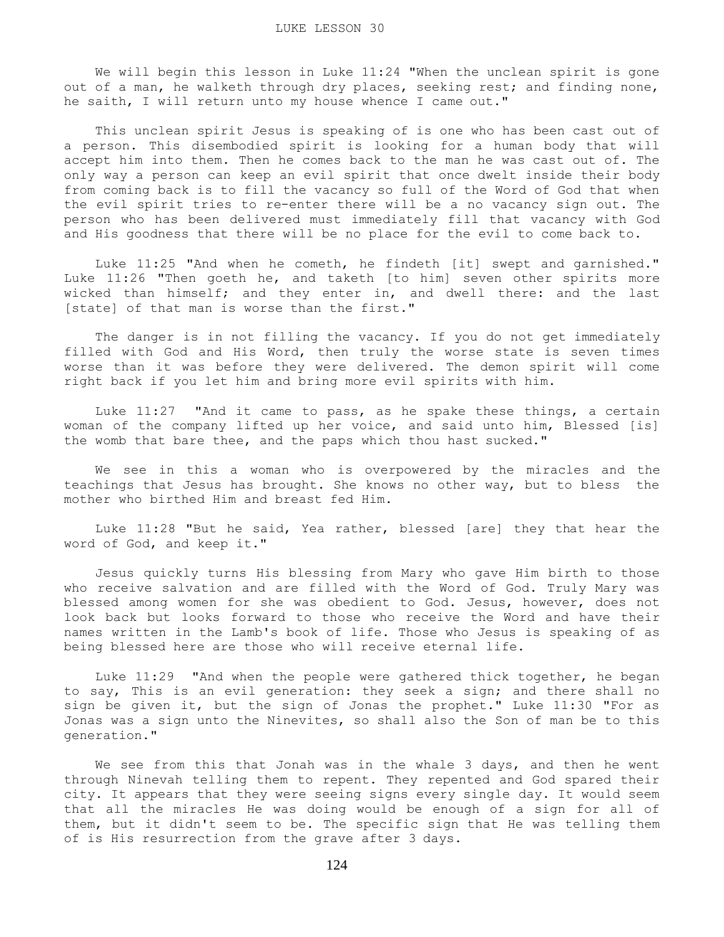We will begin this lesson in Luke 11:24 "When the unclean spirit is gone out of a man, he walketh through dry places, seeking rest; and finding none, he saith, I will return unto my house whence I came out."

 This unclean spirit Jesus is speaking of is one who has been cast out of a person. This disembodied spirit is looking for a human body that will accept him into them. Then he comes back to the man he was cast out of. The only way a person can keep an evil spirit that once dwelt inside their body from coming back is to fill the vacancy so full of the Word of God that when the evil spirit tries to re-enter there will be a no vacancy sign out. The person who has been delivered must immediately fill that vacancy with God and His goodness that there will be no place for the evil to come back to.

 Luke 11:25 "And when he cometh, he findeth [it] swept and garnished." Luke 11:26 "Then goeth he, and taketh [to him] seven other spirits more wicked than himself; and they enter in, and dwell there: and the last [state] of that man is worse than the first."

 The danger is in not filling the vacancy. If you do not get immediately filled with God and His Word, then truly the worse state is seven times worse than it was before they were delivered. The demon spirit will come right back if you let him and bring more evil spirits with him.

 Luke 11:27 "And it came to pass, as he spake these things, a certain woman of the company lifted up her voice, and said unto him, Blessed [is] the womb that bare thee, and the paps which thou hast sucked."

 We see in this a woman who is overpowered by the miracles and the teachings that Jesus has brought. She knows no other way, but to bless the mother who birthed Him and breast fed Him.

 Luke 11:28 "But he said, Yea rather, blessed [are] they that hear the word of God, and keep it."

 Jesus quickly turns His blessing from Mary who gave Him birth to those who receive salvation and are filled with the Word of God. Truly Mary was blessed among women for she was obedient to God. Jesus, however, does not look back but looks forward to those who receive the Word and have their names written in the Lamb's book of life. Those who Jesus is speaking of as being blessed here are those who will receive eternal life.

 Luke 11:29 "And when the people were gathered thick together, he began to say, This is an evil generation: they seek a sign; and there shall no sign be given it, but the sign of Jonas the prophet." Luke 11:30 "For as Jonas was a sign unto the Ninevites, so shall also the Son of man be to this generation."

We see from this that Jonah was in the whale 3 days, and then he went through Ninevah telling them to repent. They repented and God spared their city. It appears that they were seeing signs every single day. It would seem that all the miracles He was doing would be enough of a sign for all of them, but it didn't seem to be. The specific sign that He was telling them of is His resurrection from the grave after 3 days.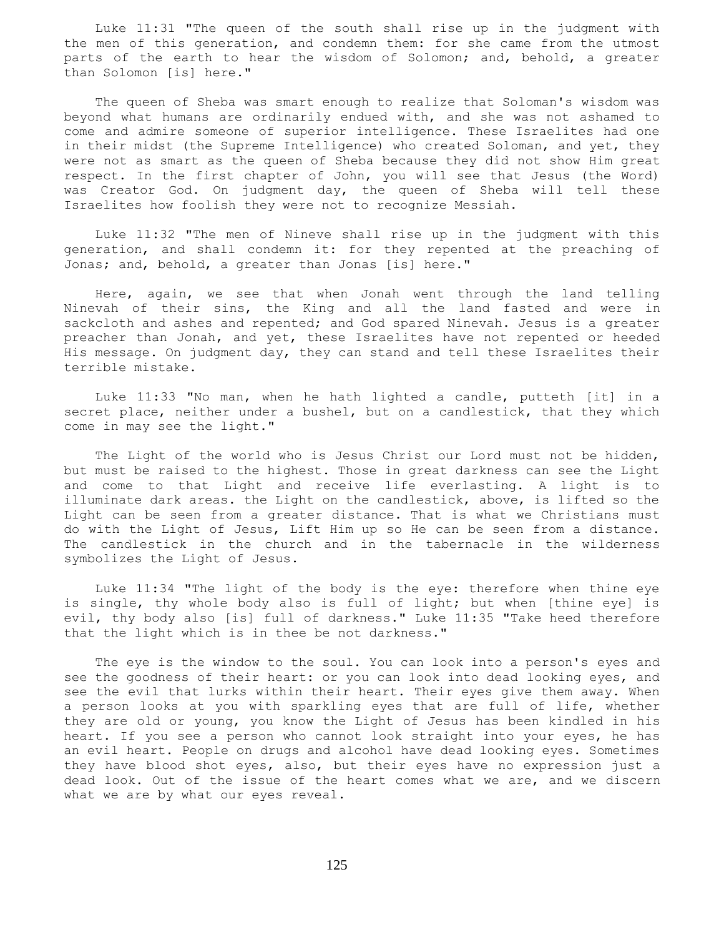Luke 11:31 "The queen of the south shall rise up in the judgment with the men of this generation, and condemn them: for she came from the utmost parts of the earth to hear the wisdom of Solomon; and, behold, a greater than Solomon [is] here."

 The queen of Sheba was smart enough to realize that Soloman's wisdom was beyond what humans are ordinarily endued with, and she was not ashamed to come and admire someone of superior intelligence. These Israelites had one in their midst (the Supreme Intelligence) who created Soloman, and yet, they were not as smart as the queen of Sheba because they did not show Him great respect. In the first chapter of John, you will see that Jesus (the Word) was Creator God. On judgment day, the queen of Sheba will tell these Israelites how foolish they were not to recognize Messiah.

 Luke 11:32 "The men of Nineve shall rise up in the judgment with this generation, and shall condemn it: for they repented at the preaching of Jonas; and, behold, a greater than Jonas [is] here."

 Here, again, we see that when Jonah went through the land telling Ninevah of their sins, the King and all the land fasted and were in sackcloth and ashes and repented; and God spared Ninevah. Jesus is a greater preacher than Jonah, and yet, these Israelites have not repented or heeded His message. On judgment day, they can stand and tell these Israelites their terrible mistake.

 Luke 11:33 "No man, when he hath lighted a candle, putteth [it] in a secret place, neither under a bushel, but on a candlestick, that they which come in may see the light."

 The Light of the world who is Jesus Christ our Lord must not be hidden, but must be raised to the highest. Those in great darkness can see the Light and come to that Light and receive life everlasting. A light is to illuminate dark areas. the Light on the candlestick, above, is lifted so the Light can be seen from a greater distance. That is what we Christians must do with the Light of Jesus, Lift Him up so He can be seen from a distance. The candlestick in the church and in the tabernacle in the wilderness symbolizes the Light of Jesus.

 Luke 11:34 "The light of the body is the eye: therefore when thine eye is single, thy whole body also is full of light; but when [thine eye] is evil, thy body also [is] full of darkness." Luke 11:35 "Take heed therefore that the light which is in thee be not darkness."

 The eye is the window to the soul. You can look into a person's eyes and see the goodness of their heart: or you can look into dead looking eyes, and see the evil that lurks within their heart. Their eyes give them away. When a person looks at you with sparkling eyes that are full of life, whether they are old or young, you know the Light of Jesus has been kindled in his heart. If you see a person who cannot look straight into your eyes, he has an evil heart. People on drugs and alcohol have dead looking eyes. Sometimes they have blood shot eyes, also, but their eyes have no expression just a dead look. Out of the issue of the heart comes what we are, and we discern what we are by what our eyes reveal.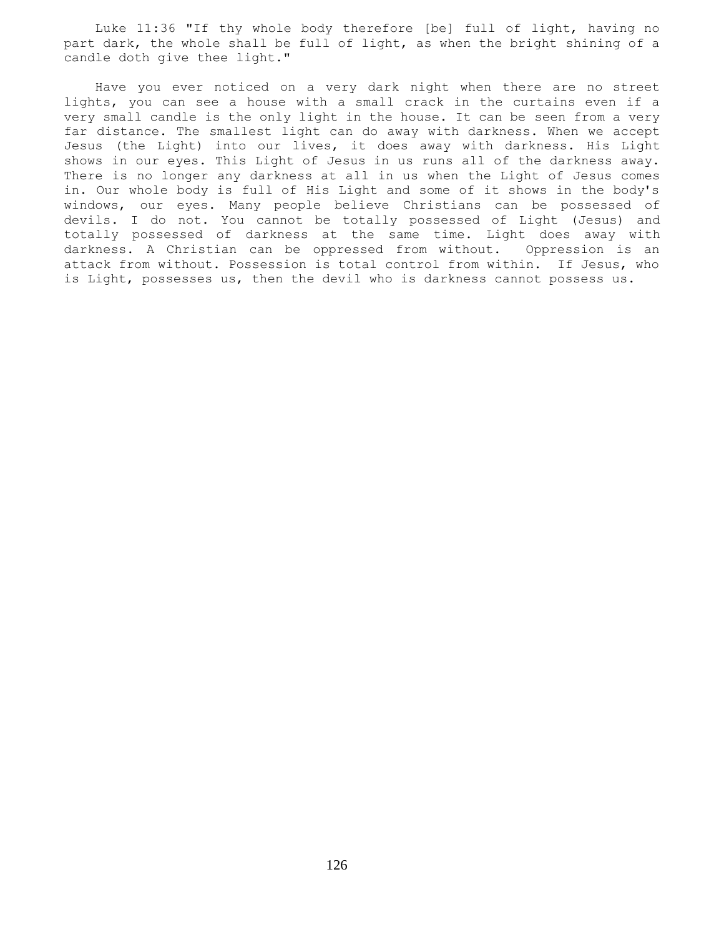Luke 11:36 "If thy whole body therefore [be] full of light, having no part dark, the whole shall be full of light, as when the bright shining of a candle doth give thee light."

 Have you ever noticed on a very dark night when there are no street lights, you can see a house with a small crack in the curtains even if a very small candle is the only light in the house. It can be seen from a very far distance. The smallest light can do away with darkness. When we accept Jesus (the Light) into our lives, it does away with darkness. His Light shows in our eyes. This Light of Jesus in us runs all of the darkness away. There is no longer any darkness at all in us when the Light of Jesus comes in. Our whole body is full of His Light and some of it shows in the body's windows, our eyes. Many people believe Christians can be possessed of devils. I do not. You cannot be totally possessed of Light (Jesus) and totally possessed of darkness at the same time. Light does away with darkness. A Christian can be oppressed from without. Oppression is an attack from without. Possession is total control from within. If Jesus, who is Light, possesses us, then the devil who is darkness cannot possess us.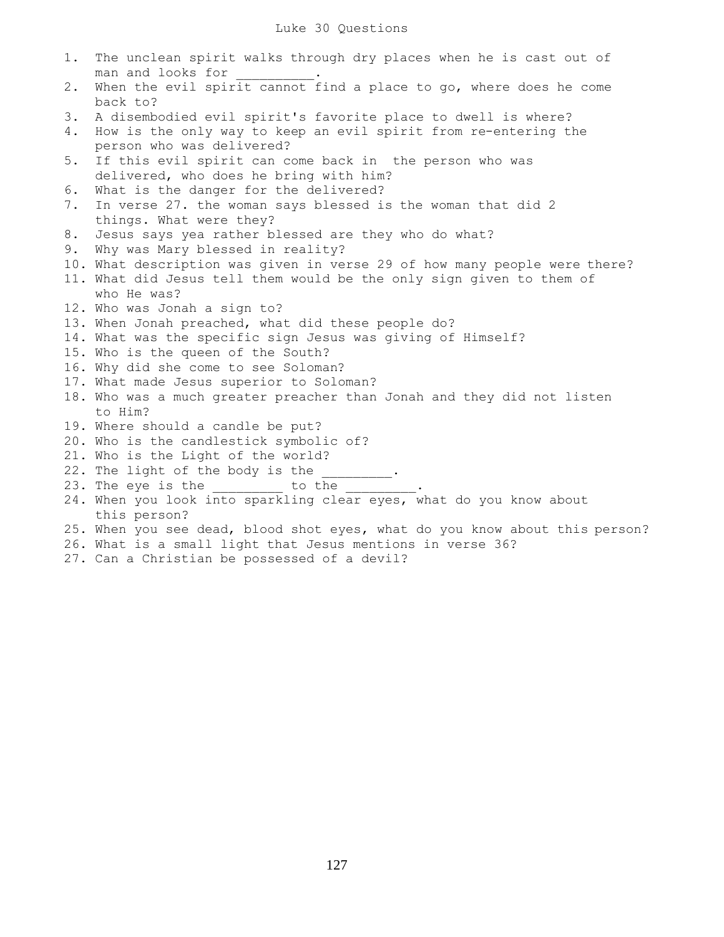| $1$ . | The unclean spirit walks through dry places when he is cast out of          |
|-------|-----------------------------------------------------------------------------|
|       | man and looks for                                                           |
| 2.    | When the evil spirit cannot find a place to go, where does he come          |
|       | back to?                                                                    |
| 3.    | A disembodied evil spirit's favorite place to dwell is where?               |
| 4.    | How is the only way to keep an evil spirit from re-entering the             |
|       | person who was delivered?                                                   |
| 5.    | If this evil spirit can come back in the person who was                     |
|       | delivered, who does he bring with him?                                      |
| 6.    | What is the danger for the delivered?                                       |
| 7.    | In verse 27. the woman says blessed is the woman that did 2                 |
|       | things. What were they?                                                     |
| 8.    | Jesus says yea rather blessed are they who do what?                         |
| 9.    | Why was Mary blessed in reality?                                            |
|       | 10. What description was given in verse 29 of how many people were there?   |
|       | 11. What did Jesus tell them would be the only sign given to them of        |
|       | who He was?                                                                 |
|       | 12. Who was Jonah a sign to?                                                |
|       | 13. When Jonah preached, what did these people do?                          |
|       | 14. What was the specific sign Jesus was giving of Himself?                 |
|       | 15. Who is the queen of the South?                                          |
|       | 16. Why did she come to see Soloman?                                        |
|       | 17. What made Jesus superior to Soloman?                                    |
|       | 18. Who was a much greater preacher than Jonah and they did not listen      |
|       | to Him?                                                                     |
|       | 19. Where should a candle be put?                                           |
|       | 20. Who is the candlestick symbolic of?                                     |
|       | 21. Who is the Light of the world?                                          |
|       | 22. The light of the body is the ________.                                  |
|       | 23. The eye is the _________ to the ___                                     |
|       | 24. When you look into sparkling clear eyes, what do you know about         |
|       | this person?                                                                |
|       | 25. When you see dead, blood shot eyes, what do you know about this person? |
|       | 26. What is a small light that Jesus mentions in verse 36?                  |
|       |                                                                             |

27. Can a Christian be possessed of a devil?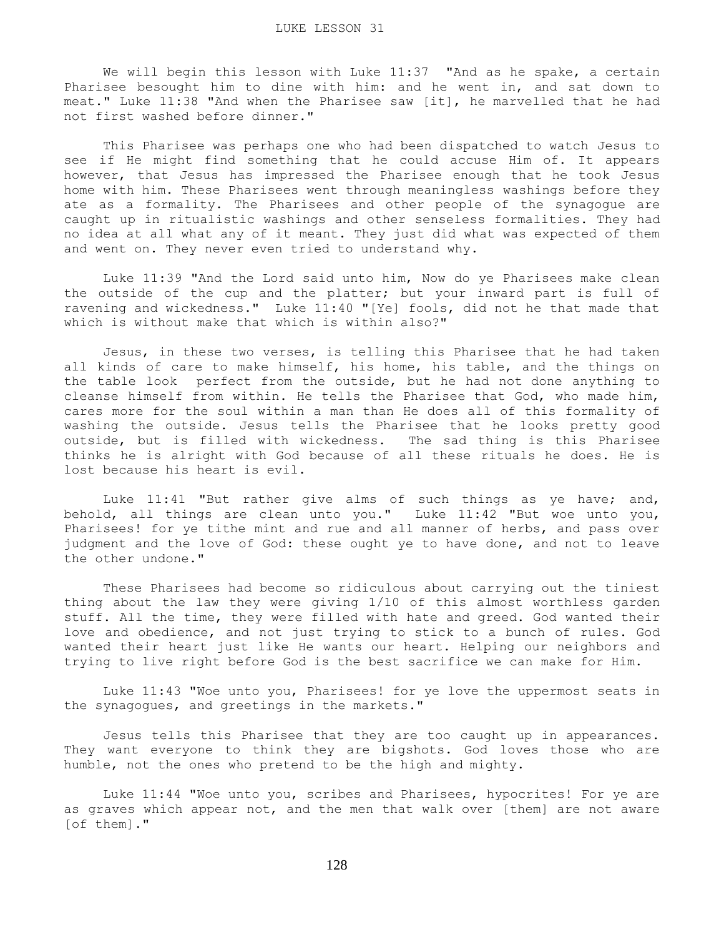We will begin this lesson with Luke 11:37 "And as he spake, a certain Pharisee besought him to dine with him: and he went in, and sat down to meat." Luke 11:38 "And when the Pharisee saw [it], he marvelled that he had not first washed before dinner."

 This Pharisee was perhaps one who had been dispatched to watch Jesus to see if He might find something that he could accuse Him of. It appears however, that Jesus has impressed the Pharisee enough that he took Jesus home with him. These Pharisees went through meaningless washings before they ate as a formality. The Pharisees and other people of the synagogue are caught up in ritualistic washings and other senseless formalities. They had no idea at all what any of it meant. They just did what was expected of them and went on. They never even tried to understand why.

 Luke 11:39 "And the Lord said unto him, Now do ye Pharisees make clean the outside of the cup and the platter; but your inward part is full of ravening and wickedness." Luke 11:40 "[Ye] fools, did not he that made that which is without make that which is within also?"

 Jesus, in these two verses, is telling this Pharisee that he had taken all kinds of care to make himself, his home, his table, and the things on the table look perfect from the outside, but he had not done anything to cleanse himself from within. He tells the Pharisee that God, who made him, cares more for the soul within a man than He does all of this formality of washing the outside. Jesus tells the Pharisee that he looks pretty good outside, but is filled with wickedness. The sad thing is this Pharisee thinks he is alright with God because of all these rituals he does. He is lost because his heart is evil.

 Luke 11:41 "But rather give alms of such things as ye have; and, behold, all things are clean unto you." Luke 11:42 "But woe unto you, Pharisees! for ye tithe mint and rue and all manner of herbs, and pass over judgment and the love of God: these ought ye to have done, and not to leave the other undone."

 These Pharisees had become so ridiculous about carrying out the tiniest thing about the law they were giving 1/10 of this almost worthless garden stuff. All the time, they were filled with hate and greed. God wanted their love and obedience, and not just trying to stick to a bunch of rules. God wanted their heart just like He wants our heart. Helping our neighbors and trying to live right before God is the best sacrifice we can make for Him.

 Luke 11:43 "Woe unto you, Pharisees! for ye love the uppermost seats in the synagogues, and greetings in the markets."

 Jesus tells this Pharisee that they are too caught up in appearances. They want everyone to think they are bigshots. God loves those who are humble, not the ones who pretend to be the high and mighty.

 Luke 11:44 "Woe unto you, scribes and Pharisees, hypocrites! For ye are as graves which appear not, and the men that walk over [them] are not aware [of them]."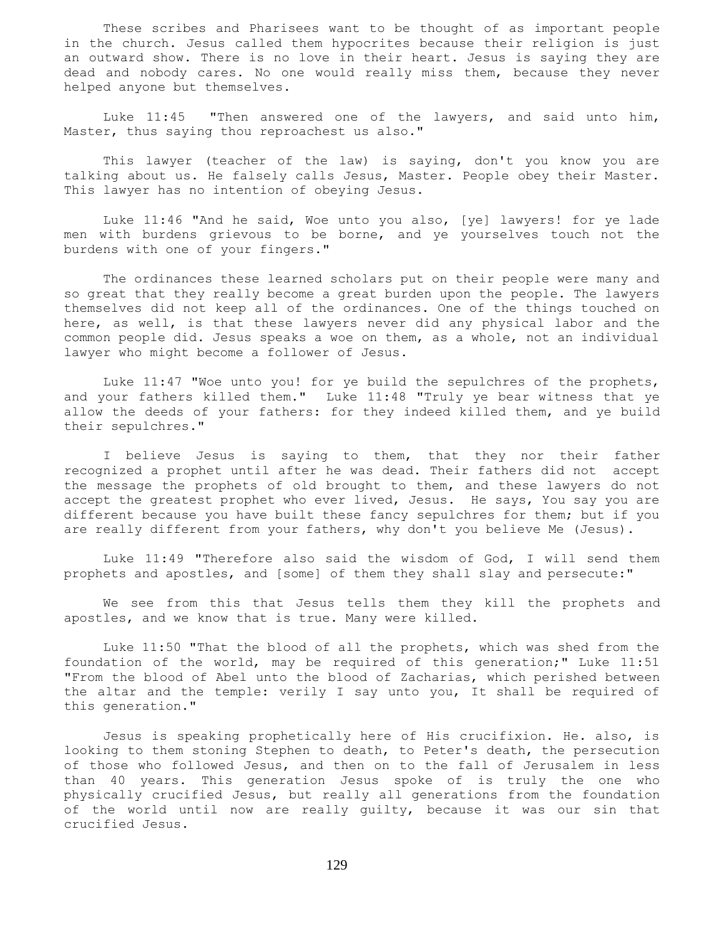These scribes and Pharisees want to be thought of as important people in the church. Jesus called them hypocrites because their religion is just an outward show. There is no love in their heart. Jesus is saying they are dead and nobody cares. No one would really miss them, because they never helped anyone but themselves.

 Luke 11:45 "Then answered one of the lawyers, and said unto him, Master, thus saying thou reproachest us also."

 This lawyer (teacher of the law) is saying, don't you know you are talking about us. He falsely calls Jesus, Master. People obey their Master. This lawyer has no intention of obeying Jesus.

 Luke 11:46 "And he said, Woe unto you also, [ye] lawyers! for ye lade men with burdens grievous to be borne, and ye yourselves touch not the burdens with one of your fingers."

 The ordinances these learned scholars put on their people were many and so great that they really become a great burden upon the people. The lawyers themselves did not keep all of the ordinances. One of the things touched on here, as well, is that these lawyers never did any physical labor and the common people did. Jesus speaks a woe on them, as a whole, not an individual lawyer who might become a follower of Jesus.

 Luke 11:47 "Woe unto you! for ye build the sepulchres of the prophets, and your fathers killed them." Luke 11:48 "Truly ye bear witness that ye allow the deeds of your fathers: for they indeed killed them, and ye build their sepulchres."

 I believe Jesus is saying to them, that they nor their father recognized a prophet until after he was dead. Their fathers did not accept the message the prophets of old brought to them, and these lawyers do not accept the greatest prophet who ever lived, Jesus. He says, You say you are different because you have built these fancy sepulchres for them; but if you are really different from your fathers, why don't you believe Me (Jesus).

 Luke 11:49 "Therefore also said the wisdom of God, I will send them prophets and apostles, and [some] of them they shall slay and persecute:"

 We see from this that Jesus tells them they kill the prophets and apostles, and we know that is true. Many were killed.

 Luke 11:50 "That the blood of all the prophets, which was shed from the foundation of the world, may be required of this generation;" Luke 11:51 "From the blood of Abel unto the blood of Zacharias, which perished between the altar and the temple: verily I say unto you, It shall be required of this generation."

 Jesus is speaking prophetically here of His crucifixion. He. also, is looking to them stoning Stephen to death, to Peter's death, the persecution of those who followed Jesus, and then on to the fall of Jerusalem in less than 40 years. This generation Jesus spoke of is truly the one who physically crucified Jesus, but really all generations from the foundation of the world until now are really guilty, because it was our sin that crucified Jesus.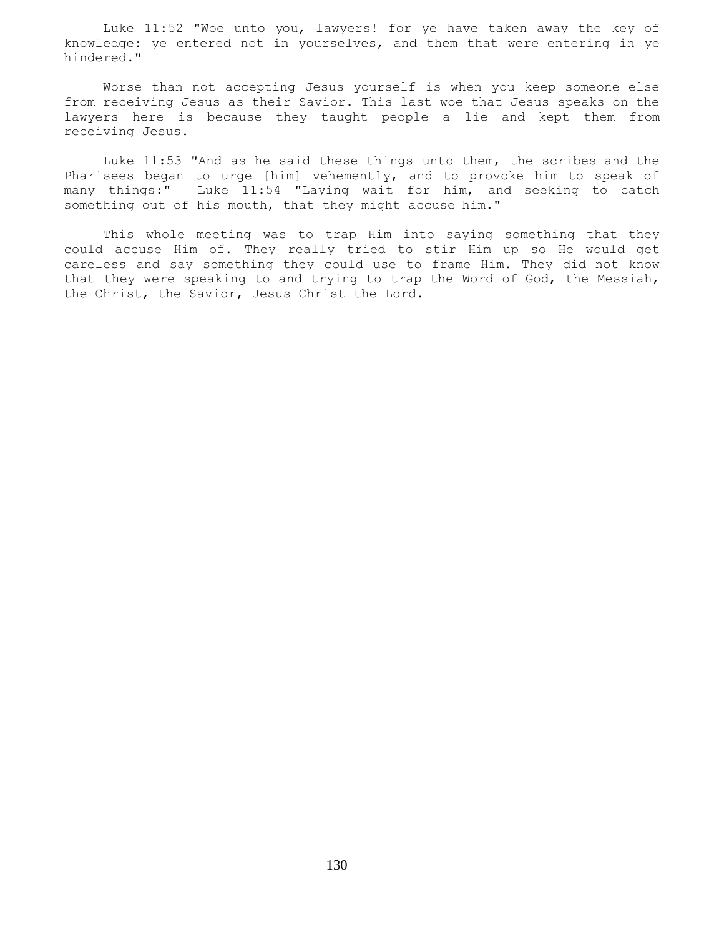Luke 11:52 "Woe unto you, lawyers! for ye have taken away the key of knowledge: ye entered not in yourselves, and them that were entering in ye hindered."

 Worse than not accepting Jesus yourself is when you keep someone else from receiving Jesus as their Savior. This last woe that Jesus speaks on the lawyers here is because they taught people a lie and kept them from receiving Jesus.

 Luke 11:53 "And as he said these things unto them, the scribes and the Pharisees began to urge [him] vehemently, and to provoke him to speak of many things:" Luke 11:54 "Laying wait for him, and seeking to catch something out of his mouth, that they might accuse him."

 This whole meeting was to trap Him into saying something that they could accuse Him of. They really tried to stir Him up so He would get careless and say something they could use to frame Him. They did not know that they were speaking to and trying to trap the Word of God, the Messiah, the Christ, the Savior, Jesus Christ the Lord.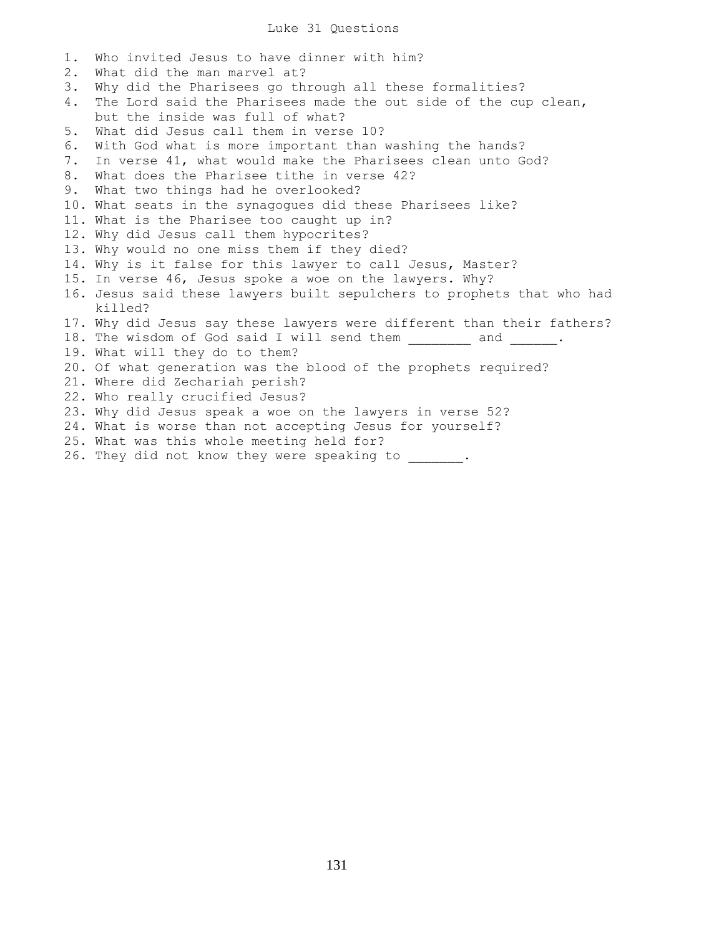## Luke 31 Questions

1. Who invited Jesus to have dinner with him? 2. What did the man marvel at? 3. Why did the Pharisees go through all these formalities? 4. The Lord said the Pharisees made the out side of the cup clean, but the inside was full of what? 5. What did Jesus call them in verse 10? 6. With God what is more important than washing the hands? 7. In verse 41, what would make the Pharisees clean unto God? 8. What does the Pharisee tithe in verse 42? 9. What two things had he overlooked? 10. What seats in the synagogues did these Pharisees like? 11. What is the Pharisee too caught up in? 12. Why did Jesus call them hypocrites? 13. Why would no one miss them if they died? 14. Why is it false for this lawyer to call Jesus, Master? 15. In verse 46, Jesus spoke a woe on the lawyers. Why? 16. Jesus said these lawyers built sepulchers to prophets that who had killed? 17. Why did Jesus say these lawyers were different than their fathers? 18. The wisdom of God said I will send them and . 19. What will they do to them? 20. Of what generation was the blood of the prophets required? 21. Where did Zechariah perish? 22. Who really crucified Jesus? 23. Why did Jesus speak a woe on the lawyers in verse 52? 24. What is worse than not accepting Jesus for yourself? 25. What was this whole meeting held for? 26. They did not know they were speaking to \_\_\_\_\_\_\_.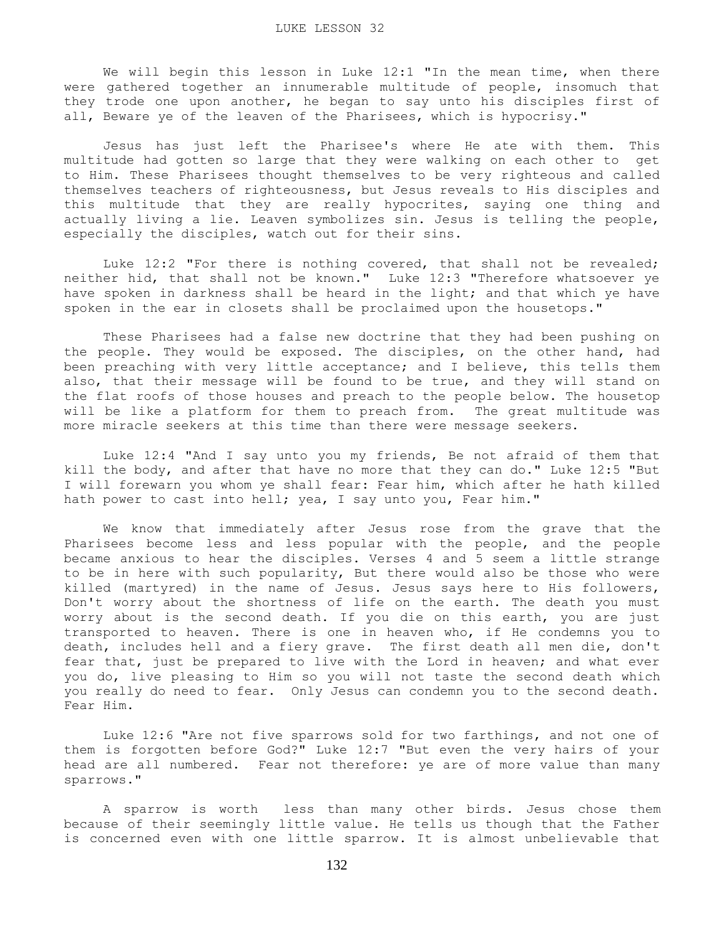We will begin this lesson in Luke 12:1 "In the mean time, when there were gathered together an innumerable multitude of people, insomuch that they trode one upon another, he began to say unto his disciples first of all, Beware ye of the leaven of the Pharisees, which is hypocrisy."

 Jesus has just left the Pharisee's where He ate with them. This multitude had gotten so large that they were walking on each other to get to Him. These Pharisees thought themselves to be very righteous and called themselves teachers of righteousness, but Jesus reveals to His disciples and this multitude that they are really hypocrites, saying one thing and actually living a lie. Leaven symbolizes sin. Jesus is telling the people, especially the disciples, watch out for their sins.

Luke 12:2 "For there is nothing covered, that shall not be revealed; neither hid, that shall not be known." Luke 12:3 "Therefore whatsoever ye have spoken in darkness shall be heard in the light; and that which ye have spoken in the ear in closets shall be proclaimed upon the housetops."

 These Pharisees had a false new doctrine that they had been pushing on the people. They would be exposed. The disciples, on the other hand, had been preaching with very little acceptance; and I believe, this tells them also, that their message will be found to be true, and they will stand on the flat roofs of those houses and preach to the people below. The housetop will be like a platform for them to preach from. The great multitude was more miracle seekers at this time than there were message seekers.

 Luke 12:4 "And I say unto you my friends, Be not afraid of them that kill the body, and after that have no more that they can do." Luke 12:5 "But I will forewarn you whom ye shall fear: Fear him, which after he hath killed hath power to cast into hell; yea, I say unto you, Fear him."

 We know that immediately after Jesus rose from the grave that the Pharisees become less and less popular with the people, and the people became anxious to hear the disciples. Verses 4 and 5 seem a little strange to be in here with such popularity, But there would also be those who were killed (martyred) in the name of Jesus. Jesus says here to His followers, Don't worry about the shortness of life on the earth. The death you must worry about is the second death. If you die on this earth, you are just transported to heaven. There is one in heaven who, if He condemns you to death, includes hell and a fiery grave. The first death all men die, don't fear that, just be prepared to live with the Lord in heaven; and what ever you do, live pleasing to Him so you will not taste the second death which you really do need to fear. Only Jesus can condemn you to the second death. Fear Him.

 Luke 12:6 "Are not five sparrows sold for two farthings, and not one of them is forgotten before God?" Luke 12:7 "But even the very hairs of your head are all numbered. Fear not therefore: ye are of more value than many sparrows."

 A sparrow is worth less than many other birds. Jesus chose them because of their seemingly little value. He tells us though that the Father is concerned even with one little sparrow. It is almost unbelievable that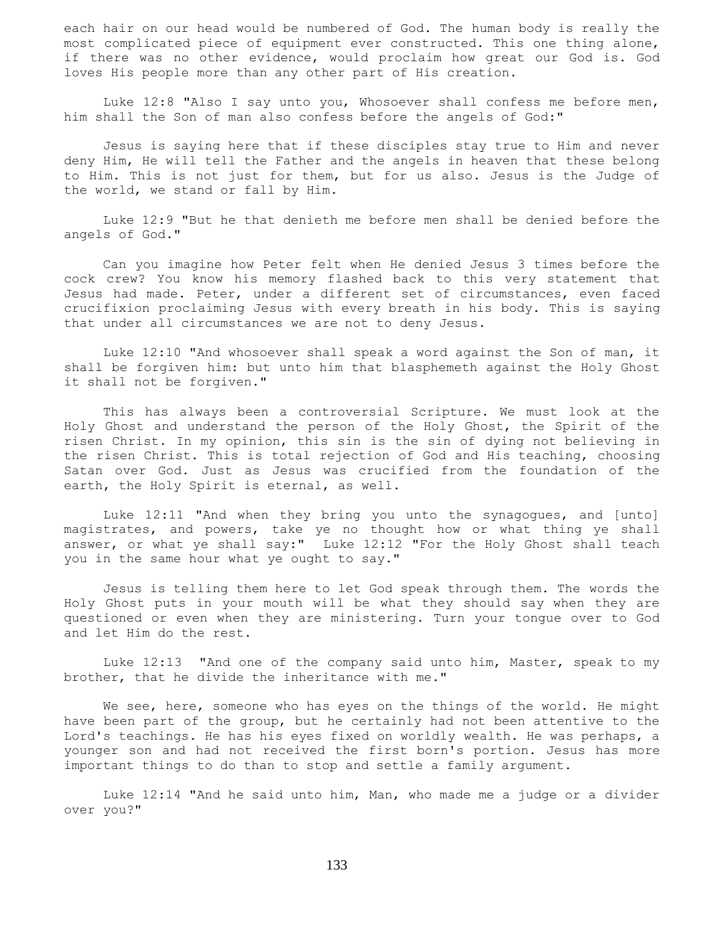each hair on our head would be numbered of God. The human body is really the most complicated piece of equipment ever constructed. This one thing alone, if there was no other evidence, would proclaim how great our God is. God loves His people more than any other part of His creation.

 Luke 12:8 "Also I say unto you, Whosoever shall confess me before men, him shall the Son of man also confess before the angels of God:"

 Jesus is saying here that if these disciples stay true to Him and never deny Him, He will tell the Father and the angels in heaven that these belong to Him. This is not just for them, but for us also. Jesus is the Judge of the world, we stand or fall by Him.

 Luke 12:9 "But he that denieth me before men shall be denied before the angels of God."

 Can you imagine how Peter felt when He denied Jesus 3 times before the cock crew? You know his memory flashed back to this very statement that Jesus had made. Peter, under a different set of circumstances, even faced crucifixion proclaiming Jesus with every breath in his body. This is saying that under all circumstances we are not to deny Jesus.

 Luke 12:10 "And whosoever shall speak a word against the Son of man, it shall be forgiven him: but unto him that blasphemeth against the Holy Ghost it shall not be forgiven."

 This has always been a controversial Scripture. We must look at the Holy Ghost and understand the person of the Holy Ghost, the Spirit of the risen Christ. In my opinion, this sin is the sin of dying not believing in the risen Christ. This is total rejection of God and His teaching, choosing Satan over God. Just as Jesus was crucified from the foundation of the earth, the Holy Spirit is eternal, as well.

 Luke 12:11 "And when they bring you unto the synagogues, and [unto] magistrates, and powers, take ye no thought how or what thing ye shall answer, or what ye shall say:" Luke 12:12 "For the Holy Ghost shall teach you in the same hour what ye ought to say."

 Jesus is telling them here to let God speak through them. The words the Holy Ghost puts in your mouth will be what they should say when they are questioned or even when they are ministering. Turn your tongue over to God and let Him do the rest.

 Luke 12:13 "And one of the company said unto him, Master, speak to my brother, that he divide the inheritance with me."

We see, here, someone who has eyes on the things of the world. He might have been part of the group, but he certainly had not been attentive to the Lord's teachings. He has his eyes fixed on worldly wealth. He was perhaps, a younger son and had not received the first born's portion. Jesus has more important things to do than to stop and settle a family argument.

 Luke 12:14 "And he said unto him, Man, who made me a judge or a divider over you?"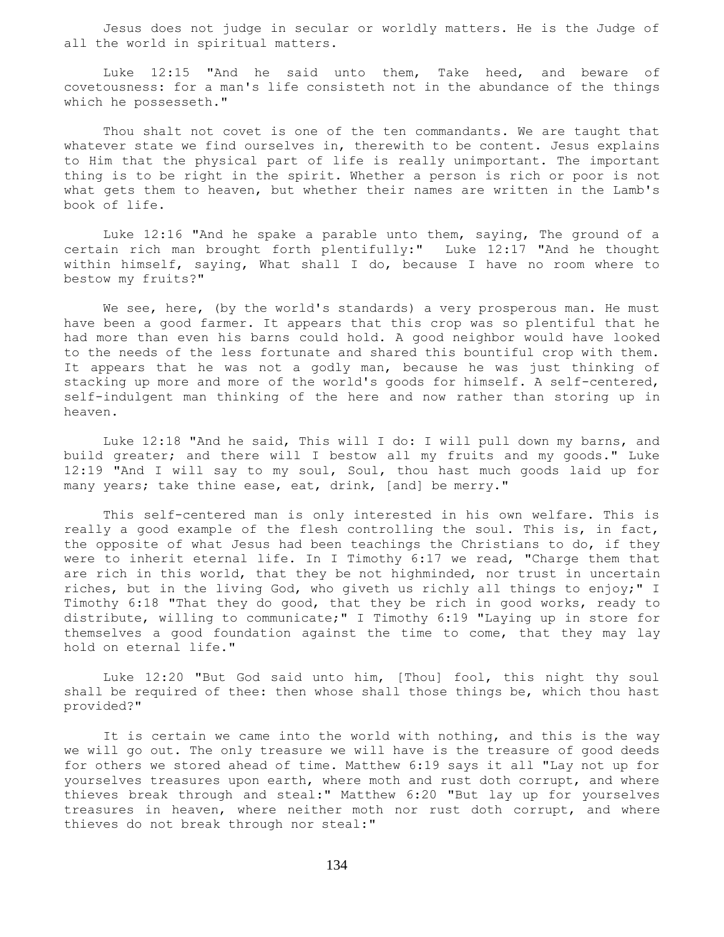Jesus does not judge in secular or worldly matters. He is the Judge of all the world in spiritual matters.

 Luke 12:15 "And he said unto them, Take heed, and beware of covetousness: for a man's life consisteth not in the abundance of the things which he possesseth."

 Thou shalt not covet is one of the ten commandants. We are taught that whatever state we find ourselves in, therewith to be content. Jesus explains to Him that the physical part of life is really unimportant. The important thing is to be right in the spirit. Whether a person is rich or poor is not what gets them to heaven, but whether their names are written in the Lamb's book of life.

 Luke 12:16 "And he spake a parable unto them, saying, The ground of a certain rich man brought forth plentifully:" Luke 12:17 "And he thought within himself, saying, What shall I do, because I have no room where to bestow my fruits?"

We see, here, (by the world's standards) a very prosperous man. He must have been a good farmer. It appears that this crop was so plentiful that he had more than even his barns could hold. A good neighbor would have looked to the needs of the less fortunate and shared this bountiful crop with them. It appears that he was not a godly man, because he was just thinking of stacking up more and more of the world's goods for himself. A self-centered, self-indulgent man thinking of the here and now rather than storing up in heaven.

 Luke 12:18 "And he said, This will I do: I will pull down my barns, and build greater; and there will I bestow all my fruits and my goods." Luke 12:19 "And I will say to my soul, Soul, thou hast much goods laid up for many years; take thine ease, eat, drink, [and] be merry."

 This self-centered man is only interested in his own welfare. This is really a good example of the flesh controlling the soul. This is, in fact, the opposite of what Jesus had been teachings the Christians to do, if they were to inherit eternal life. In I Timothy 6:17 we read, "Charge them that are rich in this world, that they be not highminded, nor trust in uncertain riches, but in the living God, who giveth us richly all things to enjoy;" I Timothy 6:18 "That they do good, that they be rich in good works, ready to distribute, willing to communicate;" I Timothy 6:19 "Laying up in store for themselves a good foundation against the time to come, that they may lay hold on eternal life."

 Luke 12:20 "But God said unto him, [Thou] fool, this night thy soul shall be required of thee: then whose shall those things be, which thou hast provided?"

It is certain we came into the world with nothing, and this is the way we will go out. The only treasure we will have is the treasure of good deeds for others we stored ahead of time. Matthew 6:19 says it all "Lay not up for yourselves treasures upon earth, where moth and rust doth corrupt, and where thieves break through and steal:" Matthew 6:20 "But lay up for yourselves treasures in heaven, where neither moth nor rust doth corrupt, and where thieves do not break through nor steal:"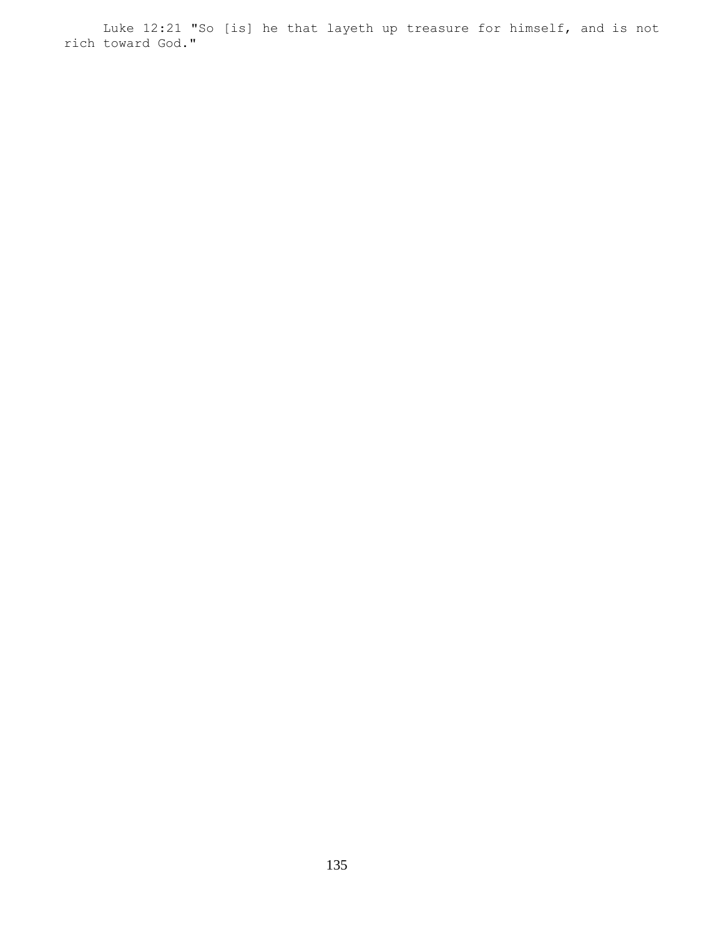Luke 12:21 "So [is] he that layeth up treasure for himself, and is not rich toward God."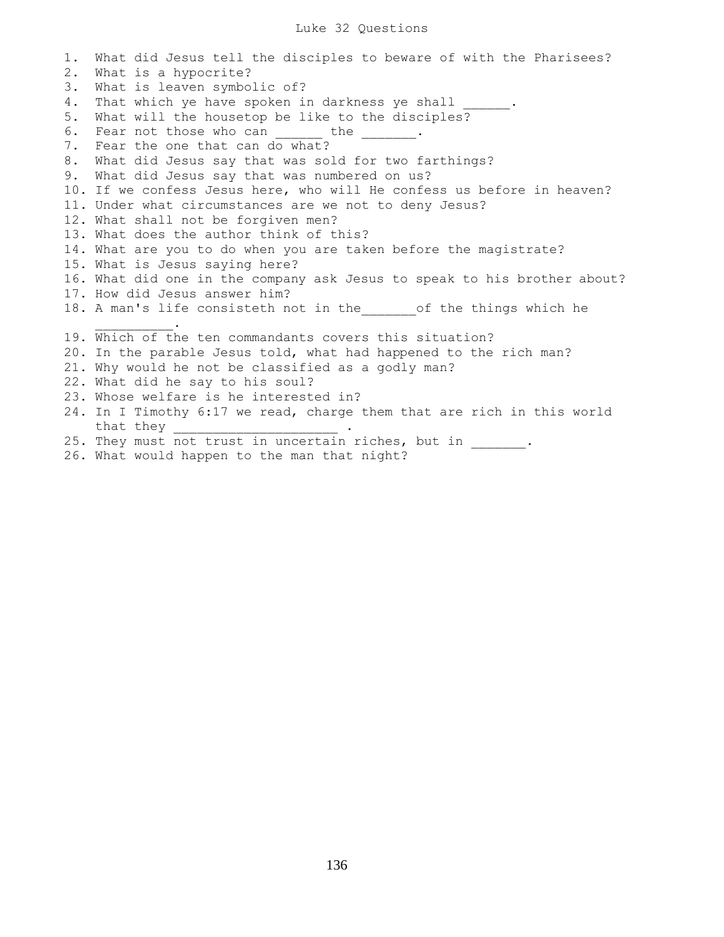### Luke 32 Questions

1. What did Jesus tell the disciples to beware of with the Pharisees? 2. What is a hypocrite? 3. What is leaven symbolic of? 4. That which ye have spoken in darkness ye shall 5. What will the housetop be like to the disciples? 6. Fear not those who can the the . 7. Fear the one that can do what? 8. What did Jesus say that was sold for two farthings? 9. What did Jesus say that was numbered on us? 10. If we confess Jesus here, who will He confess us before in heaven? 11. Under what circumstances are we not to deny Jesus? 12. What shall not be forgiven men? 13. What does the author think of this? 14. What are you to do when you are taken before the magistrate? 15. What is Jesus saying here? 16. What did one in the company ask Jesus to speak to his brother about? 17. How did Jesus answer him? 18. A man's life consisteth not in the dof the things which he  $\mathcal{L}=\mathcal{L}=\mathcal{L}=\mathcal{L}=\mathcal{L}=\mathcal{L}$ 19. Which of the ten commandants covers this situation? 20. In the parable Jesus told, what had happened to the rich man? 21. Why would he not be classified as a godly man? 22. What did he say to his soul? 23. Whose welfare is he interested in? 24. In I Timothy 6:17 we read, charge them that are rich in this world that they \_\_\_\_\_\_\_\_\_\_\_\_\_\_\_\_\_\_\_\_\_ . 25. They must not trust in uncertain riches, but in \_\_\_\_\_\_.

26. What would happen to the man that night?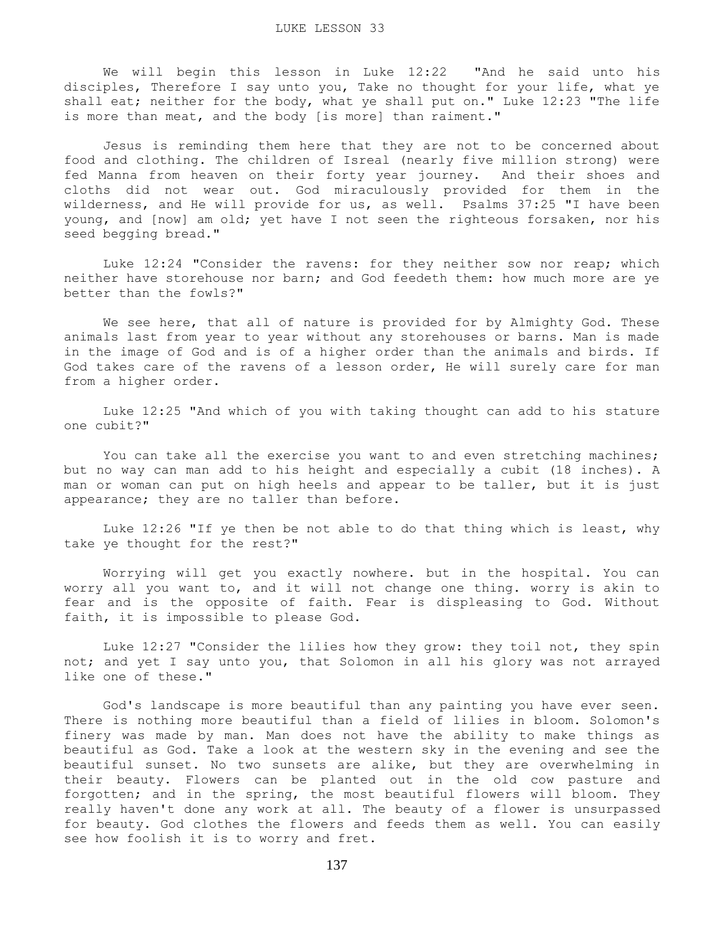We will begin this lesson in Luke 12:22 "And he said unto his disciples, Therefore I say unto you, Take no thought for your life, what ye shall eat; neither for the body, what ye shall put on." Luke 12:23 "The life is more than meat, and the body [is more] than raiment."

 Jesus is reminding them here that they are not to be concerned about food and clothing. The children of Isreal (nearly five million strong) were fed Manna from heaven on their forty year journey. And their shoes and cloths did not wear out. God miraculously provided for them in the wilderness, and He will provide for us, as well. Psalms 37:25 "I have been young, and [now] am old; yet have I not seen the righteous forsaken, nor his seed begging bread."

 Luke 12:24 "Consider the ravens: for they neither sow nor reap; which neither have storehouse nor barn; and God feedeth them: how much more are ye better than the fowls?"

 We see here, that all of nature is provided for by Almighty God. These animals last from year to year without any storehouses or barns. Man is made in the image of God and is of a higher order than the animals and birds. If God takes care of the ravens of a lesson order, He will surely care for man from a higher order.

 Luke 12:25 "And which of you with taking thought can add to his stature one cubit?"

You can take all the exercise you want to and even stretching machines; but no way can man add to his height and especially a cubit (18 inches). A man or woman can put on high heels and appear to be taller, but it is just appearance; they are no taller than before.

 Luke 12:26 "If ye then be not able to do that thing which is least, why take ye thought for the rest?"

 Worrying will get you exactly nowhere. but in the hospital. You can worry all you want to, and it will not change one thing. worry is akin to fear and is the opposite of faith. Fear is displeasing to God. Without faith, it is impossible to please God.

 Luke 12:27 "Consider the lilies how they grow: they toil not, they spin not; and yet I say unto you, that Solomon in all his glory was not arrayed like one of these."

 God's landscape is more beautiful than any painting you have ever seen. There is nothing more beautiful than a field of lilies in bloom. Solomon's finery was made by man. Man does not have the ability to make things as beautiful as God. Take a look at the western sky in the evening and see the beautiful sunset. No two sunsets are alike, but they are overwhelming in their beauty. Flowers can be planted out in the old cow pasture and forgotten; and in the spring, the most beautiful flowers will bloom. They really haven't done any work at all. The beauty of a flower is unsurpassed for beauty. God clothes the flowers and feeds them as well. You can easily see how foolish it is to worry and fret.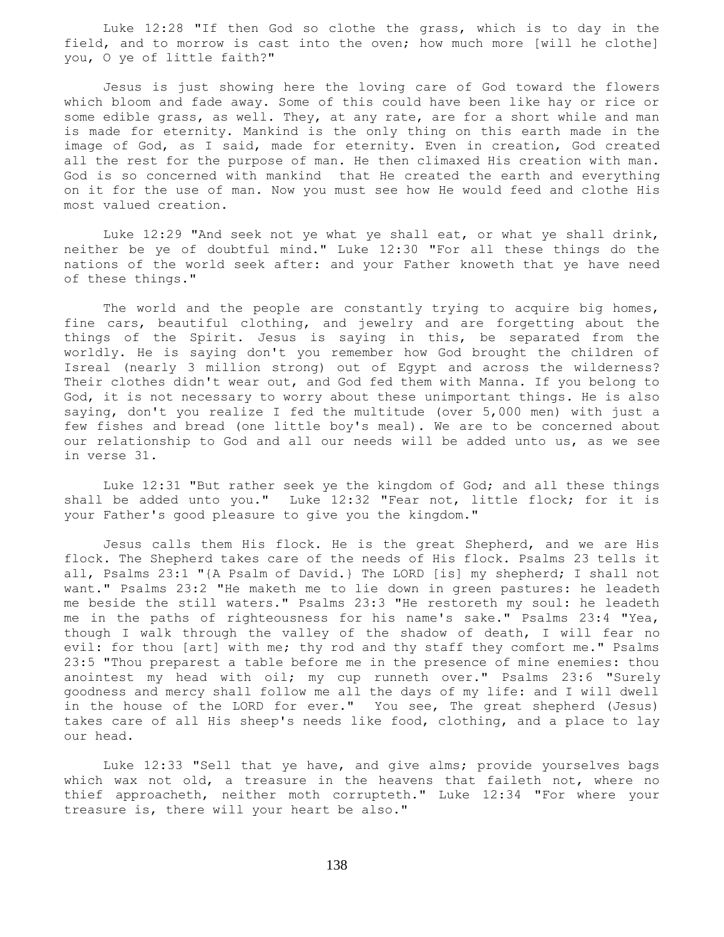Luke 12:28 "If then God so clothe the grass, which is to day in the field, and to morrow is cast into the oven; how much more [will he clothe] you, O ye of little faith?"

 Jesus is just showing here the loving care of God toward the flowers which bloom and fade away. Some of this could have been like hay or rice or some edible grass, as well. They, at any rate, are for a short while and man is made for eternity. Mankind is the only thing on this earth made in the image of God, as I said, made for eternity. Even in creation, God created all the rest for the purpose of man. He then climaxed His creation with man. God is so concerned with mankind that He created the earth and everything on it for the use of man. Now you must see how He would feed and clothe His most valued creation.

 Luke 12:29 "And seek not ye what ye shall eat, or what ye shall drink, neither be ye of doubtful mind." Luke 12:30 "For all these things do the nations of the world seek after: and your Father knoweth that ye have need of these things."

The world and the people are constantly trying to acquire big homes, fine cars, beautiful clothing, and jewelry and are forgetting about the things of the Spirit. Jesus is saying in this, be separated from the worldly. He is saying don't you remember how God brought the children of Isreal (nearly 3 million strong) out of Egypt and across the wilderness? Their clothes didn't wear out, and God fed them with Manna. If you belong to God, it is not necessary to worry about these unimportant things. He is also saying, don't you realize I fed the multitude (over 5,000 men) with just a few fishes and bread (one little boy's meal). We are to be concerned about our relationship to God and all our needs will be added unto us, as we see in verse 31.

 Luke 12:31 "But rather seek ye the kingdom of God; and all these things shall be added unto you." Luke 12:32 "Fear not, little flock; for it is your Father's good pleasure to give you the kingdom."

 Jesus calls them His flock. He is the great Shepherd, and we are His flock. The Shepherd takes care of the needs of His flock. Psalms 23 tells it all, Psalms 23:1 "{A Psalm of David.} The LORD [is] my shepherd; I shall not want." Psalms 23:2 "He maketh me to lie down in green pastures: he leadeth me beside the still waters." Psalms 23:3 "He restoreth my soul: he leadeth me in the paths of righteousness for his name's sake." Psalms 23:4 "Yea, though I walk through the valley of the shadow of death, I will fear no evil: for thou [art] with me; thy rod and thy staff they comfort me." Psalms 23:5 "Thou preparest a table before me in the presence of mine enemies: thou anointest my head with oil; my cup runneth over." Psalms 23:6 "Surely goodness and mercy shall follow me all the days of my life: and I will dwell in the house of the LORD for ever." You see, The great shepherd (Jesus) takes care of all His sheep's needs like food, clothing, and a place to lay our head.

 Luke 12:33 "Sell that ye have, and give alms; provide yourselves bags which wax not old, a treasure in the heavens that faileth not, where no thief approacheth, neither moth corrupteth." Luke 12:34 "For where your treasure is, there will your heart be also."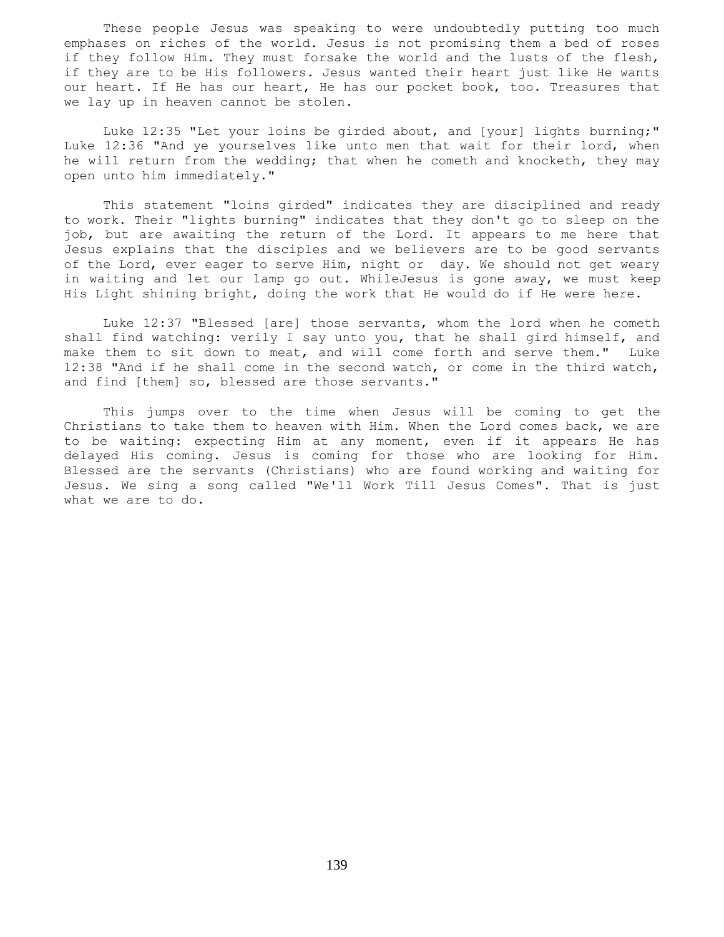These people Jesus was speaking to were undoubtedly putting too much emphases on riches of the world. Jesus is not promising them a bed of roses if they follow Him. They must forsake the world and the lusts of the flesh, if they are to be His followers. Jesus wanted their heart just like He wants our heart. If He has our heart, He has our pocket book, too. Treasures that we lay up in heaven cannot be stolen.

 Luke 12:35 "Let your loins be girded about, and [your] lights burning;" Luke 12:36 "And ye yourselves like unto men that wait for their lord, when he will return from the wedding; that when he cometh and knocketh, they may open unto him immediately."

 This statement "loins girded" indicates they are disciplined and ready to work. Their "lights burning" indicates that they don't go to sleep on the job, but are awaiting the return of the Lord. It appears to me here that Jesus explains that the disciples and we believers are to be good servants of the Lord, ever eager to serve Him, night or day. We should not get weary in waiting and let our lamp go out. WhileJesus is gone away, we must keep His Light shining bright, doing the work that He would do if He were here.

 Luke 12:37 "Blessed [are] those servants, whom the lord when he cometh shall find watching: verily I say unto you, that he shall gird himself, and make them to sit down to meat, and will come forth and serve them." Luke 12:38 "And if he shall come in the second watch, or come in the third watch, and find [them] so, blessed are those servants."

 This jumps over to the time when Jesus will be coming to get the Christians to take them to heaven with Him. When the Lord comes back, we are to be waiting: expecting Him at any moment, even if it appears He has delayed His coming. Jesus is coming for those who are looking for Him. Blessed are the servants (Christians) who are found working and waiting for Jesus. We sing a song called "We'll Work Till Jesus Comes". That is just what we are to do.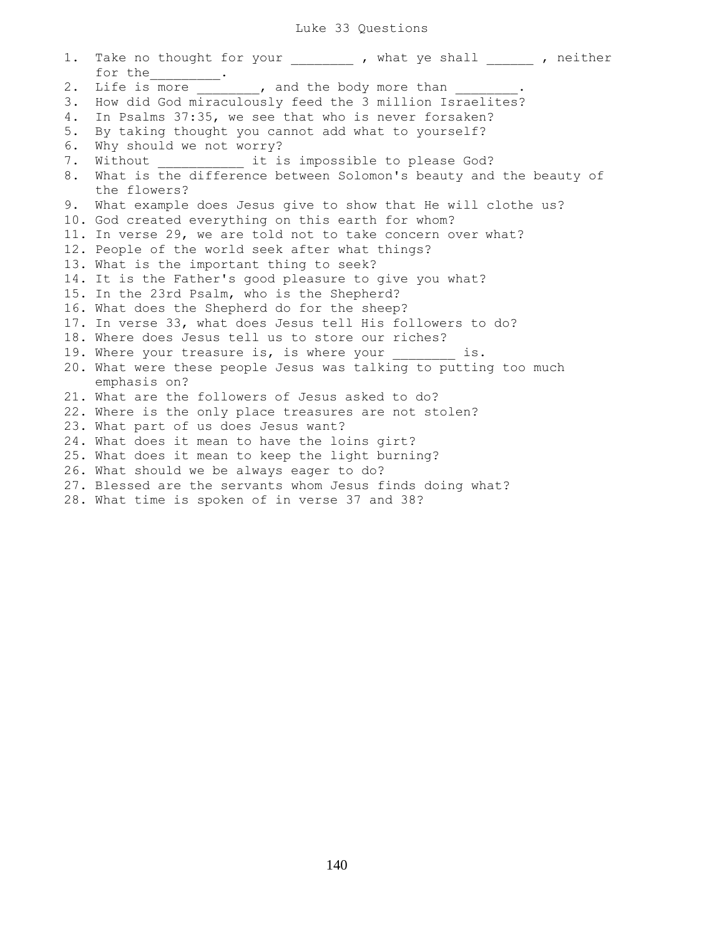### Luke 33 Questions

1. Take no thought for your , what ye shall , neither for the\_\_\_\_\_\_\_\_\_. 2. Life is more **.** and the body more than 3. How did God miraculously feed the 3 million Israelites? 4. In Psalms 37:35, we see that who is never forsaken? 5. By taking thought you cannot add what to yourself? 6. Why should we not worry? 7. Without **1.2.** it is impossible to please God? 8. What is the difference between Solomon's beauty and the beauty of the flowers? 9. What example does Jesus give to show that He will clothe us? 10. God created everything on this earth for whom? 11. In verse 29, we are told not to take concern over what? 12. People of the world seek after what things? 13. What is the important thing to seek? 14. It is the Father's good pleasure to give you what? 15. In the 23rd Psalm, who is the Shepherd? 16. What does the Shepherd do for the sheep? 17. In verse 33, what does Jesus tell His followers to do? 18. Where does Jesus tell us to store our riches? 19. Where your treasure is, is where your \_\_\_\_\_\_\_\_ is. 20. What were these people Jesus was talking to putting too much emphasis on? 21. What are the followers of Jesus asked to do? 22. Where is the only place treasures are not stolen? 23. What part of us does Jesus want? 24. What does it mean to have the loins girt? 25. What does it mean to keep the light burning? 26. What should we be always eager to do? 27. Blessed are the servants whom Jesus finds doing what? 28. What time is spoken of in verse 37 and 38?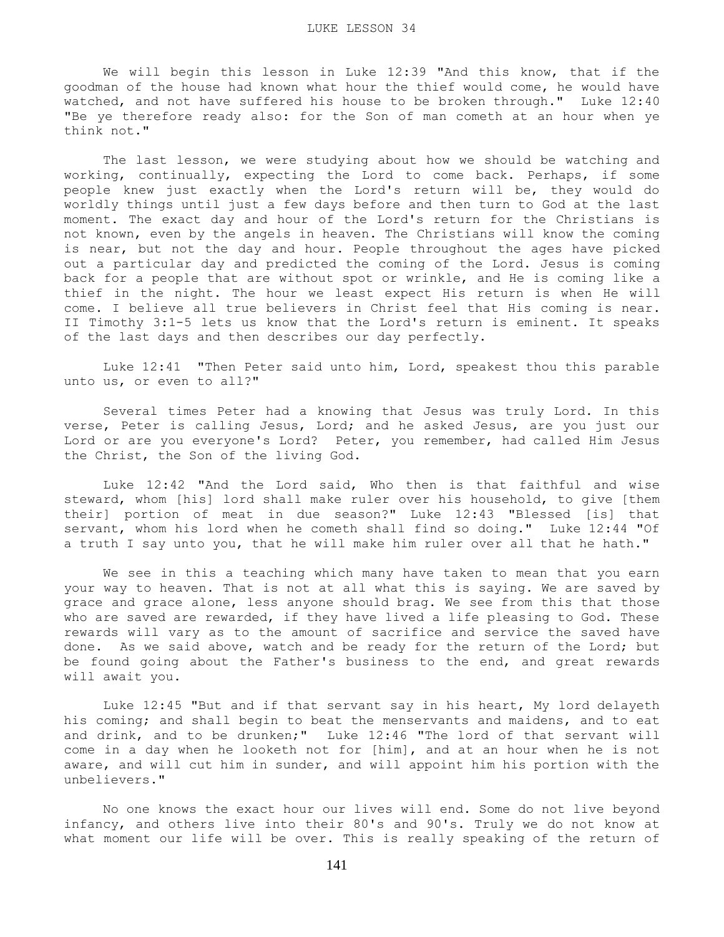We will begin this lesson in Luke 12:39 "And this know, that if the goodman of the house had known what hour the thief would come, he would have watched, and not have suffered his house to be broken through." Luke 12:40 "Be ye therefore ready also: for the Son of man cometh at an hour when ye think not."

 The last lesson, we were studying about how we should be watching and working, continually, expecting the Lord to come back. Perhaps, if some people knew just exactly when the Lord's return will be, they would do worldly things until just a few days before and then turn to God at the last moment. The exact day and hour of the Lord's return for the Christians is not known, even by the angels in heaven. The Christians will know the coming is near, but not the day and hour. People throughout the ages have picked out a particular day and predicted the coming of the Lord. Jesus is coming back for a people that are without spot or wrinkle, and He is coming like a thief in the night. The hour we least expect His return is when He will come. I believe all true believers in Christ feel that His coming is near. II Timothy 3:1-5 lets us know that the Lord's return is eminent. It speaks of the last days and then describes our day perfectly.

 Luke 12:41 "Then Peter said unto him, Lord, speakest thou this parable unto us, or even to all?"

 Several times Peter had a knowing that Jesus was truly Lord. In this verse, Peter is calling Jesus, Lord; and he asked Jesus, are you just our Lord or are you everyone's Lord? Peter, you remember, had called Him Jesus the Christ, the Son of the living God.

 Luke 12:42 "And the Lord said, Who then is that faithful and wise steward, whom [his] lord shall make ruler over his household, to give [them their] portion of meat in due season?" Luke 12:43 "Blessed [is] that servant, whom his lord when he cometh shall find so doing." Luke 12:44 "Of a truth I say unto you, that he will make him ruler over all that he hath."

 We see in this a teaching which many have taken to mean that you earn your way to heaven. That is not at all what this is saying. We are saved by grace and grace alone, less anyone should brag. We see from this that those who are saved are rewarded, if they have lived a life pleasing to God. These rewards will vary as to the amount of sacrifice and service the saved have done. As we said above, watch and be ready for the return of the Lord; but be found going about the Father's business to the end, and great rewards will await you.

 Luke 12:45 "But and if that servant say in his heart, My lord delayeth his coming; and shall begin to beat the menservants and maidens, and to eat and drink, and to be drunken;" Luke 12:46 "The lord of that servant will come in a day when he looketh not for [him], and at an hour when he is not aware, and will cut him in sunder, and will appoint him his portion with the unbelievers."

 No one knows the exact hour our lives will end. Some do not live beyond infancy, and others live into their 80's and 90's. Truly we do not know at what moment our life will be over. This is really speaking of the return of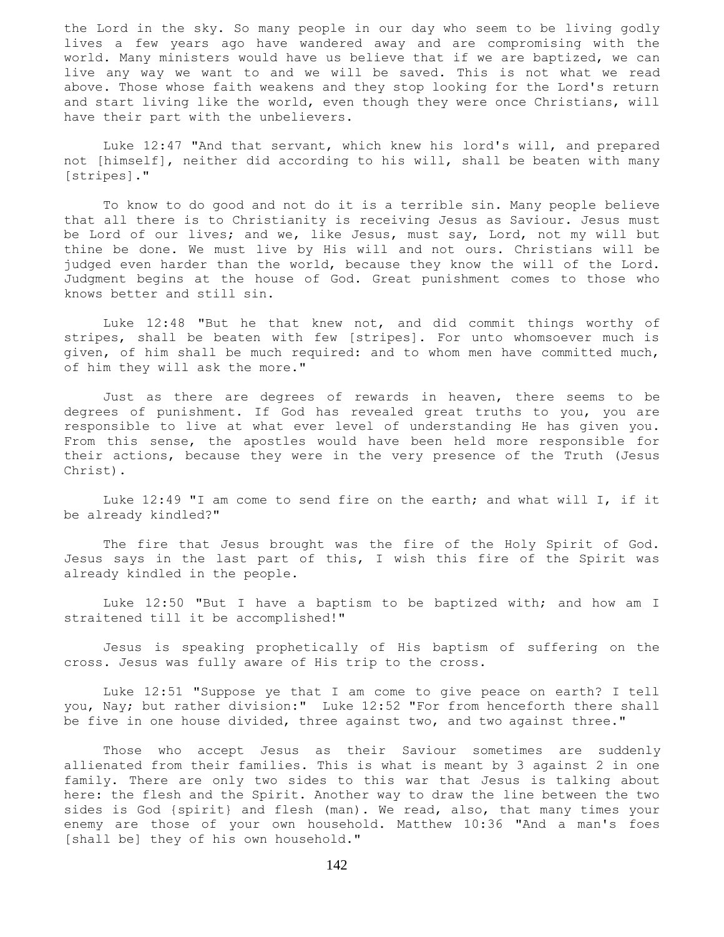the Lord in the sky. So many people in our day who seem to be living godly lives a few years ago have wandered away and are compromising with the world. Many ministers would have us believe that if we are baptized, we can live any way we want to and we will be saved. This is not what we read above. Those whose faith weakens and they stop looking for the Lord's return and start living like the world, even though they were once Christians, will have their part with the unbelievers.

 Luke 12:47 "And that servant, which knew his lord's will, and prepared not [himself], neither did according to his will, shall be beaten with many [stripes]."

 To know to do good and not do it is a terrible sin. Many people believe that all there is to Christianity is receiving Jesus as Saviour. Jesus must be Lord of our lives; and we, like Jesus, must say, Lord, not my will but thine be done. We must live by His will and not ours. Christians will be judged even harder than the world, because they know the will of the Lord. Judgment begins at the house of God. Great punishment comes to those who knows better and still sin.

 Luke 12:48 "But he that knew not, and did commit things worthy of stripes, shall be beaten with few [stripes]. For unto whomsoever much is given, of him shall be much required: and to whom men have committed much, of him they will ask the more."

 Just as there are degrees of rewards in heaven, there seems to be degrees of punishment. If God has revealed great truths to you, you are responsible to live at what ever level of understanding He has given you. From this sense, the apostles would have been held more responsible for their actions, because they were in the very presence of the Truth (Jesus Christ).

 Luke 12:49 "I am come to send fire on the earth; and what will I, if it be already kindled?"

 The fire that Jesus brought was the fire of the Holy Spirit of God. Jesus says in the last part of this, I wish this fire of the Spirit was already kindled in the people.

 Luke 12:50 "But I have a baptism to be baptized with; and how am I straitened till it be accomplished!"

 Jesus is speaking prophetically of His baptism of suffering on the cross. Jesus was fully aware of His trip to the cross.

 Luke 12:51 "Suppose ye that I am come to give peace on earth? I tell you, Nay; but rather division:" Luke 12:52 "For from henceforth there shall be five in one house divided, three against two, and two against three."

 Those who accept Jesus as their Saviour sometimes are suddenly allienated from their families. This is what is meant by 3 against 2 in one family. There are only two sides to this war that Jesus is talking about here: the flesh and the Spirit. Another way to draw the line between the two sides is God {spirit} and flesh (man). We read, also, that many times your enemy are those of your own household. Matthew 10:36 "And a man's foes [shall be] they of his own household."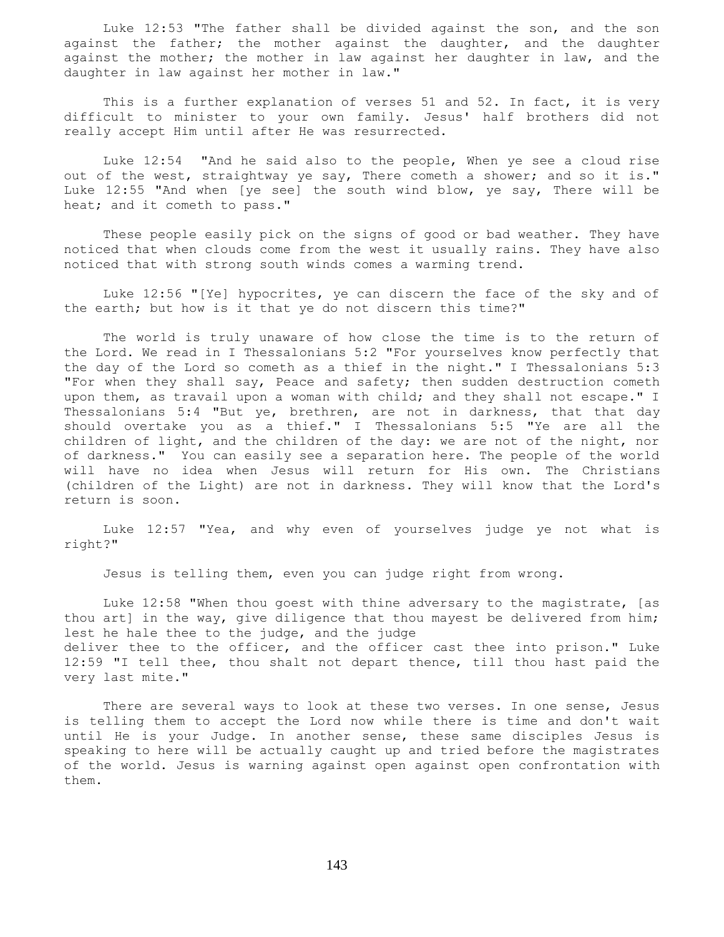Luke 12:53 "The father shall be divided against the son, and the son against the father; the mother against the daughter, and the daughter against the mother; the mother in law against her daughter in law, and the daughter in law against her mother in law."

This is a further explanation of verses 51 and 52. In fact, it is very difficult to minister to your own family. Jesus' half brothers did not really accept Him until after He was resurrected.

 Luke 12:54 "And he said also to the people, When ye see a cloud rise out of the west, straightway ye say, There cometh a shower; and so it is." Luke 12:55 "And when [ye see] the south wind blow, ye say, There will be heat; and it cometh to pass."

 These people easily pick on the signs of good or bad weather. They have noticed that when clouds come from the west it usually rains. They have also noticed that with strong south winds comes a warming trend.

 Luke 12:56 "[Ye] hypocrites, ye can discern the face of the sky and of the earth; but how is it that ye do not discern this time?"

 The world is truly unaware of how close the time is to the return of the Lord. We read in I Thessalonians 5:2 "For yourselves know perfectly that the day of the Lord so cometh as a thief in the night." I Thessalonians 5:3 "For when they shall say, Peace and safety; then sudden destruction cometh upon them, as travail upon a woman with child; and they shall not escape." I Thessalonians 5:4 "But ye, brethren, are not in darkness, that that day should overtake you as a thief." I Thessalonians 5:5 "Ye are all the children of light, and the children of the day: we are not of the night, nor of darkness." You can easily see a separation here. The people of the world will have no idea when Jesus will return for His own. The Christians (children of the Light) are not in darkness. They will know that the Lord's return is soon.

 Luke 12:57 "Yea, and why even of yourselves judge ye not what is right?"

Jesus is telling them, even you can judge right from wrong.

 Luke 12:58 "When thou goest with thine adversary to the magistrate, [as thou art] in the way, give diligence that thou mayest be delivered from him; lest he hale thee to the judge, and the judge deliver thee to the officer, and the officer cast thee into prison." Luke 12:59 "I tell thee, thou shalt not depart thence, till thou hast paid the very last mite."

 There are several ways to look at these two verses. In one sense, Jesus is telling them to accept the Lord now while there is time and don't wait until He is your Judge. In another sense, these same disciples Jesus is speaking to here will be actually caught up and tried before the magistrates of the world. Jesus is warning against open against open confrontation with them.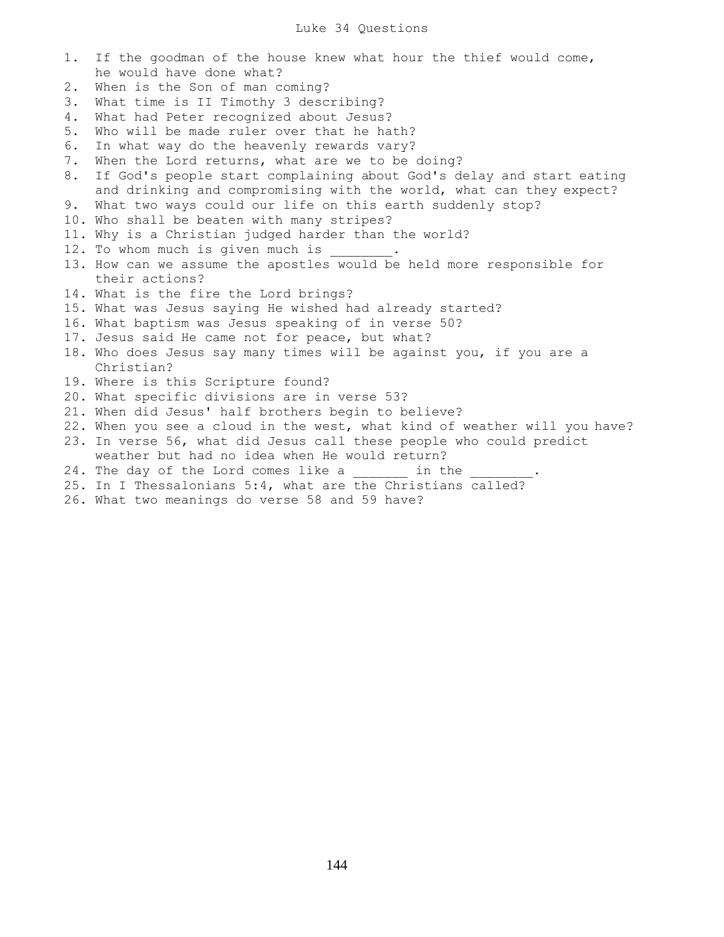- 1. If the goodman of the house knew what hour the thief would come, he would have done what?
- 2. When is the Son of man coming?
- 3. What time is II Timothy 3 describing?
- 4. What had Peter recognized about Jesus?
- 5. Who will be made ruler over that he hath?
- 6. In what way do the heavenly rewards vary?
- 7. When the Lord returns, what are we to be doing?
- 8. If God's people start complaining about God's delay and start eating and drinking and compromising with the world, what can they expect?
- 9. What two ways could our life on this earth suddenly stop?
- 10. Who shall be beaten with many stripes?
- 11. Why is a Christian judged harder than the world?
- 12. To whom much is given much is
- 13. How can we assume the apostles would be held more responsible for their actions?
- 14. What is the fire the Lord brings?
- 15. What was Jesus saying He wished had already started?
- 16. What baptism was Jesus speaking of in verse 50?
- 17. Jesus said He came not for peace, but what?
- 18. Who does Jesus say many times will be against you, if you are a Christian?
- 19. Where is this Scripture found?
- 20. What specific divisions are in verse 53?
- 21. When did Jesus' half brothers begin to believe?
- 22. When you see a cloud in the west, what kind of weather will you have? 23. In verse 56, what did Jesus call these people who could predict
- weather but had no idea when He would return?
- 24. The day of the Lord comes like a commit in the
- 25. In I Thessalonians 5:4, what are the Christians called?
- 26. What two meanings do verse 58 and 59 have?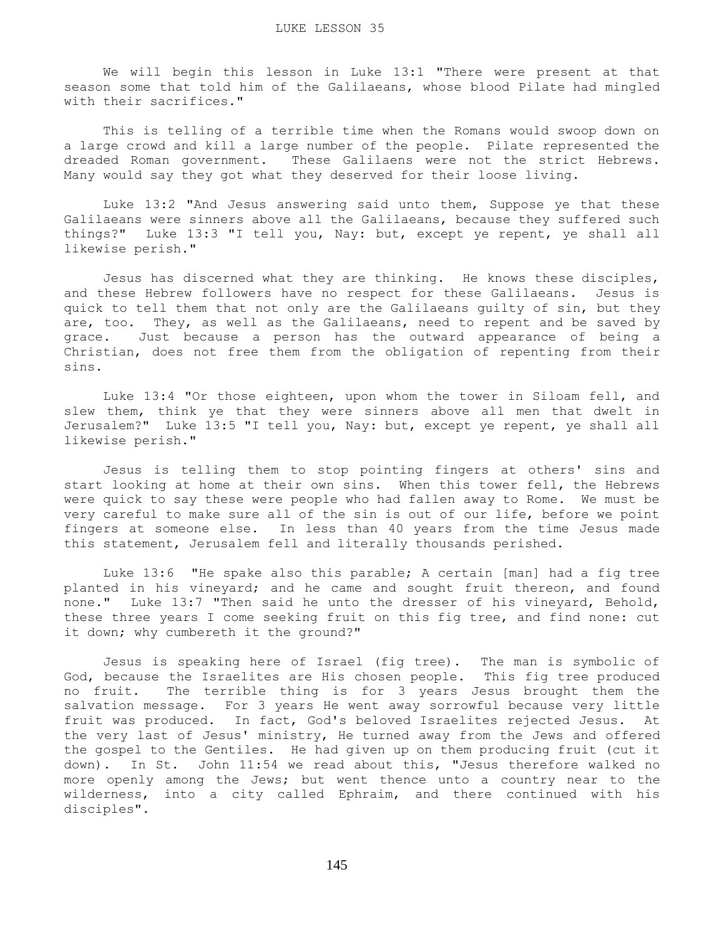We will begin this lesson in Luke 13:1 "There were present at that season some that told him of the Galilaeans, whose blood Pilate had mingled with their sacrifices."

 This is telling of a terrible time when the Romans would swoop down on a large crowd and kill a large number of the people. Pilate represented the dreaded Roman government. These Galilaens were not the strict Hebrews. Many would say they got what they deserved for their loose living.

 Luke 13:2 "And Jesus answering said unto them, Suppose ye that these Galilaeans were sinners above all the Galilaeans, because they suffered such things?" Luke 13:3 "I tell you, Nay: but, except ye repent, ye shall all likewise perish."

 Jesus has discerned what they are thinking. He knows these disciples, and these Hebrew followers have no respect for these Galilaeans. Jesus is quick to tell them that not only are the Galilaeans guilty of sin, but they are, too. They, as well as the Galilaeans, need to repent and be saved by grace. Just because a person has the outward appearance of being a Christian, does not free them from the obligation of repenting from their sins.

 Luke 13:4 "Or those eighteen, upon whom the tower in Siloam fell, and slew them, think ye that they were sinners above all men that dwelt in Jerusalem?" Luke 13:5 "I tell you, Nay: but, except ye repent, ye shall all likewise perish."

 Jesus is telling them to stop pointing fingers at others' sins and start looking at home at their own sins. When this tower fell, the Hebrews were quick to say these were people who had fallen away to Rome. We must be very careful to make sure all of the sin is out of our life, before we point fingers at someone else. In less than 40 years from the time Jesus made this statement, Jerusalem fell and literally thousands perished.

 Luke 13:6 "He spake also this parable; A certain [man] had a fig tree planted in his vineyard; and he came and sought fruit thereon, and found none." Luke 13:7 "Then said he unto the dresser of his vineyard, Behold, these three years I come seeking fruit on this fig tree, and find none: cut it down; why cumbereth it the ground?"

 Jesus is speaking here of Israel (fig tree). The man is symbolic of God, because the Israelites are His chosen people. This fig tree produced no fruit. The terrible thing is for 3 years Jesus brought them the salvation message. For 3 years He went away sorrowful because very little fruit was produced. In fact, God's beloved Israelites rejected Jesus. At the very last of Jesus' ministry, He turned away from the Jews and offered the gospel to the Gentiles. He had given up on them producing fruit (cut it down). In St. John 11:54 we read about this, "Jesus therefore walked no more openly among the Jews; but went thence unto a country near to the wilderness, into a city called Ephraim, and there continued with his disciples".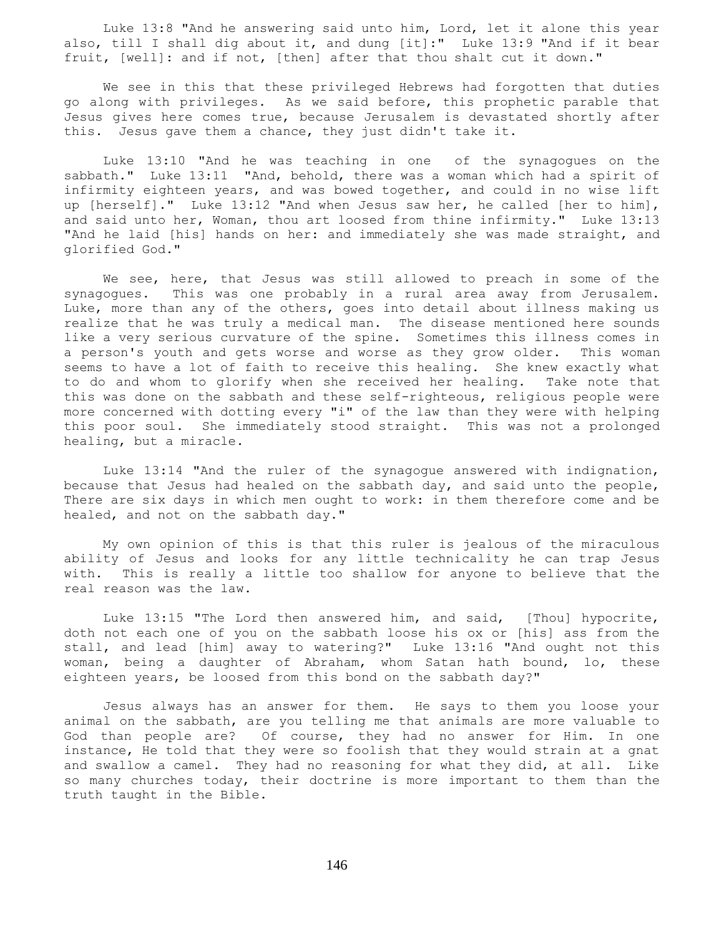Luke 13:8 "And he answering said unto him, Lord, let it alone this year also, till I shall dig about it, and dung [it]:" Luke 13:9 "And if it bear fruit, [well]: and if not, [then] after that thou shalt cut it down."

 We see in this that these privileged Hebrews had forgotten that duties go along with privileges. As we said before, this prophetic parable that Jesus gives here comes true, because Jerusalem is devastated shortly after this. Jesus gave them a chance, they just didn't take it.

 Luke 13:10 "And he was teaching in one of the synagogues on the sabbath." Luke 13:11 "And, behold, there was a woman which had a spirit of infirmity eighteen years, and was bowed together, and could in no wise lift up [herself]." Luke 13:12 "And when Jesus saw her, he called [her to him], and said unto her, Woman, thou art loosed from thine infirmity." Luke 13:13 "And he laid [his] hands on her: and immediately she was made straight, and glorified God."

 We see, here, that Jesus was still allowed to preach in some of the synagogues. This was one probably in a rural area away from Jerusalem. Luke, more than any of the others, goes into detail about illness making us realize that he was truly a medical man. The disease mentioned here sounds like a very serious curvature of the spine. Sometimes this illness comes in a person's youth and gets worse and worse as they grow older. This woman seems to have a lot of faith to receive this healing. She knew exactly what to do and whom to glorify when she received her healing. Take note that this was done on the sabbath and these self-righteous, religious people were more concerned with dotting every "i" of the law than they were with helping this poor soul. She immediately stood straight. This was not a prolonged healing, but a miracle.

 Luke 13:14 "And the ruler of the synagogue answered with indignation, because that Jesus had healed on the sabbath day, and said unto the people, There are six days in which men ought to work: in them therefore come and be healed, and not on the sabbath day."

 My own opinion of this is that this ruler is jealous of the miraculous ability of Jesus and looks for any little technicality he can trap Jesus with. This is really a little too shallow for anyone to believe that the real reason was the law.

 Luke 13:15 "The Lord then answered him, and said, [Thou] hypocrite, doth not each one of you on the sabbath loose his ox or [his] ass from the stall, and lead [him] away to watering?" Luke 13:16 "And ought not this woman, being a daughter of Abraham, whom Satan hath bound, lo, these eighteen years, be loosed from this bond on the sabbath day?"

 Jesus always has an answer for them. He says to them you loose your animal on the sabbath, are you telling me that animals are more valuable to God than people are? Of course, they had no answer for Him. In one instance, He told that they were so foolish that they would strain at a gnat and swallow a camel. They had no reasoning for what they did, at all. Like so many churches today, their doctrine is more important to them than the truth taught in the Bible.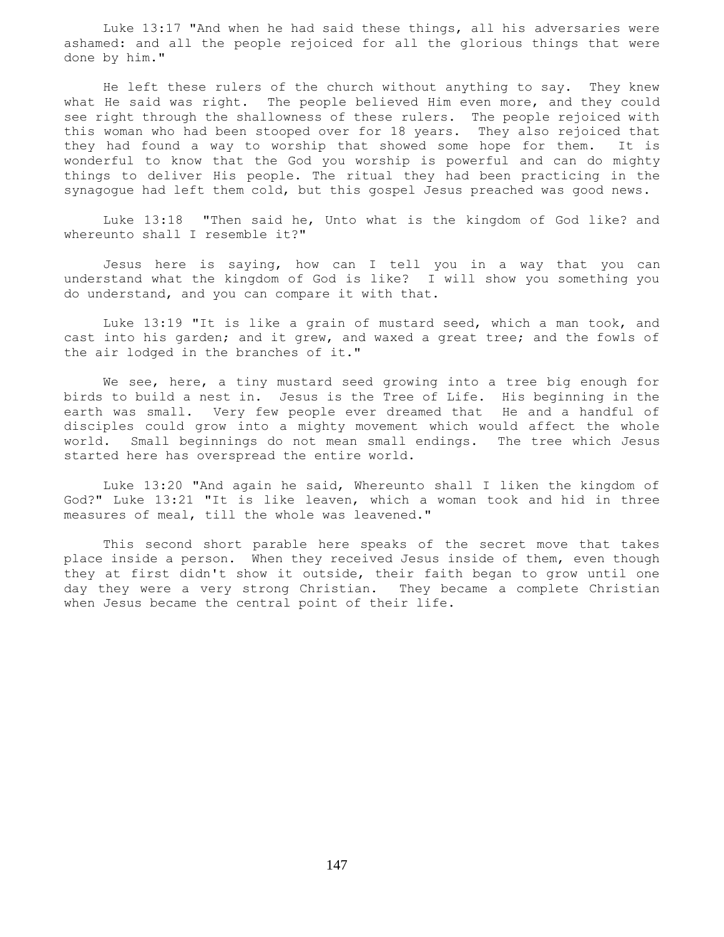Luke 13:17 "And when he had said these things, all his adversaries were ashamed: and all the people rejoiced for all the glorious things that were done by him."

 He left these rulers of the church without anything to say. They knew what He said was right. The people believed Him even more, and they could see right through the shallowness of these rulers. The people rejoiced with this woman who had been stooped over for 18 years. They also rejoiced that they had found a way to worship that showed some hope for them. It is wonderful to know that the God you worship is powerful and can do mighty things to deliver His people. The ritual they had been practicing in the synagogue had left them cold, but this gospel Jesus preached was good news.

 Luke 13:18 "Then said he, Unto what is the kingdom of God like? and whereunto shall I resemble it?"

 Jesus here is saying, how can I tell you in a way that you can understand what the kingdom of God is like? I will show you something you do understand, and you can compare it with that.

 Luke 13:19 "It is like a grain of mustard seed, which a man took, and cast into his garden; and it grew, and waxed a great tree; and the fowls of the air lodged in the branches of it."

 We see, here, a tiny mustard seed growing into a tree big enough for birds to build a nest in. Jesus is the Tree of Life. His beginning in the earth was small. Very few people ever dreamed that He and a handful of disciples could grow into a mighty movement which would affect the whole world. Small beginnings do not mean small endings. The tree which Jesus started here has overspread the entire world.

 Luke 13:20 "And again he said, Whereunto shall I liken the kingdom of God?" Luke 13:21 "It is like leaven, which a woman took and hid in three measures of meal, till the whole was leavened."

 This second short parable here speaks of the secret move that takes place inside a person. When they received Jesus inside of them, even though they at first didn't show it outside, their faith began to grow until one day they were a very strong Christian. They became a complete Christian when Jesus became the central point of their life.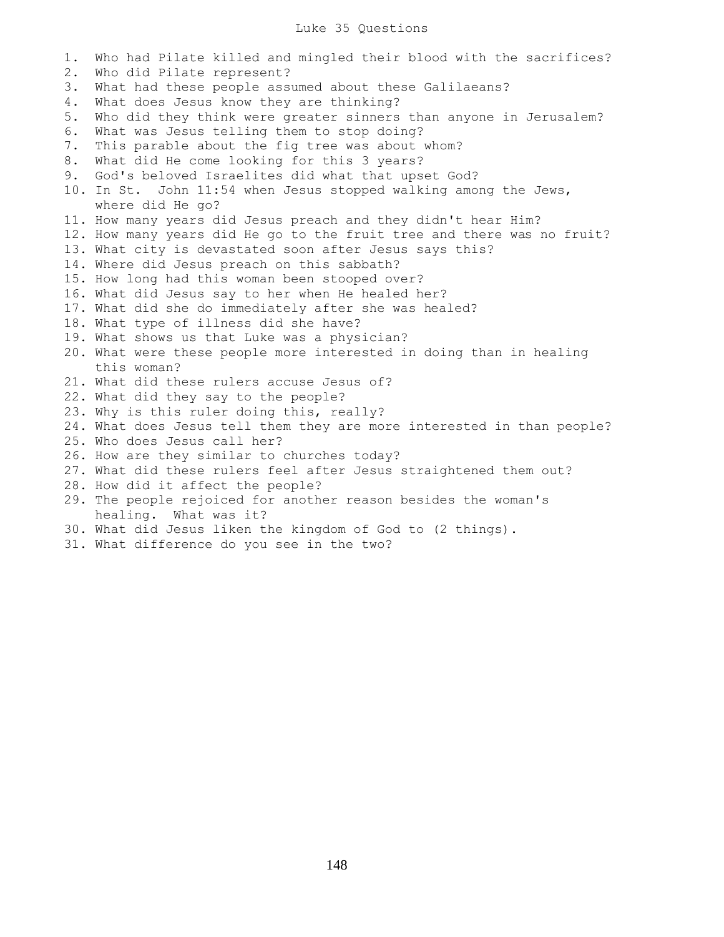## Luke 35 Questions

1. Who had Pilate killed and mingled their blood with the sacrifices? 2. Who did Pilate represent? 3. What had these people assumed about these Galilaeans? 4. What does Jesus know they are thinking? 5. Who did they think were greater sinners than anyone in Jerusalem? 6. What was Jesus telling them to stop doing? 7. This parable about the fig tree was about whom? 8. What did He come looking for this 3 years? 9. God's beloved Israelites did what that upset God? 10. In St. John 11:54 when Jesus stopped walking among the Jews, where did He go? 11. How many years did Jesus preach and they didn't hear Him? 12. How many years did He go to the fruit tree and there was no fruit? 13. What city is devastated soon after Jesus says this? 14. Where did Jesus preach on this sabbath? 15. How long had this woman been stooped over? 16. What did Jesus say to her when He healed her? 17. What did she do immediately after she was healed? 18. What type of illness did she have? 19. What shows us that Luke was a physician? 20. What were these people more interested in doing than in healing this woman? 21. What did these rulers accuse Jesus of? 22. What did they say to the people? 23. Why is this ruler doing this, really? 24. What does Jesus tell them they are more interested in than people? 25. Who does Jesus call her? 26. How are they similar to churches today? 27. What did these rulers feel after Jesus straightened them out? 28. How did it affect the people? 29. The people rejoiced for another reason besides the woman's healing. What was it? 30. What did Jesus liken the kingdom of God to (2 things).

31. What difference do you see in the two?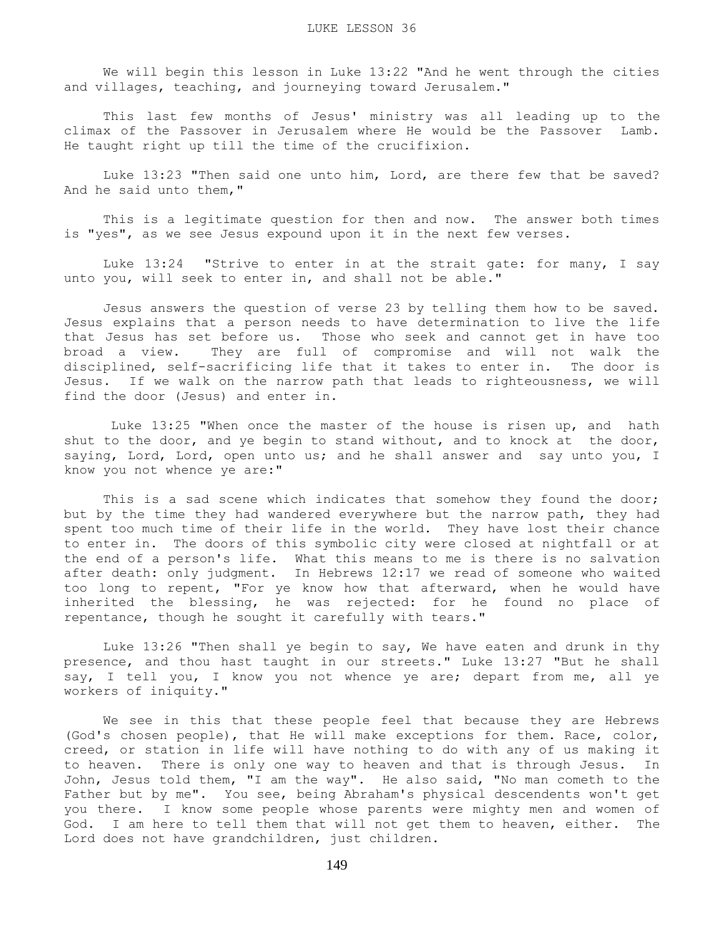We will begin this lesson in Luke 13:22 "And he went through the cities and villages, teaching, and journeying toward Jerusalem."

 This last few months of Jesus' ministry was all leading up to the climax of the Passover in Jerusalem where He would be the Passover Lamb. He taught right up till the time of the crucifixion.

 Luke 13:23 "Then said one unto him, Lord, are there few that be saved? And he said unto them,"

 This is a legitimate question for then and now. The answer both times is "yes", as we see Jesus expound upon it in the next few verses.

Luke 13:24 "Strive to enter in at the strait gate: for many, I say unto you, will seek to enter in, and shall not be able."

 Jesus answers the question of verse 23 by telling them how to be saved. Jesus explains that a person needs to have determination to live the life that Jesus has set before us. Those who seek and cannot get in have too broad a view. They are full of compromise and will not walk the disciplined, self-sacrificing life that it takes to enter in. The door is Jesus. If we walk on the narrow path that leads to righteousness, we will find the door (Jesus) and enter in.

 Luke 13:25 "When once the master of the house is risen up, and hath shut to the door, and ye begin to stand without, and to knock at the door, saying, Lord, Lord, open unto us; and he shall answer and say unto you, I know you not whence ye are:"

This is a sad scene which indicates that somehow they found the door; but by the time they had wandered everywhere but the narrow path, they had spent too much time of their life in the world. They have lost their chance to enter in. The doors of this symbolic city were closed at nightfall or at the end of a person's life. What this means to me is there is no salvation after death: only judgment. In Hebrews 12:17 we read of someone who waited too long to repent, "For ye know how that afterward, when he would have inherited the blessing, he was rejected: for he found no place of repentance, though he sought it carefully with tears."

 Luke 13:26 "Then shall ye begin to say, We have eaten and drunk in thy presence, and thou hast taught in our streets." Luke 13:27 "But he shall say, I tell you, I know you not whence ye are; depart from me, all ye workers of iniquity."

 We see in this that these people feel that because they are Hebrews (God's chosen people), that He will make exceptions for them. Race, color, creed, or station in life will have nothing to do with any of us making it to heaven. There is only one way to heaven and that is through Jesus. In John, Jesus told them, "I am the way". He also said, "No man cometh to the Father but by me". You see, being Abraham's physical descendents won't get you there. I know some people whose parents were mighty men and women of God. I am here to tell them that will not get them to heaven, either. The Lord does not have grandchildren, just children.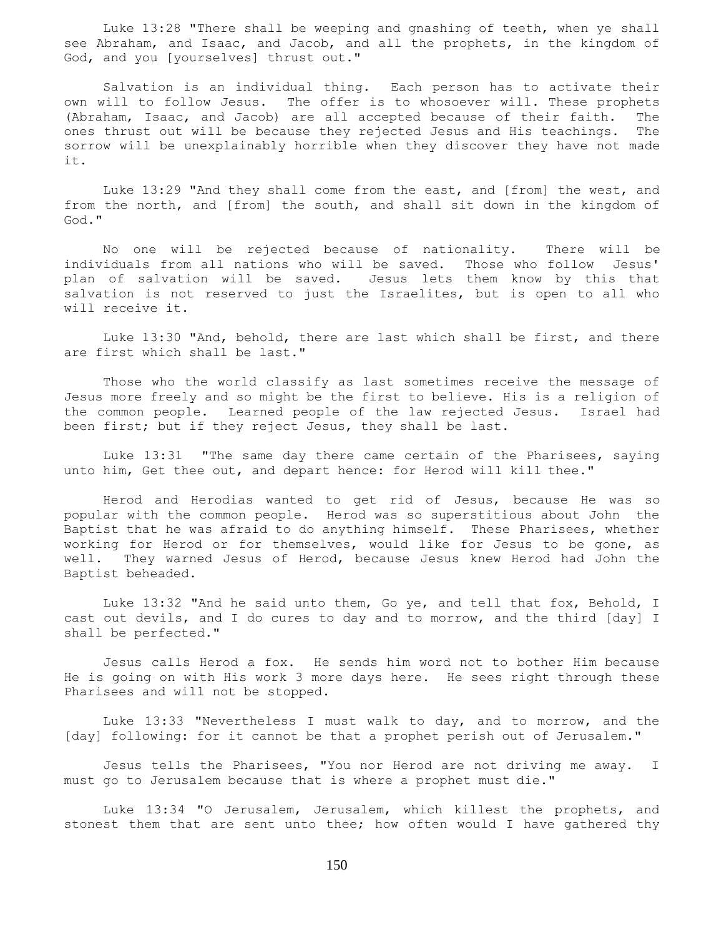Luke 13:28 "There shall be weeping and gnashing of teeth, when ye shall see Abraham, and Isaac, and Jacob, and all the prophets, in the kingdom of God, and you [yourselves] thrust out."

 Salvation is an individual thing. Each person has to activate their own will to follow Jesus. The offer is to whosoever will. These prophets (Abraham, Isaac, and Jacob) are all accepted because of their faith. The ones thrust out will be because they rejected Jesus and His teachings. The sorrow will be unexplainably horrible when they discover they have not made it.

 Luke 13:29 "And they shall come from the east, and [from] the west, and from the north, and [from] the south, and shall sit down in the kingdom of God."

 No one will be rejected because of nationality. There will be individuals from all nations who will be saved. Those who follow Jesus' plan of salvation will be saved. Jesus lets them know by this that salvation is not reserved to just the Israelites, but is open to all who will receive it.

 Luke 13:30 "And, behold, there are last which shall be first, and there are first which shall be last."

 Those who the world classify as last sometimes receive the message of Jesus more freely and so might be the first to believe. His is a religion of the common people. Learned people of the law rejected Jesus. Israel had been first; but if they reject Jesus, they shall be last.

 Luke 13:31 "The same day there came certain of the Pharisees, saying unto him, Get thee out, and depart hence: for Herod will kill thee."

 Herod and Herodias wanted to get rid of Jesus, because He was so popular with the common people. Herod was so superstitious about John the Baptist that he was afraid to do anything himself. These Pharisees, whether working for Herod or for themselves, would like for Jesus to be gone, as well. They warned Jesus of Herod, because Jesus knew Herod had John the Baptist beheaded.

 Luke 13:32 "And he said unto them, Go ye, and tell that fox, Behold, I cast out devils, and I do cures to day and to morrow, and the third [day] I shall be perfected."

 Jesus calls Herod a fox. He sends him word not to bother Him because He is going on with His work 3 more days here. He sees right through these Pharisees and will not be stopped.

 Luke 13:33 "Nevertheless I must walk to day, and to morrow, and the [day] following: for it cannot be that a prophet perish out of Jerusalem."

 Jesus tells the Pharisees, "You nor Herod are not driving me away. I must go to Jerusalem because that is where a prophet must die."

 Luke 13:34 "O Jerusalem, Jerusalem, which killest the prophets, and stonest them that are sent unto thee; how often would I have gathered thy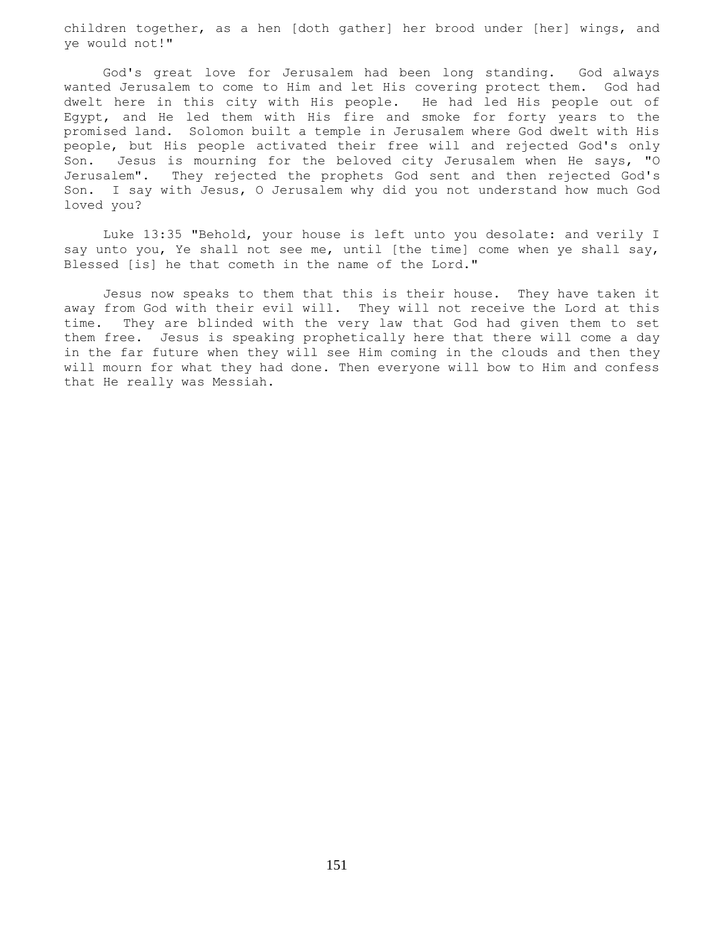children together, as a hen [doth gather] her brood under [her] wings, and ye would not!"

 God's great love for Jerusalem had been long standing. God always wanted Jerusalem to come to Him and let His covering protect them. God had dwelt here in this city with His people. He had led His people out of Egypt, and He led them with His fire and smoke for forty years to the promised land. Solomon built a temple in Jerusalem where God dwelt with His people, but His people activated their free will and rejected God's only Son. Jesus is mourning for the beloved city Jerusalem when He says, "O Jerusalem". They rejected the prophets God sent and then rejected God's Son. I say with Jesus, O Jerusalem why did you not understand how much God loved you?

 Luke 13:35 "Behold, your house is left unto you desolate: and verily I say unto you, Ye shall not see me, until [the time] come when ye shall say, Blessed [is] he that cometh in the name of the Lord."

 Jesus now speaks to them that this is their house. They have taken it away from God with their evil will. They will not receive the Lord at this time. They are blinded with the very law that God had given them to set them free. Jesus is speaking prophetically here that there will come a day in the far future when they will see Him coming in the clouds and then they will mourn for what they had done. Then everyone will bow to Him and confess that He really was Messiah.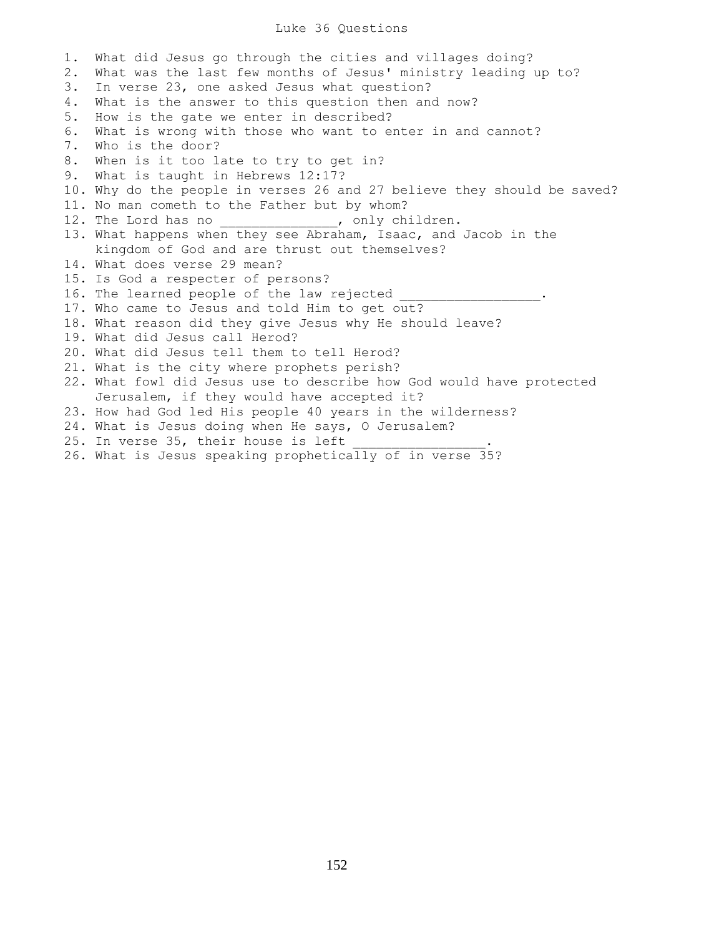## Luke 36 Questions

1. What did Jesus go through the cities and villages doing? 2. What was the last few months of Jesus' ministry leading up to? 3. In verse 23, one asked Jesus what question? 4. What is the answer to this question then and now? 5. How is the gate we enter in described? 6. What is wrong with those who want to enter in and cannot? 7. Who is the door? 8. When is it too late to try to get in? 9. What is taught in Hebrews 12:17? 10. Why do the people in verses 26 and 27 believe they should be saved? 11. No man cometh to the Father but by whom? 12. The Lord has no \_\_\_\_\_\_\_\_\_\_\_\_\_\_, only children. 13. What happens when they see Abraham, Isaac, and Jacob in the kingdom of God and are thrust out themselves? 14. What does verse 29 mean? 15. Is God a respecter of persons? 16. The learned people of the law rejected 17. Who came to Jesus and told Him to get out? 18. What reason did they give Jesus why He should leave? 19. What did Jesus call Herod? 20. What did Jesus tell them to tell Herod? 21. What is the city where prophets perish? 22. What fowl did Jesus use to describe how God would have protected Jerusalem, if they would have accepted it? 23. How had God led His people 40 years in the wilderness? 24. What is Jesus doing when He says, O Jerusalem? 25. In verse 35, their house is left 26. What is Jesus speaking prophetically of in verse 35?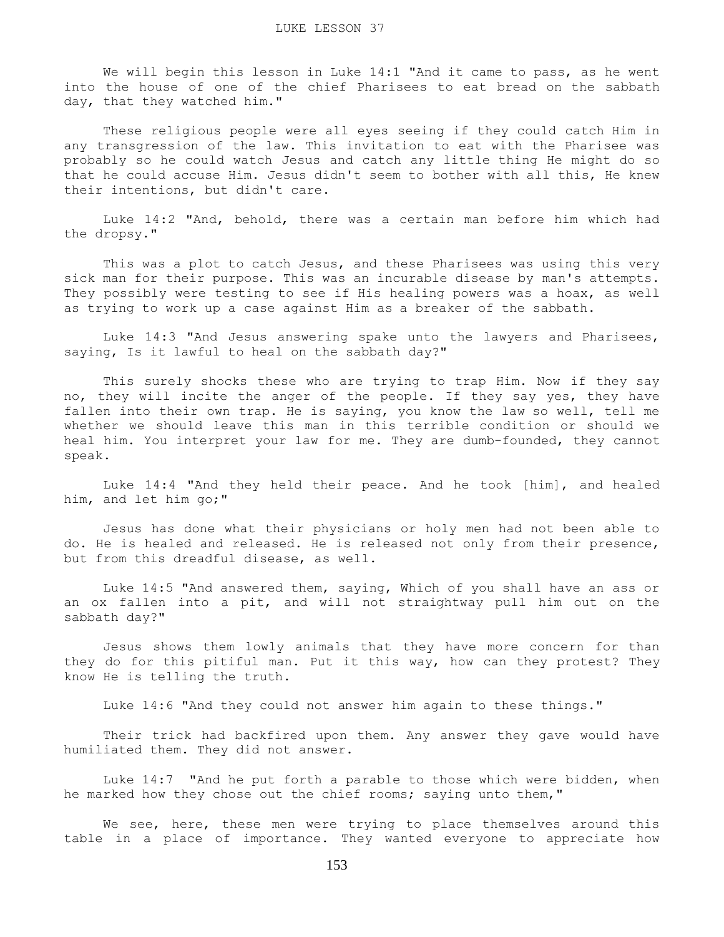We will begin this lesson in Luke 14:1 "And it came to pass, as he went into the house of one of the chief Pharisees to eat bread on the sabbath day, that they watched him."

 These religious people were all eyes seeing if they could catch Him in any transgression of the law. This invitation to eat with the Pharisee was probably so he could watch Jesus and catch any little thing He might do so that he could accuse Him. Jesus didn't seem to bother with all this, He knew their intentions, but didn't care.

 Luke 14:2 "And, behold, there was a certain man before him which had the dropsy."

 This was a plot to catch Jesus, and these Pharisees was using this very sick man for their purpose. This was an incurable disease by man's attempts. They possibly were testing to see if His healing powers was a hoax, as well as trying to work up a case against Him as a breaker of the sabbath.

 Luke 14:3 "And Jesus answering spake unto the lawyers and Pharisees, saying, Is it lawful to heal on the sabbath day?"

 This surely shocks these who are trying to trap Him. Now if they say no, they will incite the anger of the people. If they say yes, they have fallen into their own trap. He is saying, you know the law so well, tell me whether we should leave this man in this terrible condition or should we heal him. You interpret your law for me. They are dumb-founded, they cannot speak.

 Luke 14:4 "And they held their peace. And he took [him], and healed him, and let him go;"

 Jesus has done what their physicians or holy men had not been able to do. He is healed and released. He is released not only from their presence, but from this dreadful disease, as well.

 Luke 14:5 "And answered them, saying, Which of you shall have an ass or an ox fallen into a pit, and will not straightway pull him out on the sabbath day?"

 Jesus shows them lowly animals that they have more concern for than they do for this pitiful man. Put it this way, how can they protest? They know He is telling the truth.

Luke 14:6 "And they could not answer him again to these things."

 Their trick had backfired upon them. Any answer they gave would have humiliated them. They did not answer.

 Luke 14:7 "And he put forth a parable to those which were bidden, when he marked how they chose out the chief rooms; saying unto them,"

We see, here, these men were trying to place themselves around this table in a place of importance. They wanted everyone to appreciate how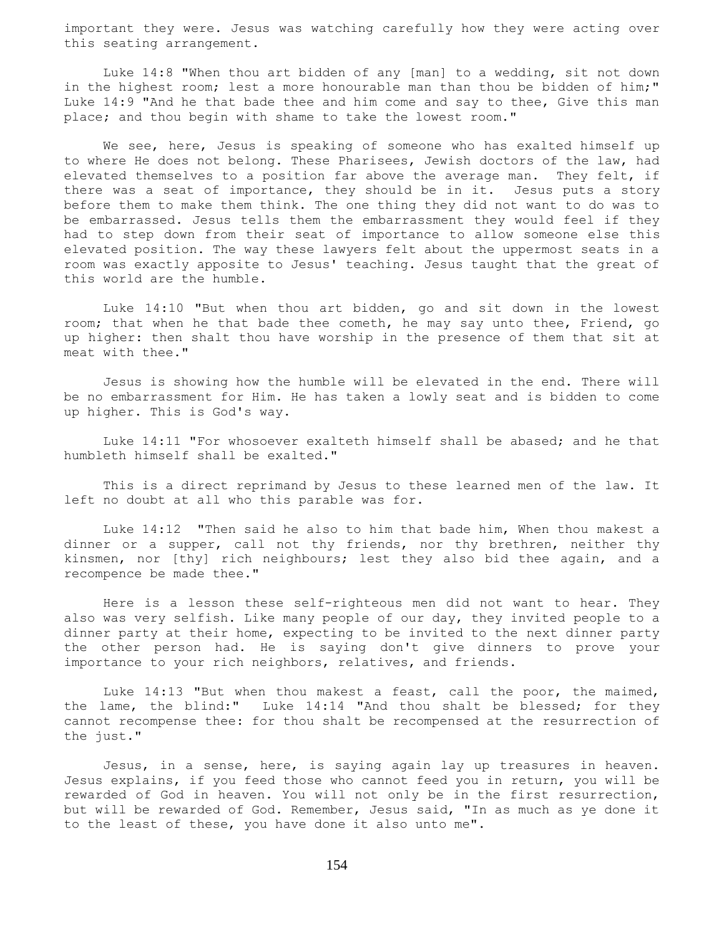important they were. Jesus was watching carefully how they were acting over this seating arrangement.

 Luke 14:8 "When thou art bidden of any [man] to a wedding, sit not down in the highest room; lest a more honourable man than thou be bidden of him;" Luke 14:9 "And he that bade thee and him come and say to thee, Give this man place; and thou begin with shame to take the lowest room."

We see, here, Jesus is speaking of someone who has exalted himself up to where He does not belong. These Pharisees, Jewish doctors of the law, had elevated themselves to a position far above the average man. They felt, if there was a seat of importance, they should be in it. Jesus puts a story before them to make them think. The one thing they did not want to do was to be embarrassed. Jesus tells them the embarrassment they would feel if they had to step down from their seat of importance to allow someone else this elevated position. The way these lawyers felt about the uppermost seats in a room was exactly apposite to Jesus' teaching. Jesus taught that the great of this world are the humble.

 Luke 14:10 "But when thou art bidden, go and sit down in the lowest room; that when he that bade thee cometh, he may say unto thee, Friend, go up higher: then shalt thou have worship in the presence of them that sit at meat with thee."

 Jesus is showing how the humble will be elevated in the end. There will be no embarrassment for Him. He has taken a lowly seat and is bidden to come up higher. This is God's way.

 Luke 14:11 "For whosoever exalteth himself shall be abased; and he that humbleth himself shall be exalted."

 This is a direct reprimand by Jesus to these learned men of the law. It left no doubt at all who this parable was for.

 Luke 14:12 "Then said he also to him that bade him, When thou makest a dinner or a supper, call not thy friends, nor thy brethren, neither thy kinsmen, nor [thy] rich neighbours; lest they also bid thee again, and a recompence be made thee."

 Here is a lesson these self-righteous men did not want to hear. They also was very selfish. Like many people of our day, they invited people to a dinner party at their home, expecting to be invited to the next dinner party the other person had. He is saying don't give dinners to prove your importance to your rich neighbors, relatives, and friends.

 Luke 14:13 "But when thou makest a feast, call the poor, the maimed, the lame, the blind:" Luke 14:14 "And thou shalt be blessed; for they cannot recompense thee: for thou shalt be recompensed at the resurrection of the just."

 Jesus, in a sense, here, is saying again lay up treasures in heaven. Jesus explains, if you feed those who cannot feed you in return, you will be rewarded of God in heaven. You will not only be in the first resurrection, but will be rewarded of God. Remember, Jesus said, "In as much as ye done it to the least of these, you have done it also unto me".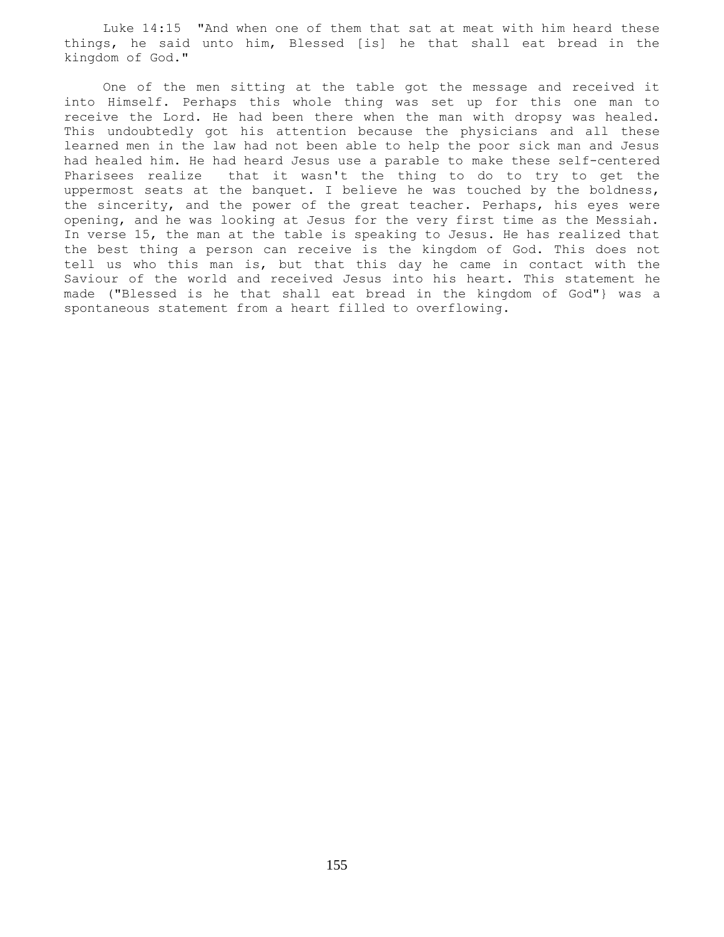Luke 14:15 "And when one of them that sat at meat with him heard these things, he said unto him, Blessed [is] he that shall eat bread in the kingdom of God."

 One of the men sitting at the table got the message and received it into Himself. Perhaps this whole thing was set up for this one man to receive the Lord. He had been there when the man with dropsy was healed. This undoubtedly got his attention because the physicians and all these learned men in the law had not been able to help the poor sick man and Jesus had healed him. He had heard Jesus use a parable to make these self-centered Pharisees realize that it wasn't the thing to do to try to get the uppermost seats at the banquet. I believe he was touched by the boldness, the sincerity, and the power of the great teacher. Perhaps, his eyes were opening, and he was looking at Jesus for the very first time as the Messiah. In verse 15, the man at the table is speaking to Jesus. He has realized that the best thing a person can receive is the kingdom of God. This does not tell us who this man is, but that this day he came in contact with the Saviour of the world and received Jesus into his heart. This statement he made ("Blessed is he that shall eat bread in the kingdom of God"} was a spontaneous statement from a heart filled to overflowing.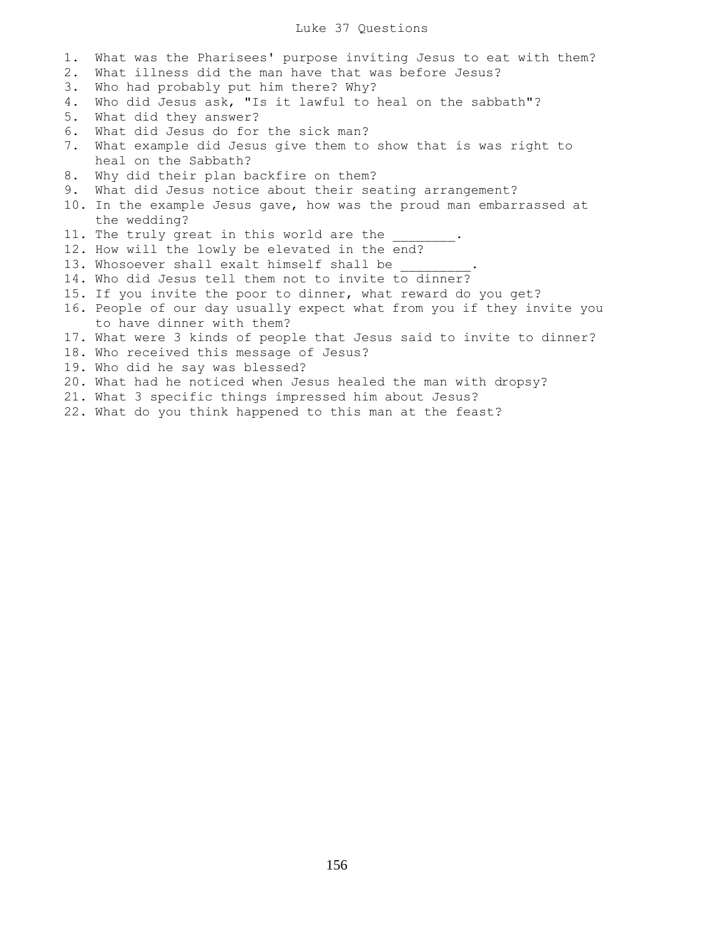## Luke 37 Questions

1. What was the Pharisees' purpose inviting Jesus to eat with them? 2. What illness did the man have that was before Jesus? 3. Who had probably put him there? Why? 4. Who did Jesus ask, "Is it lawful to heal on the sabbath"? 5. What did they answer? 6. What did Jesus do for the sick man? 7. What example did Jesus give them to show that is was right to heal on the Sabbath? 8. Why did their plan backfire on them? 9. What did Jesus notice about their seating arrangement? 10. In the example Jesus gave, how was the proud man embarrassed at the wedding? 11. The truly great in this world are the 12. How will the lowly be elevated in the end? 13. Whosoever shall exalt himself shall be 14. Who did Jesus tell them not to invite to dinner? 15. If you invite the poor to dinner, what reward do you get? 16. People of our day usually expect what from you if they invite you to have dinner with them? 17. What were 3 kinds of people that Jesus said to invite to dinner? 18. Who received this message of Jesus? 19. Who did he say was blessed? 20. What had he noticed when Jesus healed the man with dropsy? 21. What 3 specific things impressed him about Jesus? 22. What do you think happened to this man at the feast?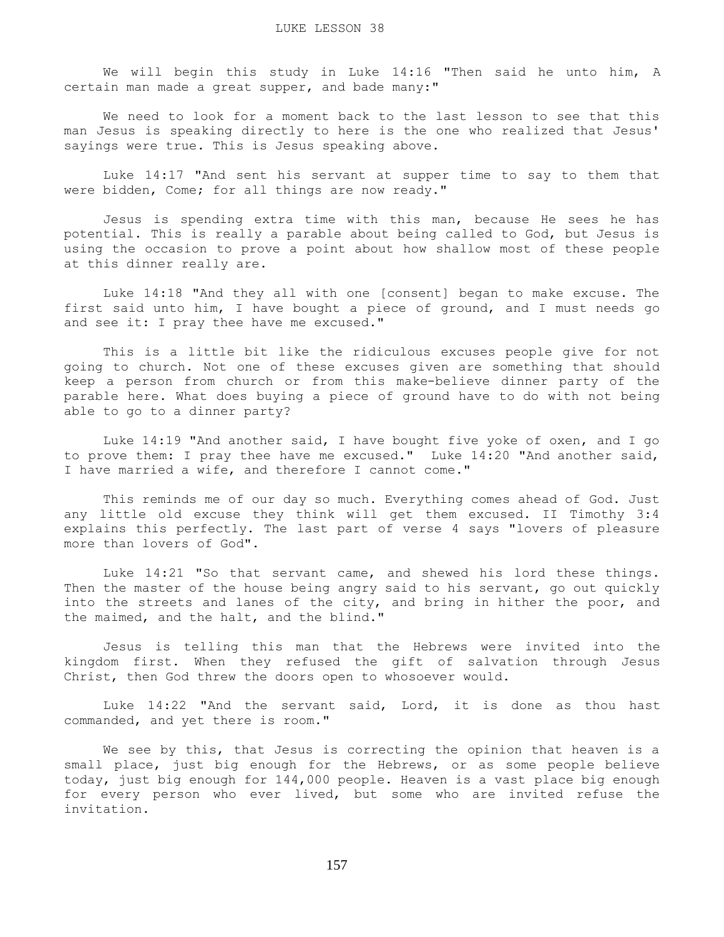We will begin this study in Luke 14:16 "Then said he unto him, A certain man made a great supper, and bade many:"

 We need to look for a moment back to the last lesson to see that this man Jesus is speaking directly to here is the one who realized that Jesus' sayings were true. This is Jesus speaking above.

 Luke 14:17 "And sent his servant at supper time to say to them that were bidden, Come; for all things are now ready."

 Jesus is spending extra time with this man, because He sees he has potential. This is really a parable about being called to God, but Jesus is using the occasion to prove a point about how shallow most of these people at this dinner really are.

 Luke 14:18 "And they all with one [consent] began to make excuse. The first said unto him, I have bought a piece of ground, and I must needs go and see it: I pray thee have me excused."

 This is a little bit like the ridiculous excuses people give for not going to church. Not one of these excuses given are something that should keep a person from church or from this make-believe dinner party of the parable here. What does buying a piece of ground have to do with not being able to go to a dinner party?

 Luke 14:19 "And another said, I have bought five yoke of oxen, and I go to prove them: I pray thee have me excused." Luke 14:20 "And another said, I have married a wife, and therefore I cannot come."

 This reminds me of our day so much. Everything comes ahead of God. Just any little old excuse they think will get them excused. II Timothy 3:4 explains this perfectly. The last part of verse 4 says "lovers of pleasure more than lovers of God".

 Luke 14:21 "So that servant came, and shewed his lord these things. Then the master of the house being angry said to his servant, go out quickly into the streets and lanes of the city, and bring in hither the poor, and the maimed, and the halt, and the blind."

 Jesus is telling this man that the Hebrews were invited into the kingdom first. When they refused the gift of salvation through Jesus Christ, then God threw the doors open to whosoever would.

 Luke 14:22 "And the servant said, Lord, it is done as thou hast commanded, and yet there is room."

 We see by this, that Jesus is correcting the opinion that heaven is a small place, just big enough for the Hebrews, or as some people believe today, just big enough for 144,000 people. Heaven is a vast place big enough for every person who ever lived, but some who are invited refuse the invitation.

157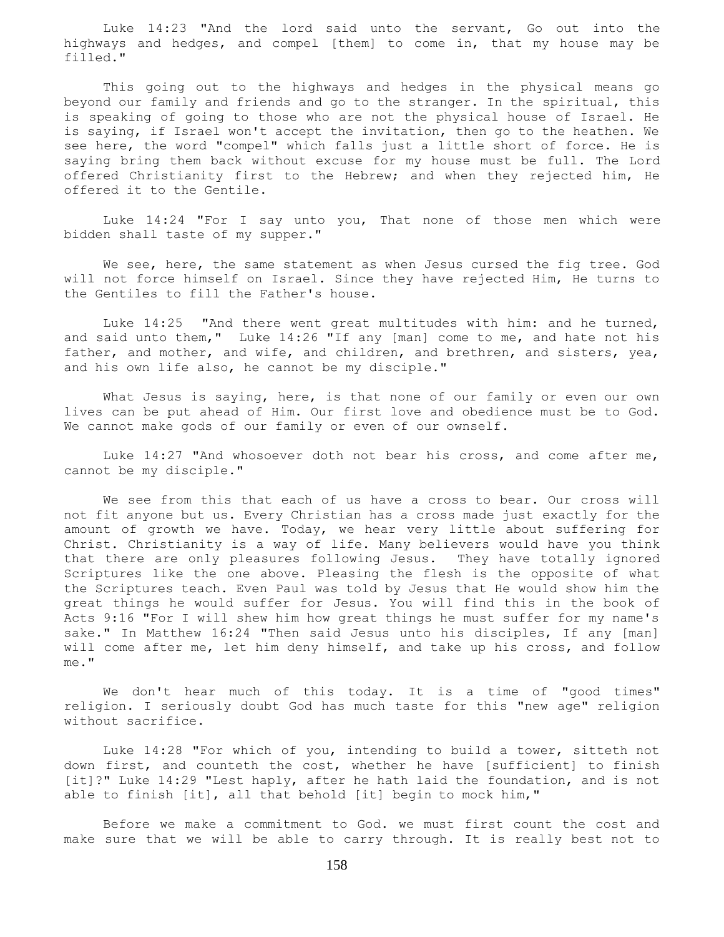Luke 14:23 "And the lord said unto the servant, Go out into the highways and hedges, and compel [them] to come in, that my house may be filled."

 This going out to the highways and hedges in the physical means go beyond our family and friends and go to the stranger. In the spiritual, this is speaking of going to those who are not the physical house of Israel. He is saying, if Israel won't accept the invitation, then go to the heathen. We see here, the word "compel" which falls just a little short of force. He is saying bring them back without excuse for my house must be full. The Lord offered Christianity first to the Hebrew; and when they rejected him, He offered it to the Gentile.

 Luke 14:24 "For I say unto you, That none of those men which were bidden shall taste of my supper."

We see, here, the same statement as when Jesus cursed the fig tree. God will not force himself on Israel. Since they have rejected Him, He turns to the Gentiles to fill the Father's house.

Luke 14:25 "And there went great multitudes with him: and he turned, and said unto them," Luke 14:26 "If any [man] come to me, and hate not his father, and mother, and wife, and children, and brethren, and sisters, yea, and his own life also, he cannot be my disciple."

What Jesus is saying, here, is that none of our family or even our own lives can be put ahead of Him. Our first love and obedience must be to God. We cannot make gods of our family or even of our ownself.

 Luke 14:27 "And whosoever doth not bear his cross, and come after me, cannot be my disciple."

 We see from this that each of us have a cross to bear. Our cross will not fit anyone but us. Every Christian has a cross made just exactly for the amount of growth we have. Today, we hear very little about suffering for Christ. Christianity is a way of life. Many believers would have you think that there are only pleasures following Jesus. They have totally ignored Scriptures like the one above. Pleasing the flesh is the opposite of what the Scriptures teach. Even Paul was told by Jesus that He would show him the great things he would suffer for Jesus. You will find this in the book of Acts 9:16 "For I will shew him how great things he must suffer for my name's sake." In Matthew 16:24 "Then said Jesus unto his disciples, If any [man] will come after me, let him deny himself, and take up his cross, and follow me."

 We don't hear much of this today. It is a time of "good times" religion. I seriously doubt God has much taste for this "new age" religion without sacrifice.

 Luke 14:28 "For which of you, intending to build a tower, sitteth not down first, and counteth the cost, whether he have [sufficient] to finish [it]?" Luke 14:29 "Lest haply, after he hath laid the foundation, and is not able to finish [it], all that behold [it] begin to mock him,"

 Before we make a commitment to God. we must first count the cost and make sure that we will be able to carry through. It is really best not to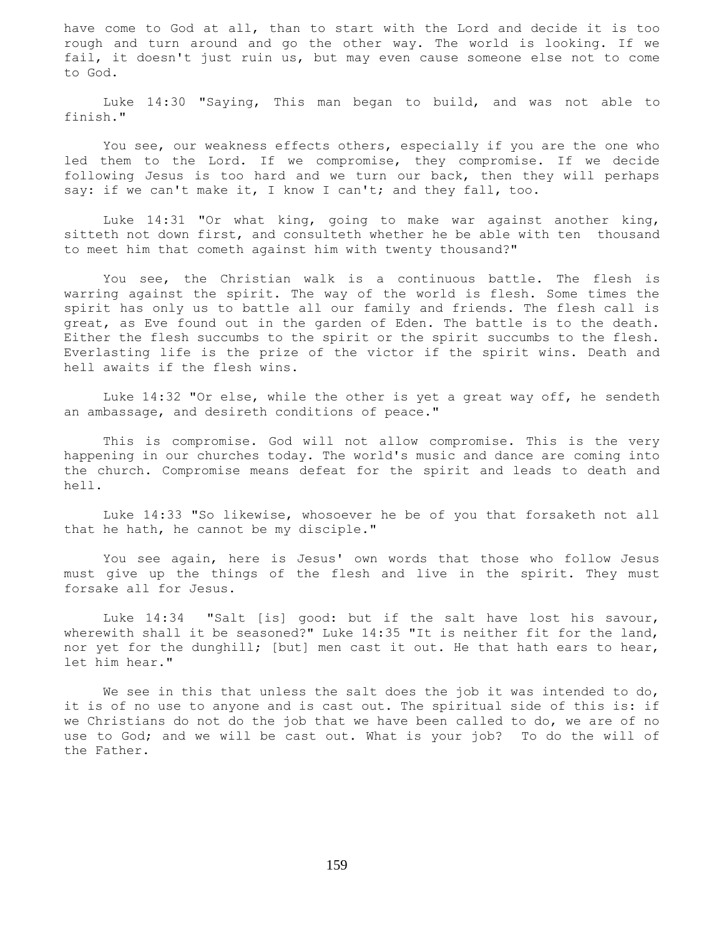have come to God at all, than to start with the Lord and decide it is too rough and turn around and go the other way. The world is looking. If we fail, it doesn't just ruin us, but may even cause someone else not to come to God.

 Luke 14:30 "Saying, This man began to build, and was not able to finish."

 You see, our weakness effects others, especially if you are the one who led them to the Lord. If we compromise, they compromise. If we decide following Jesus is too hard and we turn our back, then they will perhaps say: if we can't make it, I know I can't; and they fall, too.

 Luke 14:31 "Or what king, going to make war against another king, sitteth not down first, and consulteth whether he be able with ten thousand to meet him that cometh against him with twenty thousand?"

 You see, the Christian walk is a continuous battle. The flesh is warring against the spirit. The way of the world is flesh. Some times the spirit has only us to battle all our family and friends. The flesh call is great, as Eve found out in the garden of Eden. The battle is to the death. Either the flesh succumbs to the spirit or the spirit succumbs to the flesh. Everlasting life is the prize of the victor if the spirit wins. Death and hell awaits if the flesh wins.

 Luke 14:32 "Or else, while the other is yet a great way off, he sendeth an ambassage, and desireth conditions of peace."

 This is compromise. God will not allow compromise. This is the very happening in our churches today. The world's music and dance are coming into the church. Compromise means defeat for the spirit and leads to death and hell.

 Luke 14:33 "So likewise, whosoever he be of you that forsaketh not all that he hath, he cannot be my disciple."

 You see again, here is Jesus' own words that those who follow Jesus must give up the things of the flesh and live in the spirit. They must forsake all for Jesus.

 Luke 14:34 "Salt [is] good: but if the salt have lost his savour, wherewith shall it be seasoned?" Luke 14:35 "It is neither fit for the land, nor yet for the dunghill; [but] men cast it out. He that hath ears to hear, let him hear."

We see in this that unless the salt does the job it was intended to do, it is of no use to anyone and is cast out. The spiritual side of this is: if we Christians do not do the job that we have been called to do, we are of no use to God; and we will be cast out. What is your job? To do the will of the Father.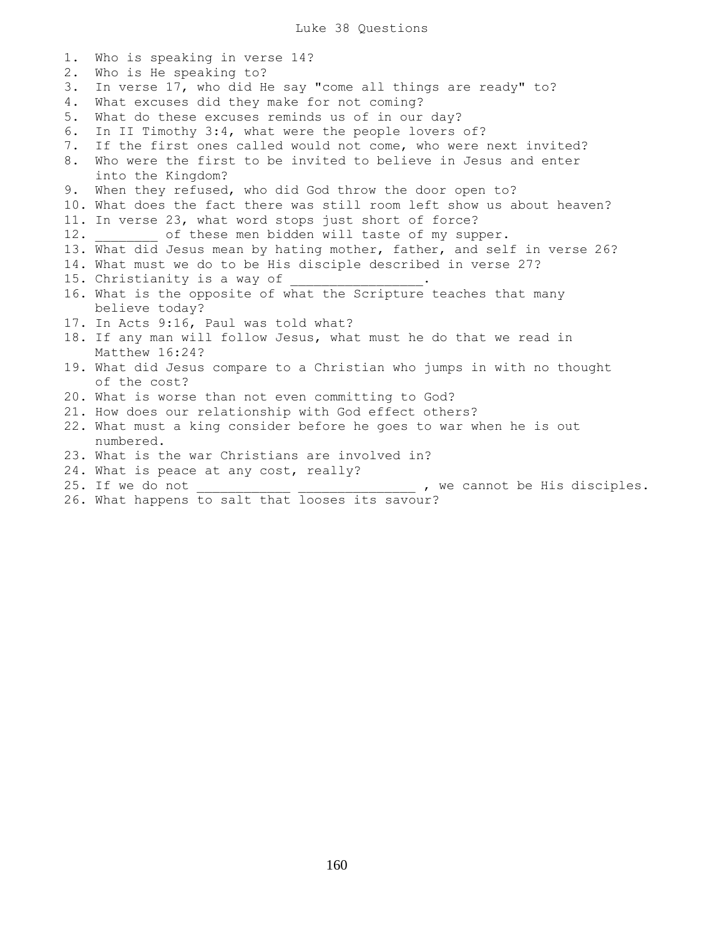Luke 38 Questions

1. Who is speaking in verse 14? 2. Who is He speaking to? 3. In verse 17, who did He say "come all things are ready" to? 4. What excuses did they make for not coming? 5. What do these excuses reminds us of in our day? 6. In II Timothy 3:4, what were the people lovers of? 7. If the first ones called would not come, who were next invited? 8. Who were the first to be invited to believe in Jesus and enter into the Kingdom? 9. When they refused, who did God throw the door open to? 10. What does the fact there was still room left show us about heaven? 11. In verse 23, what word stops just short of force? 12. of these men bidden will taste of my supper. 13. What did Jesus mean by hating mother, father, and self in verse 26? 14. What must we do to be His disciple described in verse 27? 15. Christianity is a way of 16. What is the opposite of what the Scripture teaches that many believe today? 17. In Acts 9:16, Paul was told what? 18. If any man will follow Jesus, what must he do that we read in Matthew 16:24? 19. What did Jesus compare to a Christian who jumps in with no thought of the cost? 20. What is worse than not even committing to God? 21. How does our relationship with God effect others? 22. What must a king consider before he goes to war when he is out numbered. 23. What is the war Christians are involved in? 24. What is peace at any cost, really? 25. If we do not \_\_\_\_\_\_\_\_\_\_\_\_\_ \_\_\_\_\_\_\_\_\_\_\_\_\_\_\_\_ , we cannot be His disciples. 26. What happens to salt that looses its savour?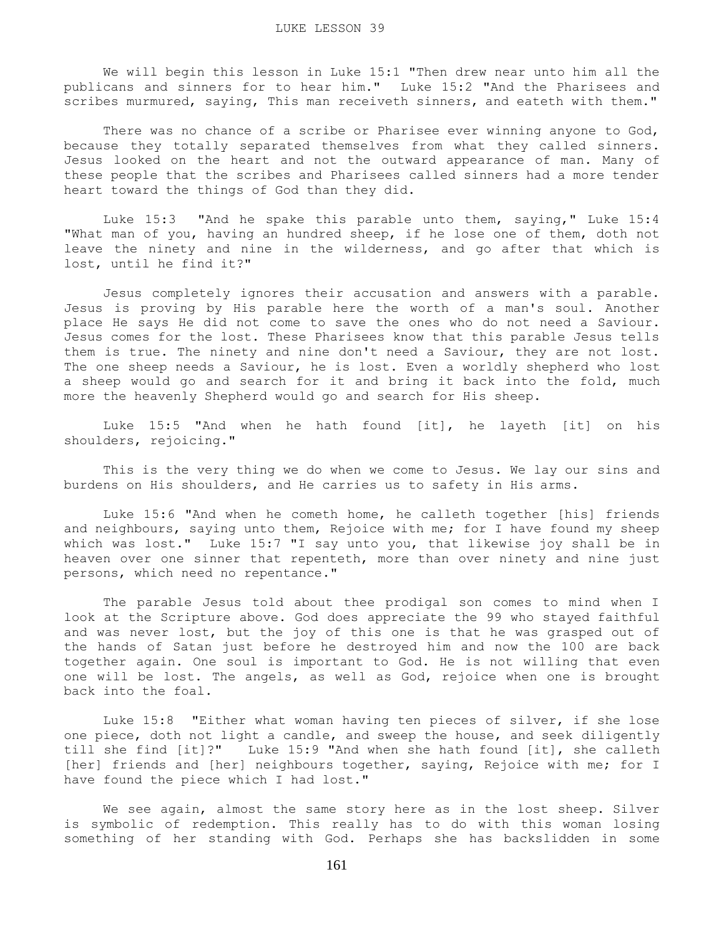We will begin this lesson in Luke 15:1 "Then drew near unto him all the publicans and sinners for to hear him." Luke 15:2 "And the Pharisees and scribes murmured, saying, This man receiveth sinners, and eateth with them."

There was no chance of a scribe or Pharisee ever winning anyone to God, because they totally separated themselves from what they called sinners. Jesus looked on the heart and not the outward appearance of man. Many of these people that the scribes and Pharisees called sinners had a more tender heart toward the things of God than they did.

 Luke 15:3 "And he spake this parable unto them, saying," Luke 15:4 "What man of you, having an hundred sheep, if he lose one of them, doth not leave the ninety and nine in the wilderness, and go after that which is lost, until he find it?"

 Jesus completely ignores their accusation and answers with a parable. Jesus is proving by His parable here the worth of a man's soul. Another place He says He did not come to save the ones who do not need a Saviour. Jesus comes for the lost. These Pharisees know that this parable Jesus tells them is true. The ninety and nine don't need a Saviour, they are not lost. The one sheep needs a Saviour, he is lost. Even a worldly shepherd who lost a sheep would go and search for it and bring it back into the fold, much more the heavenly Shepherd would go and search for His sheep.

 Luke 15:5 "And when he hath found [it], he layeth [it] on his shoulders, rejoicing."

 This is the very thing we do when we come to Jesus. We lay our sins and burdens on His shoulders, and He carries us to safety in His arms.

 Luke 15:6 "And when he cometh home, he calleth together [his] friends and neighbours, saying unto them, Rejoice with me; for I have found my sheep which was lost." Luke 15:7 "I say unto you, that likewise joy shall be in heaven over one sinner that repenteth, more than over ninety and nine just persons, which need no repentance."

 The parable Jesus told about thee prodigal son comes to mind when I look at the Scripture above. God does appreciate the 99 who stayed faithful and was never lost, but the joy of this one is that he was grasped out of the hands of Satan just before he destroyed him and now the 100 are back together again. One soul is important to God. He is not willing that even one will be lost. The angels, as well as God, rejoice when one is brought back into the foal.

 Luke 15:8 "Either what woman having ten pieces of silver, if she lose one piece, doth not light a candle, and sweep the house, and seek diligently till she find [it]?" Luke 15:9 "And when she hath found [it], she calleth [her] friends and [her] neighbours together, saying, Rejoice with me; for I have found the piece which I had lost."

We see again, almost the same story here as in the lost sheep. Silver is symbolic of redemption. This really has to do with this woman losing something of her standing with God. Perhaps she has backslidden in some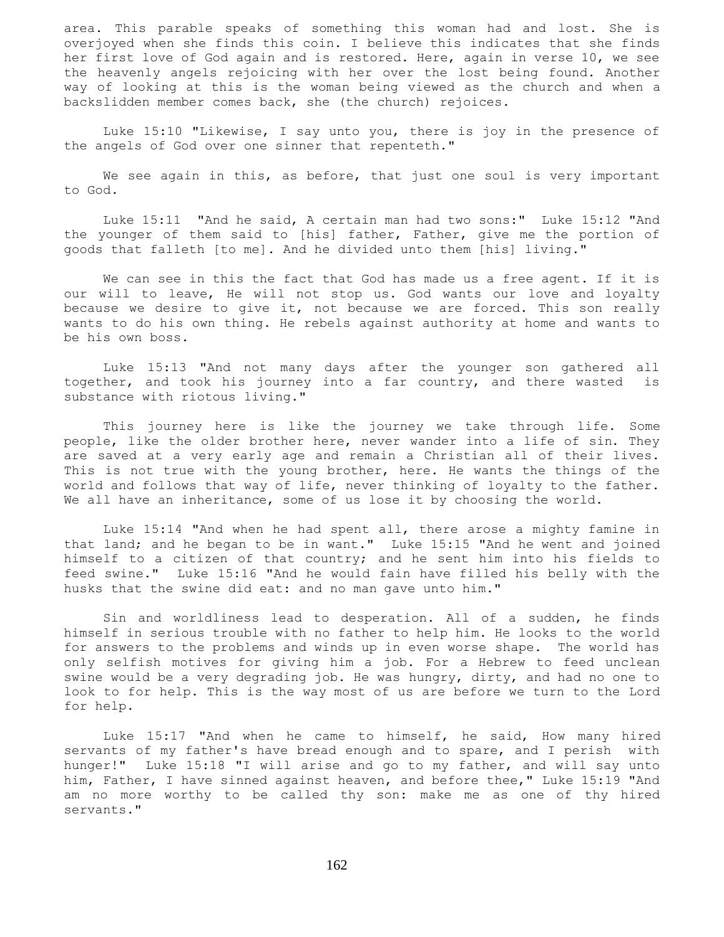area. This parable speaks of something this woman had and lost. She is overjoyed when she finds this coin. I believe this indicates that she finds her first love of God again and is restored. Here, again in verse 10, we see the heavenly angels rejoicing with her over the lost being found. Another way of looking at this is the woman being viewed as the church and when a backslidden member comes back, she (the church) rejoices.

 Luke 15:10 "Likewise, I say unto you, there is joy in the presence of the angels of God over one sinner that repenteth."

We see again in this, as before, that just one soul is very important to God.

 Luke 15:11 "And he said, A certain man had two sons:" Luke 15:12 "And the younger of them said to [his] father, Father, give me the portion of goods that falleth [to me]. And he divided unto them [his] living."

 We can see in this the fact that God has made us a free agent. If it is our will to leave, He will not stop us. God wants our love and loyalty because we desire to give it, not because we are forced. This son really wants to do his own thing. He rebels against authority at home and wants to be his own boss.

 Luke 15:13 "And not many days after the younger son gathered all together, and took his journey into a far country, and there wasted is substance with riotous living."

 This journey here is like the journey we take through life. Some people, like the older brother here, never wander into a life of sin. They are saved at a very early age and remain a Christian all of their lives. This is not true with the young brother, here. He wants the things of the world and follows that way of life, never thinking of loyalty to the father. We all have an inheritance, some of us lose it by choosing the world.

 Luke 15:14 "And when he had spent all, there arose a mighty famine in that land; and he began to be in want." Luke 15:15 "And he went and joined himself to a citizen of that country; and he sent him into his fields to feed swine." Luke 15:16 "And he would fain have filled his belly with the husks that the swine did eat: and no man gave unto him."

 Sin and worldliness lead to desperation. All of a sudden, he finds himself in serious trouble with no father to help him. He looks to the world for answers to the problems and winds up in even worse shape. The world has only selfish motives for giving him a job. For a Hebrew to feed unclean swine would be a very degrading job. He was hungry, dirty, and had no one to look to for help. This is the way most of us are before we turn to the Lord for help.

 Luke 15:17 "And when he came to himself, he said, How many hired servants of my father's have bread enough and to spare, and I perish with hunger!" Luke 15:18 "I will arise and go to my father, and will say unto him, Father, I have sinned against heaven, and before thee," Luke 15:19 "And am no more worthy to be called thy son: make me as one of thy hired servants."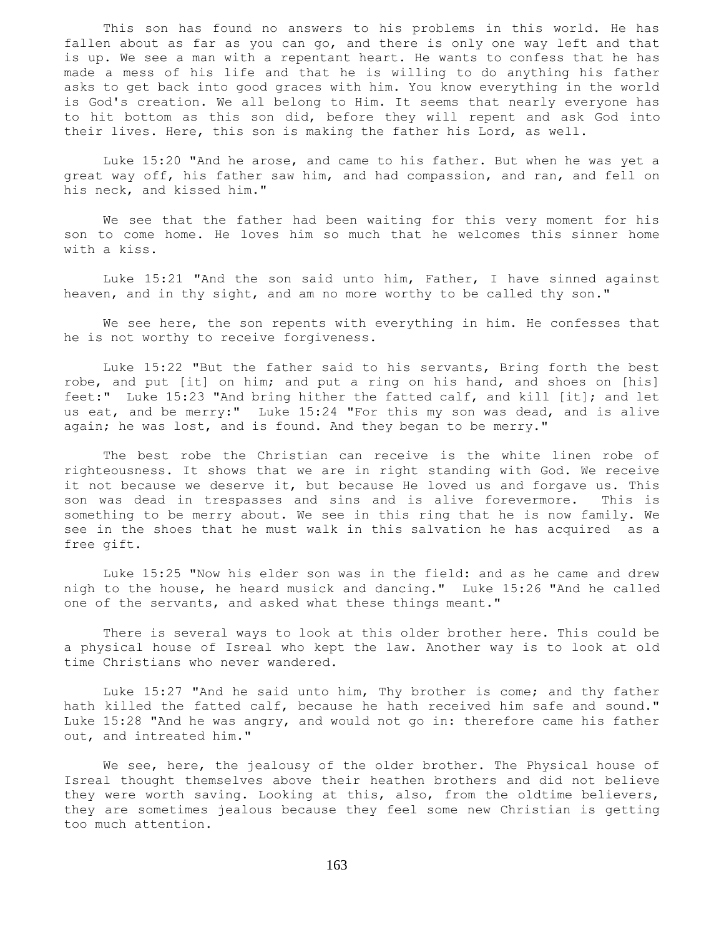This son has found no answers to his problems in this world. He has fallen about as far as you can go, and there is only one way left and that is up. We see a man with a repentant heart. He wants to confess that he has made a mess of his life and that he is willing to do anything his father asks to get back into good graces with him. You know everything in the world is God's creation. We all belong to Him. It seems that nearly everyone has to hit bottom as this son did, before they will repent and ask God into their lives. Here, this son is making the father his Lord, as well.

 Luke 15:20 "And he arose, and came to his father. But when he was yet a great way off, his father saw him, and had compassion, and ran, and fell on his neck, and kissed him."

 We see that the father had been waiting for this very moment for his son to come home. He loves him so much that he welcomes this sinner home with a kiss.

 Luke 15:21 "And the son said unto him, Father, I have sinned against heaven, and in thy sight, and am no more worthy to be called thy son."

 We see here, the son repents with everything in him. He confesses that he is not worthy to receive forgiveness.

 Luke 15:22 "But the father said to his servants, Bring forth the best robe, and put [it] on him; and put a ring on his hand, and shoes on [his] feet:" Luke 15:23 "And bring hither the fatted calf, and kill [it]; and let us eat, and be merry:" Luke 15:24 "For this my son was dead, and is alive again; he was lost, and is found. And they began to be merry."

 The best robe the Christian can receive is the white linen robe of righteousness. It shows that we are in right standing with God. We receive it not because we deserve it, but because He loved us and forgave us. This son was dead in trespasses and sins and is alive forevermore. This is something to be merry about. We see in this ring that he is now family. We see in the shoes that he must walk in this salvation he has acquired as a free gift.

 Luke 15:25 "Now his elder son was in the field: and as he came and drew nigh to the house, he heard musick and dancing." Luke 15:26 "And he called one of the servants, and asked what these things meant."

 There is several ways to look at this older brother here. This could be a physical house of Isreal who kept the law. Another way is to look at old time Christians who never wandered.

 Luke 15:27 "And he said unto him, Thy brother is come; and thy father hath killed the fatted calf, because he hath received him safe and sound." Luke 15:28 "And he was angry, and would not go in: therefore came his father out, and intreated him."

We see, here, the jealousy of the older brother. The Physical house of Isreal thought themselves above their heathen brothers and did not believe they were worth saving. Looking at this, also, from the oldtime believers, they are sometimes jealous because they feel some new Christian is getting too much attention.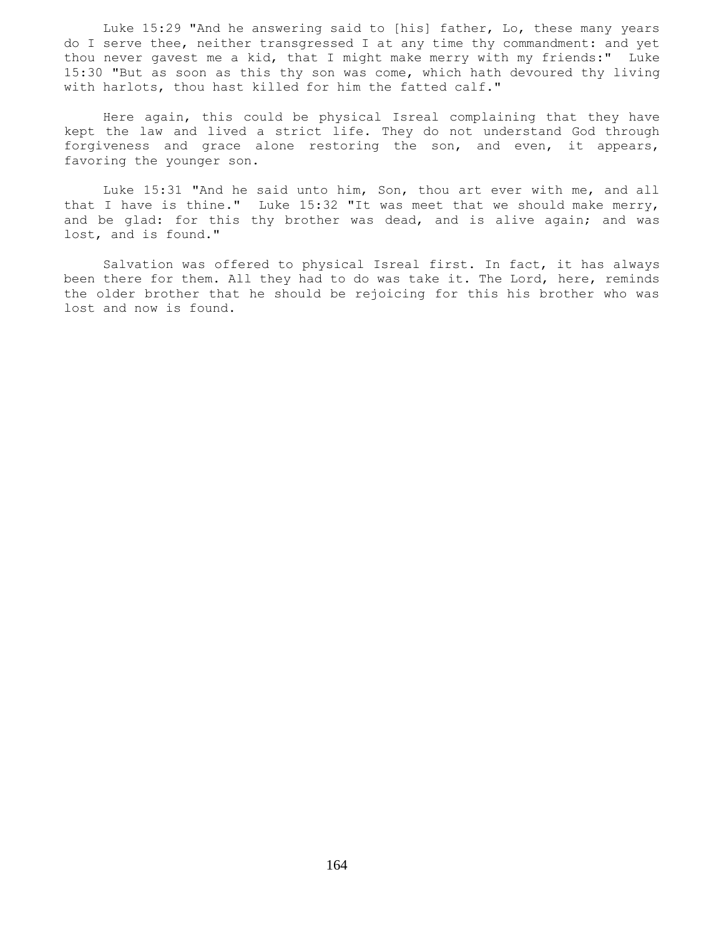Luke 15:29 "And he answering said to [his] father, Lo, these many years do I serve thee, neither transgressed I at any time thy commandment: and yet thou never gavest me a kid, that I might make merry with my friends:" Luke 15:30 "But as soon as this thy son was come, which hath devoured thy living with harlots, thou hast killed for him the fatted calf."

 Here again, this could be physical Isreal complaining that they have kept the law and lived a strict life. They do not understand God through forgiveness and grace alone restoring the son, and even, it appears, favoring the younger son.

 Luke 15:31 "And he said unto him, Son, thou art ever with me, and all that I have is thine." Luke 15:32 "It was meet that we should make merry, and be glad: for this thy brother was dead, and is alive again; and was lost, and is found."

 Salvation was offered to physical Isreal first. In fact, it has always been there for them. All they had to do was take it. The Lord, here, reminds the older brother that he should be rejoicing for this his brother who was lost and now is found.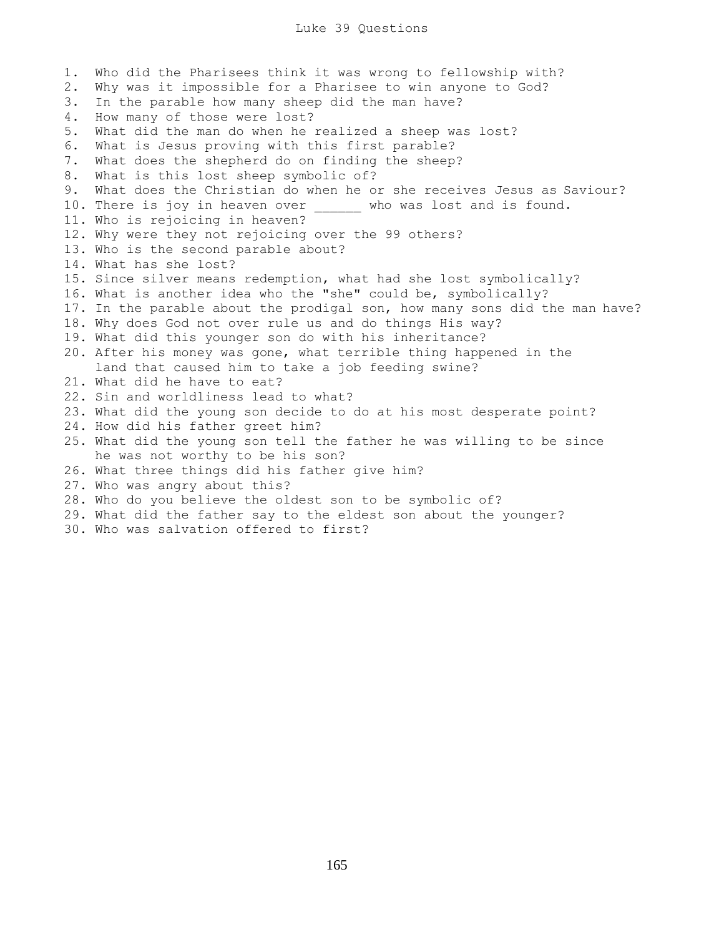1. Who did the Pharisees think it was wrong to fellowship with? 2. Why was it impossible for a Pharisee to win anyone to God? 3. In the parable how many sheep did the man have? 4. How many of those were lost? 5. What did the man do when he realized a sheep was lost? 6. What is Jesus proving with this first parable? 7. What does the shepherd do on finding the sheep? 8. What is this lost sheep symbolic of? 9. What does the Christian do when he or she receives Jesus as Saviour? 10. There is joy in heaven over \_\_\_\_\_\_ who was lost and is found. 11. Who is rejoicing in heaven? 12. Why were they not rejoicing over the 99 others? 13. Who is the second parable about? 14. What has she lost? 15. Since silver means redemption, what had she lost symbolically? 16. What is another idea who the "she" could be, symbolically? 17. In the parable about the prodigal son, how many sons did the man have? 18. Why does God not over rule us and do things His way? 19. What did this younger son do with his inheritance? 20. After his money was gone, what terrible thing happened in the land that caused him to take a job feeding swine? 21. What did he have to eat? 22. Sin and worldliness lead to what? 23. What did the young son decide to do at his most desperate point? 24. How did his father greet him? 25. What did the young son tell the father he was willing to be since he was not worthy to be his son? 26. What three things did his father give him? 27. Who was angry about this? 28. Who do you believe the oldest son to be symbolic of? 29. What did the father say to the eldest son about the younger? 30. Who was salvation offered to first?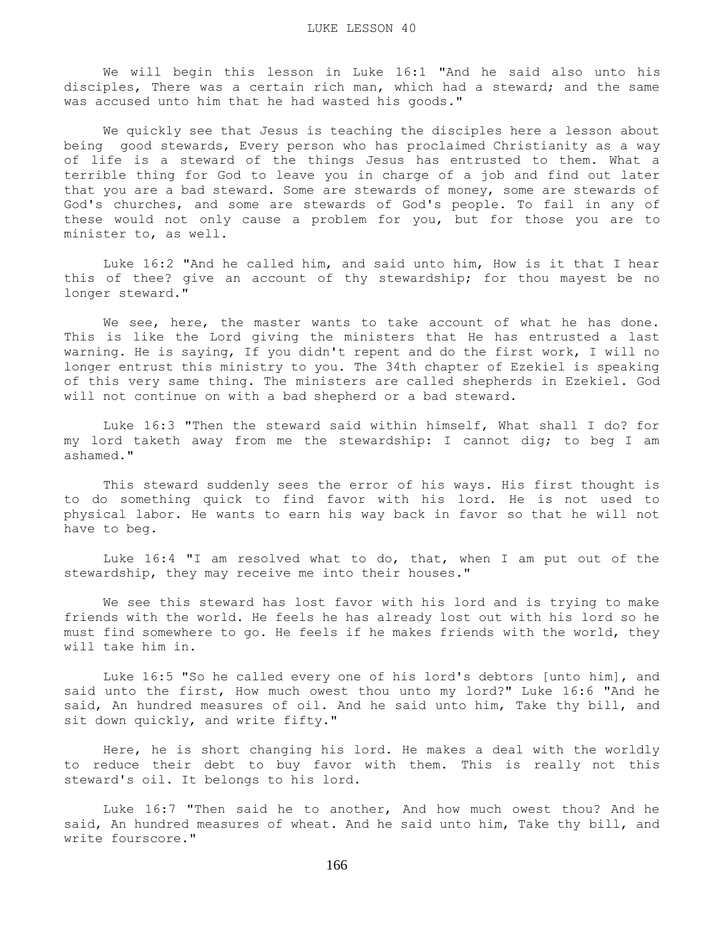We will begin this lesson in Luke 16:1 "And he said also unto his disciples, There was a certain rich man, which had a steward; and the same was accused unto him that he had wasted his goods."

 We quickly see that Jesus is teaching the disciples here a lesson about being good stewards, Every person who has proclaimed Christianity as a way of life is a steward of the things Jesus has entrusted to them. What a terrible thing for God to leave you in charge of a job and find out later that you are a bad steward. Some are stewards of money, some are stewards of God's churches, and some are stewards of God's people. To fail in any of these would not only cause a problem for you, but for those you are to minister to, as well.

 Luke 16:2 "And he called him, and said unto him, How is it that I hear this of thee? give an account of thy stewardship; for thou mayest be no longer steward."

 We see, here, the master wants to take account of what he has done. This is like the Lord giving the ministers that He has entrusted a last warning. He is saying, If you didn't repent and do the first work, I will no longer entrust this ministry to you. The 34th chapter of Ezekiel is speaking of this very same thing. The ministers are called shepherds in Ezekiel. God will not continue on with a bad shepherd or a bad steward.

 Luke 16:3 "Then the steward said within himself, What shall I do? for my lord taketh away from me the stewardship: I cannot dig; to beg I am ashamed."

 This steward suddenly sees the error of his ways. His first thought is to do something quick to find favor with his lord. He is not used to physical labor. He wants to earn his way back in favor so that he will not have to beg.

 Luke 16:4 "I am resolved what to do, that, when I am put out of the stewardship, they may receive me into their houses."

 We see this steward has lost favor with his lord and is trying to make friends with the world. He feels he has already lost out with his lord so he must find somewhere to go. He feels if he makes friends with the world, they will take him in.

 Luke 16:5 "So he called every one of his lord's debtors [unto him], and said unto the first, How much owest thou unto my lord?" Luke 16:6 "And he said, An hundred measures of oil. And he said unto him, Take thy bill, and sit down quickly, and write fifty."

 Here, he is short changing his lord. He makes a deal with the worldly to reduce their debt to buy favor with them. This is really not this steward's oil. It belongs to his lord.

 Luke 16:7 "Then said he to another, And how much owest thou? And he said, An hundred measures of wheat. And he said unto him, Take thy bill, and write fourscore."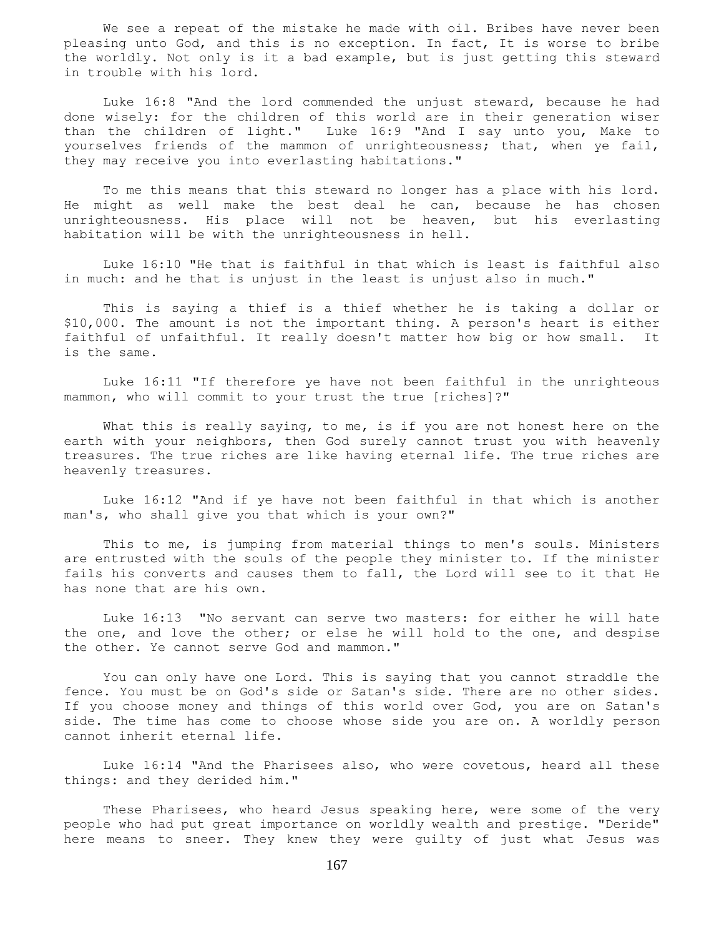We see a repeat of the mistake he made with oil. Bribes have never been pleasing unto God, and this is no exception. In fact, It is worse to bribe the worldly. Not only is it a bad example, but is just getting this steward in trouble with his lord.

 Luke 16:8 "And the lord commended the unjust steward, because he had done wisely: for the children of this world are in their generation wiser than the children of light." Luke 16:9 "And I say unto you, Make to yourselves friends of the mammon of unrighteousness; that, when ye fail, they may receive you into everlasting habitations."

 To me this means that this steward no longer has a place with his lord. He might as well make the best deal he can, because he has chosen unrighteousness. His place will not be heaven, but his everlasting habitation will be with the unrighteousness in hell.

 Luke 16:10 "He that is faithful in that which is least is faithful also in much: and he that is unjust in the least is unjust also in much."

 This is saying a thief is a thief whether he is taking a dollar or \$10,000. The amount is not the important thing. A person's heart is either faithful of unfaithful. It really doesn't matter how big or how small. It is the same.

 Luke 16:11 "If therefore ye have not been faithful in the unrighteous mammon, who will commit to your trust the true [riches]?"

What this is really saying, to me, is if you are not honest here on the earth with your neighbors, then God surely cannot trust you with heavenly treasures. The true riches are like having eternal life. The true riches are heavenly treasures.

 Luke 16:12 "And if ye have not been faithful in that which is another man's, who shall give you that which is your own?"

 This to me, is jumping from material things to men's souls. Ministers are entrusted with the souls of the people they minister to. If the minister fails his converts and causes them to fall, the Lord will see to it that He has none that are his own.

 Luke 16:13 "No servant can serve two masters: for either he will hate the one, and love the other; or else he will hold to the one, and despise the other. Ye cannot serve God and mammon."

 You can only have one Lord. This is saying that you cannot straddle the fence. You must be on God's side or Satan's side. There are no other sides. If you choose money and things of this world over God, you are on Satan's side. The time has come to choose whose side you are on. A worldly person cannot inherit eternal life.

 Luke 16:14 "And the Pharisees also, who were covetous, heard all these things: and they derided him."

These Pharisees, who heard Jesus speaking here, were some of the very people who had put great importance on worldly wealth and prestige. "Deride" here means to sneer. They knew they were guilty of just what Jesus was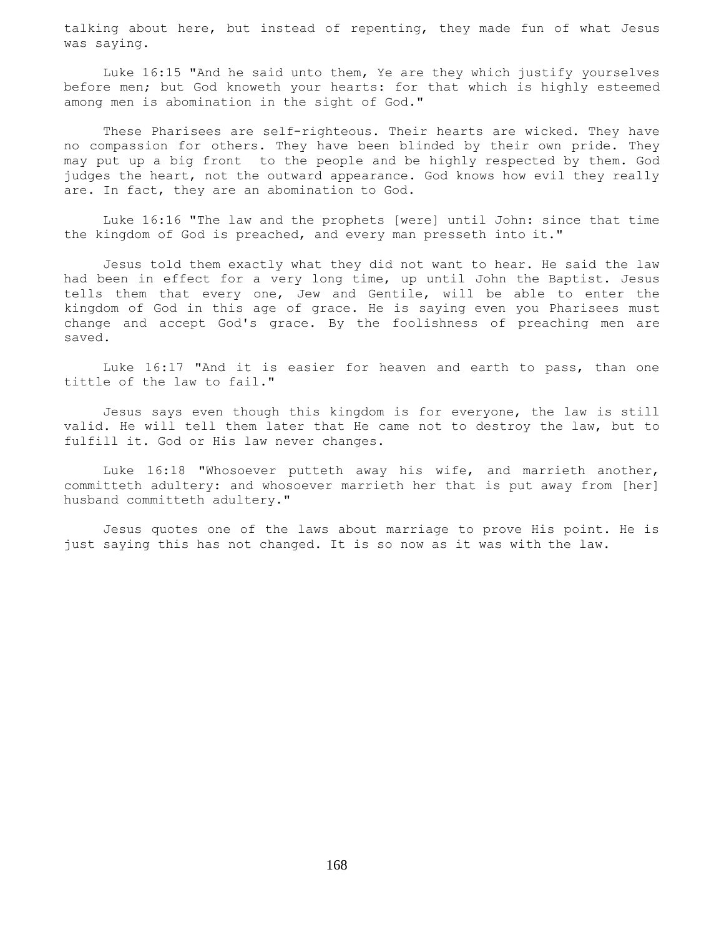talking about here, but instead of repenting, they made fun of what Jesus was saying.

 Luke 16:15 "And he said unto them, Ye are they which justify yourselves before men; but God knoweth your hearts: for that which is highly esteemed among men is abomination in the sight of God."

 These Pharisees are self-righteous. Their hearts are wicked. They have no compassion for others. They have been blinded by their own pride. They may put up a big front to the people and be highly respected by them. God judges the heart, not the outward appearance. God knows how evil they really are. In fact, they are an abomination to God.

 Luke 16:16 "The law and the prophets [were] until John: since that time the kingdom of God is preached, and every man presseth into it."

 Jesus told them exactly what they did not want to hear. He said the law had been in effect for a very long time, up until John the Baptist. Jesus tells them that every one, Jew and Gentile, will be able to enter the kingdom of God in this age of grace. He is saying even you Pharisees must change and accept God's grace. By the foolishness of preaching men are saved.

 Luke 16:17 "And it is easier for heaven and earth to pass, than one tittle of the law to fail."

 Jesus says even though this kingdom is for everyone, the law is still valid. He will tell them later that He came not to destroy the law, but to fulfill it. God or His law never changes.

 Luke 16:18 "Whosoever putteth away his wife, and marrieth another, committeth adultery: and whosoever marrieth her that is put away from [her] husband committeth adultery."

 Jesus quotes one of the laws about marriage to prove His point. He is just saying this has not changed. It is so now as it was with the law.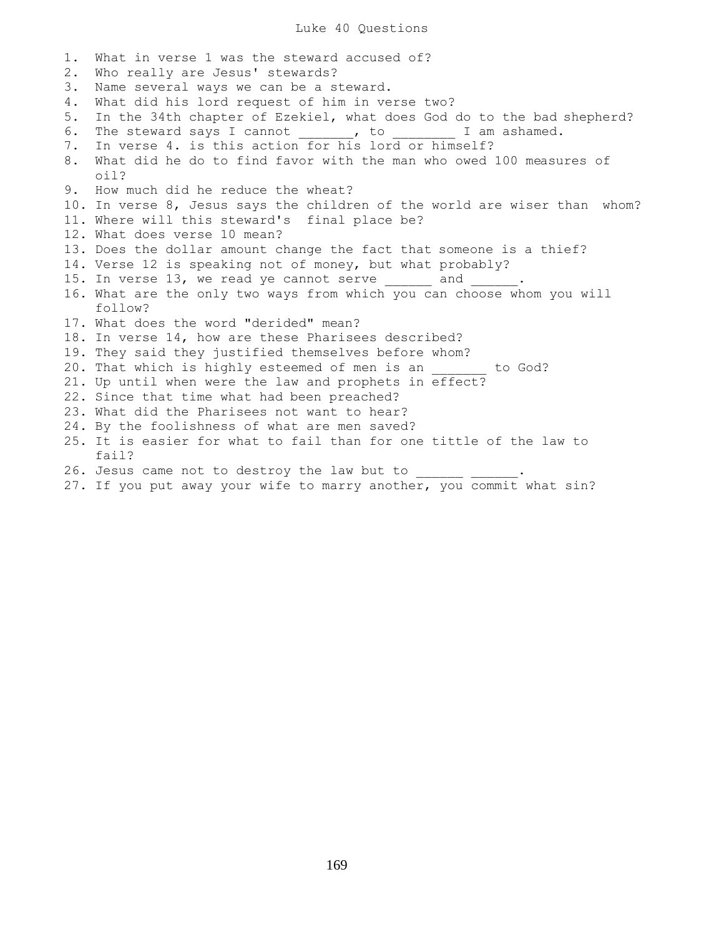1. What in verse 1 was the steward accused of? 2. Who really are Jesus' stewards? 3. Name several ways we can be a steward. 4. What did his lord request of him in verse two? 5. In the 34th chapter of Ezekiel, what does God do to the bad shepherd? 6. The steward says I cannot \_\_\_\_\_\_, to \_\_\_\_\_\_\_ I am ashamed. 7. In verse 4. is this action for his lord or himself? 8. What did he do to find favor with the man who owed 100 measures of oil? 9. How much did he reduce the wheat? 10. In verse 8, Jesus says the children of the world are wiser than whom? 11. Where will this steward's final place be? 12. What does verse 10 mean? 13. Does the dollar amount change the fact that someone is a thief? 14. Verse 12 is speaking not of money, but what probably? 15. In verse 13, we read ye cannot serve \_\_\_\_\_\_\_ and 16. What are the only two ways from which you can choose whom you will follow? 17. What does the word "derided" mean? 18. In verse 14, how are these Pharisees described? 19. They said they justified themselves before whom? 20. That which is highly esteemed of men is an \_\_\_\_\_\_\_ to God? 21. Up until when were the law and prophets in effect? 22. Since that time what had been preached? 23. What did the Pharisees not want to hear? 24. By the foolishness of what are men saved? 25. It is easier for what to fail than for one tittle of the law to fail? 26. Jesus came not to destroy the law but to 27. If you put away your wife to marry another, you commit what sin?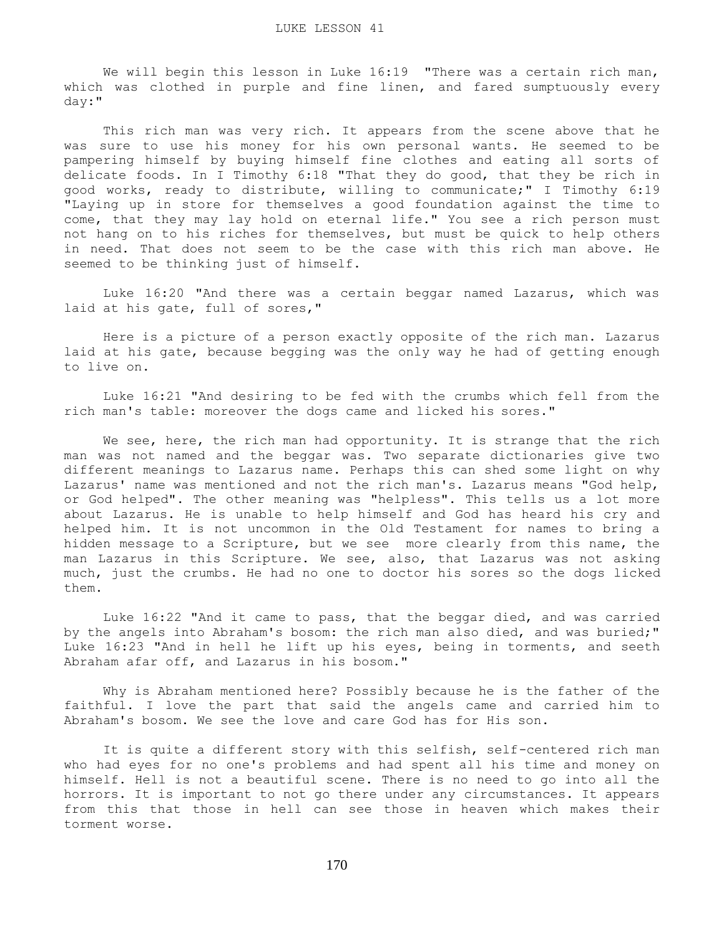We will begin this lesson in Luke 16:19 "There was a certain rich man, which was clothed in purple and fine linen, and fared sumptuously every day:"

 This rich man was very rich. It appears from the scene above that he was sure to use his money for his own personal wants. He seemed to be pampering himself by buying himself fine clothes and eating all sorts of delicate foods. In I Timothy 6:18 "That they do good, that they be rich in good works, ready to distribute, willing to communicate;" I Timothy 6:19 "Laying up in store for themselves a good foundation against the time to come, that they may lay hold on eternal life." You see a rich person must not hang on to his riches for themselves, but must be quick to help others in need. That does not seem to be the case with this rich man above. He seemed to be thinking just of himself.

 Luke 16:20 "And there was a certain beggar named Lazarus, which was laid at his gate, full of sores,"

 Here is a picture of a person exactly opposite of the rich man. Lazarus laid at his gate, because begging was the only way he had of getting enough to live on.

 Luke 16:21 "And desiring to be fed with the crumbs which fell from the rich man's table: moreover the dogs came and licked his sores."

We see, here, the rich man had opportunity. It is strange that the rich man was not named and the beggar was. Two separate dictionaries give two different meanings to Lazarus name. Perhaps this can shed some light on why Lazarus' name was mentioned and not the rich man's. Lazarus means "God help, or God helped". The other meaning was "helpless". This tells us a lot more about Lazarus. He is unable to help himself and God has heard his cry and helped him. It is not uncommon in the Old Testament for names to bring a hidden message to a Scripture, but we see more clearly from this name, the man Lazarus in this Scripture. We see, also, that Lazarus was not asking much, just the crumbs. He had no one to doctor his sores so the dogs licked them.

 Luke 16:22 "And it came to pass, that the beggar died, and was carried by the angels into Abraham's bosom: the rich man also died, and was buried;" Luke 16:23 "And in hell he lift up his eyes, being in torments, and seeth Abraham afar off, and Lazarus in his bosom."

 Why is Abraham mentioned here? Possibly because he is the father of the faithful. I love the part that said the angels came and carried him to Abraham's bosom. We see the love and care God has for His son.

 It is quite a different story with this selfish, self-centered rich man who had eyes for no one's problems and had spent all his time and money on himself. Hell is not a beautiful scene. There is no need to go into all the horrors. It is important to not go there under any circumstances. It appears from this that those in hell can see those in heaven which makes their torment worse.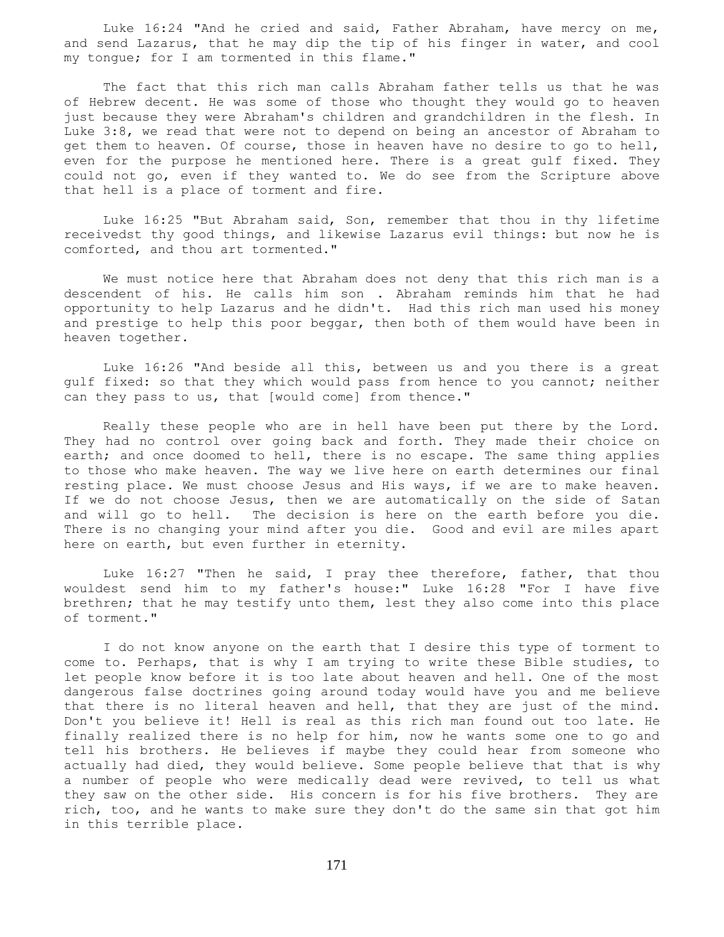Luke 16:24 "And he cried and said, Father Abraham, have mercy on me, and send Lazarus, that he may dip the tip of his finger in water, and cool my tongue; for I am tormented in this flame."

 The fact that this rich man calls Abraham father tells us that he was of Hebrew decent. He was some of those who thought they would go to heaven just because they were Abraham's children and grandchildren in the flesh. In Luke 3:8, we read that were not to depend on being an ancestor of Abraham to get them to heaven. Of course, those in heaven have no desire to go to hell, even for the purpose he mentioned here. There is a great gulf fixed. They could not go, even if they wanted to. We do see from the Scripture above that hell is a place of torment and fire.

 Luke 16:25 "But Abraham said, Son, remember that thou in thy lifetime receivedst thy good things, and likewise Lazarus evil things: but now he is comforted, and thou art tormented."

 We must notice here that Abraham does not deny that this rich man is a descendent of his. He calls him son . Abraham reminds him that he had opportunity to help Lazarus and he didn't. Had this rich man used his money and prestige to help this poor beggar, then both of them would have been in heaven together.

 Luke 16:26 "And beside all this, between us and you there is a great gulf fixed: so that they which would pass from hence to you cannot; neither can they pass to us, that [would come] from thence."

 Really these people who are in hell have been put there by the Lord. They had no control over going back and forth. They made their choice on earth; and once doomed to hell, there is no escape. The same thing applies to those who make heaven. The way we live here on earth determines our final resting place. We must choose Jesus and His ways, if we are to make heaven. If we do not choose Jesus, then we are automatically on the side of Satan and will go to hell. The decision is here on the earth before you die. There is no changing your mind after you die. Good and evil are miles apart here on earth, but even further in eternity.

 Luke 16:27 "Then he said, I pray thee therefore, father, that thou wouldest send him to my father's house:" Luke 16:28 "For I have five brethren; that he may testify unto them, lest they also come into this place of torment."

 I do not know anyone on the earth that I desire this type of torment to come to. Perhaps, that is why I am trying to write these Bible studies, to let people know before it is too late about heaven and hell. One of the most dangerous false doctrines going around today would have you and me believe that there is no literal heaven and hell, that they are just of the mind. Don't you believe it! Hell is real as this rich man found out too late. He finally realized there is no help for him, now he wants some one to go and tell his brothers. He believes if maybe they could hear from someone who actually had died, they would believe. Some people believe that that is why a number of people who were medically dead were revived, to tell us what they saw on the other side. His concern is for his five brothers. They are rich, too, and he wants to make sure they don't do the same sin that got him in this terrible place.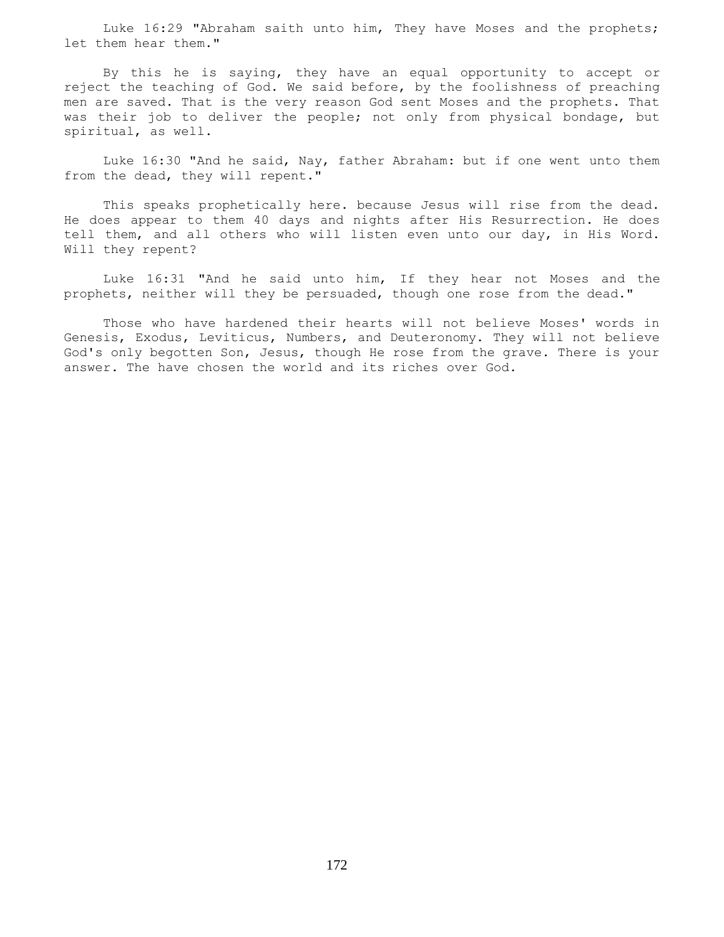Luke 16:29 "Abraham saith unto him, They have Moses and the prophets; let them hear them."

 By this he is saying, they have an equal opportunity to accept or reject the teaching of God. We said before, by the foolishness of preaching men are saved. That is the very reason God sent Moses and the prophets. That was their job to deliver the people; not only from physical bondage, but spiritual, as well.

 Luke 16:30 "And he said, Nay, father Abraham: but if one went unto them from the dead, they will repent."

 This speaks prophetically here. because Jesus will rise from the dead. He does appear to them 40 days and nights after His Resurrection. He does tell them, and all others who will listen even unto our day, in His Word. Will they repent?

 Luke 16:31 "And he said unto him, If they hear not Moses and the prophets, neither will they be persuaded, though one rose from the dead."

 Those who have hardened their hearts will not believe Moses' words in Genesis, Exodus, Leviticus, Numbers, and Deuteronomy. They will not believe God's only begotten Son, Jesus, though He rose from the grave. There is your answer. The have chosen the world and its riches over God.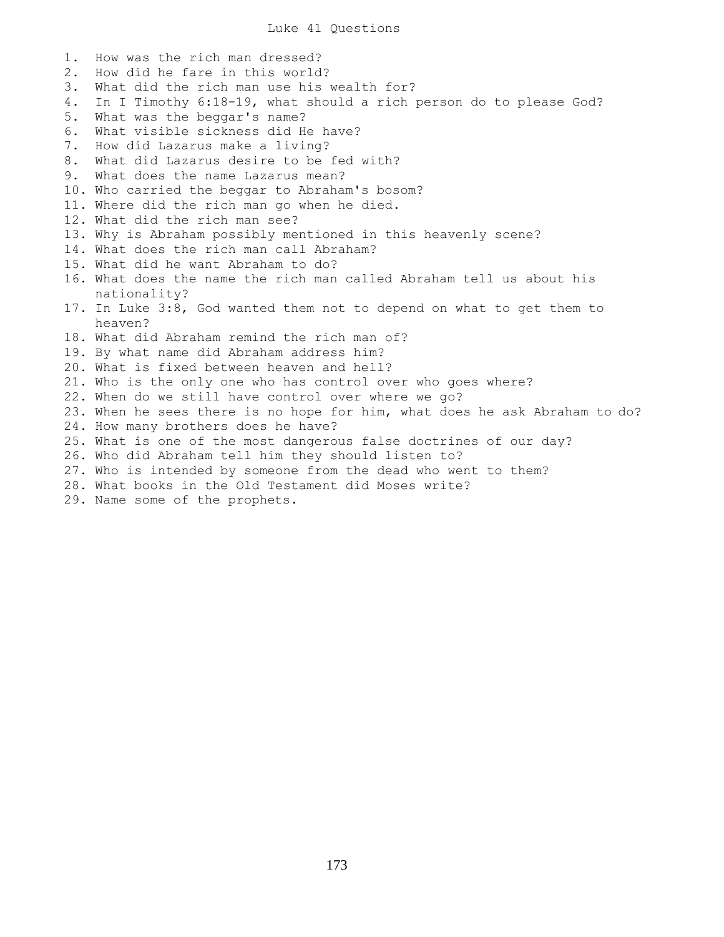Luke 41 Questions

1. How was the rich man dressed? 2. How did he fare in this world? 3. What did the rich man use his wealth for? 4. In I Timothy 6:18-19, what should a rich person do to please God? 5. What was the beggar's name? 6. What visible sickness did He have? 7. How did Lazarus make a living? 8. What did Lazarus desire to be fed with? 9. What does the name Lazarus mean? 10. Who carried the beggar to Abraham's bosom? 11. Where did the rich man go when he died. 12. What did the rich man see? 13. Why is Abraham possibly mentioned in this heavenly scene? 14. What does the rich man call Abraham? 15. What did he want Abraham to do? 16. What does the name the rich man called Abraham tell us about his nationality? 17. In Luke 3:8, God wanted them not to depend on what to get them to heaven? 18. What did Abraham remind the rich man of? 19. By what name did Abraham address him? 20. What is fixed between heaven and hell? 21. Who is the only one who has control over who goes where? 22. When do we still have control over where we go? 23. When he sees there is no hope for him, what does he ask Abraham to do? 24. How many brothers does he have? 25. What is one of the most dangerous false doctrines of our day? 26. Who did Abraham tell him they should listen to? 27. Who is intended by someone from the dead who went to them? 28. What books in the Old Testament did Moses write?

29. Name some of the prophets.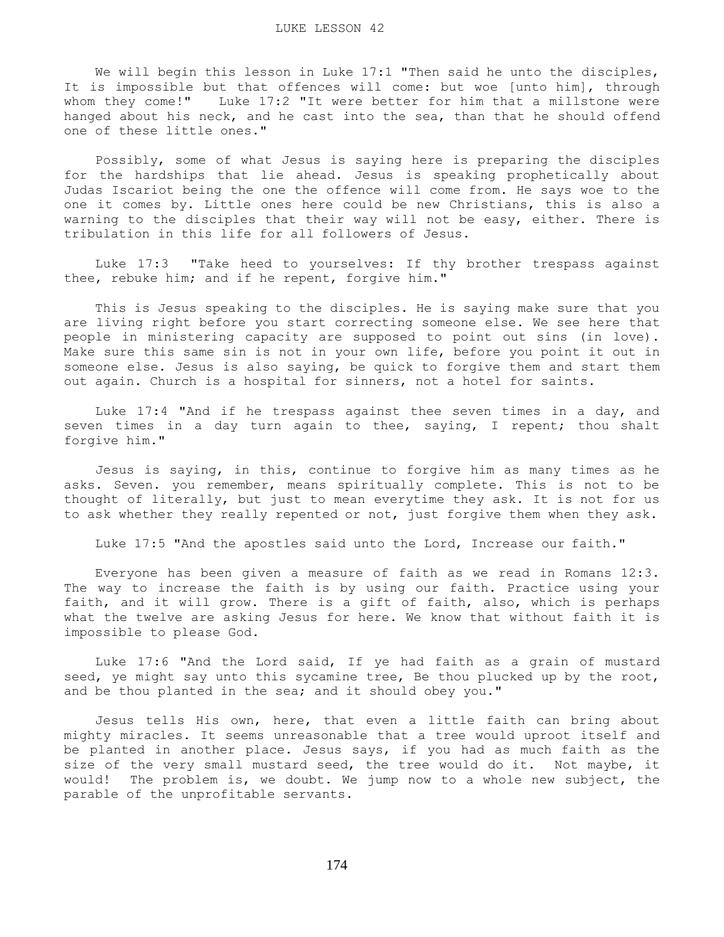We will begin this lesson in Luke 17:1 "Then said he unto the disciples, It is impossible but that offences will come: but woe [unto him], through whom they come!" Luke 17:2 "It were better for him that a millstone were hanged about his neck, and he cast into the sea, than that he should offend one of these little ones."

 Possibly, some of what Jesus is saying here is preparing the disciples for the hardships that lie ahead. Jesus is speaking prophetically about Judas Iscariot being the one the offence will come from. He says woe to the one it comes by. Little ones here could be new Christians, this is also a warning to the disciples that their way will not be easy, either. There is tribulation in this life for all followers of Jesus.

 Luke 17:3 "Take heed to yourselves: If thy brother trespass against thee, rebuke him; and if he repent, forgive him."

 This is Jesus speaking to the disciples. He is saying make sure that you are living right before you start correcting someone else. We see here that people in ministering capacity are supposed to point out sins (in love). Make sure this same sin is not in your own life, before you point it out in someone else. Jesus is also saying, be quick to forgive them and start them out again. Church is a hospital for sinners, not a hotel for saints.

 Luke 17:4 "And if he trespass against thee seven times in a day, and seven times in a day turn again to thee, saying, I repent; thou shalt forgive him."

 Jesus is saying, in this, continue to forgive him as many times as he asks. Seven. you remember, means spiritually complete. This is not to be thought of literally, but just to mean everytime they ask. It is not for us to ask whether they really repented or not, just forgive them when they ask.

Luke 17:5 "And the apostles said unto the Lord, Increase our faith."

 Everyone has been given a measure of faith as we read in Romans 12:3. The way to increase the faith is by using our faith. Practice using your faith, and it will grow. There is a gift of faith, also, which is perhaps what the twelve are asking Jesus for here. We know that without faith it is impossible to please God.

 Luke 17:6 "And the Lord said, If ye had faith as a grain of mustard seed, ye might say unto this sycamine tree, Be thou plucked up by the root, and be thou planted in the sea; and it should obey you."

 Jesus tells His own, here, that even a little faith can bring about mighty miracles. It seems unreasonable that a tree would uproot itself and be planted in another place. Jesus says, if you had as much faith as the size of the very small mustard seed, the tree would do it. Not maybe, it would! The problem is, we doubt. We jump now to a whole new subject, the parable of the unprofitable servants.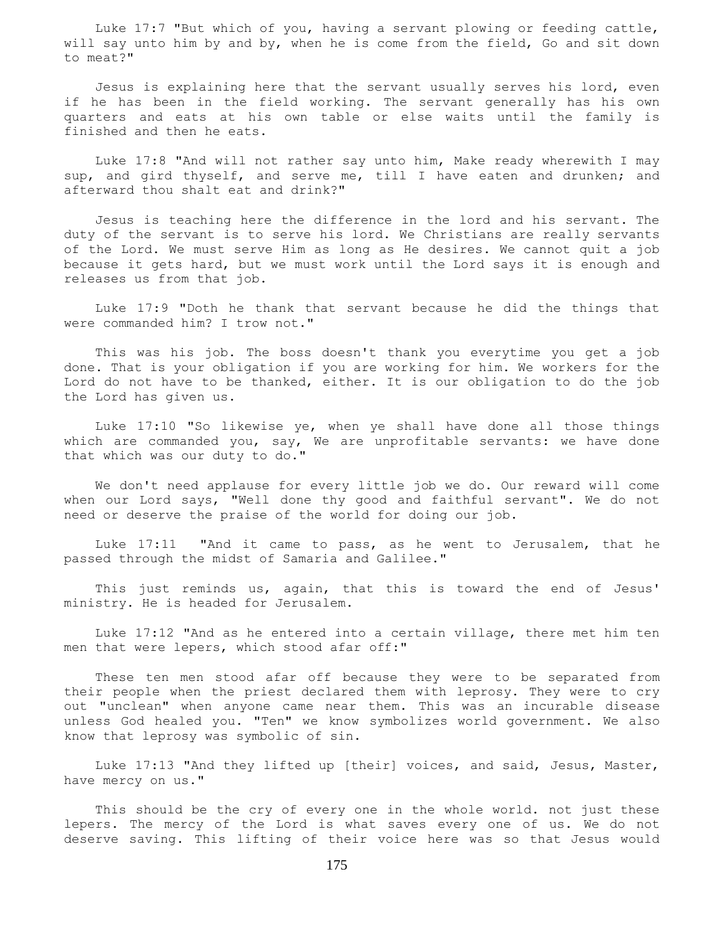Luke 17:7 "But which of you, having a servant plowing or feeding cattle, will say unto him by and by, when he is come from the field, Go and sit down to meat?"

 Jesus is explaining here that the servant usually serves his lord, even if he has been in the field working. The servant generally has his own quarters and eats at his own table or else waits until the family is finished and then he eats.

 Luke 17:8 "And will not rather say unto him, Make ready wherewith I may sup, and gird thyself, and serve me, till I have eaten and drunken; and afterward thou shalt eat and drink?"

 Jesus is teaching here the difference in the lord and his servant. The duty of the servant is to serve his lord. We Christians are really servants of the Lord. We must serve Him as long as He desires. We cannot quit a job because it gets hard, but we must work until the Lord says it is enough and releases us from that job.

 Luke 17:9 "Doth he thank that servant because he did the things that were commanded him? I trow not."

 This was his job. The boss doesn't thank you everytime you get a job done. That is your obligation if you are working for him. We workers for the Lord do not have to be thanked, either. It is our obligation to do the job the Lord has given us.

 Luke 17:10 "So likewise ye, when ye shall have done all those things which are commanded you, say, We are unprofitable servants: we have done that which was our duty to do."

 We don't need applause for every little job we do. Our reward will come when our Lord says, "Well done thy good and faithful servant". We do not need or deserve the praise of the world for doing our job.

 Luke 17:11 "And it came to pass, as he went to Jerusalem, that he passed through the midst of Samaria and Galilee."

 This just reminds us, again, that this is toward the end of Jesus' ministry. He is headed for Jerusalem.

 Luke 17:12 "And as he entered into a certain village, there met him ten men that were lepers, which stood afar off:"

 These ten men stood afar off because they were to be separated from their people when the priest declared them with leprosy. They were to cry out "unclean" when anyone came near them. This was an incurable disease unless God healed you. "Ten" we know symbolizes world government. We also know that leprosy was symbolic of sin.

 Luke 17:13 "And they lifted up [their] voices, and said, Jesus, Master, have mercy on us."

 This should be the cry of every one in the whole world. not just these lepers. The mercy of the Lord is what saves every one of us. We do not deserve saving. This lifting of their voice here was so that Jesus would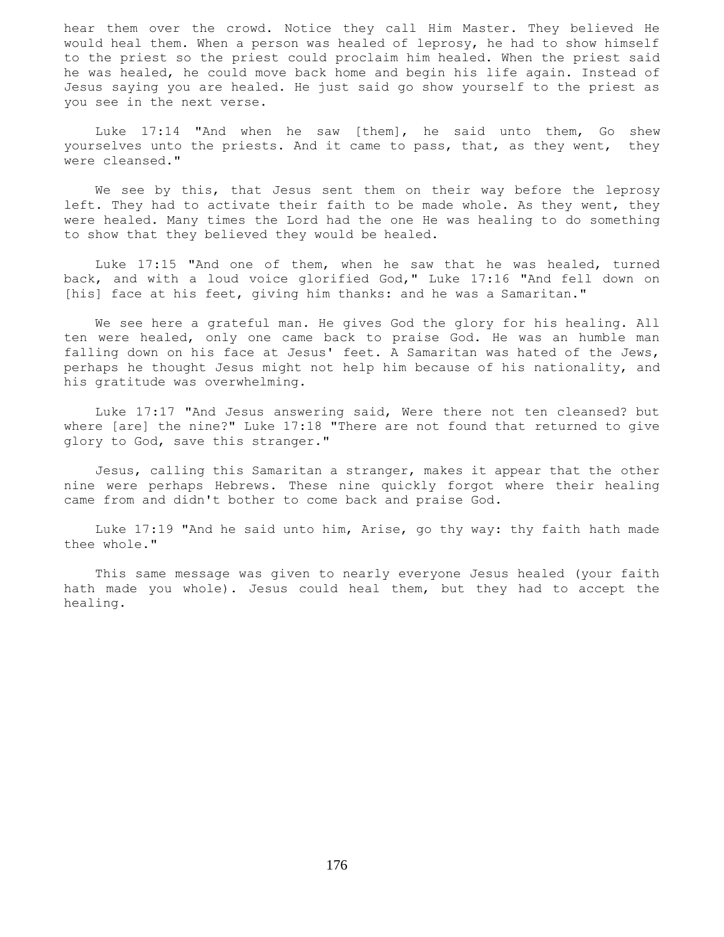hear them over the crowd. Notice they call Him Master. They believed He would heal them. When a person was healed of leprosy, he had to show himself to the priest so the priest could proclaim him healed. When the priest said he was healed, he could move back home and begin his life again. Instead of Jesus saying you are healed. He just said go show yourself to the priest as you see in the next verse.

 Luke 17:14 "And when he saw [them], he said unto them, Go shew yourselves unto the priests. And it came to pass, that, as they went, they were cleansed."

We see by this, that Jesus sent them on their way before the leprosy left. They had to activate their faith to be made whole. As they went, they were healed. Many times the Lord had the one He was healing to do something to show that they believed they would be healed.

 Luke 17:15 "And one of them, when he saw that he was healed, turned back, and with a loud voice glorified God," Luke 17:16 "And fell down on [his] face at his feet, giving him thanks: and he was a Samaritan."

 We see here a grateful man. He gives God the glory for his healing. All ten were healed, only one came back to praise God. He was an humble man falling down on his face at Jesus' feet. A Samaritan was hated of the Jews, perhaps he thought Jesus might not help him because of his nationality, and his gratitude was overwhelming.

 Luke 17:17 "And Jesus answering said, Were there not ten cleansed? but where [are] the nine?" Luke 17:18 "There are not found that returned to give glory to God, save this stranger."

 Jesus, calling this Samaritan a stranger, makes it appear that the other nine were perhaps Hebrews. These nine quickly forgot where their healing came from and didn't bother to come back and praise God.

 Luke 17:19 "And he said unto him, Arise, go thy way: thy faith hath made thee whole."

 This same message was given to nearly everyone Jesus healed (your faith hath made you whole). Jesus could heal them, but they had to accept the healing.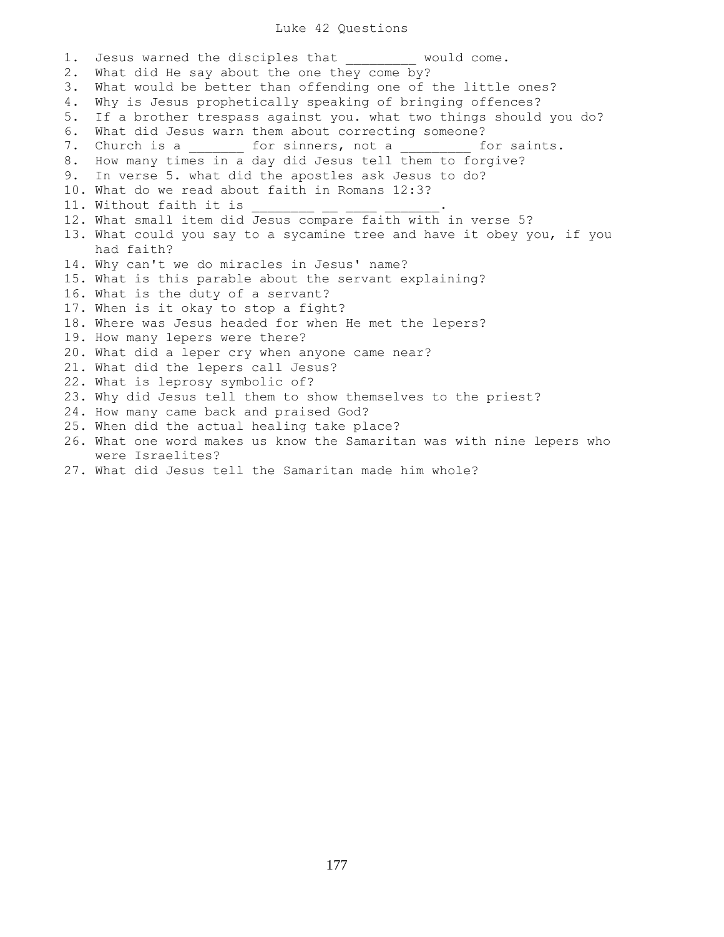## Luke 42 Questions

1. Jesus warned the disciples that  $\qquad \qquad \text{would come.}$ 2. What did He say about the one they come by? 3. What would be better than offending one of the little ones? 4. Why is Jesus prophetically speaking of bringing offences? 5. If a brother trespass against you. what two things should you do? 6. What did Jesus warn them about correcting someone? 7. Church is a \_\_\_\_\_\_\_\_ for sinners, not a \_\_\_\_\_\_\_\_ for saints. 8. How many times in a day did Jesus tell them to forgive? 9. In verse 5. what did the apostles ask Jesus to do? 10. What do we read about faith in Romans 12:3? 11. Without faith it is 12. What small item did Jesus compare faith with in verse 5? 13. What could you say to a sycamine tree and have it obey you, if you had faith? 14. Why can't we do miracles in Jesus' name? 15. What is this parable about the servant explaining? 16. What is the duty of a servant? 17. When is it okay to stop a fight? 18. Where was Jesus headed for when He met the lepers? 19. How many lepers were there? 20. What did a leper cry when anyone came near? 21. What did the lepers call Jesus? 22. What is leprosy symbolic of? 23. Why did Jesus tell them to show themselves to the priest? 24. How many came back and praised God? 25. When did the actual healing take place? 26. What one word makes us know the Samaritan was with nine lepers who were Israelites? 27. What did Jesus tell the Samaritan made him whole?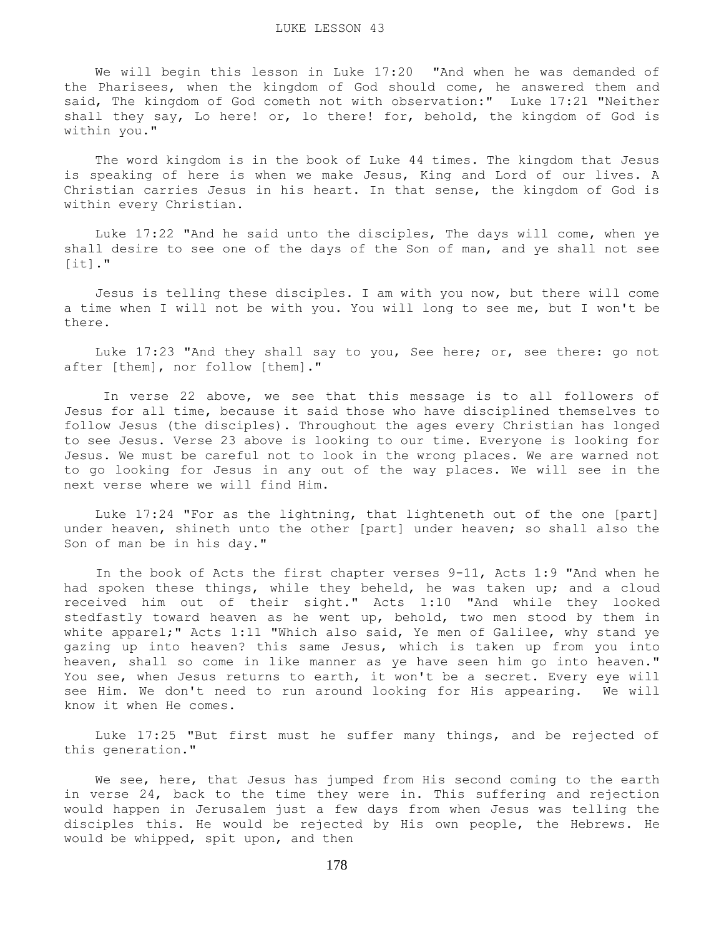We will begin this lesson in Luke 17:20 "And when he was demanded of the Pharisees, when the kingdom of God should come, he answered them and said, The kingdom of God cometh not with observation:" Luke 17:21 "Neither shall they say, Lo here! or, lo there! for, behold, the kingdom of God is within you."

 The word kingdom is in the book of Luke 44 times. The kingdom that Jesus is speaking of here is when we make Jesus, King and Lord of our lives. A Christian carries Jesus in his heart. In that sense, the kingdom of God is within every Christian.

 Luke 17:22 "And he said unto the disciples, The days will come, when ye shall desire to see one of the days of the Son of man, and ye shall not see  $[it]$ ."

 Jesus is telling these disciples. I am with you now, but there will come a time when I will not be with you. You will long to see me, but I won't be there.

 Luke 17:23 "And they shall say to you, See here; or, see there: go not after [them], nor follow [them]."

 In verse 22 above, we see that this message is to all followers of Jesus for all time, because it said those who have disciplined themselves to follow Jesus (the disciples). Throughout the ages every Christian has longed to see Jesus. Verse 23 above is looking to our time. Everyone is looking for Jesus. We must be careful not to look in the wrong places. We are warned not to go looking for Jesus in any out of the way places. We will see in the next verse where we will find Him.

 Luke 17:24 "For as the lightning, that lighteneth out of the one [part] under heaven, shineth unto the other [part] under heaven; so shall also the Son of man be in his day."

 In the book of Acts the first chapter verses 9-11, Acts 1:9 "And when he had spoken these things, while they beheld, he was taken up; and a cloud received him out of their sight." Acts 1:10 "And while they looked stedfastly toward heaven as he went up, behold, two men stood by them in white apparel;" Acts 1:11 "Which also said, Ye men of Galilee, why stand ye gazing up into heaven? this same Jesus, which is taken up from you into heaven, shall so come in like manner as ye have seen him go into heaven." You see, when Jesus returns to earth, it won't be a secret. Every eye will see Him. We don't need to run around looking for His appearing. We will know it when He comes.

 Luke 17:25 "But first must he suffer many things, and be rejected of this generation."

We see, here, that Jesus has jumped from His second coming to the earth in verse 24, back to the time they were in. This suffering and rejection would happen in Jerusalem just a few days from when Jesus was telling the disciples this. He would be rejected by His own people, the Hebrews. He would be whipped, spit upon, and then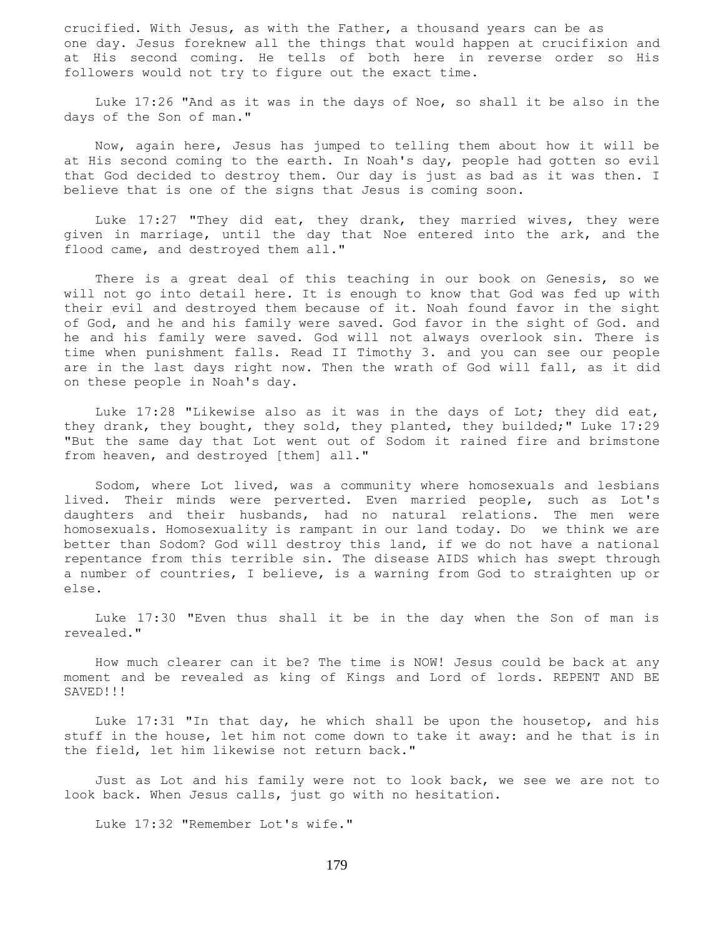crucified. With Jesus, as with the Father, a thousand years can be as one day. Jesus foreknew all the things that would happen at crucifixion and at His second coming. He tells of both here in reverse order so His followers would not try to figure out the exact time.

 Luke 17:26 "And as it was in the days of Noe, so shall it be also in the days of the Son of man."

 Now, again here, Jesus has jumped to telling them about how it will be at His second coming to the earth. In Noah's day, people had gotten so evil that God decided to destroy them. Our day is just as bad as it was then. I believe that is one of the signs that Jesus is coming soon.

 Luke 17:27 "They did eat, they drank, they married wives, they were given in marriage, until the day that Noe entered into the ark, and the flood came, and destroyed them all."

 There is a great deal of this teaching in our book on Genesis, so we will not go into detail here. It is enough to know that God was fed up with their evil and destroyed them because of it. Noah found favor in the sight of God, and he and his family were saved. God favor in the sight of God. and he and his family were saved. God will not always overlook sin. There is time when punishment falls. Read II Timothy 3. and you can see our people are in the last days right now. Then the wrath of God will fall, as it did on these people in Noah's day.

 Luke 17:28 "Likewise also as it was in the days of Lot; they did eat, they drank, they bought, they sold, they planted, they builded;" Luke 17:29 "But the same day that Lot went out of Sodom it rained fire and brimstone from heaven, and destroyed [them] all."

 Sodom, where Lot lived, was a community where homosexuals and lesbians lived. Their minds were perverted. Even married people, such as Lot's daughters and their husbands, had no natural relations. The men were homosexuals. Homosexuality is rampant in our land today. Do we think we are better than Sodom? God will destroy this land, if we do not have a national repentance from this terrible sin. The disease AIDS which has swept through a number of countries, I believe, is a warning from God to straighten up or else.

 Luke 17:30 "Even thus shall it be in the day when the Son of man is revealed."

 How much clearer can it be? The time is NOW! Jesus could be back at any moment and be revealed as king of Kings and Lord of lords. REPENT AND BE SAVED!!!

 Luke 17:31 "In that day, he which shall be upon the housetop, and his stuff in the house, let him not come down to take it away: and he that is in the field, let him likewise not return back."

 Just as Lot and his family were not to look back, we see we are not to look back. When Jesus calls, just go with no hesitation.

Luke 17:32 "Remember Lot's wife."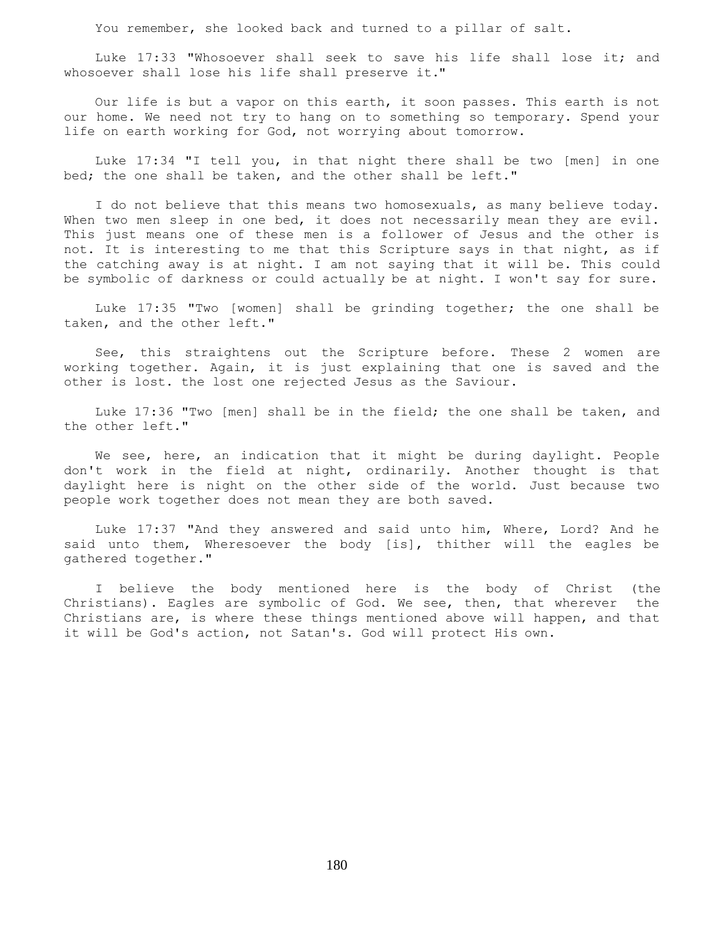You remember, she looked back and turned to a pillar of salt.

Luke 17:33 "Whosoever shall seek to save his life shall lose it; and whosoever shall lose his life shall preserve it."

 Our life is but a vapor on this earth, it soon passes. This earth is not our home. We need not try to hang on to something so temporary. Spend your life on earth working for God, not worrying about tomorrow.

 Luke 17:34 "I tell you, in that night there shall be two [men] in one bed; the one shall be taken, and the other shall be left."

 I do not believe that this means two homosexuals, as many believe today. When two men sleep in one bed, it does not necessarily mean they are evil. This just means one of these men is a follower of Jesus and the other is not. It is interesting to me that this Scripture says in that night, as if the catching away is at night. I am not saying that it will be. This could be symbolic of darkness or could actually be at night. I won't say for sure.

 Luke 17:35 "Two [women] shall be grinding together; the one shall be taken, and the other left."

 See, this straightens out the Scripture before. These 2 women are working together. Again, it is just explaining that one is saved and the other is lost. the lost one rejected Jesus as the Saviour.

 Luke 17:36 "Two [men] shall be in the field; the one shall be taken, and the other left."

We see, here, an indication that it might be during daylight. People don't work in the field at night, ordinarily. Another thought is that daylight here is night on the other side of the world. Just because two people work together does not mean they are both saved.

 Luke 17:37 "And they answered and said unto him, Where, Lord? And he said unto them, Wheresoever the body [is], thither will the eagles be gathered together."

 I believe the body mentioned here is the body of Christ (the Christians). Eagles are symbolic of God. We see, then, that wherever the Christians are, is where these things mentioned above will happen, and that it will be God's action, not Satan's. God will protect His own.

180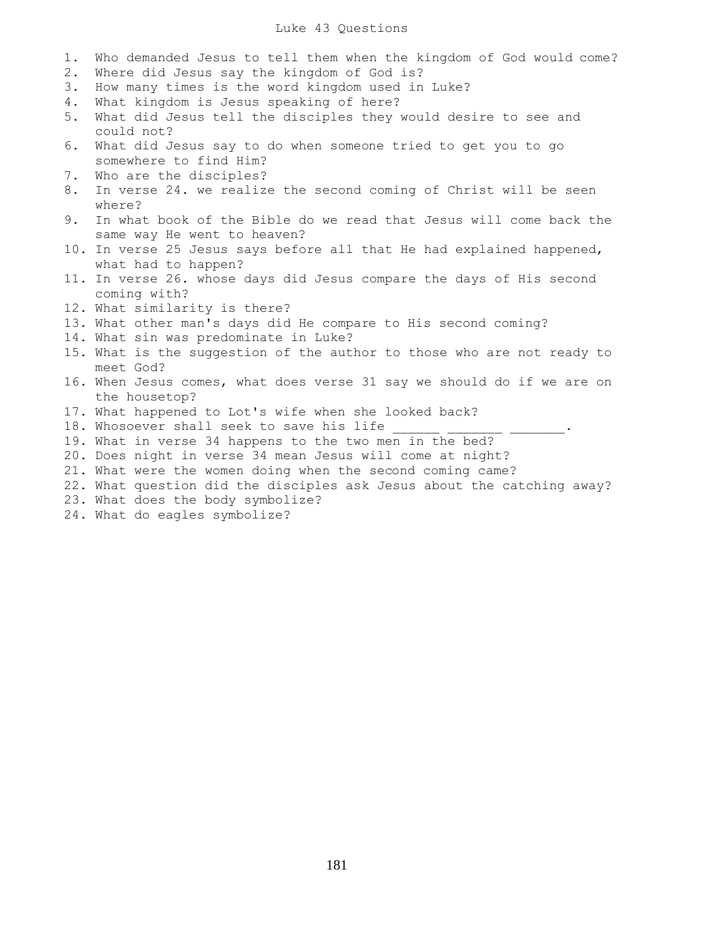## Luke 43 Questions

- 1. Who demanded Jesus to tell them when the kingdom of God would come?
- 2. Where did Jesus say the kingdom of God is?
- 3. How many times is the word kingdom used in Luke?
- 4. What kingdom is Jesus speaking of here?
- 5. What did Jesus tell the disciples they would desire to see and could not?
- 6. What did Jesus say to do when someone tried to get you to go somewhere to find Him?
- 7. Who are the disciples?
- 8. In verse 24. we realize the second coming of Christ will be seen where?
- 9. In what book of the Bible do we read that Jesus will come back the same way He went to heaven?
- 10. In verse 25 Jesus says before all that He had explained happened, what had to happen?
- 11. In verse 26. whose days did Jesus compare the days of His second coming with?
- 12. What similarity is there?
- 13. What other man's days did He compare to His second coming?
- 14. What sin was predominate in Luke?
- 15. What is the suggestion of the author to those who are not ready to meet God?
- 16. When Jesus comes, what does verse 31 say we should do if we are on the housetop?
- 17. What happened to Lot's wife when she looked back?
- 18. Whosoever shall seek to save his life \_\_\_\_\_\_\_\_\_\_\_\_\_\_\_\_\_\_.
- 19. What in verse 34 happens to the two men in the bed?
- 20. Does night in verse 34 mean Jesus will come at night?
- 21. What were the women doing when the second coming came?
- 22. What question did the disciples ask Jesus about the catching away?
- 23. What does the body symbolize?
- 24. What do eagles symbolize?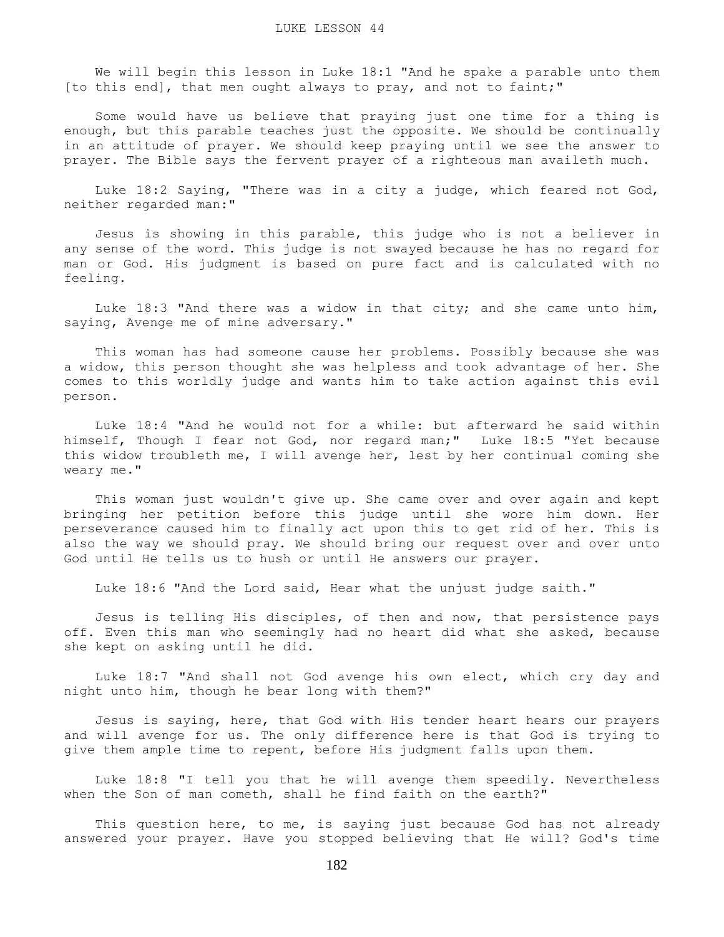We will begin this lesson in Luke 18:1 "And he spake a parable unto them [to this end], that men ought always to pray, and not to faint;"

 Some would have us believe that praying just one time for a thing is enough, but this parable teaches just the opposite. We should be continually in an attitude of prayer. We should keep praying until we see the answer to prayer. The Bible says the fervent prayer of a righteous man availeth much.

 Luke 18:2 Saying, "There was in a city a judge, which feared not God, neither regarded man:"

 Jesus is showing in this parable, this judge who is not a believer in any sense of the word. This judge is not swayed because he has no regard for man or God. His judgment is based on pure fact and is calculated with no feeling.

 Luke 18:3 "And there was a widow in that city; and she came unto him, saying, Avenge me of mine adversary."

 This woman has had someone cause her problems. Possibly because she was a widow, this person thought she was helpless and took advantage of her. She comes to this worldly judge and wants him to take action against this evil person.

 Luke 18:4 "And he would not for a while: but afterward he said within himself, Though I fear not God, nor regard man;" Luke 18:5 "Yet because this widow troubleth me, I will avenge her, lest by her continual coming she weary me."

 This woman just wouldn't give up. She came over and over again and kept bringing her petition before this judge until she wore him down. Her perseverance caused him to finally act upon this to get rid of her. This is also the way we should pray. We should bring our request over and over unto God until He tells us to hush or until He answers our prayer.

Luke 18:6 "And the Lord said, Hear what the unjust judge saith."

 Jesus is telling His disciples, of then and now, that persistence pays off. Even this man who seemingly had no heart did what she asked, because she kept on asking until he did.

 Luke 18:7 "And shall not God avenge his own elect, which cry day and night unto him, though he bear long with them?"

 Jesus is saying, here, that God with His tender heart hears our prayers and will avenge for us. The only difference here is that God is trying to give them ample time to repent, before His judgment falls upon them.

 Luke 18:8 "I tell you that he will avenge them speedily. Nevertheless when the Son of man cometh, shall he find faith on the earth?"

This question here, to me, is saying just because God has not already answered your prayer. Have you stopped believing that He will? God's time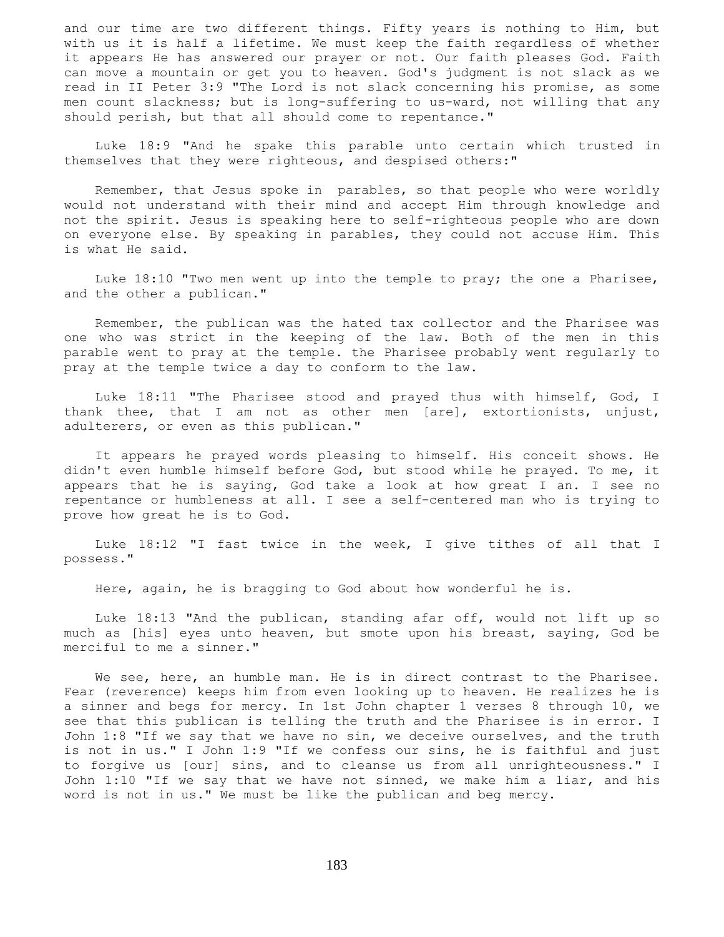and our time are two different things. Fifty years is nothing to Him, but with us it is half a lifetime. We must keep the faith regardless of whether it appears He has answered our prayer or not. Our faith pleases God. Faith can move a mountain or get you to heaven. God's judgment is not slack as we read in II Peter 3:9 "The Lord is not slack concerning his promise, as some men count slackness; but is long-suffering to us-ward, not willing that any should perish, but that all should come to repentance."

 Luke 18:9 "And he spake this parable unto certain which trusted in themselves that they were righteous, and despised others:"

 Remember, that Jesus spoke in parables, so that people who were worldly would not understand with their mind and accept Him through knowledge and not the spirit. Jesus is speaking here to self-righteous people who are down on everyone else. By speaking in parables, they could not accuse Him. This is what He said.

 Luke 18:10 "Two men went up into the temple to pray; the one a Pharisee, and the other a publican."

 Remember, the publican was the hated tax collector and the Pharisee was one who was strict in the keeping of the law. Both of the men in this parable went to pray at the temple. the Pharisee probably went regularly to pray at the temple twice a day to conform to the law.

 Luke 18:11 "The Pharisee stood and prayed thus with himself, God, I thank thee, that I am not as other men [are], extortionists, unjust, adulterers, or even as this publican."

 It appears he prayed words pleasing to himself. His conceit shows. He didn't even humble himself before God, but stood while he prayed. To me, it appears that he is saying, God take a look at how great I an. I see no repentance or humbleness at all. I see a self-centered man who is trying to prove how great he is to God.

 Luke 18:12 "I fast twice in the week, I give tithes of all that I possess."

Here, again, he is bragging to God about how wonderful he is.

 Luke 18:13 "And the publican, standing afar off, would not lift up so much as [his] eyes unto heaven, but smote upon his breast, saying, God be merciful to me a sinner."

We see, here, an humble man. He is in direct contrast to the Pharisee. Fear (reverence) keeps him from even looking up to heaven. He realizes he is a sinner and begs for mercy. In 1st John chapter 1 verses 8 through 10, we see that this publican is telling the truth and the Pharisee is in error. I John 1:8 "If we say that we have no sin, we deceive ourselves, and the truth is not in us." I John 1:9 "If we confess our sins, he is faithful and just to forgive us [our] sins, and to cleanse us from all unrighteousness." I John 1:10 "If we say that we have not sinned, we make him a liar, and his word is not in us." We must be like the publican and beg mercy.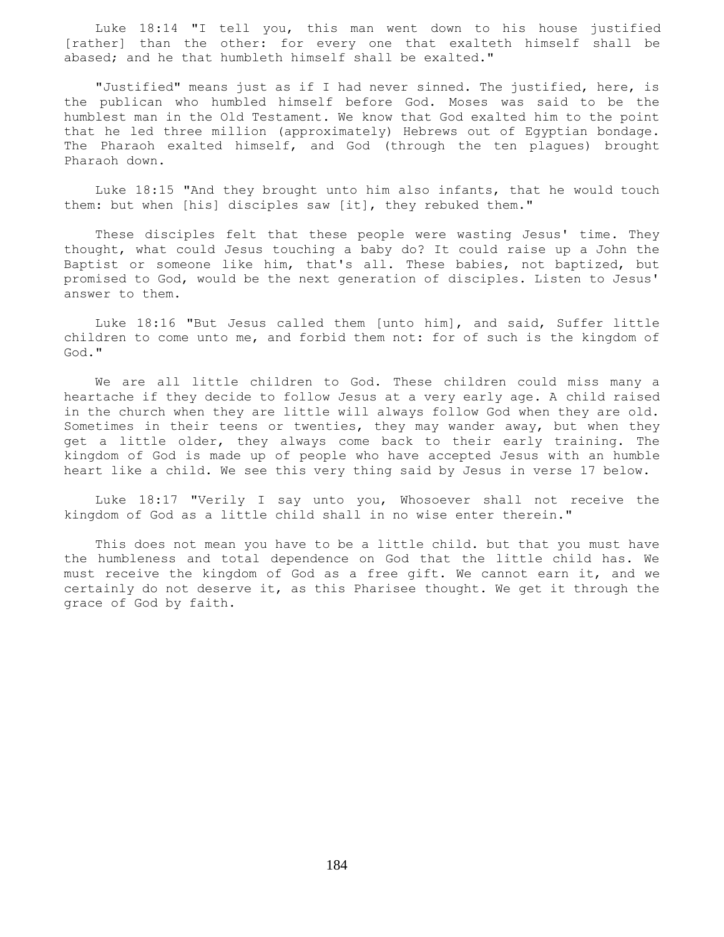Luke 18:14 "I tell you, this man went down to his house justified [rather] than the other: for every one that exalteth himself shall be abased; and he that humbleth himself shall be exalted."

 "Justified" means just as if I had never sinned. The justified, here, is the publican who humbled himself before God. Moses was said to be the humblest man in the Old Testament. We know that God exalted him to the point that he led three million (approximately) Hebrews out of Egyptian bondage. The Pharaoh exalted himself, and God (through the ten plagues) brought Pharaoh down.

 Luke 18:15 "And they brought unto him also infants, that he would touch them: but when [his] disciples saw [it], they rebuked them."

 These disciples felt that these people were wasting Jesus' time. They thought, what could Jesus touching a baby do? It could raise up a John the Baptist or someone like him, that's all. These babies, not baptized, but promised to God, would be the next generation of disciples. Listen to Jesus' answer to them.

 Luke 18:16 "But Jesus called them [unto him], and said, Suffer little children to come unto me, and forbid them not: for of such is the kingdom of God."

 We are all little children to God. These children could miss many a heartache if they decide to follow Jesus at a very early age. A child raised in the church when they are little will always follow God when they are old. Sometimes in their teens or twenties, they may wander away, but when they get a little older, they always come back to their early training. The kingdom of God is made up of people who have accepted Jesus with an humble heart like a child. We see this very thing said by Jesus in verse 17 below.

 Luke 18:17 "Verily I say unto you, Whosoever shall not receive the kingdom of God as a little child shall in no wise enter therein."

 This does not mean you have to be a little child. but that you must have the humbleness and total dependence on God that the little child has. We must receive the kingdom of God as a free gift. We cannot earn it, and we certainly do not deserve it, as this Pharisee thought. We get it through the grace of God by faith.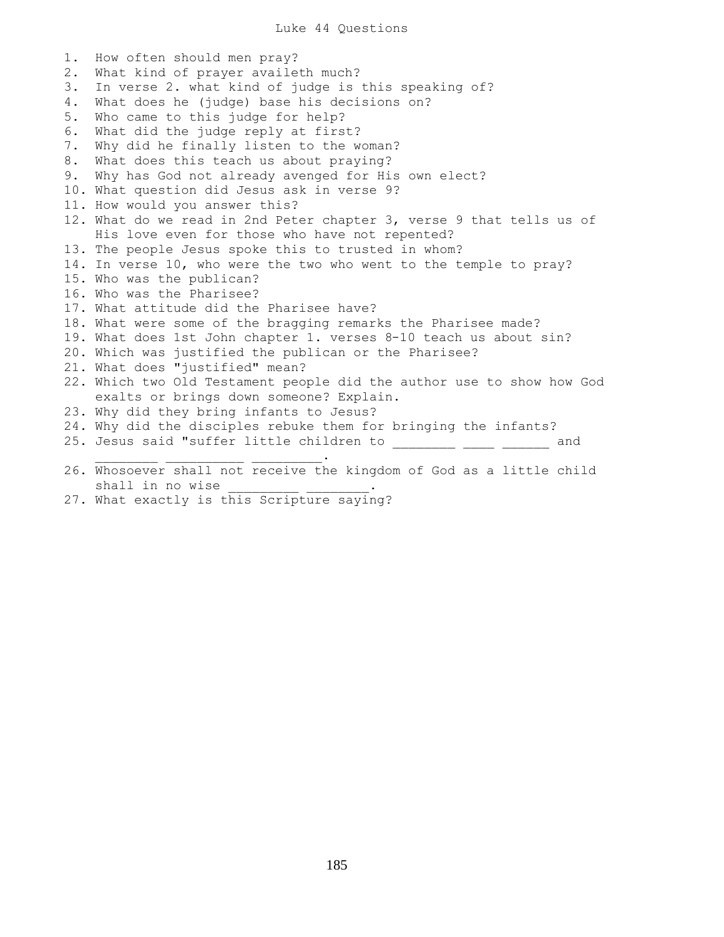Luke 44 Questions

1. How often should men pray? 2. What kind of prayer availeth much? 3. In verse 2. what kind of judge is this speaking of? 4. What does he (judge) base his decisions on? 5. Who came to this judge for help? 6. What did the judge reply at first? 7. Why did he finally listen to the woman? 8. What does this teach us about praying? 9. Why has God not already avenged for His own elect? 10. What question did Jesus ask in verse 9? 11. How would you answer this? 12. What do we read in 2nd Peter chapter 3, verse 9 that tells us of His love even for those who have not repented? 13. The people Jesus spoke this to trusted in whom? 14. In verse 10, who were the two who went to the temple to pray? 15. Who was the publican? 16. Who was the Pharisee? 17. What attitude did the Pharisee have? 18. What were some of the bragging remarks the Pharisee made? 19. What does 1st John chapter 1. verses 8-10 teach us about sin? 20. Which was justified the publican or the Pharisee? 21. What does "justified" mean? 22. Which two Old Testament people did the author use to show how God exalts or brings down someone? Explain. 23. Why did they bring infants to Jesus? 24. Why did the disciples rebuke them for bringing the infants? 25. Jesus said "suffer little children to \_\_\_\_\_\_\_\_ \_\_\_\_ \_\_\_\_\_ and  $\mathcal{L}_\text{max}$  , we are the set of the set of the set of the set of the set of the set of the set of the set of the set of the set of the set of the set of the set of the set of the set of the set of the set of the set of 26. Whosoever shall not receive the kingdom of God as a little child shall in no wise

27. What exactly is this Scripture saying?

185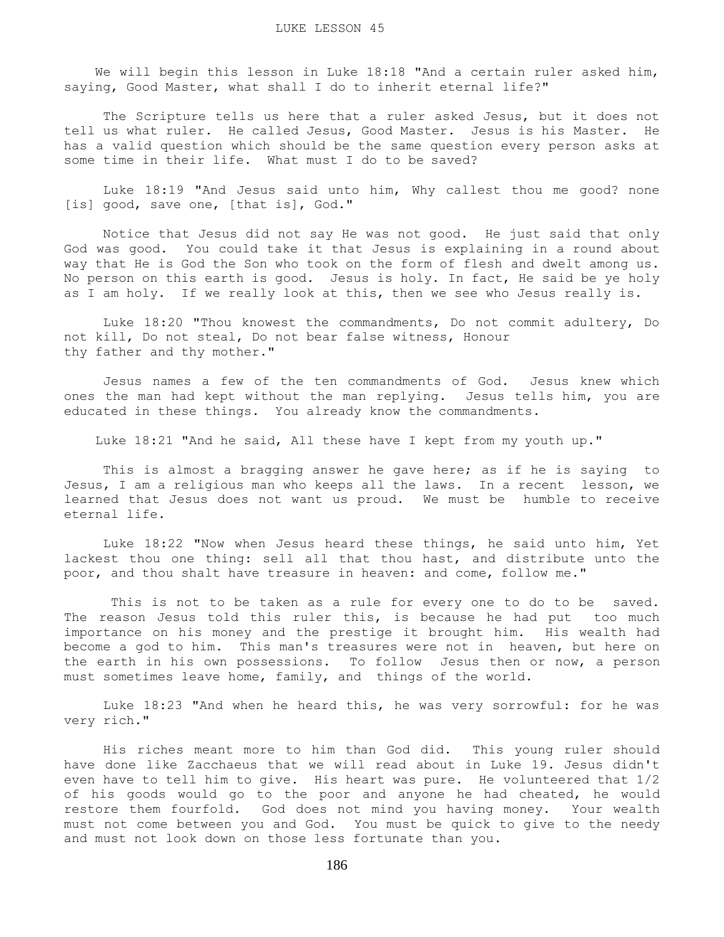We will begin this lesson in Luke 18:18 "And a certain ruler asked him, saying, Good Master, what shall I do to inherit eternal life?"

 The Scripture tells us here that a ruler asked Jesus, but it does not tell us what ruler. He called Jesus, Good Master. Jesus is his Master. He has a valid question which should be the same question every person asks at some time in their life. What must I do to be saved?

 Luke 18:19 "And Jesus said unto him, Why callest thou me good? none [is] good, save one, [that is], God."

 Notice that Jesus did not say He was not good. He just said that only God was good. You could take it that Jesus is explaining in a round about way that He is God the Son who took on the form of flesh and dwelt among us. No person on this earth is good. Jesus is holy. In fact, He said be ye holy as I am holy. If we really look at this, then we see who Jesus really is.

 Luke 18:20 "Thou knowest the commandments, Do not commit adultery, Do not kill, Do not steal, Do not bear false witness, Honour thy father and thy mother."

 Jesus names a few of the ten commandments of God. Jesus knew which ones the man had kept without the man replying. Jesus tells him, you are educated in these things. You already know the commandments.

Luke 18:21 "And he said, All these have I kept from my youth up."

This is almost a bragging answer he gave here; as if he is saying to Jesus, I am a religious man who keeps all the laws. In a recent lesson, we learned that Jesus does not want us proud. We must be humble to receive eternal life.

 Luke 18:22 "Now when Jesus heard these things, he said unto him, Yet lackest thou one thing: sell all that thou hast, and distribute unto the poor, and thou shalt have treasure in heaven: and come, follow me."

 This is not to be taken as a rule for every one to do to be saved. The reason Jesus told this ruler this, is because he had put too much importance on his money and the prestige it brought him. His wealth had become a god to him. This man's treasures were not in heaven, but here on the earth in his own possessions. To follow Jesus then or now, a person must sometimes leave home, family, and things of the world.

 Luke 18:23 "And when he heard this, he was very sorrowful: for he was very rich."

 His riches meant more to him than God did. This young ruler should have done like Zacchaeus that we will read about in Luke 19. Jesus didn't even have to tell him to give. His heart was pure. He volunteered that 1/2 of his goods would go to the poor and anyone he had cheated, he would restore them fourfold. God does not mind you having money. Your wealth must not come between you and God. You must be quick to give to the needy and must not look down on those less fortunate than you.

186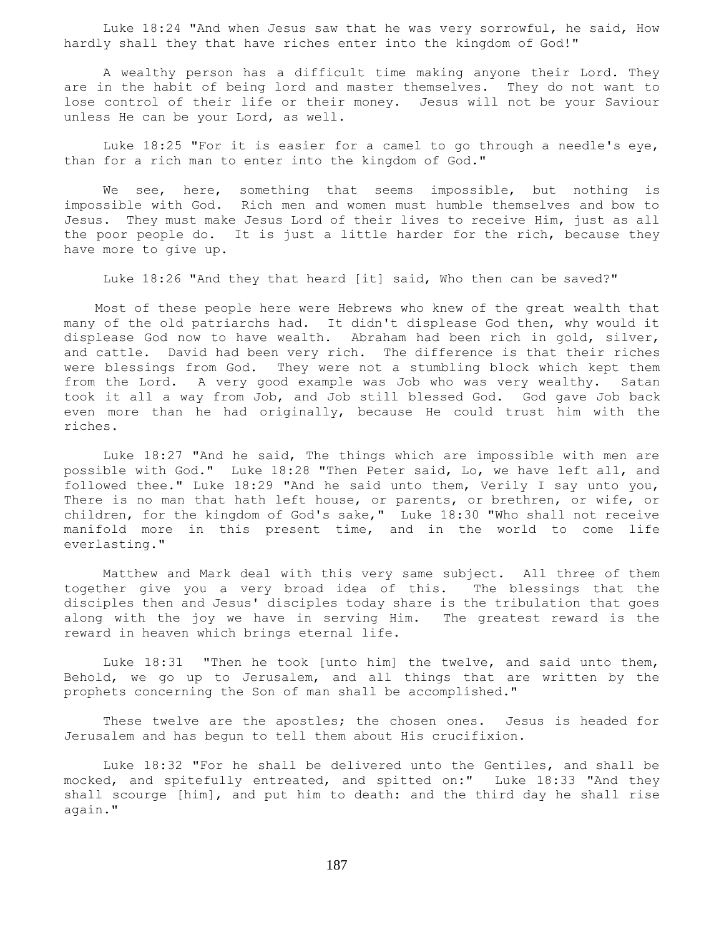Luke 18:24 "And when Jesus saw that he was very sorrowful, he said, How hardly shall they that have riches enter into the kingdom of God!"

 A wealthy person has a difficult time making anyone their Lord. They are in the habit of being lord and master themselves. They do not want to lose control of their life or their money. Jesus will not be your Saviour unless He can be your Lord, as well.

 Luke 18:25 "For it is easier for a camel to go through a needle's eye, than for a rich man to enter into the kingdom of God."

We see, here, something that seems impossible, but nothing is impossible with God. Rich men and women must humble themselves and bow to Jesus. They must make Jesus Lord of their lives to receive Him, just as all the poor people do. It is just a little harder for the rich, because they have more to give up.

Luke 18:26 "And they that heard [it] said, Who then can be saved?"

 Most of these people here were Hebrews who knew of the great wealth that many of the old patriarchs had. It didn't displease God then, why would it displease God now to have wealth. Abraham had been rich in gold, silver, and cattle. David had been very rich. The difference is that their riches were blessings from God. They were not a stumbling block which kept them from the Lord. A very good example was Job who was very wealthy. Satan took it all a way from Job, and Job still blessed God. God gave Job back even more than he had originally, because He could trust him with the riches.

 Luke 18:27 "And he said, The things which are impossible with men are possible with God." Luke 18:28 "Then Peter said, Lo, we have left all, and followed thee." Luke 18:29 "And he said unto them, Verily I say unto you, There is no man that hath left house, or parents, or brethren, or wife, or children, for the kingdom of God's sake," Luke 18:30 "Who shall not receive manifold more in this present time, and in the world to come life everlasting."

 Matthew and Mark deal with this very same subject. All three of them together give you a very broad idea of this. The blessings that the disciples then and Jesus' disciples today share is the tribulation that goes along with the joy we have in serving Him. The greatest reward is the reward in heaven which brings eternal life.

 Luke 18:31 "Then he took [unto him] the twelve, and said unto them, Behold, we go up to Jerusalem, and all things that are written by the prophets concerning the Son of man shall be accomplished."

These twelve are the apostles; the chosen ones. Jesus is headed for Jerusalem and has begun to tell them about His crucifixion.

 Luke 18:32 "For he shall be delivered unto the Gentiles, and shall be mocked, and spitefully entreated, and spitted on:" Luke 18:33 "And they shall scourge [him], and put him to death: and the third day he shall rise again."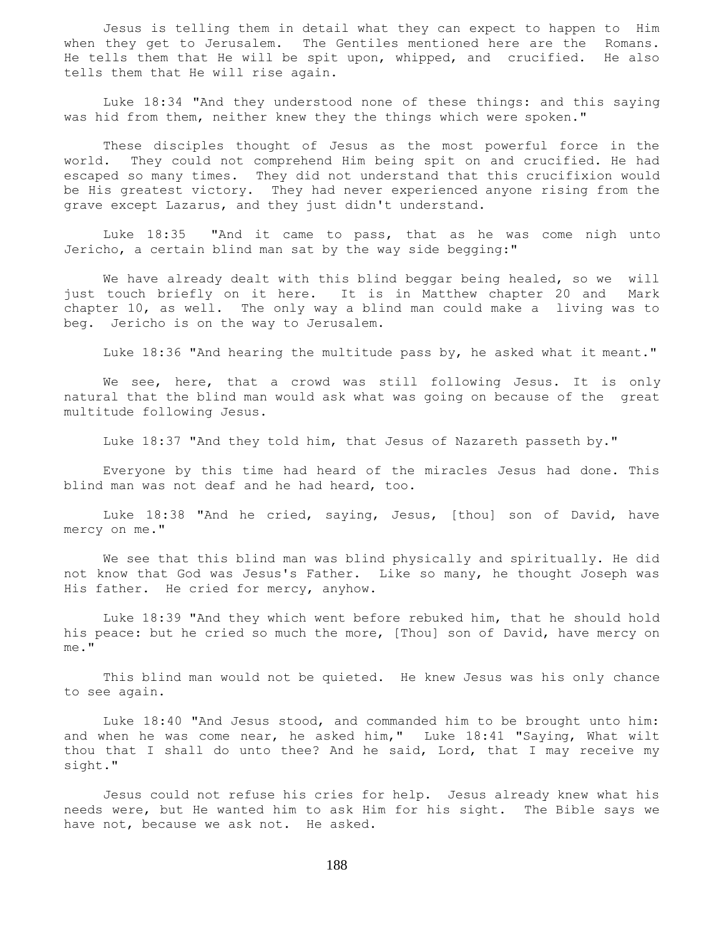Jesus is telling them in detail what they can expect to happen to Him when they get to Jerusalem. The Gentiles mentioned here are the Romans. He tells them that He will be spit upon, whipped, and crucified. He also tells them that He will rise again.

 Luke 18:34 "And they understood none of these things: and this saying was hid from them, neither knew they the things which were spoken."

 These disciples thought of Jesus as the most powerful force in the world. They could not comprehend Him being spit on and crucified. He had escaped so many times. They did not understand that this crucifixion would be His greatest victory. They had never experienced anyone rising from the grave except Lazarus, and they just didn't understand.

 Luke 18:35 "And it came to pass, that as he was come nigh unto Jericho, a certain blind man sat by the way side begging:"

 We have already dealt with this blind beggar being healed, so we will just touch briefly on it here. It is in Matthew chapter 20 and Mark chapter 10, as well. The only way a blind man could make a living was to beg. Jericho is on the way to Jerusalem.

Luke 18:36 "And hearing the multitude pass by, he asked what it meant."

We see, here, that a crowd was still following Jesus. It is only natural that the blind man would ask what was going on because of the great multitude following Jesus.

Luke 18:37 "And they told him, that Jesus of Nazareth passeth by."

 Everyone by this time had heard of the miracles Jesus had done. This blind man was not deaf and he had heard, too.

 Luke 18:38 "And he cried, saying, Jesus, [thou] son of David, have mercy on me."

 We see that this blind man was blind physically and spiritually. He did not know that God was Jesus's Father. Like so many, he thought Joseph was His father. He cried for mercy, anyhow.

 Luke 18:39 "And they which went before rebuked him, that he should hold his peace: but he cried so much the more, [Thou] son of David, have mercy on me."

 This blind man would not be quieted. He knew Jesus was his only chance to see again.

 Luke 18:40 "And Jesus stood, and commanded him to be brought unto him: and when he was come near, he asked him," Luke 18:41 "Saying, What wilt thou that I shall do unto thee? And he said, Lord, that I may receive my sight."

 Jesus could not refuse his cries for help. Jesus already knew what his needs were, but He wanted him to ask Him for his sight. The Bible says we have not, because we ask not. He asked.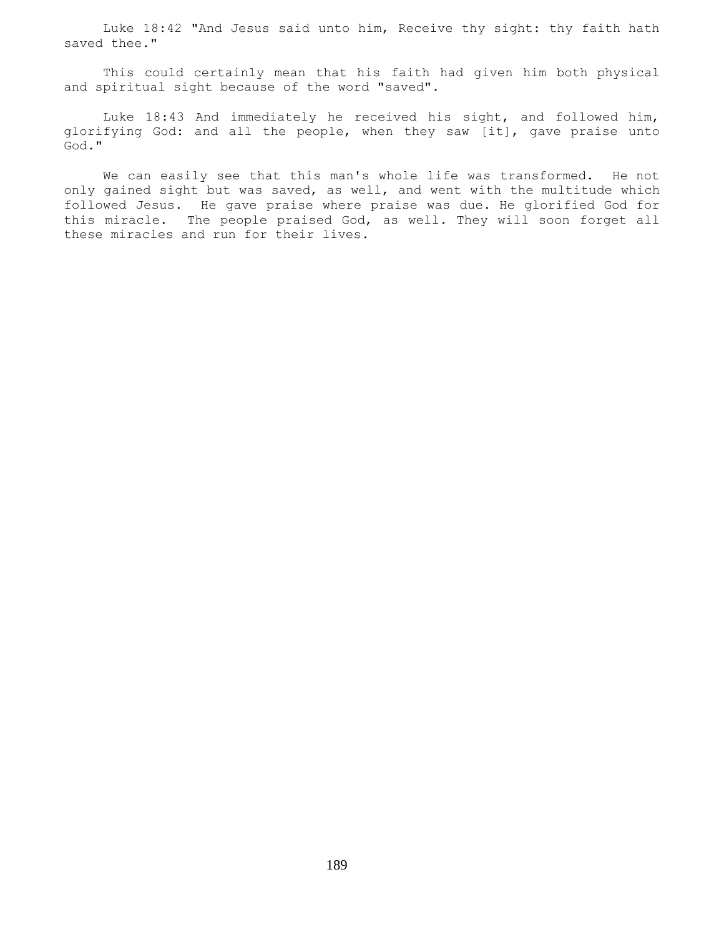Luke 18:42 "And Jesus said unto him, Receive thy sight: thy faith hath saved thee."

 This could certainly mean that his faith had given him both physical and spiritual sight because of the word "saved".

 Luke 18:43 And immediately he received his sight, and followed him, glorifying God: and all the people, when they saw [it], gave praise unto God."

 We can easily see that this man's whole life was transformed. He not only gained sight but was saved, as well, and went with the multitude which followed Jesus. He gave praise where praise was due. He glorified God for this miracle. The people praised God, as well. They will soon forget all these miracles and run for their lives.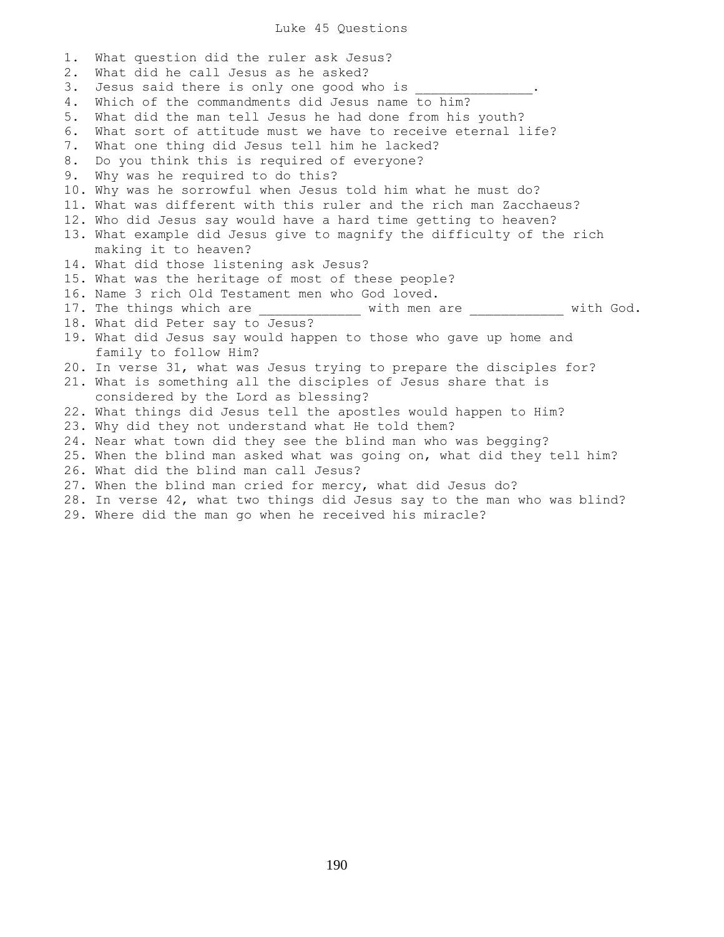Luke 45 Questions

1. What question did the ruler ask Jesus? 2. What did he call Jesus as he asked? 3. Jesus said there is only one good who is 4. Which of the commandments did Jesus name to him? 5. What did the man tell Jesus he had done from his youth? 6. What sort of attitude must we have to receive eternal life? 7. What one thing did Jesus tell him he lacked? 8. Do you think this is required of everyone? 9. Why was he required to do this? 10. Why was he sorrowful when Jesus told him what he must do? 11. What was different with this ruler and the rich man Zacchaeus? 12. Who did Jesus say would have a hard time getting to heaven? 13. What example did Jesus give to magnify the difficulty of the rich making it to heaven? 14. What did those listening ask Jesus? 15. What was the heritage of most of these people? 16. Name 3 rich Old Testament men who God loved. 17. The things which are \_\_\_\_\_\_\_\_\_\_\_\_\_\_ with men are \_\_\_\_\_\_\_\_\_\_\_\_ with God. 18. What did Peter say to Jesus? 19. What did Jesus say would happen to those who gave up home and family to follow Him? 20. In verse 31, what was Jesus trying to prepare the disciples for? 21. What is something all the disciples of Jesus share that is considered by the Lord as blessing? 22. What things did Jesus tell the apostles would happen to Him? 23. Why did they not understand what He told them? 24. Near what town did they see the blind man who was begging? 25. When the blind man asked what was going on, what did they tell him? 26. What did the blind man call Jesus? 27. When the blind man cried for mercy, what did Jesus do? 28. In verse 42, what two things did Jesus say to the man who was blind?

29. Where did the man go when he received his miracle?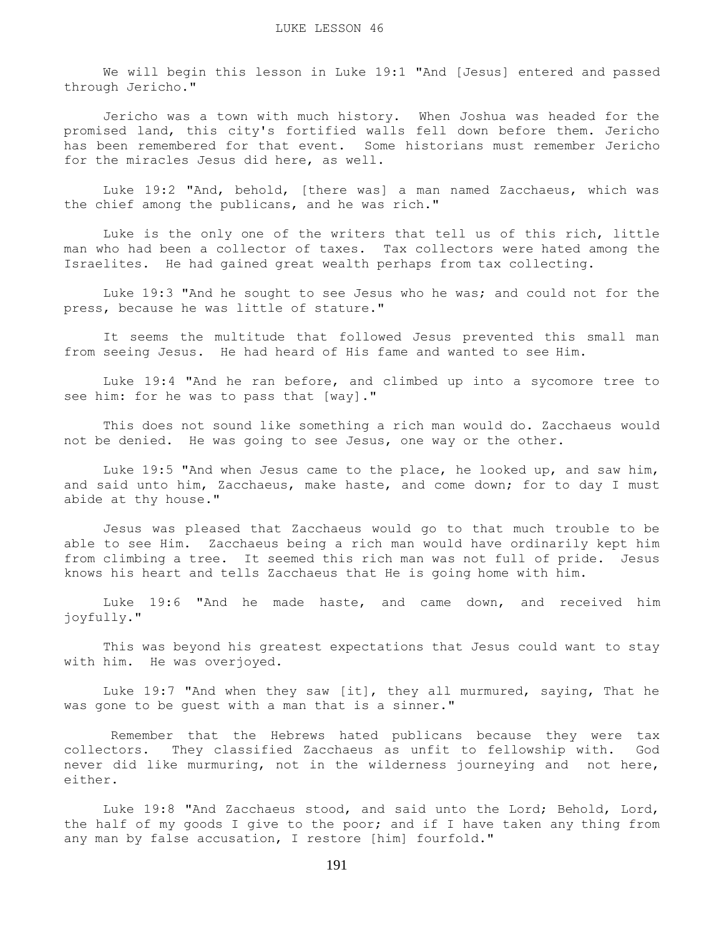We will begin this lesson in Luke 19:1 "And [Jesus] entered and passed through Jericho."

 Jericho was a town with much history. When Joshua was headed for the promised land, this city's fortified walls fell down before them. Jericho has been remembered for that event. Some historians must remember Jericho for the miracles Jesus did here, as well.

 Luke 19:2 "And, behold, [there was] a man named Zacchaeus, which was the chief among the publicans, and he was rich."

 Luke is the only one of the writers that tell us of this rich, little man who had been a collector of taxes. Tax collectors were hated among the Israelites. He had gained great wealth perhaps from tax collecting.

 Luke 19:3 "And he sought to see Jesus who he was; and could not for the press, because he was little of stature."

 It seems the multitude that followed Jesus prevented this small man from seeing Jesus. He had heard of His fame and wanted to see Him.

 Luke 19:4 "And he ran before, and climbed up into a sycomore tree to see him: for he was to pass that [way]."

 This does not sound like something a rich man would do. Zacchaeus would not be denied. He was going to see Jesus, one way or the other.

 Luke 19:5 "And when Jesus came to the place, he looked up, and saw him, and said unto him, Zacchaeus, make haste, and come down; for to day I must abide at thy house."

 Jesus was pleased that Zacchaeus would go to that much trouble to be able to see Him. Zacchaeus being a rich man would have ordinarily kept him from climbing a tree. It seemed this rich man was not full of pride. Jesus knows his heart and tells Zacchaeus that He is going home with him.

 Luke 19:6 "And he made haste, and came down, and received him joyfully."

 This was beyond his greatest expectations that Jesus could want to stay with him. He was overjoyed.

 Luke 19:7 "And when they saw [it], they all murmured, saying, That he was gone to be guest with a man that is a sinner."

 Remember that the Hebrews hated publicans because they were tax collectors. They classified Zacchaeus as unfit to fellowship with. God never did like murmuring, not in the wilderness journeying and not here, either.

 Luke 19:8 "And Zacchaeus stood, and said unto the Lord; Behold, Lord, the half of my goods I give to the poor; and if I have taken any thing from any man by false accusation, I restore [him] fourfold."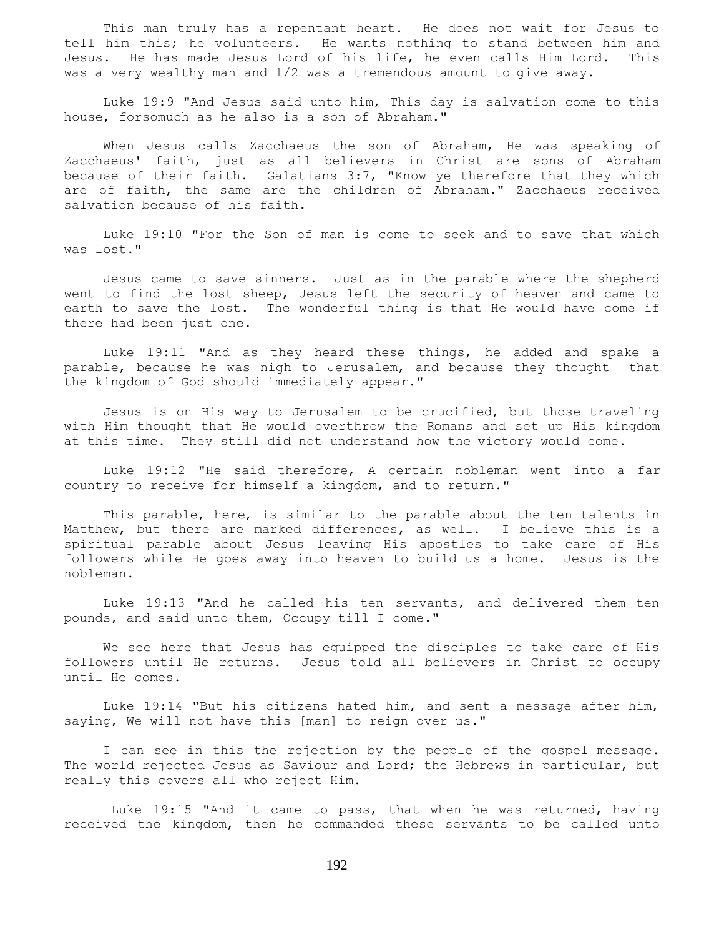This man truly has a repentant heart. He does not wait for Jesus to tell him this; he volunteers. He wants nothing to stand between him and Jesus. He has made Jesus Lord of his life, he even calls Him Lord. This was a very wealthy man and 1/2 was a tremendous amount to give away.

 Luke 19:9 "And Jesus said unto him, This day is salvation come to this house, forsomuch as he also is a son of Abraham."

 When Jesus calls Zacchaeus the son of Abraham, He was speaking of Zacchaeus' faith, just as all believers in Christ are sons of Abraham because of their faith. Galatians 3:7, "Know ye therefore that they which are of faith, the same are the children of Abraham." Zacchaeus received salvation because of his faith.

 Luke 19:10 "For the Son of man is come to seek and to save that which was lost."

 Jesus came to save sinners. Just as in the parable where the shepherd went to find the lost sheep, Jesus left the security of heaven and came to earth to save the lost. The wonderful thing is that He would have come if there had been just one.

 Luke 19:11 "And as they heard these things, he added and spake a parable, because he was nigh to Jerusalem, and because they thought that the kingdom of God should immediately appear."

 Jesus is on His way to Jerusalem to be crucified, but those traveling with Him thought that He would overthrow the Romans and set up His kingdom at this time. They still did not understand how the victory would come.

 Luke 19:12 "He said therefore, A certain nobleman went into a far country to receive for himself a kingdom, and to return."

 This parable, here, is similar to the parable about the ten talents in Matthew, but there are marked differences, as well. I believe this is a spiritual parable about Jesus leaving His apostles to take care of His followers while He goes away into heaven to build us a home. Jesus is the nobleman.

 Luke 19:13 "And he called his ten servants, and delivered them ten pounds, and said unto them, Occupy till I come."

 We see here that Jesus has equipped the disciples to take care of His followers until He returns. Jesus told all believers in Christ to occupy until He comes.

 Luke 19:14 "But his citizens hated him, and sent a message after him, saying, We will not have this [man] to reign over us."

 I can see in this the rejection by the people of the gospel message. The world rejected Jesus as Saviour and Lord; the Hebrews in particular, but really this covers all who reject Him.

 Luke 19:15 "And it came to pass, that when he was returned, having received the kingdom, then he commanded these servants to be called unto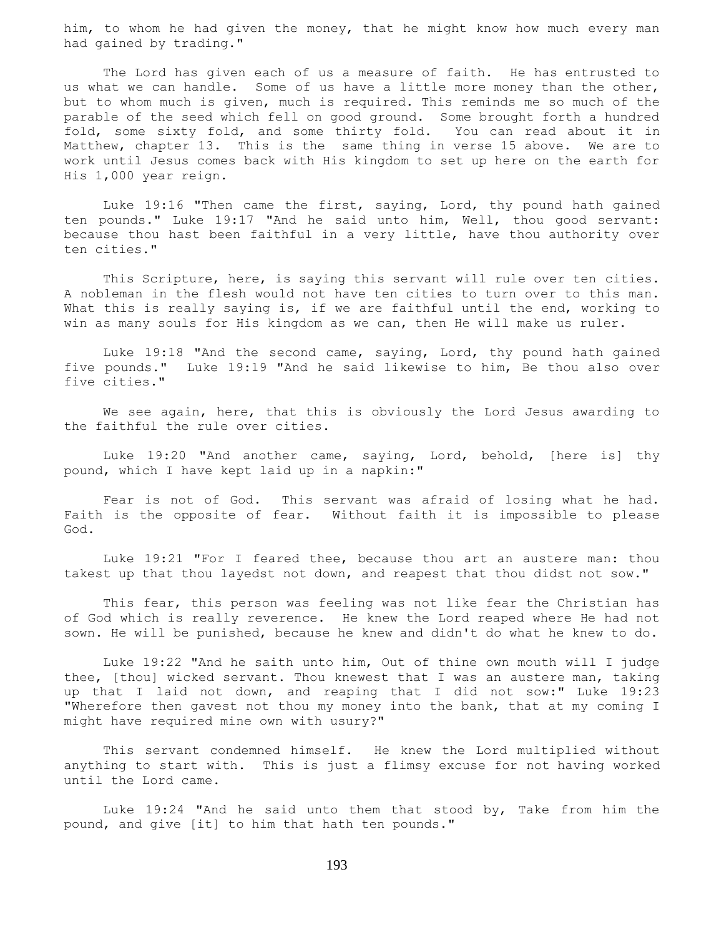him, to whom he had given the money, that he might know how much every man had gained by trading."

 The Lord has given each of us a measure of faith. He has entrusted to us what we can handle. Some of us have a little more money than the other, but to whom much is given, much is required. This reminds me so much of the parable of the seed which fell on good ground. Some brought forth a hundred fold, some sixty fold, and some thirty fold. You can read about it in Matthew, chapter 13. This is the same thing in verse 15 above. We are to work until Jesus comes back with His kingdom to set up here on the earth for His 1,000 year reign.

 Luke 19:16 "Then came the first, saying, Lord, thy pound hath gained ten pounds." Luke 19:17 "And he said unto him, Well, thou good servant: because thou hast been faithful in a very little, have thou authority over ten cities."

 This Scripture, here, is saying this servant will rule over ten cities. A nobleman in the flesh would not have ten cities to turn over to this man. What this is really saying is, if we are faithful until the end, working to win as many souls for His kingdom as we can, then He will make us ruler.

 Luke 19:18 "And the second came, saying, Lord, thy pound hath gained five pounds." Luke 19:19 "And he said likewise to him, Be thou also over five cities."

 We see again, here, that this is obviously the Lord Jesus awarding to the faithful the rule over cities.

 Luke 19:20 "And another came, saying, Lord, behold, [here is] thy pound, which I have kept laid up in a napkin:"

 Fear is not of God. This servant was afraid of losing what he had. Faith is the opposite of fear. Without faith it is impossible to please God.

 Luke 19:21 "For I feared thee, because thou art an austere man: thou takest up that thou layedst not down, and reapest that thou didst not sow."

 This fear, this person was feeling was not like fear the Christian has of God which is really reverence. He knew the Lord reaped where He had not sown. He will be punished, because he knew and didn't do what he knew to do.

 Luke 19:22 "And he saith unto him, Out of thine own mouth will I judge thee, [thou] wicked servant. Thou knewest that I was an austere man, taking up that I laid not down, and reaping that I did not sow:" Luke 19:23 "Wherefore then gavest not thou my money into the bank, that at my coming I might have required mine own with usury?"

 This servant condemned himself. He knew the Lord multiplied without anything to start with. This is just a flimsy excuse for not having worked until the Lord came.

 Luke 19:24 "And he said unto them that stood by, Take from him the pound, and give [it] to him that hath ten pounds."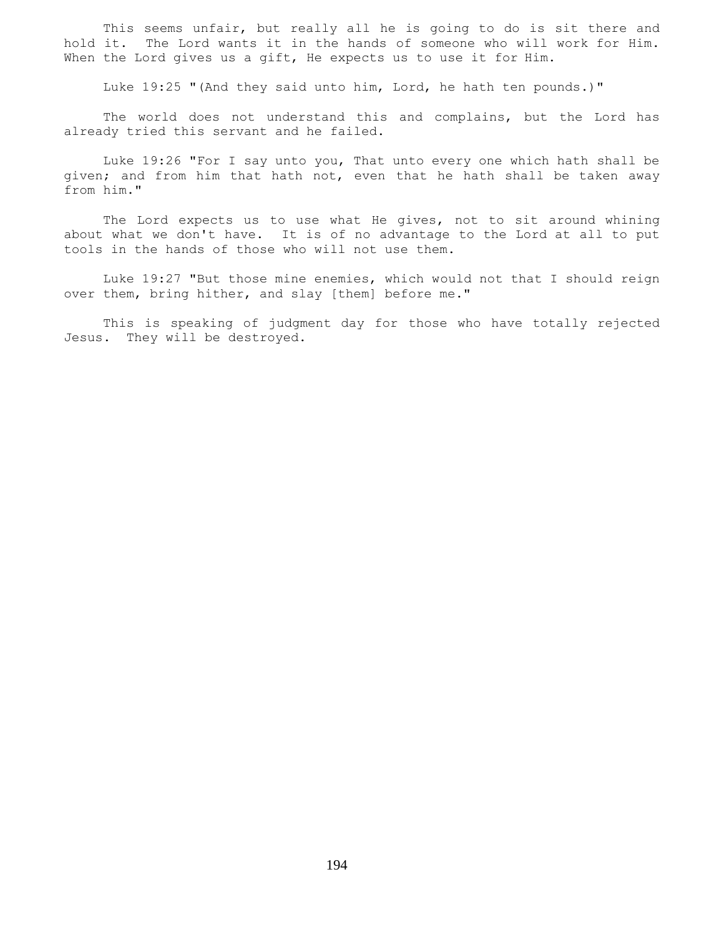This seems unfair, but really all he is going to do is sit there and hold it. The Lord wants it in the hands of someone who will work for Him. When the Lord gives us a gift, He expects us to use it for Him.

Luke 19:25 "(And they said unto him, Lord, he hath ten pounds.)"

 The world does not understand this and complains, but the Lord has already tried this servant and he failed.

 Luke 19:26 "For I say unto you, That unto every one which hath shall be given; and from him that hath not, even that he hath shall be taken away from him."

 The Lord expects us to use what He gives, not to sit around whining about what we don't have. It is of no advantage to the Lord at all to put tools in the hands of those who will not use them.

 Luke 19:27 "But those mine enemies, which would not that I should reign over them, bring hither, and slay [them] before me."

 This is speaking of judgment day for those who have totally rejected Jesus. They will be destroyed.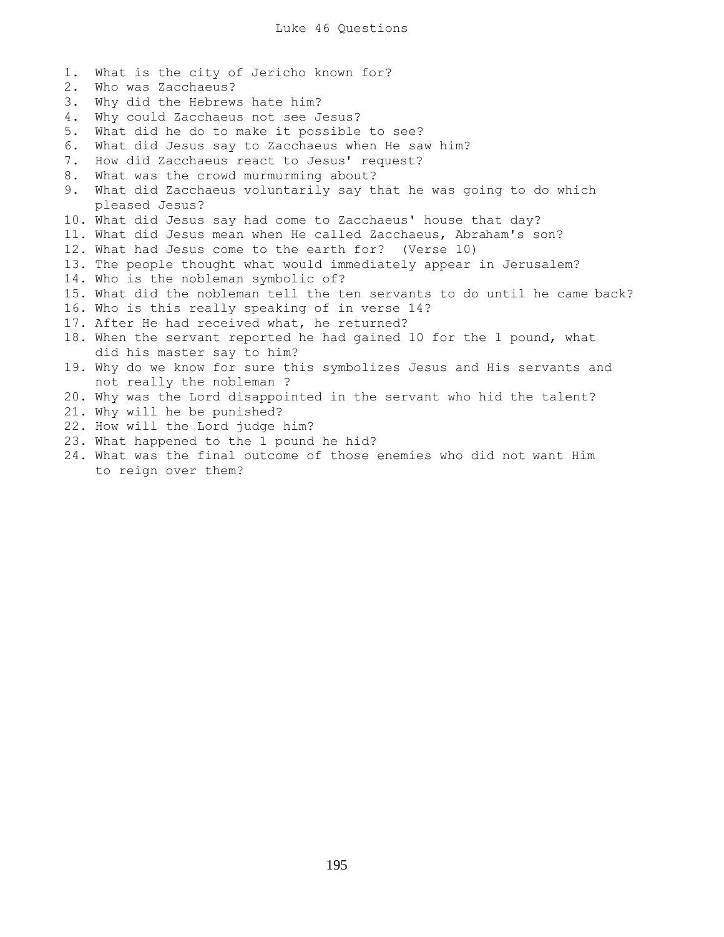1. What is the city of Jericho known for? 2. Who was Zacchaeus? 3. Why did the Hebrews hate him? 4. Why could Zacchaeus not see Jesus? 5. What did he do to make it possible to see? 6. What did Jesus say to Zacchaeus when He saw him? 7. How did Zacchaeus react to Jesus' request? 8. What was the crowd murmurming about? 9. What did Zacchaeus voluntarily say that he was going to do which pleased Jesus? 10. What did Jesus say had come to Zacchaeus' house that day? 11. What did Jesus mean when He called Zacchaeus, Abraham's son? 12. What had Jesus come to the earth for? (Verse 10) 13. The people thought what would immediately appear in Jerusalem? 14. Who is the nobleman symbolic of? 15. What did the nobleman tell the ten servants to do until he came back? 16. Who is this really speaking of in verse 14? 17. After He had received what, he returned? 18. When the servant reported he had gained 10 for the 1 pound, what did his master say to him? 19. Why do we know for sure this symbolizes Jesus and His servants and not really the nobleman ? 20. Why was the Lord disappointed in the servant who hid the talent? 21. Why will he be punished? 22. How will the Lord judge him? 23. What happened to the 1 pound he hid? 24. What was the final outcome of those enemies who did not want Him

to reign over them?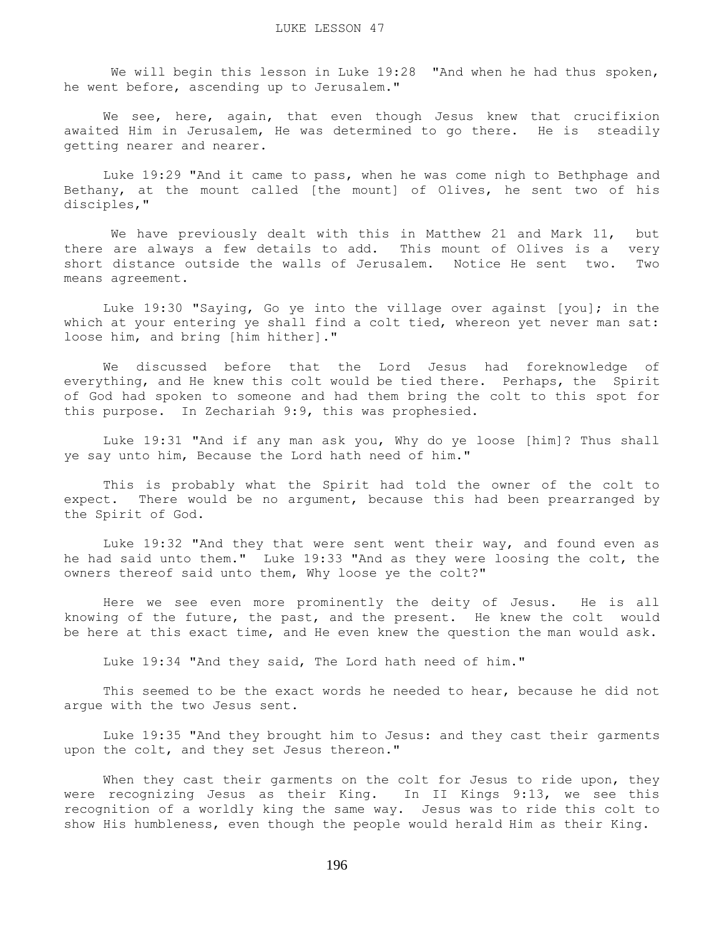We will begin this lesson in Luke 19:28 "And when he had thus spoken, he went before, ascending up to Jerusalem."

 We see, here, again, that even though Jesus knew that crucifixion awaited Him in Jerusalem, He was determined to go there. He is steadily getting nearer and nearer.

 Luke 19:29 "And it came to pass, when he was come nigh to Bethphage and Bethany, at the mount called [the mount] of Olives, he sent two of his disciples,"

 We have previously dealt with this in Matthew 21 and Mark 11, but there are always a few details to add. This mount of Olives is a very short distance outside the walls of Jerusalem. Notice He sent two. Two means agreement.

 Luke 19:30 "Saying, Go ye into the village over against [you]; in the which at your entering ye shall find a colt tied, whereon yet never man sat: loose him, and bring [him hither]."

 We discussed before that the Lord Jesus had foreknowledge of everything, and He knew this colt would be tied there. Perhaps, the Spirit of God had spoken to someone and had them bring the colt to this spot for this purpose. In Zechariah 9:9, this was prophesied.

 Luke 19:31 "And if any man ask you, Why do ye loose [him]? Thus shall ye say unto him, Because the Lord hath need of him."

 This is probably what the Spirit had told the owner of the colt to expect. There would be no argument, because this had been prearranged by the Spirit of God.

 Luke 19:32 "And they that were sent went their way, and found even as he had said unto them." Luke 19:33 "And as they were loosing the colt, the owners thereof said unto them, Why loose ye the colt?"

 Here we see even more prominently the deity of Jesus. He is all knowing of the future, the past, and the present. He knew the colt would be here at this exact time, and He even knew the question the man would ask.

Luke 19:34 "And they said, The Lord hath need of him."

 This seemed to be the exact words he needed to hear, because he did not argue with the two Jesus sent.

 Luke 19:35 "And they brought him to Jesus: and they cast their garments upon the colt, and they set Jesus thereon."

When they cast their garments on the colt for Jesus to ride upon, they were recognizing Jesus as their King. In II Kings 9:13, we see this recognition of a worldly king the same way. Jesus was to ride this colt to show His humbleness, even though the people would herald Him as their King.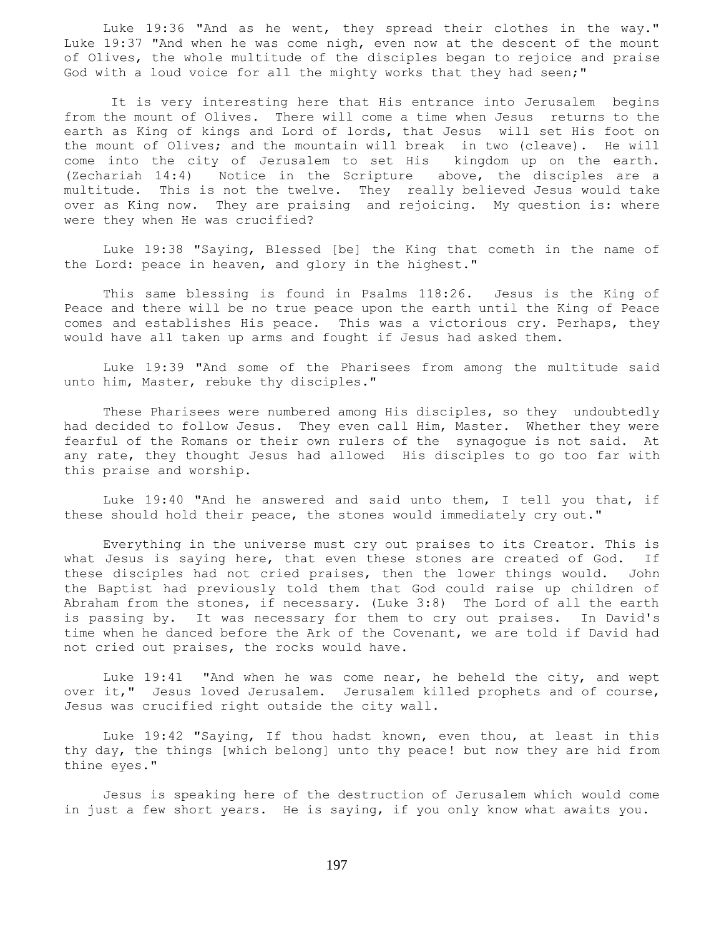Luke 19:36 "And as he went, they spread their clothes in the way." Luke 19:37 "And when he was come nigh, even now at the descent of the mount of Olives, the whole multitude of the disciples began to rejoice and praise God with a loud voice for all the mighty works that they had seen;"

 It is very interesting here that His entrance into Jerusalem begins from the mount of Olives. There will come a time when Jesus returns to the earth as King of kings and Lord of lords, that Jesus will set His foot on the mount of Olives; and the mountain will break in two (cleave). He will come into the city of Jerusalem to set His kingdom up on the earth. (Zechariah 14:4) Notice in the Scripture above, the disciples are a multitude. This is not the twelve. They really believed Jesus would take over as King now. They are praising and rejoicing. My question is: where were they when He was crucified?

 Luke 19:38 "Saying, Blessed [be] the King that cometh in the name of the Lord: peace in heaven, and glory in the highest."

 This same blessing is found in Psalms 118:26. Jesus is the King of Peace and there will be no true peace upon the earth until the King of Peace comes and establishes His peace. This was a victorious cry. Perhaps, they would have all taken up arms and fought if Jesus had asked them.

 Luke 19:39 "And some of the Pharisees from among the multitude said unto him, Master, rebuke thy disciples."

 These Pharisees were numbered among His disciples, so they undoubtedly had decided to follow Jesus. They even call Him, Master. Whether they were fearful of the Romans or their own rulers of the synagogue is not said. At any rate, they thought Jesus had allowed His disciples to go too far with this praise and worship.

 Luke 19:40 "And he answered and said unto them, I tell you that, if these should hold their peace, the stones would immediately cry out."

 Everything in the universe must cry out praises to its Creator. This is what Jesus is saying here, that even these stones are created of God. If these disciples had not cried praises, then the lower things would. John the Baptist had previously told them that God could raise up children of Abraham from the stones, if necessary. (Luke 3:8) The Lord of all the earth is passing by. It was necessary for them to cry out praises. In David's time when he danced before the Ark of the Covenant, we are told if David had not cried out praises, the rocks would have.

 Luke 19:41 "And when he was come near, he beheld the city, and wept over it," Jesus loved Jerusalem. Jerusalem killed prophets and of course, Jesus was crucified right outside the city wall.

 Luke 19:42 "Saying, If thou hadst known, even thou, at least in this thy day, the things [which belong] unto thy peace! but now they are hid from thine eyes."

 Jesus is speaking here of the destruction of Jerusalem which would come in just a few short years. He is saying, if you only know what awaits you.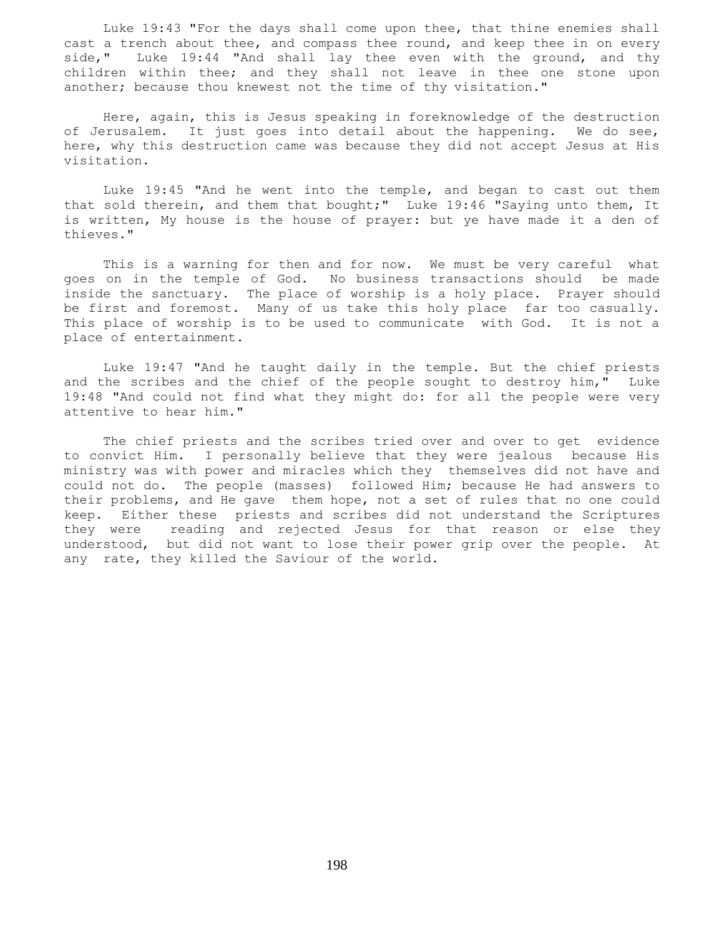Luke 19:43 "For the days shall come upon thee, that thine enemies shall cast a trench about thee, and compass thee round, and keep thee in on every side," Luke 19:44 "And shall lay thee even with the ground, and thy children within thee; and they shall not leave in thee one stone upon another; because thou knewest not the time of thy visitation."

 Here, again, this is Jesus speaking in foreknowledge of the destruction of Jerusalem. It just goes into detail about the happening. We do see, here, why this destruction came was because they did not accept Jesus at His visitation.

 Luke 19:45 "And he went into the temple, and began to cast out them that sold therein, and them that bought;" Luke 19:46 "Saying unto them, It is written, My house is the house of prayer: but ye have made it a den of thieves."

 This is a warning for then and for now. We must be very careful what goes on in the temple of God. No business transactions should be made inside the sanctuary. The place of worship is a holy place. Prayer should be first and foremost. Many of us take this holy place far too casually. This place of worship is to be used to communicate with God. It is not a place of entertainment.

 Luke 19:47 "And he taught daily in the temple. But the chief priests and the scribes and the chief of the people sought to destroy him," Luke 19:48 "And could not find what they might do: for all the people were very attentive to hear him."

 The chief priests and the scribes tried over and over to get evidence to convict Him. I personally believe that they were jealous because His ministry was with power and miracles which they themselves did not have and could not do. The people (masses) followed Him; because He had answers to their problems, and He gave them hope, not a set of rules that no one could keep. Either these priests and scribes did not understand the Scriptures they were reading and rejected Jesus for that reason or else they understood, but did not want to lose their power grip over the people. At any rate, they killed the Saviour of the world.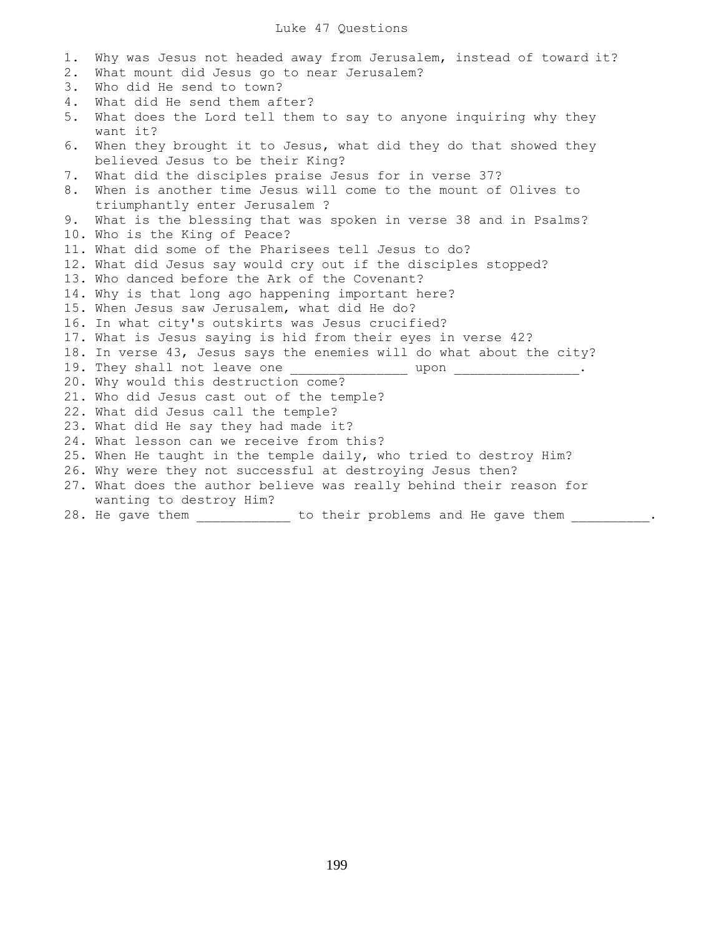| 1. | Why was Jesus not headed away from Jerusalem, instead of toward it?                                  |
|----|------------------------------------------------------------------------------------------------------|
| 2. | What mount did Jesus go to near Jerusalem?                                                           |
| 3. | Who did He send to town?                                                                             |
| 4. | What did He send them after?                                                                         |
| 5. | What does the Lord tell them to say to anyone inquiring why they<br>want it?                         |
|    |                                                                                                      |
| 6. | When they brought it to Jesus, what did they do that showed they<br>believed Jesus to be their King? |
| 7. | What did the disciples praise Jesus for in verse 37?                                                 |
| 8. | When is another time Jesus will come to the mount of Olives to                                       |
|    | triumphantly enter Jerusalem ?                                                                       |
| 9. | What is the blessing that was spoken in verse 38 and in Psalms?                                      |
|    | 10. Who is the King of Peace?                                                                        |
|    | 11. What did some of the Pharisees tell Jesus to do?                                                 |
|    | 12. What did Jesus say would cry out if the disciples stopped?                                       |
|    | 13. Who danced before the Ark of the Covenant?                                                       |
|    | 14. Why is that long ago happening important here?                                                   |
|    | 15. When Jesus saw Jerusalem, what did He do?                                                        |
|    | 16. In what city's outskirts was Jesus crucified?                                                    |
|    | 17. What is Jesus saying is hid from their eyes in verse 42?                                         |
|    | 18. In verse 43, Jesus says the enemies will do what about the city?                                 |
|    |                                                                                                      |
|    | 20. Why would this destruction come?                                                                 |
|    | 21. Who did Jesus cast out of the temple?                                                            |
|    | 22. What did Jesus call the temple?                                                                  |
|    | 23. What did He say they had made it?                                                                |
|    | 24. What lesson can we receive from this?                                                            |
|    | 25. When He taught in the temple daily, who tried to destroy Him?                                    |
|    | 26. Why were they not successful at destroying Jesus then?                                           |
|    | 27. What does the author believe was really behind their reason for                                  |
|    | wanting to destroy Him?                                                                              |
|    | 28. He gave them<br>to their problems and He gave them                                               |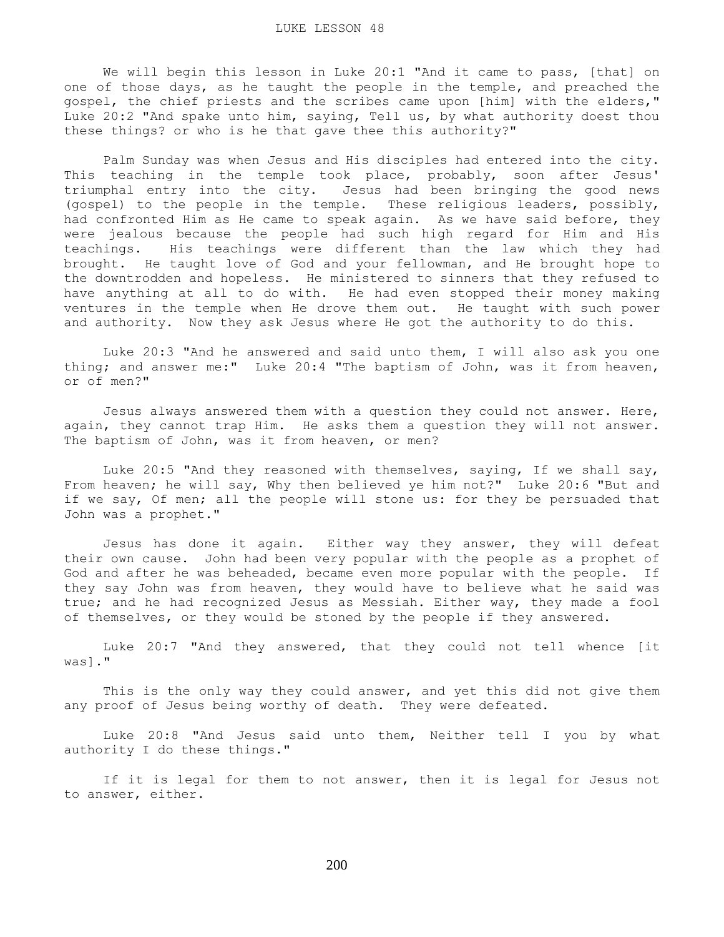We will begin this lesson in Luke 20:1 "And it came to pass, [that] on one of those days, as he taught the people in the temple, and preached the gospel, the chief priests and the scribes came upon [him] with the elders," Luke 20:2 "And spake unto him, saying, Tell us, by what authority doest thou these things? or who is he that gave thee this authority?"

 Palm Sunday was when Jesus and His disciples had entered into the city. This teaching in the temple took place, probably, soon after Jesus' triumphal entry into the city. Jesus had been bringing the good news (gospel) to the people in the temple. These religious leaders, possibly, had confronted Him as He came to speak again. As we have said before, they were jealous because the people had such high regard for Him and His teachings. His teachings were different than the law which they had brought. He taught love of God and your fellowman, and He brought hope to the downtrodden and hopeless. He ministered to sinners that they refused to have anything at all to do with. He had even stopped their money making ventures in the temple when He drove them out. He taught with such power and authority. Now they ask Jesus where He got the authority to do this.

 Luke 20:3 "And he answered and said unto them, I will also ask you one thing; and answer me:" Luke 20:4 "The baptism of John, was it from heaven, or of men?"

 Jesus always answered them with a question they could not answer. Here, again, they cannot trap Him. He asks them a question they will not answer. The baptism of John, was it from heaven, or men?

 Luke 20:5 "And they reasoned with themselves, saying, If we shall say, From heaven; he will say, Why then believed ye him not?" Luke 20:6 "But and if we say, Of men; all the people will stone us: for they be persuaded that John was a prophet."

 Jesus has done it again. Either way they answer, they will defeat their own cause. John had been very popular with the people as a prophet of God and after he was beheaded, became even more popular with the people. If they say John was from heaven, they would have to believe what he said was true; and he had recognized Jesus as Messiah. Either way, they made a fool of themselves, or they would be stoned by the people if they answered.

 Luke 20:7 "And they answered, that they could not tell whence [it was]."

 This is the only way they could answer, and yet this did not give them any proof of Jesus being worthy of death. They were defeated.

 Luke 20:8 "And Jesus said unto them, Neither tell I you by what authority I do these things."

If it is legal for them to not answer, then it is legal for Jesus not to answer, either.

200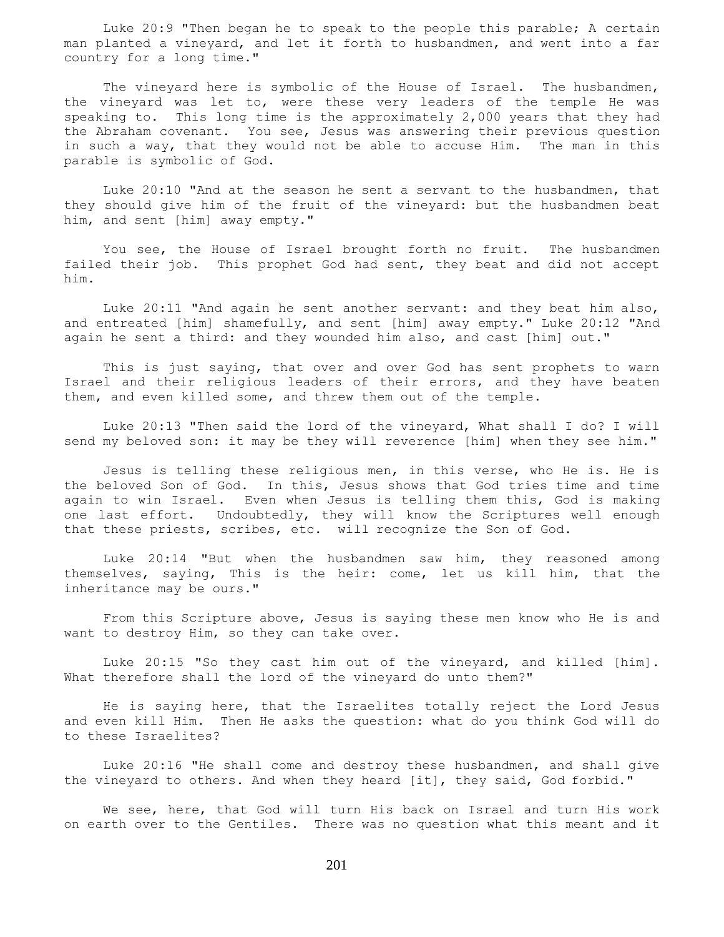Luke 20:9 "Then began he to speak to the people this parable; A certain man planted a vineyard, and let it forth to husbandmen, and went into a far country for a long time."

The vineyard here is symbolic of the House of Israel. The husbandmen, the vineyard was let to, were these very leaders of the temple He was speaking to. This long time is the approximately 2,000 years that they had the Abraham covenant. You see, Jesus was answering their previous question in such a way, that they would not be able to accuse Him. The man in this parable is symbolic of God.

 Luke 20:10 "And at the season he sent a servant to the husbandmen, that they should give him of the fruit of the vineyard: but the husbandmen beat him, and sent [him] away empty."

 You see, the House of Israel brought forth no fruit. The husbandmen failed their job. This prophet God had sent, they beat and did not accept him.

 Luke 20:11 "And again he sent another servant: and they beat him also, and entreated [him] shamefully, and sent [him] away empty." Luke 20:12 "And again he sent a third: and they wounded him also, and cast [him] out."

 This is just saying, that over and over God has sent prophets to warn Israel and their religious leaders of their errors, and they have beaten them, and even killed some, and threw them out of the temple.

 Luke 20:13 "Then said the lord of the vineyard, What shall I do? I will send my beloved son: it may be they will reverence [him] when they see him."

 Jesus is telling these religious men, in this verse, who He is. He is the beloved Son of God. In this, Jesus shows that God tries time and time again to win Israel. Even when Jesus is telling them this, God is making one last effort. Undoubtedly, they will know the Scriptures well enough that these priests, scribes, etc. will recognize the Son of God.

 Luke 20:14 "But when the husbandmen saw him, they reasoned among themselves, saying, This is the heir: come, let us kill him, that the inheritance may be ours."

 From this Scripture above, Jesus is saying these men know who He is and want to destroy Him, so they can take over.

 Luke 20:15 "So they cast him out of the vineyard, and killed [him]. What therefore shall the lord of the vineyard do unto them?"

 He is saying here, that the Israelites totally reject the Lord Jesus and even kill Him. Then He asks the question: what do you think God will do to these Israelites?

 Luke 20:16 "He shall come and destroy these husbandmen, and shall give the vineyard to others. And when they heard [it], they said, God forbid."

 We see, here, that God will turn His back on Israel and turn His work on earth over to the Gentiles. There was no question what this meant and it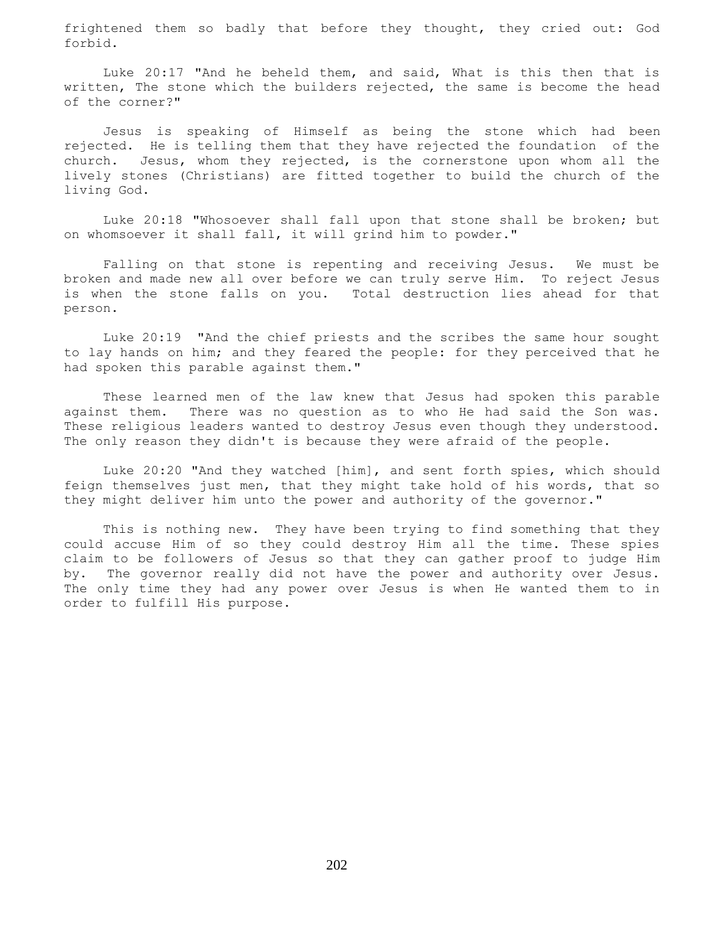frightened them so badly that before they thought, they cried out: God forbid.

 Luke 20:17 "And he beheld them, and said, What is this then that is written, The stone which the builders rejected, the same is become the head of the corner?"

 Jesus is speaking of Himself as being the stone which had been rejected. He is telling them that they have rejected the foundation of the church. Jesus, whom they rejected, is the cornerstone upon whom all the lively stones (Christians) are fitted together to build the church of the living God.

 Luke 20:18 "Whosoever shall fall upon that stone shall be broken; but on whomsoever it shall fall, it will grind him to powder."

 Falling on that stone is repenting and receiving Jesus. We must be broken and made new all over before we can truly serve Him. To reject Jesus is when the stone falls on you. Total destruction lies ahead for that person.

 Luke 20:19 "And the chief priests and the scribes the same hour sought to lay hands on him; and they feared the people: for they perceived that he had spoken this parable against them."

 These learned men of the law knew that Jesus had spoken this parable against them. There was no question as to who He had said the Son was. These religious leaders wanted to destroy Jesus even though they understood. The only reason they didn't is because they were afraid of the people.

 Luke 20:20 "And they watched [him], and sent forth spies, which should feign themselves just men, that they might take hold of his words, that so they might deliver him unto the power and authority of the governor."

 This is nothing new. They have been trying to find something that they could accuse Him of so they could destroy Him all the time. These spies claim to be followers of Jesus so that they can gather proof to judge Him by. The governor really did not have the power and authority over Jesus. The only time they had any power over Jesus is when He wanted them to in order to fulfill His purpose.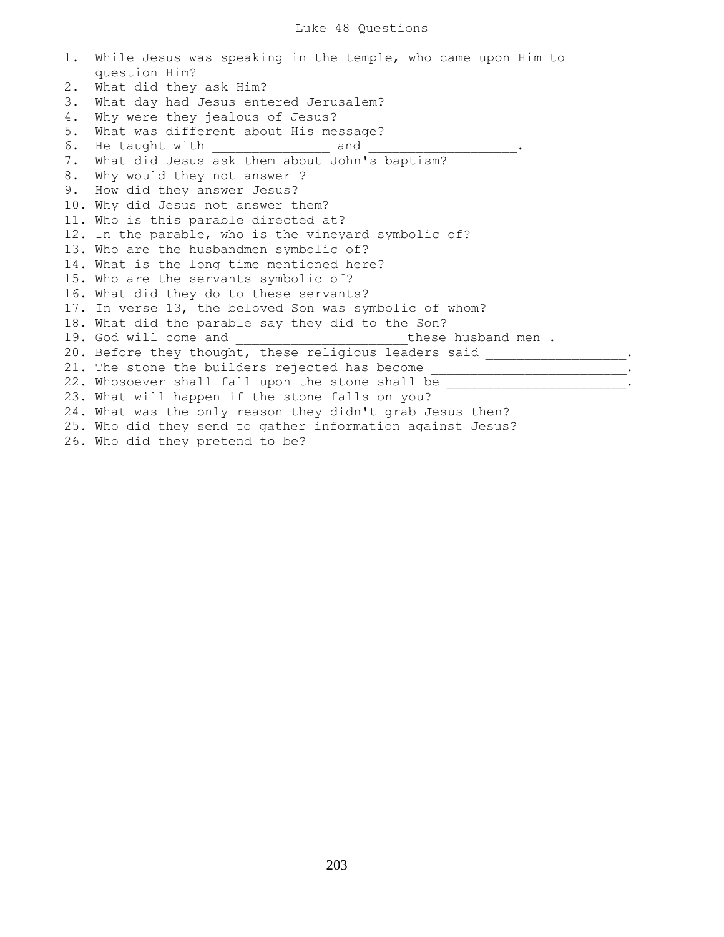1. While Jesus was speaking in the temple, who came upon Him to question Him? 2. What did they ask Him? 3. What day had Jesus entered Jerusalem? 4. Why were they jealous of Jesus? 5. What was different about His message? 6. He taught with  $\qquad \qquad \qquad$  and 7. What did Jesus ask them about John's baptism? 8. Why would they not answer ? 9. How did they answer Jesus? 10. Why did Jesus not answer them? 11. Who is this parable directed at? 12. In the parable, who is the vineyard symbolic of? 13. Who are the husbandmen symbolic of? 14. What is the long time mentioned here? 15. Who are the servants symbolic of? 16. What did they do to these servants? 17. In verse 13, the beloved Son was symbolic of whom? 18. What did the parable say they did to the Son? 19. God will come and  $\Box$  these husband men . 20. Before they thought, these religious leaders said \_\_\_\_\_\_\_\_\_\_\_\_\_\_\_\_\_\_. 21. The stone the builders rejected has become \_\_\_\_\_\_\_\_\_\_\_\_\_\_\_\_\_\_\_\_\_\_\_\_\_\_\_\_\_\_. 22. Whosoever shall fall upon the stone shall be \_\_\_\_\_\_\_\_\_\_\_\_\_\_\_\_\_\_\_\_\_\_\_\_\_\_\_\_\_\_\_ 23. What will happen if the stone falls on you? 24. What was the only reason they didn't grab Jesus then? 25. Who did they send to gather information against Jesus? 26. Who did they pretend to be?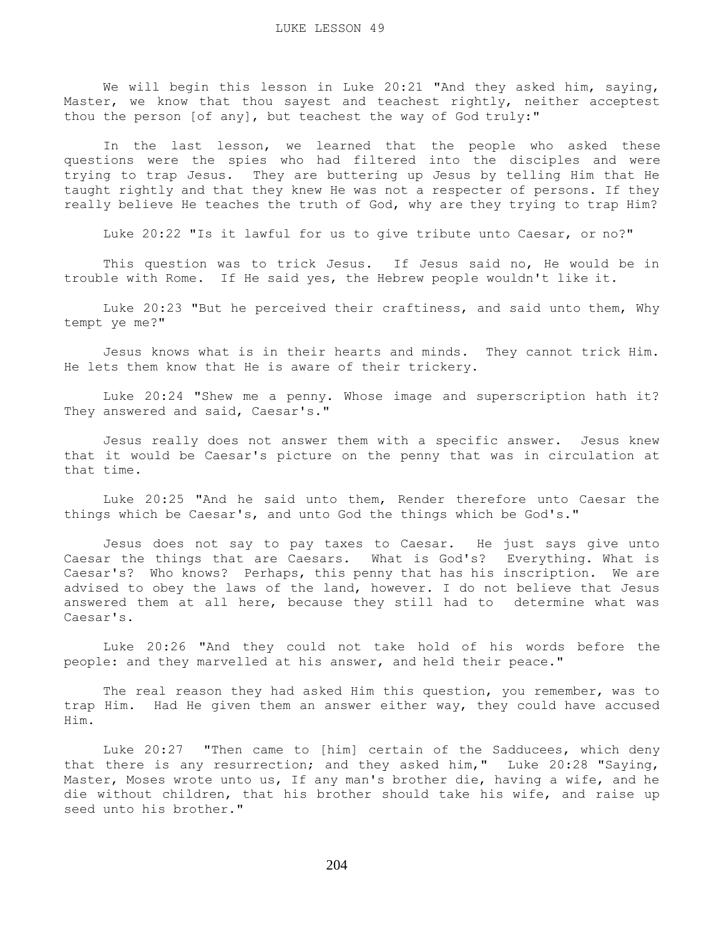We will begin this lesson in Luke 20:21 "And they asked him, saying, Master, we know that thou sayest and teachest rightly, neither acceptest thou the person [of any], but teachest the way of God truly:"

 In the last lesson, we learned that the people who asked these questions were the spies who had filtered into the disciples and were trying to trap Jesus. They are buttering up Jesus by telling Him that He taught rightly and that they knew He was not a respecter of persons. If they really believe He teaches the truth of God, why are they trying to trap Him?

Luke 20:22 "Is it lawful for us to give tribute unto Caesar, or no?"

 This question was to trick Jesus. If Jesus said no, He would be in trouble with Rome. If He said yes, the Hebrew people wouldn't like it.

 Luke 20:23 "But he perceived their craftiness, and said unto them, Why tempt ye me?"

 Jesus knows what is in their hearts and minds. They cannot trick Him. He lets them know that He is aware of their trickery.

 Luke 20:24 "Shew me a penny. Whose image and superscription hath it? They answered and said, Caesar's."

 Jesus really does not answer them with a specific answer. Jesus knew that it would be Caesar's picture on the penny that was in circulation at that time.

 Luke 20:25 "And he said unto them, Render therefore unto Caesar the things which be Caesar's, and unto God the things which be God's."

 Jesus does not say to pay taxes to Caesar. He just says give unto Caesar the things that are Caesars. What is God's? Everything. What is Caesar's? Who knows? Perhaps, this penny that has his inscription. We are advised to obey the laws of the land, however. I do not believe that Jesus answered them at all here, because they still had to determine what was Caesar's.

 Luke 20:26 "And they could not take hold of his words before the people: and they marvelled at his answer, and held their peace."

 The real reason they had asked Him this question, you remember, was to trap Him. Had He given them an answer either way, they could have accused Him.

 Luke 20:27 "Then came to [him] certain of the Sadducees, which deny that there is any resurrection; and they asked him," Luke 20:28 "Saying, Master, Moses wrote unto us, If any man's brother die, having a wife, and he die without children, that his brother should take his wife, and raise up seed unto his brother."

204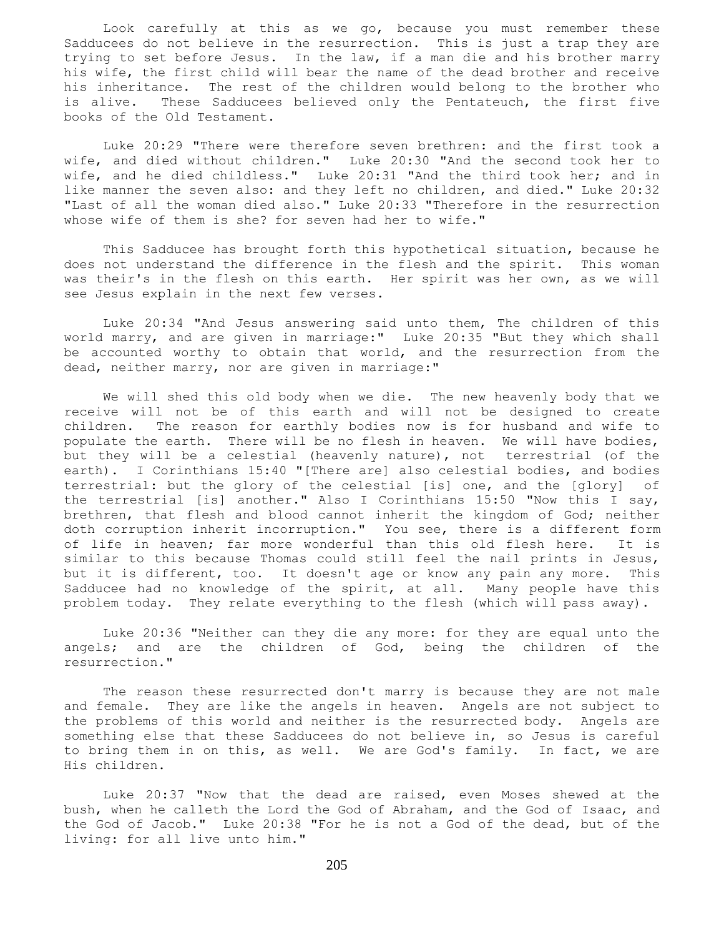Look carefully at this as we go, because you must remember these Sadducees do not believe in the resurrection. This is just a trap they are trying to set before Jesus. In the law, if a man die and his brother marry his wife, the first child will bear the name of the dead brother and receive his inheritance. The rest of the children would belong to the brother who is alive. These Sadducees believed only the Pentateuch, the first five books of the Old Testament.

 Luke 20:29 "There were therefore seven brethren: and the first took a wife, and died without children." Luke 20:30 "And the second took her to wife, and he died childless." Luke 20:31 "And the third took her; and in like manner the seven also: and they left no children, and died." Luke 20:32 "Last of all the woman died also." Luke 20:33 "Therefore in the resurrection whose wife of them is she? for seven had her to wife."

 This Sadducee has brought forth this hypothetical situation, because he does not understand the difference in the flesh and the spirit. This woman was their's in the flesh on this earth. Her spirit was her own, as we will see Jesus explain in the next few verses.

 Luke 20:34 "And Jesus answering said unto them, The children of this world marry, and are given in marriage:" Luke 20:35 "But they which shall be accounted worthy to obtain that world, and the resurrection from the dead, neither marry, nor are given in marriage:"

 We will shed this old body when we die. The new heavenly body that we receive will not be of this earth and will not be designed to create children. The reason for earthly bodies now is for husband and wife to populate the earth. There will be no flesh in heaven. We will have bodies, but they will be a celestial (heavenly nature), not terrestrial (of the earth). I Corinthians 15:40 "[There are] also celestial bodies, and bodies terrestrial: but the glory of the celestial [is] one, and the [glory] of the terrestrial [is] another." Also I Corinthians 15:50 "Now this I say, brethren, that flesh and blood cannot inherit the kingdom of God; neither doth corruption inherit incorruption." You see, there is a different form of life in heaven; far more wonderful than this old flesh here. It is similar to this because Thomas could still feel the nail prints in Jesus, but it is different, too. It doesn't age or know any pain any more. This Sadducee had no knowledge of the spirit, at all. Many people have this problem today. They relate everything to the flesh (which will pass away).

 Luke 20:36 "Neither can they die any more: for they are equal unto the angels; and are the children of God, being the children of the resurrection."

 The reason these resurrected don't marry is because they are not male and female. They are like the angels in heaven. Angels are not subject to the problems of this world and neither is the resurrected body. Angels are something else that these Sadducees do not believe in, so Jesus is careful to bring them in on this, as well. We are God's family. In fact, we are His children.

 Luke 20:37 "Now that the dead are raised, even Moses shewed at the bush, when he calleth the Lord the God of Abraham, and the God of Isaac, and the God of Jacob." Luke 20:38 "For he is not a God of the dead, but of the living: for all live unto him."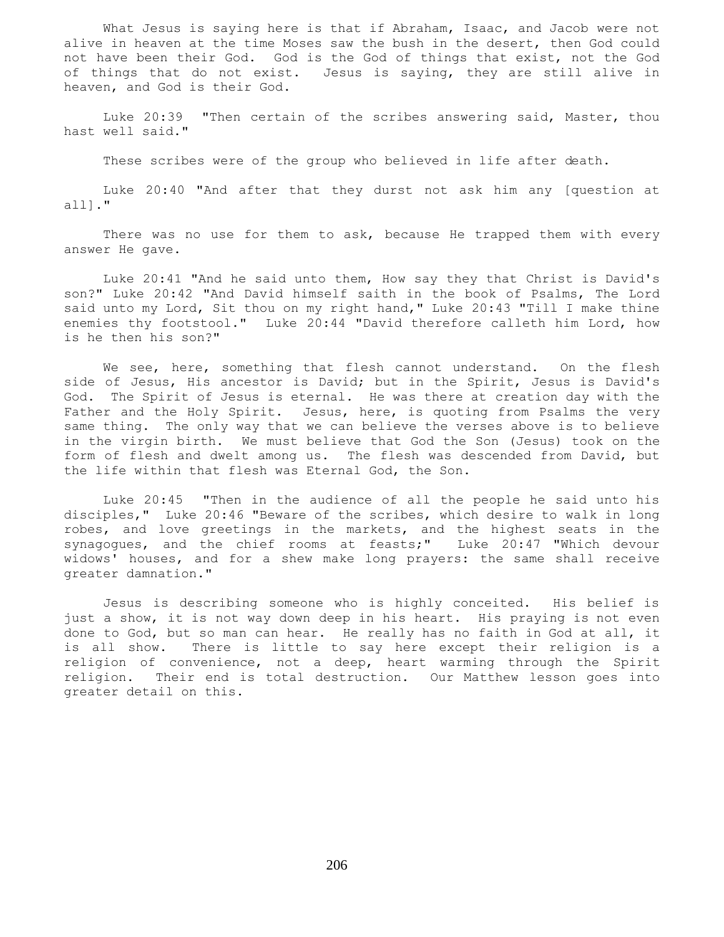What Jesus is saying here is that if Abraham, Isaac, and Jacob were not alive in heaven at the time Moses saw the bush in the desert, then God could not have been their God. God is the God of things that exist, not the God of things that do not exist. Jesus is saying, they are still alive in heaven, and God is their God.

 Luke 20:39 "Then certain of the scribes answering said, Master, thou hast well said."

These scribes were of the group who believed in life after death.

 Luke 20:40 "And after that they durst not ask him any [question at all]."

There was no use for them to ask, because He trapped them with every answer He gave.

 Luke 20:41 "And he said unto them, How say they that Christ is David's son?" Luke 20:42 "And David himself saith in the book of Psalms, The Lord said unto my Lord, Sit thou on my right hand," Luke 20:43 "Till I make thine enemies thy footstool." Luke 20:44 "David therefore calleth him Lord, how is he then his son?"

We see, here, something that flesh cannot understand. On the flesh side of Jesus, His ancestor is David; but in the Spirit, Jesus is David's God. The Spirit of Jesus is eternal. He was there at creation day with the Father and the Holy Spirit. Jesus, here, is quoting from Psalms the very same thing. The only way that we can believe the verses above is to believe in the virgin birth. We must believe that God the Son (Jesus) took on the form of flesh and dwelt among us. The flesh was descended from David, but the life within that flesh was Eternal God, the Son.

 Luke 20:45 "Then in the audience of all the people he said unto his disciples," Luke 20:46 "Beware of the scribes, which desire to walk in long robes, and love greetings in the markets, and the highest seats in the synagogues, and the chief rooms at feasts;" Luke 20:47 "Which devour widows' houses, and for a shew make long prayers: the same shall receive greater damnation."

 Jesus is describing someone who is highly conceited. His belief is just a show, it is not way down deep in his heart. His praying is not even done to God, but so man can hear. He really has no faith in God at all, it is all show. There is little to say here except their religion is a religion of convenience, not a deep, heart warming through the Spirit religion. Their end is total destruction. Our Matthew lesson goes into greater detail on this.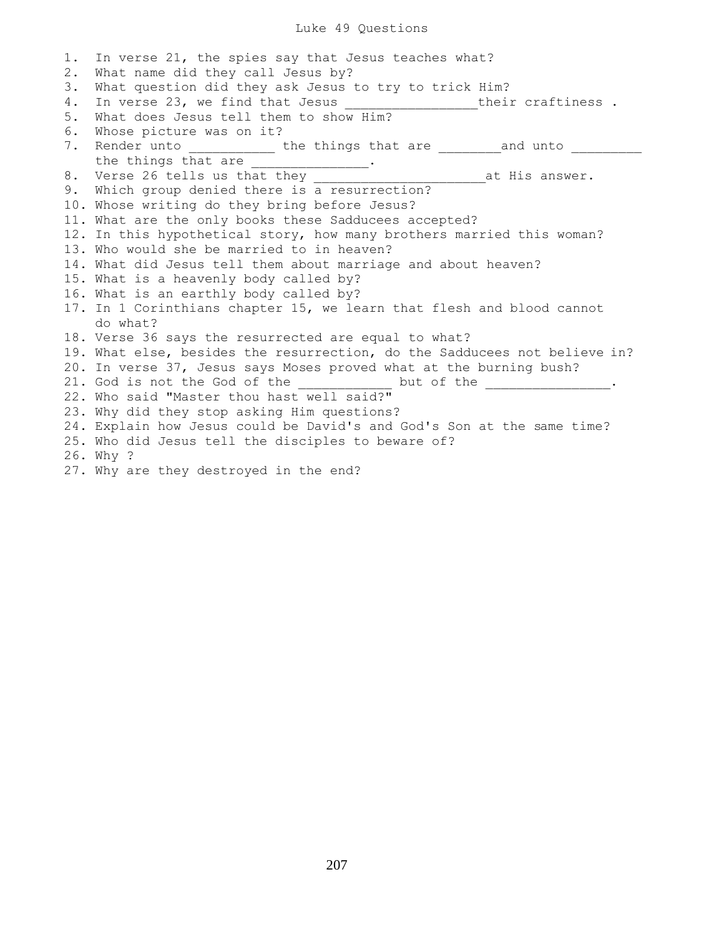## Luke 49 Questions

1. In verse 21, the spies say that Jesus teaches what? 2. What name did they call Jesus by? 3. What question did they ask Jesus to try to trick Him? 4. In verse 23, we find that Jesus \_\_\_\_\_\_\_\_\_\_\_\_\_\_\_\_\_\_\_their craftiness. 5. What does Jesus tell them to show Him? 6. Whose picture was on it? 7. Render unto \_\_\_\_\_\_\_\_\_\_\_ the things that are \_\_\_\_\_\_\_\_ and unto \_\_\_\_\_\_\_\_ the things that are \_\_\_\_\_\_\_\_\_\_\_\_\_\_\_. 8. Verse 26 tells us that they \_\_\_\_\_\_\_\_\_\_\_\_\_\_\_\_\_\_\_\_\_\_\_\_\_\_\_\_\_\_at His answer. 9. Which group denied there is a resurrection? 10. Whose writing do they bring before Jesus? 11. What are the only books these Sadducees accepted? 12. In this hypothetical story, how many brothers married this woman? 13. Who would she be married to in heaven? 14. What did Jesus tell them about marriage and about heaven? 15. What is a heavenly body called by? 16. What is an earthly body called by? 17. In 1 Corinthians chapter 15, we learn that flesh and blood cannot do what? 18. Verse 36 says the resurrected are equal to what? 19. What else, besides the resurrection, do the Sadducees not believe in? 20. In verse 37, Jesus says Moses proved what at the burning bush? 21. God is not the God of the \_\_\_\_\_\_\_\_\_\_\_\_\_ but of the \_ 22. Who said "Master thou hast well said?" 23. Why did they stop asking Him questions? 24. Explain how Jesus could be David's and God's Son at the same time? 25. Who did Jesus tell the disciples to beware of? 26. Why ? 27. Why are they destroyed in the end?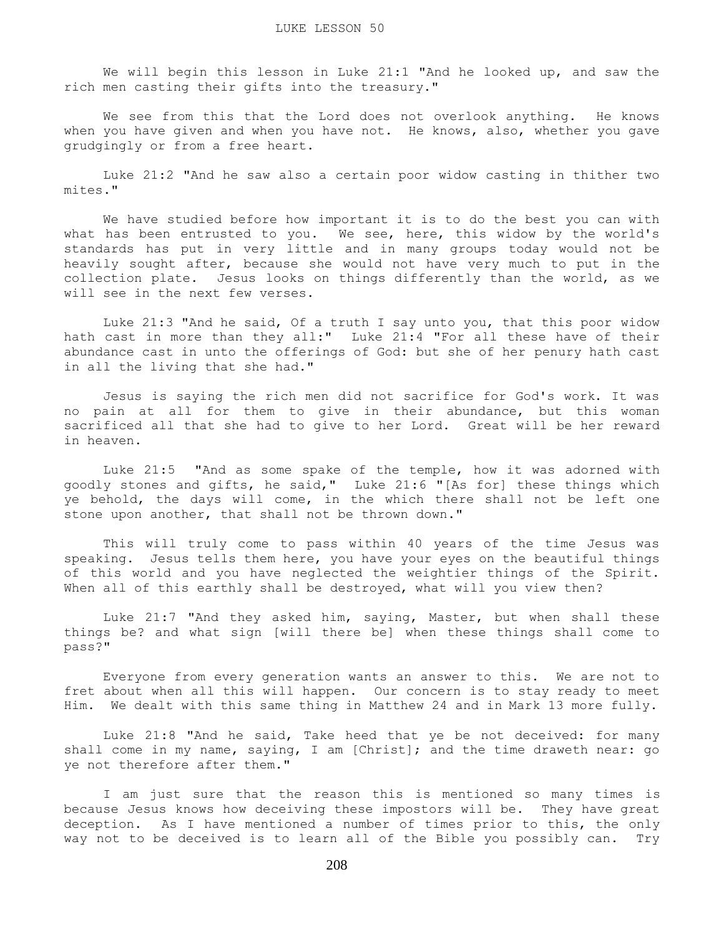We will begin this lesson in Luke 21:1 "And he looked up, and saw the rich men casting their gifts into the treasury."

 We see from this that the Lord does not overlook anything. He knows when you have given and when you have not. He knows, also, whether you gave grudgingly or from a free heart.

 Luke 21:2 "And he saw also a certain poor widow casting in thither two mites."

 We have studied before how important it is to do the best you can with what has been entrusted to you. We see, here, this widow by the world's standards has put in very little and in many groups today would not be heavily sought after, because she would not have very much to put in the collection plate. Jesus looks on things differently than the world, as we will see in the next few verses.

 Luke 21:3 "And he said, Of a truth I say unto you, that this poor widow hath cast in more than they all:" Luke 21:4 "For all these have of their abundance cast in unto the offerings of God: but she of her penury hath cast in all the living that she had."

 Jesus is saying the rich men did not sacrifice for God's work. It was no pain at all for them to give in their abundance, but this woman sacrificed all that she had to give to her Lord. Great will be her reward in heaven.

 Luke 21:5 "And as some spake of the temple, how it was adorned with goodly stones and gifts, he said," Luke 21:6 "[As for] these things which ye behold, the days will come, in the which there shall not be left one stone upon another, that shall not be thrown down."

 This will truly come to pass within 40 years of the time Jesus was speaking. Jesus tells them here, you have your eyes on the beautiful things of this world and you have neglected the weightier things of the Spirit. When all of this earthly shall be destroyed, what will you view then?

 Luke 21:7 "And they asked him, saying, Master, but when shall these things be? and what sign [will there be] when these things shall come to pass?"

 Everyone from every generation wants an answer to this. We are not to fret about when all this will happen. Our concern is to stay ready to meet Him. We dealt with this same thing in Matthew 24 and in Mark 13 more fully.

 Luke 21:8 "And he said, Take heed that ye be not deceived: for many shall come in my name, saying, I am [Christ]; and the time draweth near: go ye not therefore after them."

 I am just sure that the reason this is mentioned so many times is because Jesus knows how deceiving these impostors will be. They have great deception. As I have mentioned a number of times prior to this, the only way not to be deceived is to learn all of the Bible you possibly can. Try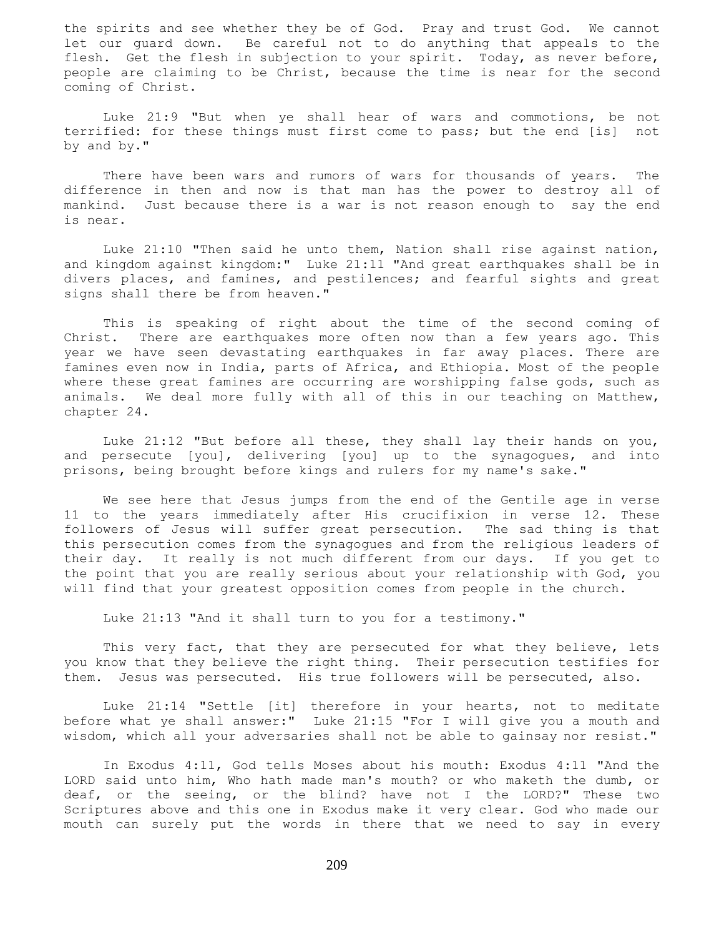the spirits and see whether they be of God. Pray and trust God. We cannot let our guard down. Be careful not to do anything that appeals to the flesh. Get the flesh in subjection to your spirit. Today, as never before, people are claiming to be Christ, because the time is near for the second coming of Christ.

 Luke 21:9 "But when ye shall hear of wars and commotions, be not terrified: for these things must first come to pass; but the end [is] not by and by."

 There have been wars and rumors of wars for thousands of years. The difference in then and now is that man has the power to destroy all of mankind. Just because there is a war is not reason enough to say the end is near.

 Luke 21:10 "Then said he unto them, Nation shall rise against nation, and kingdom against kingdom:" Luke 21:11 "And great earthquakes shall be in divers places, and famines, and pestilences; and fearful sights and great signs shall there be from heaven."

 This is speaking of right about the time of the second coming of Christ. There are earthquakes more often now than a few years ago. This year we have seen devastating earthquakes in far away places. There are famines even now in India, parts of Africa, and Ethiopia. Most of the people where these great famines are occurring are worshipping false gods, such as animals. We deal more fully with all of this in our teaching on Matthew, chapter 24.

 Luke 21:12 "But before all these, they shall lay their hands on you, and persecute [you], delivering [you] up to the synagogues, and into prisons, being brought before kings and rulers for my name's sake."

 We see here that Jesus jumps from the end of the Gentile age in verse 11 to the years immediately after His crucifixion in verse 12. These followers of Jesus will suffer great persecution. The sad thing is that this persecution comes from the synagogues and from the religious leaders of their day. It really is not much different from our days. If you get to the point that you are really serious about your relationship with God, you will find that your greatest opposition comes from people in the church.

Luke 21:13 "And it shall turn to you for a testimony."

This very fact, that they are persecuted for what they believe, lets you know that they believe the right thing. Their persecution testifies for them. Jesus was persecuted. His true followers will be persecuted, also.

 Luke 21:14 "Settle [it] therefore in your hearts, not to meditate before what ye shall answer:" Luke 21:15 "For I will give you a mouth and wisdom, which all your adversaries shall not be able to gainsay nor resist."

 In Exodus 4:11, God tells Moses about his mouth: Exodus 4:11 "And the LORD said unto him, Who hath made man's mouth? or who maketh the dumb, or deaf, or the seeing, or the blind? have not I the LORD?" These two Scriptures above and this one in Exodus make it very clear. God who made our mouth can surely put the words in there that we need to say in every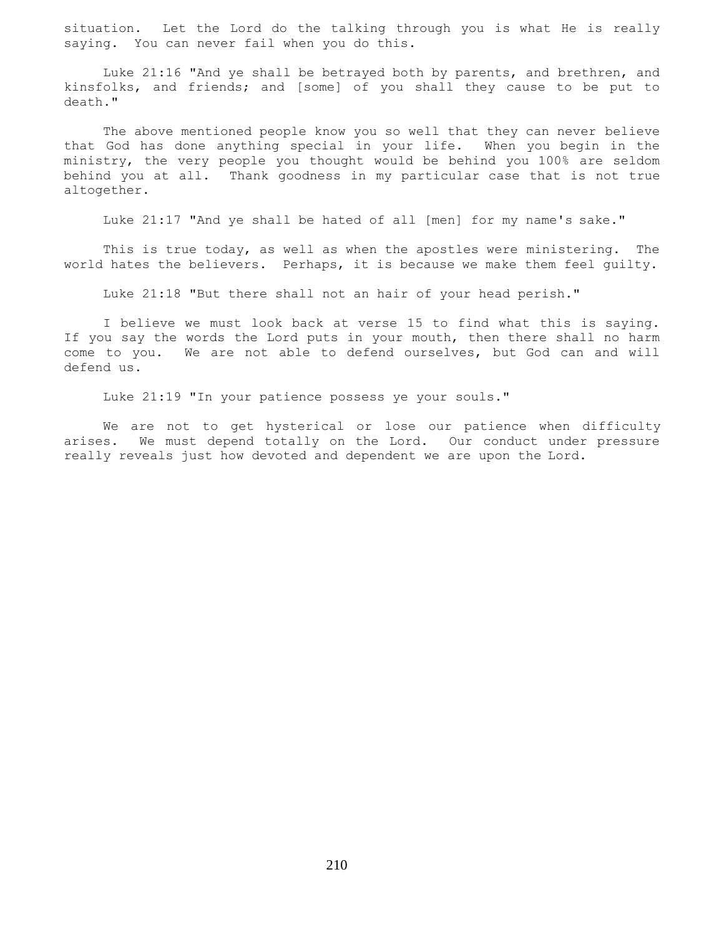situation. Let the Lord do the talking through you is what He is really saying. You can never fail when you do this.

 Luke 21:16 "And ye shall be betrayed both by parents, and brethren, and kinsfolks, and friends; and [some] of you shall they cause to be put to death."

 The above mentioned people know you so well that they can never believe that God has done anything special in your life. When you begin in the ministry, the very people you thought would be behind you 100% are seldom behind you at all. Thank goodness in my particular case that is not true altogether.

Luke 21:17 "And ye shall be hated of all [men] for my name's sake."

 This is true today, as well as when the apostles were ministering. The world hates the believers. Perhaps, it is because we make them feel guilty.

Luke 21:18 "But there shall not an hair of your head perish."

 I believe we must look back at verse 15 to find what this is saying. If you say the words the Lord puts in your mouth, then there shall no harm come to you. We are not able to defend ourselves, but God can and will defend us.

Luke 21:19 "In your patience possess ye your souls."

 We are not to get hysterical or lose our patience when difficulty arises. We must depend totally on the Lord. Our conduct under pressure really reveals just how devoted and dependent we are upon the Lord.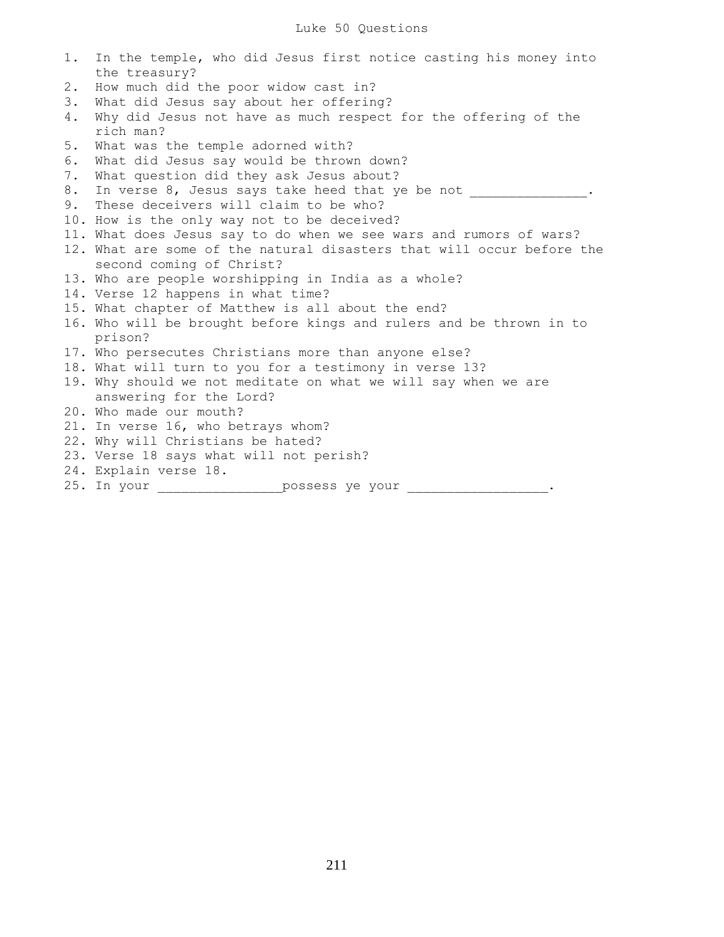| 1. | In the temple, who did Jesus first notice casting his money into      |
|----|-----------------------------------------------------------------------|
|    | the treasury?                                                         |
| 2. | How much did the poor widow cast in?                                  |
| 3. | What did Jesus say about her offering?                                |
| 4. | Why did Jesus not have as much respect for the offering of the        |
|    | rich man?                                                             |
| 5. | What was the temple adorned with?                                     |
| 6. | What did Jesus say would be thrown down?                              |
| 7. | What question did they ask Jesus about?                               |
| 8. | In verse 8, Jesus says take heed that ye be not                       |
| 9. | These deceivers will claim to be who?                                 |
|    | 10. How is the only way not to be deceived?                           |
|    | 11. What does Jesus say to do when we see wars and rumors of wars?    |
|    | 12. What are some of the natural disasters that will occur before the |
|    | second coming of Christ?                                              |
|    | 13. Who are people worshipping in India as a whole?                   |
|    | 14. Verse 12 happens in what time?                                    |
|    | 15. What chapter of Matthew is all about the end?                     |
|    | 16. Who will be brought before kings and rulers and be thrown in to   |
|    | prison?                                                               |
|    | 17. Who persecutes Christians more than anyone else?                  |
|    | 18. What will turn to you for a testimony in verse 13?                |
|    | 19. Why should we not meditate on what we will say when we are        |
|    | answering for the Lord?                                               |
|    | 20. Who made our mouth?                                               |
|    | 21. In verse 16, who betrays whom?                                    |
|    | 22. Why will Christians be hated?                                     |
|    | 23. Verse 18 says what will not perish?                               |
|    |                                                                       |

- 24. Explain verse 18.
- 25. In your **example 25.** In your **can be seen as a possess ye your** .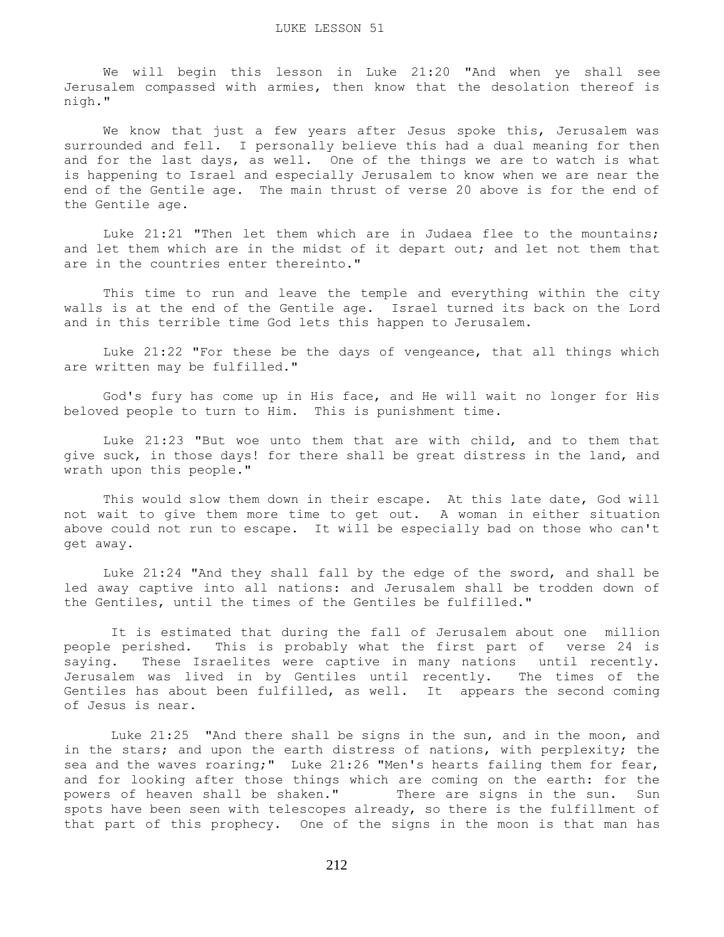We will begin this lesson in Luke 21:20 "And when ye shall see Jerusalem compassed with armies, then know that the desolation thereof is nigh."

We know that just a few years after Jesus spoke this, Jerusalem was surrounded and fell. I personally believe this had a dual meaning for then and for the last days, as well. One of the things we are to watch is what is happening to Israel and especially Jerusalem to know when we are near the end of the Gentile age. The main thrust of verse 20 above is for the end of the Gentile age.

 Luke 21:21 "Then let them which are in Judaea flee to the mountains; and let them which are in the midst of it depart out; and let not them that are in the countries enter thereinto."

 This time to run and leave the temple and everything within the city walls is at the end of the Gentile age. Israel turned its back on the Lord and in this terrible time God lets this happen to Jerusalem.

 Luke 21:22 "For these be the days of vengeance, that all things which are written may be fulfilled."

 God's fury has come up in His face, and He will wait no longer for His beloved people to turn to Him. This is punishment time.

 Luke 21:23 "But woe unto them that are with child, and to them that give suck, in those days! for there shall be great distress in the land, and wrath upon this people."

 This would slow them down in their escape. At this late date, God will not wait to give them more time to get out. A woman in either situation above could not run to escape. It will be especially bad on those who can't get away.

 Luke 21:24 "And they shall fall by the edge of the sword, and shall be led away captive into all nations: and Jerusalem shall be trodden down of the Gentiles, until the times of the Gentiles be fulfilled."

 It is estimated that during the fall of Jerusalem about one million people perished. This is probably what the first part of verse 24 is saying. These Israelites were captive in many nations until recently. Jerusalem was lived in by Gentiles until recently. The times of the Gentiles has about been fulfilled, as well. It appears the second coming of Jesus is near.

 Luke 21:25 "And there shall be signs in the sun, and in the moon, and in the stars; and upon the earth distress of nations, with perplexity; the sea and the waves roaring;" Luke 21:26 "Men's hearts failing them for fear, and for looking after those things which are coming on the earth: for the powers of heaven shall be shaken." There are signs in the sun. Sun spots have been seen with telescopes already, so there is the fulfillment of that part of this prophecy. One of the signs in the moon is that man has

212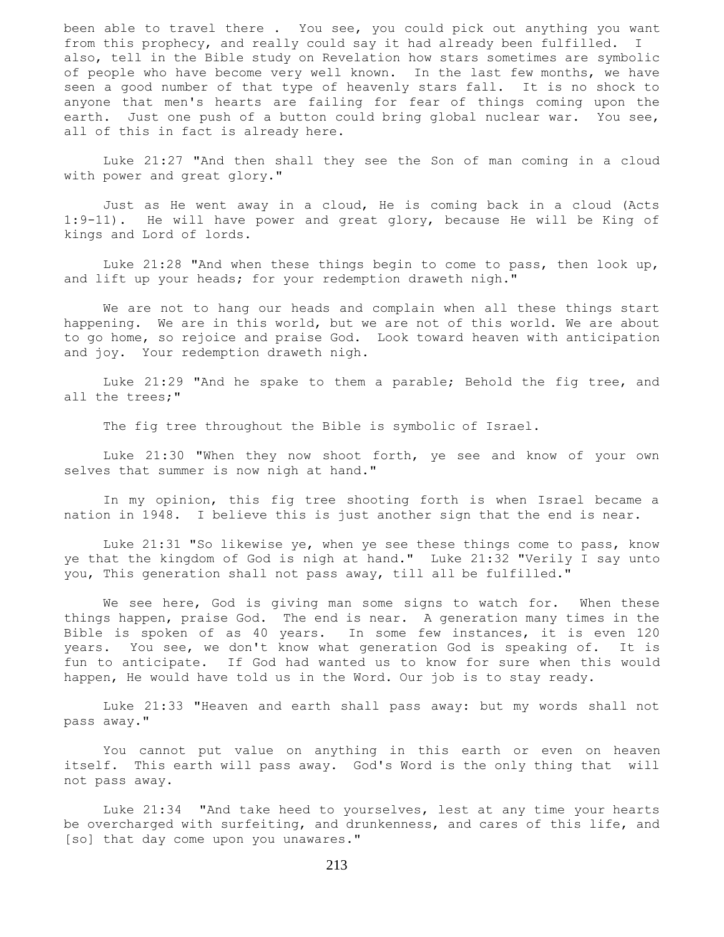been able to travel there . You see, you could pick out anything you want from this prophecy, and really could say it had already been fulfilled. I also, tell in the Bible study on Revelation how stars sometimes are symbolic of people who have become very well known. In the last few months, we have seen a good number of that type of heavenly stars fall. It is no shock to anyone that men's hearts are failing for fear of things coming upon the earth. Just one push of a button could bring global nuclear war. You see, all of this in fact is already here.

 Luke 21:27 "And then shall they see the Son of man coming in a cloud with power and great glory."

 Just as He went away in a cloud, He is coming back in a cloud (Acts 1:9-11). He will have power and great glory, because He will be King of kings and Lord of lords.

 Luke 21:28 "And when these things begin to come to pass, then look up, and lift up your heads; for your redemption draweth nigh."

 We are not to hang our heads and complain when all these things start happening. We are in this world, but we are not of this world. We are about to go home, so rejoice and praise God. Look toward heaven with anticipation and joy. Your redemption draweth nigh.

 Luke 21:29 "And he spake to them a parable; Behold the fig tree, and all the trees;"

The fig tree throughout the Bible is symbolic of Israel.

 Luke 21:30 "When they now shoot forth, ye see and know of your own selves that summer is now nigh at hand."

 In my opinion, this fig tree shooting forth is when Israel became a nation in 1948. I believe this is just another sign that the end is near.

 Luke 21:31 "So likewise ye, when ye see these things come to pass, know ye that the kingdom of God is nigh at hand." Luke 21:32 "Verily I say unto you, This generation shall not pass away, till all be fulfilled."

We see here, God is giving man some signs to watch for. When these things happen, praise God. The end is near. A generation many times in the Bible is spoken of as 40 years. In some few instances, it is even 120 years. You see, we don't know what generation God is speaking of. It is fun to anticipate. If God had wanted us to know for sure when this would happen, He would have told us in the Word. Our job is to stay ready.

 Luke 21:33 "Heaven and earth shall pass away: but my words shall not pass away."

 You cannot put value on anything in this earth or even on heaven itself. This earth will pass away. God's Word is the only thing that will not pass away.

 Luke 21:34 "And take heed to yourselves, lest at any time your hearts be overcharged with surfeiting, and drunkenness, and cares of this life, and [so] that day come upon you unawares."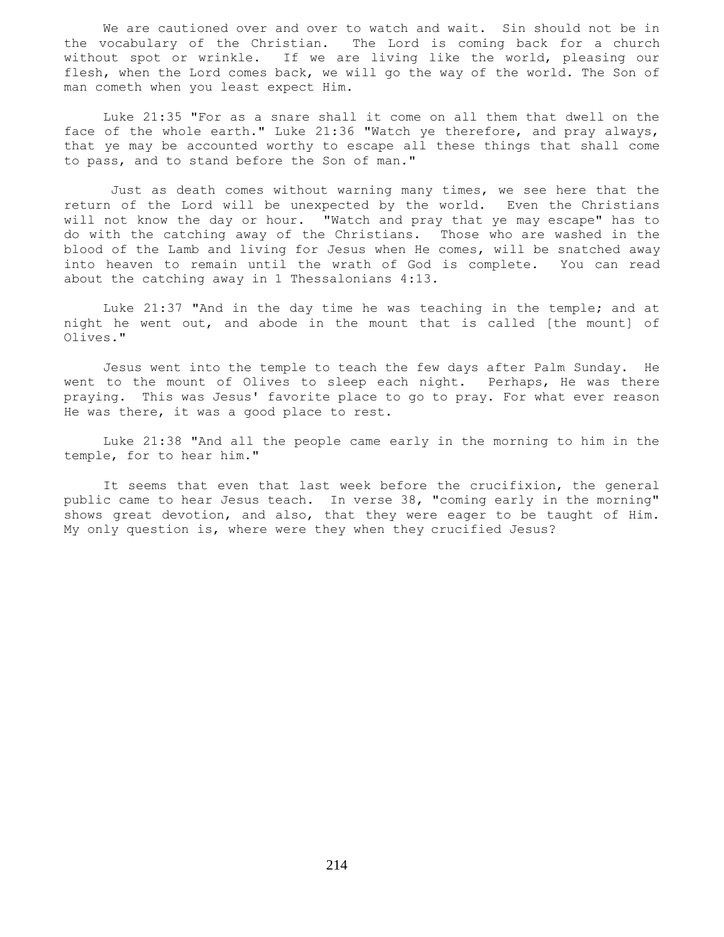We are cautioned over and over to watch and wait. Sin should not be in the vocabulary of the Christian. The Lord is coming back for a church without spot or wrinkle. If we are living like the world, pleasing our flesh, when the Lord comes back, we will go the way of the world. The Son of man cometh when you least expect Him.

 Luke 21:35 "For as a snare shall it come on all them that dwell on the face of the whole earth." Luke 21:36 "Watch ye therefore, and pray always, that ye may be accounted worthy to escape all these things that shall come to pass, and to stand before the Son of man."

 Just as death comes without warning many times, we see here that the return of the Lord will be unexpected by the world. Even the Christians will not know the day or hour. "Watch and pray that ye may escape" has to do with the catching away of the Christians. Those who are washed in the blood of the Lamb and living for Jesus when He comes, will be snatched away into heaven to remain until the wrath of God is complete. You can read about the catching away in 1 Thessalonians 4:13.

 Luke 21:37 "And in the day time he was teaching in the temple; and at night he went out, and abode in the mount that is called [the mount] of Olives."

 Jesus went into the temple to teach the few days after Palm Sunday. He went to the mount of Olives to sleep each night. Perhaps, He was there praying. This was Jesus' favorite place to go to pray. For what ever reason He was there, it was a good place to rest.

 Luke 21:38 "And all the people came early in the morning to him in the temple, for to hear him."

 It seems that even that last week before the crucifixion, the general public came to hear Jesus teach. In verse 38, "coming early in the morning" shows great devotion, and also, that they were eager to be taught of Him. My only question is, where were they when they crucified Jesus?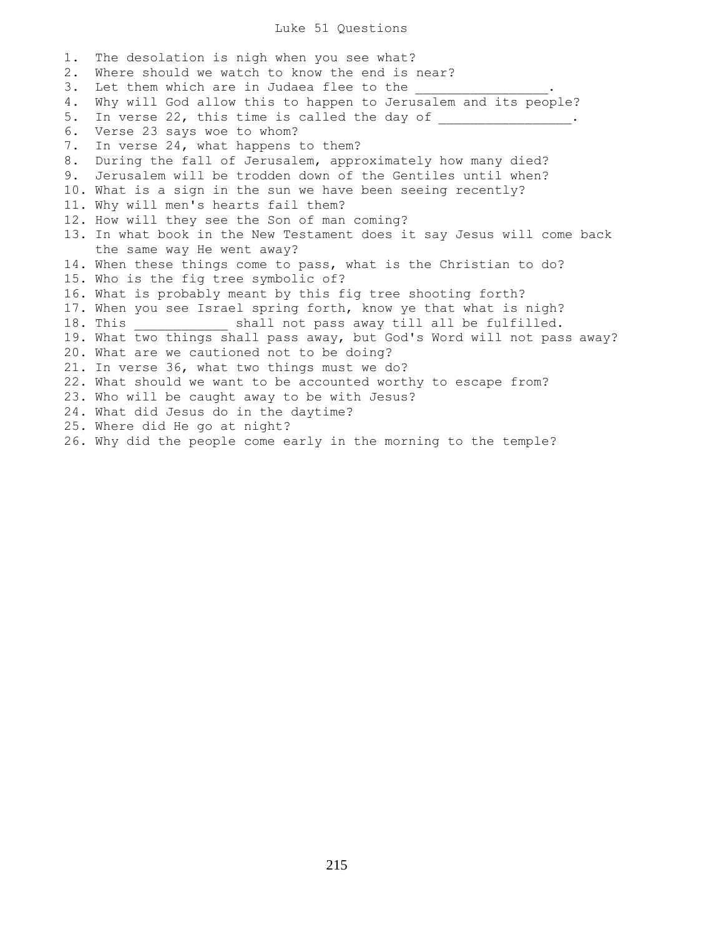## Luke 51 Questions

1. The desolation is nigh when you see what? 2. Where should we watch to know the end is near? 3. Let them which are in Judaea flee to the 4. Why will God allow this to happen to Jerusalem and its people? 5. In verse 22, this time is called the day of  $\frac{1}{\sqrt{2}}$ 6. Verse 23 says woe to whom? 7. In verse 24, what happens to them? 8. During the fall of Jerusalem, approximately how many died? 9. Jerusalem will be trodden down of the Gentiles until when? 10. What is a sign in the sun we have been seeing recently? 11. Why will men's hearts fail them? 12. How will they see the Son of man coming? 13. In what book in the New Testament does it say Jesus will come back the same way He went away? 14. When these things come to pass, what is the Christian to do? 15. Who is the fig tree symbolic of? 16. What is probably meant by this fig tree shooting forth? 17. When you see Israel spring forth, know ye that what is nigh? 18. This  $\qquad \qquad$  shall not pass away till all be fulfilled. 19. What two things shall pass away, but God's Word will not pass away? 20. What are we cautioned not to be doing? 21. In verse 36, what two things must we do? 22. What should we want to be accounted worthy to escape from? 23. Who will be caught away to be with Jesus? 24. What did Jesus do in the daytime? 25. Where did He go at night? 26. Why did the people come early in the morning to the temple?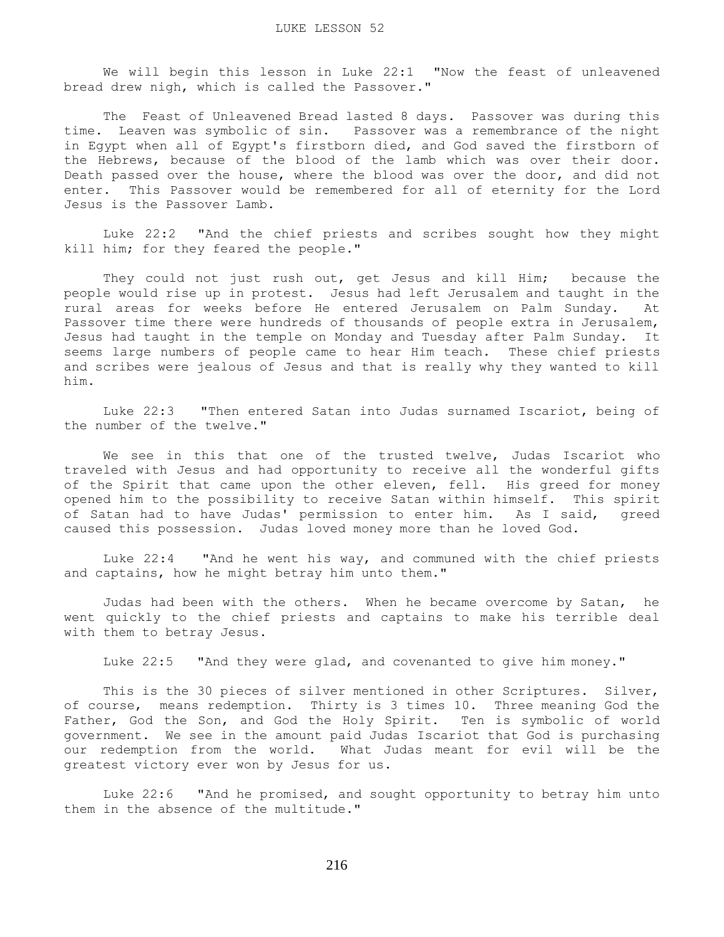We will begin this lesson in Luke 22:1 "Now the feast of unleavened bread drew nigh, which is called the Passover."

 The Feast of Unleavened Bread lasted 8 days. Passover was during this time. Leaven was symbolic of sin. Passover was a remembrance of the night in Egypt when all of Egypt's firstborn died, and God saved the firstborn of the Hebrews, because of the blood of the lamb which was over their door. Death passed over the house, where the blood was over the door, and did not enter. This Passover would be remembered for all of eternity for the Lord Jesus is the Passover Lamb.

 Luke 22:2 "And the chief priests and scribes sought how they might kill him; for they feared the people."

 They could not just rush out, get Jesus and kill Him; because the people would rise up in protest. Jesus had left Jerusalem and taught in the rural areas for weeks before He entered Jerusalem on Palm Sunday. At Passover time there were hundreds of thousands of people extra in Jerusalem, Jesus had taught in the temple on Monday and Tuesday after Palm Sunday. It seems large numbers of people came to hear Him teach. These chief priests and scribes were jealous of Jesus and that is really why they wanted to kill him.

 Luke 22:3 "Then entered Satan into Judas surnamed Iscariot, being of the number of the twelve."

 We see in this that one of the trusted twelve, Judas Iscariot who traveled with Jesus and had opportunity to receive all the wonderful gifts of the Spirit that came upon the other eleven, fell. His greed for money opened him to the possibility to receive Satan within himself. This spirit of Satan had to have Judas' permission to enter him. As I said, greed caused this possession. Judas loved money more than he loved God.

 Luke 22:4 "And he went his way, and communed with the chief priests and captains, how he might betray him unto them."

 Judas had been with the others. When he became overcome by Satan, he went quickly to the chief priests and captains to make his terrible deal with them to betray Jesus.

Luke 22:5 "And they were glad, and covenanted to give him money."

 This is the 30 pieces of silver mentioned in other Scriptures. Silver, of course, means redemption. Thirty is 3 times 10. Three meaning God the Father, God the Son, and God the Holy Spirit. Ten is symbolic of world government. We see in the amount paid Judas Iscariot that God is purchasing our redemption from the world. What Judas meant for evil will be the greatest victory ever won by Jesus for us.

 Luke 22:6 "And he promised, and sought opportunity to betray him unto them in the absence of the multitude."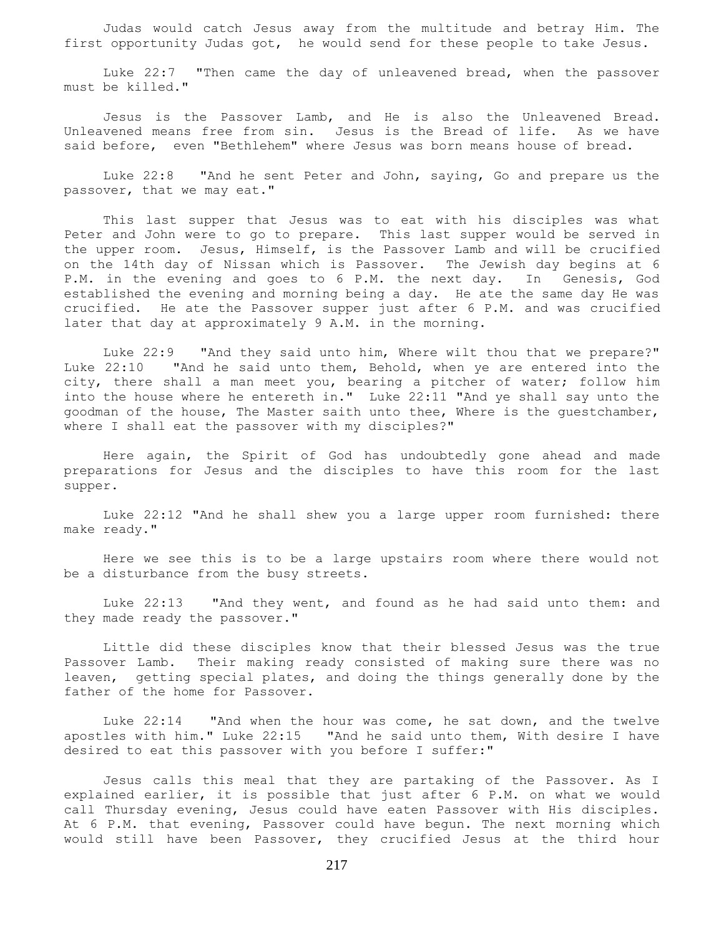Judas would catch Jesus away from the multitude and betray Him. The first opportunity Judas got, he would send for these people to take Jesus.

 Luke 22:7 "Then came the day of unleavened bread, when the passover must be killed."

 Jesus is the Passover Lamb, and He is also the Unleavened Bread. Unleavened means free from sin. Jesus is the Bread of life. As we have said before, even "Bethlehem" where Jesus was born means house of bread.

 Luke 22:8 "And he sent Peter and John, saying, Go and prepare us the passover, that we may eat."

 This last supper that Jesus was to eat with his disciples was what Peter and John were to go to prepare. This last supper would be served in the upper room. Jesus, Himself, is the Passover Lamb and will be crucified on the 14th day of Nissan which is Passover. The Jewish day begins at 6 P.M. in the evening and goes to 6 P.M. the next day. In Genesis, God established the evening and morning being a day. He ate the same day He was crucified. He ate the Passover supper just after 6 P.M. and was crucified later that day at approximately 9 A.M. in the morning.

Luke 22:9 "And they said unto him, Where wilt thou that we prepare?" Luke 22:10 "And he said unto them, Behold, when ye are entered into the city, there shall a man meet you, bearing a pitcher of water; follow him into the house where he entereth in." Luke 22:11 "And ye shall say unto the goodman of the house, The Master saith unto thee, Where is the guestchamber, where I shall eat the passover with my disciples?"

 Here again, the Spirit of God has undoubtedly gone ahead and made preparations for Jesus and the disciples to have this room for the last supper.

 Luke 22:12 "And he shall shew you a large upper room furnished: there make ready."

 Here we see this is to be a large upstairs room where there would not be a disturbance from the busy streets.

 Luke 22:13 "And they went, and found as he had said unto them: and they made ready the passover."

 Little did these disciples know that their blessed Jesus was the true Passover Lamb. Their making ready consisted of making sure there was no leaven, getting special plates, and doing the things generally done by the father of the home for Passover.

 Luke 22:14 "And when the hour was come, he sat down, and the twelve apostles with him." Luke 22:15 "And he said unto them, With desire I have desired to eat this passover with you before I suffer:"

 Jesus calls this meal that they are partaking of the Passover. As I explained earlier, it is possible that just after 6 P.M. on what we would call Thursday evening, Jesus could have eaten Passover with His disciples. At 6 P.M. that evening, Passover could have begun. The next morning which would still have been Passover, they crucified Jesus at the third hour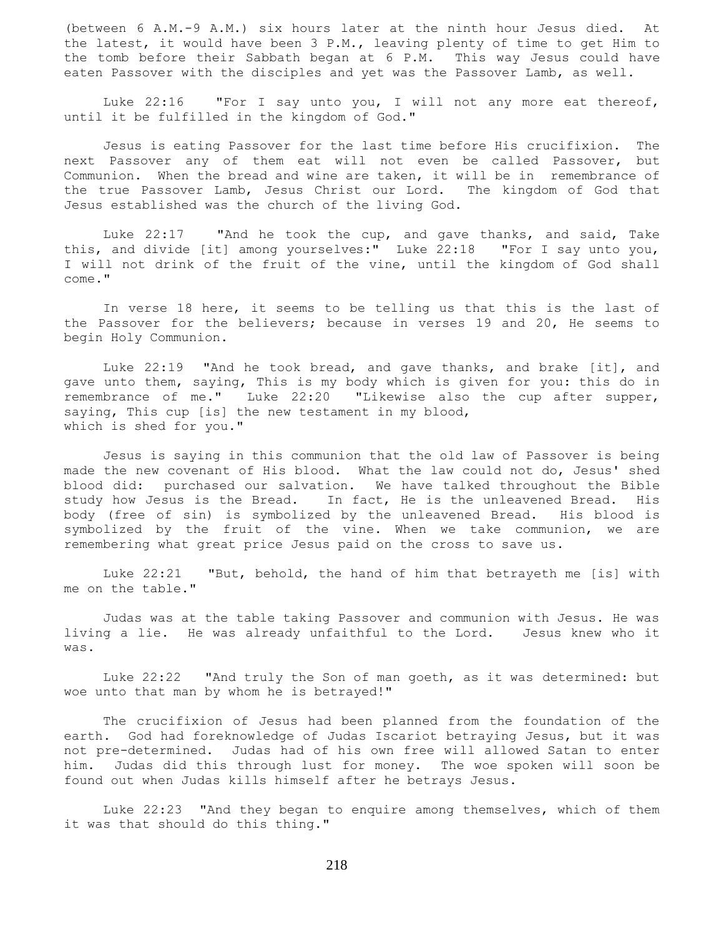(between 6 A.M.-9 A.M.) six hours later at the ninth hour Jesus died. At the latest, it would have been 3 P.M., leaving plenty of time to get Him to the tomb before their Sabbath began at 6 P.M. This way Jesus could have eaten Passover with the disciples and yet was the Passover Lamb, as well.

Luke 22:16 "For I say unto you, I will not any more eat thereof, until it be fulfilled in the kingdom of God."

 Jesus is eating Passover for the last time before His crucifixion. The next Passover any of them eat will not even be called Passover, but Communion. When the bread and wine are taken, it will be in remembrance of the true Passover Lamb, Jesus Christ our Lord. The kingdom of God that Jesus established was the church of the living God.

 Luke 22:17 "And he took the cup, and gave thanks, and said, Take this, and divide [it] among yourselves:" Luke 22:18 "For I say unto you, I will not drink of the fruit of the vine, until the kingdom of God shall come."

 In verse 18 here, it seems to be telling us that this is the last of the Passover for the believers; because in verses 19 and 20, He seems to begin Holy Communion.

 Luke 22:19 "And he took bread, and gave thanks, and brake [it], and gave unto them, saying, This is my body which is given for you: this do in remembrance of me." Luke 22:20 "Likewise also the cup after supper, saying, This cup [is] the new testament in my blood, which is shed for you."

 Jesus is saying in this communion that the old law of Passover is being made the new covenant of His blood. What the law could not do, Jesus' shed blood did: purchased our salvation. We have talked throughout the Bible study how Jesus is the Bread. In fact, He is the unleavened Bread. His body (free of sin) is symbolized by the unleavened Bread. His blood is symbolized by the fruit of the vine. When we take communion, we are remembering what great price Jesus paid on the cross to save us.

 Luke 22:21 "But, behold, the hand of him that betrayeth me [is] with me on the table."

 Judas was at the table taking Passover and communion with Jesus. He was living a lie. He was already unfaithful to the Lord. Jesus knew who it was.

 Luke 22:22 "And truly the Son of man goeth, as it was determined: but woe unto that man by whom he is betrayed!"

 The crucifixion of Jesus had been planned from the foundation of the earth. God had foreknowledge of Judas Iscariot betraying Jesus, but it was not pre-determined. Judas had of his own free will allowed Satan to enter him. Judas did this through lust for money. The woe spoken will soon be found out when Judas kills himself after he betrays Jesus.

 Luke 22:23 "And they began to enquire among themselves, which of them it was that should do this thing."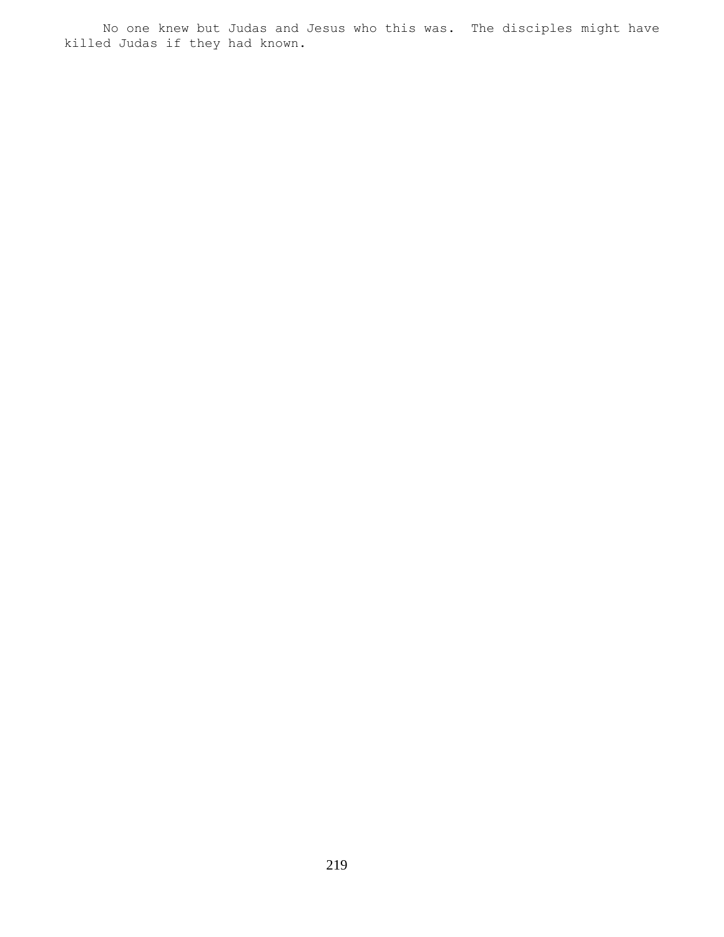No one knew but Judas and Jesus who this was. The disciples might have killed Judas if they had known.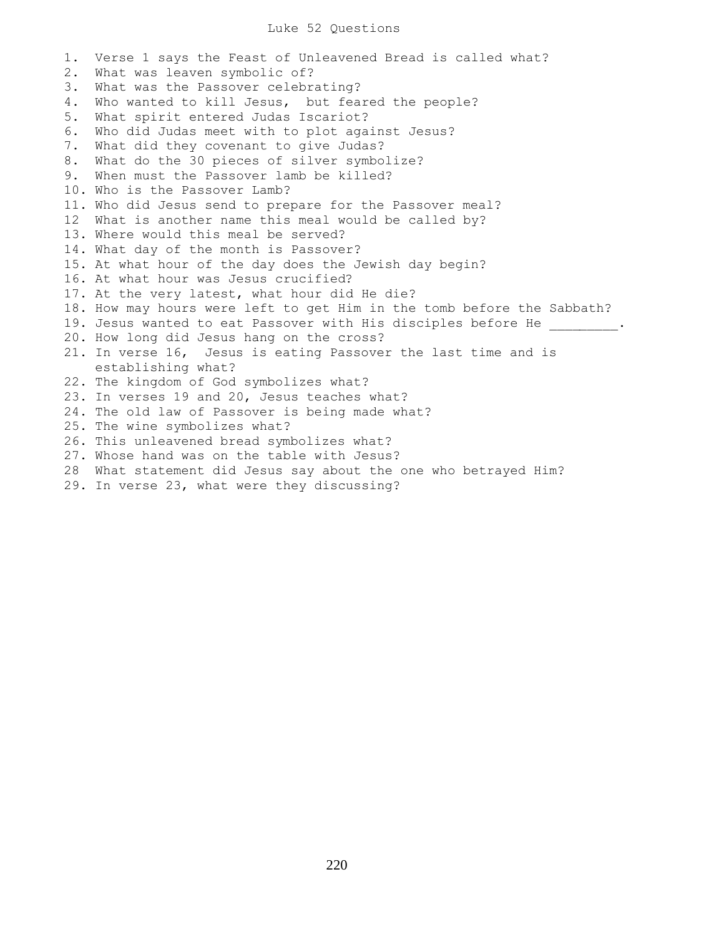## Luke 52 Questions

1. Verse 1 says the Feast of Unleavened Bread is called what? 2. What was leaven symbolic of? 3. What was the Passover celebrating? 4. Who wanted to kill Jesus, but feared the people? 5. What spirit entered Judas Iscariot? 6. Who did Judas meet with to plot against Jesus? 7. What did they covenant to give Judas? 8. What do the 30 pieces of silver symbolize? 9. When must the Passover lamb be killed? 10. Who is the Passover Lamb? 11. Who did Jesus send to prepare for the Passover meal? 12 What is another name this meal would be called by? 13. Where would this meal be served? 14. What day of the month is Passover? 15. At what hour of the day does the Jewish day begin? 16. At what hour was Jesus crucified? 17. At the very latest, what hour did He die? 18. How may hours were left to get Him in the tomb before the Sabbath? 19. Jesus wanted to eat Passover with His disciples before He \_\_\_\_\_\_\_\_\_. 20. How long did Jesus hang on the cross? 21. In verse 16, Jesus is eating Passover the last time and is establishing what? 22. The kingdom of God symbolizes what? 23. In verses 19 and 20, Jesus teaches what? 24. The old law of Passover is being made what? 25. The wine symbolizes what? 26. This unleavened bread symbolizes what? 27. Whose hand was on the table with Jesus? 28 What statement did Jesus say about the one who betrayed Him?

29. In verse 23, what were they discussing?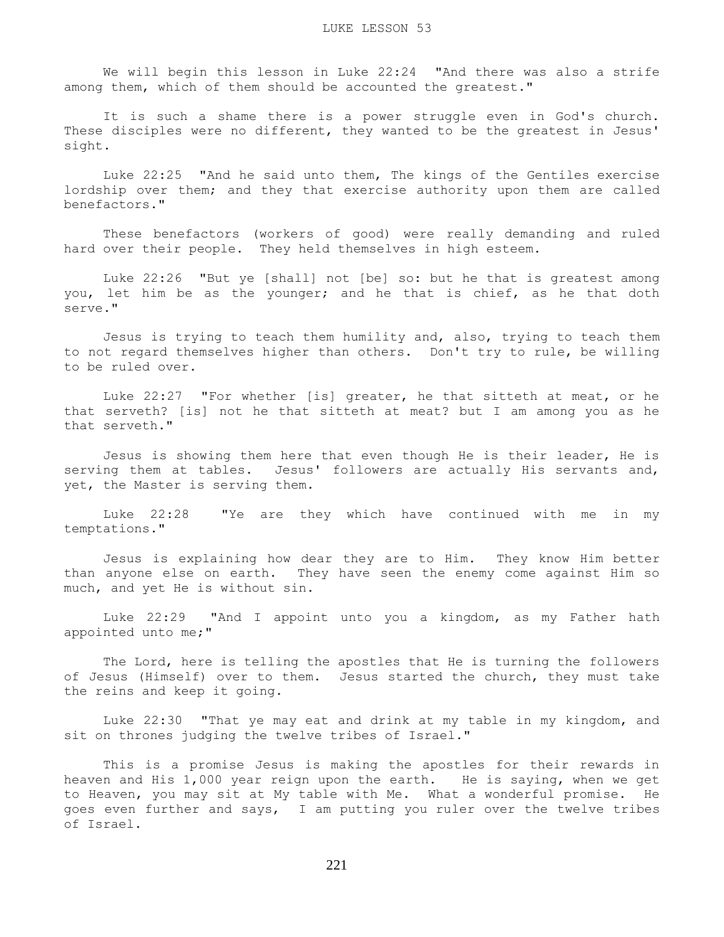We will begin this lesson in Luke 22:24 "And there was also a strife among them, which of them should be accounted the greatest."

 It is such a shame there is a power struggle even in God's church. These disciples were no different, they wanted to be the greatest in Jesus' sight.

 Luke 22:25 "And he said unto them, The kings of the Gentiles exercise lordship over them; and they that exercise authority upon them are called benefactors."

 These benefactors (workers of good) were really demanding and ruled hard over their people. They held themselves in high esteem.

 Luke 22:26 "But ye [shall] not [be] so: but he that is greatest among you, let him be as the younger; and he that is chief, as he that doth serve."

 Jesus is trying to teach them humility and, also, trying to teach them to not regard themselves higher than others. Don't try to rule, be willing to be ruled over.

 Luke 22:27 "For whether [is] greater, he that sitteth at meat, or he that serveth? [is] not he that sitteth at meat? but I am among you as he that serveth."

 Jesus is showing them here that even though He is their leader, He is serving them at tables. Jesus' followers are actually His servants and, yet, the Master is serving them.

 Luke 22:28 "Ye are they which have continued with me in my temptations."

 Jesus is explaining how dear they are to Him. They know Him better than anyone else on earth. They have seen the enemy come against Him so much, and yet He is without sin.

 Luke 22:29 "And I appoint unto you a kingdom, as my Father hath appointed unto me;"

 The Lord, here is telling the apostles that He is turning the followers of Jesus (Himself) over to them. Jesus started the church, they must take the reins and keep it going.

 Luke 22:30 "That ye may eat and drink at my table in my kingdom, and sit on thrones judging the twelve tribes of Israel."

 This is a promise Jesus is making the apostles for their rewards in heaven and His 1,000 year reign upon the earth. He is saying, when we get to Heaven, you may sit at My table with Me. What a wonderful promise. He goes even further and says, I am putting you ruler over the twelve tribes of Israel.

221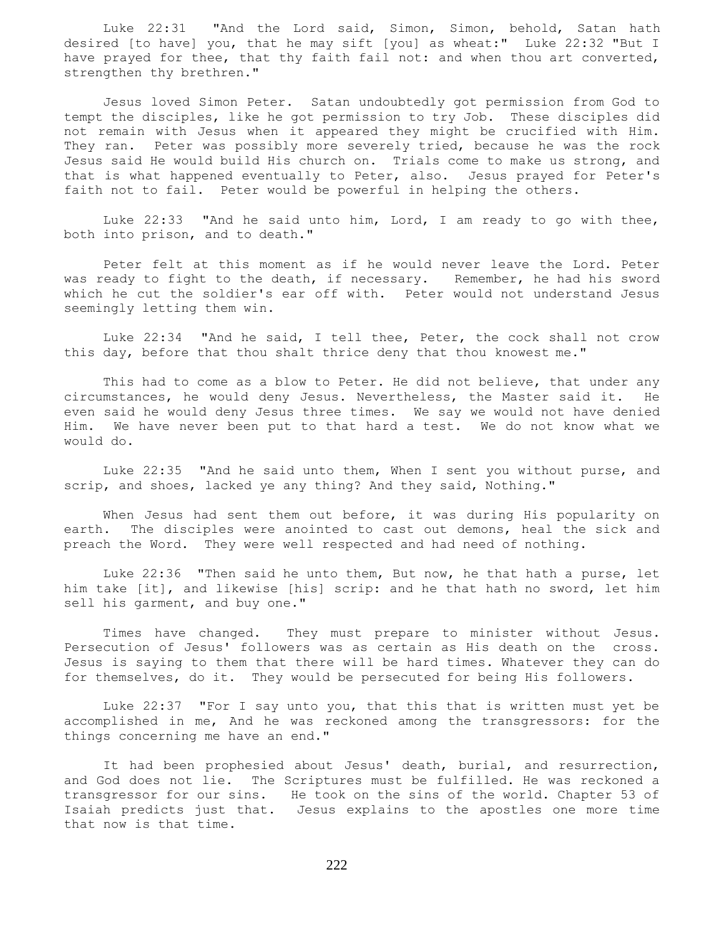Luke 22:31 "And the Lord said, Simon, Simon, behold, Satan hath desired [to have] you, that he may sift [you] as wheat:" Luke 22:32 "But I have prayed for thee, that thy faith fail not: and when thou art converted, strengthen thy brethren."

 Jesus loved Simon Peter. Satan undoubtedly got permission from God to tempt the disciples, like he got permission to try Job. These disciples did not remain with Jesus when it appeared they might be crucified with Him. They ran. Peter was possibly more severely tried, because he was the rock Jesus said He would build His church on. Trials come to make us strong, and that is what happened eventually to Peter, also. Jesus prayed for Peter's faith not to fail. Peter would be powerful in helping the others.

Luke  $22:33$  "And he said unto him, Lord, I am ready to go with thee, both into prison, and to death."

 Peter felt at this moment as if he would never leave the Lord. Peter was ready to fight to the death, if necessary. Remember, he had his sword which he cut the soldier's ear off with. Peter would not understand Jesus seemingly letting them win.

 Luke 22:34 "And he said, I tell thee, Peter, the cock shall not crow this day, before that thou shalt thrice deny that thou knowest me."

 This had to come as a blow to Peter. He did not believe, that under any circumstances, he would deny Jesus. Nevertheless, the Master said it. He even said he would deny Jesus three times. We say we would not have denied Him. We have never been put to that hard a test. We do not know what we would do.

 Luke 22:35 "And he said unto them, When I sent you without purse, and scrip, and shoes, lacked ye any thing? And they said, Nothing."

When Jesus had sent them out before, it was during His popularity on earth. The disciples were anointed to cast out demons, heal the sick and preach the Word. They were well respected and had need of nothing.

 Luke 22:36 "Then said he unto them, But now, he that hath a purse, let him take [it], and likewise [his] scrip: and he that hath no sword, let him sell his garment, and buy one."

 Times have changed. They must prepare to minister without Jesus. Persecution of Jesus' followers was as certain as His death on the cross. Jesus is saying to them that there will be hard times. Whatever they can do for themselves, do it. They would be persecuted for being His followers.

 Luke 22:37 "For I say unto you, that this that is written must yet be accomplished in me, And he was reckoned among the transgressors: for the things concerning me have an end."

 It had been prophesied about Jesus' death, burial, and resurrection, and God does not lie. The Scriptures must be fulfilled. He was reckoned a transgressor for our sins. He took on the sins of the world. Chapter 53 of Isaiah predicts just that. Jesus explains to the apostles one more time that now is that time.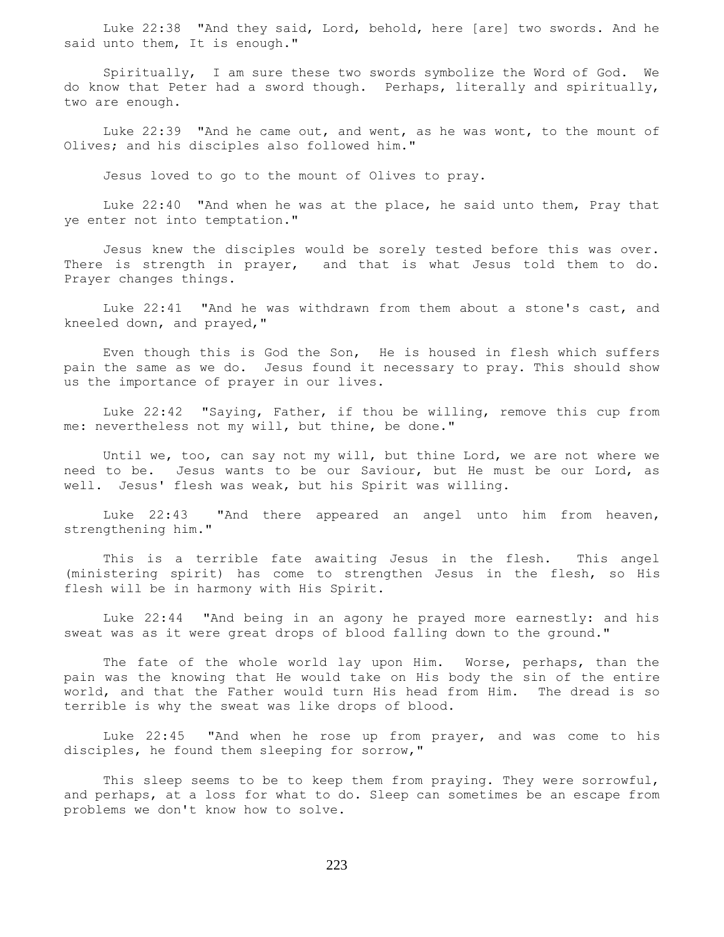Luke 22:38 "And they said, Lord, behold, here [are] two swords. And he said unto them, It is enough."

 Spiritually, I am sure these two swords symbolize the Word of God. We do know that Peter had a sword though. Perhaps, literally and spiritually, two are enough.

 Luke 22:39 "And he came out, and went, as he was wont, to the mount of Olives; and his disciples also followed him."

Jesus loved to go to the mount of Olives to pray.

 Luke 22:40 "And when he was at the place, he said unto them, Pray that ye enter not into temptation."

 Jesus knew the disciples would be sorely tested before this was over. There is strength in prayer, and that is what Jesus told them to do. Prayer changes things.

 Luke 22:41 "And he was withdrawn from them about a stone's cast, and kneeled down, and prayed,"

 Even though this is God the Son, He is housed in flesh which suffers pain the same as we do. Jesus found it necessary to pray. This should show us the importance of prayer in our lives.

 Luke 22:42 "Saying, Father, if thou be willing, remove this cup from me: nevertheless not my will, but thine, be done."

 Until we, too, can say not my will, but thine Lord, we are not where we need to be. Jesus wants to be our Saviour, but He must be our Lord, as well. Jesus' flesh was weak, but his Spirit was willing.

 Luke 22:43 "And there appeared an angel unto him from heaven, strengthening him."

 This is a terrible fate awaiting Jesus in the flesh. This angel (ministering spirit) has come to strengthen Jesus in the flesh, so His flesh will be in harmony with His Spirit.

 Luke 22:44 "And being in an agony he prayed more earnestly: and his sweat was as it were great drops of blood falling down to the ground."

 The fate of the whole world lay upon Him. Worse, perhaps, than the pain was the knowing that He would take on His body the sin of the entire world, and that the Father would turn His head from Him. The dread is so terrible is why the sweat was like drops of blood.

 Luke 22:45 "And when he rose up from prayer, and was come to his disciples, he found them sleeping for sorrow,"

This sleep seems to be to keep them from praying. They were sorrowful, and perhaps, at a loss for what to do. Sleep can sometimes be an escape from problems we don't know how to solve.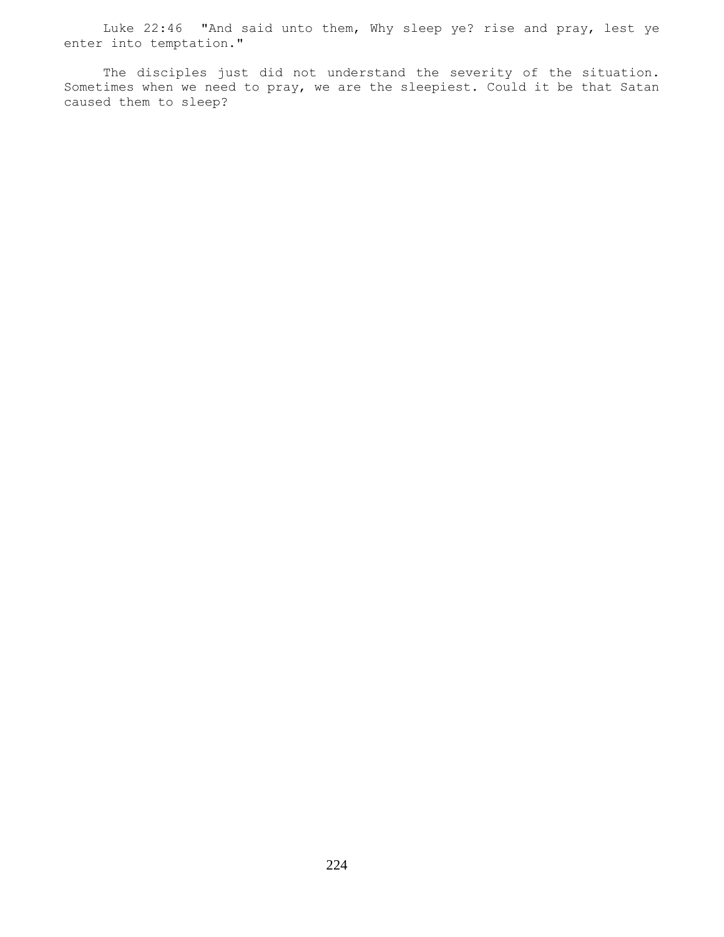Luke 22:46 "And said unto them, Why sleep ye? rise and pray, lest ye enter into temptation."

 The disciples just did not understand the severity of the situation. Sometimes when we need to pray, we are the sleepiest. Could it be that Satan caused them to sleep?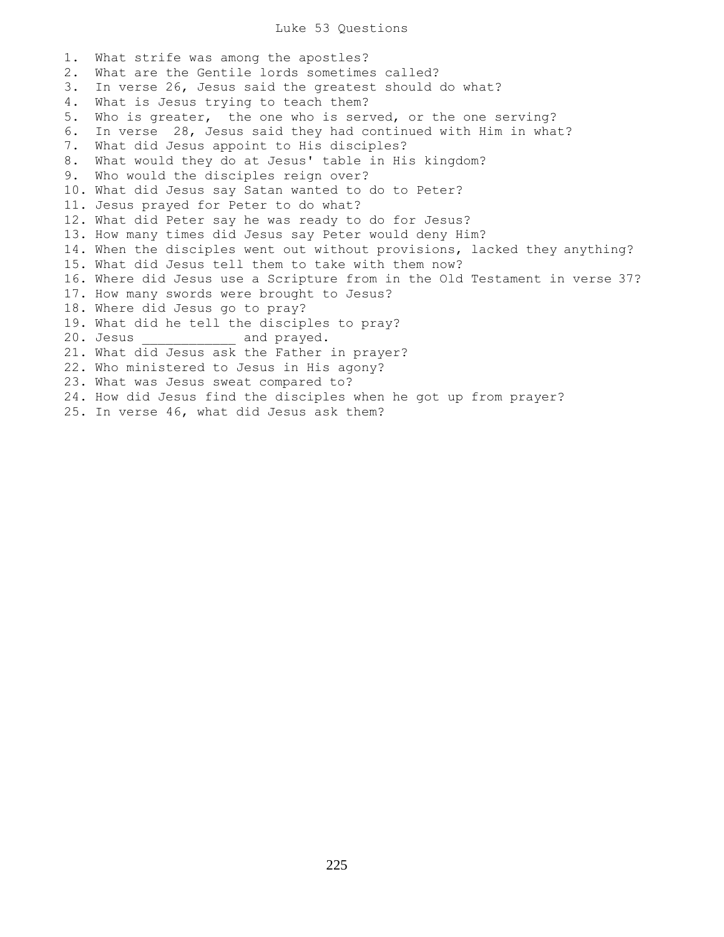## Luke 53 Questions

1. What strife was among the apostles? 2. What are the Gentile lords sometimes called? 3. In verse 26, Jesus said the greatest should do what? 4. What is Jesus trying to teach them? 5. Who is greater, the one who is served, or the one serving? 6. In verse 28, Jesus said they had continued with Him in what? 7. What did Jesus appoint to His disciples? 8. What would they do at Jesus' table in His kingdom? 9. Who would the disciples reign over? 10. What did Jesus say Satan wanted to do to Peter? 11. Jesus prayed for Peter to do what? 12. What did Peter say he was ready to do for Jesus? 13. How many times did Jesus say Peter would deny Him? 14. When the disciples went out without provisions, lacked they anything? 15. What did Jesus tell them to take with them now? 16. Where did Jesus use a Scripture from in the Old Testament in verse 37? 17. How many swords were brought to Jesus? 18. Where did Jesus go to pray? 19. What did he tell the disciples to pray? 20. Jesus and prayed. 21. What did Jesus ask the Father in prayer? 22. Who ministered to Jesus in His agony? 23. What was Jesus sweat compared to? 24. How did Jesus find the disciples when he got up from prayer? 25. In verse 46, what did Jesus ask them?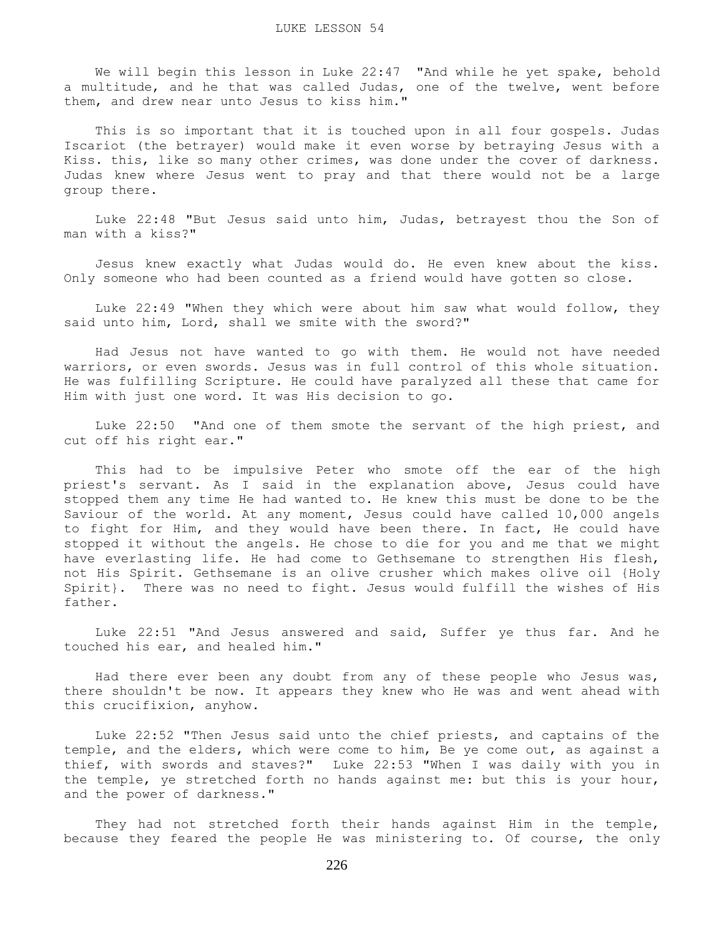We will begin this lesson in Luke 22:47 "And while he yet spake, behold a multitude, and he that was called Judas, one of the twelve, went before them, and drew near unto Jesus to kiss him."

 This is so important that it is touched upon in all four gospels. Judas Iscariot (the betrayer) would make it even worse by betraying Jesus with a Kiss. this, like so many other crimes, was done under the cover of darkness. Judas knew where Jesus went to pray and that there would not be a large group there.

 Luke 22:48 "But Jesus said unto him, Judas, betrayest thou the Son of man with a kiss?"

 Jesus knew exactly what Judas would do. He even knew about the kiss. Only someone who had been counted as a friend would have gotten so close.

 Luke 22:49 "When they which were about him saw what would follow, they said unto him, Lord, shall we smite with the sword?"

 Had Jesus not have wanted to go with them. He would not have needed warriors, or even swords. Jesus was in full control of this whole situation. He was fulfilling Scripture. He could have paralyzed all these that came for Him with just one word. It was His decision to go.

 Luke 22:50 "And one of them smote the servant of the high priest, and cut off his right ear."

 This had to be impulsive Peter who smote off the ear of the high priest's servant. As I said in the explanation above, Jesus could have stopped them any time He had wanted to. He knew this must be done to be the Saviour of the world. At any moment, Jesus could have called 10,000 angels to fight for Him, and they would have been there. In fact, He could have stopped it without the angels. He chose to die for you and me that we might have everlasting life. He had come to Gethsemane to strengthen His flesh, not His Spirit. Gethsemane is an olive crusher which makes olive oil {Holy Spirit}. There was no need to fight. Jesus would fulfill the wishes of His father.

 Luke 22:51 "And Jesus answered and said, Suffer ye thus far. And he touched his ear, and healed him."

 Had there ever been any doubt from any of these people who Jesus was, there shouldn't be now. It appears they knew who He was and went ahead with this crucifixion, anyhow.

 Luke 22:52 "Then Jesus said unto the chief priests, and captains of the temple, and the elders, which were come to him, Be ye come out, as against a thief, with swords and staves?" Luke 22:53 "When I was daily with you in the temple, ye stretched forth no hands against me: but this is your hour, and the power of darkness."

 They had not stretched forth their hands against Him in the temple, because they feared the people He was ministering to. Of course, the only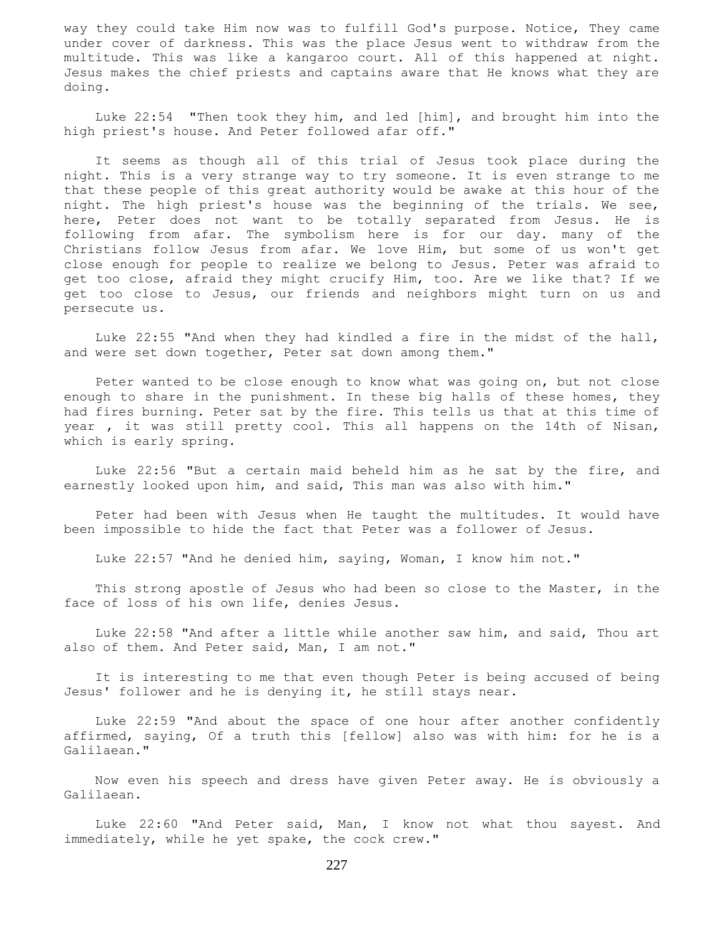way they could take Him now was to fulfill God's purpose. Notice, They came under cover of darkness. This was the place Jesus went to withdraw from the multitude. This was like a kangaroo court. All of this happened at night. Jesus makes the chief priests and captains aware that He knows what they are doing.

 Luke 22:54 "Then took they him, and led [him], and brought him into the high priest's house. And Peter followed afar off."

 It seems as though all of this trial of Jesus took place during the night. This is a very strange way to try someone. It is even strange to me that these people of this great authority would be awake at this hour of the night. The high priest's house was the beginning of the trials. We see, here, Peter does not want to be totally separated from Jesus. He is following from afar. The symbolism here is for our day. many of the Christians follow Jesus from afar. We love Him, but some of us won't get close enough for people to realize we belong to Jesus. Peter was afraid to get too close, afraid they might crucify Him, too. Are we like that? If we get too close to Jesus, our friends and neighbors might turn on us and persecute us.

 Luke 22:55 "And when they had kindled a fire in the midst of the hall, and were set down together, Peter sat down among them."

 Peter wanted to be close enough to know what was going on, but not close enough to share in the punishment. In these big halls of these homes, they had fires burning. Peter sat by the fire. This tells us that at this time of year , it was still pretty cool. This all happens on the 14th of Nisan, which is early spring.

 Luke 22:56 "But a certain maid beheld him as he sat by the fire, and earnestly looked upon him, and said, This man was also with him."

 Peter had been with Jesus when He taught the multitudes. It would have been impossible to hide the fact that Peter was a follower of Jesus.

Luke 22:57 "And he denied him, saying, Woman, I know him not."

 This strong apostle of Jesus who had been so close to the Master, in the face of loss of his own life, denies Jesus.

 Luke 22:58 "And after a little while another saw him, and said, Thou art also of them. And Peter said, Man, I am not."

 It is interesting to me that even though Peter is being accused of being Jesus' follower and he is denying it, he still stays near.

 Luke 22:59 "And about the space of one hour after another confidently affirmed, saying, Of a truth this [fellow] also was with him: for he is a Galilaean."

 Now even his speech and dress have given Peter away. He is obviously a Galilaean.

 Luke 22:60 "And Peter said, Man, I know not what thou sayest. And immediately, while he yet spake, the cock crew."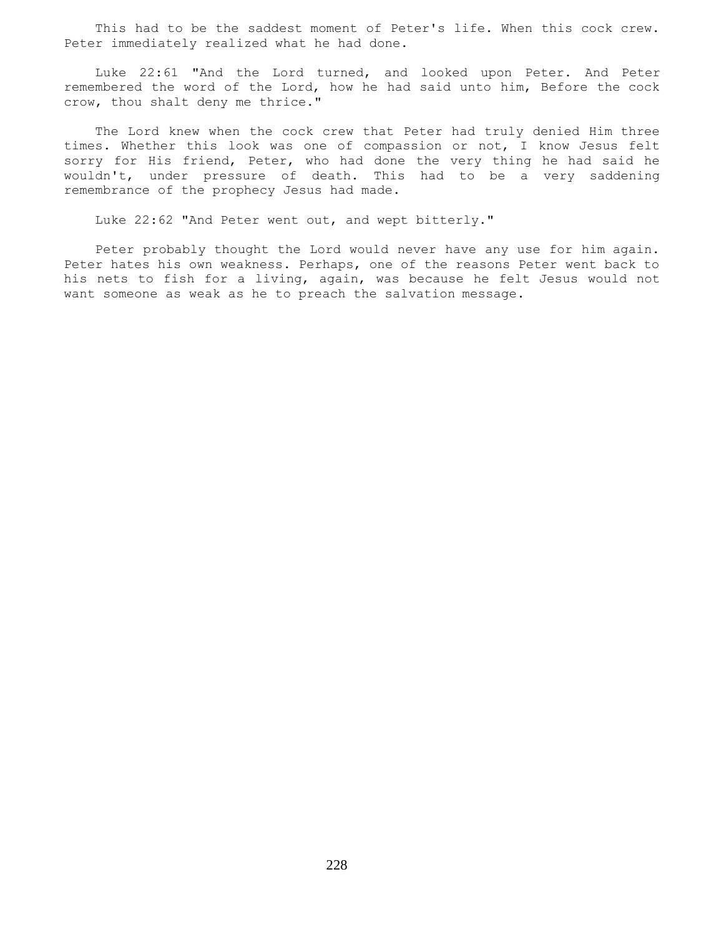This had to be the saddest moment of Peter's life. When this cock crew. Peter immediately realized what he had done.

 Luke 22:61 "And the Lord turned, and looked upon Peter. And Peter remembered the word of the Lord, how he had said unto him, Before the cock crow, thou shalt deny me thrice."

 The Lord knew when the cock crew that Peter had truly denied Him three times. Whether this look was one of compassion or not, I know Jesus felt sorry for His friend, Peter, who had done the very thing he had said he wouldn't, under pressure of death. This had to be a very saddening remembrance of the prophecy Jesus had made.

Luke 22:62 "And Peter went out, and wept bitterly."

 Peter probably thought the Lord would never have any use for him again. Peter hates his own weakness. Perhaps, one of the reasons Peter went back to his nets to fish for a living, again, was because he felt Jesus would not want someone as weak as he to preach the salvation message.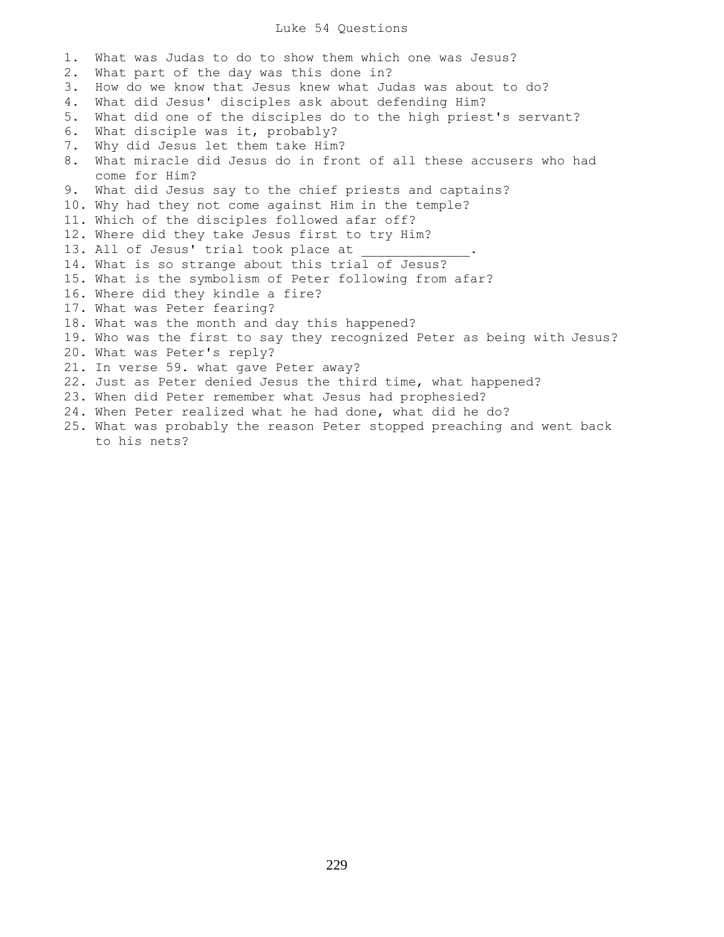## Luke 54 Questions

1. What was Judas to do to show them which one was Jesus? 2. What part of the day was this done in? 3. How do we know that Jesus knew what Judas was about to do? 4. What did Jesus' disciples ask about defending Him? 5. What did one of the disciples do to the high priest's servant? 6. What disciple was it, probably? 7. Why did Jesus let them take Him? 8. What miracle did Jesus do in front of all these accusers who had come for Him? 9. What did Jesus say to the chief priests and captains? 10. Why had they not come against Him in the temple? 11. Which of the disciples followed afar off? 12. Where did they take Jesus first to try Him? 13. All of Jesus' trial took place at 14. What is so strange about this trial of Jesus? 15. What is the symbolism of Peter following from afar? 16. Where did they kindle a fire? 17. What was Peter fearing? 18. What was the month and day this happened? 19. Who was the first to say they recognized Peter as being with Jesus? 20. What was Peter's reply? 21. In verse 59. what gave Peter away? 22. Just as Peter denied Jesus the third time, what happened? 23. When did Peter remember what Jesus had prophesied? 24. When Peter realized what he had done, what did he do? 25. What was probably the reason Peter stopped preaching and went back to his nets?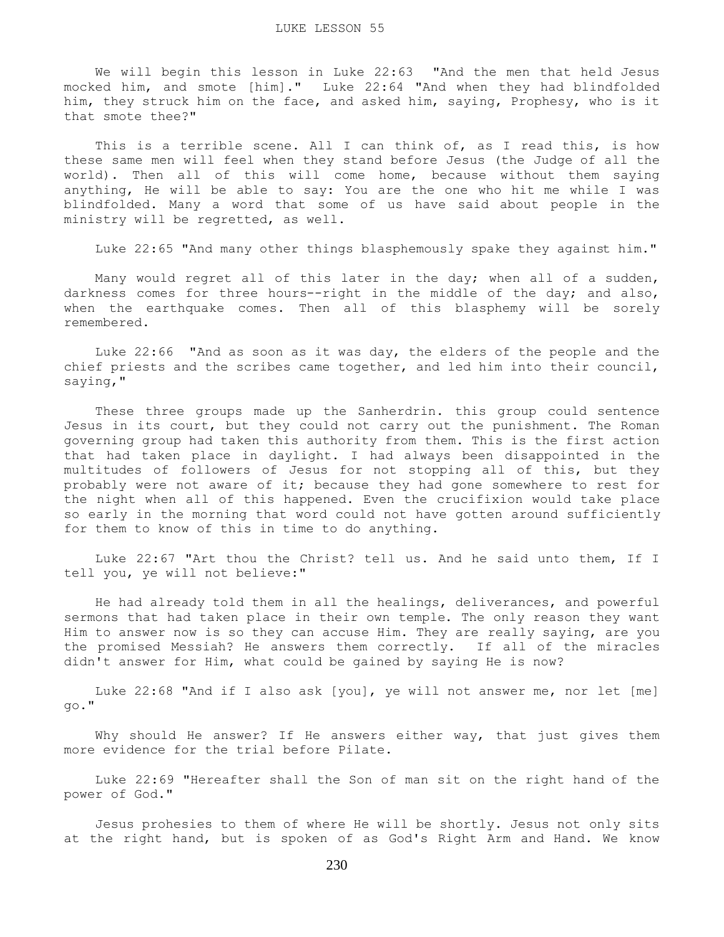We will begin this lesson in Luke 22:63 "And the men that held Jesus mocked him, and smote [him]." Luke 22:64 "And when they had blindfolded him, they struck him on the face, and asked him, saying, Prophesy, who is it that smote thee?"

This is a terrible scene. All I can think of, as I read this, is how these same men will feel when they stand before Jesus (the Judge of all the world). Then all of this will come home, because without them saying anything, He will be able to say: You are the one who hit me while I was blindfolded. Many a word that some of us have said about people in the ministry will be regretted, as well.

Luke 22:65 "And many other things blasphemously spake they against him."

 Many would regret all of this later in the day; when all of a sudden, darkness comes for three hours--right in the middle of the day; and also, when the earthquake comes. Then all of this blasphemy will be sorely remembered.

 Luke 22:66 "And as soon as it was day, the elders of the people and the chief priests and the scribes came together, and led him into their council, saying,"

 These three groups made up the Sanherdrin. this group could sentence Jesus in its court, but they could not carry out the punishment. The Roman governing group had taken this authority from them. This is the first action that had taken place in daylight. I had always been disappointed in the multitudes of followers of Jesus for not stopping all of this, but they probably were not aware of it; because they had gone somewhere to rest for the night when all of this happened. Even the crucifixion would take place so early in the morning that word could not have gotten around sufficiently for them to know of this in time to do anything.

 Luke 22:67 "Art thou the Christ? tell us. And he said unto them, If I tell you, ye will not believe:"

 He had already told them in all the healings, deliverances, and powerful sermons that had taken place in their own temple. The only reason they want Him to answer now is so they can accuse Him. They are really saying, are you the promised Messiah? He answers them correctly. If all of the miracles didn't answer for Him, what could be gained by saying He is now?

 Luke 22:68 "And if I also ask [you], ye will not answer me, nor let [me] go."

 Why should He answer? If He answers either way, that just gives them more evidence for the trial before Pilate.

 Luke 22:69 "Hereafter shall the Son of man sit on the right hand of the power of God."

 Jesus prohesies to them of where He will be shortly. Jesus not only sits at the right hand, but is spoken of as God's Right Arm and Hand. We know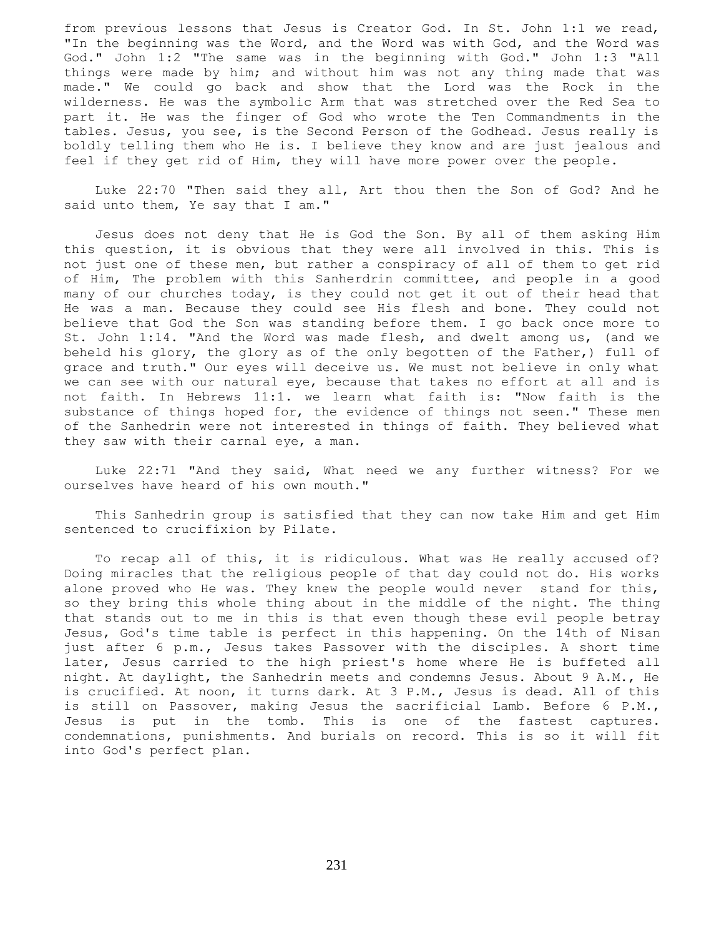from previous lessons that Jesus is Creator God. In St. John 1:1 we read, "In the beginning was the Word, and the Word was with God, and the Word was God." John 1:2 "The same was in the beginning with God." John 1:3 "All things were made by him; and without him was not any thing made that was made." We could go back and show that the Lord was the Rock in the wilderness. He was the symbolic Arm that was stretched over the Red Sea to part it. He was the finger of God who wrote the Ten Commandments in the tables. Jesus, you see, is the Second Person of the Godhead. Jesus really is boldly telling them who He is. I believe they know and are just jealous and feel if they get rid of Him, they will have more power over the people.

 Luke 22:70 "Then said they all, Art thou then the Son of God? And he said unto them, Ye say that I am."

 Jesus does not deny that He is God the Son. By all of them asking Him this question, it is obvious that they were all involved in this. This is not just one of these men, but rather a conspiracy of all of them to get rid of Him, The problem with this Sanherdrin committee, and people in a good many of our churches today, is they could not get it out of their head that He was a man. Because they could see His flesh and bone. They could not believe that God the Son was standing before them. I go back once more to St. John 1:14. "And the Word was made flesh, and dwelt among us, (and we beheld his glory, the glory as of the only begotten of the Father,) full of grace and truth." Our eyes will deceive us. We must not believe in only what we can see with our natural eye, because that takes no effort at all and is not faith. In Hebrews 11:1. we learn what faith is: "Now faith is the substance of things hoped for, the evidence of things not seen." These men of the Sanhedrin were not interested in things of faith. They believed what they saw with their carnal eye, a man.

 Luke 22:71 "And they said, What need we any further witness? For we ourselves have heard of his own mouth."

 This Sanhedrin group is satisfied that they can now take Him and get Him sentenced to crucifixion by Pilate.

 To recap all of this, it is ridiculous. What was He really accused of? Doing miracles that the religious people of that day could not do. His works alone proved who He was. They knew the people would never stand for this, so they bring this whole thing about in the middle of the night. The thing that stands out to me in this is that even though these evil people betray Jesus, God's time table is perfect in this happening. On the 14th of Nisan just after 6 p.m., Jesus takes Passover with the disciples. A short time later, Jesus carried to the high priest's home where He is buffeted all night. At daylight, the Sanhedrin meets and condemns Jesus. About 9 A.M., He is crucified. At noon, it turns dark. At 3 P.M., Jesus is dead. All of this is still on Passover, making Jesus the sacrificial Lamb. Before 6 P.M., Jesus is put in the tomb. This is one of the fastest captures. condemnations, punishments. And burials on record. This is so it will fit into God's perfect plan.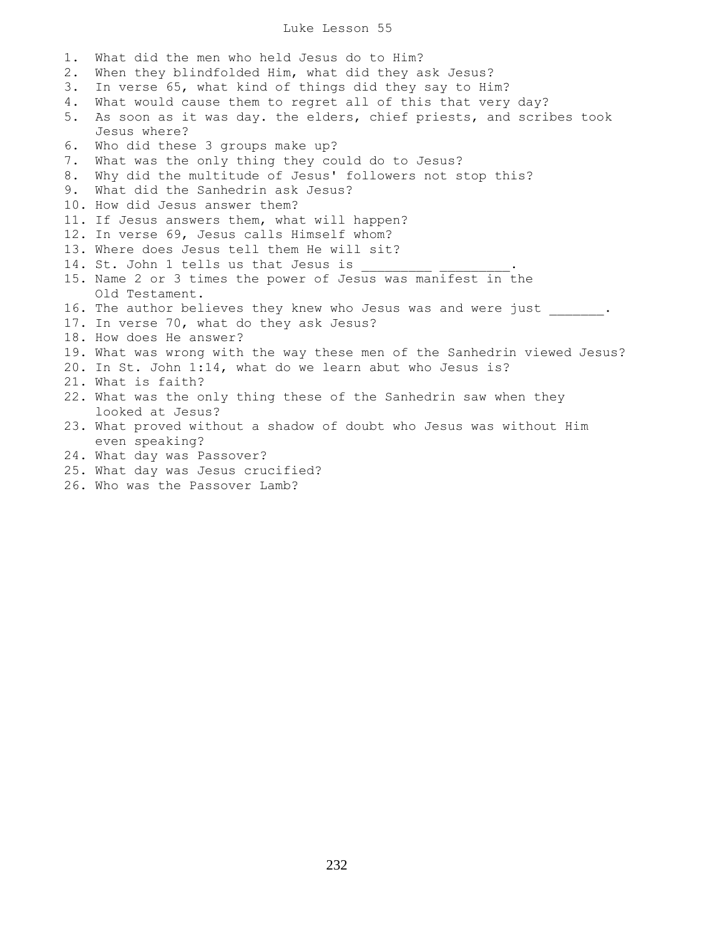Luke Lesson 55

1. What did the men who held Jesus do to Him? 2. When they blindfolded Him, what did they ask Jesus? 3. In verse 65, what kind of things did they say to Him? 4. What would cause them to regret all of this that very day? 5. As soon as it was day. the elders, chief priests, and scribes took Jesus where? 6. Who did these 3 groups make up? 7. What was the only thing they could do to Jesus? 8. Why did the multitude of Jesus' followers not stop this? 9. What did the Sanhedrin ask Jesus? 10. How did Jesus answer them? 11. If Jesus answers them, what will happen? 12. In verse 69, Jesus calls Himself whom? 13. Where does Jesus tell them He will sit? 14. St. John 1 tells us that Jesus is 15. Name 2 or 3 times the power of Jesus was manifest in the Old Testament. 16. The author believes they knew who Jesus was and were just \_\_\_\_\_\_. 17. In verse 70, what do they ask Jesus? 18. How does He answer? 19. What was wrong with the way these men of the Sanhedrin viewed Jesus? 20. In St. John 1:14, what do we learn abut who Jesus is? 21. What is faith? 22. What was the only thing these of the Sanhedrin saw when they looked at Jesus? 23. What proved without a shadow of doubt who Jesus was without Him even speaking? 24. What day was Passover? 25. What day was Jesus crucified?

26. Who was the Passover Lamb?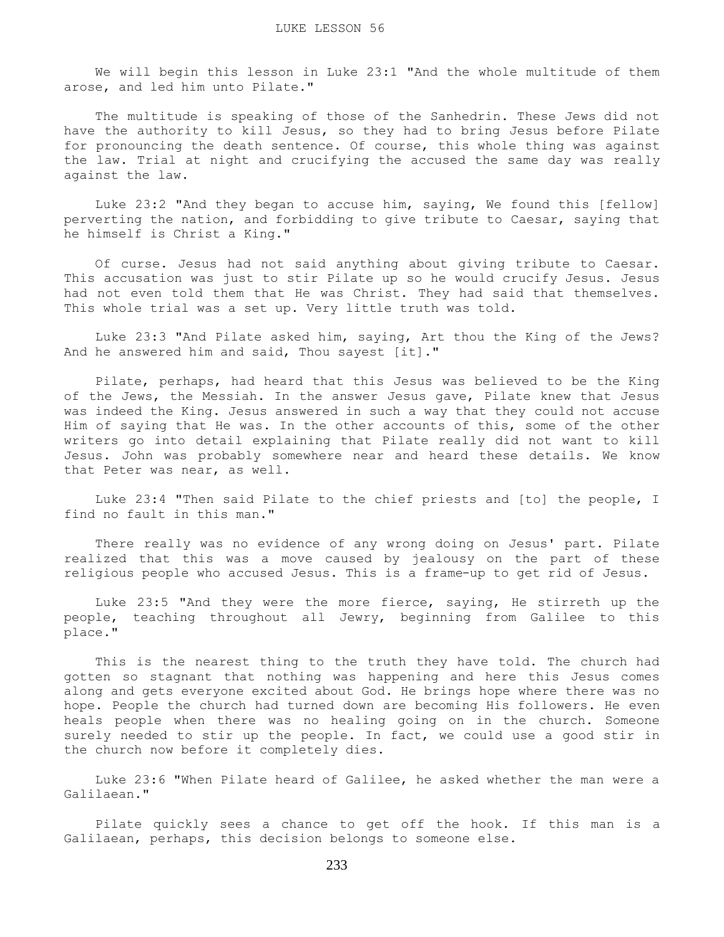We will begin this lesson in Luke 23:1 "And the whole multitude of them arose, and led him unto Pilate."

 The multitude is speaking of those of the Sanhedrin. These Jews did not have the authority to kill Jesus, so they had to bring Jesus before Pilate for pronouncing the death sentence. Of course, this whole thing was against the law. Trial at night and crucifying the accused the same day was really against the law.

 Luke 23:2 "And they began to accuse him, saying, We found this [fellow] perverting the nation, and forbidding to give tribute to Caesar, saying that he himself is Christ a King."

 Of curse. Jesus had not said anything about giving tribute to Caesar. This accusation was just to stir Pilate up so he would crucify Jesus. Jesus had not even told them that He was Christ. They had said that themselves. This whole trial was a set up. Very little truth was told.

 Luke 23:3 "And Pilate asked him, saying, Art thou the King of the Jews? And he answered him and said, Thou sayest [it]."

 Pilate, perhaps, had heard that this Jesus was believed to be the King of the Jews, the Messiah. In the answer Jesus gave, Pilate knew that Jesus was indeed the King. Jesus answered in such a way that they could not accuse Him of saying that He was. In the other accounts of this, some of the other writers go into detail explaining that Pilate really did not want to kill Jesus. John was probably somewhere near and heard these details. We know that Peter was near, as well.

 Luke 23:4 "Then said Pilate to the chief priests and [to] the people, I find no fault in this man."

 There really was no evidence of any wrong doing on Jesus' part. Pilate realized that this was a move caused by jealousy on the part of these religious people who accused Jesus. This is a frame-up to get rid of Jesus.

 Luke 23:5 "And they were the more fierce, saying, He stirreth up the people, teaching throughout all Jewry, beginning from Galilee to this place."

 This is the nearest thing to the truth they have told. The church had gotten so stagnant that nothing was happening and here this Jesus comes along and gets everyone excited about God. He brings hope where there was no hope. People the church had turned down are becoming His followers. He even heals people when there was no healing going on in the church. Someone surely needed to stir up the people. In fact, we could use a good stir in the church now before it completely dies.

 Luke 23:6 "When Pilate heard of Galilee, he asked whether the man were a Galilaean."

 Pilate quickly sees a chance to get off the hook. If this man is a Galilaean, perhaps, this decision belongs to someone else.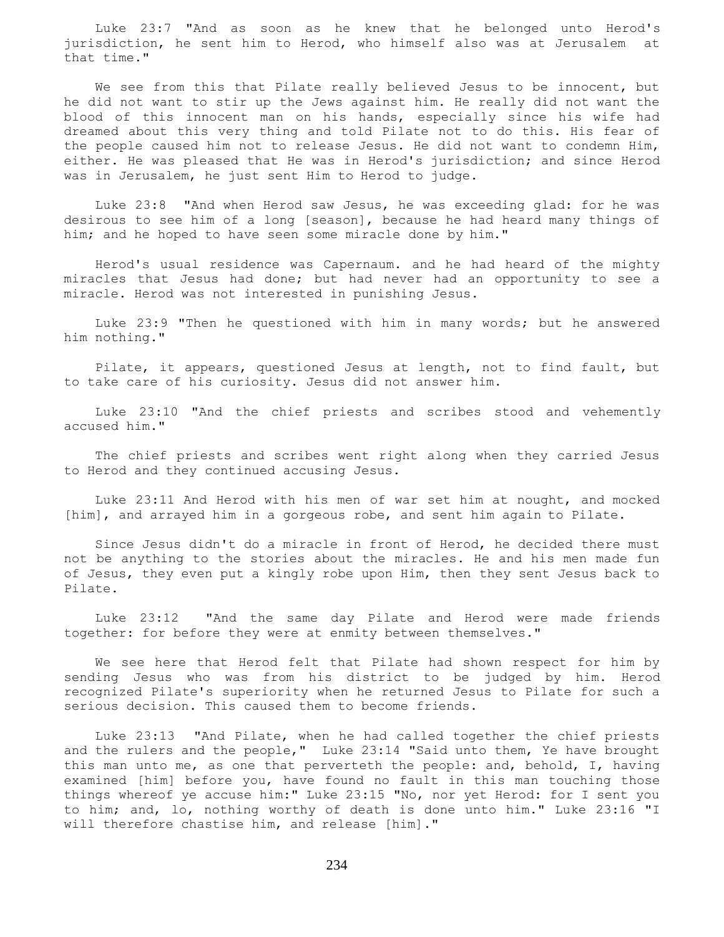Luke 23:7 "And as soon as he knew that he belonged unto Herod's jurisdiction, he sent him to Herod, who himself also was at Jerusalem at that time."

 We see from this that Pilate really believed Jesus to be innocent, but he did not want to stir up the Jews against him. He really did not want the blood of this innocent man on his hands, especially since his wife had dreamed about this very thing and told Pilate not to do this. His fear of the people caused him not to release Jesus. He did not want to condemn Him, either. He was pleased that He was in Herod's jurisdiction; and since Herod was in Jerusalem, he just sent Him to Herod to judge.

 Luke 23:8 "And when Herod saw Jesus, he was exceeding glad: for he was desirous to see him of a long [season], because he had heard many things of him; and he hoped to have seen some miracle done by him."

 Herod's usual residence was Capernaum. and he had heard of the mighty miracles that Jesus had done; but had never had an opportunity to see a miracle. Herod was not interested in punishing Jesus.

 Luke 23:9 "Then he questioned with him in many words; but he answered him nothing."

 Pilate, it appears, questioned Jesus at length, not to find fault, but to take care of his curiosity. Jesus did not answer him.

 Luke 23:10 "And the chief priests and scribes stood and vehemently accused him."

 The chief priests and scribes went right along when they carried Jesus to Herod and they continued accusing Jesus.

 Luke 23:11 And Herod with his men of war set him at nought, and mocked [him], and arrayed him in a gorgeous robe, and sent him again to Pilate.

 Since Jesus didn't do a miracle in front of Herod, he decided there must not be anything to the stories about the miracles. He and his men made fun of Jesus, they even put a kingly robe upon Him, then they sent Jesus back to Pilate.

 Luke 23:12 "And the same day Pilate and Herod were made friends together: for before they were at enmity between themselves."

 We see here that Herod felt that Pilate had shown respect for him by sending Jesus who was from his district to be judged by him. Herod recognized Pilate's superiority when he returned Jesus to Pilate for such a serious decision. This caused them to become friends.

 Luke 23:13 "And Pilate, when he had called together the chief priests and the rulers and the people," Luke 23:14 "Said unto them, Ye have brought this man unto me, as one that perverteth the people: and, behold, I, having examined [him] before you, have found no fault in this man touching those things whereof ye accuse him:" Luke 23:15 "No, nor yet Herod: for I sent you to him; and, lo, nothing worthy of death is done unto him." Luke 23:16 "I will therefore chastise him, and release [him]."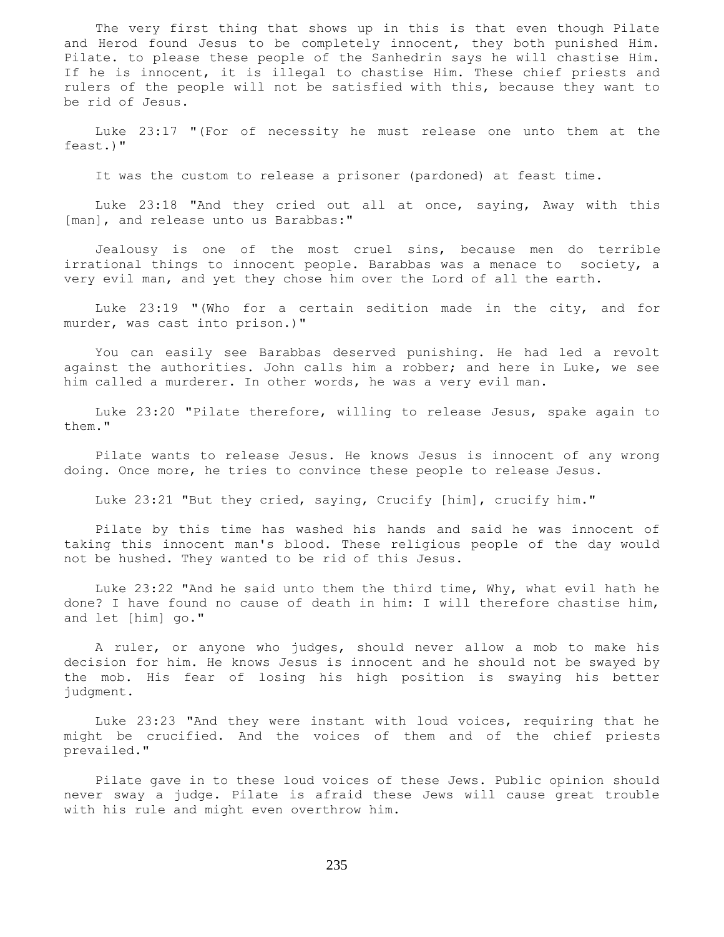The very first thing that shows up in this is that even though Pilate and Herod found Jesus to be completely innocent, they both punished Him. Pilate. to please these people of the Sanhedrin says he will chastise Him. If he is innocent, it is illegal to chastise Him. These chief priests and rulers of the people will not be satisfied with this, because they want to be rid of Jesus.

 Luke 23:17 "(For of necessity he must release one unto them at the feast.)"

It was the custom to release a prisoner (pardoned) at feast time.

 Luke 23:18 "And they cried out all at once, saying, Away with this [man], and release unto us Barabbas:"

 Jealousy is one of the most cruel sins, because men do terrible irrational things to innocent people. Barabbas was a menace to society, a very evil man, and yet they chose him over the Lord of all the earth.

 Luke 23:19 "(Who for a certain sedition made in the city, and for murder, was cast into prison.)"

 You can easily see Barabbas deserved punishing. He had led a revolt against the authorities. John calls him a robber; and here in Luke, we see him called a murderer. In other words, he was a very evil man.

 Luke 23:20 "Pilate therefore, willing to release Jesus, spake again to them."

 Pilate wants to release Jesus. He knows Jesus is innocent of any wrong doing. Once more, he tries to convince these people to release Jesus.

Luke 23:21 "But they cried, saying, Crucify [him], crucify him."

 Pilate by this time has washed his hands and said he was innocent of taking this innocent man's blood. These religious people of the day would not be hushed. They wanted to be rid of this Jesus.

 Luke 23:22 "And he said unto them the third time, Why, what evil hath he done? I have found no cause of death in him: I will therefore chastise him, and let [him] go."

 A ruler, or anyone who judges, should never allow a mob to make his decision for him. He knows Jesus is innocent and he should not be swayed by the mob. His fear of losing his high position is swaying his better judgment.

 Luke 23:23 "And they were instant with loud voices, requiring that he might be crucified. And the voices of them and of the chief priests prevailed."

 Pilate gave in to these loud voices of these Jews. Public opinion should never sway a judge. Pilate is afraid these Jews will cause great trouble with his rule and might even overthrow him.

235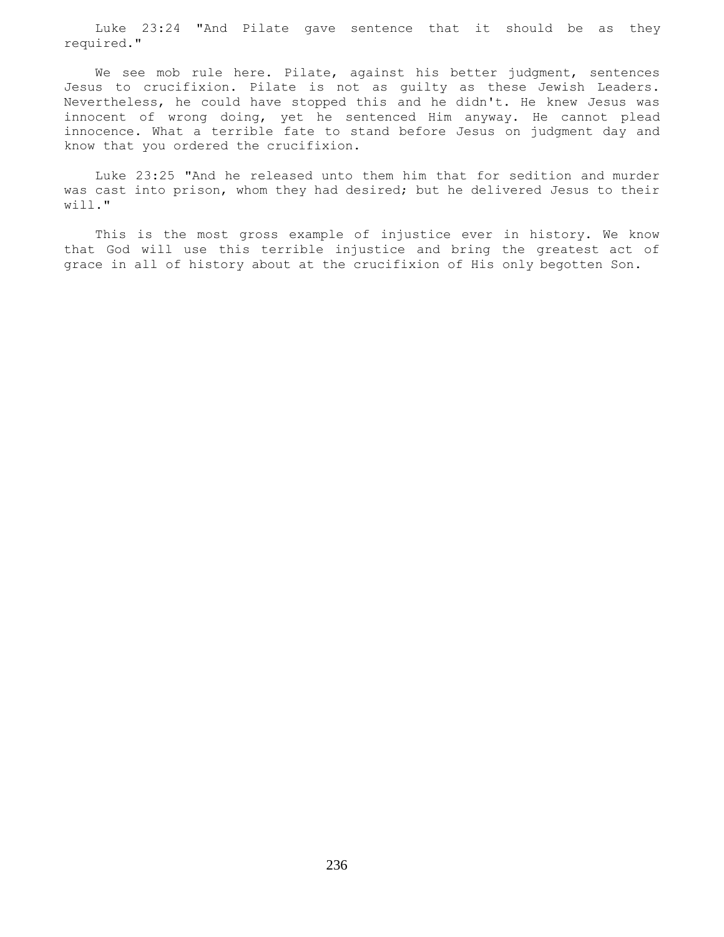Luke 23:24 "And Pilate gave sentence that it should be as they required."

 We see mob rule here. Pilate, against his better judgment, sentences Jesus to crucifixion. Pilate is not as guilty as these Jewish Leaders. Nevertheless, he could have stopped this and he didn't. He knew Jesus was innocent of wrong doing, yet he sentenced Him anyway. He cannot plead innocence. What a terrible fate to stand before Jesus on judgment day and know that you ordered the crucifixion.

 Luke 23:25 "And he released unto them him that for sedition and murder was cast into prison, whom they had desired; but he delivered Jesus to their will."

 This is the most gross example of injustice ever in history. We know that God will use this terrible injustice and bring the greatest act of grace in all of history about at the crucifixion of His only begotten Son.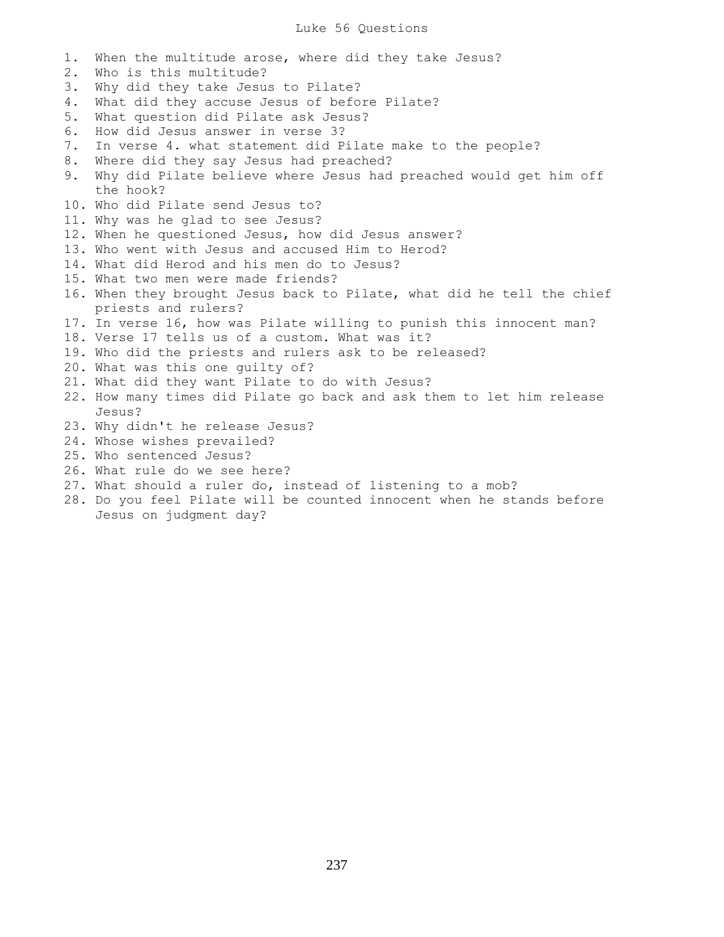# Luke 56 Questions

1. When the multitude arose, where did they take Jesus? 2. Who is this multitude? 3. Why did they take Jesus to Pilate? 4. What did they accuse Jesus of before Pilate? 5. What question did Pilate ask Jesus? 6. How did Jesus answer in verse 3? 7. In verse 4. what statement did Pilate make to the people? 8. Where did they say Jesus had preached? 9. Why did Pilate believe where Jesus had preached would get him off the hook? 10. Who did Pilate send Jesus to? 11. Why was he glad to see Jesus? 12. When he questioned Jesus, how did Jesus answer? 13. Who went with Jesus and accused Him to Herod? 14. What did Herod and his men do to Jesus? 15. What two men were made friends? 16. When they brought Jesus back to Pilate, what did he tell the chief priests and rulers? 17. In verse 16, how was Pilate willing to punish this innocent man? 18. Verse 17 tells us of a custom. What was it? 19. Who did the priests and rulers ask to be released? 20. What was this one guilty of? 21. What did they want Pilate to do with Jesus? 22. How many times did Pilate go back and ask them to let him release Jesus? 23. Why didn't he release Jesus? 24. Whose wishes prevailed? 25. Who sentenced Jesus? 26. What rule do we see here?

- 27. What should a ruler do, instead of listening to a mob?
- 28. Do you feel Pilate will be counted innocent when he stands before Jesus on judgment day?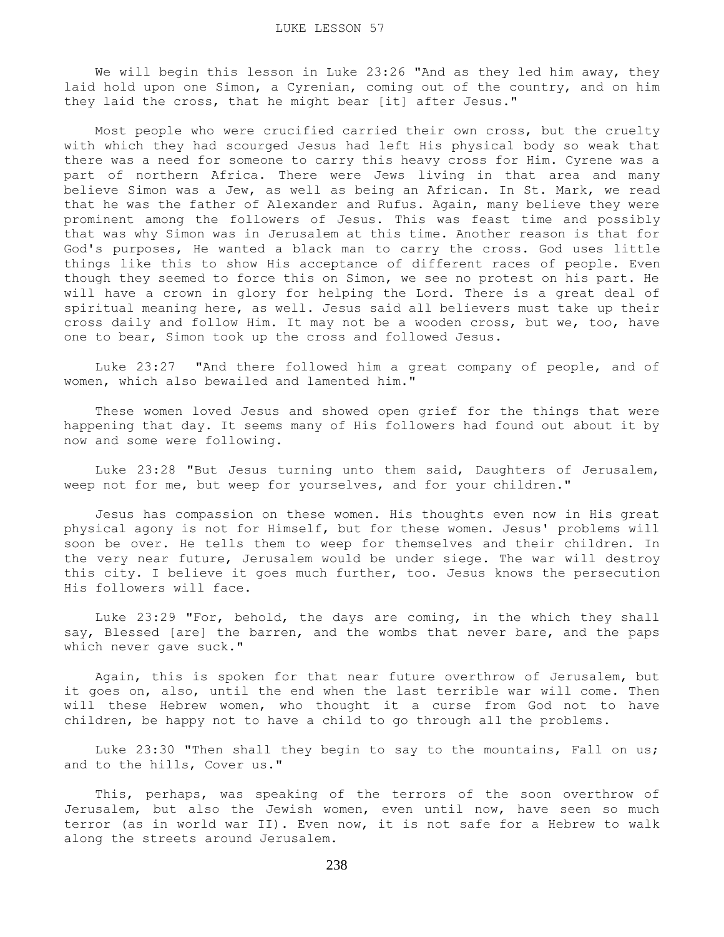We will begin this lesson in Luke 23:26 "And as they led him away, they laid hold upon one Simon, a Cyrenian, coming out of the country, and on him they laid the cross, that he might bear [it] after Jesus."

 Most people who were crucified carried their own cross, but the cruelty with which they had scourged Jesus had left His physical body so weak that there was a need for someone to carry this heavy cross for Him. Cyrene was a part of northern Africa. There were Jews living in that area and many believe Simon was a Jew, as well as being an African. In St. Mark, we read that he was the father of Alexander and Rufus. Again, many believe they were prominent among the followers of Jesus. This was feast time and possibly that was why Simon was in Jerusalem at this time. Another reason is that for God's purposes, He wanted a black man to carry the cross. God uses little things like this to show His acceptance of different races of people. Even though they seemed to force this on Simon, we see no protest on his part. He will have a crown in glory for helping the Lord. There is a great deal of spiritual meaning here, as well. Jesus said all believers must take up their cross daily and follow Him. It may not be a wooden cross, but we, too, have one to bear, Simon took up the cross and followed Jesus.

 Luke 23:27 "And there followed him a great company of people, and of women, which also bewailed and lamented him."

 These women loved Jesus and showed open grief for the things that were happening that day. It seems many of His followers had found out about it by now and some were following.

 Luke 23:28 "But Jesus turning unto them said, Daughters of Jerusalem, weep not for me, but weep for yourselves, and for your children."

 Jesus has compassion on these women. His thoughts even now in His great physical agony is not for Himself, but for these women. Jesus' problems will soon be over. He tells them to weep for themselves and their children. In the very near future, Jerusalem would be under siege. The war will destroy this city. I believe it goes much further, too. Jesus knows the persecution His followers will face.

 Luke 23:29 "For, behold, the days are coming, in the which they shall say, Blessed [are] the barren, and the wombs that never bare, and the paps which never gave suck."

 Again, this is spoken for that near future overthrow of Jerusalem, but it goes on, also, until the end when the last terrible war will come. Then will these Hebrew women, who thought it a curse from God not to have children, be happy not to have a child to go through all the problems.

 Luke 23:30 "Then shall they begin to say to the mountains, Fall on us; and to the hills, Cover us."

 This, perhaps, was speaking of the terrors of the soon overthrow of Jerusalem, but also the Jewish women, even until now, have seen so much terror (as in world war II). Even now, it is not safe for a Hebrew to walk along the streets around Jerusalem.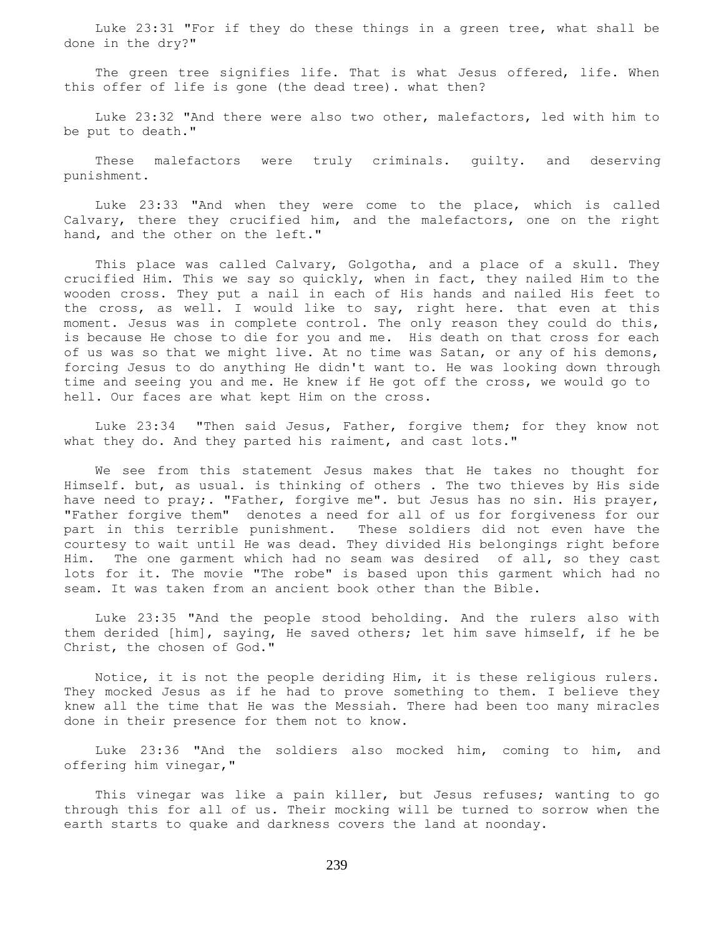Luke 23:31 "For if they do these things in a green tree, what shall be done in the dry?"

 The green tree signifies life. That is what Jesus offered, life. When this offer of life is gone (the dead tree). what then?

 Luke 23:32 "And there were also two other, malefactors, led with him to be put to death."

 These malefactors were truly criminals. guilty. and deserving punishment.

 Luke 23:33 "And when they were come to the place, which is called Calvary, there they crucified him, and the malefactors, one on the right hand, and the other on the left."

 This place was called Calvary, Golgotha, and a place of a skull. They crucified Him. This we say so quickly, when in fact, they nailed Him to the wooden cross. They put a nail in each of His hands and nailed His feet to the cross, as well. I would like to say, right here. that even at this moment. Jesus was in complete control. The only reason they could do this, is because He chose to die for you and me. His death on that cross for each of us was so that we might live. At no time was Satan, or any of his demons, forcing Jesus to do anything He didn't want to. He was looking down through time and seeing you and me. He knew if He got off the cross, we would go to hell. Our faces are what kept Him on the cross.

 Luke 23:34 "Then said Jesus, Father, forgive them; for they know not what they do. And they parted his raiment, and cast lots."

 We see from this statement Jesus makes that He takes no thought for Himself. but, as usual. is thinking of others . The two thieves by His side have need to pray;. "Father, forgive me". but Jesus has no sin. His prayer, "Father forgive them" denotes a need for all of us for forgiveness for our part in this terrible punishment. These soldiers did not even have the courtesy to wait until He was dead. They divided His belongings right before Him. The one garment which had no seam was desired of all, so they cast lots for it. The movie "The robe" is based upon this garment which had no seam. It was taken from an ancient book other than the Bible.

 Luke 23:35 "And the people stood beholding. And the rulers also with them derided [him], saying, He saved others; let him save himself, if he be Christ, the chosen of God."

 Notice, it is not the people deriding Him, it is these religious rulers. They mocked Jesus as if he had to prove something to them. I believe they knew all the time that He was the Messiah. There had been too many miracles done in their presence for them not to know.

 Luke 23:36 "And the soldiers also mocked him, coming to him, and offering him vinegar,"

 This vinegar was like a pain killer, but Jesus refuses; wanting to go through this for all of us. Their mocking will be turned to sorrow when the earth starts to quake and darkness covers the land at noonday.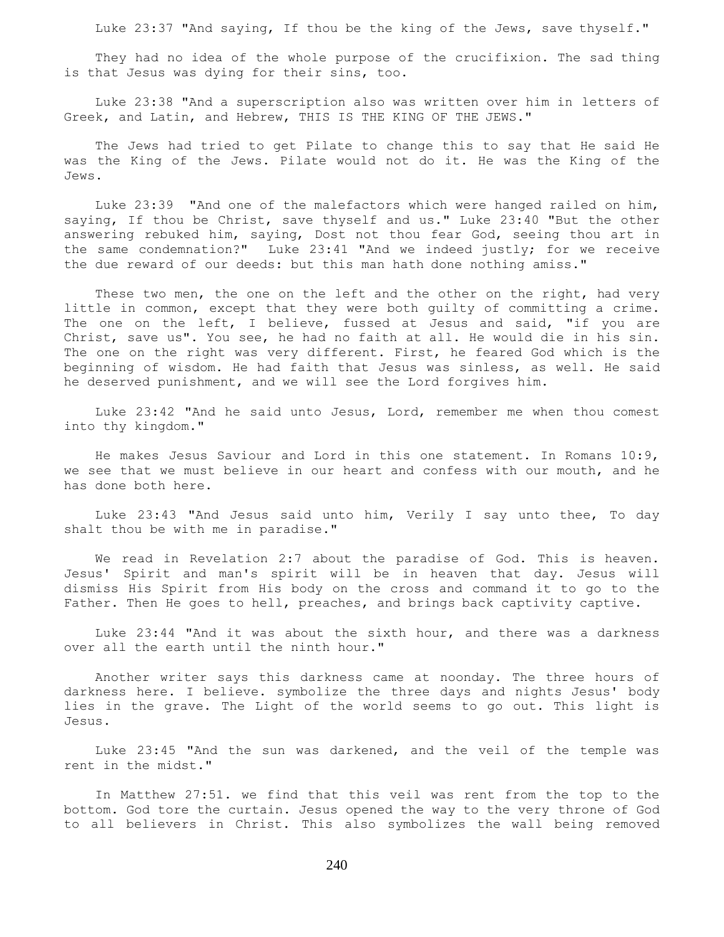Luke 23:37 "And saying, If thou be the king of the Jews, save thyself."

 They had no idea of the whole purpose of the crucifixion. The sad thing is that Jesus was dying for their sins, too.

 Luke 23:38 "And a superscription also was written over him in letters of Greek, and Latin, and Hebrew, THIS IS THE KING OF THE JEWS."

 The Jews had tried to get Pilate to change this to say that He said He was the King of the Jews. Pilate would not do it. He was the King of the Jews.

 Luke 23:39 "And one of the malefactors which were hanged railed on him, saying, If thou be Christ, save thyself and us." Luke 23:40 "But the other answering rebuked him, saying, Dost not thou fear God, seeing thou art in the same condemnation?" Luke 23:41 "And we indeed justly; for we receive the due reward of our deeds: but this man hath done nothing amiss."

These two men, the one on the left and the other on the right, had very little in common, except that they were both guilty of committing a crime. The one on the left, I believe, fussed at Jesus and said, "if you are Christ, save us". You see, he had no faith at all. He would die in his sin. The one on the right was very different. First, he feared God which is the beginning of wisdom. He had faith that Jesus was sinless, as well. He said he deserved punishment, and we will see the Lord forgives him.

 Luke 23:42 "And he said unto Jesus, Lord, remember me when thou comest into thy kingdom."

 He makes Jesus Saviour and Lord in this one statement. In Romans 10:9, we see that we must believe in our heart and confess with our mouth, and he has done both here.

 Luke 23:43 "And Jesus said unto him, Verily I say unto thee, To day shalt thou be with me in paradise."

 We read in Revelation 2:7 about the paradise of God. This is heaven. Jesus' Spirit and man's spirit will be in heaven that day. Jesus will dismiss His Spirit from His body on the cross and command it to go to the Father. Then He goes to hell, preaches, and brings back captivity captive.

 Luke 23:44 "And it was about the sixth hour, and there was a darkness over all the earth until the ninth hour."

 Another writer says this darkness came at noonday. The three hours of darkness here. I believe. symbolize the three days and nights Jesus' body lies in the grave. The Light of the world seems to go out. This light is Jesus.

 Luke 23:45 "And the sun was darkened, and the veil of the temple was rent in the midst."

 In Matthew 27:51. we find that this veil was rent from the top to the bottom. God tore the curtain. Jesus opened the way to the very throne of God to all believers in Christ. This also symbolizes the wall being removed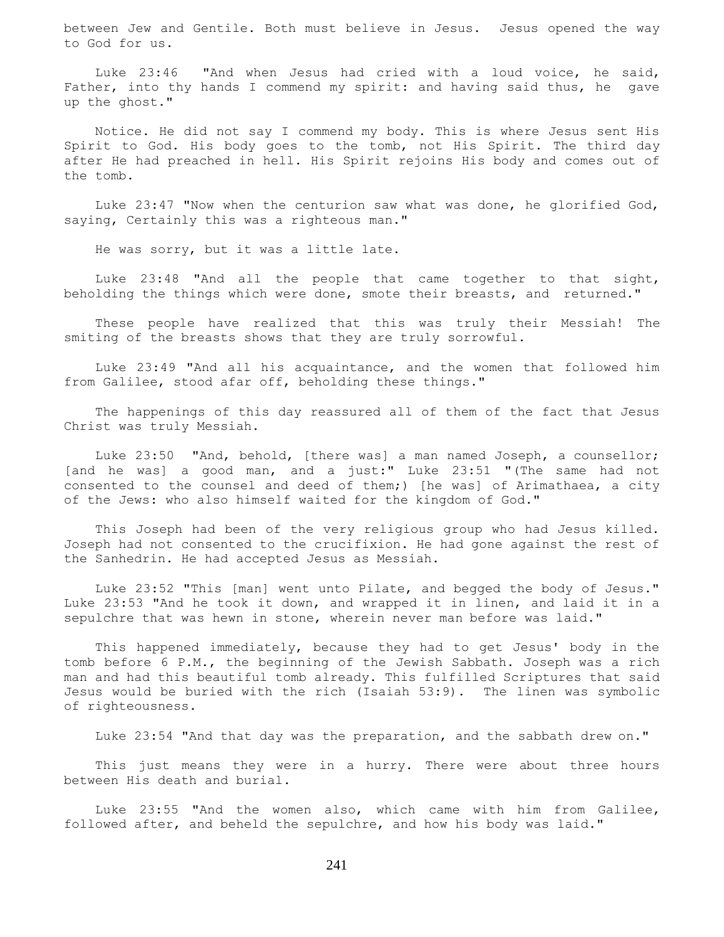between Jew and Gentile. Both must believe in Jesus. Jesus opened the way to God for us.

 Luke 23:46 "And when Jesus had cried with a loud voice, he said, Father, into thy hands I commend my spirit: and having said thus, he gave up the ghost."

 Notice. He did not say I commend my body. This is where Jesus sent His Spirit to God. His body goes to the tomb, not His Spirit. The third day after He had preached in hell. His Spirit rejoins His body and comes out of the tomb.

 Luke 23:47 "Now when the centurion saw what was done, he glorified God, saying, Certainly this was a righteous man."

He was sorry, but it was a little late.

 Luke 23:48 "And all the people that came together to that sight, beholding the things which were done, smote their breasts, and returned."

 These people have realized that this was truly their Messiah! The smiting of the breasts shows that they are truly sorrowful.

 Luke 23:49 "And all his acquaintance, and the women that followed him from Galilee, stood afar off, beholding these things."

 The happenings of this day reassured all of them of the fact that Jesus Christ was truly Messiah.

 Luke 23:50 "And, behold, [there was] a man named Joseph, a counsellor; [and he was] a good man, and a just:" Luke 23:51 "(The same had not consented to the counsel and deed of them;) [he was] of Arimathaea, a city of the Jews: who also himself waited for the kingdom of God."

 This Joseph had been of the very religious group who had Jesus killed. Joseph had not consented to the crucifixion. He had gone against the rest of the Sanhedrin. He had accepted Jesus as Messiah.

 Luke 23:52 "This [man] went unto Pilate, and begged the body of Jesus." Luke 23:53 "And he took it down, and wrapped it in linen, and laid it in a sepulchre that was hewn in stone, wherein never man before was laid."

 This happened immediately, because they had to get Jesus' body in the tomb before 6 P.M., the beginning of the Jewish Sabbath. Joseph was a rich man and had this beautiful tomb already. This fulfilled Scriptures that said Jesus would be buried with the rich (Isaiah 53:9). The linen was symbolic of righteousness.

Luke 23:54 "And that day was the preparation, and the sabbath drew on."

 This just means they were in a hurry. There were about three hours between His death and burial.

 Luke 23:55 "And the women also, which came with him from Galilee, followed after, and beheld the sepulchre, and how his body was laid."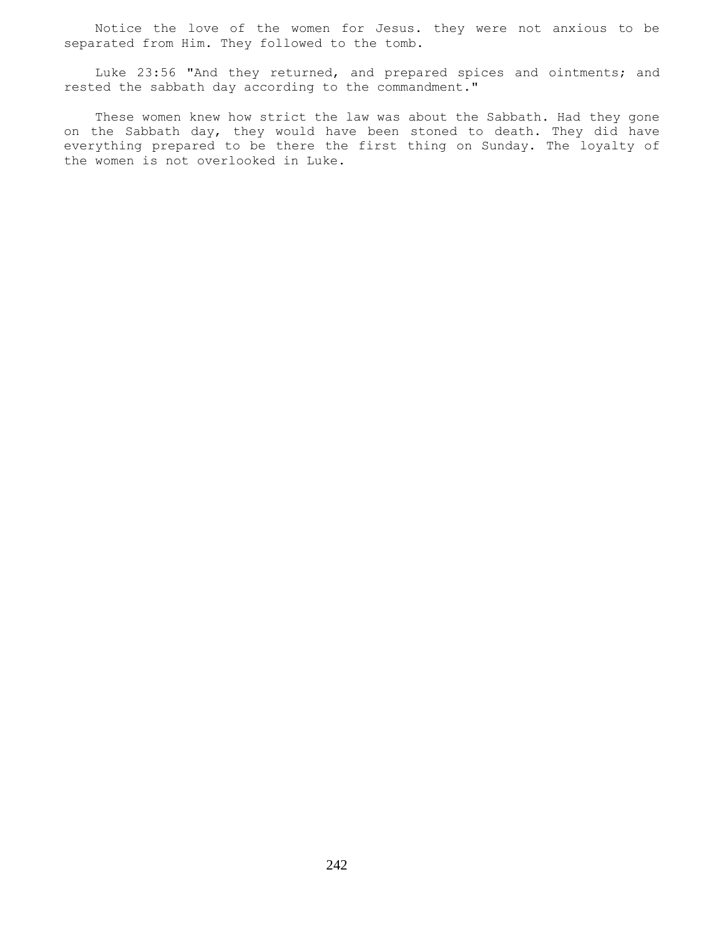Notice the love of the women for Jesus. they were not anxious to be separated from Him. They followed to the tomb.

 Luke 23:56 "And they returned, and prepared spices and ointments; and rested the sabbath day according to the commandment."

 These women knew how strict the law was about the Sabbath. Had they gone on the Sabbath day, they would have been stoned to death. They did have everything prepared to be there the first thing on Sunday. The loyalty of the women is not overlooked in Luke.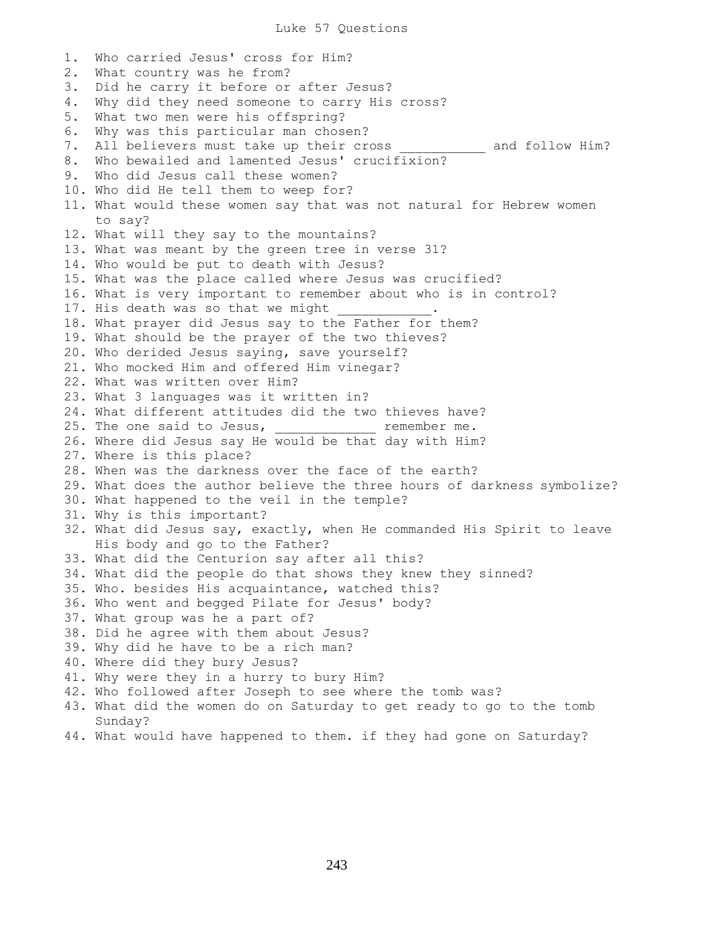1. Who carried Jesus' cross for Him? 2. What country was he from? 3. Did he carry it before or after Jesus? 4. Why did they need someone to carry His cross? 5. What two men were his offspring? 6. Why was this particular man chosen? 7. All believers must take up their cross \_\_\_\_\_\_\_\_\_\_\_ and follow Him? 8. Who bewailed and lamented Jesus' crucifixion? 9. Who did Jesus call these women? 10. Who did He tell them to weep for? 11. What would these women say that was not natural for Hebrew women to say? 12. What will they say to the mountains? 13. What was meant by the green tree in verse 31? 14. Who would be put to death with Jesus? 15. What was the place called where Jesus was crucified? 16. What is very important to remember about who is in control? 17. His death was so that we might 18. What prayer did Jesus say to the Father for them? 19. What should be the prayer of the two thieves? 20. Who derided Jesus saying, save yourself? 21. Who mocked Him and offered Him vinegar? 22. What was written over Him? 23. What 3 languages was it written in? 24. What different attitudes did the two thieves have? 25. The one said to Jesus, the remember me. 26. Where did Jesus say He would be that day with Him? 27. Where is this place? 28. When was the darkness over the face of the earth? 29. What does the author believe the three hours of darkness symbolize? 30. What happened to the veil in the temple? 31. Why is this important? 32. What did Jesus say, exactly, when He commanded His Spirit to leave His body and go to the Father? 33. What did the Centurion say after all this? 34. What did the people do that shows they knew they sinned? 35. Who. besides His acquaintance, watched this? 36. Who went and begged Pilate for Jesus' body? 37. What group was he a part of? 38. Did he agree with them about Jesus? 39. Why did he have to be a rich man? 40. Where did they bury Jesus? 41. Why were they in a hurry to bury Him? 42. Who followed after Joseph to see where the tomb was? 43. What did the women do on Saturday to get ready to go to the tomb Sunday? 44. What would have happened to them. if they had gone on Saturday?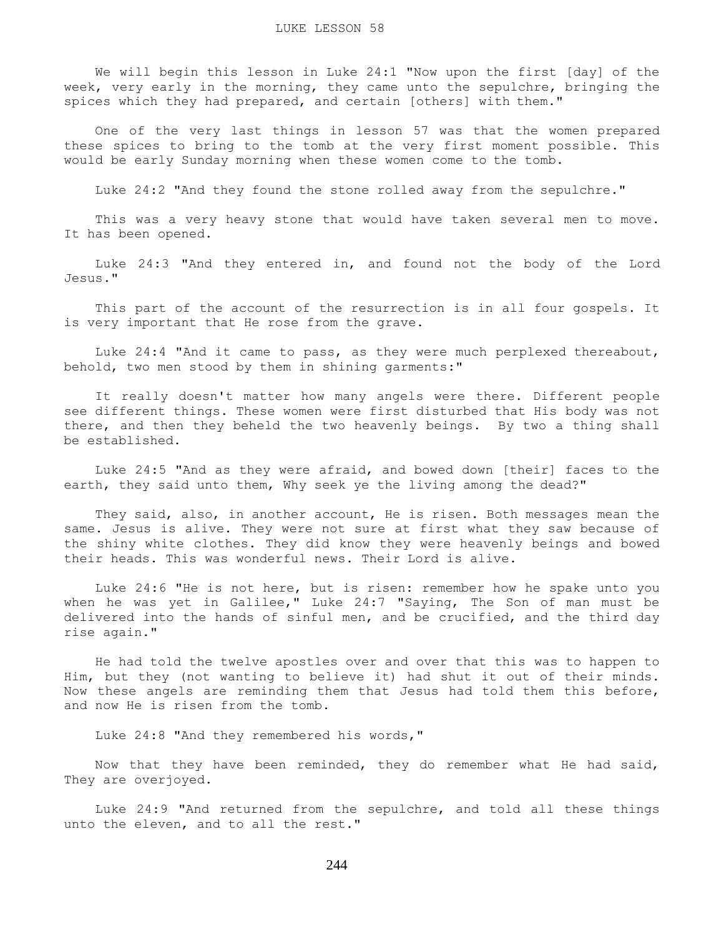We will begin this lesson in Luke 24:1 "Now upon the first [day] of the week, very early in the morning, they came unto the sepulchre, bringing the spices which they had prepared, and certain [others] with them."

 One of the very last things in lesson 57 was that the women prepared these spices to bring to the tomb at the very first moment possible. This would be early Sunday morning when these women come to the tomb.

Luke 24:2 "And they found the stone rolled away from the sepulchre."

 This was a very heavy stone that would have taken several men to move. It has been opened.

 Luke 24:3 "And they entered in, and found not the body of the Lord Jesus."

 This part of the account of the resurrection is in all four gospels. It is very important that He rose from the grave.

 Luke 24:4 "And it came to pass, as they were much perplexed thereabout, behold, two men stood by them in shining garments:"

 It really doesn't matter how many angels were there. Different people see different things. These women were first disturbed that His body was not there, and then they beheld the two heavenly beings. By two a thing shall be established.

 Luke 24:5 "And as they were afraid, and bowed down [their] faces to the earth, they said unto them, Why seek ye the living among the dead?"

 They said, also, in another account, He is risen. Both messages mean the same. Jesus is alive. They were not sure at first what they saw because of the shiny white clothes. They did know they were heavenly beings and bowed their heads. This was wonderful news. Their Lord is alive.

 Luke 24:6 "He is not here, but is risen: remember how he spake unto you when he was yet in Galilee," Luke 24:7 "Saying, The Son of man must be delivered into the hands of sinful men, and be crucified, and the third day rise again."

 He had told the twelve apostles over and over that this was to happen to Him, but they (not wanting to believe it) had shut it out of their minds. Now these angels are reminding them that Jesus had told them this before, and now He is risen from the tomb.

Luke 24:8 "And they remembered his words,"

 Now that they have been reminded, they do remember what He had said, They are overjoyed.

 Luke 24:9 "And returned from the sepulchre, and told all these things unto the eleven, and to all the rest."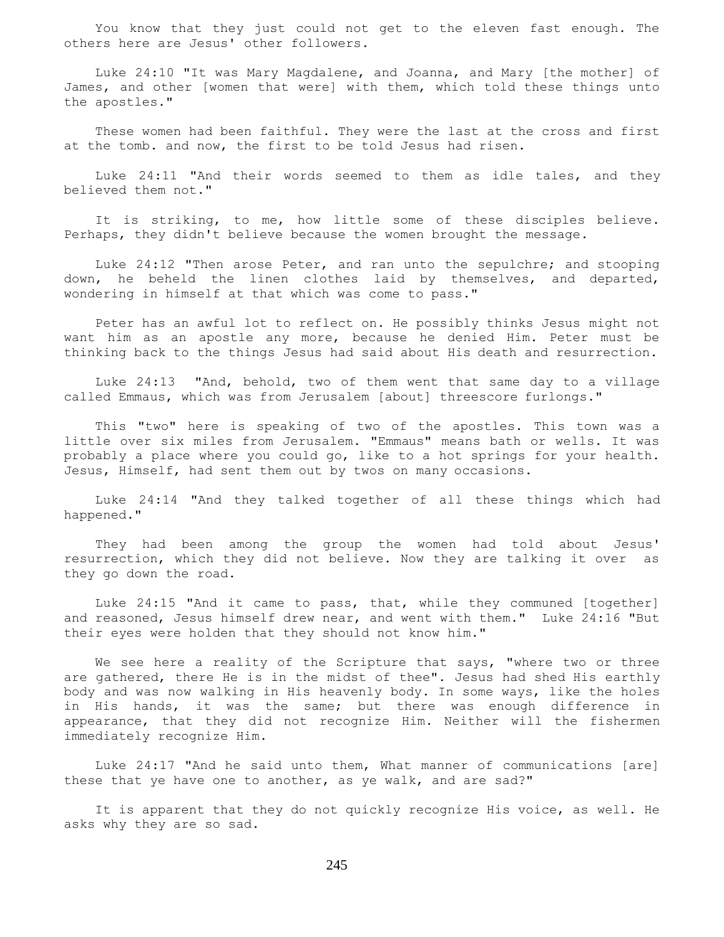You know that they just could not get to the eleven fast enough. The others here are Jesus' other followers.

 Luke 24:10 "It was Mary Magdalene, and Joanna, and Mary [the mother] of James, and other [women that were] with them, which told these things unto the apostles."

 These women had been faithful. They were the last at the cross and first at the tomb. and now, the first to be told Jesus had risen.

 Luke 24:11 "And their words seemed to them as idle tales, and they believed them not."

 It is striking, to me, how little some of these disciples believe. Perhaps, they didn't believe because the women brought the message.

 Luke 24:12 "Then arose Peter, and ran unto the sepulchre; and stooping down, he beheld the linen clothes laid by themselves, and departed, wondering in himself at that which was come to pass."

 Peter has an awful lot to reflect on. He possibly thinks Jesus might not want him as an apostle any more, because he denied Him. Peter must be thinking back to the things Jesus had said about His death and resurrection.

 Luke 24:13 "And, behold, two of them went that same day to a village called Emmaus, which was from Jerusalem [about] threescore furlongs."

 This "two" here is speaking of two of the apostles. This town was a little over six miles from Jerusalem. "Emmaus" means bath or wells. It was probably a place where you could go, like to a hot springs for your health. Jesus, Himself, had sent them out by twos on many occasions.

 Luke 24:14 "And they talked together of all these things which had happened."

 They had been among the group the women had told about Jesus' resurrection, which they did not believe. Now they are talking it over as they go down the road.

 Luke 24:15 "And it came to pass, that, while they communed [together] and reasoned, Jesus himself drew near, and went with them." Luke 24:16 "But their eyes were holden that they should not know him."

We see here a reality of the Scripture that says, "where two or three are gathered, there He is in the midst of thee". Jesus had shed His earthly body and was now walking in His heavenly body. In some ways, like the holes in His hands, it was the same; but there was enough difference in appearance, that they did not recognize Him. Neither will the fishermen immediately recognize Him.

 Luke 24:17 "And he said unto them, What manner of communications [are] these that ye have one to another, as ye walk, and are sad?"

 It is apparent that they do not quickly recognize His voice, as well. He asks why they are so sad.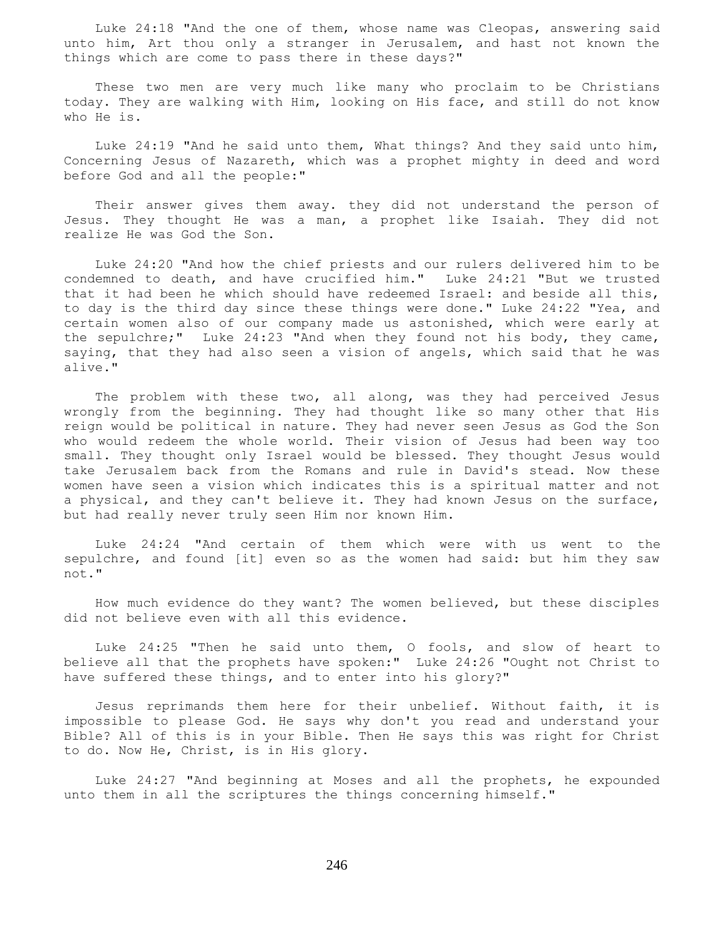Luke 24:18 "And the one of them, whose name was Cleopas, answering said unto him, Art thou only a stranger in Jerusalem, and hast not known the things which are come to pass there in these days?"

 These two men are very much like many who proclaim to be Christians today. They are walking with Him, looking on His face, and still do not know who He is.

 Luke 24:19 "And he said unto them, What things? And they said unto him, Concerning Jesus of Nazareth, which was a prophet mighty in deed and word before God and all the people:"

 Their answer gives them away. they did not understand the person of Jesus. They thought He was a man, a prophet like Isaiah. They did not realize He was God the Son.

 Luke 24:20 "And how the chief priests and our rulers delivered him to be condemned to death, and have crucified him." Luke 24:21 "But we trusted that it had been he which should have redeemed Israel: and beside all this, to day is the third day since these things were done." Luke 24:22 "Yea, and certain women also of our company made us astonished, which were early at the sepulchre;" Luke 24:23 "And when they found not his body, they came, saying, that they had also seen a vision of angels, which said that he was alive."

 The problem with these two, all along, was they had perceived Jesus wrongly from the beginning. They had thought like so many other that His reign would be political in nature. They had never seen Jesus as God the Son who would redeem the whole world. Their vision of Jesus had been way too small. They thought only Israel would be blessed. They thought Jesus would take Jerusalem back from the Romans and rule in David's stead. Now these women have seen a vision which indicates this is a spiritual matter and not a physical, and they can't believe it. They had known Jesus on the surface, but had really never truly seen Him nor known Him.

 Luke 24:24 "And certain of them which were with us went to the sepulchre, and found [it] even so as the women had said: but him they saw not."

 How much evidence do they want? The women believed, but these disciples did not believe even with all this evidence.

 Luke 24:25 "Then he said unto them, O fools, and slow of heart to believe all that the prophets have spoken:" Luke 24:26 "Ought not Christ to have suffered these things, and to enter into his glory?"

 Jesus reprimands them here for their unbelief. Without faith, it is impossible to please God. He says why don't you read and understand your Bible? All of this is in your Bible. Then He says this was right for Christ to do. Now He, Christ, is in His glory.

 Luke 24:27 "And beginning at Moses and all the prophets, he expounded unto them in all the scriptures the things concerning himself."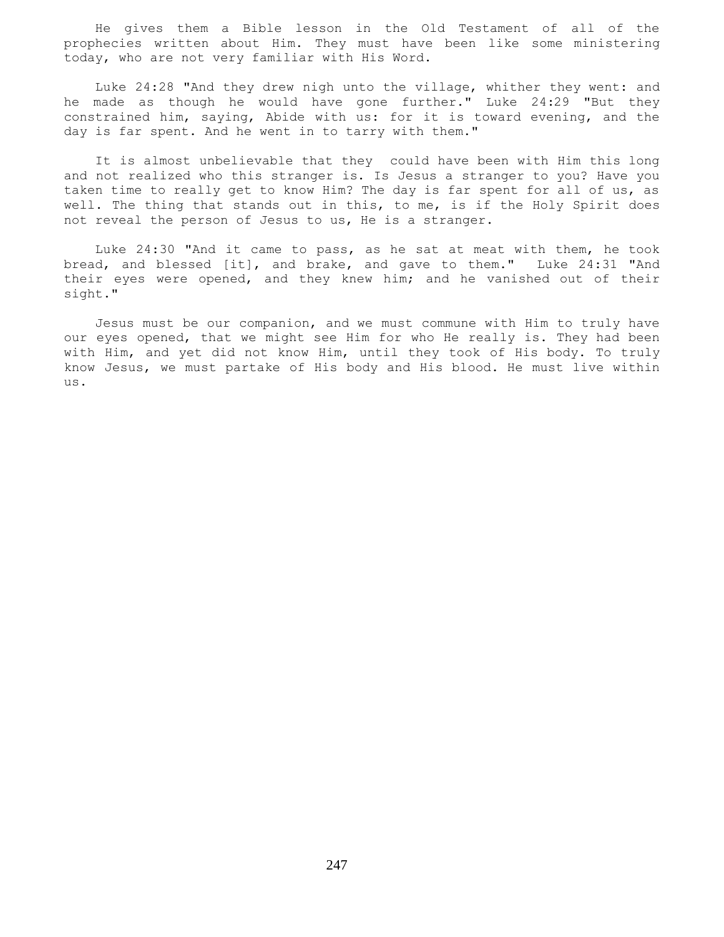He gives them a Bible lesson in the Old Testament of all of the prophecies written about Him. They must have been like some ministering today, who are not very familiar with His Word.

 Luke 24:28 "And they drew nigh unto the village, whither they went: and he made as though he would have gone further." Luke 24:29 "But they constrained him, saying, Abide with us: for it is toward evening, and the day is far spent. And he went in to tarry with them."

 It is almost unbelievable that they could have been with Him this long and not realized who this stranger is. Is Jesus a stranger to you? Have you taken time to really get to know Him? The day is far spent for all of us, as well. The thing that stands out in this, to me, is if the Holy Spirit does not reveal the person of Jesus to us, He is a stranger.

 Luke 24:30 "And it came to pass, as he sat at meat with them, he took bread, and blessed [it], and brake, and gave to them." Luke 24:31 "And their eyes were opened, and they knew him; and he vanished out of their sight."

 Jesus must be our companion, and we must commune with Him to truly have our eyes opened, that we might see Him for who He really is. They had been with Him, and yet did not know Him, until they took of His body. To truly know Jesus, we must partake of His body and His blood. He must live within us.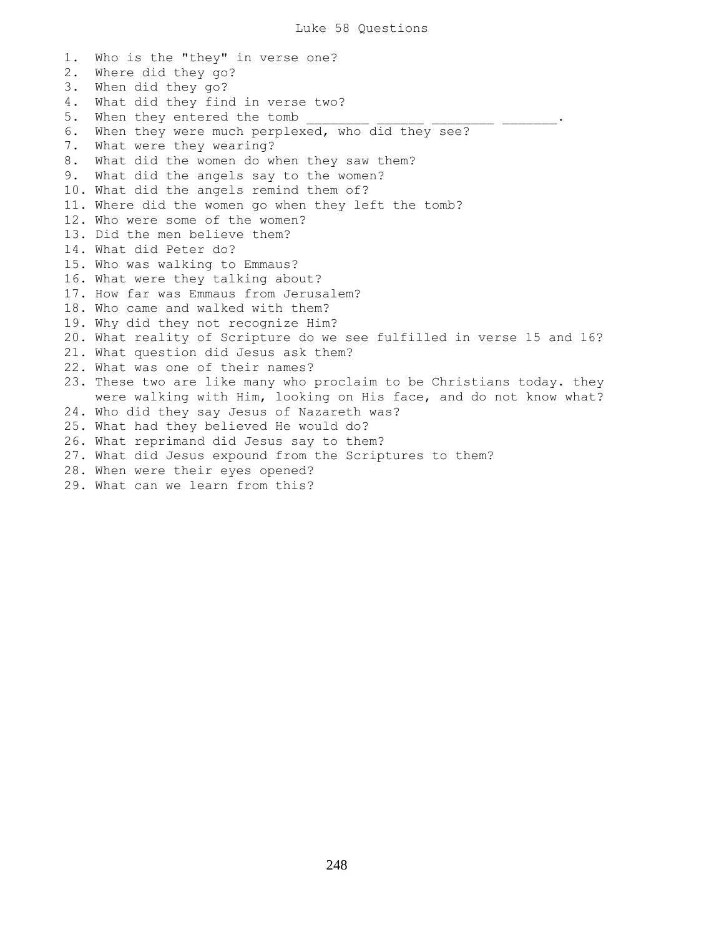1. Who is the "they" in verse one? 2. Where did they go? 3. When did they go? 4. What did they find in verse two? 5. When they entered the tomb 6. When they were much perplexed, who did they see? 7. What were they wearing? 8. What did the women do when they saw them? 9. What did the angels say to the women? 10. What did the angels remind them of? 11. Where did the women go when they left the tomb? 12. Who were some of the women? 13. Did the men believe them? 14. What did Peter do? 15. Who was walking to Emmaus? 16. What were they talking about? 17. How far was Emmaus from Jerusalem? 18. Who came and walked with them? 19. Why did they not recognize Him? 20. What reality of Scripture do we see fulfilled in verse 15 and 16? 21. What question did Jesus ask them? 22. What was one of their names? 23. These two are like many who proclaim to be Christians today. they were walking with Him, looking on His face, and do not know what? 24. Who did they say Jesus of Nazareth was? 25. What had they believed He would do? 26. What reprimand did Jesus say to them? 27. What did Jesus expound from the Scriptures to them? 28. When were their eyes opened? 29. What can we learn from this?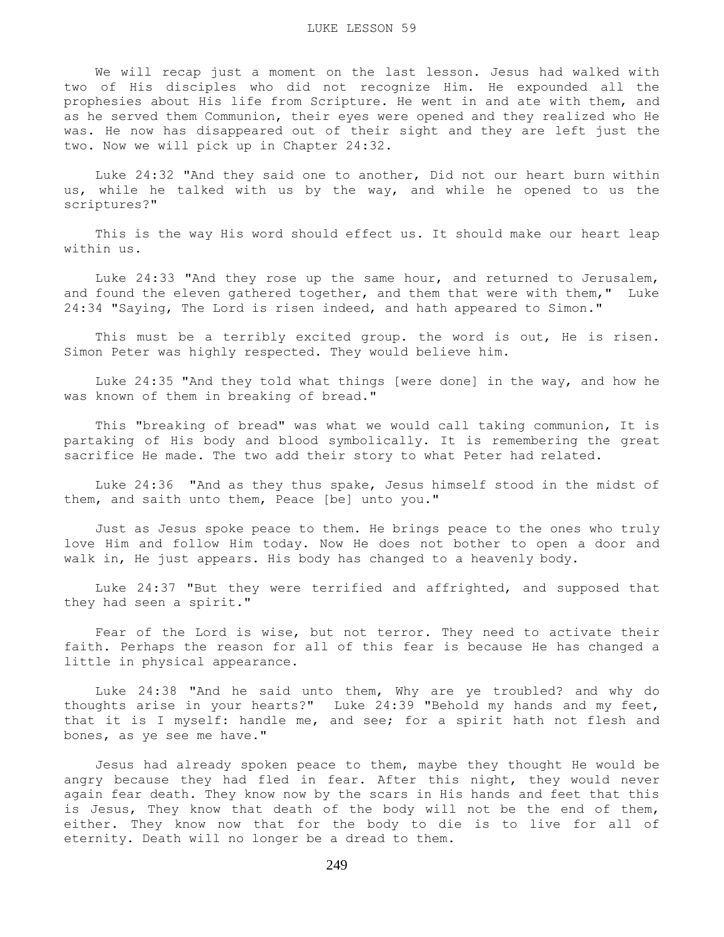We will recap just a moment on the last lesson. Jesus had walked with two of His disciples who did not recognize Him. He expounded all the prophesies about His life from Scripture. He went in and ate with them, and as he served them Communion, their eyes were opened and they realized who He was. He now has disappeared out of their sight and they are left just the two. Now we will pick up in Chapter 24:32.

 Luke 24:32 "And they said one to another, Did not our heart burn within us, while he talked with us by the way, and while he opened to us the scriptures?"

 This is the way His word should effect us. It should make our heart leap within us.

 Luke 24:33 "And they rose up the same hour, and returned to Jerusalem, and found the eleven gathered together, and them that were with them," Luke 24:34 "Saying, The Lord is risen indeed, and hath appeared to Simon."

This must be a terribly excited group. the word is out, He is risen. Simon Peter was highly respected. They would believe him.

 Luke 24:35 "And they told what things [were done] in the way, and how he was known of them in breaking of bread."

 This "breaking of bread" was what we would call taking communion, It is partaking of His body and blood symbolically. It is remembering the great sacrifice He made. The two add their story to what Peter had related.

 Luke 24:36 "And as they thus spake, Jesus himself stood in the midst of them, and saith unto them, Peace [be] unto you."

 Just as Jesus spoke peace to them. He brings peace to the ones who truly love Him and follow Him today. Now He does not bother to open a door and walk in, He just appears. His body has changed to a heavenly body.

 Luke 24:37 "But they were terrified and affrighted, and supposed that they had seen a spirit."

 Fear of the Lord is wise, but not terror. They need to activate their faith. Perhaps the reason for all of this fear is because He has changed a little in physical appearance.

 Luke 24:38 "And he said unto them, Why are ye troubled? and why do thoughts arise in your hearts?" Luke 24:39 "Behold my hands and my feet, that it is I myself: handle me, and see; for a spirit hath not flesh and bones, as ye see me have."

 Jesus had already spoken peace to them, maybe they thought He would be angry because they had fled in fear. After this night, they would never again fear death. They know now by the scars in His hands and feet that this is Jesus, They know that death of the body will not be the end of them, either. They know now that for the body to die is to live for all of eternity. Death will no longer be a dread to them.

249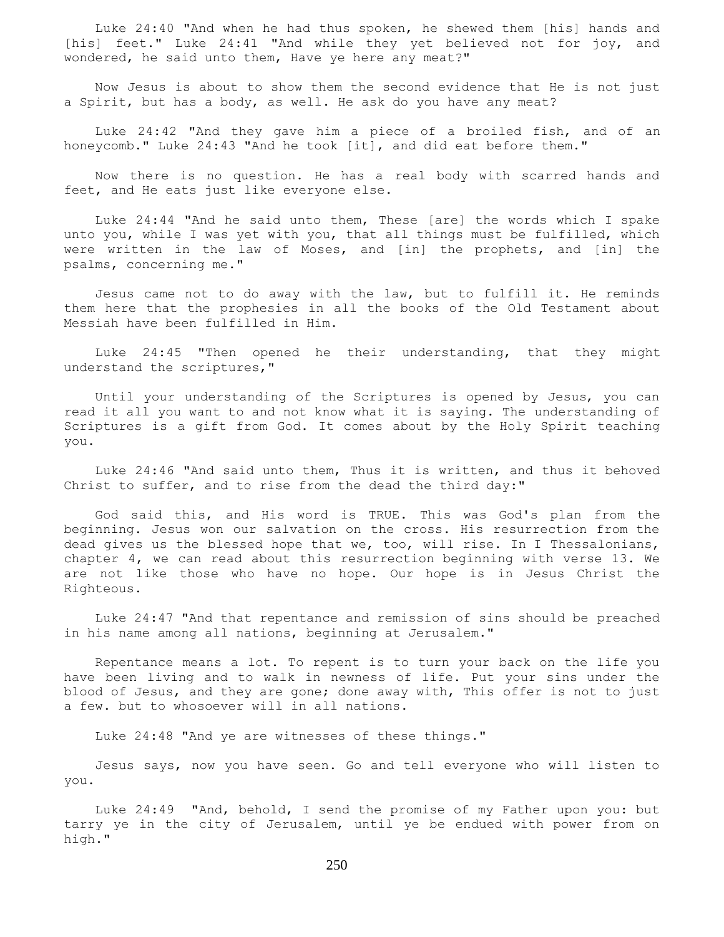Luke 24:40 "And when he had thus spoken, he shewed them [his] hands and [his] feet." Luke 24:41 "And while they yet believed not for joy, and wondered, he said unto them, Have ye here any meat?"

 Now Jesus is about to show them the second evidence that He is not just a Spirit, but has a body, as well. He ask do you have any meat?

 Luke 24:42 "And they gave him a piece of a broiled fish, and of an honeycomb." Luke 24:43 "And he took [it], and did eat before them."

 Now there is no question. He has a real body with scarred hands and feet, and He eats just like everyone else.

 Luke 24:44 "And he said unto them, These [are] the words which I spake unto you, while I was yet with you, that all things must be fulfilled, which were written in the law of Moses, and [in] the prophets, and [in] the psalms, concerning me."

 Jesus came not to do away with the law, but to fulfill it. He reminds them here that the prophesies in all the books of the Old Testament about Messiah have been fulfilled in Him.

 Luke 24:45 "Then opened he their understanding, that they might understand the scriptures,"

 Until your understanding of the Scriptures is opened by Jesus, you can read it all you want to and not know what it is saying. The understanding of Scriptures is a gift from God. It comes about by the Holy Spirit teaching you.

 Luke 24:46 "And said unto them, Thus it is written, and thus it behoved Christ to suffer, and to rise from the dead the third day:"

 God said this, and His word is TRUE. This was God's plan from the beginning. Jesus won our salvation on the cross. His resurrection from the dead gives us the blessed hope that we, too, will rise. In I Thessalonians, chapter 4, we can read about this resurrection beginning with verse 13. We are not like those who have no hope. Our hope is in Jesus Christ the Righteous.

 Luke 24:47 "And that repentance and remission of sins should be preached in his name among all nations, beginning at Jerusalem."

 Repentance means a lot. To repent is to turn your back on the life you have been living and to walk in newness of life. Put your sins under the blood of Jesus, and they are gone; done away with, This offer is not to just a few. but to whosoever will in all nations.

Luke 24:48 "And ye are witnesses of these things."

 Jesus says, now you have seen. Go and tell everyone who will listen to you.

 Luke 24:49 "And, behold, I send the promise of my Father upon you: but tarry ye in the city of Jerusalem, until ye be endued with power from on high."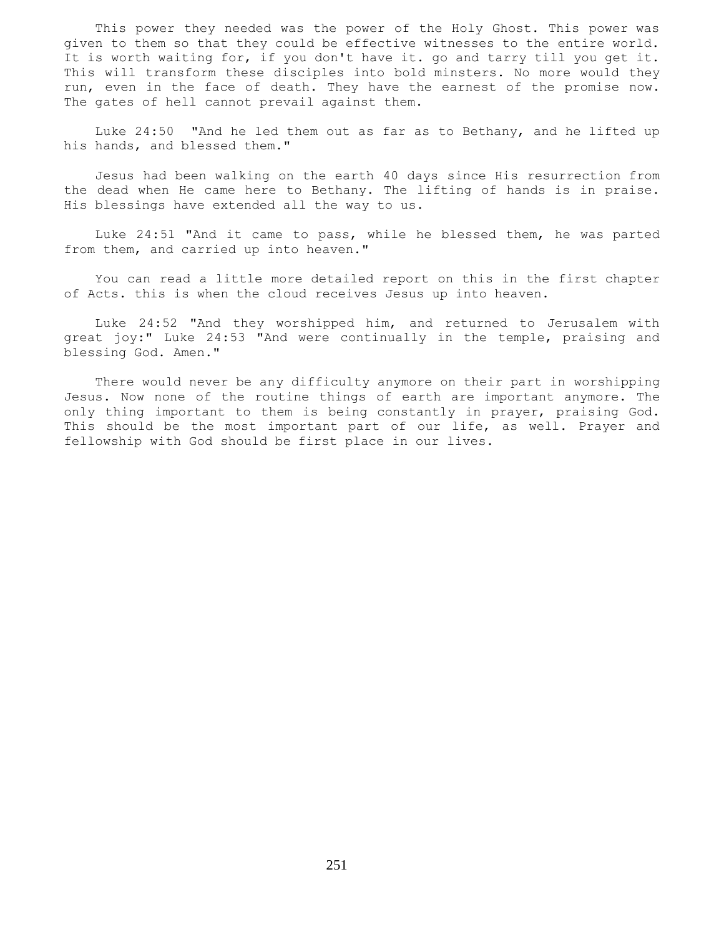This power they needed was the power of the Holy Ghost. This power was given to them so that they could be effective witnesses to the entire world. It is worth waiting for, if you don't have it. go and tarry till you get it. This will transform these disciples into bold minsters. No more would they run, even in the face of death. They have the earnest of the promise now. The gates of hell cannot prevail against them.

 Luke 24:50 "And he led them out as far as to Bethany, and he lifted up his hands, and blessed them."

 Jesus had been walking on the earth 40 days since His resurrection from the dead when He came here to Bethany. The lifting of hands is in praise. His blessings have extended all the way to us.

 Luke 24:51 "And it came to pass, while he blessed them, he was parted from them, and carried up into heaven."

 You can read a little more detailed report on this in the first chapter of Acts. this is when the cloud receives Jesus up into heaven.

 Luke 24:52 "And they worshipped him, and returned to Jerusalem with great joy:" Luke 24:53 "And were continually in the temple, praising and blessing God. Amen."

 There would never be any difficulty anymore on their part in worshipping Jesus. Now none of the routine things of earth are important anymore. The only thing important to them is being constantly in prayer, praising God. This should be the most important part of our life, as well. Prayer and fellowship with God should be first place in our lives.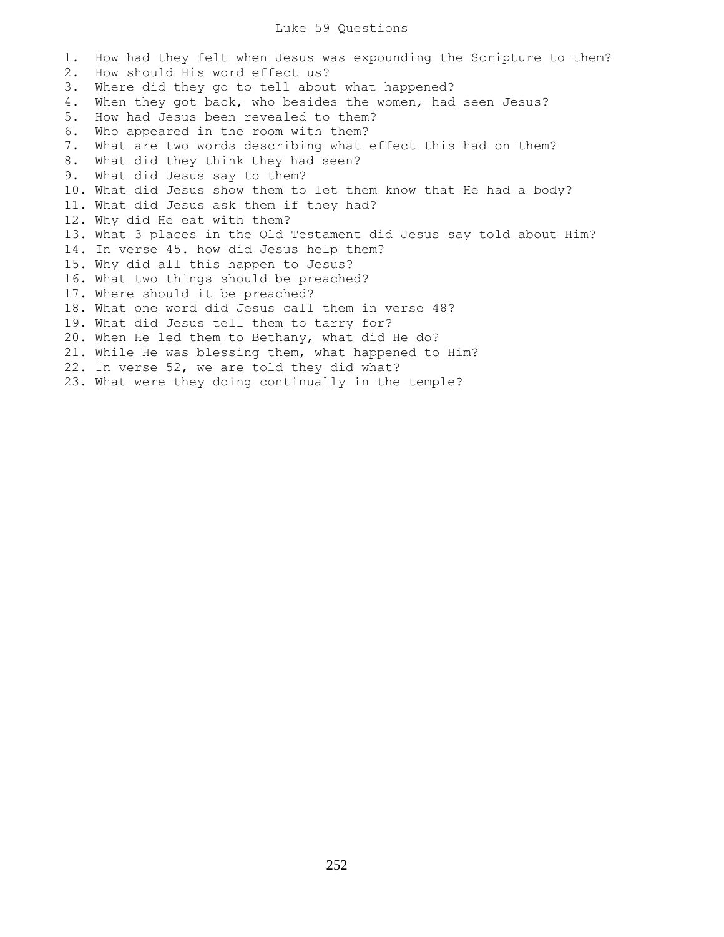#### Luke 59 Questions

1. How had they felt when Jesus was expounding the Scripture to them? 2. How should His word effect us? 3. Where did they go to tell about what happened? 4. When they got back, who besides the women, had seen Jesus? 5. How had Jesus been revealed to them? 6. Who appeared in the room with them? 7. What are two words describing what effect this had on them? 8. What did they think they had seen? 9. What did Jesus say to them? 10. What did Jesus show them to let them know that He had a body? 11. What did Jesus ask them if they had? 12. Why did He eat with them? 13. What 3 places in the Old Testament did Jesus say told about Him? 14. In verse 45. how did Jesus help them? 15. Why did all this happen to Jesus? 16. What two things should be preached? 17. Where should it be preached? 18. What one word did Jesus call them in verse 48? 19. What did Jesus tell them to tarry for? 20. When He led them to Bethany, what did He do? 21. While He was blessing them, what happened to Him? 22. In verse 52, we are told they did what? 23. What were they doing continually in the temple?